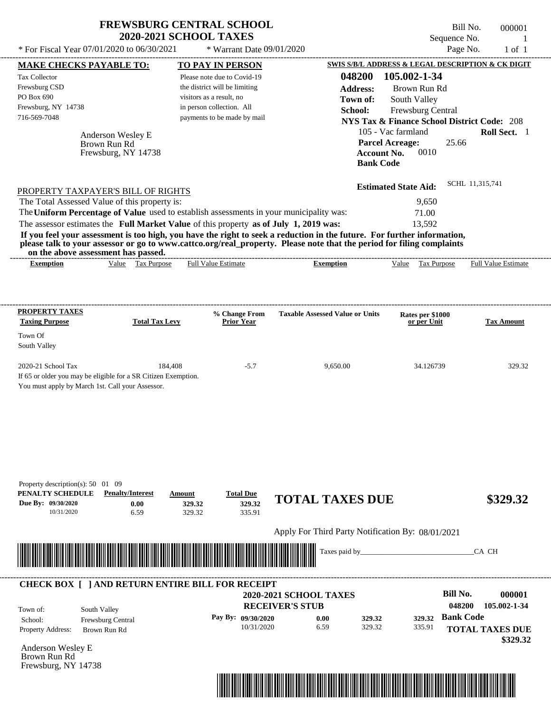|                                                                                                                                                                                                                                      |                                                                           | <b>FREWSBURG CENTRAL SCHOOL</b><br><b>2020-2021 SCHOOL TAXES</b>                        |                                                                                                                                           |                                                        | Bill No.<br>Sequence No.             | 000001                                            |
|--------------------------------------------------------------------------------------------------------------------------------------------------------------------------------------------------------------------------------------|---------------------------------------------------------------------------|-----------------------------------------------------------------------------------------|-------------------------------------------------------------------------------------------------------------------------------------------|--------------------------------------------------------|--------------------------------------|---------------------------------------------------|
| * For Fiscal Year 07/01/2020 to 06/30/2021                                                                                                                                                                                           |                                                                           | * Warrant Date 09/01/2020                                                               |                                                                                                                                           |                                                        | Page No.                             | $1$ of $1$                                        |
| <b>MAKE CHECKS PAYABLE TO:</b>                                                                                                                                                                                                       |                                                                           | <b>TO PAY IN PERSON</b>                                                                 |                                                                                                                                           |                                                        |                                      | SWIS S/B/L ADDRESS & LEGAL DESCRIPTION & CK DIGIT |
| Tax Collector                                                                                                                                                                                                                        |                                                                           | Please note due to Covid-19                                                             | 048200                                                                                                                                    | 105.002-1-34                                           |                                      |                                                   |
| Frewsburg CSD                                                                                                                                                                                                                        |                                                                           | the district will be limiting                                                           | <b>Address:</b>                                                                                                                           |                                                        | Brown Run Rd                         |                                                   |
| PO Box 690                                                                                                                                                                                                                           |                                                                           | visitors as a result, no                                                                | Town of:                                                                                                                                  | South Valley                                           |                                      |                                                   |
| Frewsburg, NY 14738                                                                                                                                                                                                                  |                                                                           | in person collection. All                                                               | School:                                                                                                                                   |                                                        | Frewsburg Central                    |                                                   |
| 716-569-7048                                                                                                                                                                                                                         |                                                                           | payments to be made by mail                                                             |                                                                                                                                           | <b>NYS Tax &amp; Finance School District Code: 208</b> |                                      |                                                   |
|                                                                                                                                                                                                                                      |                                                                           |                                                                                         |                                                                                                                                           | 105 - Vac farmland                                     |                                      | Roll Sect. 1                                      |
|                                                                                                                                                                                                                                      | Anderson Wesley E<br>Brown Run Rd                                         |                                                                                         |                                                                                                                                           | <b>Parcel Acreage:</b>                                 | 25.66                                |                                                   |
|                                                                                                                                                                                                                                      | Frewsburg, NY 14738                                                       |                                                                                         |                                                                                                                                           | <b>Account No.</b><br><b>Bank Code</b>                 | 0010                                 |                                                   |
|                                                                                                                                                                                                                                      | PROPERTY TAXPAYER'S BILL OF RIGHTS                                        |                                                                                         |                                                                                                                                           | <b>Estimated State Aid:</b>                            |                                      | SCHL 11,315,741                                   |
|                                                                                                                                                                                                                                      | The Total Assessed Value of this property is:                             |                                                                                         |                                                                                                                                           |                                                        | 9,650                                |                                                   |
|                                                                                                                                                                                                                                      |                                                                           | The Uniform Percentage of Value used to establish assessments in your municipality was: |                                                                                                                                           |                                                        | 71.00                                |                                                   |
|                                                                                                                                                                                                                                      |                                                                           | The assessor estimates the Full Market Value of this property as of July 1, 2019 was:   |                                                                                                                                           |                                                        | 13,592                               |                                                   |
| on the above assessment has passed.<br><b>Exemption</b>                                                                                                                                                                              | Value Tax Purpose                                                         | <b>Full Value Estimate</b>                                                              | please talk to your assessor or go to www.cattco.org/real_property. Please note that the period for filing complaints<br><b>Exemption</b> |                                                        | Value Tax Purpose                    | <b>Full Value Estimate</b>                        |
| <b>PROPERTY TAXES</b><br><b>Taxing Purpose</b><br>Town Of                                                                                                                                                                            | <b>Total Tax Levy</b>                                                     | % Change From<br><b>Prior Year</b>                                                      | <b>Taxable Assessed Value or Units</b>                                                                                                    |                                                        | Rates per \$1000<br>or per Unit      | <b>Tax Amount</b>                                 |
| South Valley                                                                                                                                                                                                                         |                                                                           |                                                                                         |                                                                                                                                           |                                                        |                                      |                                                   |
| 2020-21 School Tax<br>You must apply by March 1st. Call your Assessor.                                                                                                                                                               | 184,408<br>If 65 or older you may be eligible for a SR Citizen Exemption. | $-5.7$                                                                                  | 9,650.00                                                                                                                                  |                                                        | 34.126739                            | 329.32                                            |
| Property description(s): 50 01 09<br>PENALTY SCHEDULE<br>Due By: 09/30/2020<br>10/31/2020                                                                                                                                            | <b>Penalty/Interest</b><br><b>Amount</b><br>0.00<br>6.59                  | <b>Total Due</b><br>329.32<br>329.32<br>329.32<br>335.91                                | <b>TOTAL TAXES DUE</b>                                                                                                                    |                                                        |                                      | \$329.32                                          |
|                                                                                                                                                                                                                                      |                                                                           |                                                                                         | Apply For Third Party Notification By: 08/01/2021                                                                                         |                                                        |                                      |                                                   |
| <u> Indian American State of Barbara and The Barbara and The Barbara and The Barbara and The Barbara and The Barbara and The Barbara and The Barbara and The Barbara and The Barbara and The Barbara and The Barbara and The Bar</u> |                                                                           |                                                                                         | Taxes paid by_                                                                                                                            |                                                        |                                      | CA CH                                             |
|                                                                                                                                                                                                                                      |                                                                           | <b>CHECK BOX [ ] AND RETURN ENTIRE BILL FOR RECEIPT</b>                                 |                                                                                                                                           |                                                        | <b>Bill No.</b>                      | 000001                                            |
|                                                                                                                                                                                                                                      |                                                                           |                                                                                         | <b>2020-2021 SCHOOL TAXES</b>                                                                                                             |                                                        |                                      |                                                   |
| South Valley<br>Town of:                                                                                                                                                                                                             |                                                                           |                                                                                         | <b>RECEIVER'S STUB</b>                                                                                                                    |                                                        | 048200                               | 105.002-1-34                                      |
|                                                                                                                                                                                                                                      |                                                                           |                                                                                         |                                                                                                                                           |                                                        |                                      |                                                   |
| School:                                                                                                                                                                                                                              | Frewsburg Central                                                         | Pay By: 09/30/2020<br>10/31/2020                                                        | 0.00<br>6.59                                                                                                                              | 329.32<br>329.32                                       | <b>Bank Code</b><br>329.32<br>335.91 |                                                   |

Anderson Wesley E Brown Run Rd Frewsburg, NY 14738



 **\$329.32**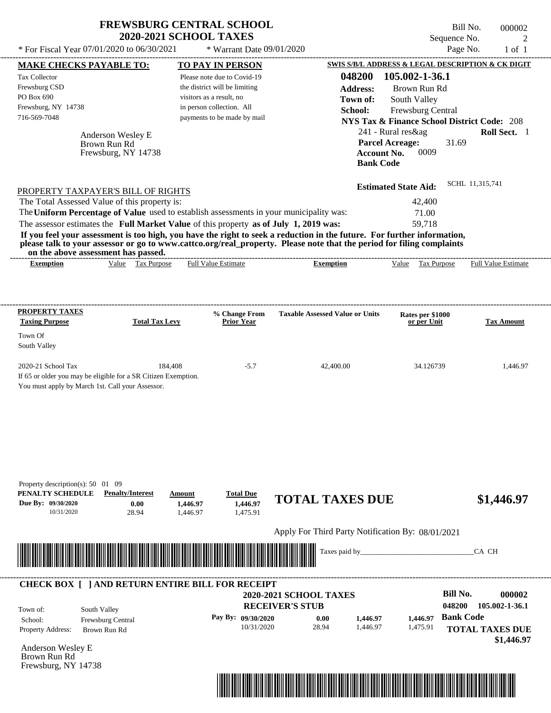| * For Fiscal Year 07/01/2020 to 06/30/2021                                                                                                                                                                                            | <b>FREWSBURG CENTRAL SCHOOL</b><br><b>2020-2021 SCHOOL TAXES</b> |                                                       | * Warrant Date 09/01/2020                                                                   |                                                                                                                                                                                                                                                  | Sequence No.                                                                                                                                                         | Bill No.<br>000002<br>2<br>Page No.<br>$1$ of $1$ |
|---------------------------------------------------------------------------------------------------------------------------------------------------------------------------------------------------------------------------------------|------------------------------------------------------------------|-------------------------------------------------------|---------------------------------------------------------------------------------------------|--------------------------------------------------------------------------------------------------------------------------------------------------------------------------------------------------------------------------------------------------|----------------------------------------------------------------------------------------------------------------------------------------------------------------------|---------------------------------------------------|
| <b>MAKE CHECKS PAYABLE TO:</b>                                                                                                                                                                                                        |                                                                  |                                                       | TO PAY IN PERSON                                                                            |                                                                                                                                                                                                                                                  | SWIS S/B/L ADDRESS & LEGAL DESCRIPTION & CK DIGIT                                                                                                                    |                                                   |
| <b>Tax Collector</b><br>Frewsburg CSD<br>PO Box 690<br>Frewsburg, NY 14738<br>716-569-7048                                                                                                                                            | Anderson Wesley E<br>Brown Run Rd<br>Frewsburg, NY 14738         | visitors as a result, no<br>in person collection. All | Please note due to Covid-19<br>the district will be limiting<br>payments to be made by mail | 048200<br><b>Address:</b><br>Town of:<br>School:<br><b>Parcel Acreage:</b><br><b>Account No.</b><br><b>Bank Code</b>                                                                                                                             | 105.002-1-36.1<br>Brown Run Rd<br>South Valley<br>Frewsburg Central<br><b>NYS Tax &amp; Finance School District Code: 208</b><br>241 - Rural res&ag<br>31.69<br>0009 | <b>Roll Sect.</b> 1                               |
| PROPERTY TAXPAYER'S BILL OF RIGHTS                                                                                                                                                                                                    |                                                                  |                                                       |                                                                                             |                                                                                                                                                                                                                                                  | <b>Estimated State Aid:</b>                                                                                                                                          | SCHL 11,315,741                                   |
| The Total Assessed Value of this property is:                                                                                                                                                                                         |                                                                  |                                                       |                                                                                             |                                                                                                                                                                                                                                                  | 42,400                                                                                                                                                               |                                                   |
| The Uniform Percentage of Value used to establish assessments in your municipality was:                                                                                                                                               |                                                                  |                                                       |                                                                                             |                                                                                                                                                                                                                                                  | 71.00                                                                                                                                                                |                                                   |
| The assessor estimates the Full Market Value of this property as of July 1, 2019 was:                                                                                                                                                 |                                                                  |                                                       |                                                                                             |                                                                                                                                                                                                                                                  | 59.718                                                                                                                                                               |                                                   |
| on the above assessment has passed.                                                                                                                                                                                                   |                                                                  |                                                       |                                                                                             | If you feel your assessment is too high, you have the right to seek a reduction in the future. For further information,<br>please talk to your assessor or go to www.cattco.org/real_property. Please note that the period for filing complaints |                                                                                                                                                                      |                                                   |
| <b>Exemption</b>                                                                                                                                                                                                                      | Value Tax Purpose                                                |                                                       | <b>Full Value Estimate</b>                                                                  | <b>Exemption</b>                                                                                                                                                                                                                                 | Value Tax Purpose                                                                                                                                                    | <b>Full Value Estimate</b>                        |
|                                                                                                                                                                                                                                       |                                                                  |                                                       |                                                                                             |                                                                                                                                                                                                                                                  |                                                                                                                                                                      |                                                   |
| <b>Taxing Purpose</b>                                                                                                                                                                                                                 | <b>Total Tax Levy</b>                                            |                                                       | <b>% Change From</b><br><b>Prior Year</b>                                                   | <b>Taxable Assessed Value or Units</b>                                                                                                                                                                                                           | Rates per \$1000<br>or per Unit                                                                                                                                      | <b>Tax Amount</b>                                 |
| <b>PROPERTY TAXES</b><br>Town Of<br>South Valley                                                                                                                                                                                      |                                                                  |                                                       |                                                                                             |                                                                                                                                                                                                                                                  |                                                                                                                                                                      |                                                   |
|                                                                                                                                                                                                                                       |                                                                  | 184,408                                               | $-5.7$                                                                                      | 42,400.00                                                                                                                                                                                                                                        | 34.126739                                                                                                                                                            |                                                   |
| 2020-21 School Tax<br>If 65 or older you may be eligible for a SR Citizen Exemption.<br>You must apply by March 1st. Call your Assessor.<br>Property description(s): 50 01 09<br>PENALTY SCHEDULE<br>Due By: 09/30/2020<br>10/31/2020 | <b>Penalty/Interest</b><br>0.00<br>28.94                         | Amount<br>1,446.97<br>1,446.97                        | <b>Total Due</b><br>1,446.97<br>1,475.91                                                    | <b>TOTAL TAXES DUE</b>                                                                                                                                                                                                                           |                                                                                                                                                                      |                                                   |
|                                                                                                                                                                                                                                       |                                                                  |                                                       |                                                                                             |                                                                                                                                                                                                                                                  |                                                                                                                                                                      | 1,446.97<br>\$1,446.97                            |
|                                                                                                                                                                                                                                       |                                                                  |                                                       |                                                                                             | Apply For Third Party Notification By: 08/01/2021                                                                                                                                                                                                |                                                                                                                                                                      |                                                   |

| Town of:                 | South Valley             | <b>2020-2021 SCHOOL TAXES</b><br><b>RECEIVER'S STUB</b> |       |          |          | Bill No.<br>000002<br>048200<br>105.002-1-36.1 |
|--------------------------|--------------------------|---------------------------------------------------------|-------|----------|----------|------------------------------------------------|
| School:                  | <b>Frewsburg Central</b> | Pay By: 09/30/2020                                      | 0.00  | 1,446.97 | 1.446.97 | <b>Bank Code</b>                               |
| <b>Property Address:</b> | Brown Run Rd             | 10/31/2020                                              | 28.94 | 1.446.97 | 1,475.91 | <b>TOTAL TAXES DUE</b><br>\$1,446.97           |



Frewsburg, NY 14738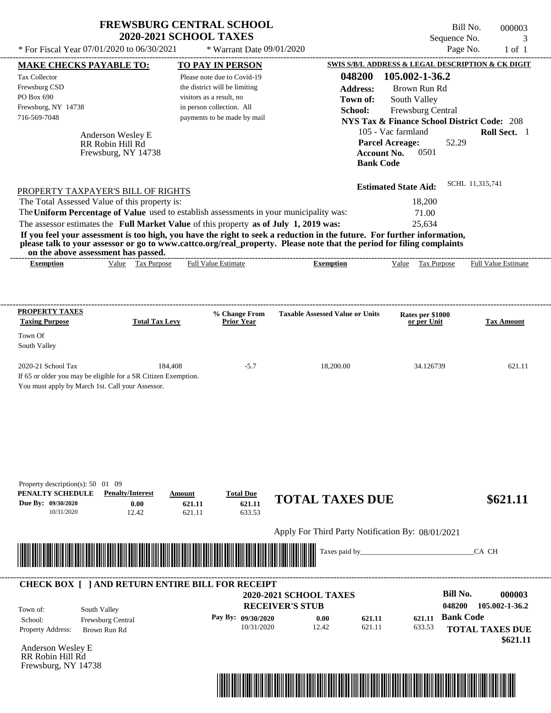|                                                                                                                                                                                                                                                                                                              | <b>FREWSBURG CENTRAL SCHOOL</b><br><b>2020-2021 SCHOOL TAXES</b>   |                                                   | Bill No.<br>Sequence No.                                      | 000003<br>3                |
|--------------------------------------------------------------------------------------------------------------------------------------------------------------------------------------------------------------------------------------------------------------------------------------------------------------|--------------------------------------------------------------------|---------------------------------------------------|---------------------------------------------------------------|----------------------------|
| * For Fiscal Year 07/01/2020 to 06/30/2021                                                                                                                                                                                                                                                                   | * Warrant Date 09/01/2020                                          |                                                   | Page No.                                                      | $1$ of $1$                 |
| <b>MAKE CHECKS PAYABLE TO:</b>                                                                                                                                                                                                                                                                               | TO PAY IN PERSON                                                   |                                                   | SWIS S/B/L ADDRESS & LEGAL DESCRIPTION & CK DIGIT             |                            |
| <b>Tax Collector</b>                                                                                                                                                                                                                                                                                         | Please note due to Covid-19                                        | 048200                                            | 105.002-1-36.2                                                |                            |
| Frewsburg CSD                                                                                                                                                                                                                                                                                                | the district will be limiting                                      | <b>Address:</b>                                   | Brown Run Rd                                                  |                            |
| PO Box 690                                                                                                                                                                                                                                                                                                   | visitors as a result, no                                           | Town of:                                          | South Valley                                                  |                            |
| Frewsburg, NY 14738                                                                                                                                                                                                                                                                                          | in person collection. All                                          | School:                                           | Frewsburg Central                                             |                            |
| 716-569-7048                                                                                                                                                                                                                                                                                                 | payments to be made by mail                                        |                                                   | <b>NYS Tax &amp; Finance School District Code: 208</b>        |                            |
| Anderson Wesley E                                                                                                                                                                                                                                                                                            |                                                                    |                                                   | 105 - Vac farmland                                            | Roll Sect. 1               |
| RR Robin Hill Rd<br>Frewsburg, NY 14738                                                                                                                                                                                                                                                                      |                                                                    | <b>Bank Code</b>                                  | <b>Parcel Acreage:</b><br>52.29<br>0501<br><b>Account No.</b> |                            |
|                                                                                                                                                                                                                                                                                                              |                                                                    |                                                   | <b>Estimated State Aid:</b>                                   | SCHL 11,315,741            |
| PROPERTY TAXPAYER'S BILL OF RIGHTS                                                                                                                                                                                                                                                                           |                                                                    |                                                   |                                                               |                            |
| The Total Assessed Value of this property is:<br>The Uniform Percentage of Value used to establish assessments in your municipality was:                                                                                                                                                                     |                                                                    |                                                   | 18,200                                                        |                            |
| The assessor estimates the Full Market Value of this property as of July 1, 2019 was:                                                                                                                                                                                                                        |                                                                    |                                                   | 71.00<br>25,634                                               |                            |
| If you feel your assessment is too high, you have the right to seek a reduction in the future. For further information,<br>please talk to your assessor or go to www.cattco.org/real_property. Please note that the period for filing complaints<br>on the above assessment has passed.<br>Value Tax Purpose | <b>Full Value Estimate</b>                                         |                                                   | Value Tax Purpose                                             | <b>Full Value Estimate</b> |
| <b>Exemption</b>                                                                                                                                                                                                                                                                                             |                                                                    | <b>Exemption</b>                                  |                                                               |                            |
| PROPERTY TAXES                                                                                                                                                                                                                                                                                               | % Change From                                                      | <b>Taxable Assessed Value or Units</b>            | Rates per \$1000                                              |                            |
| <b>Taxing Purpose</b>                                                                                                                                                                                                                                                                                        | <b>Total Tax Levy</b><br><b>Prior Year</b>                         |                                                   | or per Unit                                                   | <b>Tax Amount</b>          |
| Town Of<br>South Valley                                                                                                                                                                                                                                                                                      |                                                                    |                                                   |                                                               |                            |
| 2020-21 School Tax<br>If 65 or older you may be eligible for a SR Citizen Exemption.                                                                                                                                                                                                                         | 184,408<br>$-5.7$                                                  | 18,200.00                                         | 34.126739                                                     | 621.11                     |
| You must apply by March 1st. Call your Assessor.                                                                                                                                                                                                                                                             |                                                                    |                                                   |                                                               |                            |
| Property description(s): 50 01 09<br>PENALTY SCHEDULE<br><b>Penalty/Interest</b><br>Due Bv: 09/30/2020<br>0.00<br>10/31/2020<br>12.42                                                                                                                                                                        | <b>Total Due</b><br>Amount<br>621.11<br>621.11<br>621.11<br>633.53 | <b>TOTAL TAXES DUE</b>                            |                                                               | \$621.11                   |
|                                                                                                                                                                                                                                                                                                              |                                                                    | Apply For Third Party Notification By: 08/01/2021 |                                                               |                            |
|                                                                                                                                                                                                                                                                                                              |                                                                    | Taxes paid by_                                    |                                                               | CA CH                      |
| <b>CHECK BOX [ ] AND RETURN ENTIRE BILL FOR RECEIPT</b>                                                                                                                                                                                                                                                      |                                                                    |                                                   |                                                               |                            |
|                                                                                                                                                                                                                                                                                                              |                                                                    | 2020-2021 SCHOOL TAXES                            | <b>Bill No.</b>                                               | 000003                     |
| South Valley<br>Town of:                                                                                                                                                                                                                                                                                     |                                                                    | <b>RECEIVER'S STUB</b>                            | 048200                                                        | 105.002-1-36.2             |
| Frewsburg Central<br>School:                                                                                                                                                                                                                                                                                 | Pay By: 09/30/2020                                                 | 621.11<br>0.00                                    | <b>Bank Code</b><br>621.11                                    |                            |
| <b>Property Address:</b><br>Brown Run Rd                                                                                                                                                                                                                                                                     | 10/31/2020                                                         | 12.42<br>621.11                                   | 633.53                                                        | <b>TOTAL TAXES DUE</b>     |
|                                                                                                                                                                                                                                                                                                              |                                                                    |                                                   |                                                               | \$621.11                   |

Anderson Wesley E RR Robin Hill Rd Frewsburg, NY 14738

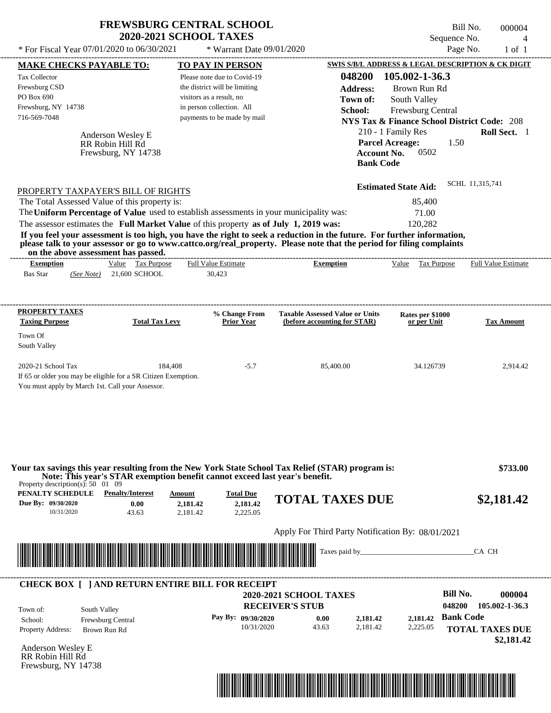|                                                                                                                            |                                                                                                    | <b>FREWSBURG CENTRAL SCHOOL</b><br><b>2020-2021 SCHOOL TAXES</b>                                                                                                                                                                                               |                                                   |                                                  |                                                                                                                                      | Bill No.<br>Sequence No. | 000004<br>$\overline{4}$      |
|----------------------------------------------------------------------------------------------------------------------------|----------------------------------------------------------------------------------------------------|----------------------------------------------------------------------------------------------------------------------------------------------------------------------------------------------------------------------------------------------------------------|---------------------------------------------------|--------------------------------------------------|--------------------------------------------------------------------------------------------------------------------------------------|--------------------------|-------------------------------|
|                                                                                                                            | * For Fiscal Year 07/01/2020 to 06/30/2021                                                         | * Warrant Date 09/01/2020                                                                                                                                                                                                                                      |                                                   |                                                  |                                                                                                                                      | Page No.                 | $1$ of $1$                    |
| <b>MAKE CHECKS PAYABLE TO:</b>                                                                                             |                                                                                                    | TO PAY IN PERSON                                                                                                                                                                                                                                               |                                                   |                                                  | SWIS S/B/L ADDRESS & LEGAL DESCRIPTION & CK DIGIT                                                                                    |                          |                               |
| <b>Tax Collector</b><br>Frewsburg CSD<br>PO Box 690<br>Frewsburg, NY 14738<br>716-569-7048                                 |                                                                                                    | Please note due to Covid-19<br>the district will be limiting<br>visitors as a result, no<br>in person collection. All<br>payments to be made by mail                                                                                                           |                                                   | 048200<br><b>Address:</b><br>Town of:<br>School: | 105.002-1-36.3<br>Brown Run Rd<br>South Valley<br><b>Frewsburg Central</b><br><b>NYS Tax &amp; Finance School District Code: 208</b> |                          |                               |
|                                                                                                                            | Anderson Wesley E<br>RR Robin Hill Rd<br>Frewsburg, NY 14738                                       |                                                                                                                                                                                                                                                                |                                                   | <b>Account No.</b><br><b>Bank Code</b>           | 210 - 1 Family Res<br><b>Parcel Acreage:</b><br>0502                                                                                 | 1.50                     | Roll Sect. 1                  |
|                                                                                                                            | PROPERTY TAXPAYER'S BILL OF RIGHTS                                                                 |                                                                                                                                                                                                                                                                |                                                   |                                                  | <b>Estimated State Aid:</b>                                                                                                          | SCHL 11,315,741          |                               |
|                                                                                                                            | The Total Assessed Value of this property is:                                                      |                                                                                                                                                                                                                                                                |                                                   |                                                  | 85,400                                                                                                                               |                          |                               |
|                                                                                                                            |                                                                                                    | The Uniform Percentage of Value used to establish assessments in your municipality was:                                                                                                                                                                        |                                                   |                                                  | 71.00                                                                                                                                |                          |                               |
|                                                                                                                            |                                                                                                    | The assessor estimates the Full Market Value of this property as of July 1, 2019 was:                                                                                                                                                                          |                                                   |                                                  | 120,282                                                                                                                              |                          |                               |
|                                                                                                                            | on the above assessment has passed.                                                                | If you feel your assessment is too high, you have the right to seek a reduction in the future. For further information,<br>please talk to your assessor or go to www.cattco.org/real_property. Please note that the period for filing complaints               |                                                   |                                                  |                                                                                                                                      |                          |                               |
| <b>Exemption</b>                                                                                                           | Value Tax Purpose                                                                                  | <b>Full Value Estimate</b>                                                                                                                                                                                                                                     | <b>Exemption</b>                                  |                                                  | Value<br>Tax Purpose                                                                                                                 |                          | <b>Full Value Estimate</b>    |
| <b>Bas Star</b><br>(See Note)                                                                                              | 21,600 SCHOOL                                                                                      | 30,423                                                                                                                                                                                                                                                         |                                                   |                                                  |                                                                                                                                      |                          |                               |
| <b>Taxing Purpose</b><br>Town Of<br>South Valley<br>2020-21 School Tax<br>You must apply by March 1st. Call your Assessor. | <b>Total Tax Levy</b><br>184,408<br>If 65 or older you may be eligible for a SR Citizen Exemption. | Prior Year<br>$-5.7$                                                                                                                                                                                                                                           | (before accounting for STAR)<br>85,400.00         |                                                  | or per Unit<br>34.126739                                                                                                             |                          | <b>Tax Amount</b><br>2,914.42 |
| Property description(s): $50 \quad 01 \quad 09$<br>PENALTY SCHEDULE<br>Due By: 09/30/2020<br>10/31/2020                    | <b>Penalty/Interest</b><br>0.00<br>43.63                                                           | Your tax savings this year resulting from the New York State School Tax Relief (STAR) program is:<br>Note: This year's STAR exemption benefit cannot exceed last year's benefit.<br>Amount<br><b>Total Due</b><br>2,181.42<br>2,181.42<br>2.181.42<br>2.225.05 | <b>TOTAL TAXES DUE</b>                            |                                                  |                                                                                                                                      |                          | \$733.00<br>\$2,181.42        |
|                                                                                                                            |                                                                                                    |                                                                                                                                                                                                                                                                | Apply For Third Party Notification By: 08/01/2021 |                                                  |                                                                                                                                      |                          |                               |
|                                                                                                                            |                                                                                                    |                                                                                                                                                                                                                                                                |                                                   |                                                  |                                                                                                                                      |                          |                               |
|                                                                                                                            |                                                                                                    |                                                                                                                                                                                                                                                                |                                                   | Taxes paid by_                                   |                                                                                                                                      |                          | CA CH                         |
|                                                                                                                            |                                                                                                    | <b>CHECK BOX [ ] AND RETURN ENTIRE BILL FOR RECEIPT</b>                                                                                                                                                                                                        |                                                   |                                                  |                                                                                                                                      |                          |                               |
|                                                                                                                            |                                                                                                    |                                                                                                                                                                                                                                                                | <b>2020-2021 SCHOOL TAXES</b>                     |                                                  |                                                                                                                                      | <b>Bill No.</b>          | 000004                        |
| Town of:                                                                                                                   | South Valley                                                                                       |                                                                                                                                                                                                                                                                | <b>RECEIVER'S STUB</b>                            |                                                  |                                                                                                                                      | 048200                   | 105.002-1-36.3                |
| School:<br>Property Address:                                                                                               | Frewsburg Central<br>Brown Run Rd                                                                  | Pay By: 09/30/2020<br>10/31/2020                                                                                                                                                                                                                               | 0.00<br>43.63                                     | 2,181.42<br>2,181.42                             | 2,181.42<br>2,225.05                                                                                                                 | <b>Bank Code</b>         | <b>TOTAL TAXES DUE</b>        |
|                                                                                                                            |                                                                                                    |                                                                                                                                                                                                                                                                |                                                   |                                                  |                                                                                                                                      |                          |                               |

Anderson Wesley E RR Robin Hill Rd Frewsburg, NY 14738



 **\$2,181.42**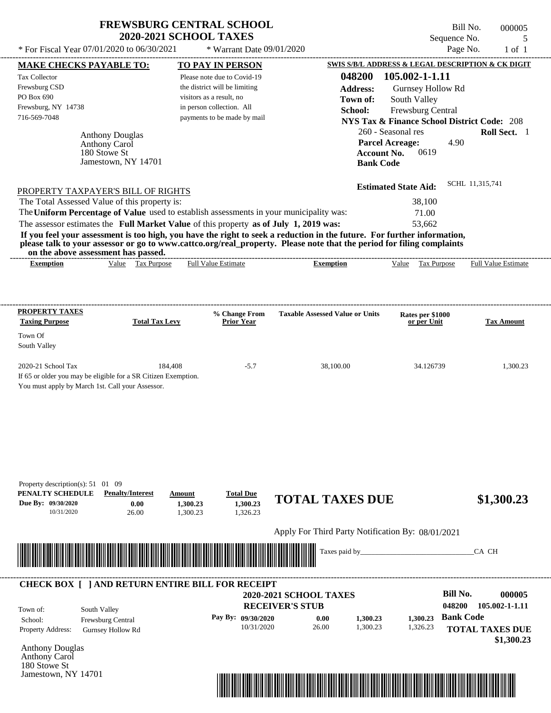| <b>FREWSBURG CENTRAL SCHOOL</b> |
|---------------------------------|
| <b>2020-2021 SCHOOL TAXES</b>   |

| <b>MAKE CHECKS PAYABLE TO:</b>                                                                                                                                                                                                                   |                         |          | <b>TO PAY IN PERSON</b>            |                                                   |                    | <b>SWIS S/B/L ADDRESS &amp; LEGAL DESCRIPTION &amp; CK DIGIT</b> |                  |                                      |
|--------------------------------------------------------------------------------------------------------------------------------------------------------------------------------------------------------------------------------------------------|-------------------------|----------|------------------------------------|---------------------------------------------------|--------------------|------------------------------------------------------------------|------------------|--------------------------------------|
| <b>Tax Collector</b>                                                                                                                                                                                                                             |                         |          | Please note due to Covid-19        |                                                   | 048200             | 105.002-1-1.11                                                   |                  |                                      |
| Frewsburg CSD                                                                                                                                                                                                                                    |                         |          | the district will be limiting      |                                                   | <b>Address:</b>    | Gurnsey Hollow Rd                                                |                  |                                      |
| PO Box 690                                                                                                                                                                                                                                       |                         |          | visitors as a result, no           |                                                   | Town of:           | South Valley                                                     |                  |                                      |
| Frewsburg, NY 14738                                                                                                                                                                                                                              |                         |          | in person collection. All          |                                                   | School:            | Frewsburg Central                                                |                  |                                      |
| 716-569-7048                                                                                                                                                                                                                                     |                         |          | payments to be made by mail        |                                                   |                    | <b>NYS Tax &amp; Finance School District Code: 208</b>           |                  |                                      |
| <b>Anthony Douglas</b>                                                                                                                                                                                                                           |                         |          |                                    |                                                   |                    | 260 - Seasonal res                                               |                  | Roll Sect. 1                         |
| Anthony Carol                                                                                                                                                                                                                                    |                         |          |                                    |                                                   |                    | <b>Parcel Acreage:</b>                                           | 4.90             |                                      |
| 180 Stowe St                                                                                                                                                                                                                                     |                         |          |                                    |                                                   | <b>Account No.</b> | 0619                                                             |                  |                                      |
|                                                                                                                                                                                                                                                  | Jamestown, NY 14701     |          |                                    |                                                   | <b>Bank Code</b>   |                                                                  |                  |                                      |
|                                                                                                                                                                                                                                                  |                         |          |                                    |                                                   |                    |                                                                  | SCHL 11,315,741  |                                      |
| PROPERTY TAXPAYER'S BILL OF RIGHTS                                                                                                                                                                                                               |                         |          |                                    |                                                   |                    | <b>Estimated State Aid:</b>                                      |                  |                                      |
| The Total Assessed Value of this property is:                                                                                                                                                                                                    |                         |          |                                    |                                                   |                    | 38,100                                                           |                  |                                      |
| The Uniform Percentage of Value used to establish assessments in your municipality was:                                                                                                                                                          |                         |          |                                    |                                                   |                    | 71.00                                                            |                  |                                      |
| The assessor estimates the Full Market Value of this property as of July 1, 2019 was:                                                                                                                                                            |                         |          |                                    |                                                   |                    | 53,662                                                           |                  |                                      |
| If you feel your assessment is too high, you have the right to seek a reduction in the future. For further information,<br>please talk to your assessor or go to www.cattco.org/real_property. Please note that the period for filing complaints |                         |          |                                    |                                                   |                    |                                                                  |                  |                                      |
| on the above assessment has passed.                                                                                                                                                                                                              | Value Tax Purpose       |          | <b>Full Value Estimate</b>         | <b>Exemption</b>                                  |                    | Value Tax Purpose Full Value Estimate                            |                  |                                      |
| <b>Exemption</b>                                                                                                                                                                                                                                 |                         |          |                                    |                                                   |                    |                                                                  |                  |                                      |
|                                                                                                                                                                                                                                                  |                         |          |                                    |                                                   |                    |                                                                  |                  |                                      |
|                                                                                                                                                                                                                                                  |                         |          |                                    |                                                   |                    |                                                                  |                  |                                      |
| <b>PROPERTY TAXES</b><br><b>Taxing Purpose</b>                                                                                                                                                                                                   | <b>Total Tax Levy</b>   |          | % Change From<br><b>Prior Year</b> | <b>Taxable Assessed Value or Units</b>            |                    | Rates per \$1000<br>or per Unit                                  |                  | <b>Tax Amount</b>                    |
|                                                                                                                                                                                                                                                  |                         |          |                                    |                                                   |                    |                                                                  |                  |                                      |
| Town Of                                                                                                                                                                                                                                          |                         |          |                                    |                                                   |                    |                                                                  |                  |                                      |
| South Valley                                                                                                                                                                                                                                     |                         |          |                                    |                                                   |                    |                                                                  |                  |                                      |
| 2020-21 School Tax                                                                                                                                                                                                                               |                         | 184,408  | $-5.7$                             | 38,100.00                                         |                    | 34.126739                                                        |                  | 1,300.23                             |
| If 65 or older you may be eligible for a SR Citizen Exemption.                                                                                                                                                                                   |                         |          |                                    |                                                   |                    |                                                                  |                  |                                      |
| You must apply by March 1st. Call your Assessor.                                                                                                                                                                                                 |                         |          |                                    |                                                   |                    |                                                                  |                  |                                      |
|                                                                                                                                                                                                                                                  |                         |          |                                    |                                                   |                    |                                                                  |                  |                                      |
|                                                                                                                                                                                                                                                  |                         |          |                                    |                                                   |                    |                                                                  |                  |                                      |
|                                                                                                                                                                                                                                                  |                         |          |                                    |                                                   |                    |                                                                  |                  |                                      |
|                                                                                                                                                                                                                                                  |                         |          |                                    |                                                   |                    |                                                                  |                  |                                      |
|                                                                                                                                                                                                                                                  |                         |          |                                    |                                                   |                    |                                                                  |                  |                                      |
|                                                                                                                                                                                                                                                  |                         |          |                                    |                                                   |                    |                                                                  |                  |                                      |
| Property description(s): $51 \quad 01 \quad 09$                                                                                                                                                                                                  |                         |          |                                    |                                                   |                    |                                                                  |                  |                                      |
| PENALTY SCHEDULE                                                                                                                                                                                                                                 | <b>Penalty/Interest</b> | Amount   | <b>Total Due</b>                   | <b>TOTAL TAXES DUE</b>                            |                    |                                                                  |                  | \$1,300.23                           |
| Due By: 09/30/2020                                                                                                                                                                                                                               | 0.00                    | 1,300.23 | 1,300.23                           |                                                   |                    |                                                                  |                  |                                      |
| 10/31/2020                                                                                                                                                                                                                                       | 26.00                   | 1,300.23 | 1,326.23                           |                                                   |                    |                                                                  |                  |                                      |
|                                                                                                                                                                                                                                                  |                         |          |                                    | Apply For Third Party Notification By: 08/01/2021 |                    |                                                                  |                  |                                      |
|                                                                                                                                                                                                                                                  |                         |          |                                    |                                                   |                    |                                                                  |                  |                                      |
| <u> Indian State of the State of the State of the State of the State of the State of the State of the State of the State of the State of the State of the State of the State of the State of the State of the State of the State</u>             |                         |          |                                    |                                                   | Taxes paid by_     |                                                                  |                  | CA CH                                |
|                                                                                                                                                                                                                                                  |                         |          |                                    |                                                   |                    |                                                                  |                  |                                      |
| <b>CHECK BOX [ ] AND RETURN ENTIRE BILL FOR RECEIPT</b>                                                                                                                                                                                          |                         |          |                                    |                                                   |                    |                                                                  |                  |                                      |
|                                                                                                                                                                                                                                                  |                         |          |                                    | <b>2020-2021 SCHOOL TAXES</b>                     |                    |                                                                  | <b>Bill No.</b>  | 000005                               |
|                                                                                                                                                                                                                                                  |                         |          |                                    | <b>RECEIVER'S STUB</b>                            |                    |                                                                  | 048200           | 105.002-1-1.11                       |
| South Valley<br>Town of:                                                                                                                                                                                                                         |                         |          | Pay By: 09/30/2020                 | 0.00                                              | 1,300.23           | 1,300.23                                                         | <b>Bank Code</b> |                                      |
| School:<br>Frewsburg Central                                                                                                                                                                                                                     |                         |          | 10/31/2020                         | 26.00                                             | 1,300.23           | 1,326.23                                                         |                  |                                      |
| Property Address:<br><b>Gurnsey Hollow Rd</b>                                                                                                                                                                                                    |                         |          |                                    |                                                   |                    |                                                                  |                  | <b>TOTAL TAXES DUE</b><br>\$1,300.23 |
| <b>Anthony Douglas</b>                                                                                                                                                                                                                           |                         |          |                                    |                                                   |                    |                                                                  |                  |                                      |
| Anthony Carol                                                                                                                                                                                                                                    |                         |          |                                    |                                                   |                    |                                                                  |                  |                                      |
| 180 Stowe St                                                                                                                                                                                                                                     |                         |          |                                    |                                                   |                    |                                                                  |                  |                                      |
| Jamestown, NY 14701                                                                                                                                                                                                                              |                         |          |                                    |                                                   |                    |                                                                  |                  |                                      |

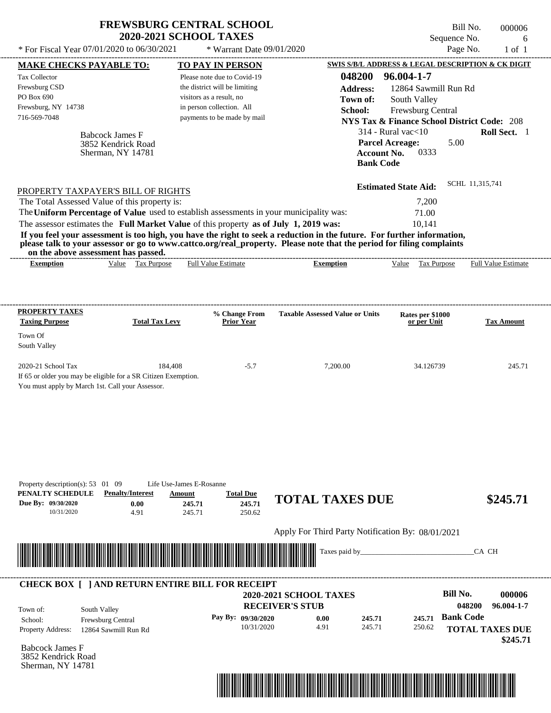|                                                                                                                                          |                                                                                     | <b>FREWSBURG CENTRAL SCHOOL</b><br><b>2020-2021 SCHOOL TAXES</b>                                                                                                                 |                                                                                                                                                                                                                                                  | Sequence No.                                                                                                                                                                                            | Bill No.<br>000006<br>6        |
|------------------------------------------------------------------------------------------------------------------------------------------|-------------------------------------------------------------------------------------|----------------------------------------------------------------------------------------------------------------------------------------------------------------------------------|--------------------------------------------------------------------------------------------------------------------------------------------------------------------------------------------------------------------------------------------------|---------------------------------------------------------------------------------------------------------------------------------------------------------------------------------------------------------|--------------------------------|
|                                                                                                                                          | * For Fiscal Year 07/01/2020 to 06/30/2021                                          | * Warrant Date 09/01/2020                                                                                                                                                        |                                                                                                                                                                                                                                                  | Page No.                                                                                                                                                                                                | $1$ of $1$                     |
| <b>MAKE CHECKS PAYABLE TO:</b>                                                                                                           |                                                                                     | <b>TO PAY IN PERSON</b>                                                                                                                                                          |                                                                                                                                                                                                                                                  | SWIS S/B/L ADDRESS & LEGAL DESCRIPTION & CK DIGIT                                                                                                                                                       |                                |
| Tax Collector<br>Frewsburg CSD<br>PO Box 690<br>Frewsburg, NY 14738<br>716-569-7048                                                      | <b>Babcock James F</b><br>3852 Kendrick Road<br>Sherman, NY 14781                   | Please note due to Covid-19<br>the district will be limiting<br>visitors as a result, no<br>in person collection. All<br>payments to be made by mail                             | 048200<br><b>Address:</b><br>Town of:<br>School:<br><b>Account No.</b><br><b>Bank Code</b>                                                                                                                                                       | 96.004-1-7<br>12864 Sawmill Run Rd<br>South Valley<br>Frewsburg Central<br><b>NYS Tax &amp; Finance School District Code: 208</b><br>$314$ - Rural vac $<$ 10<br>5.00<br><b>Parcel Acreage:</b><br>0333 | Roll Sect. 1                   |
| on the above assessment has passed.                                                                                                      | PROPERTY TAXPAYER'S BILL OF RIGHTS<br>The Total Assessed Value of this property is: | The Uniform Percentage of Value used to establish assessments in your municipality was:<br>The assessor estimates the Full Market Value of this property as of July 1, 2019 was: | If you feel your assessment is too high, you have the right to seek a reduction in the future. For further information,<br>please talk to your assessor or go to www.cattco.org/real_property. Please note that the period for filing complaints | <b>Estimated State Aid:</b><br>7,200<br>71.00<br>10,141                                                                                                                                                 | SCHL 11,315,741                |
| <b>Exemption</b>                                                                                                                         | Value Tax Purpose                                                                   | <b>Full Value Estimate</b>                                                                                                                                                       | <b>Exemption</b>                                                                                                                                                                                                                                 | Value Tax Purpose                                                                                                                                                                                       | <b>Full Value Estimate</b>     |
| <b>PROPERTY TAXES</b><br><b>Taxing Purpose</b>                                                                                           | <b>Total Tax Levy</b>                                                               | % Change From<br><b>Prior Year</b>                                                                                                                                               | <b>Taxable Assessed Value or Units</b>                                                                                                                                                                                                           | Rates per \$1000<br>or per Unit                                                                                                                                                                         | <b>Tax Amount</b>              |
| Town Of<br>South Valley                                                                                                                  |                                                                                     |                                                                                                                                                                                  |                                                                                                                                                                                                                                                  |                                                                                                                                                                                                         |                                |
| 2020-21 School Tax<br>If 65 or older you may be eligible for a SR Citizen Exemption.<br>You must apply by March 1st. Call your Assessor. | 184,408                                                                             | $-5.7$                                                                                                                                                                           | 7,200.00                                                                                                                                                                                                                                         | 34.126739                                                                                                                                                                                               | 245.71                         |
| Property description(s): 53 01 09<br>PENALTY SCHEDULE<br>Due By: 09/30/2020<br>10/31/2020                                                | <b>Penalty/Interest</b><br>0.00<br>4.91                                             | Life Use-James E-Rosanne<br><b>Total Due</b><br>Amount<br>245.71<br>245.71<br>245.71<br>250.62                                                                                   | <b>TOTAL TAXES DUE</b>                                                                                                                                                                                                                           |                                                                                                                                                                                                         | \$245.71                       |
|                                                                                                                                          |                                                                                     |                                                                                                                                                                                  | Apply For Third Party Notification By: 08/01/2021                                                                                                                                                                                                |                                                                                                                                                                                                         |                                |
|                                                                                                                                          |                                                                                     |                                                                                                                                                                                  | Taxes paid by_                                                                                                                                                                                                                                   |                                                                                                                                                                                                         | CA CH                          |
|                                                                                                                                          |                                                                                     | <b>CHECK BOX [ ] AND RETURN ENTIRE BILL FOR RECEIPT</b>                                                                                                                          | <b>2020-2021 SCHOOL TAXES</b><br><b>RECEIVER'S STUB</b>                                                                                                                                                                                          | <b>Bill No.</b>                                                                                                                                                                                         | 000006<br>048200<br>96.004-1-7 |
| Town of:<br>School:                                                                                                                      | South Valley<br>Frewsburg Central                                                   | Pay By: 09/30/2020                                                                                                                                                               | 245.71<br>0.00                                                                                                                                                                                                                                   | <b>Bank Code</b><br>245.71                                                                                                                                                                              |                                |

Property Address: 12864 Sawmill Run Rd

Babcock James F 3852 Kendrick Road Sherman, NY 14781



245.71

250.62

10/31/2020 4.91

**TOTAL TAXES DUE**

 **\$245.71**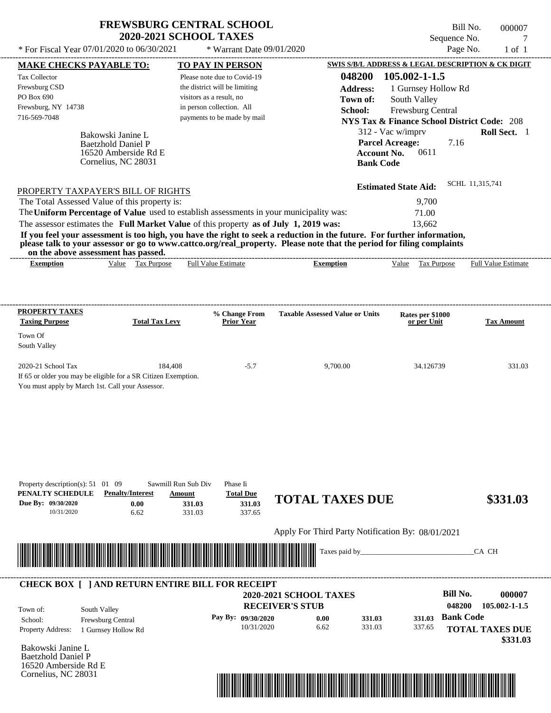| <b>FREWSBURG CENTRAL SCHOOL</b> |
|---------------------------------|
| <b>2020-2021 SCHOOL TAXES</b>   |

Bill No. 000007 Sequence No. 7<br>Page No. 1 of 1

| <b>MAKE CHECKS PAYABLE TO:</b>                                                                                                                                                                                                       | <b>TO PAY IN PERSON</b>            |                                                                                                                      | SWIS S/B/L ADDRESS & LEGAL DESCRIPTION & CK DIGIT      |                            |
|--------------------------------------------------------------------------------------------------------------------------------------------------------------------------------------------------------------------------------------|------------------------------------|----------------------------------------------------------------------------------------------------------------------|--------------------------------------------------------|----------------------------|
| <b>Tax Collector</b>                                                                                                                                                                                                                 | Please note due to Covid-19        | 048200                                                                                                               | 105.002-1-1.5                                          |                            |
| Frewsburg CSD                                                                                                                                                                                                                        | the district will be limiting      | <b>Address:</b>                                                                                                      | 1 Gurnsey Hollow Rd                                    |                            |
| PO Box 690                                                                                                                                                                                                                           | visitors as a result, no           | Town of:                                                                                                             | South Valley                                           |                            |
| Frewsburg, NY 14738                                                                                                                                                                                                                  | in person collection. All          | School:                                                                                                              | Frewsburg Central                                      |                            |
| 716-569-7048                                                                                                                                                                                                                         | payments to be made by mail        |                                                                                                                      | <b>NYS Tax &amp; Finance School District Code: 208</b> |                            |
| Bakowski Janine L                                                                                                                                                                                                                    |                                    |                                                                                                                      | 312 - Vac w/imprv                                      | Roll Sect. 1               |
| <b>Baetzhold Daniel P</b>                                                                                                                                                                                                            |                                    |                                                                                                                      | <b>Parcel Acreage:</b><br>7.16                         |                            |
| 16520 Amberside Rd E<br>Cornelius, NC 28031                                                                                                                                                                                          |                                    | <b>Account No.</b>                                                                                                   | 0611                                                   |                            |
|                                                                                                                                                                                                                                      |                                    | <b>Bank Code</b>                                                                                                     |                                                        |                            |
|                                                                                                                                                                                                                                      |                                    |                                                                                                                      | <b>Estimated State Aid:</b>                            | SCHL 11,315,741            |
| PROPERTY TAXPAYER'S BILL OF RIGHTS<br>The Total Assessed Value of this property is:                                                                                                                                                  |                                    |                                                                                                                      | 9,700                                                  |                            |
| The Uniform Percentage of Value used to establish assessments in your municipality was:                                                                                                                                              |                                    |                                                                                                                      |                                                        |                            |
| The assessor estimates the Full Market Value of this property as of July 1, 2019 was:                                                                                                                                                |                                    |                                                                                                                      | 71.00<br>13,662                                        |                            |
| If you feel your assessment is too high, you have the right to seek a reduction in the future. For further information,                                                                                                              |                                    |                                                                                                                      |                                                        |                            |
| please talk to your assessor or go to www.cattco.org/real_property. Please note that the period for filing complaints                                                                                                                |                                    |                                                                                                                      |                                                        |                            |
| on the above assessment has passed.<br>Value Tax Purpose<br><b>Exemption</b>                                                                                                                                                         | <b>Full Value Estimate</b>         | <b>Exemption</b>                                                                                                     | Value Tax Purpose                                      | <b>Full Value Estimate</b> |
|                                                                                                                                                                                                                                      |                                    |                                                                                                                      |                                                        |                            |
|                                                                                                                                                                                                                                      |                                    |                                                                                                                      |                                                        |                            |
|                                                                                                                                                                                                                                      |                                    |                                                                                                                      |                                                        |                            |
| <b>PROPERTY TAXES</b><br><b>Total Tax Levy</b><br><b>Taxing Purpose</b>                                                                                                                                                              | % Change From<br><b>Prior Year</b> | <b>Taxable Assessed Value or Units</b>                                                                               | Rates per \$1000<br>or per Unit                        | <b>Tax Amount</b>          |
| Town Of                                                                                                                                                                                                                              |                                    |                                                                                                                      |                                                        |                            |
| South Valley                                                                                                                                                                                                                         |                                    |                                                                                                                      |                                                        |                            |
| 2020-21 School Tax                                                                                                                                                                                                                   | 184,408<br>$-5.7$                  | 9,700.00                                                                                                             | 34.126739                                              | 331.03                     |
| If 65 or older you may be eligible for a SR Citizen Exemption.                                                                                                                                                                       |                                    |                                                                                                                      |                                                        |                            |
| You must apply by March 1st. Call your Assessor.                                                                                                                                                                                     |                                    |                                                                                                                      |                                                        |                            |
|                                                                                                                                                                                                                                      |                                    |                                                                                                                      |                                                        |                            |
|                                                                                                                                                                                                                                      |                                    |                                                                                                                      |                                                        |                            |
|                                                                                                                                                                                                                                      |                                    |                                                                                                                      |                                                        |                            |
|                                                                                                                                                                                                                                      |                                    |                                                                                                                      |                                                        |                            |
|                                                                                                                                                                                                                                      |                                    |                                                                                                                      |                                                        |                            |
|                                                                                                                                                                                                                                      |                                    |                                                                                                                      |                                                        |                            |
| Property description(s): 51 01 09                                                                                                                                                                                                    | Sawmill Run Sub Div<br>Phase Ii    |                                                                                                                      |                                                        |                            |
| PENALTY SCHEDULE<br><b>Penalty/Interest</b>                                                                                                                                                                                          | <b>Total Due</b><br>Amount         |                                                                                                                      |                                                        |                            |
| Due By: 09/30/2020<br>0.00                                                                                                                                                                                                           | 331.03<br>331.03                   | <b>TOTAL TAXES DUE</b>                                                                                               |                                                        | \$331.03                   |
| 10/31/2020<br>6.62                                                                                                                                                                                                                   | 337.65<br>331.03                   |                                                                                                                      |                                                        |                            |
|                                                                                                                                                                                                                                      |                                    | Apply For Third Party Notification By: 08/01/2021                                                                    |                                                        |                            |
|                                                                                                                                                                                                                                      |                                    | Taxes paid by                                                                                                        |                                                        | CA CH                      |
| <u> Harry Harry Harry Harry Harry Harry Harry Harry Harry Harry Harry Harry Harry Harry Harry Harry Harry Harry Harry Harry Harry Harry Harry Harry Harry Harry Harry Harry Harry Harry Harry Harry Harry Harry Harry Harry Harr</u> |                                    |                                                                                                                      |                                                        |                            |
| <b>CHECK BOX [ ] AND RETURN ENTIRE BILL FOR RECEIPT</b>                                                                                                                                                                              |                                    |                                                                                                                      |                                                        |                            |
|                                                                                                                                                                                                                                      |                                    | 2020-2021 SCHOOL TAXES                                                                                               | <b>Bill No.</b>                                        | 000007                     |
| South Valley<br>Town of:                                                                                                                                                                                                             |                                    | <b>RECEIVER'S STUB</b>                                                                                               | 048200                                                 | 105.002-1-1.5              |
| School:<br>Frewsburg Central                                                                                                                                                                                                         | Pay By: 09/30/2020                 | 0.00<br>331.03                                                                                                       | <b>Bank Code</b><br>331.03                             |                            |
| Property Address:<br>1 Gurnsey Hollow Rd                                                                                                                                                                                             | 10/31/2020                         | 6.62<br>331.03                                                                                                       | 337.65                                                 | <b>TOTAL TAXES DUE</b>     |
|                                                                                                                                                                                                                                      |                                    |                                                                                                                      |                                                        | \$331.03                   |
| Bakowski Janine L                                                                                                                                                                                                                    |                                    |                                                                                                                      |                                                        |                            |
| <b>Baetzhold Daniel P</b><br>16520 Amberside Rd E                                                                                                                                                                                    |                                    |                                                                                                                      |                                                        |                            |
| Cornelius, NC 28031                                                                                                                                                                                                                  |                                    |                                                                                                                      |                                                        |                            |
|                                                                                                                                                                                                                                      |                                    | <u> 1989 - Andrew Maria Maria Maria Maria Maria Maria Maria Maria Maria Maria Maria Maria Maria Maria Maria Mari</u> |                                                        |                            |
|                                                                                                                                                                                                                                      |                                    |                                                                                                                      |                                                        |                            |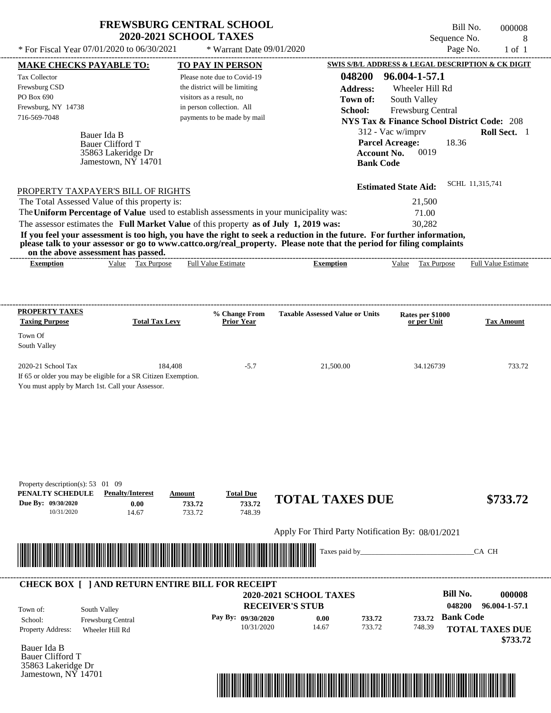| <b>FREWSBURG CENTRAL SCHOOL</b> |
|---------------------------------|
| <b>2020-2021 SCHOOL TAXES</b>   |

Bill No. 000008 Sequence No. 8<br>Page No. 1 of 1

| <b>Tax Collector</b><br>Please note due to Covid-19<br>Frewsburg CSD<br>the district will be limiting<br><b>Address:</b><br>Wheeler Hill Rd<br>PO Box 690<br>visitors as a result, no<br>South Valley<br>Town of:<br>Frewsburg, NY 14738<br>in person collection. All<br>School:<br>Frewsburg Central<br>716-569-7048<br>payments to be made by mail<br><b>NYS Tax &amp; Finance School District Code: 208</b><br>312 - Vac w/imprv<br>Bauer Ida B<br><b>Parcel Acreage:</b><br>18.36<br><b>Bauer Clifford T</b><br>0019<br><b>Account No.</b><br>35863 Lakeridge Dr<br>Jamestown, NY 14701<br><b>Bank Code</b><br>SCHL 11,315,741<br><b>Estimated State Aid:</b><br>PROPERTY TAXPAYER'S BILL OF RIGHTS<br>The Total Assessed Value of this property is:<br>21,500<br>The Uniform Percentage of Value used to establish assessments in your municipality was:<br>71.00<br>The assessor estimates the Full Market Value of this property as of July 1, 2019 was:<br>30,282<br>If you feel your assessment is too high, you have the right to seek a reduction in the future. For further information,<br>please talk to your assessor or go to www.cattco.org/real_property. Please note that the period for filing complaints<br>on the above assessment has passed.<br>Value Tax Purpose<br><b>Full Value Estimate</b><br><b>Exemption</b><br>Value Tax Purpose Full Value Estimate<br><b>Exemption</b><br><b>PROPERTY TAXES</b><br><b>Taxable Assessed Value or Units</b><br>% Change From<br>Rates per \$1000<br><b>Total Tax Levy</b><br><b>Taxing Purpose</b><br><b>Prior Year</b><br>or per Unit<br>Town Of<br>South Valley<br>2020-21 School Tax<br>184,408<br>$-5.7$<br>21,500.00<br>34.126739<br>If 65 or older you may be eligible for a SR Citizen Exemption.<br>You must apply by March 1st. Call your Assessor.<br>Property description(s): 53 01 09<br>PENALTY SCHEDULE<br><b>Penalty/Interest</b><br><b>Total Due</b><br>Amount<br><b>TOTAL TAXES DUE</b><br>733.72<br>Due By: 09/30/2020<br>0.00<br>733.72<br>733.72<br>748.39<br>10/31/2020<br>14.67<br>Apply For Third Party Notification By: 08/01/2021<br><u> Handel van de Berger van de Berger van de Berger van de Berger van de Berger van de Berger van de Berger van</u><br>Taxes paid by_<br>CA CH<br><b>CHECK BOX [ ] AND RETURN ENTIRE BILL FOR RECEIPT</b><br><b>Bill No.</b><br>2020-2021 SCHOOL TAXES<br><b>RECEIVER'S STUB</b><br>048200<br>South Valley<br>Town of:<br><b>Bank Code</b><br>Pay By: 09/30/2020<br>733.72<br>0.00<br>733.72<br>School:<br>Frewsburg Central<br>14.67<br>733.72<br>10/31/2020<br>748.39<br>Property Address:<br>Wheeler Hill Rd | <b>MAKE CHECKS PAYABLE TO:</b> |  | <b>TO PAY IN PERSON</b> |        | SWIS S/B/L ADDRESS & LEGAL DESCRIPTION & CK DIGIT |                                         |
|------------------------------------------------------------------------------------------------------------------------------------------------------------------------------------------------------------------------------------------------------------------------------------------------------------------------------------------------------------------------------------------------------------------------------------------------------------------------------------------------------------------------------------------------------------------------------------------------------------------------------------------------------------------------------------------------------------------------------------------------------------------------------------------------------------------------------------------------------------------------------------------------------------------------------------------------------------------------------------------------------------------------------------------------------------------------------------------------------------------------------------------------------------------------------------------------------------------------------------------------------------------------------------------------------------------------------------------------------------------------------------------------------------------------------------------------------------------------------------------------------------------------------------------------------------------------------------------------------------------------------------------------------------------------------------------------------------------------------------------------------------------------------------------------------------------------------------------------------------------------------------------------------------------------------------------------------------------------------------------------------------------------------------------------------------------------------------------------------------------------------------------------------------------------------------------------------------------------------------------------------------------------------------------------------------------------------------------------------------------------------------------------------------------------------------------------------------------------------------------------------------------------------------------------------------------------------------------------------------------------------------------------|--------------------------------|--|-------------------------|--------|---------------------------------------------------|-----------------------------------------|
|                                                                                                                                                                                                                                                                                                                                                                                                                                                                                                                                                                                                                                                                                                                                                                                                                                                                                                                                                                                                                                                                                                                                                                                                                                                                                                                                                                                                                                                                                                                                                                                                                                                                                                                                                                                                                                                                                                                                                                                                                                                                                                                                                                                                                                                                                                                                                                                                                                                                                                                                                                                                                                                |                                |  |                         | 048200 | 96.004-1-57.1                                     | Roll Sect. 1                            |
|                                                                                                                                                                                                                                                                                                                                                                                                                                                                                                                                                                                                                                                                                                                                                                                                                                                                                                                                                                                                                                                                                                                                                                                                                                                                                                                                                                                                                                                                                                                                                                                                                                                                                                                                                                                                                                                                                                                                                                                                                                                                                                                                                                                                                                                                                                                                                                                                                                                                                                                                                                                                                                                |                                |  |                         |        |                                                   |                                         |
|                                                                                                                                                                                                                                                                                                                                                                                                                                                                                                                                                                                                                                                                                                                                                                                                                                                                                                                                                                                                                                                                                                                                                                                                                                                                                                                                                                                                                                                                                                                                                                                                                                                                                                                                                                                                                                                                                                                                                                                                                                                                                                                                                                                                                                                                                                                                                                                                                                                                                                                                                                                                                                                |                                |  |                         |        |                                                   |                                         |
|                                                                                                                                                                                                                                                                                                                                                                                                                                                                                                                                                                                                                                                                                                                                                                                                                                                                                                                                                                                                                                                                                                                                                                                                                                                                                                                                                                                                                                                                                                                                                                                                                                                                                                                                                                                                                                                                                                                                                                                                                                                                                                                                                                                                                                                                                                                                                                                                                                                                                                                                                                                                                                                |                                |  |                         |        |                                                   |                                         |
|                                                                                                                                                                                                                                                                                                                                                                                                                                                                                                                                                                                                                                                                                                                                                                                                                                                                                                                                                                                                                                                                                                                                                                                                                                                                                                                                                                                                                                                                                                                                                                                                                                                                                                                                                                                                                                                                                                                                                                                                                                                                                                                                                                                                                                                                                                                                                                                                                                                                                                                                                                                                                                                |                                |  |                         |        |                                                   |                                         |
|                                                                                                                                                                                                                                                                                                                                                                                                                                                                                                                                                                                                                                                                                                                                                                                                                                                                                                                                                                                                                                                                                                                                                                                                                                                                                                                                                                                                                                                                                                                                                                                                                                                                                                                                                                                                                                                                                                                                                                                                                                                                                                                                                                                                                                                                                                                                                                                                                                                                                                                                                                                                                                                |                                |  |                         |        |                                                   |                                         |
|                                                                                                                                                                                                                                                                                                                                                                                                                                                                                                                                                                                                                                                                                                                                                                                                                                                                                                                                                                                                                                                                                                                                                                                                                                                                                                                                                                                                                                                                                                                                                                                                                                                                                                                                                                                                                                                                                                                                                                                                                                                                                                                                                                                                                                                                                                                                                                                                                                                                                                                                                                                                                                                |                                |  |                         |        |                                                   | <b>Tax Amount</b>                       |
|                                                                                                                                                                                                                                                                                                                                                                                                                                                                                                                                                                                                                                                                                                                                                                                                                                                                                                                                                                                                                                                                                                                                                                                                                                                                                                                                                                                                                                                                                                                                                                                                                                                                                                                                                                                                                                                                                                                                                                                                                                                                                                                                                                                                                                                                                                                                                                                                                                                                                                                                                                                                                                                |                                |  |                         |        |                                                   |                                         |
|                                                                                                                                                                                                                                                                                                                                                                                                                                                                                                                                                                                                                                                                                                                                                                                                                                                                                                                                                                                                                                                                                                                                                                                                                                                                                                                                                                                                                                                                                                                                                                                                                                                                                                                                                                                                                                                                                                                                                                                                                                                                                                                                                                                                                                                                                                                                                                                                                                                                                                                                                                                                                                                |                                |  |                         |        |                                                   | 733.72                                  |
|                                                                                                                                                                                                                                                                                                                                                                                                                                                                                                                                                                                                                                                                                                                                                                                                                                                                                                                                                                                                                                                                                                                                                                                                                                                                                                                                                                                                                                                                                                                                                                                                                                                                                                                                                                                                                                                                                                                                                                                                                                                                                                                                                                                                                                                                                                                                                                                                                                                                                                                                                                                                                                                |                                |  |                         |        |                                                   | \$733.72                                |
|                                                                                                                                                                                                                                                                                                                                                                                                                                                                                                                                                                                                                                                                                                                                                                                                                                                                                                                                                                                                                                                                                                                                                                                                                                                                                                                                                                                                                                                                                                                                                                                                                                                                                                                                                                                                                                                                                                                                                                                                                                                                                                                                                                                                                                                                                                                                                                                                                                                                                                                                                                                                                                                |                                |  |                         |        |                                                   |                                         |
|                                                                                                                                                                                                                                                                                                                                                                                                                                                                                                                                                                                                                                                                                                                                                                                                                                                                                                                                                                                                                                                                                                                                                                                                                                                                                                                                                                                                                                                                                                                                                                                                                                                                                                                                                                                                                                                                                                                                                                                                                                                                                                                                                                                                                                                                                                                                                                                                                                                                                                                                                                                                                                                |                                |  |                         |        |                                                   |                                         |
|                                                                                                                                                                                                                                                                                                                                                                                                                                                                                                                                                                                                                                                                                                                                                                                                                                                                                                                                                                                                                                                                                                                                                                                                                                                                                                                                                                                                                                                                                                                                                                                                                                                                                                                                                                                                                                                                                                                                                                                                                                                                                                                                                                                                                                                                                                                                                                                                                                                                                                                                                                                                                                                |                                |  |                         |        |                                                   | 000008                                  |
|                                                                                                                                                                                                                                                                                                                                                                                                                                                                                                                                                                                                                                                                                                                                                                                                                                                                                                                                                                                                                                                                                                                                                                                                                                                                                                                                                                                                                                                                                                                                                                                                                                                                                                                                                                                                                                                                                                                                                                                                                                                                                                                                                                                                                                                                                                                                                                                                                                                                                                                                                                                                                                                |                                |  |                         |        |                                                   | 96.004-1-57.1<br><b>TOTAL TAXES DUE</b> |
| Bauer Ida B<br><b>Bauer Clifford T</b><br>35863 Lakeridge Dr                                                                                                                                                                                                                                                                                                                                                                                                                                                                                                                                                                                                                                                                                                                                                                                                                                                                                                                                                                                                                                                                                                                                                                                                                                                                                                                                                                                                                                                                                                                                                                                                                                                                                                                                                                                                                                                                                                                                                                                                                                                                                                                                                                                                                                                                                                                                                                                                                                                                                                                                                                                   |                                |  |                         |        |                                                   | \$733.72                                |
| Jamestown, $N\bar{Y}$ 14701<br><u> 1989 - Johann Stoff, Amerikaansk politiker (</u>                                                                                                                                                                                                                                                                                                                                                                                                                                                                                                                                                                                                                                                                                                                                                                                                                                                                                                                                                                                                                                                                                                                                                                                                                                                                                                                                                                                                                                                                                                                                                                                                                                                                                                                                                                                                                                                                                                                                                                                                                                                                                                                                                                                                                                                                                                                                                                                                                                                                                                                                                            |                                |  |                         |        |                                                   |                                         |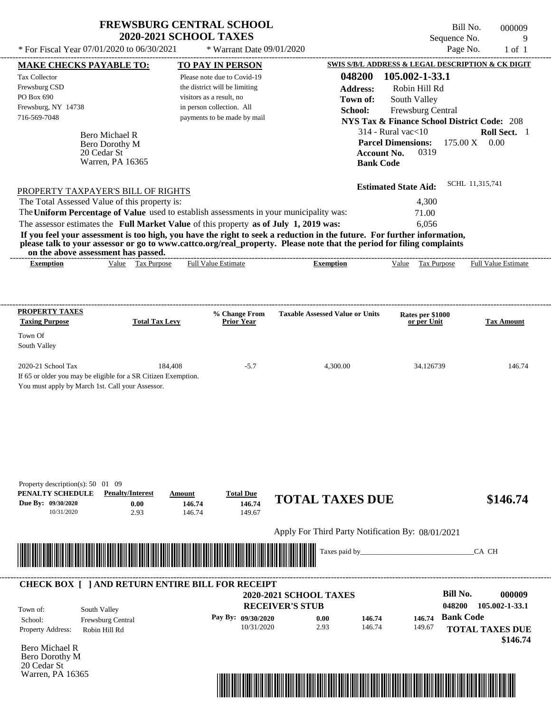|                                                                     | <b>FREWSBURG CENTRAL SCHOOL</b><br>* For Fiscal Year 07/01/2020 to 06/30/2021                                           | <b>2020-2021 SCHOOL TAXES</b><br>* Warrant Date 09/01/2020   |                                  | Sequence No.                           | Bill No.<br>000009<br>9<br>Page No.<br>$1$ of $1$      |                            |
|---------------------------------------------------------------------|-------------------------------------------------------------------------------------------------------------------------|--------------------------------------------------------------|----------------------------------|----------------------------------------|--------------------------------------------------------|----------------------------|
|                                                                     |                                                                                                                         |                                                              |                                  |                                        | SWIS S/B/L ADDRESS & LEGAL DESCRIPTION & CK DIGIT      |                            |
| <b>MAKE CHECKS PAYABLE TO:</b>                                      |                                                                                                                         | <b>TO PAY IN PERSON</b>                                      |                                  | 048200                                 | 105.002-1-33.1                                         |                            |
| Tax Collector                                                       |                                                                                                                         | Please note due to Covid-19<br>the district will be limiting |                                  |                                        |                                                        |                            |
| Frewsburg CSD<br>PO Box 690                                         |                                                                                                                         | visitors as a result, no                                     |                                  | <b>Address:</b>                        | Robin Hill Rd                                          |                            |
| Frewsburg, NY 14738                                                 |                                                                                                                         | in person collection. All                                    |                                  | Town of:                               | South Valley                                           |                            |
| 716-569-7048                                                        |                                                                                                                         | payments to be made by mail                                  |                                  | School:                                | Frewsburg Central                                      |                            |
|                                                                     |                                                                                                                         |                                                              |                                  |                                        | <b>NYS Tax &amp; Finance School District Code: 208</b> |                            |
|                                                                     | Bero Michael R                                                                                                          |                                                              |                                  |                                        | $314$ - Rural vac $<$ 10                               | Roll Sect. 1               |
|                                                                     | Bero Dorothy M                                                                                                          |                                                              |                                  |                                        | <b>Parcel Dimensions:</b>                              | $175.00 \text{ X}$ 0.00    |
|                                                                     | 20 Cedar St<br>Warren, PA 16365                                                                                         |                                                              |                                  |                                        | 0319<br><b>Account No.</b><br><b>Bank Code</b>         |                            |
|                                                                     |                                                                                                                         |                                                              |                                  |                                        |                                                        |                            |
|                                                                     |                                                                                                                         |                                                              |                                  |                                        | <b>Estimated State Aid:</b>                            | SCHL 11,315,741            |
|                                                                     | PROPERTY TAXPAYER'S BILL OF RIGHTS<br>The Total Assessed Value of this property is:                                     |                                                              |                                  |                                        | 4,300                                                  |                            |
|                                                                     | The Uniform Percentage of Value used to establish assessments in your municipality was:                                 |                                                              |                                  |                                        |                                                        |                            |
|                                                                     | The assessor estimates the Full Market Value of this property as of July 1, 2019 was:                                   |                                                              |                                  |                                        | 71.00                                                  |                            |
|                                                                     | If you feel your assessment is too high, you have the right to seek a reduction in the future. For further information, |                                                              |                                  |                                        | 6,056                                                  |                            |
|                                                                     | please talk to your assessor or go to www.cattco.org/real_property. Please note that the period for filing complaints   |                                                              |                                  |                                        |                                                        |                            |
|                                                                     | on the above assessment has passed.                                                                                     |                                                              |                                  |                                        |                                                        |                            |
| <b>Exemption</b>                                                    | Value Tax Purpose                                                                                                       | <b>Full Value Estimate</b>                                   |                                  | <b>Exemption</b>                       | Value Tax Purpose                                      | <b>Full Value Estimate</b> |
|                                                                     |                                                                                                                         |                                                              |                                  |                                        |                                                        |                            |
|                                                                     |                                                                                                                         |                                                              |                                  |                                        |                                                        |                            |
| <b>PROPERTY TAXES</b><br><b>Taxing Purpose</b>                      | <b>Total Tax Levy</b>                                                                                                   | % Change From<br><b>Prior Year</b>                           |                                  | <b>Taxable Assessed Value or Units</b> | Rates per \$1000<br>or per Unit                        | <b>Tax Amount</b>          |
|                                                                     |                                                                                                                         |                                                              |                                  |                                        |                                                        |                            |
| Town Of                                                             |                                                                                                                         |                                                              |                                  |                                        |                                                        |                            |
| South Valley                                                        |                                                                                                                         |                                                              |                                  |                                        |                                                        |                            |
| 2020-21 School Tax                                                  | 184,408                                                                                                                 |                                                              | $-5.7$                           | 4,300.00                               | 34.126739                                              | 146.74                     |
|                                                                     | If 65 or older you may be eligible for a SR Citizen Exemption.                                                          |                                                              |                                  |                                        |                                                        |                            |
|                                                                     | You must apply by March 1st. Call your Assessor.                                                                        |                                                              |                                  |                                        |                                                        |                            |
|                                                                     |                                                                                                                         |                                                              |                                  |                                        |                                                        |                            |
| Property description(s): $50 \quad 01 \quad 09$<br>PENALTY SCHEDULE | <b>Penalty/Interest</b>                                                                                                 | <b>Total Due</b><br>Amount                                   |                                  |                                        |                                                        |                            |
| Due Bv: 09/30/2020                                                  | 0.00                                                                                                                    | 146.74                                                       | 146.74                           | <b>TOTAL TAXES DUE</b>                 |                                                        | \$146.74                   |
| 10/31/2020                                                          | 2.93                                                                                                                    | 146.74                                                       | 149.67                           |                                        |                                                        |                            |
|                                                                     |                                                                                                                         |                                                              |                                  |                                        | Apply For Third Party Notification By: 08/01/2021      |                            |
|                                                                     |                                                                                                                         |                                                              |                                  |                                        |                                                        |                            |
|                                                                     |                                                                                                                         |                                                              |                                  | Taxes paid by_                         |                                                        | CA CH                      |
|                                                                     |                                                                                                                         |                                                              |                                  |                                        |                                                        |                            |
|                                                                     |                                                                                                                         |                                                              |                                  |                                        |                                                        |                            |
|                                                                     | <b>CHECK BOX [ ] AND RETURN ENTIRE BILL FOR RECEIPT</b>                                                                 |                                                              | 2020-2021 SCHOOL TAXES           |                                        |                                                        | <b>Bill No.</b><br>000009  |
|                                                                     |                                                                                                                         |                                                              | <b>RECEIVER'S STUB</b>           |                                        | 048200                                                 | 105.002-1-33.1             |
| Town of:                                                            | South Valley                                                                                                            |                                                              |                                  |                                        |                                                        |                            |
| School:                                                             | Frewsburg Central                                                                                                       |                                                              | Pay By: 09/30/2020<br>10/31/2020 | 0.00<br>146.74<br>2.93<br>146.74       | 146.74<br>149.67                                       | <b>Bank Code</b>           |
| Property Address:                                                   | Robin Hill Rd                                                                                                           |                                                              |                                  |                                        |                                                        | <b>TOTAL TAXES DUE</b>     |
| <b>Bero Michael R</b>                                               |                                                                                                                         |                                                              |                                  |                                        |                                                        | \$146.74                   |
| Bero Dorothy M<br>20 Cedar St                                       |                                                                                                                         |                                                              |                                  |                                        |                                                        |                            |

Warren, PA 16365

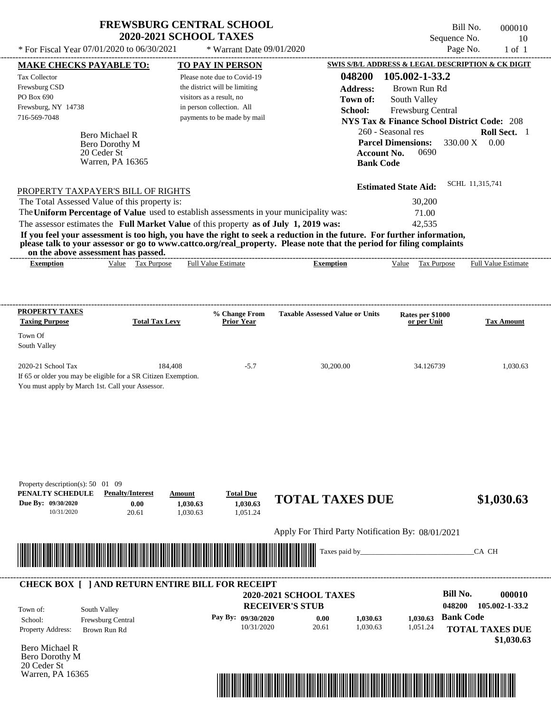|                                                                                                                                                                                                                                                  | <b>FREWSBURG CENTRAL SCHOOL</b>                                                                          |                                                              |                                                   |                                                                             | Bill No.<br>000010     |  |
|--------------------------------------------------------------------------------------------------------------------------------------------------------------------------------------------------------------------------------------------------|----------------------------------------------------------------------------------------------------------|--------------------------------------------------------------|---------------------------------------------------|-----------------------------------------------------------------------------|------------------------|--|
|                                                                                                                                                                                                                                                  | <b>2020-2021 SCHOOL TAXES</b><br>* For Fiscal Year 07/01/2020 to 06/30/2021<br>* Warrant Date 09/01/2020 |                                                              |                                                   | Sequence No.<br>10<br>Page No.                                              |                        |  |
|                                                                                                                                                                                                                                                  |                                                                                                          |                                                              |                                                   |                                                                             | $1$ of $1$             |  |
| <b>MAKE CHECKS PAYABLE TO:</b>                                                                                                                                                                                                                   |                                                                                                          | <b>TO PAY IN PERSON</b>                                      |                                                   | SWIS S/B/L ADDRESS & LEGAL DESCRIPTION & CK DIGIT                           |                        |  |
| Tax Collector<br>Frewsburg CSD                                                                                                                                                                                                                   |                                                                                                          | Please note due to Covid-19<br>the district will be limiting | 048200                                            | 105.002-1-33.2                                                              |                        |  |
| PO Box 690                                                                                                                                                                                                                                       |                                                                                                          | visitors as a result, no                                     | <b>Address:</b>                                   | Brown Run Rd                                                                |                        |  |
| Frewsburg, NY 14738                                                                                                                                                                                                                              |                                                                                                          | in person collection. All                                    | Town of:                                          | South Valley                                                                |                        |  |
| 716-569-7048                                                                                                                                                                                                                                     |                                                                                                          | payments to be made by mail                                  | School:                                           | Frewsburg Central<br><b>NYS Tax &amp; Finance School District Code: 208</b> |                        |  |
|                                                                                                                                                                                                                                                  |                                                                                                          |                                                              |                                                   | 260 - Seasonal res                                                          | Roll Sect. 1           |  |
| Bero Michael R<br>Bero Dorothy M                                                                                                                                                                                                                 |                                                                                                          |                                                              |                                                   | <b>Parcel Dimensions:</b>                                                   | 330.00 X<br>0.00       |  |
| 20 Ceder St                                                                                                                                                                                                                                      |                                                                                                          |                                                              |                                                   | 0690<br>Account No.                                                         |                        |  |
| Warren, PA 16365                                                                                                                                                                                                                                 |                                                                                                          |                                                              |                                                   | <b>Bank Code</b>                                                            |                        |  |
|                                                                                                                                                                                                                                                  |                                                                                                          |                                                              |                                                   |                                                                             |                        |  |
| PROPERTY TAXPAYER'S BILL OF RIGHTS                                                                                                                                                                                                               |                                                                                                          |                                                              |                                                   | <b>Estimated State Aid:</b>                                                 | SCHL 11,315,741        |  |
| The Total Assessed Value of this property is:                                                                                                                                                                                                    |                                                                                                          |                                                              |                                                   | 30,200                                                                      |                        |  |
| The Uniform Percentage of Value used to establish assessments in your municipality was:                                                                                                                                                          |                                                                                                          |                                                              |                                                   | 71.00                                                                       |                        |  |
| The assessor estimates the Full Market Value of this property as of July 1, 2019 was:                                                                                                                                                            |                                                                                                          |                                                              |                                                   | 42,535                                                                      |                        |  |
| If you feel your assessment is too high, you have the right to seek a reduction in the future. For further information,<br>please talk to your assessor or go to www.cattco.org/real_property. Please note that the period for filing complaints |                                                                                                          |                                                              |                                                   |                                                                             |                        |  |
| on the above assessment has passed.                                                                                                                                                                                                              |                                                                                                          |                                                              |                                                   |                                                                             |                        |  |
| <b>Exemption</b>                                                                                                                                                                                                                                 | Value Tax Purpose                                                                                        | <b>Full Value Estimate</b>                                   | <b>Exemption</b>                                  | Value Tax Purpose                                                           | Full Value Estimate    |  |
| PROPERTY TAXES<br><b>Taxing Purpose</b>                                                                                                                                                                                                          | <b>Total Tax Levy</b>                                                                                    | % Change From<br><b>Prior Year</b>                           | <b>Taxable Assessed Value or Units</b>            | Rates per \$1000<br>or per Unit                                             | <b>Tax Amount</b>      |  |
| Town Of                                                                                                                                                                                                                                          |                                                                                                          |                                                              |                                                   |                                                                             |                        |  |
| South Valley                                                                                                                                                                                                                                     |                                                                                                          |                                                              |                                                   |                                                                             |                        |  |
|                                                                                                                                                                                                                                                  |                                                                                                          |                                                              |                                                   |                                                                             |                        |  |
| 2020-21 School Tax<br>If 65 or older you may be eligible for a SR Citizen Exemption.                                                                                                                                                             | 184,408                                                                                                  | $-5.7$                                                       | 30,200.00                                         | 34.126739                                                                   | 1,030.63               |  |
| You must apply by March 1st. Call your Assessor.                                                                                                                                                                                                 |                                                                                                          |                                                              |                                                   |                                                                             |                        |  |
|                                                                                                                                                                                                                                                  |                                                                                                          |                                                              |                                                   |                                                                             |                        |  |
|                                                                                                                                                                                                                                                  |                                                                                                          |                                                              |                                                   |                                                                             |                        |  |
| Property description(s): $50 \quad 01 \quad 09$<br>PENALTY SCHEDULE<br><b>Penalty/Interest</b><br>Due By: 09/30/2020<br>10/31/2020<br>20.61                                                                                                      | Amount<br>0.00<br>1,030.63<br>1,030.63                                                                   | <b>Total Due</b><br>1,030.63<br>1,051.24                     | <b>TOTAL TAXES DUE</b>                            |                                                                             | \$1,030.63             |  |
|                                                                                                                                                                                                                                                  |                                                                                                          |                                                              | Apply For Third Party Notification By: 08/01/2021 |                                                                             |                        |  |
|                                                                                                                                                                                                                                                  |                                                                                                          |                                                              | Taxes paid by_                                    |                                                                             | CA CH                  |  |
| <b>CHECK BOX [ ] AND RETURN ENTIRE BILL FOR RECEIPT</b>                                                                                                                                                                                          |                                                                                                          |                                                              |                                                   |                                                                             |                        |  |
|                                                                                                                                                                                                                                                  |                                                                                                          |                                                              | 2020-2021 SCHOOL TAXES                            | <b>Bill No.</b>                                                             | 000010                 |  |
| South Valley<br>Town of:                                                                                                                                                                                                                         |                                                                                                          |                                                              | <b>RECEIVER'S STUB</b>                            | 048200                                                                      | 105.002-1-33.2         |  |
| School:<br>Frewsburg Central                                                                                                                                                                                                                     |                                                                                                          | Pay By: 09/30/2020                                           | 1,030.63<br>0.00                                  | <b>Bank Code</b><br>1,030.63                                                |                        |  |
| Property Address:<br>Brown Run Rd                                                                                                                                                                                                                |                                                                                                          | 10/31/2020                                                   | 20.61<br>1,030.63                                 | 1,051.24                                                                    | <b>TOTAL TAXES DUE</b> |  |
| Bero Michael R                                                                                                                                                                                                                                   |                                                                                                          |                                                              |                                                   |                                                                             | \$1,030.63             |  |
|                                                                                                                                                                                                                                                  |                                                                                                          |                                                              |                                                   |                                                                             |                        |  |

Bero Michael R Bero Dorothy M 20 Ceder St Warren, PA 16365

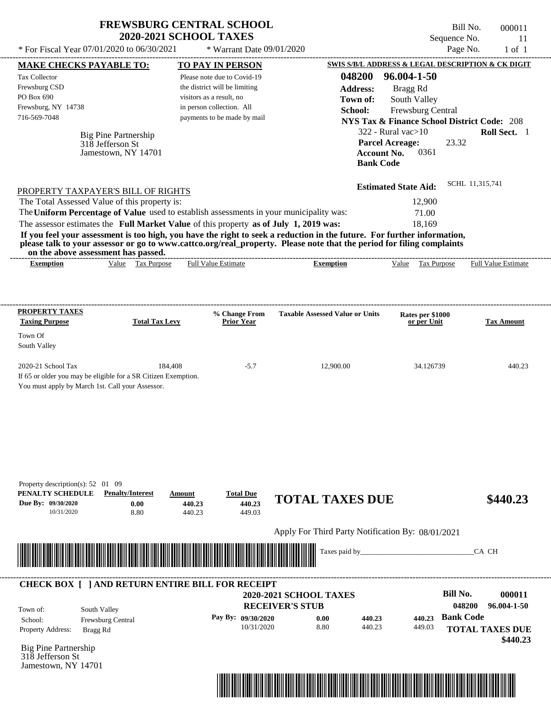|                                                                                                                                                                                                                                                                                         | <b>FREWSBURG CENTRAL SCHOOL</b><br><b>2020-2021 SCHOOL TAXES</b> |                                      |                                                   | Sequence No.                                           | Bill No.<br>000011<br>11                  |
|-----------------------------------------------------------------------------------------------------------------------------------------------------------------------------------------------------------------------------------------------------------------------------------------|------------------------------------------------------------------|--------------------------------------|---------------------------------------------------|--------------------------------------------------------|-------------------------------------------|
| * For Fiscal Year 07/01/2020 to 06/30/2021                                                                                                                                                                                                                                              |                                                                  | * Warrant Date 09/01/2020            |                                                   |                                                        | Page No.<br>$1$ of $1$                    |
| <b>MAKE CHECKS PAYABLE TO:</b>                                                                                                                                                                                                                                                          |                                                                  | <b>TO PAY IN PERSON</b>              |                                                   | SWIS S/B/L ADDRESS & LEGAL DESCRIPTION & CK DIGIT      |                                           |
| Tax Collector                                                                                                                                                                                                                                                                           |                                                                  | Please note due to Covid-19          | 048200                                            | 96.004-1-50                                            |                                           |
| Frewsburg CSD                                                                                                                                                                                                                                                                           |                                                                  | the district will be limiting        | <b>Address:</b>                                   | Bragg Rd                                               |                                           |
| PO Box 690                                                                                                                                                                                                                                                                              |                                                                  | visitors as a result, no             | Town of:                                          | South Valley                                           |                                           |
| Frewsburg, NY 14738                                                                                                                                                                                                                                                                     |                                                                  | in person collection. All            | School:                                           | Frewsburg Central                                      |                                           |
| 716-569-7048                                                                                                                                                                                                                                                                            |                                                                  | payments to be made by mail          |                                                   | <b>NYS Tax &amp; Finance School District Code: 208</b> |                                           |
| Big Pine Partnership                                                                                                                                                                                                                                                                    |                                                                  |                                      |                                                   | $322$ - Rural vac $>10$                                | Roll Sect. 1                              |
| 318 Jefferson St                                                                                                                                                                                                                                                                        |                                                                  |                                      |                                                   | 23.32<br><b>Parcel Acreage:</b>                        |                                           |
| Jamestown, NY 14701                                                                                                                                                                                                                                                                     |                                                                  |                                      |                                                   | 0361<br><b>Account No.</b><br><b>Bank Code</b>         |                                           |
|                                                                                                                                                                                                                                                                                         |                                                                  |                                      |                                                   | <b>Estimated State Aid:</b>                            | SCHL 11,315,741                           |
| PROPERTY TAXPAYER'S BILL OF RIGHTS<br>The Total Assessed Value of this property is:                                                                                                                                                                                                     |                                                                  |                                      |                                                   | 12,900                                                 |                                           |
| The Uniform Percentage of Value used to establish assessments in your municipality was:                                                                                                                                                                                                 |                                                                  |                                      |                                                   | 71.00                                                  |                                           |
| The assessor estimates the Full Market Value of this property as of July 1, 2019 was:                                                                                                                                                                                                   |                                                                  |                                      |                                                   | 18,169                                                 |                                           |
| If you feel your assessment is too high, you have the right to seek a reduction in the future. For further information,<br>please talk to your assessor or go to www.cattco.org/real_property. Please note that the period for filing complaints<br>on the above assessment has passed. |                                                                  |                                      |                                                   |                                                        |                                           |
| Value Tax Purpose<br><b>Exemption</b>                                                                                                                                                                                                                                                   |                                                                  | <b>Full Value Estimate</b>           | <b>Exemption</b>                                  | Value Tax Purpose                                      | Full Value Estimate                       |
| <b>Taxing Purpose</b><br>Town Of<br>South Valley<br>2020-21 School Tax<br>If 65 or older you may be eligible for a SR Citizen Exemption.<br>You must apply by March 1st. Call your Assessor.                                                                                            | <b>Total Tax Levy</b><br>184,408                                 | <b>Prior Year</b><br>$-5.7$          | 12,900.00                                         | or per Unit<br>34.126739                               | <b>Tax Amount</b><br>440.23               |
| Property description(s): $52 \quad 01 \quad 09$<br>PENALTY SCHEDULE<br><b>Penalty/Interest</b><br>Due Bv: 09/30/2020<br>0.00<br>10/31/2020<br>8.80                                                                                                                                      | Amount<br>440.23<br>440.23                                       | <b>Total Due</b><br>440.23<br>449.03 | <b>TOTAL TAXES DUE</b>                            |                                                        | \$440.23                                  |
|                                                                                                                                                                                                                                                                                         |                                                                  |                                      | Apply For Third Party Notification By: 08/01/2021 |                                                        |                                           |
|                                                                                                                                                                                                                                                                                         |                                                                  |                                      | Taxes paid by_                                    |                                                        | CA CH                                     |
|                                                                                                                                                                                                                                                                                         |                                                                  |                                      |                                                   |                                                        |                                           |
| <b>CHECK BOX [ ] AND RETURN ENTIRE BILL FOR RECEIPT</b>                                                                                                                                                                                                                                 |                                                                  |                                      | 2020-2021 SCHOOL TAXES                            |                                                        | <b>Bill No.</b>                           |
| South Valley<br>Town of:                                                                                                                                                                                                                                                                |                                                                  |                                      | <b>RECEIVER'S STUB</b>                            |                                                        | 048200                                    |
| School:<br>Frewsburg Central                                                                                                                                                                                                                                                            |                                                                  | Pay By: 09/30/2020<br>10/31/2020     | 0.00<br>8.80                                      | 440.23<br>440.23<br>440.23<br>449.03                   | 000011<br>96.004-1-50<br><b>Bank Code</b> |

Big Pine Partnership 318 Jefferson St Jamestown, NY 14701

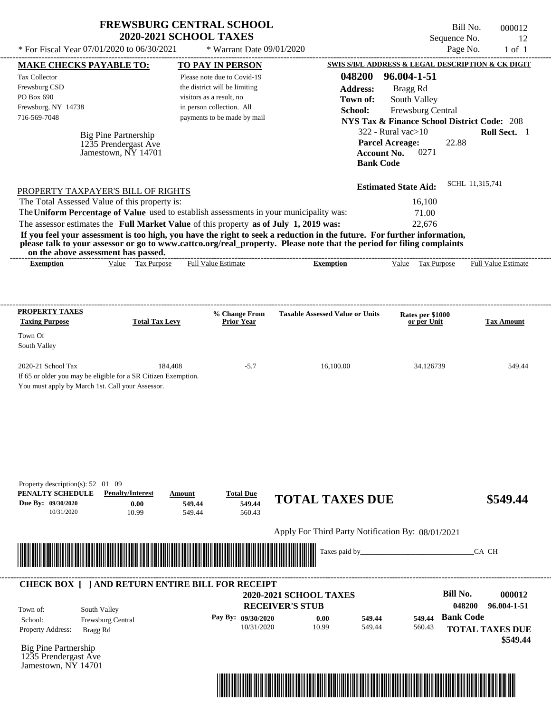| * For Fiscal Year 07/01/2020 to 06/30/2021                                                              | <b>FREWSBURG CENTRAL SCHOOL</b><br><b>2020-2021 SCHOOL TAXES</b>       | * Warrant Date 09/01/2020            |                                                                                                                                                                                                                                                                      | Sequence No.                                                  | Bill No.<br>000012<br>12<br>Page No.<br>$1$ of $1$ |
|---------------------------------------------------------------------------------------------------------|------------------------------------------------------------------------|--------------------------------------|----------------------------------------------------------------------------------------------------------------------------------------------------------------------------------------------------------------------------------------------------------------------|---------------------------------------------------------------|----------------------------------------------------|
| MAKE CHECKS PAYABLE TO:                                                                                 |                                                                        | <b>TO PAY IN PERSON</b>              |                                                                                                                                                                                                                                                                      | SWIS S/B/L ADDRESS & LEGAL DESCRIPTION & CK DIGIT             |                                                    |
| Tax Collector                                                                                           |                                                                        | Please note due to Covid-19          | 048200                                                                                                                                                                                                                                                               | 96.004-1-51                                                   |                                                    |
| Frewsburg CSD                                                                                           |                                                                        | the district will be limiting        | <b>Address:</b>                                                                                                                                                                                                                                                      | Bragg Rd                                                      |                                                    |
| PO Box 690                                                                                              |                                                                        | visitors as a result, no             | Town of:                                                                                                                                                                                                                                                             | South Valley                                                  |                                                    |
| Frewsburg, NY 14738                                                                                     |                                                                        | in person collection. All            | School:                                                                                                                                                                                                                                                              | Frewsburg Central                                             |                                                    |
| 716-569-7048                                                                                            |                                                                        | payments to be made by mail          |                                                                                                                                                                                                                                                                      | <b>NYS Tax &amp; Finance School District Code: 208</b>        |                                                    |
|                                                                                                         | Big Pine Partnership                                                   |                                      |                                                                                                                                                                                                                                                                      | $322$ - Rural vac $>10$                                       | Roll Sect. 1                                       |
|                                                                                                         | 1235 Prendergast Ave<br>Jamestown, NY 14701                            |                                      | <b>Bank Code</b>                                                                                                                                                                                                                                                     | 22.88<br><b>Parcel Acreage:</b><br>0271<br><b>Account No.</b> |                                                    |
| PROPERTY TAXPAYER'S BILL OF RIGHTS                                                                      |                                                                        |                                      |                                                                                                                                                                                                                                                                      | <b>Estimated State Aid:</b>                                   | SCHL 11,315,741                                    |
| The Total Assessed Value of this property is:                                                           |                                                                        |                                      |                                                                                                                                                                                                                                                                      | 16,100                                                        |                                                    |
| The Uniform Percentage of Value used to establish assessments in your municipality was:                 |                                                                        |                                      |                                                                                                                                                                                                                                                                      | 71.00                                                         |                                                    |
| The assessor estimates the Full Market Value of this property as of July 1, 2019 was:                   |                                                                        |                                      |                                                                                                                                                                                                                                                                      | 22,676                                                        |                                                    |
| on the above assessment has passed.<br><b>Exemption</b>                                                 | Value Tax Purpose                                                      | <b>Full Value Estimate</b>           | If you feel your assessment is too high, you have the right to seek a reduction in the future. For further information,<br>please talk to your assessor or go to www.cattco.org/real_property. Please note that the period for filing complaints<br><b>Exemption</b> | Tax Purpose<br>Value                                          | Full Value Estimate                                |
| PROPERTY TAXES<br><b>Taxing Purpose</b>                                                                 | <b>Total Tax Levy</b>                                                  | % Change From<br><b>Prior Year</b>   | <b>Taxable Assessed Value or Units</b>                                                                                                                                                                                                                               | Rates per \$1000<br>or per Unit                               | <b>Tax Amount</b>                                  |
| Town Of<br>South Valley                                                                                 |                                                                        |                                      |                                                                                                                                                                                                                                                                      |                                                               |                                                    |
| 2020-21 School Tax<br>If 65 or older you may be eligible for a SR Citizen Exemption.                    | 184,408                                                                | $-5.7$                               | 16,100.00                                                                                                                                                                                                                                                            | 34.126739                                                     | 549.44                                             |
| You must apply by March 1st. Call your Assessor.                                                        |                                                                        |                                      |                                                                                                                                                                                                                                                                      |                                                               |                                                    |
| Property description(s): $52 \quad 01 \quad 09$<br>PENALTY SCHEDULE<br>Due By: 09/30/2020<br>10/31/2020 | <b>Penalty/Interest</b><br>Amount<br>0.00<br>549.44<br>10.99<br>549.44 | <b>Total Due</b><br>549.44<br>560.43 | <b>TOTAL TAXES DUE</b>                                                                                                                                                                                                                                               |                                                               | \$549.44                                           |
|                                                                                                         |                                                                        |                                      | Apply For Third Party Notification By: 08/01/2021                                                                                                                                                                                                                    |                                                               |                                                    |
|                                                                                                         |                                                                        |                                      | Taxes paid by                                                                                                                                                                                                                                                        |                                                               | CA CH                                              |
| <b>CHECK BOX [ ] AND RETURN ENTIRE BILL FOR RECEIPT</b>                                                 |                                                                        |                                      | 2020-2021 SCHOOL TAXES<br><b>RECEIVER'S STUB</b>                                                                                                                                                                                                                     | <b>Bill No.</b>                                               | 000012<br>048200<br>96.004-1-51                    |
| South Valley<br>Town of:                                                                                |                                                                        |                                      |                                                                                                                                                                                                                                                                      |                                                               | <b>Bank Code</b>                                   |
| School:<br>Frewsburg Central<br>Property Address:<br>Bragg Rd                                           |                                                                        | Pay By: 09/30/2020<br>10/31/2020     | 549.44<br>0.00<br>10.99<br>549.44                                                                                                                                                                                                                                    | 549.44<br>560.43                                              | <b>TOTAL TAXES DUE</b><br>\$549.44                 |
| <b>Big Pine Partnership</b>                                                                             |                                                                        |                                      |                                                                                                                                                                                                                                                                      |                                                               |                                                    |



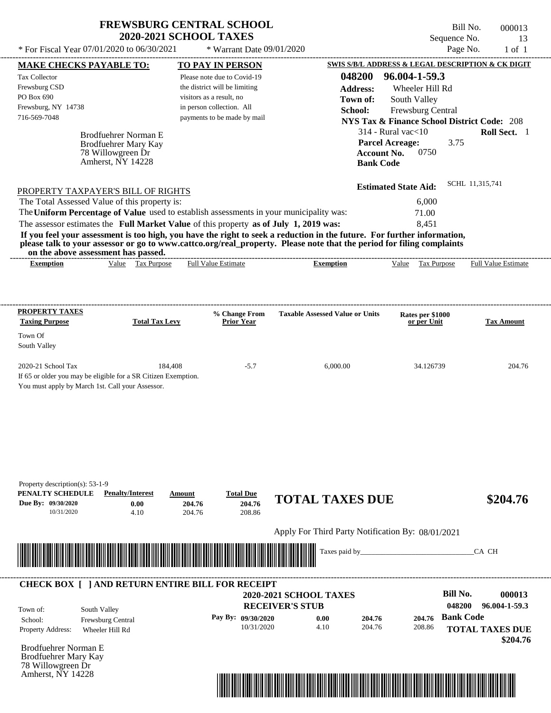| <b>FREWSBURG CENTRAL SCHOOL</b> |
|---------------------------------|
| <b>2020-2021 SCHOOL TAXES</b>   |

Bill No. 000013 Sequence No. 13

| * For Fiscal Year 07/01/2020 to 06/30/2021                                                                                                                                                                                                       | * Warrant Date 09/01/2020                             |                                                   |                                                    | Page No.<br>$1$ of $1$                                 |
|--------------------------------------------------------------------------------------------------------------------------------------------------------------------------------------------------------------------------------------------------|-------------------------------------------------------|---------------------------------------------------|----------------------------------------------------|--------------------------------------------------------|
| <b>MAKE CHECKS PAYABLE TO:</b>                                                                                                                                                                                                                   | <b>TO PAY IN PERSON</b>                               |                                                   |                                                    | SWIS S/B/L ADDRESS & LEGAL DESCRIPTION & CK DIGIT      |
| Tax Collector                                                                                                                                                                                                                                    | Please note due to Covid-19                           | 048200                                            | 96.004-1-59.3                                      |                                                        |
| Frewsburg CSD                                                                                                                                                                                                                                    | the district will be limiting                         | <b>Address:</b>                                   | Wheeler Hill Rd                                    |                                                        |
| PO Box 690<br>Frewsburg, NY 14738                                                                                                                                                                                                                | visitors as a result, no<br>in person collection. All | Town of:                                          | South Valley                                       |                                                        |
| 716-569-7048                                                                                                                                                                                                                                     | payments to be made by mail                           | School:                                           | Frewsburg Central                                  |                                                        |
|                                                                                                                                                                                                                                                  |                                                       |                                                   |                                                    | <b>NYS Tax &amp; Finance School District Code: 208</b> |
| Brodfuehrer Norman E<br><b>Brodfuehrer Mary Kay</b>                                                                                                                                                                                              |                                                       |                                                   | $314$ - Rural vac $<$ 10<br><b>Parcel Acreage:</b> | Roll Sect. 1<br>3.75                                   |
| 78 Willowgreen Dr                                                                                                                                                                                                                                |                                                       |                                                   | <b>Account No.</b><br>0750                         |                                                        |
| Amherst, NY 14228                                                                                                                                                                                                                                |                                                       |                                                   | <b>Bank Code</b>                                   |                                                        |
|                                                                                                                                                                                                                                                  |                                                       |                                                   | <b>Estimated State Aid:</b>                        | SCHL 11,315,741                                        |
| PROPERTY TAXPAYER'S BILL OF RIGHTS<br>The Total Assessed Value of this property is:                                                                                                                                                              |                                                       |                                                   | 6,000                                              |                                                        |
| The Uniform Percentage of Value used to establish assessments in your municipality was:                                                                                                                                                          |                                                       |                                                   | 71.00                                              |                                                        |
| The assessor estimates the Full Market Value of this property as of July 1, 2019 was:                                                                                                                                                            |                                                       |                                                   | 8,451                                              |                                                        |
| If you feel your assessment is too high, you have the right to seek a reduction in the future. For further information,<br>please talk to your assessor or go to www.cattco.org/real_property. Please note that the period for filing complaints |                                                       |                                                   |                                                    |                                                        |
| on the above assessment has passed.<br>Value Tax Purpose<br><b>Exemption</b>                                                                                                                                                                     | <b>Full Value Estimate</b>                            | <b>Exemption</b>                                  | Value Tax Purpose                                  | <b>Full Value Estimate</b>                             |
|                                                                                                                                                                                                                                                  |                                                       |                                                   |                                                    |                                                        |
|                                                                                                                                                                                                                                                  |                                                       |                                                   |                                                    |                                                        |
| <b>PROPERTY TAXES</b><br><b>Taxing Purpose</b><br><b>Total Tax Levy</b>                                                                                                                                                                          | % Change From<br><b>Prior Year</b>                    | <b>Taxable Assessed Value or Units</b>            | Rates per \$1000<br>or per Unit                    | <b>Tax Amount</b>                                      |
| Town Of                                                                                                                                                                                                                                          |                                                       |                                                   |                                                    |                                                        |
| South Valley                                                                                                                                                                                                                                     |                                                       |                                                   |                                                    |                                                        |
| 2020-21 School Tax                                                                                                                                                                                                                               | 184,408<br>$-5.7$                                     | 6,000.00                                          | 34.126739                                          | 204.76                                                 |
| If 65 or older you may be eligible for a SR Citizen Exemption.                                                                                                                                                                                   |                                                       |                                                   |                                                    |                                                        |
| You must apply by March 1st. Call your Assessor.                                                                                                                                                                                                 |                                                       |                                                   |                                                    |                                                        |
|                                                                                                                                                                                                                                                  |                                                       |                                                   |                                                    |                                                        |
|                                                                                                                                                                                                                                                  |                                                       |                                                   |                                                    |                                                        |
|                                                                                                                                                                                                                                                  |                                                       |                                                   |                                                    |                                                        |
|                                                                                                                                                                                                                                                  |                                                       |                                                   |                                                    |                                                        |
|                                                                                                                                                                                                                                                  |                                                       |                                                   |                                                    |                                                        |
|                                                                                                                                                                                                                                                  |                                                       |                                                   |                                                    |                                                        |
| Property description(s): 53-1-9                                                                                                                                                                                                                  |                                                       |                                                   |                                                    |                                                        |
| PENALTY SCHEDULE<br><b>Penalty/Interest</b>                                                                                                                                                                                                      | <b>Total Due</b><br>Amount                            | <b>TOTAL TAXES DUE</b>                            |                                                    | \$204.76                                               |
| Due By: 09/30/2020<br>0.00<br>10/31/2020<br>4.10                                                                                                                                                                                                 | 204.76<br>204.76<br>204.76<br>208.86                  |                                                   |                                                    |                                                        |
|                                                                                                                                                                                                                                                  |                                                       | Apply For Third Party Notification By: 08/01/2021 |                                                    |                                                        |
|                                                                                                                                                                                                                                                  |                                                       |                                                   |                                                    |                                                        |
| <u> 1989 - Andrew Maria Maria Maria Maria Maria Maria Maria Maria Maria Maria Maria Maria Maria Maria Maria Mari</u>                                                                                                                             |                                                       | Taxes paid by_                                    |                                                    | CA CH                                                  |
|                                                                                                                                                                                                                                                  |                                                       |                                                   |                                                    |                                                        |
| <b>CHECK BOX [ ] AND RETURN ENTIRE BILL FOR RECEIPT</b>                                                                                                                                                                                          |                                                       | 2020-2021 SCHOOL TAXES                            |                                                    | <b>Bill No.</b><br>000013                              |
|                                                                                                                                                                                                                                                  |                                                       | <b>RECEIVER'S STUB</b>                            |                                                    | 048200<br>96.004-1-59.3                                |
| South Valley<br>Town of:<br>Frewsburg Central<br>School:                                                                                                                                                                                         | Pay By: 09/30/2020                                    | 204.76<br>0.00                                    | 204.76                                             | <b>Bank Code</b>                                       |
| Property Address:<br>Wheeler Hill Rd                                                                                                                                                                                                             | 10/31/2020                                            | 4.10<br>204.76                                    | 208.86                                             | <b>TOTAL TAXES DUE</b>                                 |
|                                                                                                                                                                                                                                                  |                                                       |                                                   |                                                    | \$204.76                                               |
| <b>Brodfuehrer Norman E</b>                                                                                                                                                                                                                      |                                                       |                                                   |                                                    |                                                        |
| <b>Brodfuehrer Mary Kay</b><br>78 Willowgreen Dr                                                                                                                                                                                                 |                                                       |                                                   |                                                    |                                                        |
| Amherst, NY 14228                                                                                                                                                                                                                                |                                                       |                                                   |                                                    |                                                        |
|                                                                                                                                                                                                                                                  |                                                       |                                                   |                                                    |                                                        |
|                                                                                                                                                                                                                                                  |                                                       |                                                   |                                                    |                                                        |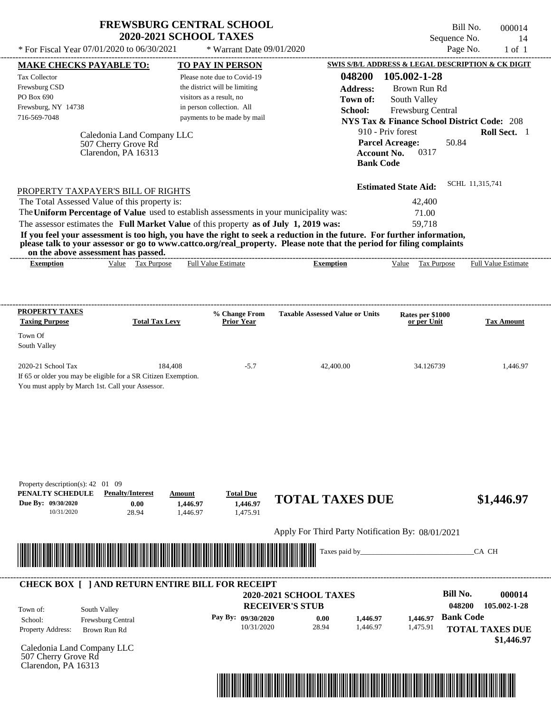| <b>FREWSBURG CENTRAL SCHOOL</b> |
|---------------------------------|
| <b>2020-2021 SCHOOL TAXES</b>   |

Bill No. 000014 Sequence No. 14  $*$  For Fiscal Year 07/01/2020 to 06/30/2021  $*$  Warrant Date 09/01/2020 Page No. 1 of 1

| <b>MAKE CHECKS PAYABLE TO:</b>                                                                                                                                                                                                       | <b>TO PAY IN PERSON</b>            |                                                               | SWIS S/B/L ADDRESS & LEGAL DESCRIPTION & CK DIGIT      |                        |
|--------------------------------------------------------------------------------------------------------------------------------------------------------------------------------------------------------------------------------------|------------------------------------|---------------------------------------------------------------|--------------------------------------------------------|------------------------|
| <b>Tax Collector</b>                                                                                                                                                                                                                 | Please note due to Covid-19        | 048200                                                        | 105.002-1-28                                           |                        |
| Frewsburg CSD                                                                                                                                                                                                                        | the district will be limiting      | <b>Address:</b>                                               | Brown Run Rd                                           |                        |
| PO Box 690                                                                                                                                                                                                                           | visitors as a result, no           | Town of:                                                      | South Valley                                           |                        |
| Frewsburg, NY 14738                                                                                                                                                                                                                  | in person collection. All          | School:                                                       | Frewsburg Central                                      |                        |
| 716-569-7048                                                                                                                                                                                                                         | payments to be made by mail        |                                                               | <b>NYS Tax &amp; Finance School District Code: 208</b> |                        |
| Caledonia Land Company LLC                                                                                                                                                                                                           |                                    |                                                               | 910 - Priv forest                                      | Roll Sect. 1           |
| 507 Cherry Grove Rd                                                                                                                                                                                                                  |                                    |                                                               | <b>Parcel Acreage:</b><br>50.84                        |                        |
| Clarendon, PA 16313                                                                                                                                                                                                                  |                                    | <b>Account No.</b>                                            | 0317                                                   |                        |
|                                                                                                                                                                                                                                      |                                    | <b>Bank Code</b>                                              |                                                        |                        |
|                                                                                                                                                                                                                                      |                                    |                                                               | <b>Estimated State Aid:</b>                            | SCHL 11,315,741        |
| PROPERTY TAXPAYER'S BILL OF RIGHTS                                                                                                                                                                                                   |                                    |                                                               |                                                        |                        |
| The Total Assessed Value of this property is:<br>The Uniform Percentage of Value used to establish assessments in your municipality was:                                                                                             |                                    |                                                               | 42,400                                                 |                        |
|                                                                                                                                                                                                                                      |                                    |                                                               | 71.00<br>59,718                                        |                        |
| The assessor estimates the Full Market Value of this property as of July 1, 2019 was:<br>If you feel your assessment is too high, you have the right to seek a reduction in the future. For further information,                     |                                    |                                                               |                                                        |                        |
| please talk to your assessor or go to www.cattco.org/real_property. Please note that the period for filing complaints                                                                                                                |                                    |                                                               |                                                        |                        |
| on the above assessment has passed.<br>Value Tax Purpose<br><b>Exemption</b>                                                                                                                                                         | <b>Full Value Estimate</b>         | <b>Exemption</b>                                              | Value Tax Purpose Full Value Estimate                  |                        |
|                                                                                                                                                                                                                                      |                                    |                                                               |                                                        |                        |
|                                                                                                                                                                                                                                      |                                    |                                                               |                                                        |                        |
| PROPERTY TAXES                                                                                                                                                                                                                       |                                    |                                                               |                                                        |                        |
| <b>Total Tax Levy</b><br><b>Taxing Purpose</b>                                                                                                                                                                                       | % Change From<br><b>Prior Year</b> | <b>Taxable Assessed Value or Units</b>                        | Rates per \$1000<br>or per Unit                        | <b>Tax Amount</b>      |
| Town Of                                                                                                                                                                                                                              |                                    |                                                               |                                                        |                        |
| South Valley                                                                                                                                                                                                                         |                                    |                                                               |                                                        |                        |
| 2020-21 School Tax<br>184,408                                                                                                                                                                                                        | $-5.7$                             | 42,400.00                                                     | 34.126739                                              | 1,446.97               |
| If 65 or older you may be eligible for a SR Citizen Exemption.                                                                                                                                                                       |                                    |                                                               |                                                        |                        |
| You must apply by March 1st. Call your Assessor.                                                                                                                                                                                     |                                    |                                                               |                                                        |                        |
|                                                                                                                                                                                                                                      |                                    |                                                               |                                                        |                        |
|                                                                                                                                                                                                                                      |                                    |                                                               |                                                        |                        |
|                                                                                                                                                                                                                                      |                                    |                                                               |                                                        |                        |
|                                                                                                                                                                                                                                      |                                    |                                                               |                                                        |                        |
|                                                                                                                                                                                                                                      |                                    |                                                               |                                                        |                        |
|                                                                                                                                                                                                                                      |                                    |                                                               |                                                        |                        |
|                                                                                                                                                                                                                                      |                                    |                                                               |                                                        |                        |
| Property description(s): 42 01 09<br>PENALTY SCHEDULE<br><b>Penalty/Interest</b>                                                                                                                                                     | <b>Total Due</b><br>Amount         |                                                               |                                                        |                        |
| Due By: 09/30/2020<br>0.00                                                                                                                                                                                                           | 1,446.97<br>1,446.97               | <b>TOTAL TAXES DUE</b>                                        |                                                        | \$1,446.97             |
| 10/31/2020<br>28.94                                                                                                                                                                                                                  | 1,475.91<br>1,446.97               |                                                               |                                                        |                        |
|                                                                                                                                                                                                                                      |                                    | Apply For Third Party Notification By: 08/01/2021             |                                                        |                        |
|                                                                                                                                                                                                                                      |                                    |                                                               |                                                        |                        |
| <u> Indian American State of Barbara and The Barbara and The Barbara and The Barbara and The Barbara and The Barbara and The Barbara and The Barbara and The Barbara and The Barbara and The Barbara and The Barbara and The Bar</u> |                                    | Taxes paid by_                                                |                                                        | CA CH                  |
|                                                                                                                                                                                                                                      |                                    |                                                               |                                                        |                        |
| <b>CHECK BOX [ ] AND RETURN ENTIRE BILL FOR RECEIPT</b>                                                                                                                                                                              |                                    |                                                               |                                                        |                        |
|                                                                                                                                                                                                                                      |                                    | 2020-2021 SCHOOL TAXES                                        | <b>Bill No.</b>                                        | 000014                 |
| South Valley<br>Town of:                                                                                                                                                                                                             |                                    | <b>RECEIVER'S STUB</b>                                        | 048200                                                 | 105.002-1-28           |
| School:<br>Frewsburg Central                                                                                                                                                                                                         | Pay By: 09/30/2020                 | 0.00<br>1,446.97                                              | <b>Bank Code</b><br>1,446.97                           |                        |
| Property Address:<br>Brown Run Rd                                                                                                                                                                                                    | 10/31/2020                         | 28.94<br>1,446.97                                             | 1,475.91                                               | <b>TOTAL TAXES DUE</b> |
|                                                                                                                                                                                                                                      |                                    |                                                               |                                                        | \$1,446.97             |
| Caledonia Land Company LLC<br>507 Cherry Grove Rd                                                                                                                                                                                    |                                    |                                                               |                                                        |                        |
| Clarendon, PA 16313                                                                                                                                                                                                                  |                                    |                                                               |                                                        |                        |
|                                                                                                                                                                                                                                      |                                    |                                                               |                                                        |                        |
|                                                                                                                                                                                                                                      |                                    | <u> 1989 - Andrea Stadt British, fransk politik (d. 1989)</u> |                                                        |                        |
|                                                                                                                                                                                                                                      |                                    |                                                               |                                                        |                        |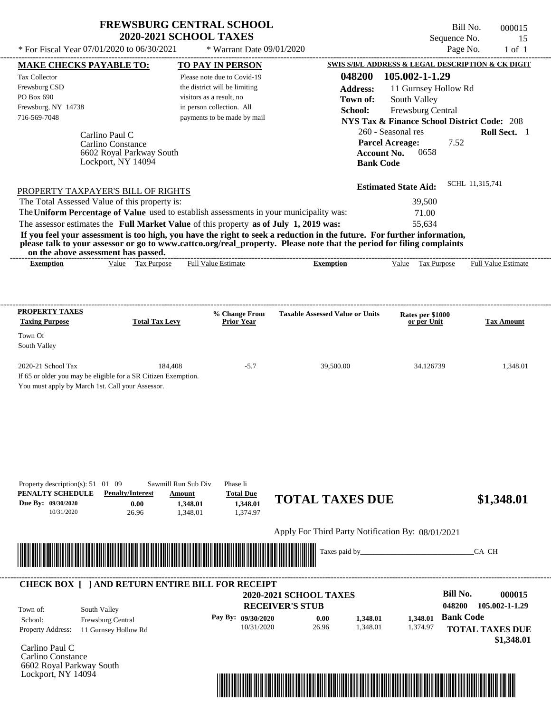## **FREWSBURG CENTRAL SCHOOL 2020-2021 SCHOOL TAXES**

\* For Fiscal Year  $07/01/2020$  to  $06/30/2021$  \* Warrant Date  $09/01/2020$  Page No. 1 of 1

\* Warrant Date 09/01/2020

Bill No. 000015 Sequence No. 15<br>Page No. 1 of 1

| <b>MAKE CHECKS PAYABLE TO:</b>                                                                                                                                                                                                                   |                       | <b>TO PAY IN PERSON</b>       |                                                   | SWIS S/B/L ADDRESS & LEGAL DESCRIPTION & CK DIGIT      |                            |
|--------------------------------------------------------------------------------------------------------------------------------------------------------------------------------------------------------------------------------------------------|-----------------------|-------------------------------|---------------------------------------------------|--------------------------------------------------------|----------------------------|
| Tax Collector                                                                                                                                                                                                                                    |                       | Please note due to Covid-19   |                                                   | 048200 105.002-1-1.29                                  |                            |
| Frewsburg CSD                                                                                                                                                                                                                                    |                       | the district will be limiting | <b>Address:</b>                                   | 11 Gurnsey Hollow Rd                                   |                            |
| PO Box 690                                                                                                                                                                                                                                       |                       | visitors as a result, no      | Town of:                                          | South Valley                                           |                            |
| Frewsburg, NY 14738                                                                                                                                                                                                                              |                       | in person collection. All     | School:                                           | Frewsburg Central                                      |                            |
| 716-569-7048                                                                                                                                                                                                                                     |                       | payments to be made by mail   |                                                   | <b>NYS Tax &amp; Finance School District Code: 208</b> |                            |
| Carlino Paul C                                                                                                                                                                                                                                   |                       |                               |                                                   | 260 - Seasonal res                                     | Roll Sect. 1               |
| Carlino Constance                                                                                                                                                                                                                                |                       |                               |                                                   | 7.52<br><b>Parcel Acreage:</b>                         |                            |
| 6602 Royal Parkway South                                                                                                                                                                                                                         |                       |                               | <b>Account No.</b>                                | 0658                                                   |                            |
| Lockport, NY 14094                                                                                                                                                                                                                               |                       |                               | <b>Bank Code</b>                                  |                                                        |                            |
|                                                                                                                                                                                                                                                  |                       |                               |                                                   |                                                        | SCHL 11,315,741            |
| PROPERTY TAXPAYER'S BILL OF RIGHTS                                                                                                                                                                                                               |                       |                               |                                                   | <b>Estimated State Aid:</b>                            |                            |
| The Total Assessed Value of this property is:                                                                                                                                                                                                    |                       |                               |                                                   | 39,500                                                 |                            |
| The Uniform Percentage of Value used to establish assessments in your municipality was:                                                                                                                                                          |                       |                               |                                                   | 71.00                                                  |                            |
| The assessor estimates the Full Market Value of this property as of July 1, 2019 was:                                                                                                                                                            |                       |                               |                                                   | 55,634                                                 |                            |
| If you feel your assessment is too high, you have the right to seek a reduction in the future. For further information,<br>please talk to your assessor or go to www.cattco.org/real_property. Please note that the period for filing complaints |                       |                               |                                                   |                                                        |                            |
| on the above assessment has passed.<br>Value Tax Purpose<br><b>Exemption</b>                                                                                                                                                                     |                       | <b>Full Value Estimate</b>    | <b>Exemption</b>                                  | Value Tax Purpose                                      | <b>Full Value Estimate</b> |
|                                                                                                                                                                                                                                                  |                       |                               |                                                   |                                                        |                            |
|                                                                                                                                                                                                                                                  |                       |                               |                                                   |                                                        |                            |
| <b>PROPERTY TAXES</b>                                                                                                                                                                                                                            |                       |                               |                                                   |                                                        |                            |
| <b>Taxing Purpose</b>                                                                                                                                                                                                                            | <b>Total Tax Levy</b> | % Change From<br>Prior Year   | <b>Taxable Assessed Value or Units</b>            | Rates per \$1000<br>or per Unit                        | <b>Tax Amount</b>          |
| Town Of                                                                                                                                                                                                                                          |                       |                               |                                                   |                                                        |                            |
| South Valley                                                                                                                                                                                                                                     |                       |                               |                                                   |                                                        |                            |
| 2020-21 School Tax                                                                                                                                                                                                                               | 184,408               | $-5.7$                        | 39,500.00                                         | 34.126739                                              | 1,348.01                   |
| If 65 or older you may be eligible for a SR Citizen Exemption.                                                                                                                                                                                   |                       |                               |                                                   |                                                        |                            |
| You must apply by March 1st. Call your Assessor.                                                                                                                                                                                                 |                       |                               |                                                   |                                                        |                            |
|                                                                                                                                                                                                                                                  |                       |                               |                                                   |                                                        |                            |
|                                                                                                                                                                                                                                                  |                       |                               |                                                   |                                                        |                            |
|                                                                                                                                                                                                                                                  |                       |                               |                                                   |                                                        |                            |
|                                                                                                                                                                                                                                                  |                       |                               |                                                   |                                                        |                            |
|                                                                                                                                                                                                                                                  |                       |                               |                                                   |                                                        |                            |
|                                                                                                                                                                                                                                                  |                       |                               |                                                   |                                                        |                            |
|                                                                                                                                                                                                                                                  |                       |                               |                                                   |                                                        |                            |
| Property description(s): 51 01 09                                                                                                                                                                                                                | Sawmill Run Sub Div   | Phase Ii                      |                                                   |                                                        |                            |
| PENALTY SCHEDULE<br><b>Penalty/Interest</b>                                                                                                                                                                                                      | Amount                | <b>Total Due</b>              | <b>TOTAL TAXES DUE</b>                            |                                                        | \$1,348.01                 |
| Due By: 09/30/2020<br>0.00<br>10/31/2020<br>26.96                                                                                                                                                                                                | 1,348.01<br>1,348.01  | 1,348.01<br>1,374.97          |                                                   |                                                        |                            |
|                                                                                                                                                                                                                                                  |                       |                               |                                                   |                                                        |                            |
|                                                                                                                                                                                                                                                  |                       |                               | Apply For Third Party Notification By: 08/01/2021 |                                                        |                            |
| <u> III de la construcción de la construcción de la construcción de la construcción de la construcción de la const</u>                                                                                                                           |                       |                               | Taxes paid by_                                    |                                                        | CA CH                      |
|                                                                                                                                                                                                                                                  |                       |                               |                                                   |                                                        |                            |
| <b>CHECK BOX [ ] AND RETURN ENTIRE BILL FOR RECEIPT</b>                                                                                                                                                                                          |                       |                               |                                                   |                                                        |                            |
|                                                                                                                                                                                                                                                  |                       |                               | 2020-2021 SCHOOL TAXES                            | <b>Bill No.</b>                                        | 000015                     |
| South Valley<br>Town of:                                                                                                                                                                                                                         |                       |                               | <b>RECEIVER'S STUB</b>                            | 048200                                                 | 105.002-1-1.29             |
| Frewsburg Central<br>School:                                                                                                                                                                                                                     |                       | Pay By: 09/30/2020            | 0.00<br>1,348.01                                  | 1,348.01                                               | <b>Bank Code</b>           |
| Property Address:<br>11 Gurnsey Hollow Rd                                                                                                                                                                                                        |                       | 10/31/2020                    | 26.96<br>1,348.01                                 | 1,374.97                                               | <b>TOTAL TAXES DUE</b>     |
|                                                                                                                                                                                                                                                  |                       |                               |                                                   |                                                        | \$1,348.01                 |
| Carlino Paul C                                                                                                                                                                                                                                   |                       |                               |                                                   |                                                        |                            |
| Carlino Constance                                                                                                                                                                                                                                |                       |                               |                                                   |                                                        |                            |
| 6602 Royal Parkway South<br>Lockport, NY 14094                                                                                                                                                                                                   |                       |                               |                                                   |                                                        |                            |
|                                                                                                                                                                                                                                                  |                       |                               |                                                   |                                                        |                            |
|                                                                                                                                                                                                                                                  |                       |                               |                                                   |                                                        |                            |
|                                                                                                                                                                                                                                                  |                       |                               |                                                   |                                                        |                            |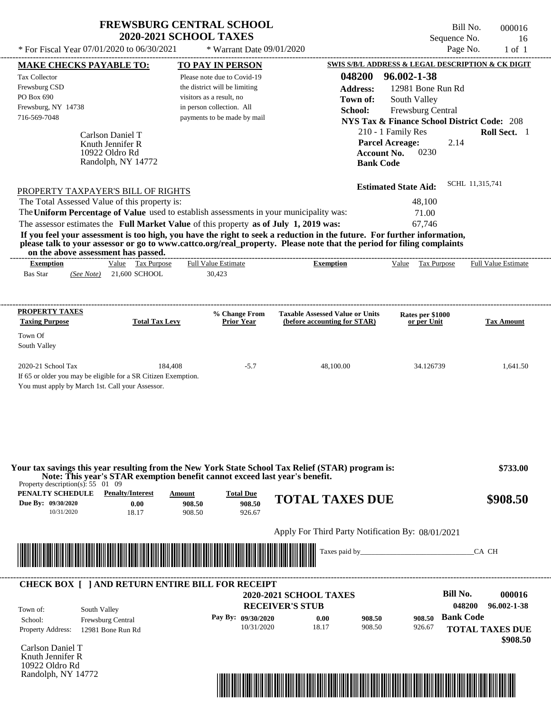| <b>FREWSBURG CENTRAL SCHOOL</b> |
|---------------------------------|
| <b>2020-2021 SCHOOL TAXES</b>   |

| <b>Tax Collector</b>                                                                                                                                                                                                                                                                                                                                                             | <b>TO PAY IN PERSON</b>                                                                  | <b>SWIS S/B/L ADDRESS &amp; LEGAL DESCRIPTION &amp; CK DIGIT</b>                             |                                                                                                   |                                                             |
|----------------------------------------------------------------------------------------------------------------------------------------------------------------------------------------------------------------------------------------------------------------------------------------------------------------------------------------------------------------------------------|------------------------------------------------------------------------------------------|----------------------------------------------------------------------------------------------|---------------------------------------------------------------------------------------------------|-------------------------------------------------------------|
| Frewsburg CSD<br>PO Box 690                                                                                                                                                                                                                                                                                                                                                      | Please note due to Covid-19<br>the district will be limiting<br>visitors as a result, no | 048200<br><b>Address:</b><br>Town of:                                                        | 96.002-1-38<br>12981 Bone Run Rd<br>South Valley                                                  |                                                             |
| Frewsburg, NY 14738<br>716-569-7048                                                                                                                                                                                                                                                                                                                                              | in person collection. All<br>payments to be made by mail                                 | School:                                                                                      | Frewsburg Central<br><b>NYS Tax &amp; Finance School District Code: 208</b><br>210 - 1 Family Res | Roll Sect. 1                                                |
| Carlson Daniel T<br>Knuth Jennifer R<br>10922 Oldro Rd<br>Randolph, NY 14772                                                                                                                                                                                                                                                                                                     |                                                                                          | <b>Account No.</b><br><b>Bank Code</b>                                                       | <b>Parcel Acreage:</b><br>2.14<br>0230                                                            |                                                             |
| PROPERTY TAXPAYER'S BILL OF RIGHTS                                                                                                                                                                                                                                                                                                                                               |                                                                                          |                                                                                              | <b>Estimated State Aid:</b>                                                                       | SCHL 11,315,741                                             |
| The Total Assessed Value of this property is:<br>The Uniform Percentage of Value used to establish assessments in your municipality was:                                                                                                                                                                                                                                         |                                                                                          |                                                                                              | 48,100<br>71.00                                                                                   |                                                             |
| The assessor estimates the Full Market Value of this property as of July 1, 2019 was:<br>If you feel your assessment is too high, you have the right to seek a reduction in the future. For further information,<br>please talk to your assessor or go to www.cattco.org/real_property. Please note that the period for filing complaints<br>on the above assessment has passed. |                                                                                          |                                                                                              | 67,746                                                                                            |                                                             |
| Value Tax Purpose<br><b>Exemption</b><br>$(See Note)$ 21,600 SCHOOL<br><b>Bas Star</b>                                                                                                                                                                                                                                                                                           | <b>Full Value Estimate</b><br>30,423                                                     | <b>Exemption</b>                                                                             | Value Tax Purpose                                                                                 | <b>Full Value Estimate</b>                                  |
| PROPERTY TAXES<br><b>Total Tax Levy</b><br><b>Taxing Purpose</b>                                                                                                                                                                                                                                                                                                                 | % Change From<br><b>Prior Year</b>                                                       | <b>Taxable Assessed Value or Units</b><br>(before accounting for STAR)                       | Rates per \$1000<br>or per Unit                                                                   | <b>Tax Amount</b>                                           |
| Town Of<br>South Valley                                                                                                                                                                                                                                                                                                                                                          |                                                                                          |                                                                                              |                                                                                                   |                                                             |
| 2020-21 School Tax<br>If 65 or older you may be eligible for a SR Citizen Exemption.<br>You must apply by March 1st. Call your Assessor.                                                                                                                                                                                                                                         | 184,408<br>$-5.7$                                                                        | 48,100.00                                                                                    | 34.126739                                                                                         | 1,641.50                                                    |
|                                                                                                                                                                                                                                                                                                                                                                                  |                                                                                          |                                                                                              |                                                                                                   |                                                             |
| Note: This year's STAR exemption benefit cannot exceed last year's benefit.<br><b>Penalty/Interest</b><br>Due By: 09/30/2020<br>0.00<br>10/31/2020                                                                                                                                                                                                                               | <b>Total Due</b><br>Amount<br>908.50<br>908.50                                           | <b>TOTAL TAXES DUE</b>                                                                       |                                                                                                   |                                                             |
| 18.17                                                                                                                                                                                                                                                                                                                                                                            | 908.50<br>926.67                                                                         | Apply For Third Party Notification By: 08/01/2021                                            |                                                                                                   | \$733.00                                                    |
|                                                                                                                                                                                                                                                                                                                                                                                  |                                                                                          |                                                                                              | Taxes paid by                                                                                     | CA CH                                                       |
| <b>CHECK BOX [ ] AND RETURN ENTIRE BILL FOR RECEIPT</b>                                                                                                                                                                                                                                                                                                                          |                                                                                          |                                                                                              | <b>Bill No.</b>                                                                                   | 000016                                                      |
| Your tax savings this year resulting from the New York State School Tax Relief (STAR) program is:<br>Property description(s): $55 \quad 01 \quad 09$<br>PENALTY SCHEDULE<br><u> 1989 - Johann Stoff, Amerikaansk politiker (* 1958)</u><br>South Valley<br>Town of:<br>Frewsburg Central<br>School:<br>Property Address:<br>12981 Bone Run Rd                                    | Pay By: 09/30/2020<br>10/31/2020                                                         | <b>2020-2021 SCHOOL TAXES</b><br><b>RECEIVER'S STUB</b><br>0.00<br>908.50<br>18.17<br>908.50 | <b>Bank Code</b><br>908.50<br>926.67                                                              | \$908.50<br>048200<br>96.002-1-38<br><b>TOTAL TAXES DUE</b> |
| Carlson Daniel T<br>Knuth Jennifer R<br>10922 Oldro Rd<br>Randolph, NY 14772                                                                                                                                                                                                                                                                                                     |                                                                                          |                                                                                              |                                                                                                   | \$908.50                                                    |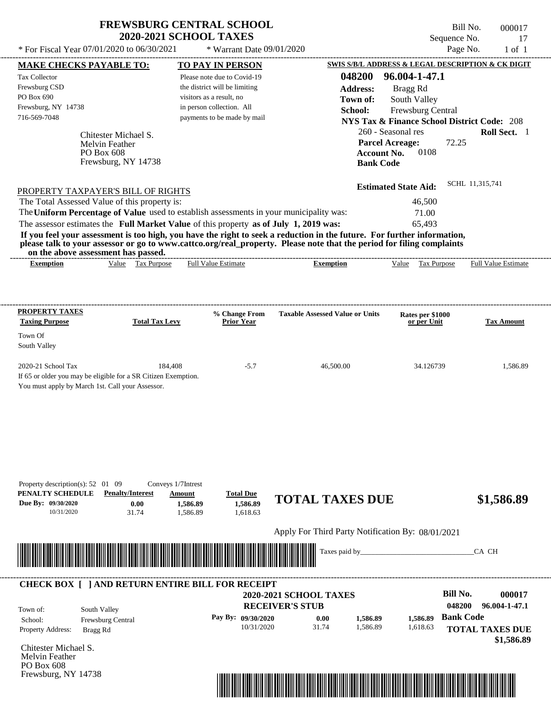| <b>FREWSBURG CENTRAL SCHOOL</b> |
|---------------------------------|
| <b>2020-2021 SCHOOL TAXES</b>   |

\* Warrant Date 09/01/2020

| <b>MAKE CHECKS PAYABLE TO:</b>                                                                                                                                                                                                                   |                         |                              | <b>TO PAY IN PERSON</b>            |                                                   |                    |                                                        |                  | <b>SWIS S/B/L ADDRESS &amp; LEGAL DESCRIPTION &amp; CK DIGIT</b> |
|--------------------------------------------------------------------------------------------------------------------------------------------------------------------------------------------------------------------------------------------------|-------------------------|------------------------------|------------------------------------|---------------------------------------------------|--------------------|--------------------------------------------------------|------------------|------------------------------------------------------------------|
| <b>Tax Collector</b>                                                                                                                                                                                                                             |                         |                              | Please note due to Covid-19        |                                                   | 048200             | 96.004-1-47.1                                          |                  |                                                                  |
| Frewsburg CSD                                                                                                                                                                                                                                    |                         |                              | the district will be limiting      |                                                   | <b>Address:</b>    | Bragg Rd                                               |                  |                                                                  |
| PO Box 690                                                                                                                                                                                                                                       |                         | visitors as a result, no     |                                    |                                                   | Town of:           | South Valley                                           |                  |                                                                  |
| Frewsburg, NY 14738                                                                                                                                                                                                                              |                         | in person collection. All    |                                    |                                                   | School:            | Frewsburg Central                                      |                  |                                                                  |
| 716-569-7048                                                                                                                                                                                                                                     |                         |                              | payments to be made by mail        |                                                   |                    | <b>NYS Tax &amp; Finance School District Code: 208</b> |                  |                                                                  |
|                                                                                                                                                                                                                                                  | Chitester Michael S.    |                              |                                    |                                                   |                    | 260 - Seasonal res                                     |                  | Roll Sect. 1                                                     |
|                                                                                                                                                                                                                                                  | <b>Melvin Feather</b>   |                              |                                    |                                                   |                    | <b>Parcel Acreage:</b>                                 | 72.25            |                                                                  |
|                                                                                                                                                                                                                                                  | PO Box 608              |                              |                                    |                                                   | <b>Account No.</b> | 0108                                                   |                  |                                                                  |
|                                                                                                                                                                                                                                                  | Frewsburg, NY 14738     |                              |                                    |                                                   | <b>Bank Code</b>   |                                                        |                  |                                                                  |
|                                                                                                                                                                                                                                                  |                         |                              |                                    |                                                   |                    |                                                        |                  |                                                                  |
| PROPERTY TAXPAYER'S BILL OF RIGHTS                                                                                                                                                                                                               |                         |                              |                                    |                                                   |                    | <b>Estimated State Aid:</b>                            | SCHL 11,315,741  |                                                                  |
| The Total Assessed Value of this property is:                                                                                                                                                                                                    |                         |                              |                                    |                                                   |                    | 46,500                                                 |                  |                                                                  |
| The Uniform Percentage of Value used to establish assessments in your municipality was:                                                                                                                                                          |                         |                              |                                    |                                                   |                    | 71.00                                                  |                  |                                                                  |
| The assessor estimates the Full Market Value of this property as of July 1, 2019 was:                                                                                                                                                            |                         |                              |                                    |                                                   |                    | 65,493                                                 |                  |                                                                  |
| If you feel your assessment is too high, you have the right to seek a reduction in the future. For further information,<br>please talk to your assessor or go to www.cattco.org/real_property. Please note that the period for filing complaints |                         |                              |                                    |                                                   |                    |                                                        |                  |                                                                  |
| on the above assessment has passed.                                                                                                                                                                                                              |                         |                              |                                    |                                                   |                    | Value Tax Purpose                                      |                  |                                                                  |
| <b>Exemption</b>                                                                                                                                                                                                                                 | Value Tax Purpose       |                              | <b>Full Value Estimate</b>         | <b>Exemption</b>                                  |                    |                                                        |                  | <b>Full Value Estimate</b>                                       |
|                                                                                                                                                                                                                                                  |                         |                              |                                    |                                                   |                    |                                                        |                  |                                                                  |
|                                                                                                                                                                                                                                                  |                         |                              |                                    |                                                   |                    |                                                        |                  |                                                                  |
| <b>PROPERTY TAXES</b><br><b>Taxing Purpose</b>                                                                                                                                                                                                   | <b>Total Tax Levy</b>   |                              | % Change From<br><b>Prior Year</b> | <b>Taxable Assessed Value or Units</b>            |                    | Rates per \$1000<br>or per Unit                        |                  | <b>Tax Amount</b>                                                |
| Town Of                                                                                                                                                                                                                                          |                         |                              |                                    |                                                   |                    |                                                        |                  |                                                                  |
| South Valley                                                                                                                                                                                                                                     |                         |                              |                                    |                                                   |                    |                                                        |                  |                                                                  |
|                                                                                                                                                                                                                                                  |                         |                              |                                    |                                                   |                    |                                                        |                  |                                                                  |
| 2020-21 School Tax                                                                                                                                                                                                                               |                         | 184,408                      | $-5.7$                             | 46,500.00                                         |                    | 34.126739                                              |                  | 1,586.89                                                         |
| If 65 or older you may be eligible for a SR Citizen Exemption.                                                                                                                                                                                   |                         |                              |                                    |                                                   |                    |                                                        |                  |                                                                  |
| You must apply by March 1st. Call your Assessor.                                                                                                                                                                                                 |                         |                              |                                    |                                                   |                    |                                                        |                  |                                                                  |
|                                                                                                                                                                                                                                                  |                         |                              |                                    |                                                   |                    |                                                        |                  |                                                                  |
|                                                                                                                                                                                                                                                  |                         |                              |                                    |                                                   |                    |                                                        |                  |                                                                  |
|                                                                                                                                                                                                                                                  |                         |                              |                                    |                                                   |                    |                                                        |                  |                                                                  |
|                                                                                                                                                                                                                                                  |                         |                              |                                    |                                                   |                    |                                                        |                  |                                                                  |
|                                                                                                                                                                                                                                                  |                         |                              |                                    |                                                   |                    |                                                        |                  |                                                                  |
|                                                                                                                                                                                                                                                  |                         |                              |                                    |                                                   |                    |                                                        |                  |                                                                  |
|                                                                                                                                                                                                                                                  |                         |                              |                                    |                                                   |                    |                                                        |                  |                                                                  |
| Property description(s): $52 \quad 01 \quad 09$<br>PENALTY SCHEDULE                                                                                                                                                                              | <b>Penalty/Interest</b> | Conveys 1/7Intrest<br>Amount | <b>Total Due</b>                   |                                                   |                    |                                                        |                  |                                                                  |
| Due By: 09/30/2020                                                                                                                                                                                                                               | 0.00                    | 1.586.89                     | 1,586.89                           | <b>TOTAL TAXES DUE</b>                            |                    |                                                        |                  | \$1,586.89                                                       |
| 10/31/2020                                                                                                                                                                                                                                       | 31.74                   | 1,586.89                     | 1,618.63                           |                                                   |                    |                                                        |                  |                                                                  |
|                                                                                                                                                                                                                                                  |                         |                              |                                    | Apply For Third Party Notification By: 08/01/2021 |                    |                                                        |                  |                                                                  |
|                                                                                                                                                                                                                                                  |                         |                              |                                    |                                                   |                    |                                                        |                  |                                                                  |
| <u> Indian American State of Barbara and The Barbara and The Barbara and The Barbara and The Barbara and The Barbara and The Barbara and The Barbara and The Barbara and The Barbara and The Barbara and The Barbara and The Bar</u>             |                         |                              |                                    | Taxes paid by_                                    |                    |                                                        |                  | CA CH                                                            |
|                                                                                                                                                                                                                                                  |                         |                              |                                    |                                                   |                    |                                                        |                  |                                                                  |
|                                                                                                                                                                                                                                                  |                         |                              |                                    |                                                   |                    |                                                        |                  |                                                                  |
| <b>CHECK BOX [ ] AND RETURN ENTIRE BILL FOR RECEIPT</b>                                                                                                                                                                                          |                         |                              |                                    | <b>2020-2021 SCHOOL TAXES</b>                     |                    |                                                        | <b>Bill No.</b>  | 000017                                                           |
|                                                                                                                                                                                                                                                  |                         |                              |                                    | <b>RECEIVER'S STUB</b>                            |                    |                                                        | 048200           | 96.004-1-47.1                                                    |
| Town of:                                                                                                                                                                                                                                         | South Valley            |                              |                                    |                                                   |                    |                                                        |                  |                                                                  |
| School:                                                                                                                                                                                                                                          | Frewsburg Central       |                              | Pay By: 09/30/2020                 | 0.00                                              | 1,586.89           | 1,586.89                                               | <b>Bank Code</b> |                                                                  |
|                                                                                                                                                                                                                                                  | Bragg Rd                |                              | 10/31/2020                         | 31.74                                             | 1,586.89           | 1,618.63                                               |                  | <b>TOTAL TAXES DUE</b>                                           |
|                                                                                                                                                                                                                                                  |                         |                              |                                    |                                                   |                    |                                                        |                  |                                                                  |
|                                                                                                                                                                                                                                                  |                         |                              |                                    |                                                   |                    |                                                        |                  |                                                                  |
|                                                                                                                                                                                                                                                  |                         |                              |                                    |                                                   |                    |                                                        |                  | \$1,586.89                                                       |
| Property Address:<br>Chitester Michael S.<br>Melvin Feather<br>PO Box 608                                                                                                                                                                        |                         |                              |                                    |                                                   |                    |                                                        |                  |                                                                  |

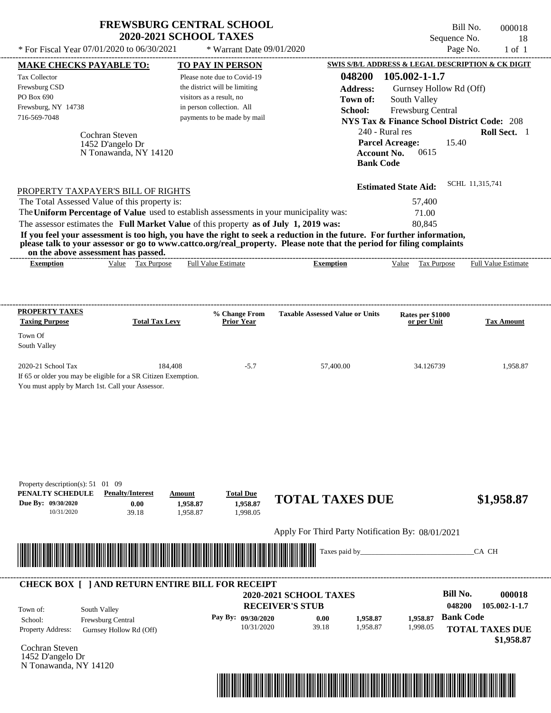| <b>FREWSBURG CENTRAL SCHOOL</b> |  |
|---------------------------------|--|
| <b>2020-2021 SCHOOL TAXES</b>   |  |

Bill No. 000018 Sequence No. 18

| * For Fiscal Year 07/01/2020 to 06/30/2021                                                                                                                                                                                                                                                                                                                                                                                                                                                                                  | * Warrant Date 09/01/2020                                                                                                                            |                                                                                                               | Page No.                                                                                                                                                                           | $1$ of $1$                                            |
|-----------------------------------------------------------------------------------------------------------------------------------------------------------------------------------------------------------------------------------------------------------------------------------------------------------------------------------------------------------------------------------------------------------------------------------------------------------------------------------------------------------------------------|------------------------------------------------------------------------------------------------------------------------------------------------------|---------------------------------------------------------------------------------------------------------------|------------------------------------------------------------------------------------------------------------------------------------------------------------------------------------|-------------------------------------------------------|
| <b>MAKE CHECKS PAYABLE TO:</b>                                                                                                                                                                                                                                                                                                                                                                                                                                                                                              | <b>TO PAY IN PERSON</b>                                                                                                                              |                                                                                                               | SWIS S/B/L ADDRESS & LEGAL DESCRIPTION & CK DIGIT                                                                                                                                  |                                                       |
| Tax Collector<br>Frewsburg CSD<br>PO Box 690<br>Frewsburg, NY 14738<br>716-569-7048<br>Cochran Steven<br>1452 D'angelo Dr<br>N Tonawanda, NY 14120                                                                                                                                                                                                                                                                                                                                                                          | Please note due to Covid-19<br>the district will be limiting<br>visitors as a result, no<br>in person collection. All<br>payments to be made by mail | 048200<br><b>Address:</b><br>Town of:<br>School:<br>240 - Rural res<br><b>Account No.</b><br><b>Bank Code</b> | 105.002-1-1.7<br>Gurnsey Hollow Rd (Off)<br>South Valley<br>Frewsburg Central<br><b>NYS Tax &amp; Finance School District Code: 208</b><br><b>Parcel Acreage:</b><br>15.40<br>0615 | Roll Sect. 1                                          |
| PROPERTY TAXPAYER'S BILL OF RIGHTS<br>The Total Assessed Value of this property is:<br>The Uniform Percentage of Value used to establish assessments in your municipality was:<br>The assessor estimates the Full Market Value of this property as of July 1, 2019 was:<br>If you feel your assessment is too high, you have the right to seek a reduction in the future. For further information,<br>please talk to your assessor or go to www.cattco.org/real_property. Please note that the period for filing complaints |                                                                                                                                                      |                                                                                                               | <b>Estimated State Aid:</b><br>57,400<br>71.00<br>80.845                                                                                                                           | SCHL 11,315,741                                       |
| on the above assessment has passed.<br>Value Tax Purpose<br><b>Exemption</b>                                                                                                                                                                                                                                                                                                                                                                                                                                                | Full Value Estimate                                                                                                                                  | <b>Exemption</b>                                                                                              | Tax Purpose<br>Value                                                                                                                                                               | Full Value Estimate                                   |
| <b>PROPERTY TAXES</b><br><b>Taxing Purpose</b><br><b>Total Tax Levy</b><br>Town Of                                                                                                                                                                                                                                                                                                                                                                                                                                          | % Change From<br><b>Prior Year</b>                                                                                                                   | <b>Taxable Assessed Value or Units</b>                                                                        | Rates per \$1000<br>or per Unit                                                                                                                                                    | <b>Tax Amount</b>                                     |
| South Valley                                                                                                                                                                                                                                                                                                                                                                                                                                                                                                                |                                                                                                                                                      |                                                                                                               |                                                                                                                                                                                    |                                                       |
| 2020-21 School Tax<br>184.408<br>If 65 or older you may be eligible for a SR Citizen Exemption.<br>You must apply by March 1st. Call your Assessor.                                                                                                                                                                                                                                                                                                                                                                         | $-5.7$                                                                                                                                               | 57,400.00                                                                                                     | 34.126739                                                                                                                                                                          | 1,958.87                                              |
| Property description(s): 51 01 09<br>PENALTY SCHEDULE<br><b>Penalty/Interest</b><br>Due By: 09/30/2020<br>0.00<br>10/31/2020<br>39.18                                                                                                                                                                                                                                                                                                                                                                                       | <b>Total Due</b><br>Amount<br>1,958.87<br>1,958.87<br>1,998.05<br>1,958.87                                                                           | <b>TOTAL TAXES DUE</b>                                                                                        |                                                                                                                                                                                    | \$1,958.87                                            |
|                                                                                                                                                                                                                                                                                                                                                                                                                                                                                                                             |                                                                                                                                                      | Apply For Third Party Notification By: 08/01/2021                                                             |                                                                                                                                                                                    |                                                       |
|                                                                                                                                                                                                                                                                                                                                                                                                                                                                                                                             |                                                                                                                                                      | Taxes paid by_                                                                                                |                                                                                                                                                                                    | CA CH                                                 |
| <b>CHECK BOX [ ] AND RETURN ENTIRE BILL FOR RECEIPT</b>                                                                                                                                                                                                                                                                                                                                                                                                                                                                     |                                                                                                                                                      |                                                                                                               | <b>Bill No.</b>                                                                                                                                                                    | 000018                                                |
| South Valley<br>Town of:<br>School:<br>Frewsburg Central<br>Property Address:<br>Gurnsey Hollow Rd (Off)                                                                                                                                                                                                                                                                                                                                                                                                                    | Pay By: 09/30/2020<br>10/31/2020                                                                                                                     | <b>2020-2021 SCHOOL TAXES</b><br><b>RECEIVER'S STUB</b><br>1,958.87<br>0.00<br>39.18<br>1,958.87              | 048200<br><b>Bank Code</b><br>1,958.87<br>1,998.05                                                                                                                                 | 105.002-1-1.7<br><b>TOTAL TAXES DUE</b><br>\$1,958.87 |
| Cochran Steven<br>1452 D'angelo Dr<br>N Tonawanda, NY 14120                                                                                                                                                                                                                                                                                                                                                                                                                                                                 |                                                                                                                                                      |                                                                                                               |                                                                                                                                                                                    |                                                       |

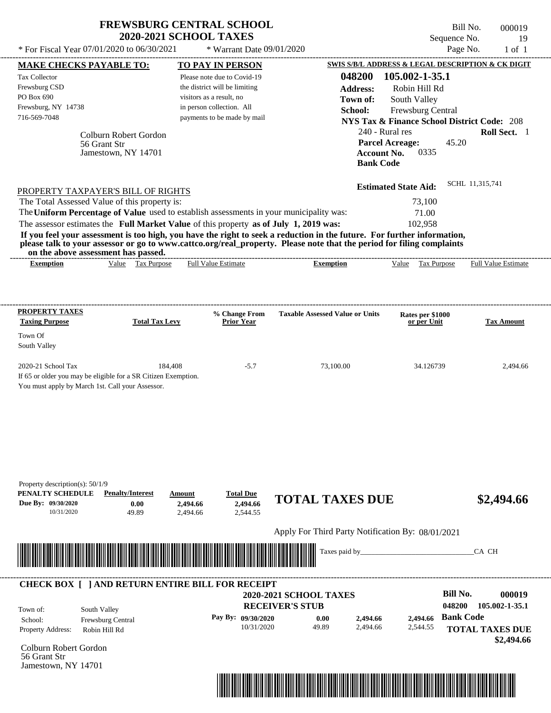| Page No.<br>* For Fiscal Year 07/01/2020 to 06/30/2021<br>* Warrant Date 09/01/2020<br>$1$ of $1$<br>SWIS S/B/L ADDRESS & LEGAL DESCRIPTION & CK DIGIT<br><b>MAKE CHECKS PAYABLE TO:</b><br>TO PAY IN PERSON<br>048200<br>105.002-1-35.1<br><b>Tax Collector</b><br>Please note due to Covid-19<br>Frewsburg CSD<br>the district will be limiting<br>Robin Hill Rd<br><b>Address:</b><br>PO Box 690<br>visitors as a result, no<br>Town of:<br>South Valley<br>Frewsburg, NY 14738<br>in person collection. All<br>Frewsburg Central<br>School:<br>716-569-7048<br>payments to be made by mail<br><b>NYS Tax &amp; Finance School District Code: 208</b><br>240 - Rural res<br>Roll Sect. 1<br>Colburn Robert Gordon<br><b>Parcel Acreage:</b><br>45.20<br>56 Grant Str<br>0335<br>Jamestown, NY 14701<br><b>Account No.</b><br><b>Bank Code</b><br>SCHL 11,315,741<br><b>Estimated State Aid:</b><br>PROPERTY TAXPAYER'S BILL OF RIGHTS<br>The Total Assessed Value of this property is:<br>73,100<br>The Uniform Percentage of Value used to establish assessments in your municipality was:<br>71.00<br>The assessor estimates the Full Market Value of this property as of July 1, 2019 was:<br>102,958<br>If you feel your assessment is too high, you have the right to seek a reduction in the future. For further information,<br>please talk to your assessor or go to www.cattco.org/real_property. Please note that the period for filing complaints<br>on the above assessment has passed.<br>Value Tax Purpose<br><b>Full Value Estimate</b><br><b>Full Value Estimate</b><br><b>Exemption</b><br><b>Exemption</b><br>Value Tax Purpose<br>PROPERTY TAXES<br><b>Taxable Assessed Value or Units</b><br>% Change From<br>Rates per \$1000<br><b>Taxing Purpose</b><br><b>Total Tax Levy</b><br><b>Prior Year</b><br><b>Tax Amount</b><br>or per Unit<br>Town Of<br>South Valley<br>2020-21 School Tax<br>184,408<br>$-5.7$<br>73,100.00<br>34.126739<br>2,494.66 |
|------------------------------------------------------------------------------------------------------------------------------------------------------------------------------------------------------------------------------------------------------------------------------------------------------------------------------------------------------------------------------------------------------------------------------------------------------------------------------------------------------------------------------------------------------------------------------------------------------------------------------------------------------------------------------------------------------------------------------------------------------------------------------------------------------------------------------------------------------------------------------------------------------------------------------------------------------------------------------------------------------------------------------------------------------------------------------------------------------------------------------------------------------------------------------------------------------------------------------------------------------------------------------------------------------------------------------------------------------------------------------------------------------------------------------------------------------------------------------------------------------------------------------------------------------------------------------------------------------------------------------------------------------------------------------------------------------------------------------------------------------------------------------------------------------------------------------------------------------------------------------------------------------------------------------------------------------------------------------|
|                                                                                                                                                                                                                                                                                                                                                                                                                                                                                                                                                                                                                                                                                                                                                                                                                                                                                                                                                                                                                                                                                                                                                                                                                                                                                                                                                                                                                                                                                                                                                                                                                                                                                                                                                                                                                                                                                                                                                                              |
|                                                                                                                                                                                                                                                                                                                                                                                                                                                                                                                                                                                                                                                                                                                                                                                                                                                                                                                                                                                                                                                                                                                                                                                                                                                                                                                                                                                                                                                                                                                                                                                                                                                                                                                                                                                                                                                                                                                                                                              |
|                                                                                                                                                                                                                                                                                                                                                                                                                                                                                                                                                                                                                                                                                                                                                                                                                                                                                                                                                                                                                                                                                                                                                                                                                                                                                                                                                                                                                                                                                                                                                                                                                                                                                                                                                                                                                                                                                                                                                                              |
|                                                                                                                                                                                                                                                                                                                                                                                                                                                                                                                                                                                                                                                                                                                                                                                                                                                                                                                                                                                                                                                                                                                                                                                                                                                                                                                                                                                                                                                                                                                                                                                                                                                                                                                                                                                                                                                                                                                                                                              |
|                                                                                                                                                                                                                                                                                                                                                                                                                                                                                                                                                                                                                                                                                                                                                                                                                                                                                                                                                                                                                                                                                                                                                                                                                                                                                                                                                                                                                                                                                                                                                                                                                                                                                                                                                                                                                                                                                                                                                                              |
|                                                                                                                                                                                                                                                                                                                                                                                                                                                                                                                                                                                                                                                                                                                                                                                                                                                                                                                                                                                                                                                                                                                                                                                                                                                                                                                                                                                                                                                                                                                                                                                                                                                                                                                                                                                                                                                                                                                                                                              |
| If 65 or older you may be eligible for a SR Citizen Exemption.<br>You must apply by March 1st. Call your Assessor.                                                                                                                                                                                                                                                                                                                                                                                                                                                                                                                                                                                                                                                                                                                                                                                                                                                                                                                                                                                                                                                                                                                                                                                                                                                                                                                                                                                                                                                                                                                                                                                                                                                                                                                                                                                                                                                           |
| Property description(s): $50/1/9$<br>PENALTY SCHEDULE<br><b>Penalty/Interest</b><br><b>Total Due</b><br>Amount<br><b>TOTAL TAXES DUE</b><br>\$2,494.66<br>Due By: 09/30/2020<br>0.00<br>2,494.66<br>2,494.66<br>10/31/2020<br>49.89<br>2,544.55<br>2.494.66                                                                                                                                                                                                                                                                                                                                                                                                                                                                                                                                                                                                                                                                                                                                                                                                                                                                                                                                                                                                                                                                                                                                                                                                                                                                                                                                                                                                                                                                                                                                                                                                                                                                                                                  |
| Apply For Third Party Notification By: 08/01/2021<br>Taxes paid by_<br>CA CH                                                                                                                                                                                                                                                                                                                                                                                                                                                                                                                                                                                                                                                                                                                                                                                                                                                                                                                                                                                                                                                                                                                                                                                                                                                                                                                                                                                                                                                                                                                                                                                                                                                                                                                                                                                                                                                                                                 |

Colburn Robert Gordon 56 Grant Str Jamestown, NY 14701

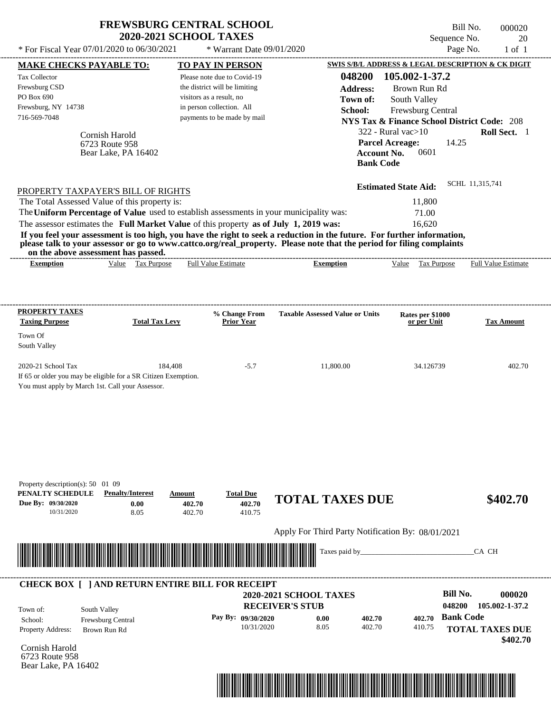|                                                                                                                                          |                                         | <b>FREWSBURG CENTRAL SCHOOL</b><br><b>2020-2021 SCHOOL TAXES</b>                        |                                                                                                                                                                                                                                                                      | Sequence No.                                           | Bill No.<br>000020<br>20 |
|------------------------------------------------------------------------------------------------------------------------------------------|-----------------------------------------|-----------------------------------------------------------------------------------------|----------------------------------------------------------------------------------------------------------------------------------------------------------------------------------------------------------------------------------------------------------------------|--------------------------------------------------------|--------------------------|
| * For Fiscal Year 07/01/2020 to 06/30/2021                                                                                               |                                         | * Warrant Date 09/01/2020                                                               |                                                                                                                                                                                                                                                                      | Page No.                                               | $1$ of $1$               |
| <b>MAKE CHECKS PAYABLE TO:</b>                                                                                                           |                                         | TO PAY IN PERSON                                                                        |                                                                                                                                                                                                                                                                      | SWIS S/B/L ADDRESS & LEGAL DESCRIPTION & CK DIGIT      |                          |
| <b>Tax Collector</b>                                                                                                                     |                                         | Please note due to Covid-19                                                             | 048200                                                                                                                                                                                                                                                               | 105.002-1-37.2                                         |                          |
| Frewsburg CSD                                                                                                                            |                                         | the district will be limiting                                                           | <b>Address:</b>                                                                                                                                                                                                                                                      | Brown Run Rd                                           |                          |
| PO Box 690                                                                                                                               |                                         | visitors as a result, no                                                                | Town of:                                                                                                                                                                                                                                                             | South Valley                                           |                          |
| Frewsburg, NY 14738                                                                                                                      |                                         | in person collection. All                                                               | School:                                                                                                                                                                                                                                                              | Frewsburg Central                                      |                          |
| 716-569-7048                                                                                                                             |                                         | payments to be made by mail                                                             |                                                                                                                                                                                                                                                                      | <b>NYS Tax &amp; Finance School District Code: 208</b> |                          |
|                                                                                                                                          | Cornish Harold                          |                                                                                         |                                                                                                                                                                                                                                                                      | $322$ - Rural vac $>10$                                | Roll Sect. 1             |
|                                                                                                                                          | 6723 Route 958<br>Bear Lake, PA 16402   |                                                                                         | <b>Account No.</b><br><b>Bank Code</b>                                                                                                                                                                                                                               | <b>Parcel Acreage:</b><br>14.25<br>0601                |                          |
| PROPERTY TAXPAYER'S BILL OF RIGHTS                                                                                                       |                                         |                                                                                         |                                                                                                                                                                                                                                                                      | <b>Estimated State Aid:</b>                            | SCHL 11,315,741          |
| The Total Assessed Value of this property is:                                                                                            |                                         |                                                                                         |                                                                                                                                                                                                                                                                      | 11,800                                                 |                          |
|                                                                                                                                          |                                         | The Uniform Percentage of Value used to establish assessments in your municipality was: |                                                                                                                                                                                                                                                                      | 71.00                                                  |                          |
|                                                                                                                                          |                                         | The assessor estimates the Full Market Value of this property as of July 1, 2019 was:   |                                                                                                                                                                                                                                                                      | 16,620                                                 |                          |
| on the above assessment has passed.<br><b>Exemption</b>                                                                                  | Value Tax Purpose                       | <b>Full Value Estimate</b>                                                              | If you feel your assessment is too high, you have the right to seek a reduction in the future. For further information,<br>please talk to your assessor or go to www.cattco.org/real_property. Please note that the period for filing complaints<br><b>Exemption</b> | Value<br>Tax Purpose                                   | Full Value Estimate      |
|                                                                                                                                          |                                         |                                                                                         |                                                                                                                                                                                                                                                                      |                                                        |                          |
|                                                                                                                                          |                                         |                                                                                         |                                                                                                                                                                                                                                                                      |                                                        |                          |
| <b>PROPERTY TAXES</b>                                                                                                                    |                                         | % Change From                                                                           | <b>Taxable Assessed Value or Units</b>                                                                                                                                                                                                                               | Rates per \$1000                                       |                          |
| <b>Taxing Purpose</b>                                                                                                                    | <b>Total Tax Levy</b>                   | Prior Year                                                                              |                                                                                                                                                                                                                                                                      | or per Unit                                            | <b>Tax Amount</b>        |
| Town Of                                                                                                                                  |                                         |                                                                                         |                                                                                                                                                                                                                                                                      |                                                        |                          |
| South Valley                                                                                                                             |                                         |                                                                                         |                                                                                                                                                                                                                                                                      |                                                        |                          |
| 2020-21 School Tax<br>If 65 or older you may be eligible for a SR Citizen Exemption.<br>You must apply by March 1st. Call your Assessor. | 184,408                                 | $-5.7$                                                                                  | 11,800.00                                                                                                                                                                                                                                                            | 34.126739                                              | 402.70                   |
| Property description(s): 50 01 09<br>PENALTY SCHEDULE<br>Due By: 09/30/2020<br>10/31/2020                                                | <b>Penalty/Interest</b><br>0.00<br>8.05 | <b>Total Due</b><br>Amount<br>402.70<br>402.70<br>402.70<br>410.75                      | <b>TOTAL TAXES DUE</b>                                                                                                                                                                                                                                               |                                                        | \$402.70                 |
|                                                                                                                                          |                                         |                                                                                         |                                                                                                                                                                                                                                                                      |                                                        |                          |
|                                                                                                                                          |                                         |                                                                                         | Apply For Third Party Notification By: 08/01/2021                                                                                                                                                                                                                    |                                                        |                          |
|                                                                                                                                          |                                         |                                                                                         | Taxes paid by_                                                                                                                                                                                                                                                       |                                                        | CA CH                    |
| South Valley<br>Town of:                                                                                                                 |                                         | <b>CHECK BOX [ ] AND RETURN ENTIRE BILL FOR RECEIPT</b>                                 | <b>2020-2021 SCHOOL TAXES</b><br><b>RECEIVER'S STUB</b>                                                                                                                                                                                                              | <b>Bill No.</b><br>048200                              | 000020<br>105.002-1-37.2 |
| School:                                                                                                                                  | Frewsburg Central                       | Pay By: 09/30/2020                                                                      | 0.00<br>402.70                                                                                                                                                                                                                                                       | <b>Bank Code</b><br>402.70                             |                          |

6723 Route 958 Bear Lake, PA 16402

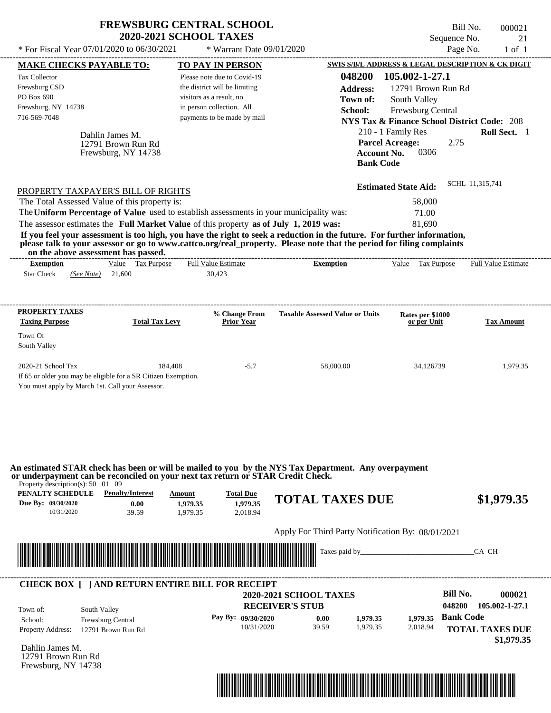|                                                                                                                            |                                                              | <b>FREWSBURG CENTRAL SCHOOL</b><br><b>2020-2021 SCHOOL TAXES</b>                                                                                     |                                                                                                                                                                                                                                                                      | Sequence No.                                                                                                                                                                                                                                  | Bill No.<br>000021<br>21   |
|----------------------------------------------------------------------------------------------------------------------------|--------------------------------------------------------------|------------------------------------------------------------------------------------------------------------------------------------------------------|----------------------------------------------------------------------------------------------------------------------------------------------------------------------------------------------------------------------------------------------------------------------|-----------------------------------------------------------------------------------------------------------------------------------------------------------------------------------------------------------------------------------------------|----------------------------|
| * For Fiscal Year 07/01/2020 to 06/30/2021                                                                                 |                                                              | * Warrant Date 09/01/2020                                                                                                                            |                                                                                                                                                                                                                                                                      |                                                                                                                                                                                                                                               | Page No.<br>$1$ of $1$     |
| <b>MAKE CHECKS PAYABLE TO:</b>                                                                                             |                                                              | TO PAY IN PERSON                                                                                                                                     |                                                                                                                                                                                                                                                                      | SWIS S/B/L ADDRESS & LEGAL DESCRIPTION & CK DIGIT                                                                                                                                                                                             |                            |
| <b>Tax Collector</b><br>Frewsburg CSD<br>PO Box 690<br>Frewsburg, NY 14738<br>716-569-7048                                 | Dahlin James M.<br>12791 Brown Run Rd<br>Frewsburg, NY 14738 | Please note due to Covid-19<br>the district will be limiting<br>visitors as a result, no<br>in person collection. All<br>payments to be made by mail | 048200<br><b>Address:</b><br>Town of:<br>School:                                                                                                                                                                                                                     | 105.002-1-27.1<br>12791 Brown Run Rd<br>South Valley<br>Frewsburg Central<br><b>NYS Tax &amp; Finance School District Code: 208</b><br>210 - 1 Family Res<br><b>Parcel Acreage:</b><br>2.75<br>0306<br><b>Account No.</b><br><b>Bank Code</b> | Roll Sect. 1               |
| PROPERTY TAXPAYER'S BILL OF RIGHTS<br>The Total Assessed Value of this property is:                                        |                                                              |                                                                                                                                                      |                                                                                                                                                                                                                                                                      | <b>Estimated State Aid:</b><br>58,000                                                                                                                                                                                                         | SCHL 11,315,741            |
|                                                                                                                            |                                                              |                                                                                                                                                      |                                                                                                                                                                                                                                                                      | 71.00                                                                                                                                                                                                                                         |                            |
|                                                                                                                            |                                                              |                                                                                                                                                      |                                                                                                                                                                                                                                                                      |                                                                                                                                                                                                                                               |                            |
| on the above assessment has passed.<br><b>Exemption</b>                                                                    | Value Tax Purpose                                            | The assessor estimates the Full Market Value of this property as of July 1, 2019 was:<br><b>Full Value Estimate</b>                                  | If you feel your assessment is too high, you have the right to seek a reduction in the future. For further information,<br>please talk to your assessor or go to www.cattco.org/real property. Please note that the period for filing complaints<br><b>Exemption</b> | 81,690<br>Value Tax Purpose                                                                                                                                                                                                                   | <b>Full Value Estimate</b> |
| The Uniform Percentage of Value used to establish assessments in your municipality was:<br><b>Star Check</b><br>(See Note) | 21,600                                                       | 30,423                                                                                                                                               |                                                                                                                                                                                                                                                                      |                                                                                                                                                                                                                                               |                            |
| PROPERTY TAXES<br><b>Taxing Purpose</b><br>Town Of<br>South Valley                                                         | <b>Total Tax Levy</b>                                        | % Change From<br><b>Prior Year</b>                                                                                                                   | <b>Taxable Assessed Value or Units</b>                                                                                                                                                                                                                               | Rates per \$1000<br>or per Unit                                                                                                                                                                                                               | <b>Tax Amount</b>          |

| тералт эсперсее    | a chan wante col | Ашоиш    | Total Duc |                                                            |            |
|--------------------|------------------|----------|-----------|------------------------------------------------------------|------------|
| Due By: 09/30/2020 | 0.00             | 1.979.35 | 1.979.35  | <b>TOTAL TAXES DUE</b>                                     | \$1,979.35 |
| 10/31/2020         | 39.59            | 1.979.35 | 2.018.94  |                                                            |            |
|                    |                  |          |           | Apply For Third Party Notification By: 08/01/2021          |            |
|                    |                  |          |           | <b>Taxes paid by Taxes paid by Taxes paid by Taxes (2)</b> | CA CH      |



\*04820000002100000000197935\*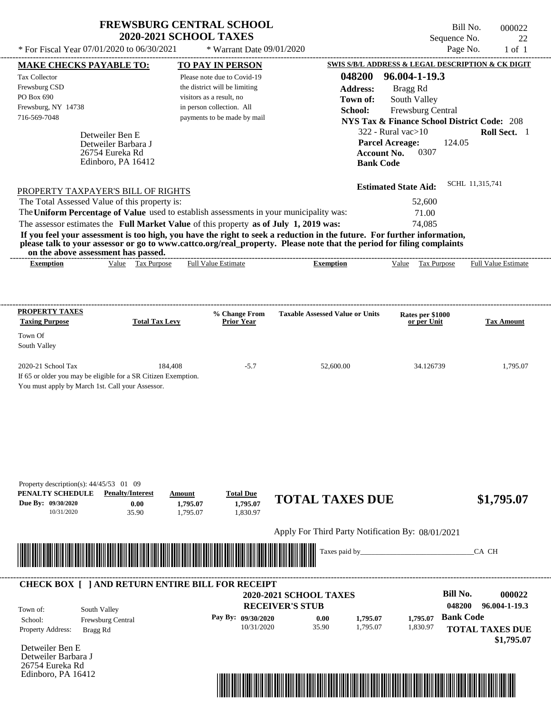| <b>FREWSBURG CENTRAL SCHOOL</b> |
|---------------------------------|
| <b>2020-2021 SCHOOL TAXES</b>   |

Bill No. 000022 Sequence No. 22<br>Page No. 22<br>1 of 1

| 048200<br>96.004-1-19.3<br>Please note due to Covid-19<br>the district will be limiting<br><b>Address:</b><br>Bragg Rd<br>visitors as a result, no<br>Town of:<br>South Valley<br>in person collection. All<br>School:<br>Frewsburg Central<br>payments to be made by mail<br><b>NYS Tax &amp; Finance School District Code: 208</b><br>$322$ - Rural vac $>10$<br>Detweiler Ben E<br><b>Parcel Acreage:</b><br>124.05<br>Detweiler Barbara J<br>0307<br>26754 Eureka Rd<br><b>Account No.</b><br>Edinboro, PA 16412<br><b>Bank Code</b><br>SCHL 11,315,741<br><b>Estimated State Aid:</b><br>PROPERTY TAXPAYER'S BILL OF RIGHTS<br>The Total Assessed Value of this property is:<br>52,600<br>The Uniform Percentage of Value used to establish assessments in your municipality was:<br>71.00<br>The assessor estimates the Full Market Value of this property as of July 1, 2019 was:<br>74,085<br>If you feel your assessment is too high, you have the right to seek a reduction in the future. For further information,<br>please talk to your assessor or go to www.cattco.org/real_property. Please note that the period for filing complaints<br>on the above assessment has passed.<br>Value Tax Purpose<br><b>Full Value Estimate</b><br><b>Exemption</b><br>Value Tax Purpose<br><b>Exemption</b><br><b>Taxable Assessed Value or Units</b><br>% Change From<br>Rates per \$1000<br><b>Total Tax Levy</b><br><b>Prior Year</b><br>or per Unit<br>184,408<br>$-5.7$<br>52,600.00<br>34.126739<br>If 65 or older you may be eligible for a SR Citizen Exemption.<br>You must apply by March 1st. Call your Assessor.<br>Property description(s): $44/45/53$ 01 09<br><b>Penalty/Interest</b><br><b>Total Due</b><br>Amount<br><b>TOTAL TAXES DUE</b><br>0.00<br>1,795.07<br>1,795.07<br>1,830.97<br>10/31/2020<br>35.90<br>1,795.07<br>Apply For Third Party Notification By: 08/01/2021<br>Taxes paid by_<br>CA CH<br><b>CHECK BOX [ ] AND RETURN ENTIRE BILL FOR RECEIPT</b><br><b>Bill No.</b><br><b>2020-2021 SCHOOL TAXES</b><br>048200<br>96.004-1-19.3<br><b>RECEIVER'S STUB</b><br>South Valley<br><b>Bank Code</b><br>Pay By: 09/30/2020<br>1,795.07<br>0.00<br>1,795.07<br>Frewsburg Central<br>35.90<br>10/31/2020<br>1,795.07<br>1,830.97<br><b>TOTAL TAXES DUE</b><br>Bragg Rd | <b>MAKE CHECKS PAYABLE TO:</b>                            | <b>TO PAY IN PERSON</b> | <b>SWIS S/B/L ADDRESS &amp; LEGAL DESCRIPTION &amp; CK DIGIT</b> |                            |
|-------------------------------------------------------------------------------------------------------------------------------------------------------------------------------------------------------------------------------------------------------------------------------------------------------------------------------------------------------------------------------------------------------------------------------------------------------------------------------------------------------------------------------------------------------------------------------------------------------------------------------------------------------------------------------------------------------------------------------------------------------------------------------------------------------------------------------------------------------------------------------------------------------------------------------------------------------------------------------------------------------------------------------------------------------------------------------------------------------------------------------------------------------------------------------------------------------------------------------------------------------------------------------------------------------------------------------------------------------------------------------------------------------------------------------------------------------------------------------------------------------------------------------------------------------------------------------------------------------------------------------------------------------------------------------------------------------------------------------------------------------------------------------------------------------------------------------------------------------------------------------------------------------------------------------------------------------------------------------------------------------------------------------------------------------------------------------------------------------------------------------------------------------------------------------------------------------------------------------------------------------------------------------------------------------|-----------------------------------------------------------|-------------------------|------------------------------------------------------------------|----------------------------|
|                                                                                                                                                                                                                                                                                                                                                                                                                                                                                                                                                                                                                                                                                                                                                                                                                                                                                                                                                                                                                                                                                                                                                                                                                                                                                                                                                                                                                                                                                                                                                                                                                                                                                                                                                                                                                                                                                                                                                                                                                                                                                                                                                                                                                                                                                                       | <b>Tax Collector</b>                                      |                         |                                                                  |                            |
|                                                                                                                                                                                                                                                                                                                                                                                                                                                                                                                                                                                                                                                                                                                                                                                                                                                                                                                                                                                                                                                                                                                                                                                                                                                                                                                                                                                                                                                                                                                                                                                                                                                                                                                                                                                                                                                                                                                                                                                                                                                                                                                                                                                                                                                                                                       | Frewsburg CSD                                             |                         |                                                                  |                            |
|                                                                                                                                                                                                                                                                                                                                                                                                                                                                                                                                                                                                                                                                                                                                                                                                                                                                                                                                                                                                                                                                                                                                                                                                                                                                                                                                                                                                                                                                                                                                                                                                                                                                                                                                                                                                                                                                                                                                                                                                                                                                                                                                                                                                                                                                                                       | PO Box 690                                                |                         |                                                                  |                            |
|                                                                                                                                                                                                                                                                                                                                                                                                                                                                                                                                                                                                                                                                                                                                                                                                                                                                                                                                                                                                                                                                                                                                                                                                                                                                                                                                                                                                                                                                                                                                                                                                                                                                                                                                                                                                                                                                                                                                                                                                                                                                                                                                                                                                                                                                                                       | Frewsburg, NY 14738                                       |                         |                                                                  |                            |
|                                                                                                                                                                                                                                                                                                                                                                                                                                                                                                                                                                                                                                                                                                                                                                                                                                                                                                                                                                                                                                                                                                                                                                                                                                                                                                                                                                                                                                                                                                                                                                                                                                                                                                                                                                                                                                                                                                                                                                                                                                                                                                                                                                                                                                                                                                       | 716-569-7048                                              |                         |                                                                  |                            |
|                                                                                                                                                                                                                                                                                                                                                                                                                                                                                                                                                                                                                                                                                                                                                                                                                                                                                                                                                                                                                                                                                                                                                                                                                                                                                                                                                                                                                                                                                                                                                                                                                                                                                                                                                                                                                                                                                                                                                                                                                                                                                                                                                                                                                                                                                                       |                                                           |                         |                                                                  | Roll Sect. 1               |
|                                                                                                                                                                                                                                                                                                                                                                                                                                                                                                                                                                                                                                                                                                                                                                                                                                                                                                                                                                                                                                                                                                                                                                                                                                                                                                                                                                                                                                                                                                                                                                                                                                                                                                                                                                                                                                                                                                                                                                                                                                                                                                                                                                                                                                                                                                       |                                                           |                         |                                                                  |                            |
|                                                                                                                                                                                                                                                                                                                                                                                                                                                                                                                                                                                                                                                                                                                                                                                                                                                                                                                                                                                                                                                                                                                                                                                                                                                                                                                                                                                                                                                                                                                                                                                                                                                                                                                                                                                                                                                                                                                                                                                                                                                                                                                                                                                                                                                                                                       |                                                           |                         |                                                                  |                            |
|                                                                                                                                                                                                                                                                                                                                                                                                                                                                                                                                                                                                                                                                                                                                                                                                                                                                                                                                                                                                                                                                                                                                                                                                                                                                                                                                                                                                                                                                                                                                                                                                                                                                                                                                                                                                                                                                                                                                                                                                                                                                                                                                                                                                                                                                                                       |                                                           |                         |                                                                  |                            |
|                                                                                                                                                                                                                                                                                                                                                                                                                                                                                                                                                                                                                                                                                                                                                                                                                                                                                                                                                                                                                                                                                                                                                                                                                                                                                                                                                                                                                                                                                                                                                                                                                                                                                                                                                                                                                                                                                                                                                                                                                                                                                                                                                                                                                                                                                                       |                                                           |                         |                                                                  |                            |
|                                                                                                                                                                                                                                                                                                                                                                                                                                                                                                                                                                                                                                                                                                                                                                                                                                                                                                                                                                                                                                                                                                                                                                                                                                                                                                                                                                                                                                                                                                                                                                                                                                                                                                                                                                                                                                                                                                                                                                                                                                                                                                                                                                                                                                                                                                       |                                                           |                         |                                                                  |                            |
|                                                                                                                                                                                                                                                                                                                                                                                                                                                                                                                                                                                                                                                                                                                                                                                                                                                                                                                                                                                                                                                                                                                                                                                                                                                                                                                                                                                                                                                                                                                                                                                                                                                                                                                                                                                                                                                                                                                                                                                                                                                                                                                                                                                                                                                                                                       |                                                           |                         |                                                                  |                            |
|                                                                                                                                                                                                                                                                                                                                                                                                                                                                                                                                                                                                                                                                                                                                                                                                                                                                                                                                                                                                                                                                                                                                                                                                                                                                                                                                                                                                                                                                                                                                                                                                                                                                                                                                                                                                                                                                                                                                                                                                                                                                                                                                                                                                                                                                                                       |                                                           |                         |                                                                  |                            |
|                                                                                                                                                                                                                                                                                                                                                                                                                                                                                                                                                                                                                                                                                                                                                                                                                                                                                                                                                                                                                                                                                                                                                                                                                                                                                                                                                                                                                                                                                                                                                                                                                                                                                                                                                                                                                                                                                                                                                                                                                                                                                                                                                                                                                                                                                                       |                                                           |                         |                                                                  |                            |
|                                                                                                                                                                                                                                                                                                                                                                                                                                                                                                                                                                                                                                                                                                                                                                                                                                                                                                                                                                                                                                                                                                                                                                                                                                                                                                                                                                                                                                                                                                                                                                                                                                                                                                                                                                                                                                                                                                                                                                                                                                                                                                                                                                                                                                                                                                       |                                                           |                         |                                                                  |                            |
|                                                                                                                                                                                                                                                                                                                                                                                                                                                                                                                                                                                                                                                                                                                                                                                                                                                                                                                                                                                                                                                                                                                                                                                                                                                                                                                                                                                                                                                                                                                                                                                                                                                                                                                                                                                                                                                                                                                                                                                                                                                                                                                                                                                                                                                                                                       |                                                           |                         |                                                                  |                            |
|                                                                                                                                                                                                                                                                                                                                                                                                                                                                                                                                                                                                                                                                                                                                                                                                                                                                                                                                                                                                                                                                                                                                                                                                                                                                                                                                                                                                                                                                                                                                                                                                                                                                                                                                                                                                                                                                                                                                                                                                                                                                                                                                                                                                                                                                                                       |                                                           |                         |                                                                  | <b>Full Value Estimate</b> |
|                                                                                                                                                                                                                                                                                                                                                                                                                                                                                                                                                                                                                                                                                                                                                                                                                                                                                                                                                                                                                                                                                                                                                                                                                                                                                                                                                                                                                                                                                                                                                                                                                                                                                                                                                                                                                                                                                                                                                                                                                                                                                                                                                                                                                                                                                                       |                                                           |                         |                                                                  |                            |
|                                                                                                                                                                                                                                                                                                                                                                                                                                                                                                                                                                                                                                                                                                                                                                                                                                                                                                                                                                                                                                                                                                                                                                                                                                                                                                                                                                                                                                                                                                                                                                                                                                                                                                                                                                                                                                                                                                                                                                                                                                                                                                                                                                                                                                                                                                       |                                                           |                         |                                                                  |                            |
|                                                                                                                                                                                                                                                                                                                                                                                                                                                                                                                                                                                                                                                                                                                                                                                                                                                                                                                                                                                                                                                                                                                                                                                                                                                                                                                                                                                                                                                                                                                                                                                                                                                                                                                                                                                                                                                                                                                                                                                                                                                                                                                                                                                                                                                                                                       | PROPERTY TAXES                                            |                         |                                                                  |                            |
|                                                                                                                                                                                                                                                                                                                                                                                                                                                                                                                                                                                                                                                                                                                                                                                                                                                                                                                                                                                                                                                                                                                                                                                                                                                                                                                                                                                                                                                                                                                                                                                                                                                                                                                                                                                                                                                                                                                                                                                                                                                                                                                                                                                                                                                                                                       | <b>Taxing Purpose</b>                                     |                         |                                                                  | <b>Tax Amount</b>          |
|                                                                                                                                                                                                                                                                                                                                                                                                                                                                                                                                                                                                                                                                                                                                                                                                                                                                                                                                                                                                                                                                                                                                                                                                                                                                                                                                                                                                                                                                                                                                                                                                                                                                                                                                                                                                                                                                                                                                                                                                                                                                                                                                                                                                                                                                                                       | Town Of                                                   |                         |                                                                  |                            |
|                                                                                                                                                                                                                                                                                                                                                                                                                                                                                                                                                                                                                                                                                                                                                                                                                                                                                                                                                                                                                                                                                                                                                                                                                                                                                                                                                                                                                                                                                                                                                                                                                                                                                                                                                                                                                                                                                                                                                                                                                                                                                                                                                                                                                                                                                                       | South Valley                                              |                         |                                                                  |                            |
|                                                                                                                                                                                                                                                                                                                                                                                                                                                                                                                                                                                                                                                                                                                                                                                                                                                                                                                                                                                                                                                                                                                                                                                                                                                                                                                                                                                                                                                                                                                                                                                                                                                                                                                                                                                                                                                                                                                                                                                                                                                                                                                                                                                                                                                                                                       |                                                           |                         |                                                                  |                            |
|                                                                                                                                                                                                                                                                                                                                                                                                                                                                                                                                                                                                                                                                                                                                                                                                                                                                                                                                                                                                                                                                                                                                                                                                                                                                                                                                                                                                                                                                                                                                                                                                                                                                                                                                                                                                                                                                                                                                                                                                                                                                                                                                                                                                                                                                                                       | 2020-21 School Tax                                        |                         |                                                                  | 1,795.07                   |
|                                                                                                                                                                                                                                                                                                                                                                                                                                                                                                                                                                                                                                                                                                                                                                                                                                                                                                                                                                                                                                                                                                                                                                                                                                                                                                                                                                                                                                                                                                                                                                                                                                                                                                                                                                                                                                                                                                                                                                                                                                                                                                                                                                                                                                                                                                       |                                                           |                         |                                                                  |                            |
|                                                                                                                                                                                                                                                                                                                                                                                                                                                                                                                                                                                                                                                                                                                                                                                                                                                                                                                                                                                                                                                                                                                                                                                                                                                                                                                                                                                                                                                                                                                                                                                                                                                                                                                                                                                                                                                                                                                                                                                                                                                                                                                                                                                                                                                                                                       |                                                           |                         |                                                                  |                            |
|                                                                                                                                                                                                                                                                                                                                                                                                                                                                                                                                                                                                                                                                                                                                                                                                                                                                                                                                                                                                                                                                                                                                                                                                                                                                                                                                                                                                                                                                                                                                                                                                                                                                                                                                                                                                                                                                                                                                                                                                                                                                                                                                                                                                                                                                                                       |                                                           |                         |                                                                  |                            |
|                                                                                                                                                                                                                                                                                                                                                                                                                                                                                                                                                                                                                                                                                                                                                                                                                                                                                                                                                                                                                                                                                                                                                                                                                                                                                                                                                                                                                                                                                                                                                                                                                                                                                                                                                                                                                                                                                                                                                                                                                                                                                                                                                                                                                                                                                                       |                                                           |                         |                                                                  |                            |
|                                                                                                                                                                                                                                                                                                                                                                                                                                                                                                                                                                                                                                                                                                                                                                                                                                                                                                                                                                                                                                                                                                                                                                                                                                                                                                                                                                                                                                                                                                                                                                                                                                                                                                                                                                                                                                                                                                                                                                                                                                                                                                                                                                                                                                                                                                       |                                                           |                         |                                                                  |                            |
|                                                                                                                                                                                                                                                                                                                                                                                                                                                                                                                                                                                                                                                                                                                                                                                                                                                                                                                                                                                                                                                                                                                                                                                                                                                                                                                                                                                                                                                                                                                                                                                                                                                                                                                                                                                                                                                                                                                                                                                                                                                                                                                                                                                                                                                                                                       |                                                           |                         |                                                                  |                            |
|                                                                                                                                                                                                                                                                                                                                                                                                                                                                                                                                                                                                                                                                                                                                                                                                                                                                                                                                                                                                                                                                                                                                                                                                                                                                                                                                                                                                                                                                                                                                                                                                                                                                                                                                                                                                                                                                                                                                                                                                                                                                                                                                                                                                                                                                                                       |                                                           |                         |                                                                  |                            |
|                                                                                                                                                                                                                                                                                                                                                                                                                                                                                                                                                                                                                                                                                                                                                                                                                                                                                                                                                                                                                                                                                                                                                                                                                                                                                                                                                                                                                                                                                                                                                                                                                                                                                                                                                                                                                                                                                                                                                                                                                                                                                                                                                                                                                                                                                                       |                                                           |                         |                                                                  |                            |
|                                                                                                                                                                                                                                                                                                                                                                                                                                                                                                                                                                                                                                                                                                                                                                                                                                                                                                                                                                                                                                                                                                                                                                                                                                                                                                                                                                                                                                                                                                                                                                                                                                                                                                                                                                                                                                                                                                                                                                                                                                                                                                                                                                                                                                                                                                       |                                                           |                         |                                                                  |                            |
|                                                                                                                                                                                                                                                                                                                                                                                                                                                                                                                                                                                                                                                                                                                                                                                                                                                                                                                                                                                                                                                                                                                                                                                                                                                                                                                                                                                                                                                                                                                                                                                                                                                                                                                                                                                                                                                                                                                                                                                                                                                                                                                                                                                                                                                                                                       | PENALTY SCHEDULE                                          |                         |                                                                  |                            |
|                                                                                                                                                                                                                                                                                                                                                                                                                                                                                                                                                                                                                                                                                                                                                                                                                                                                                                                                                                                                                                                                                                                                                                                                                                                                                                                                                                                                                                                                                                                                                                                                                                                                                                                                                                                                                                                                                                                                                                                                                                                                                                                                                                                                                                                                                                       | Due By: 09/30/2020                                        |                         |                                                                  | \$1,795.07                 |
|                                                                                                                                                                                                                                                                                                                                                                                                                                                                                                                                                                                                                                                                                                                                                                                                                                                                                                                                                                                                                                                                                                                                                                                                                                                                                                                                                                                                                                                                                                                                                                                                                                                                                                                                                                                                                                                                                                                                                                                                                                                                                                                                                                                                                                                                                                       |                                                           |                         |                                                                  |                            |
|                                                                                                                                                                                                                                                                                                                                                                                                                                                                                                                                                                                                                                                                                                                                                                                                                                                                                                                                                                                                                                                                                                                                                                                                                                                                                                                                                                                                                                                                                                                                                                                                                                                                                                                                                                                                                                                                                                                                                                                                                                                                                                                                                                                                                                                                                                       |                                                           |                         |                                                                  |                            |
|                                                                                                                                                                                                                                                                                                                                                                                                                                                                                                                                                                                                                                                                                                                                                                                                                                                                                                                                                                                                                                                                                                                                                                                                                                                                                                                                                                                                                                                                                                                                                                                                                                                                                                                                                                                                                                                                                                                                                                                                                                                                                                                                                                                                                                                                                                       |                                                           |                         |                                                                  |                            |
|                                                                                                                                                                                                                                                                                                                                                                                                                                                                                                                                                                                                                                                                                                                                                                                                                                                                                                                                                                                                                                                                                                                                                                                                                                                                                                                                                                                                                                                                                                                                                                                                                                                                                                                                                                                                                                                                                                                                                                                                                                                                                                                                                                                                                                                                                                       |                                                           |                         |                                                                  |                            |
|                                                                                                                                                                                                                                                                                                                                                                                                                                                                                                                                                                                                                                                                                                                                                                                                                                                                                                                                                                                                                                                                                                                                                                                                                                                                                                                                                                                                                                                                                                                                                                                                                                                                                                                                                                                                                                                                                                                                                                                                                                                                                                                                                                                                                                                                                                       |                                                           |                         |                                                                  |                            |
|                                                                                                                                                                                                                                                                                                                                                                                                                                                                                                                                                                                                                                                                                                                                                                                                                                                                                                                                                                                                                                                                                                                                                                                                                                                                                                                                                                                                                                                                                                                                                                                                                                                                                                                                                                                                                                                                                                                                                                                                                                                                                                                                                                                                                                                                                                       |                                                           |                         |                                                                  |                            |
|                                                                                                                                                                                                                                                                                                                                                                                                                                                                                                                                                                                                                                                                                                                                                                                                                                                                                                                                                                                                                                                                                                                                                                                                                                                                                                                                                                                                                                                                                                                                                                                                                                                                                                                                                                                                                                                                                                                                                                                                                                                                                                                                                                                                                                                                                                       |                                                           |                         |                                                                  | 000022                     |
|                                                                                                                                                                                                                                                                                                                                                                                                                                                                                                                                                                                                                                                                                                                                                                                                                                                                                                                                                                                                                                                                                                                                                                                                                                                                                                                                                                                                                                                                                                                                                                                                                                                                                                                                                                                                                                                                                                                                                                                                                                                                                                                                                                                                                                                                                                       |                                                           |                         |                                                                  |                            |
|                                                                                                                                                                                                                                                                                                                                                                                                                                                                                                                                                                                                                                                                                                                                                                                                                                                                                                                                                                                                                                                                                                                                                                                                                                                                                                                                                                                                                                                                                                                                                                                                                                                                                                                                                                                                                                                                                                                                                                                                                                                                                                                                                                                                                                                                                                       | Town of:                                                  |                         |                                                                  |                            |
|                                                                                                                                                                                                                                                                                                                                                                                                                                                                                                                                                                                                                                                                                                                                                                                                                                                                                                                                                                                                                                                                                                                                                                                                                                                                                                                                                                                                                                                                                                                                                                                                                                                                                                                                                                                                                                                                                                                                                                                                                                                                                                                                                                                                                                                                                                       | School:                                                   |                         |                                                                  |                            |
|                                                                                                                                                                                                                                                                                                                                                                                                                                                                                                                                                                                                                                                                                                                                                                                                                                                                                                                                                                                                                                                                                                                                                                                                                                                                                                                                                                                                                                                                                                                                                                                                                                                                                                                                                                                                                                                                                                                                                                                                                                                                                                                                                                                                                                                                                                       | Property Address:                                         |                         |                                                                  |                            |
|                                                                                                                                                                                                                                                                                                                                                                                                                                                                                                                                                                                                                                                                                                                                                                                                                                                                                                                                                                                                                                                                                                                                                                                                                                                                                                                                                                                                                                                                                                                                                                                                                                                                                                                                                                                                                                                                                                                                                                                                                                                                                                                                                                                                                                                                                                       |                                                           |                         |                                                                  | \$1,795.07                 |
|                                                                                                                                                                                                                                                                                                                                                                                                                                                                                                                                                                                                                                                                                                                                                                                                                                                                                                                                                                                                                                                                                                                                                                                                                                                                                                                                                                                                                                                                                                                                                                                                                                                                                                                                                                                                                                                                                                                                                                                                                                                                                                                                                                                                                                                                                                       |                                                           |                         |                                                                  |                            |
|                                                                                                                                                                                                                                                                                                                                                                                                                                                                                                                                                                                                                                                                                                                                                                                                                                                                                                                                                                                                                                                                                                                                                                                                                                                                                                                                                                                                                                                                                                                                                                                                                                                                                                                                                                                                                                                                                                                                                                                                                                                                                                                                                                                                                                                                                                       |                                                           |                         |                                                                  |                            |
| Edinboro, PA 16412                                                                                                                                                                                                                                                                                                                                                                                                                                                                                                                                                                                                                                                                                                                                                                                                                                                                                                                                                                                                                                                                                                                                                                                                                                                                                                                                                                                                                                                                                                                                                                                                                                                                                                                                                                                                                                                                                                                                                                                                                                                                                                                                                                                                                                                                                    | Detweiler Ben E<br>Detweiler Barbara J<br>26754 Eureka Rd |                         |                                                                  |                            |

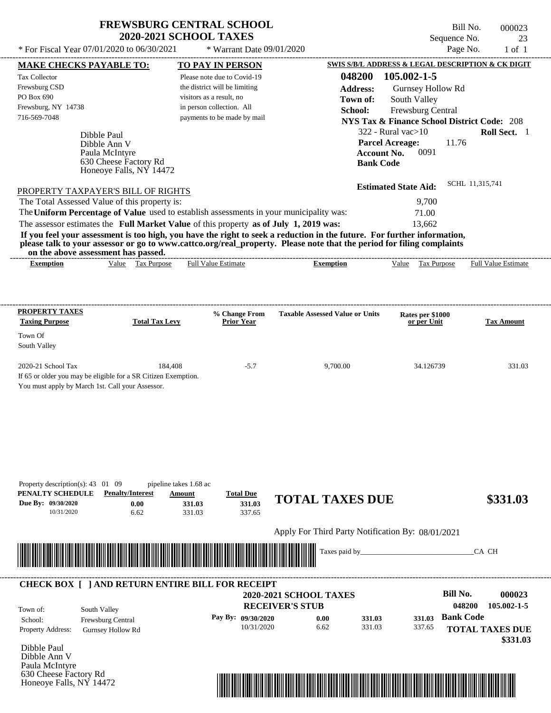## **FREWSBURG CENTRAL SCHOOL 2020-2021 SCHOOL TAXES**

\* For Fiscal Year  $07/01/2020$  to  $06/30/2021$  \* Warrant Date  $09/01/2020$  Page No. 1 of 1

Honeoye Falls, NY 14472

\* Warrant Date 09/01/2020

Bill No. 000023 Sequence No. 23<br>Page No. 1 of 1

| 048200 105.002-1-5<br>Please note due to Covid-19<br>the district will be limiting<br><b>Address:</b><br>Gurnsey Hollow Rd<br>visitors as a result, no<br>South Valley<br>Town of:<br>in person collection. All<br>School:<br>Frewsburg Central<br>payments to be made by mail<br><b>NYS Tax &amp; Finance School District Code: 208</b><br>$322$ - Rural vac $>10$<br>Roll Sect. 1<br>Dibble Paul<br><b>Parcel Acreage:</b><br>11.76<br>Dibble Ann V<br>0091<br><b>Account No.</b><br>Paula McIntyre<br>630 Cheese Factory Rd<br><b>Bank Code</b><br>Honeoye Falls, NY 14472<br>SCHL 11,315,741<br><b>Estimated State Aid:</b><br>PROPERTY TAXPAYER'S BILL OF RIGHTS<br>The Total Assessed Value of this property is:<br>9,700<br>The Uniform Percentage of Value used to establish assessments in your municipality was:<br>71.00<br>The assessor estimates the Full Market Value of this property as of July 1, 2019 was:<br>13,662<br>If you feel your assessment is too high, you have the right to seek a reduction in the future. For further information,<br>please talk to your assessor or go to www.cattco.org/real_property. Please note that the period for filing complaints<br>on the above assessment has passed.<br><b>Full Value Estimate</b><br>Value Tax Purpose<br><b>Exemption</b><br>Value Tax Purpose<br><b>Full Value Estimate</b><br><b>Exemption</b><br><b>PROPERTY TAXES</b><br>% Change From<br><b>Taxable Assessed Value or Units</b><br>Rates per \$1000<br><b>Taxing Purpose</b><br><b>Total Tax Levy</b><br><b>Prior Year</b><br>or per Unit<br><b>Tax Amount</b><br>Town Of<br>South Valley<br>2020-21 School Tax<br>184,408<br>$-5.7$<br>9,700.00<br>34.126739<br>If 65 or older you may be eligible for a SR Citizen Exemption.<br>You must apply by March 1st. Call your Assessor.<br>Property description(s): $43 \quad 01 \quad 09$<br>pipeline takes 1.68 ac<br>PENALTY SCHEDULE<br><b>Penalty/Interest</b><br><b>Total Due</b><br>Amount<br><b>TOTAL TAXES DUE</b><br>\$331.03<br>Due By: 09/30/2020 |                     | <b>MAKE CHECKS PAYABLE TO:</b> |        | <b>TO PAY IN PERSON</b> | SWIS S/B/L ADDRESS & LEGAL DESCRIPTION & CK DIGIT |                         |
|-----------------------------------------------------------------------------------------------------------------------------------------------------------------------------------------------------------------------------------------------------------------------------------------------------------------------------------------------------------------------------------------------------------------------------------------------------------------------------------------------------------------------------------------------------------------------------------------------------------------------------------------------------------------------------------------------------------------------------------------------------------------------------------------------------------------------------------------------------------------------------------------------------------------------------------------------------------------------------------------------------------------------------------------------------------------------------------------------------------------------------------------------------------------------------------------------------------------------------------------------------------------------------------------------------------------------------------------------------------------------------------------------------------------------------------------------------------------------------------------------------------------------------------------------------------------------------------------------------------------------------------------------------------------------------------------------------------------------------------------------------------------------------------------------------------------------------------------------------------------------------------------------------------------------------------------------------------------------------------------------------------------------------------------------|---------------------|--------------------------------|--------|-------------------------|---------------------------------------------------|-------------------------|
|                                                                                                                                                                                                                                                                                                                                                                                                                                                                                                                                                                                                                                                                                                                                                                                                                                                                                                                                                                                                                                                                                                                                                                                                                                                                                                                                                                                                                                                                                                                                                                                                                                                                                                                                                                                                                                                                                                                                                                                                                                               | Tax Collector       |                                |        |                         |                                                   |                         |
|                                                                                                                                                                                                                                                                                                                                                                                                                                                                                                                                                                                                                                                                                                                                                                                                                                                                                                                                                                                                                                                                                                                                                                                                                                                                                                                                                                                                                                                                                                                                                                                                                                                                                                                                                                                                                                                                                                                                                                                                                                               | Frewsburg CSD       |                                |        |                         |                                                   |                         |
|                                                                                                                                                                                                                                                                                                                                                                                                                                                                                                                                                                                                                                                                                                                                                                                                                                                                                                                                                                                                                                                                                                                                                                                                                                                                                                                                                                                                                                                                                                                                                                                                                                                                                                                                                                                                                                                                                                                                                                                                                                               | PO Box 690          |                                |        |                         |                                                   |                         |
|                                                                                                                                                                                                                                                                                                                                                                                                                                                                                                                                                                                                                                                                                                                                                                                                                                                                                                                                                                                                                                                                                                                                                                                                                                                                                                                                                                                                                                                                                                                                                                                                                                                                                                                                                                                                                                                                                                                                                                                                                                               | Frewsburg, NY 14738 |                                |        |                         |                                                   |                         |
|                                                                                                                                                                                                                                                                                                                                                                                                                                                                                                                                                                                                                                                                                                                                                                                                                                                                                                                                                                                                                                                                                                                                                                                                                                                                                                                                                                                                                                                                                                                                                                                                                                                                                                                                                                                                                                                                                                                                                                                                                                               | 716-569-7048        |                                |        |                         |                                                   |                         |
|                                                                                                                                                                                                                                                                                                                                                                                                                                                                                                                                                                                                                                                                                                                                                                                                                                                                                                                                                                                                                                                                                                                                                                                                                                                                                                                                                                                                                                                                                                                                                                                                                                                                                                                                                                                                                                                                                                                                                                                                                                               |                     |                                |        |                         |                                                   |                         |
|                                                                                                                                                                                                                                                                                                                                                                                                                                                                                                                                                                                                                                                                                                                                                                                                                                                                                                                                                                                                                                                                                                                                                                                                                                                                                                                                                                                                                                                                                                                                                                                                                                                                                                                                                                                                                                                                                                                                                                                                                                               |                     |                                |        |                         |                                                   |                         |
|                                                                                                                                                                                                                                                                                                                                                                                                                                                                                                                                                                                                                                                                                                                                                                                                                                                                                                                                                                                                                                                                                                                                                                                                                                                                                                                                                                                                                                                                                                                                                                                                                                                                                                                                                                                                                                                                                                                                                                                                                                               |                     |                                |        |                         |                                                   |                         |
|                                                                                                                                                                                                                                                                                                                                                                                                                                                                                                                                                                                                                                                                                                                                                                                                                                                                                                                                                                                                                                                                                                                                                                                                                                                                                                                                                                                                                                                                                                                                                                                                                                                                                                                                                                                                                                                                                                                                                                                                                                               |                     |                                |        |                         |                                                   |                         |
|                                                                                                                                                                                                                                                                                                                                                                                                                                                                                                                                                                                                                                                                                                                                                                                                                                                                                                                                                                                                                                                                                                                                                                                                                                                                                                                                                                                                                                                                                                                                                                                                                                                                                                                                                                                                                                                                                                                                                                                                                                               |                     |                                |        |                         |                                                   |                         |
|                                                                                                                                                                                                                                                                                                                                                                                                                                                                                                                                                                                                                                                                                                                                                                                                                                                                                                                                                                                                                                                                                                                                                                                                                                                                                                                                                                                                                                                                                                                                                                                                                                                                                                                                                                                                                                                                                                                                                                                                                                               |                     |                                |        |                         |                                                   |                         |
|                                                                                                                                                                                                                                                                                                                                                                                                                                                                                                                                                                                                                                                                                                                                                                                                                                                                                                                                                                                                                                                                                                                                                                                                                                                                                                                                                                                                                                                                                                                                                                                                                                                                                                                                                                                                                                                                                                                                                                                                                                               |                     |                                |        |                         |                                                   |                         |
|                                                                                                                                                                                                                                                                                                                                                                                                                                                                                                                                                                                                                                                                                                                                                                                                                                                                                                                                                                                                                                                                                                                                                                                                                                                                                                                                                                                                                                                                                                                                                                                                                                                                                                                                                                                                                                                                                                                                                                                                                                               |                     |                                |        |                         |                                                   |                         |
|                                                                                                                                                                                                                                                                                                                                                                                                                                                                                                                                                                                                                                                                                                                                                                                                                                                                                                                                                                                                                                                                                                                                                                                                                                                                                                                                                                                                                                                                                                                                                                                                                                                                                                                                                                                                                                                                                                                                                                                                                                               |                     |                                |        |                         |                                                   |                         |
|                                                                                                                                                                                                                                                                                                                                                                                                                                                                                                                                                                                                                                                                                                                                                                                                                                                                                                                                                                                                                                                                                                                                                                                                                                                                                                                                                                                                                                                                                                                                                                                                                                                                                                                                                                                                                                                                                                                                                                                                                                               |                     |                                |        |                         |                                                   |                         |
|                                                                                                                                                                                                                                                                                                                                                                                                                                                                                                                                                                                                                                                                                                                                                                                                                                                                                                                                                                                                                                                                                                                                                                                                                                                                                                                                                                                                                                                                                                                                                                                                                                                                                                                                                                                                                                                                                                                                                                                                                                               |                     |                                |        |                         |                                                   |                         |
|                                                                                                                                                                                                                                                                                                                                                                                                                                                                                                                                                                                                                                                                                                                                                                                                                                                                                                                                                                                                                                                                                                                                                                                                                                                                                                                                                                                                                                                                                                                                                                                                                                                                                                                                                                                                                                                                                                                                                                                                                                               |                     |                                |        |                         |                                                   |                         |
|                                                                                                                                                                                                                                                                                                                                                                                                                                                                                                                                                                                                                                                                                                                                                                                                                                                                                                                                                                                                                                                                                                                                                                                                                                                                                                                                                                                                                                                                                                                                                                                                                                                                                                                                                                                                                                                                                                                                                                                                                                               |                     |                                |        |                         |                                                   |                         |
|                                                                                                                                                                                                                                                                                                                                                                                                                                                                                                                                                                                                                                                                                                                                                                                                                                                                                                                                                                                                                                                                                                                                                                                                                                                                                                                                                                                                                                                                                                                                                                                                                                                                                                                                                                                                                                                                                                                                                                                                                                               |                     |                                |        |                         |                                                   | 331.03                  |
|                                                                                                                                                                                                                                                                                                                                                                                                                                                                                                                                                                                                                                                                                                                                                                                                                                                                                                                                                                                                                                                                                                                                                                                                                                                                                                                                                                                                                                                                                                                                                                                                                                                                                                                                                                                                                                                                                                                                                                                                                                               |                     | 0.00                           | 331.03 | 331.03                  |                                                   |                         |
|                                                                                                                                                                                                                                                                                                                                                                                                                                                                                                                                                                                                                                                                                                                                                                                                                                                                                                                                                                                                                                                                                                                                                                                                                                                                                                                                                                                                                                                                                                                                                                                                                                                                                                                                                                                                                                                                                                                                                                                                                                               | 10/31/2020          |                                |        |                         |                                                   |                         |
|                                                                                                                                                                                                                                                                                                                                                                                                                                                                                                                                                                                                                                                                                                                                                                                                                                                                                                                                                                                                                                                                                                                                                                                                                                                                                                                                                                                                                                                                                                                                                                                                                                                                                                                                                                                                                                                                                                                                                                                                                                               |                     |                                |        |                         |                                                   |                         |
| Apply For Third Party Notification By: 08/01/2021                                                                                                                                                                                                                                                                                                                                                                                                                                                                                                                                                                                                                                                                                                                                                                                                                                                                                                                                                                                                                                                                                                                                                                                                                                                                                                                                                                                                                                                                                                                                                                                                                                                                                                                                                                                                                                                                                                                                                                                             |                     |                                |        |                         |                                                   |                         |
| Taxes paid by_<br>CA CH                                                                                                                                                                                                                                                                                                                                                                                                                                                                                                                                                                                                                                                                                                                                                                                                                                                                                                                                                                                                                                                                                                                                                                                                                                                                                                                                                                                                                                                                                                                                                                                                                                                                                                                                                                                                                                                                                                                                                                                                                       |                     |                                |        |                         |                                                   |                         |
|                                                                                                                                                                                                                                                                                                                                                                                                                                                                                                                                                                                                                                                                                                                                                                                                                                                                                                                                                                                                                                                                                                                                                                                                                                                                                                                                                                                                                                                                                                                                                                                                                                                                                                                                                                                                                                                                                                                                                                                                                                               |                     |                                |        |                         |                                                   |                         |
| <b>Bill No.</b><br>2020-2021 SCHOOL TAXES                                                                                                                                                                                                                                                                                                                                                                                                                                                                                                                                                                                                                                                                                                                                                                                                                                                                                                                                                                                                                                                                                                                                                                                                                                                                                                                                                                                                                                                                                                                                                                                                                                                                                                                                                                                                                                                                                                                                                                                                     |                     |                                |        |                         |                                                   | 000023                  |
| 048200<br><b>RECEIVER'S STUB</b><br>South Valley                                                                                                                                                                                                                                                                                                                                                                                                                                                                                                                                                                                                                                                                                                                                                                                                                                                                                                                                                                                                                                                                                                                                                                                                                                                                                                                                                                                                                                                                                                                                                                                                                                                                                                                                                                                                                                                                                                                                                                                              |                     |                                |        |                         |                                                   |                         |
| <b>Bank Code</b><br>Pay By: 09/30/2020<br>0.00<br>331.03<br>331.03<br>Frewsburg Central<br>School:                                                                                                                                                                                                                                                                                                                                                                                                                                                                                                                                                                                                                                                                                                                                                                                                                                                                                                                                                                                                                                                                                                                                                                                                                                                                                                                                                                                                                                                                                                                                                                                                                                                                                                                                                                                                                                                                                                                                            |                     |                                |        |                         |                                                   |                         |
| 10/31/2020<br>6.62<br>331.03<br>337.65<br><b>TOTAL TAXES DUE</b><br>Gurnsey Hollow Rd                                                                                                                                                                                                                                                                                                                                                                                                                                                                                                                                                                                                                                                                                                                                                                                                                                                                                                                                                                                                                                                                                                                                                                                                                                                                                                                                                                                                                                                                                                                                                                                                                                                                                                                                                                                                                                                                                                                                                         |                     |                                |        |                         |                                                   |                         |
|                                                                                                                                                                                                                                                                                                                                                                                                                                                                                                                                                                                                                                                                                                                                                                                                                                                                                                                                                                                                                                                                                                                                                                                                                                                                                                                                                                                                                                                                                                                                                                                                                                                                                                                                                                                                                                                                                                                                                                                                                                               |                     |                                |        |                         |                                                   |                         |
|                                                                                                                                                                                                                                                                                                                                                                                                                                                                                                                                                                                                                                                                                                                                                                                                                                                                                                                                                                                                                                                                                                                                                                                                                                                                                                                                                                                                                                                                                                                                                                                                                                                                                                                                                                                                                                                                                                                                                                                                                                               |                     |                                |        |                         |                                                   | 105.002-1-5<br>\$331.03 |
| <b>CHECK BOX [ ] AND RETURN ENTIRE BILL FOR RECEIPT</b><br>Town of:<br>Property Address:<br>Dibble Paul<br>Dibble Ann V<br>Paula McIntyre                                                                                                                                                                                                                                                                                                                                                                                                                                                                                                                                                                                                                                                                                                                                                                                                                                                                                                                                                                                                                                                                                                                                                                                                                                                                                                                                                                                                                                                                                                                                                                                                                                                                                                                                                                                                                                                                                                     |                     |                                |        |                         |                                                   |                         |

\*04820000002300000000033103\*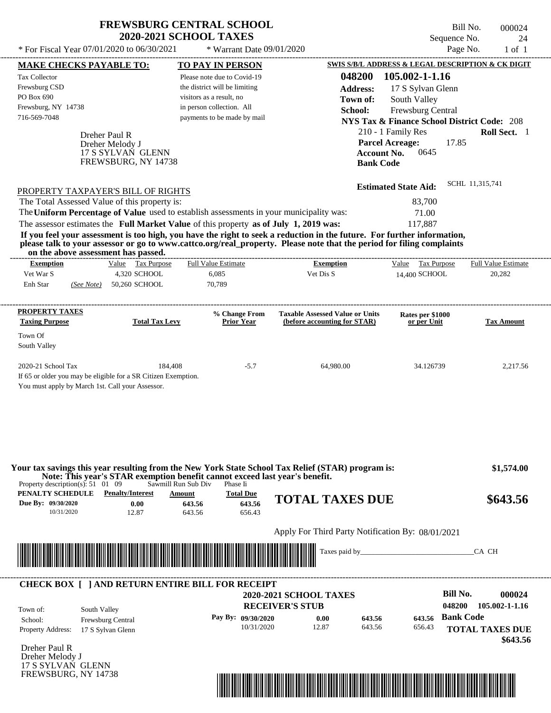| <b>FREWSBURG CENTRAL SCHOOL</b> |
|---------------------------------|
| <b>2020-2021 SCHOOL TAXES</b>   |

| <b>MAKE CHECKS PAYABLE TO:</b>                                                                                          |                          | <b>TO PAY IN PERSON</b>                                                                                        |                                                                                                                                                                                                                                                  | SWIS S/B/L ADDRESS & LEGAL DESCRIPTION & CK DIGIT      |                            |
|-------------------------------------------------------------------------------------------------------------------------|--------------------------|----------------------------------------------------------------------------------------------------------------|--------------------------------------------------------------------------------------------------------------------------------------------------------------------------------------------------------------------------------------------------|--------------------------------------------------------|----------------------------|
| <b>Tax Collector</b>                                                                                                    |                          | Please note due to Covid-19                                                                                    | 048200                                                                                                                                                                                                                                           | 105.002-1-1.16                                         |                            |
| Frewsburg CSD                                                                                                           |                          | the district will be limiting                                                                                  | <b>Address:</b>                                                                                                                                                                                                                                  | 17 S Sylvan Glenn                                      |                            |
| PO Box 690                                                                                                              |                          | visitors as a result, no                                                                                       | Town of:                                                                                                                                                                                                                                         | South Valley                                           |                            |
| Frewsburg, NY 14738                                                                                                     |                          | in person collection. All                                                                                      | School:                                                                                                                                                                                                                                          | Frewsburg Central                                      |                            |
| 716-569-7048                                                                                                            |                          | payments to be made by mail                                                                                    |                                                                                                                                                                                                                                                  | <b>NYS Tax &amp; Finance School District Code: 208</b> |                            |
|                                                                                                                         | Dreher Paul R            |                                                                                                                |                                                                                                                                                                                                                                                  | 210 - 1 Family Res                                     | Roll Sect. 1               |
|                                                                                                                         | Dreher Melody J          |                                                                                                                |                                                                                                                                                                                                                                                  | <b>Parcel Acreage:</b><br>17.85                        |                            |
|                                                                                                                         | 17 S SYLVAN GLENN        |                                                                                                                | <b>Account No.</b>                                                                                                                                                                                                                               | 0645                                                   |                            |
|                                                                                                                         | FREWSBURG, NY 14738      |                                                                                                                | <b>Bank Code</b>                                                                                                                                                                                                                                 |                                                        |                            |
|                                                                                                                         |                          |                                                                                                                |                                                                                                                                                                                                                                                  |                                                        | SCHL 11,315,741            |
| PROPERTY TAXPAYER'S BILL OF RIGHTS                                                                                      |                          |                                                                                                                |                                                                                                                                                                                                                                                  | <b>Estimated State Aid:</b>                            |                            |
| The Total Assessed Value of this property is:                                                                           |                          |                                                                                                                |                                                                                                                                                                                                                                                  | 83,700                                                 |                            |
|                                                                                                                         |                          | The Uniform Percentage of Value used to establish assessments in your municipality was:                        |                                                                                                                                                                                                                                                  | 71.00                                                  |                            |
|                                                                                                                         |                          | The assessor estimates the Full Market Value of this property as of July 1, 2019 was:                          |                                                                                                                                                                                                                                                  | 117,887                                                |                            |
| on the above assessment has passed.                                                                                     |                          |                                                                                                                | If you feel your assessment is too high, you have the right to seek a reduction in the future. For further information,<br>please talk to your assessor or go to www.cattco.org/real_property. Please note that the period for filing complaints |                                                        |                            |
| <b>Exemption</b>                                                                                                        | Value Tax Purpose        | <b>Full Value Estimate</b>                                                                                     | <b>Exemption</b>                                                                                                                                                                                                                                 | Value Tax Purpose                                      | <b>Full Value Estimate</b> |
| Vet War S                                                                                                               | 4,320 SCHOOL             | 6,085                                                                                                          | Vet Dis S                                                                                                                                                                                                                                        | 14.400 SCHOOL                                          | 20,282                     |
| Enh Star                                                                                                                | (See Note) 50,260 SCHOOL | 70,789                                                                                                         |                                                                                                                                                                                                                                                  |                                                        |                            |
| <b>PROPERTY TAXES</b>                                                                                                   |                          | % Change From                                                                                                  | <b>Taxable Assessed Value or Units</b>                                                                                                                                                                                                           | Rates per \$1000                                       |                            |
| <b>Taxing Purpose</b>                                                                                                   | <b>Total Tax Levy</b>    | <b>Prior Year</b>                                                                                              | (before accounting for STAR)                                                                                                                                                                                                                     | or per Unit                                            | <b>Tax Amount</b>          |
| Town Of                                                                                                                 |                          |                                                                                                                |                                                                                                                                                                                                                                                  |                                                        |                            |
| South Valley                                                                                                            |                          |                                                                                                                |                                                                                                                                                                                                                                                  |                                                        |                            |
| 2020-21 School Tax                                                                                                      | 184,408                  | $-5.7$                                                                                                         | 64,980.00                                                                                                                                                                                                                                        | 34.126739                                              | 2,217.56                   |
| If 65 or older you may be eligible for a SR Citizen Exemption.                                                          |                          |                                                                                                                |                                                                                                                                                                                                                                                  |                                                        |                            |
| You must apply by March 1st. Call your Assessor.                                                                        |                          |                                                                                                                |                                                                                                                                                                                                                                                  |                                                        |                            |
|                                                                                                                         |                          |                                                                                                                |                                                                                                                                                                                                                                                  |                                                        |                            |
|                                                                                                                         |                          |                                                                                                                |                                                                                                                                                                                                                                                  |                                                        |                            |
|                                                                                                                         |                          |                                                                                                                |                                                                                                                                                                                                                                                  |                                                        |                            |
|                                                                                                                         |                          |                                                                                                                |                                                                                                                                                                                                                                                  |                                                        |                            |
|                                                                                                                         |                          |                                                                                                                |                                                                                                                                                                                                                                                  |                                                        |                            |
|                                                                                                                         |                          |                                                                                                                | Your tax savings this year resulting from the New York State School Tax Relief (STAR) program is:                                                                                                                                                |                                                        | \$1,574.00                 |
| Property description(s): $51 \quad 01 \quad 09$                                                                         |                          | Note: This year's STAR exemption benefit cannot exceed last year's benefit.<br>Sawmill Run Sub Div<br>Phase Ii |                                                                                                                                                                                                                                                  |                                                        |                            |
| PENALTY SCHEDULE                                                                                                        | <b>Penalty/Interest</b>  | <b>Total Due</b><br>Amount                                                                                     | <b>TOTAL TAXES DUE</b>                                                                                                                                                                                                                           |                                                        | \$643.56                   |
| Due By: 09/30/2020<br>10/31/2020                                                                                        | 0.00<br>12.87            | 643.56<br>643.56<br>643.56<br>656.43                                                                           |                                                                                                                                                                                                                                                  |                                                        |                            |
|                                                                                                                         |                          |                                                                                                                |                                                                                                                                                                                                                                                  |                                                        |                            |
|                                                                                                                         |                          |                                                                                                                | Apply For Third Party Notification By: 08/01/2021                                                                                                                                                                                                |                                                        |                            |
| <u> Tanzania di Baratta di Baratta di Baratta di Baratta di Baratta di Baratta di Baratta di Baratta di Baratta di </u> |                          |                                                                                                                | Taxes paid by_                                                                                                                                                                                                                                   |                                                        | CA CH                      |
|                                                                                                                         |                          |                                                                                                                |                                                                                                                                                                                                                                                  |                                                        |                            |
|                                                                                                                         |                          | <b>CHECK BOX [ ] AND RETURN ENTIRE BILL FOR RECEIPT</b>                                                        |                                                                                                                                                                                                                                                  |                                                        |                            |
|                                                                                                                         |                          |                                                                                                                | <b>2020-2021 SCHOOL TAXES</b>                                                                                                                                                                                                                    | <b>Bill No.</b>                                        | 000024                     |
| South Valley<br>Town of:                                                                                                |                          |                                                                                                                | <b>RECEIVER'S STUB</b>                                                                                                                                                                                                                           | 048200                                                 | 105.002-1-1.16             |
| School:                                                                                                                 | Frewsburg Central        | Pay By: 09/30/2020                                                                                             | 0.00<br>643.56                                                                                                                                                                                                                                   | <b>Bank Code</b><br>643.56                             |                            |
| <b>Property Address:</b>                                                                                                | 17 S Sylvan Glenn        | 10/31/2020                                                                                                     | 12.87<br>643.56                                                                                                                                                                                                                                  | 656.43                                                 | <b>TOTAL TAXES DUE</b>     |
|                                                                                                                         |                          |                                                                                                                |                                                                                                                                                                                                                                                  |                                                        | \$643.56                   |
| Dreher Paul R<br>Dreher Melody J                                                                                        |                          |                                                                                                                |                                                                                                                                                                                                                                                  |                                                        |                            |
| 17 S SYLVAN GLENN                                                                                                       |                          |                                                                                                                |                                                                                                                                                                                                                                                  |                                                        |                            |
| FREWSBURG, NY 14738                                                                                                     |                          |                                                                                                                |                                                                                                                                                                                                                                                  |                                                        |                            |
|                                                                                                                         |                          |                                                                                                                | <u> Indian American State of Barbara and The Barbara and The Barbara and The Barbara and The Barbara and The Barba</u>                                                                                                                           |                                                        |                            |
|                                                                                                                         |                          |                                                                                                                |                                                                                                                                                                                                                                                  |                                                        |                            |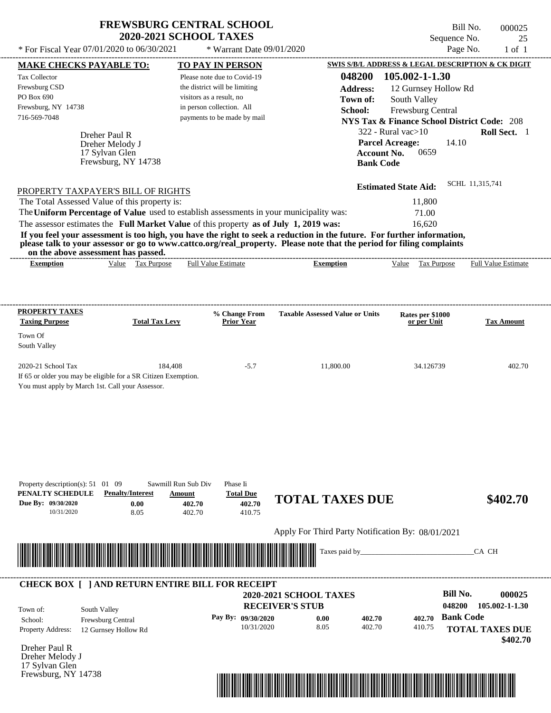| <b>FREWSBURG CENTRAL SCHOOL</b> |  |
|---------------------------------|--|
| <b>2020-2021 SCHOOL TAXES</b>   |  |

Bill No. 000025 Sequence No. 25<br>Page No. 1 of 1

| <b>MAKE CHECKS PAYABLE TO:</b>        |                                                                                       |                          | <b>TO PAY IN PERSON</b>            |                                                                                                                                                                                                                                                  | SWIS S/B/L ADDRESS & LEGAL DESCRIPTION & CK DIGIT      |                            |
|---------------------------------------|---------------------------------------------------------------------------------------|--------------------------|------------------------------------|--------------------------------------------------------------------------------------------------------------------------------------------------------------------------------------------------------------------------------------------------|--------------------------------------------------------|----------------------------|
| Tax Collector                         |                                                                                       |                          | Please note due to Covid-19        | 048200                                                                                                                                                                                                                                           | 105.002-1-1.30                                         |                            |
| Frewsburg CSD                         |                                                                                       |                          | the district will be limiting      | <b>Address:</b>                                                                                                                                                                                                                                  | 12 Gurnsey Hollow Rd                                   |                            |
| PO Box 690                            |                                                                                       | visitors as a result, no |                                    | Town of:                                                                                                                                                                                                                                         | South Valley                                           |                            |
| Frewsburg, NY 14738                   |                                                                                       |                          | in person collection. All          | School:                                                                                                                                                                                                                                          | Frewsburg Central                                      |                            |
| 716-569-7048                          |                                                                                       |                          | payments to be made by mail        |                                                                                                                                                                                                                                                  | <b>NYS Tax &amp; Finance School District Code: 208</b> |                            |
|                                       | Dreher Paul R                                                                         |                          |                                    |                                                                                                                                                                                                                                                  | $322$ - Rural vac $>10$                                | Roll Sect. 1               |
|                                       | Dreher Melody J                                                                       |                          |                                    |                                                                                                                                                                                                                                                  | <b>Parcel Acreage:</b><br>14.10                        |                            |
|                                       | 17 Sylvan Glen                                                                        |                          |                                    | <b>Account No.</b>                                                                                                                                                                                                                               | 0659                                                   |                            |
|                                       | Frewsburg, NY 14738                                                                   |                          |                                    | <b>Bank Code</b>                                                                                                                                                                                                                                 |                                                        |                            |
|                                       |                                                                                       |                          |                                    |                                                                                                                                                                                                                                                  |                                                        | SCHL 11,315,741            |
|                                       | PROPERTY TAXPAYER'S BILL OF RIGHTS                                                    |                          |                                    |                                                                                                                                                                                                                                                  | <b>Estimated State Aid:</b>                            |                            |
|                                       | The Total Assessed Value of this property is:                                         |                          |                                    |                                                                                                                                                                                                                                                  | 11,800                                                 |                            |
|                                       |                                                                                       |                          |                                    | The Uniform Percentage of Value used to establish assessments in your municipality was:                                                                                                                                                          | 71.00                                                  |                            |
|                                       | The assessor estimates the Full Market Value of this property as of July 1, 2019 was: |                          |                                    |                                                                                                                                                                                                                                                  | 16.620                                                 |                            |
|                                       |                                                                                       |                          |                                    | If you feel your assessment is too high, you have the right to seek a reduction in the future. For further information,<br>please talk to your assessor or go to www.cattco.org/real_property. Please note that the period for filing complaints |                                                        |                            |
| <b>Exemption</b>                      | on the above assessment has passed.<br>Value Tax Purpose                              |                          | <b>Full Value Estimate</b>         | <b>Exemption</b>                                                                                                                                                                                                                                 | Value Tax Purpose                                      | <b>Full Value Estimate</b> |
|                                       |                                                                                       |                          |                                    |                                                                                                                                                                                                                                                  |                                                        |                            |
|                                       |                                                                                       |                          |                                    |                                                                                                                                                                                                                                                  |                                                        |                            |
| <b>PROPERTY TAXES</b>                 |                                                                                       |                          |                                    |                                                                                                                                                                                                                                                  |                                                        |                            |
| <b>Taxing Purpose</b>                 | <b>Total Tax Levy</b>                                                                 |                          | % Change From<br><b>Prior Year</b> | <b>Taxable Assessed Value or Units</b>                                                                                                                                                                                                           | Rates per \$1000<br>or per Unit                        | <b>Tax Amount</b>          |
| Town Of                               |                                                                                       |                          |                                    |                                                                                                                                                                                                                                                  |                                                        |                            |
| South Valley                          |                                                                                       |                          |                                    |                                                                                                                                                                                                                                                  |                                                        |                            |
| 2020-21 School Tax                    |                                                                                       | 184,408                  | $-5.7$                             | 11,800.00                                                                                                                                                                                                                                        | 34.126739                                              | 402.70                     |
|                                       | If 65 or older you may be eligible for a SR Citizen Exemption.                        |                          |                                    |                                                                                                                                                                                                                                                  |                                                        |                            |
|                                       | You must apply by March 1st. Call your Assessor.                                      |                          |                                    |                                                                                                                                                                                                                                                  |                                                        |                            |
|                                       |                                                                                       |                          |                                    |                                                                                                                                                                                                                                                  |                                                        |                            |
|                                       |                                                                                       |                          |                                    |                                                                                                                                                                                                                                                  |                                                        |                            |
|                                       |                                                                                       |                          |                                    |                                                                                                                                                                                                                                                  |                                                        |                            |
|                                       |                                                                                       |                          |                                    |                                                                                                                                                                                                                                                  |                                                        |                            |
|                                       |                                                                                       |                          |                                    |                                                                                                                                                                                                                                                  |                                                        |                            |
|                                       |                                                                                       |                          |                                    |                                                                                                                                                                                                                                                  |                                                        |                            |
| Property description(s): 51 01 09     |                                                                                       | Sawmill Run Sub Div      | Phase Ii                           |                                                                                                                                                                                                                                                  |                                                        |                            |
| PENALTY SCHEDULE                      | <b>Penalty/Interest</b>                                                               | Amount                   | <b>Total Due</b>                   | <b>TOTAL TAXES DUE</b>                                                                                                                                                                                                                           |                                                        | \$402.70                   |
| Due By: 09/30/2020                    | 0.00                                                                                  | 402.70                   | 402.70                             |                                                                                                                                                                                                                                                  |                                                        |                            |
| 10/31/2020                            | 8.05                                                                                  | 402.70                   | 410.75                             |                                                                                                                                                                                                                                                  |                                                        |                            |
|                                       |                                                                                       |                          |                                    | Apply For Third Party Notification By: 08/01/2021                                                                                                                                                                                                |                                                        |                            |
|                                       |                                                                                       |                          |                                    | Taxes paid by                                                                                                                                                                                                                                    |                                                        | CA CH                      |
|                                       |                                                                                       |                          |                                    |                                                                                                                                                                                                                                                  |                                                        |                            |
|                                       |                                                                                       |                          |                                    |                                                                                                                                                                                                                                                  |                                                        |                            |
|                                       | <b>CHECK BOX [ ] AND RETURN ENTIRE BILL FOR RECEIPT</b>                               |                          |                                    |                                                                                                                                                                                                                                                  |                                                        |                            |
|                                       |                                                                                       |                          |                                    | <b>2020-2021 SCHOOL TAXES</b>                                                                                                                                                                                                                    | <b>Bill No.</b>                                        | 000025                     |
| Town of:                              | South Valley                                                                          |                          |                                    | <b>RECEIVER'S STUB</b>                                                                                                                                                                                                                           | 048200                                                 | 105.002-1-1.30             |
| School:                               | Frewsburg Central                                                                     |                          | Pay By: 09/30/2020                 | 0.00<br>402.70                                                                                                                                                                                                                                   | <b>Bank Code</b><br>402.70                             |                            |
| Property Address:                     | 12 Gurnsey Hollow Rd                                                                  |                          | 10/31/2020                         | 8.05<br>402.70                                                                                                                                                                                                                                   | 410.75                                                 | <b>TOTAL TAXES DUE</b>     |
|                                       |                                                                                       |                          |                                    |                                                                                                                                                                                                                                                  |                                                        | \$402.70                   |
| Dreher Paul R                         |                                                                                       |                          |                                    |                                                                                                                                                                                                                                                  |                                                        |                            |
| Dreher Melody J                       |                                                                                       |                          |                                    |                                                                                                                                                                                                                                                  |                                                        |                            |
| 17 Sylvan Glen<br>Frewsburg, NY 14738 |                                                                                       |                          |                                    |                                                                                                                                                                                                                                                  |                                                        |                            |
|                                       |                                                                                       |                          |                                    |                                                                                                                                                                                                                                                  |                                                        |                            |

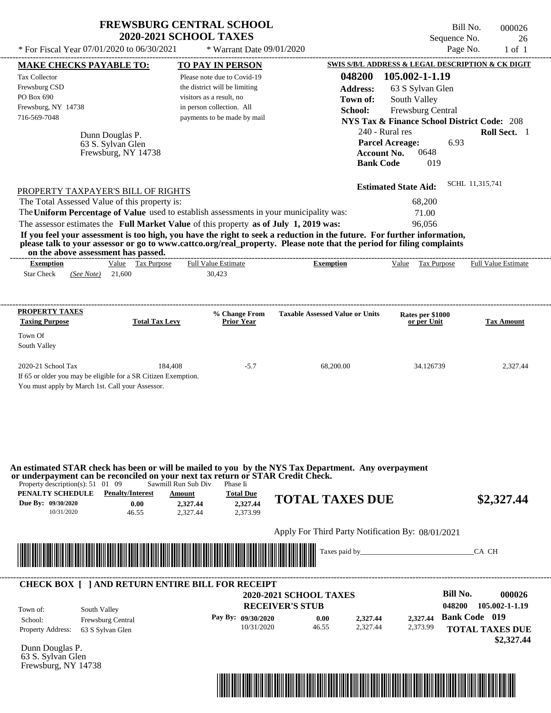|                                                                                                                                                                                                                                                                                                                                                | <b>FREWSBURG CENTRAL SCHOOL</b><br><b>2020-2021 SCHOOL TAXES</b>                                                                                                                |                                                   | Sequence No.                                                                                                                                                                           | Bill No.<br>000026<br>26        |
|------------------------------------------------------------------------------------------------------------------------------------------------------------------------------------------------------------------------------------------------------------------------------------------------------------------------------------------------|---------------------------------------------------------------------------------------------------------------------------------------------------------------------------------|---------------------------------------------------|----------------------------------------------------------------------------------------------------------------------------------------------------------------------------------------|---------------------------------|
| * For Fiscal Year 07/01/2020 to 06/30/2021                                                                                                                                                                                                                                                                                                     | * Warrant Date 09/01/2020                                                                                                                                                       |                                                   | Page No.                                                                                                                                                                               | $1$ of $1$                      |
| <b>MAKE CHECKS PAYABLE TO:</b><br>Tax Collector<br>Frewsburg CSD<br>PO Box 690<br>Frewsburg, NY 14738<br>716-569-7048                                                                                                                                                                                                                          | <b>TO PAY IN PERSON</b><br>Please note due to Covid-19<br>the district will be limiting<br>visitors as a result, no<br>in person collection. All<br>payments to be made by mail | 048200<br><b>Address:</b><br>Town of:<br>School:  | SWIS S/B/L ADDRESS & LEGAL DESCRIPTION & CK DIGIT<br>105.002-1-1.19<br>63 S Sylvan Glen<br>South Valley<br>Frewsburg Central<br><b>NYS Tax &amp; Finance School District Code: 208</b> |                                 |
| Dunn Douglas P.<br>63 S. Sylvan Glen<br>Frewsburg, NY 14738                                                                                                                                                                                                                                                                                    |                                                                                                                                                                                 | <b>Account No.</b><br><b>Bank Code</b>            | 240 - Rural res<br>6.93<br><b>Parcel Acreage:</b><br>0648<br>019                                                                                                                       | Roll Sect. 1<br>SCHL 11,315,741 |
| PROPERTY TAXPAYER'S BILL OF RIGHTS                                                                                                                                                                                                                                                                                                             |                                                                                                                                                                                 |                                                   | <b>Estimated State Aid:</b>                                                                                                                                                            |                                 |
| The Total Assessed Value of this property is:                                                                                                                                                                                                                                                                                                  |                                                                                                                                                                                 |                                                   | 68,200                                                                                                                                                                                 |                                 |
| The Uniform Percentage of Value used to establish assessments in your municipality was:                                                                                                                                                                                                                                                        |                                                                                                                                                                                 |                                                   | 71.00                                                                                                                                                                                  |                                 |
| The assessor estimates the Full Market Value of this property as of July 1, 2019 was:<br>If you feel your assessment is too high, you have the right to seek a reduction in the future. For further information,                                                                                                                               |                                                                                                                                                                                 |                                                   | 96,056                                                                                                                                                                                 |                                 |
| please talk to your assessor or go to www.cattco.org/real_property. Please note that the period for filing complaints                                                                                                                                                                                                                          |                                                                                                                                                                                 |                                                   |                                                                                                                                                                                        |                                 |
| on the above assessment has passed.<br>Value Tax Purpose                                                                                                                                                                                                                                                                                       | Full Value Estimate                                                                                                                                                             | -----------------------------                     |                                                                                                                                                                                        |                                 |
| <b>Exemption</b><br><b>Star Check</b><br>21,600<br>(See Note)                                                                                                                                                                                                                                                                                  | 30,423                                                                                                                                                                          | <b>Exemption</b>                                  | Value Tax Purpose                                                                                                                                                                      | <b>Full Value Estimate</b>      |
| <b>PROPERTY TAXES</b>                                                                                                                                                                                                                                                                                                                          | % Change From                                                                                                                                                                   | <b>Taxable Assessed Value or Units</b>            | Rates per \$1000                                                                                                                                                                       |                                 |
| <b>Taxing Purpose</b><br><b>Total Tax Levy</b>                                                                                                                                                                                                                                                                                                 | <b>Prior Year</b>                                                                                                                                                               |                                                   | or per Unit                                                                                                                                                                            | <b>Tax Amount</b>               |
| Town Of<br>South Valley                                                                                                                                                                                                                                                                                                                        |                                                                                                                                                                                 |                                                   |                                                                                                                                                                                        |                                 |
| 2020-21 School Tax<br>If 65 or older you may be eligible for a SR Citizen Exemption.<br>You must apply by March 1st. Call your Assessor.                                                                                                                                                                                                       | 184,408<br>$-5.7$                                                                                                                                                               | 68,200.00                                         | 34.126739                                                                                                                                                                              | 2,327.44                        |
| An estimated STAR check has been or will be mailed to you by the NYS Tax Department. Any overpayment<br>or underpayment can be reconciled on your next tax return or STAR Credit Check.<br>Property description(s): $51 \quad 01 \quad 09$<br>PENALTY SCHEDULE<br><b>Penalty/Interest</b><br>Due By: 09/30/2020<br>0.00<br>10/31/2020<br>46.55 | Sawmill Run Sub Div<br>Phase Ii<br><b>Total Due</b><br>Amount<br>2,327.44<br>2,327.44<br>2,327.44<br>2.373.99                                                                   | <b>TOTAL TAXES DUE</b>                            |                                                                                                                                                                                        | \$2,327.44                      |
|                                                                                                                                                                                                                                                                                                                                                |                                                                                                                                                                                 | Apply For Third Party Notification By: 08/01/2021 |                                                                                                                                                                                        |                                 |
|                                                                                                                                                                                                                                                                                                                                                |                                                                                                                                                                                 |                                                   |                                                                                                                                                                                        |                                 |
|                                                                                                                                                                                                                                                                                                                                                |                                                                                                                                                                                 |                                                   |                                                                                                                                                                                        | CA CH                           |
| <b>CHECK BOX [ ] AND RETURN ENTIRE BILL FOR RECEIPT</b>                                                                                                                                                                                                                                                                                        |                                                                                                                                                                                 | <b>2020-2021 SCHOOL TAXES</b>                     | <b>Bill No.</b>                                                                                                                                                                        | 000026                          |
|                                                                                                                                                                                                                                                                                                                                                |                                                                                                                                                                                 | <b>RECEIVER'S STUB</b>                            |                                                                                                                                                                                        | 048200 105.002-1-1.19           |



Dunn Douglas P. 63 S. Sylvan Glen Frewsburg, NY 14738



**TOTAL TAXES DUE**

 **\$2,327.44**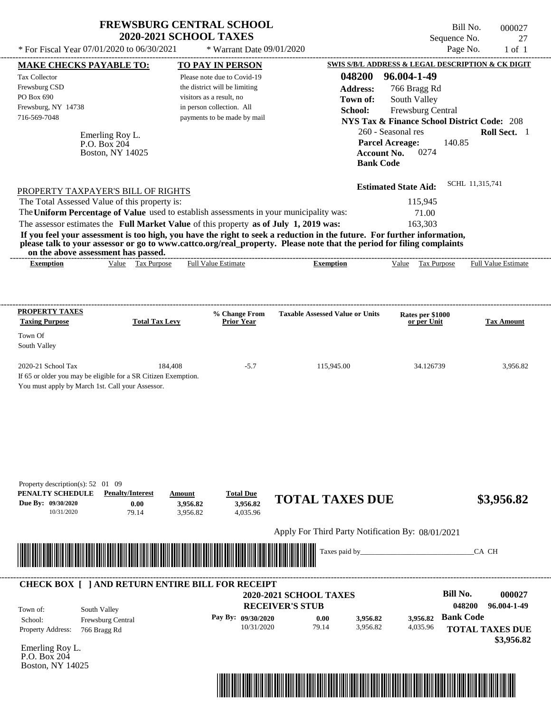|                                                                                                                                                                                                                                                                                                                                                                                  | <b>FREWSBURG CENTRAL SCHOOL</b><br><b>2020-2021 SCHOOL TAXES</b>           |                                                                      | Sequence No.                                                   | Bill No.<br>000027<br>27             |
|----------------------------------------------------------------------------------------------------------------------------------------------------------------------------------------------------------------------------------------------------------------------------------------------------------------------------------------------------------------------------------|----------------------------------------------------------------------------|----------------------------------------------------------------------|----------------------------------------------------------------|--------------------------------------|
| * For Fiscal Year 07/01/2020 to 06/30/2021                                                                                                                                                                                                                                                                                                                                       | * Warrant Date 09/01/2020                                                  |                                                                      |                                                                | Page No.<br>$1$ of $1$               |
| <b>MAKE CHECKS PAYABLE TO:</b>                                                                                                                                                                                                                                                                                                                                                   | <b>TO PAY IN PERSON</b>                                                    |                                                                      | SWIS S/B/L ADDRESS & LEGAL DESCRIPTION & CK DIGIT              |                                      |
| Tax Collector                                                                                                                                                                                                                                                                                                                                                                    | Please note due to Covid-19                                                | 048200                                                               | 96.004-1-49                                                    |                                      |
| Frewsburg CSD                                                                                                                                                                                                                                                                                                                                                                    | the district will be limiting                                              | <b>Address:</b>                                                      | 766 Bragg Rd                                                   |                                      |
| PO Box 690                                                                                                                                                                                                                                                                                                                                                                       | visitors as a result, no                                                   | Town of:                                                             | South Valley                                                   |                                      |
| Frewsburg, NY 14738                                                                                                                                                                                                                                                                                                                                                              | in person collection. All                                                  | School:                                                              | Frewsburg Central                                              |                                      |
| 716-569-7048                                                                                                                                                                                                                                                                                                                                                                     | payments to be made by mail                                                |                                                                      | <b>NYS Tax &amp; Finance School District Code: 208</b>         |                                      |
| Emerling Roy L.<br>P.O. Box 204<br>Boston, NY 14025                                                                                                                                                                                                                                                                                                                              |                                                                            | <b>Account No.</b><br><b>Bank Code</b>                               | 260 - Seasonal res<br>140.85<br><b>Parcel Acreage:</b><br>0274 | Roll Sect. 1                         |
| PROPERTY TAXPAYER'S BILL OF RIGHTS                                                                                                                                                                                                                                                                                                                                               |                                                                            |                                                                      | <b>Estimated State Aid:</b>                                    | SCHL 11,315,741                      |
| The Total Assessed Value of this property is:                                                                                                                                                                                                                                                                                                                                    |                                                                            |                                                                      | 115,945                                                        |                                      |
| The Uniform Percentage of Value used to establish assessments in your municipality was:                                                                                                                                                                                                                                                                                          |                                                                            |                                                                      | 71.00                                                          |                                      |
| The assessor estimates the Full Market Value of this property as of July 1, 2019 was:<br>If you feel your assessment is too high, you have the right to seek a reduction in the future. For further information,<br>please talk to your assessor or go to www.cattco.org/real_property. Please note that the period for filing complaints<br>on the above assessment has passed. |                                                                            |                                                                      | 163,303                                                        |                                      |
| Value Tax Purpose<br><b>Exemption</b>                                                                                                                                                                                                                                                                                                                                            | Full Value Estimate                                                        | <b>Exemption</b>                                                     | Value Tax Purpose                                              | Full Value Estimate                  |
| <b>Taxing Purpose</b><br><b>Total Tax Levy</b><br>Town Of<br>South Valley<br>2020-21 School Tax<br>184,408<br>If 65 or older you may be eligible for a SR Citizen Exemption.<br>You must apply by March 1st. Call your Assessor.                                                                                                                                                 | <b>Prior Year</b><br>$-5.7$                                                | 115,945.00                                                           | or per Unit<br>34.126739                                       | <b>Tax Amount</b><br>3,956.82        |
| Property description(s): $52 \quad 01 \quad 09$<br>PENALTY SCHEDULE<br><b>Penalty/Interest</b><br>Due By: 09/30/2020<br>0.00<br>10/31/2020<br>79.14                                                                                                                                                                                                                              | <b>Total Due</b><br>Amount<br>3.956.82<br>3.956.82<br>3,956.82<br>4,035.96 | <b>TOTAL TAXES DUE</b>                                               |                                                                | \$3,956.82                           |
|                                                                                                                                                                                                                                                                                                                                                                                  |                                                                            | Apply For Third Party Notification By: 08/01/2021                    |                                                                |                                      |
|                                                                                                                                                                                                                                                                                                                                                                                  |                                                                            | Taxes paid by_                                                       |                                                                | CA CH                                |
| <b>CHECK BOX [ ] AND RETURN ENTIRE BILL FOR RECEIPT</b><br>South Valley<br>Town of:<br>Frewsburg Central<br>School:                                                                                                                                                                                                                                                              | Pay By: 09/30/2020                                                         | 2020-2021 SCHOOL TAXES<br><b>RECEIVER'S STUB</b><br>3,956.82<br>0.00 | <b>Bill No.</b><br><b>Bank Code</b><br>3,956.82                | 000027<br>048200<br>96.004-1-49      |
| Property Address:<br>766 Bragg Rd<br>Emerling Roy L.                                                                                                                                                                                                                                                                                                                             | 10/31/2020                                                                 | 79.14<br>3,956.82                                                    | 4,035.96                                                       | <b>TOTAL TAXES DUE</b><br>\$3,956.82 |

P.O. Box 204 Boston, NY 14025

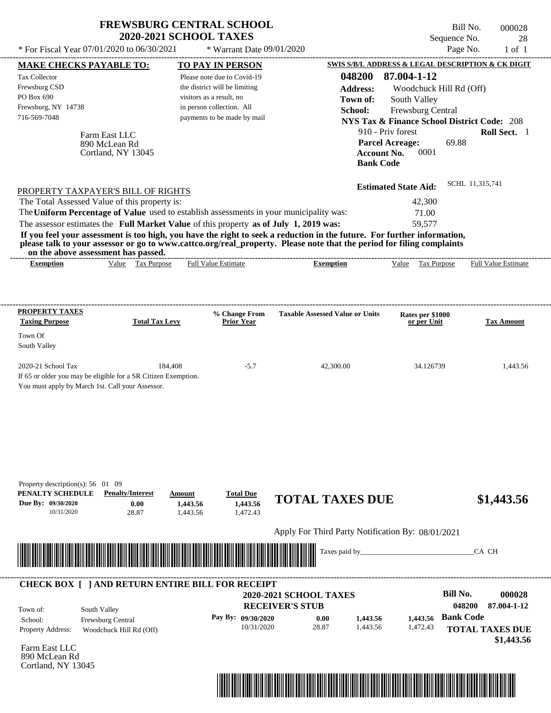| * For Fiscal Year 07/01/2020 to 06/30/2021                                                                                               | <b>FREWSBURG CENTRAL SCHOOL</b><br><b>2020-2021 SCHOOL TAXES</b> | * Warrant Date 09/01/2020        |                                                                                                                                                                                                                                                                      | Sequence No.<br>Page No.                               | Bill No.<br>000028<br>28<br>$1$ of $1$ |
|------------------------------------------------------------------------------------------------------------------------------------------|------------------------------------------------------------------|----------------------------------|----------------------------------------------------------------------------------------------------------------------------------------------------------------------------------------------------------------------------------------------------------------------|--------------------------------------------------------|----------------------------------------|
| <b>MAKE CHECKS PAYABLE TO:</b>                                                                                                           |                                                                  | <b>TO PAY IN PERSON</b>          |                                                                                                                                                                                                                                                                      | SWIS S/B/L ADDRESS & LEGAL DESCRIPTION & CK DIGIT      |                                        |
| Tax Collector                                                                                                                            |                                                                  | Please note due to Covid-19      | 048200                                                                                                                                                                                                                                                               | 87.004-1-12                                            |                                        |
| Frewsburg CSD                                                                                                                            |                                                                  | the district will be limiting    | <b>Address:</b>                                                                                                                                                                                                                                                      | Woodchuck Hill Rd (Off)                                |                                        |
| PO Box 690                                                                                                                               |                                                                  | visitors as a result, no         | Town of:                                                                                                                                                                                                                                                             | South Valley                                           |                                        |
| Frewsburg, NY 14738                                                                                                                      |                                                                  | in person collection. All        | School:                                                                                                                                                                                                                                                              | Frewsburg Central                                      |                                        |
| 716-569-7048                                                                                                                             |                                                                  | payments to be made by mail      |                                                                                                                                                                                                                                                                      | <b>NYS Tax &amp; Finance School District Code: 208</b> |                                        |
|                                                                                                                                          |                                                                  |                                  |                                                                                                                                                                                                                                                                      | 910 - Priv forest                                      | Roll Sect. 1                           |
| Farm East LLC<br>890 McLean Rd                                                                                                           | Cortland, NY 13045                                               |                                  | <b>Account No.</b><br><b>Bank Code</b>                                                                                                                                                                                                                               | 69.88<br><b>Parcel Acreage:</b><br>0001                |                                        |
| PROPERTY TAXPAYER'S BILL OF RIGHTS                                                                                                       |                                                                  |                                  |                                                                                                                                                                                                                                                                      | <b>Estimated State Aid:</b>                            | SCHL 11,315,741                        |
| The Total Assessed Value of this property is:                                                                                            |                                                                  |                                  |                                                                                                                                                                                                                                                                      | 42,300                                                 |                                        |
| The Uniform Percentage of Value used to establish assessments in your municipality was:                                                  |                                                                  |                                  |                                                                                                                                                                                                                                                                      | 71.00                                                  |                                        |
| The assessor estimates the Full Market Value of this property as of July 1, 2019 was:                                                    |                                                                  |                                  |                                                                                                                                                                                                                                                                      | 59,577                                                 |                                        |
| on the above assessment has passed.<br><b>Exemption</b>                                                                                  | Value Tax Purpose                                                | <b>Full Value Estimate</b>       | If you feel your assessment is too high, you have the right to seek a reduction in the future. For further information,<br>please talk to your assessor or go to www.cattco.org/real_property. Please note that the period for filing complaints<br><b>Exemption</b> | Value Tax Purpose                                      | <b>Full Value Estimate</b>             |
|                                                                                                                                          |                                                                  |                                  |                                                                                                                                                                                                                                                                      |                                                        |                                        |
| PROPERTY TAXES                                                                                                                           |                                                                  | % Change From                    | <b>Taxable Assessed Value or Units</b>                                                                                                                                                                                                                               | Rates per \$1000                                       |                                        |
| <b>Taxing Purpose</b>                                                                                                                    | <b>Total Tax Levy</b>                                            | <b>Prior Year</b>                |                                                                                                                                                                                                                                                                      | or per Unit                                            | Tax Amount                             |
| Town Of                                                                                                                                  |                                                                  |                                  |                                                                                                                                                                                                                                                                      |                                                        |                                        |
| South Valley                                                                                                                             |                                                                  |                                  |                                                                                                                                                                                                                                                                      |                                                        |                                        |
|                                                                                                                                          |                                                                  |                                  |                                                                                                                                                                                                                                                                      |                                                        |                                        |
| 2020-21 School Tax<br>If 65 or older you may be eligible for a SR Citizen Exemption.<br>You must apply by March 1st. Call your Assessor. | 184,408                                                          | $-5.7$                           | 42,300.00                                                                                                                                                                                                                                                            | 34.126739                                              | 1,443.56                               |
| Property description(s): $56 \quad 01 \quad 09$<br>PENALTY SCHEDULE                                                                      | <b>Penalty/Interest</b>                                          | <b>Total Due</b>                 |                                                                                                                                                                                                                                                                      |                                                        |                                        |
| Due By: 09/30/2020<br>10/31/2020                                                                                                         | Amount<br>0.00<br>1,443.56<br>28.87<br>1,443.56                  | 1,443.56<br>1,472.43             | <b>TOTAL TAXES DUE</b>                                                                                                                                                                                                                                               |                                                        | \$1,443.56                             |
|                                                                                                                                          |                                                                  |                                  | Apply For Third Party Notification By: 08/01/2021                                                                                                                                                                                                                    |                                                        |                                        |
|                                                                                                                                          |                                                                  |                                  | Taxes paid by_                                                                                                                                                                                                                                                       |                                                        | CA CH                                  |
| <b>CHECK BOX [ ] AND RETURN ENTIRE BILL FOR RECEIPT</b>                                                                                  |                                                                  |                                  | 2020-2021 SCHOOL TAXES<br><b>RECEIVER'S STUB</b>                                                                                                                                                                                                                     | <b>Bill No.</b>                                        | 000028<br>048200<br>87.004-1-12        |
| South Valley<br>Town of:                                                                                                                 |                                                                  |                                  |                                                                                                                                                                                                                                                                      | <b>Bank Code</b>                                       |                                        |
| School:<br>Frewsburg Central<br>Property Address:                                                                                        | Woodchuck Hill Rd (Off)                                          | Pay By: 09/30/2020<br>10/31/2020 | 1,443.56<br>0.00<br>28.87<br>1,443.56                                                                                                                                                                                                                                | 1,443.56<br>1,472.43                                   | <b>TOTAL TAXES DUE</b><br>\$1,443.56   |

Farm East LLC 890 McLean Rd Cortland, NY 13045

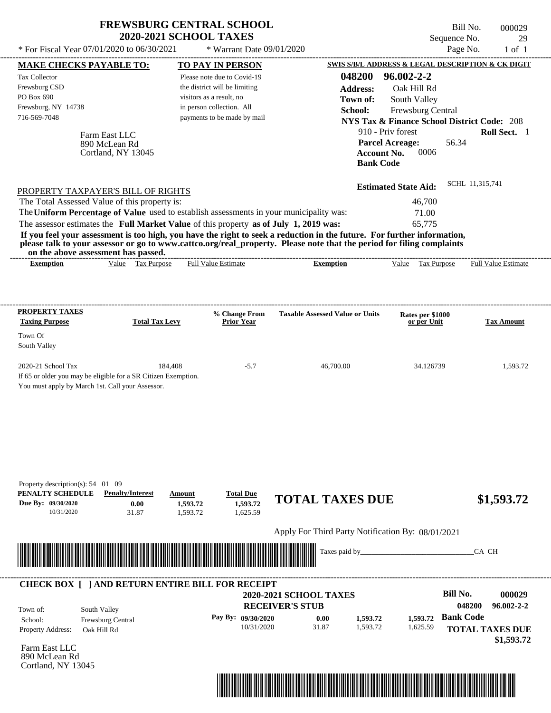| * For Fiscal Year 07/01/2020 to 06/30/2021                                                                                               |                                                      | <b>FREWSBURG CENTRAL SCHOOL</b><br><b>2020-2021 SCHOOL TAXES</b><br>* Warrant Date 09/01/2020                                                                                    |                                                                                                                                                                                                                                                  | Bill No.<br>Sequence No.<br>Page No.                                                                                                                                                | 000029<br>29<br>$1$ of $1$                                             |
|------------------------------------------------------------------------------------------------------------------------------------------|------------------------------------------------------|----------------------------------------------------------------------------------------------------------------------------------------------------------------------------------|--------------------------------------------------------------------------------------------------------------------------------------------------------------------------------------------------------------------------------------------------|-------------------------------------------------------------------------------------------------------------------------------------------------------------------------------------|------------------------------------------------------------------------|
| <b>MAKE CHECKS PAYABLE TO:</b><br>Tax Collector<br>Frewsburg CSD<br>PO Box 690<br>Frewsburg, NY 14738<br>716-569-7048                    |                                                      | <b>TO PAY IN PERSON</b><br>Please note due to Covid-19<br>the district will be limiting<br>visitors as a result, no<br>in person collection. All<br>payments to be made by mail  | 048200<br><b>Address:</b><br>Town of:<br>School:                                                                                                                                                                                                 | SWIS S/B/L ADDRESS & LEGAL DESCRIPTION & CK DIGIT<br>$96.002 - 2 - 2$<br>Oak Hill Rd<br>South Valley<br>Frewsburg Central<br><b>NYS Tax &amp; Finance School District Code: 208</b> |                                                                        |
|                                                                                                                                          | Farm East LLC<br>890 McLean Rd<br>Cortland, NY 13045 |                                                                                                                                                                                  | <b>Account No.</b><br><b>Bank Code</b>                                                                                                                                                                                                           | 910 - Priv forest<br>56.34<br><b>Parcel Acreage:</b><br>0006                                                                                                                        | Roll Sect. 1                                                           |
| PROPERTY TAXPAYER'S BILL OF RIGHTS<br>The Total Assessed Value of this property is:<br>on the above assessment has passed.               |                                                      | The Uniform Percentage of Value used to establish assessments in your municipality was:<br>The assessor estimates the Full Market Value of this property as of July 1, 2019 was: | If you feel your assessment is too high, you have the right to seek a reduction in the future. For further information,<br>please talk to your assessor or go to www.cattco.org/real_property. Please note that the period for filing complaints | <b>Estimated State Aid:</b><br>46,700<br>71.00<br>65,775                                                                                                                            | SCHL 11,315,741                                                        |
| <b>Exemption</b>                                                                                                                         | Value Tax Purpose                                    | <b>Full Value Estimate</b>                                                                                                                                                       | <b>Exemption</b>                                                                                                                                                                                                                                 | Value Tax Purpose                                                                                                                                                                   | <b>Full Value Estimate</b>                                             |
| <b>PROPERTY TAXES</b><br><b>Taxing Purpose</b><br>Town Of<br>South Valley                                                                | <b>Total Tax Levy</b>                                | % Change From<br><b>Prior Year</b>                                                                                                                                               | <b>Taxable Assessed Value or Units</b>                                                                                                                                                                                                           | Rates per \$1000<br>or per Unit                                                                                                                                                     | <b>Tax Amount</b>                                                      |
| 2020-21 School Tax<br>If 65 or older you may be eligible for a SR Citizen Exemption.<br>You must apply by March 1st. Call your Assessor. | 184,408                                              | $-5.7$                                                                                                                                                                           | 46,700.00                                                                                                                                                                                                                                        | 34.126739                                                                                                                                                                           | 1,593.72                                                               |
| Property description(s): 54 01 09<br>PENALTY SCHEDULE<br>Due By: 09/30/2020<br>10/31/2020                                                | <b>Penalty/Interest</b><br>0.00<br>31.87             | <b>Total Due</b><br>Amount<br>1,593.72<br>1,593.72<br>1,593.72<br>1,625.59                                                                                                       | <b>TOTAL TAXES DUE</b>                                                                                                                                                                                                                           |                                                                                                                                                                                     | \$1,593.72                                                             |
|                                                                                                                                          |                                                      |                                                                                                                                                                                  | Apply For Third Party Notification By: 08/01/2021<br>Taxes paid by_                                                                                                                                                                              |                                                                                                                                                                                     | CA CH                                                                  |
| Town of:<br>School:<br><b>Property Address:</b>                                                                                          | South Valley<br>Frewsburg Central<br>Oak Hill Rd     | <b>CHECK BOX [ ] AND RETURN ENTIRE BILL FOR RECEIPT</b><br>Pay By: 09/30/2020<br>10/31/2020                                                                                      | <b>2020-2021 SCHOOL TAXES</b><br><b>RECEIVER'S STUB</b><br>1,593.72<br>0.00<br>31.87<br>1,593.72                                                                                                                                                 | <b>Bill No.</b><br><b>Bank Code</b><br>1,593.72<br>1,625.59                                                                                                                         | 000029<br>96.002-2-2<br>048200<br><b>TOTAL TAXES DUE</b><br>\$1,593.72 |

Farm East LLC 890 McLean Rd Cortland, NY 13045

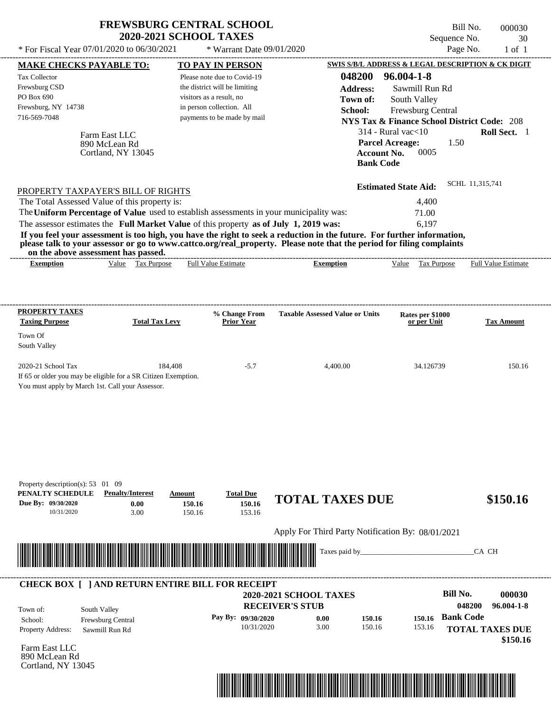| * For Fiscal Year 07/01/2020 to 06/30/2021                                                                                                                                                                                           | <b>FREWSBURG CENTRAL SCHOOL</b><br><b>2020-2021 SCHOOL TAXES</b>             | * Warrant Date 09/01/2020            |                                                                                                                                                                                                                                                                      | Bill No.<br>Sequence No.<br>Page No.                   | 000030<br>30<br>$1$ of $1$         |
|--------------------------------------------------------------------------------------------------------------------------------------------------------------------------------------------------------------------------------------|------------------------------------------------------------------------------|--------------------------------------|----------------------------------------------------------------------------------------------------------------------------------------------------------------------------------------------------------------------------------------------------------------------|--------------------------------------------------------|------------------------------------|
| <b>MAKE CHECKS PAYABLE TO:</b>                                                                                                                                                                                                       |                                                                              | <b>TO PAY IN PERSON</b>              |                                                                                                                                                                                                                                                                      | SWIS S/B/L ADDRESS & LEGAL DESCRIPTION & CK DIGIT      |                                    |
| Tax Collector                                                                                                                                                                                                                        |                                                                              | Please note due to Covid-19          | 048200                                                                                                                                                                                                                                                               | $96.004 - 1 - 8$                                       |                                    |
| Frewsburg CSD                                                                                                                                                                                                                        |                                                                              | the district will be limiting        | <b>Address:</b>                                                                                                                                                                                                                                                      | Sawmill Run Rd                                         |                                    |
| PO Box 690                                                                                                                                                                                                                           |                                                                              | visitors as a result, no             | Town of:                                                                                                                                                                                                                                                             | South Valley                                           |                                    |
| Frewsburg, NY 14738                                                                                                                                                                                                                  |                                                                              | in person collection. All            | School:                                                                                                                                                                                                                                                              | Frewsburg Central                                      |                                    |
| 716-569-7048                                                                                                                                                                                                                         |                                                                              | payments to be made by mail          |                                                                                                                                                                                                                                                                      | <b>NYS Tax &amp; Finance School District Code: 208</b> |                                    |
|                                                                                                                                                                                                                                      |                                                                              |                                      |                                                                                                                                                                                                                                                                      | $314$ - Rural vac $<$ 10                               | Roll Sect. 1                       |
| Farm East LLC<br>890 McLean Rd                                                                                                                                                                                                       | Cortland, NY 13045                                                           |                                      | <b>Account No.</b><br><b>Bank Code</b>                                                                                                                                                                                                                               | 1.50<br><b>Parcel Acreage:</b><br>0005                 |                                    |
| PROPERTY TAXPAYER'S BILL OF RIGHTS                                                                                                                                                                                                   |                                                                              |                                      |                                                                                                                                                                                                                                                                      | <b>Estimated State Aid:</b>                            | SCHL 11,315,741                    |
| The Total Assessed Value of this property is:                                                                                                                                                                                        |                                                                              |                                      |                                                                                                                                                                                                                                                                      | 4,400                                                  |                                    |
| The Uniform Percentage of Value used to establish assessments in your municipality was:                                                                                                                                              |                                                                              |                                      |                                                                                                                                                                                                                                                                      | 71.00                                                  |                                    |
| The assessor estimates the Full Market Value of this property as of July 1, 2019 was:                                                                                                                                                |                                                                              |                                      |                                                                                                                                                                                                                                                                      | 6,197                                                  |                                    |
| on the above assessment has passed.<br><b>Exemption</b>                                                                                                                                                                              | Value Tax Purpose                                                            | <b>Full Value Estimate</b>           | If you feel your assessment is too high, you have the right to seek a reduction in the future. For further information,<br>please talk to your assessor or go to www.cattco.org/real_property. Please note that the period for filing complaints<br><b>Exemption</b> | Value Tax Purpose                                      | <b>Full Value Estimate</b>         |
| <b>PROPERTY TAXES</b><br><b>Taxing Purpose</b>                                                                                                                                                                                       | <b>Total Tax Levy</b>                                                        | % Change From<br><b>Prior Year</b>   | <b>Taxable Assessed Value or Units</b>                                                                                                                                                                                                                               | Rates per \$1000<br>or per Unit                        | <b>Tax Amount</b>                  |
| Town Of<br>South Valley                                                                                                                                                                                                              |                                                                              |                                      |                                                                                                                                                                                                                                                                      |                                                        |                                    |
| 2020-21 School Tax                                                                                                                                                                                                                   | 184,408                                                                      | $-5.7$                               | 4,400.00                                                                                                                                                                                                                                                             | 34.126739                                              | 150.16                             |
| If 65 or older you may be eligible for a SR Citizen Exemption.<br>You must apply by March 1st. Call your Assessor.                                                                                                                   |                                                                              |                                      |                                                                                                                                                                                                                                                                      |                                                        |                                    |
| Property description(s): 53 01 09<br>PENALTY SCHEDULE<br>Due By: 09/30/2020<br>10/31/2020                                                                                                                                            | <b>Penalty/Interest</b><br><b>Amount</b><br>0.00<br>150.16<br>3.00<br>150.16 | <b>Total Due</b><br>150.16<br>153.16 | <b>TOTAL TAXES DUE</b>                                                                                                                                                                                                                                               |                                                        | \$150.16                           |
|                                                                                                                                                                                                                                      |                                                                              |                                      | Apply For Third Party Notification By: 08/01/2021                                                                                                                                                                                                                    |                                                        |                                    |
| <u> Harry Harry Harry Harry Harry Harry Harry Harry Harry Harry Harry Harry Harry Harry Harry Harry Harry Harry Harry Harry Harry Harry Harry Harry Harry Harry Harry Harry Harry Harry Harry Harry Harry Harry Harry Harry Harr</u> |                                                                              |                                      | Taxes paid by_                                                                                                                                                                                                                                                       |                                                        | CA CH                              |
| <b>CHECK BOX [ ] AND RETURN ENTIRE BILL FOR RECEIPT</b>                                                                                                                                                                              |                                                                              |                                      | <b>2020-2021 SCHOOL TAXES</b>                                                                                                                                                                                                                                        | <b>Bill No.</b>                                        | 000030                             |
|                                                                                                                                                                                                                                      |                                                                              |                                      | <b>RECEIVER'S STUB</b>                                                                                                                                                                                                                                               |                                                        | 96.004-1-8<br>048200               |
| South Valley<br>Town of:<br>School:                                                                                                                                                                                                  |                                                                              | Pay By: 09/30/2020                   | 150.16<br>0.00                                                                                                                                                                                                                                                       | <b>Bank Code</b><br>150.16                             |                                    |
| Frewsburg Central<br><b>Property Address:</b><br>Sawmill Run Rd                                                                                                                                                                      |                                                                              | 10/31/2020                           | 3.00<br>150.16                                                                                                                                                                                                                                                       | 153.16                                                 | <b>TOTAL TAXES DUE</b><br>\$150.16 |

Farm East LLC 890 McLean Rd Cortland, NY 13045

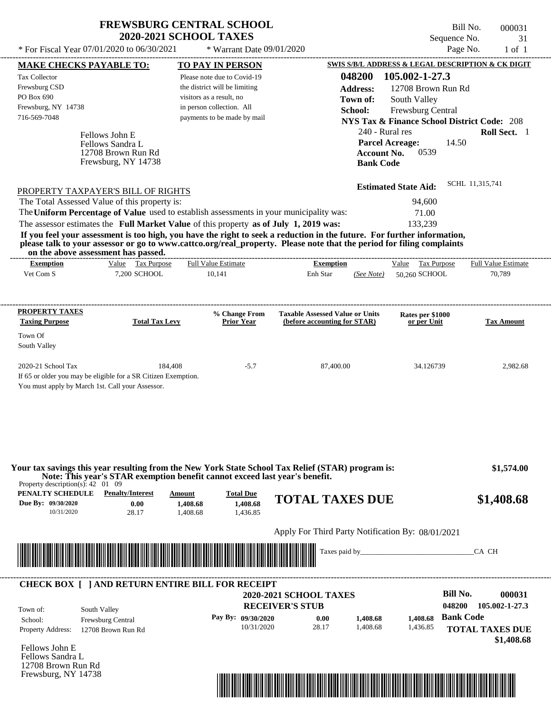| <b>FREWSBURG CENTRAL SCHOOL</b> |
|---------------------------------|
| <b>2020-2021 SCHOOL TAXES</b>   |

 $*$  For Fiscal Year 07/01/2020 to 06/30/2021

\* Warrant Date 09/01/2020

| <b>MAKE CHECKS PAYABLE TO:</b>                                      |                                                                | <b>TO PAY IN PERSON</b>                                                                                                                                                                                                              |                                                                        |                    |                                                        |                  | <b>SWIS S/B/L ADDRESS &amp; LEGAL DESCRIPTION &amp; CK DIGIT</b> |
|---------------------------------------------------------------------|----------------------------------------------------------------|--------------------------------------------------------------------------------------------------------------------------------------------------------------------------------------------------------------------------------------|------------------------------------------------------------------------|--------------------|--------------------------------------------------------|------------------|------------------------------------------------------------------|
| <b>Tax Collector</b>                                                |                                                                | Please note due to Covid-19                                                                                                                                                                                                          |                                                                        | 048200             | 105.002-1-27.3                                         |                  |                                                                  |
| Frewsburg CSD                                                       |                                                                | the district will be limiting                                                                                                                                                                                                        |                                                                        | <b>Address:</b>    | 12708 Brown Run Rd                                     |                  |                                                                  |
| PO Box 690                                                          |                                                                | visitors as a result, no                                                                                                                                                                                                             |                                                                        | Town of:           | South Valley                                           |                  |                                                                  |
| Frewsburg, NY 14738                                                 |                                                                | in person collection. All                                                                                                                                                                                                            |                                                                        | School:            | Frewsburg Central                                      |                  |                                                                  |
| 716-569-7048                                                        |                                                                | payments to be made by mail                                                                                                                                                                                                          |                                                                        |                    | <b>NYS Tax &amp; Finance School District Code: 208</b> |                  |                                                                  |
|                                                                     |                                                                |                                                                                                                                                                                                                                      |                                                                        | 240 - Rural res    |                                                        |                  | Roll Sect. 1                                                     |
|                                                                     | Fellows John E<br>Fellows Sandra L                             |                                                                                                                                                                                                                                      |                                                                        |                    | <b>Parcel Acreage:</b>                                 | 14.50            |                                                                  |
|                                                                     | 12708 Brown Run Rd                                             |                                                                                                                                                                                                                                      |                                                                        | <b>Account No.</b> | 0539                                                   |                  |                                                                  |
|                                                                     | Frewsburg, NY 14738                                            |                                                                                                                                                                                                                                      |                                                                        | <b>Bank Code</b>   |                                                        |                  |                                                                  |
|                                                                     |                                                                |                                                                                                                                                                                                                                      |                                                                        |                    |                                                        |                  |                                                                  |
|                                                                     | PROPERTY TAXPAYER'S BILL OF RIGHTS                             |                                                                                                                                                                                                                                      |                                                                        |                    | <b>Estimated State Aid:</b>                            |                  | SCHL 11,315,741                                                  |
|                                                                     | The Total Assessed Value of this property is:                  |                                                                                                                                                                                                                                      |                                                                        |                    | 94,600                                                 |                  |                                                                  |
|                                                                     |                                                                | The Uniform Percentage of Value used to establish assessments in your municipality was:                                                                                                                                              |                                                                        |                    | 71.00                                                  |                  |                                                                  |
|                                                                     |                                                                | The assessor estimates the Full Market Value of this property as of July 1, 2019 was:                                                                                                                                                |                                                                        |                    | 133,239                                                |                  |                                                                  |
|                                                                     |                                                                | If you feel your assessment is too high, you have the right to seek a reduction in the future. For further information,                                                                                                              |                                                                        |                    |                                                        |                  |                                                                  |
|                                                                     | on the above assessment has passed.                            | please talk to your assessor or go to www.cattco.org/real_property. Please note that the period for filing complaints                                                                                                                |                                                                        |                    |                                                        |                  |                                                                  |
| <b>Exemption</b>                                                    | Value Tax Purpose                                              | <b>Full Value Estimate</b>                                                                                                                                                                                                           | <b>Exemption</b>                                                       |                    | Value Tax Purpose                                      |                  | <b>Full Value Estimate</b>                                       |
| Vet Com S                                                           | 7,200 SCHOOL                                                   | 10,141                                                                                                                                                                                                                               | Enh Star                                                               | (See Note)         | 50,260 SCHOOL                                          |                  | 70,789                                                           |
| PROPERTY TAXES<br><b>Taxing Purpose</b>                             | <b>Total Tax Levy</b>                                          | % Change From<br><b>Prior Year</b>                                                                                                                                                                                                   | <b>Taxable Assessed Value or Units</b><br>(before accounting for STAR) |                    | Rates per \$1000<br>or per Unit                        |                  | <b>Tax Amount</b>                                                |
|                                                                     |                                                                |                                                                                                                                                                                                                                      |                                                                        |                    |                                                        |                  |                                                                  |
| Town Of<br>South Valley                                             |                                                                |                                                                                                                                                                                                                                      |                                                                        |                    |                                                        |                  |                                                                  |
| 2020-21 School Tax                                                  | 184,408                                                        | $-5.7$                                                                                                                                                                                                                               | 87,400.00                                                              |                    | 34.126739                                              |                  | 2,982.68                                                         |
|                                                                     | If 65 or older you may be eligible for a SR Citizen Exemption. |                                                                                                                                                                                                                                      |                                                                        |                    |                                                        |                  |                                                                  |
| You must apply by March 1st. Call your Assessor.                    |                                                                |                                                                                                                                                                                                                                      |                                                                        |                    |                                                        |                  |                                                                  |
|                                                                     |                                                                | Your tax savings this year resulting from the New York State School Tax Relief (STAR) program is:<br>Note: This year's STAR exemption benefit cannot exceed last year's benefit.                                                     |                                                                        |                    |                                                        |                  | \$1,574.00                                                       |
| Property description(s): $42 \quad 01 \quad 09$<br>PENALTY SCHEDULE | <b>Penalty/Interest</b>                                        | <b>Total Due</b><br>Amount                                                                                                                                                                                                           | <b>TOTAL TAXES DUE</b>                                                 |                    |                                                        |                  | \$1,408.68                                                       |
| Due By: 09/30/2020<br>10/31/2020                                    | 0.00<br>28.17                                                  | 1,408.68<br>1,408.68<br>1,408.68<br>1,436.85                                                                                                                                                                                         |                                                                        |                    |                                                        |                  |                                                                  |
|                                                                     |                                                                |                                                                                                                                                                                                                                      |                                                                        |                    |                                                        |                  |                                                                  |
|                                                                     |                                                                |                                                                                                                                                                                                                                      | Apply For Third Party Notification By: 08/01/2021                      |                    |                                                        |                  |                                                                  |
|                                                                     |                                                                | <u> Indian American State of Barbara and The Barbara and The Barbara and The Barbara and The Barbara and The Barbara and The Barbara and The Barbara and The Barbara and The Barbara and The Barbara and The Barbara and The Bar</u> | Taxes paid by_                                                         |                    |                                                        |                  | CA CH                                                            |
|                                                                     |                                                                | <b>CHECK BOX [ ] AND RETURN ENTIRE BILL FOR RECEIPT</b>                                                                                                                                                                              |                                                                        |                    |                                                        |                  |                                                                  |
|                                                                     |                                                                |                                                                                                                                                                                                                                      | <b>2020-2021 SCHOOL TAXES</b>                                          |                    |                                                        | <b>Bill No.</b>  | 000031                                                           |
| Town of:                                                            | South Valley                                                   |                                                                                                                                                                                                                                      | <b>RECEIVER'S STUB</b>                                                 |                    |                                                        | 048200           | 105.002-1-27.3                                                   |
| School:                                                             | Frewsburg Central                                              | Pay By: 09/30/2020                                                                                                                                                                                                                   | 0.00                                                                   | 1,408.68           | 1,408.68                                               | <b>Bank Code</b> |                                                                  |
| <b>Property Address:</b>                                            | 12708 Brown Run Rd                                             | 10/31/2020                                                                                                                                                                                                                           | 28.17                                                                  | 1,408.68           | 1,436.85                                               |                  | <b>TOTAL TAXES DUE</b>                                           |
|                                                                     |                                                                |                                                                                                                                                                                                                                      |                                                                        |                    |                                                        |                  | \$1,408.68                                                       |
| Fellows John E                                                      |                                                                |                                                                                                                                                                                                                                      |                                                                        |                    |                                                        |                  |                                                                  |
| Fellows Sandra L                                                    |                                                                |                                                                                                                                                                                                                                      |                                                                        |                    |                                                        |                  |                                                                  |
|                                                                     |                                                                |                                                                                                                                                                                                                                      |                                                                        |                    |                                                        |                  |                                                                  |
| 12708 Brown Run Rd<br>Frewsburg, NY 14738                           |                                                                |                                                                                                                                                                                                                                      |                                                                        |                    |                                                        |                  |                                                                  |

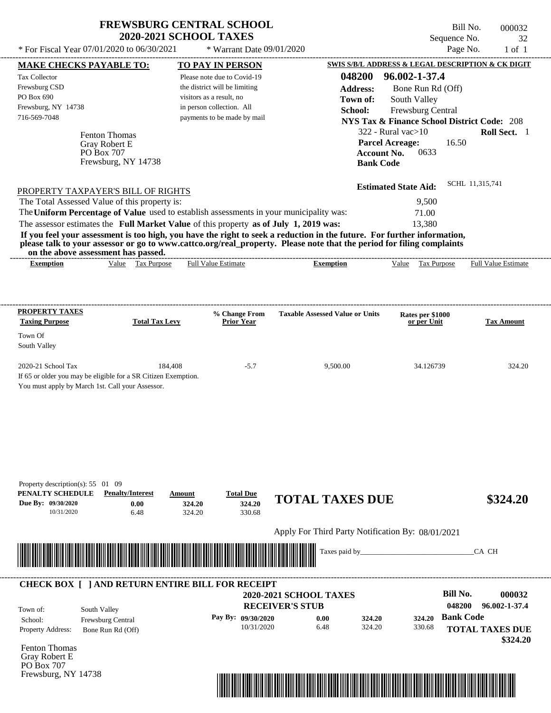| <b>FREWSBURG CENTRAL SCHOOL</b> |
|---------------------------------|
| <b>2020-2021 SCHOOL TAXES</b>   |

Bill No. 000032 Sequence No. 32<br>Page No. 1 of 1

| <b>MAKE CHECKS PAYABLE TO:</b>                                                                                                           |                          | <b>TO PAY IN PERSON</b>       |                                                                                                                                                                                                                                                  | SWIS S/B/L ADDRESS & LEGAL DESCRIPTION & CK DIGIT      |                            |
|------------------------------------------------------------------------------------------------------------------------------------------|--------------------------|-------------------------------|--------------------------------------------------------------------------------------------------------------------------------------------------------------------------------------------------------------------------------------------------|--------------------------------------------------------|----------------------------|
| Tax Collector                                                                                                                            |                          | Please note due to Covid-19   | 048200                                                                                                                                                                                                                                           | 96.002-1-37.4                                          |                            |
| Frewsburg CSD                                                                                                                            |                          | the district will be limiting | <b>Address:</b>                                                                                                                                                                                                                                  | Bone Run Rd (Off)                                      |                            |
| PO Box 690                                                                                                                               |                          | visitors as a result, no      | Town of:                                                                                                                                                                                                                                         | South Valley                                           |                            |
| Frewsburg, NY 14738                                                                                                                      |                          | in person collection. All     | School:                                                                                                                                                                                                                                          | Frewsburg Central                                      |                            |
| 716-569-7048                                                                                                                             |                          | payments to be made by mail   |                                                                                                                                                                                                                                                  | <b>NYS Tax &amp; Finance School District Code: 208</b> |                            |
| Fenton Thomas                                                                                                                            |                          |                               |                                                                                                                                                                                                                                                  | $322$ - Rural vac $>10$                                | Roll Sect. 1               |
| Gray Robert E                                                                                                                            |                          |                               |                                                                                                                                                                                                                                                  | 16.50<br><b>Parcel Acreage:</b>                        |                            |
| PO Box 707                                                                                                                               |                          |                               | <b>Account No.</b>                                                                                                                                                                                                                               | 0633                                                   |                            |
| Frewsburg, NY 14738                                                                                                                      |                          |                               | <b>Bank Code</b>                                                                                                                                                                                                                                 |                                                        |                            |
|                                                                                                                                          |                          |                               |                                                                                                                                                                                                                                                  |                                                        | SCHL 11,315,741            |
| PROPERTY TAXPAYER'S BILL OF RIGHTS                                                                                                       |                          |                               |                                                                                                                                                                                                                                                  | <b>Estimated State Aid:</b>                            |                            |
| The Total Assessed Value of this property is:                                                                                            |                          |                               |                                                                                                                                                                                                                                                  | 9,500                                                  |                            |
| The Uniform Percentage of Value used to establish assessments in your municipality was:                                                  |                          |                               |                                                                                                                                                                                                                                                  | 71.00                                                  |                            |
| The assessor estimates the Full Market Value of this property as of July 1, 2019 was:                                                    |                          |                               |                                                                                                                                                                                                                                                  | 13,380                                                 |                            |
|                                                                                                                                          |                          |                               | If you feel your assessment is too high, you have the right to seek a reduction in the future. For further information,<br>please talk to your assessor or go to www.cattco.org/real_property. Please note that the period for filing complaints |                                                        |                            |
| on the above assessment has passed.<br><b>Exemption</b>                                                                                  | Value Tax Purpose        | Full Value Estimate           | <b>Exemption</b>                                                                                                                                                                                                                                 | Value Tax Purpose                                      | <b>Full Value Estimate</b> |
|                                                                                                                                          |                          |                               |                                                                                                                                                                                                                                                  |                                                        |                            |
|                                                                                                                                          |                          |                               |                                                                                                                                                                                                                                                  |                                                        |                            |
| <b>PROPERTY TAXES</b>                                                                                                                    |                          | % Change From                 | <b>Taxable Assessed Value or Units</b>                                                                                                                                                                                                           | Rates per \$1000                                       |                            |
| <b>Taxing Purpose</b>                                                                                                                    | <b>Total Tax Levy</b>    | <b>Prior Year</b>             |                                                                                                                                                                                                                                                  | or per Unit                                            | <b>Tax Amount</b>          |
| Town Of<br>South Valley                                                                                                                  |                          |                               |                                                                                                                                                                                                                                                  |                                                        |                            |
| 2020-21 School Tax<br>If 65 or older you may be eligible for a SR Citizen Exemption.<br>You must apply by March 1st. Call your Assessor. | 184,408                  | $-5.7$                        | 9,500.00                                                                                                                                                                                                                                         | 34.126739                                              | 324.20                     |
|                                                                                                                                          |                          |                               |                                                                                                                                                                                                                                                  |                                                        |                            |
| Property description(s): 55 01 09<br>PENALTY SCHEDULE<br><b>Penalty/Interest</b><br>Due By: 09/30/2020                                   | Amount<br>0.00<br>324.20 | <b>Total Due</b><br>324.20    | <b>TOTAL TAXES DUE</b>                                                                                                                                                                                                                           |                                                        | \$324.20                   |
| 10/31/2020                                                                                                                               | 6.48<br>324.20           | 330.68                        |                                                                                                                                                                                                                                                  |                                                        |                            |
|                                                                                                                                          |                          |                               | Apply For Third Party Notification By: 08/01/2021                                                                                                                                                                                                |                                                        |                            |
|                                                                                                                                          |                          |                               | Taxes paid by_                                                                                                                                                                                                                                   |                                                        | CA CH                      |
|                                                                                                                                          |                          |                               |                                                                                                                                                                                                                                                  |                                                        |                            |
| <b>CHECK BOX [ ] AND RETURN ENTIRE BILL FOR RECEIPT</b>                                                                                  |                          |                               |                                                                                                                                                                                                                                                  |                                                        |                            |
|                                                                                                                                          |                          |                               | 2020-2021 SCHOOL TAXES                                                                                                                                                                                                                           | <b>Bill No.</b>                                        | 000032                     |
| South Valley<br>Town of:                                                                                                                 |                          |                               | <b>RECEIVER'S STUB</b>                                                                                                                                                                                                                           | 048200                                                 | 96.002-1-37.4              |
| School:<br>Frewsburg Central                                                                                                             |                          | Pay By: 09/30/2020            | 0.00<br>324.20                                                                                                                                                                                                                                   | <b>Bank Code</b><br>324.20                             |                            |
| Property Address:<br>Bone Run Rd (Off)                                                                                                   |                          | 10/31/2020                    | 6.48<br>324.20                                                                                                                                                                                                                                   | 330.68                                                 | <b>TOTAL TAXES DUE</b>     |
| Fenton Thomas                                                                                                                            |                          |                               |                                                                                                                                                                                                                                                  |                                                        | \$324.20                   |
| Gray Robert E                                                                                                                            |                          |                               |                                                                                                                                                                                                                                                  |                                                        |                            |
| PO Box 707                                                                                                                               |                          |                               |                                                                                                                                                                                                                                                  |                                                        |                            |
| Frewsburg, NY 14738                                                                                                                      |                          |                               |                                                                                                                                                                                                                                                  |                                                        |                            |
|                                                                                                                                          |                          |                               |                                                                                                                                                                                                                                                  |                                                        |                            |
|                                                                                                                                          |                          |                               |                                                                                                                                                                                                                                                  |                                                        |                            |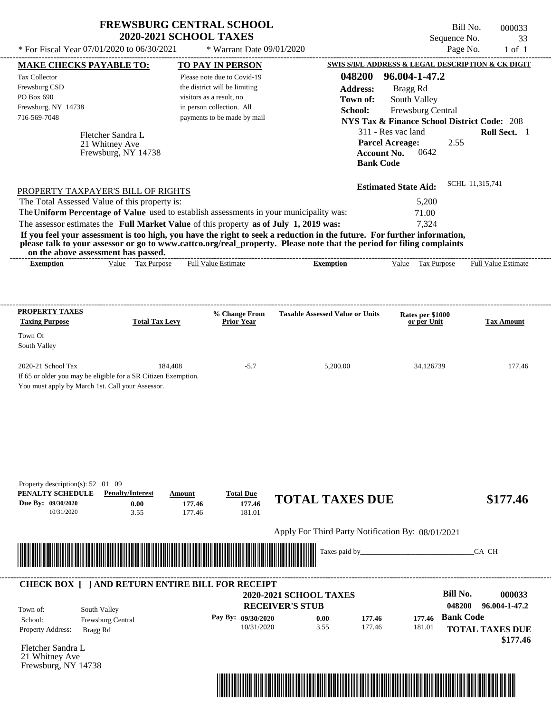| * For Fiscal Year 07/01/2020 to 06/30/2021                                                                                                                                                                                                                                                                                       | <b>FREWSBURG CENTRAL SCHOOL</b><br><b>2020-2021 SCHOOL TAXES</b><br>* Warrant Date 09/01/2020 |                                                   | Bill No.<br>Sequence No.<br>Page No.                   | 000033<br>33<br>$1$ of $1$ |
|----------------------------------------------------------------------------------------------------------------------------------------------------------------------------------------------------------------------------------------------------------------------------------------------------------------------------------|-----------------------------------------------------------------------------------------------|---------------------------------------------------|--------------------------------------------------------|----------------------------|
|                                                                                                                                                                                                                                                                                                                                  |                                                                                               |                                                   | SWIS S/B/L ADDRESS & LEGAL DESCRIPTION & CK DIGIT      |                            |
| <b>MAKE CHECKS PAYABLE TO:</b><br><b>Tax Collector</b>                                                                                                                                                                                                                                                                           | TO PAY IN PERSON<br>Please note due to Covid-19                                               | 048200                                            | 96.004-1-47.2                                          |                            |
| Frewsburg CSD                                                                                                                                                                                                                                                                                                                    | the district will be limiting                                                                 | <b>Address:</b>                                   | Bragg Rd                                               |                            |
| PO Box 690                                                                                                                                                                                                                                                                                                                       | visitors as a result, no                                                                      | Town of:                                          | South Valley                                           |                            |
| Frewsburg, NY 14738                                                                                                                                                                                                                                                                                                              | in person collection. All                                                                     | School:                                           | Frewsburg Central                                      |                            |
| 716-569-7048                                                                                                                                                                                                                                                                                                                     | payments to be made by mail                                                                   |                                                   | <b>NYS Tax &amp; Finance School District Code: 208</b> |                            |
| Fletcher Sandra L                                                                                                                                                                                                                                                                                                                |                                                                                               |                                                   | 311 - Res vac land                                     | Roll Sect. 1               |
| 21 Whitney Ave<br>Frewsburg, NY 14738                                                                                                                                                                                                                                                                                            |                                                                                               | <b>Account No.</b><br><b>Bank Code</b>            | <b>Parcel Acreage:</b><br>2.55<br>0642                 |                            |
| PROPERTY TAXPAYER'S BILL OF RIGHTS                                                                                                                                                                                                                                                                                               |                                                                                               |                                                   | <b>Estimated State Aid:</b>                            | SCHL 11,315,741            |
| The Total Assessed Value of this property is:                                                                                                                                                                                                                                                                                    |                                                                                               |                                                   | 5,200                                                  |                            |
| The Uniform Percentage of Value used to establish assessments in your municipality was:                                                                                                                                                                                                                                          |                                                                                               |                                                   | 71.00                                                  |                            |
| The assessor estimates the Full Market Value of this property as of July 1, 2019 was:                                                                                                                                                                                                                                            |                                                                                               |                                                   | 7,324                                                  |                            |
| If you feel your assessment is too high, you have the right to seek a reduction in the future. For further information,<br>please talk to your assessor or go to www.cattco.org/real_property. Please note that the period for filing complaints<br>on the above assessment has passed.<br>Value Tax Purpose<br><b>Exemption</b> | <b>Full Value Estimate</b>                                                                    | <b>Exemption</b>                                  | Value Tax Purpose                                      | <b>Full Value Estimate</b> |
|                                                                                                                                                                                                                                                                                                                                  |                                                                                               |                                                   |                                                        |                            |
| PROPERTY TAXES                                                                                                                                                                                                                                                                                                                   |                                                                                               |                                                   |                                                        |                            |
| <b>Taxing Purpose</b><br><b>Total Tax Levy</b>                                                                                                                                                                                                                                                                                   | % Change From<br><b>Prior Year</b>                                                            | <b>Taxable Assessed Value or Units</b>            | Rates per \$1000<br>or per Unit                        | <b>Tax Amount</b>          |
| Town Of                                                                                                                                                                                                                                                                                                                          |                                                                                               |                                                   |                                                        |                            |
| South Valley                                                                                                                                                                                                                                                                                                                     |                                                                                               |                                                   |                                                        |                            |
|                                                                                                                                                                                                                                                                                                                                  |                                                                                               |                                                   |                                                        |                            |
| 2020-21 School Tax<br>If 65 or older you may be eligible for a SR Citizen Exemption.<br>You must apply by March 1st. Call your Assessor.                                                                                                                                                                                         | 184,408<br>$-5.7$                                                                             | 5,200.00                                          | 34.126739                                              | 177.46                     |
| Property description(s): 52 01 09<br>PENALTY SCHEDULE<br><b>Penalty/Interest</b><br>Due By: 09/30/2020<br>0.00                                                                                                                                                                                                                   | <b>Total Due</b><br>Amount<br>177.46<br>177.46                                                | <b>TOTAL TAXES DUE</b>                            |                                                        | \$177.46                   |
| 10/31/2020<br>3.55                                                                                                                                                                                                                                                                                                               | 177.46<br>181.01                                                                              | Apply For Third Party Notification By: 08/01/2021 |                                                        |                            |
|                                                                                                                                                                                                                                                                                                                                  |                                                                                               | Taxes paid by_                                    |                                                        | CA CH                      |
|                                                                                                                                                                                                                                                                                                                                  |                                                                                               |                                                   |                                                        |                            |
| <b>CHECK BOX [ ] AND RETURN ENTIRE BILL FOR RECEIPT</b>                                                                                                                                                                                                                                                                          |                                                                                               | 2020-2021 SCHOOL TAXES                            | <b>Bill No.</b>                                        | 000033                     |
| South Valley<br>Town of:                                                                                                                                                                                                                                                                                                         |                                                                                               | <b>RECEIVER'S STUB</b>                            | 048200                                                 | 96.004-1-47.2              |
| Frewsburg Central<br>School:                                                                                                                                                                                                                                                                                                     |                                                                                               |                                                   |                                                        |                            |
|                                                                                                                                                                                                                                                                                                                                  | Pay By: 09/30/2020                                                                            | 0.00<br>177.46                                    | <b>Bank Code</b><br>177.46                             |                            |

Fletcher Sandra L 21 Whitney Ave Frewsburg, NY 14738

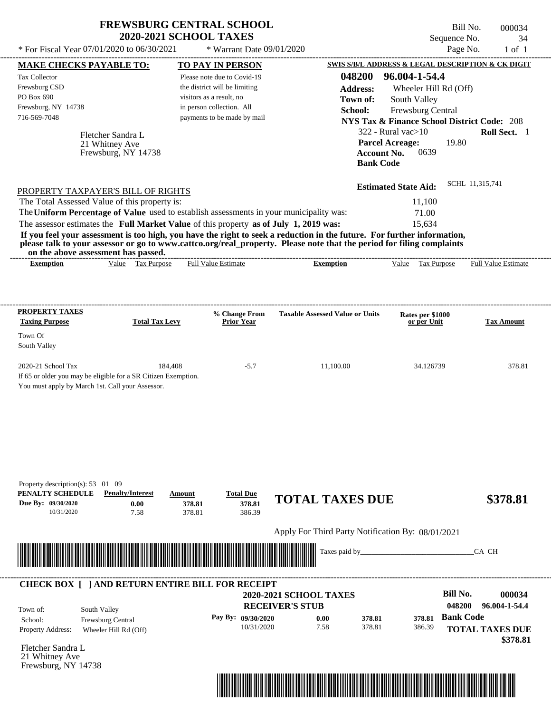|                                                                                           | <b>2020-2021 SCHOOL TAXES</b>                     | <b>FREWSBURG CENTRAL SCHOOL</b>                          |                                                                                                                                                                                                                                                  | Sequence No.                                           | Bill No.<br>000034<br>34 |
|-------------------------------------------------------------------------------------------|---------------------------------------------------|----------------------------------------------------------|--------------------------------------------------------------------------------------------------------------------------------------------------------------------------------------------------------------------------------------------------|--------------------------------------------------------|--------------------------|
| * For Fiscal Year 07/01/2020 to 06/30/2021                                                |                                                   | * Warrant Date 09/01/2020                                |                                                                                                                                                                                                                                                  |                                                        | Page No.<br>$1$ of $1$   |
| <b>MAKE CHECKS PAYABLE TO:</b>                                                            |                                                   | TO PAY IN PERSON                                         |                                                                                                                                                                                                                                                  | SWIS S/B/L ADDRESS & LEGAL DESCRIPTION & CK DIGIT      |                          |
| <b>Tax Collector</b>                                                                      |                                                   | Please note due to Covid-19                              | 048200                                                                                                                                                                                                                                           | 96.004-1-54.4                                          |                          |
| Frewsburg CSD                                                                             |                                                   | the district will be limiting                            | <b>Address:</b>                                                                                                                                                                                                                                  | Wheeler Hill Rd (Off)                                  |                          |
| PO Box 690                                                                                |                                                   | visitors as a result, no                                 | Town of:                                                                                                                                                                                                                                         | South Valley                                           |                          |
| Frewsburg, NY 14738                                                                       |                                                   | in person collection. All                                | School:                                                                                                                                                                                                                                          | Frewsburg Central                                      |                          |
| 716-569-7048                                                                              |                                                   | payments to be made by mail                              |                                                                                                                                                                                                                                                  | <b>NYS Tax &amp; Finance School District Code: 208</b> |                          |
|                                                                                           |                                                   |                                                          |                                                                                                                                                                                                                                                  | 322 - Rural vac $>10$                                  | Roll Sect. 1             |
| Fletcher Sandra L<br>21 Whitney Ave                                                       |                                                   |                                                          |                                                                                                                                                                                                                                                  | <b>Parcel Acreage:</b><br>19.80                        |                          |
|                                                                                           | Frewsburg, NY 14738                               |                                                          |                                                                                                                                                                                                                                                  | <b>Account No.</b><br>0639                             |                          |
|                                                                                           |                                                   |                                                          |                                                                                                                                                                                                                                                  | <b>Bank Code</b>                                       |                          |
|                                                                                           |                                                   |                                                          |                                                                                                                                                                                                                                                  | <b>Estimated State Aid:</b>                            | SCHL 11,315,741          |
| PROPERTY TAXPAYER'S BILL OF RIGHTS                                                        |                                                   |                                                          |                                                                                                                                                                                                                                                  |                                                        |                          |
| The Total Assessed Value of this property is:                                             |                                                   |                                                          |                                                                                                                                                                                                                                                  | 11,100                                                 |                          |
| The Uniform Percentage of Value used to establish assessments in your municipality was:   |                                                   |                                                          |                                                                                                                                                                                                                                                  | 71.00                                                  |                          |
| The assessor estimates the Full Market Value of this property as of July 1, 2019 was:     |                                                   |                                                          |                                                                                                                                                                                                                                                  | 15,634                                                 |                          |
|                                                                                           |                                                   |                                                          | If you feel your assessment is too high, you have the right to seek a reduction in the future. For further information,<br>please talk to your assessor or go to www.cattco.org/real_property. Please note that the period for filing complaints |                                                        |                          |
| on the above assessment has passed.                                                       |                                                   |                                                          |                                                                                                                                                                                                                                                  |                                                        |                          |
| <b>Exemption</b>                                                                          | Value Tax Purpose                                 | <b>Full Value Estimate</b>                               | <b>Exemption</b>                                                                                                                                                                                                                                 | Value<br>Tax Purpose                                   | Full Value Estimate      |
| <b>PROPERTY TAXES</b><br><b>Taxing Purpose</b><br>Town Of<br>South Valley                 | <b>Total Tax Levy</b>                             | % Change From<br>Prior Year                              | <b>Taxable Assessed Value or Units</b>                                                                                                                                                                                                           | Rates per \$1000<br>or per Unit                        | <b>Tax Amount</b>        |
| 2020-21 School Tax                                                                        | 184,408                                           | $-5.7$                                                   | 11,100.00                                                                                                                                                                                                                                        | 34.126739                                              | 378.81                   |
| If 65 or older you may be eligible for a SR Citizen Exemption.                            |                                                   |                                                          |                                                                                                                                                                                                                                                  |                                                        |                          |
| You must apply by March 1st. Call your Assessor.                                          |                                                   |                                                          |                                                                                                                                                                                                                                                  |                                                        |                          |
|                                                                                           |                                                   |                                                          |                                                                                                                                                                                                                                                  |                                                        |                          |
| Property description(s): 53 01 09<br>PENALTY SCHEDULE<br>Due By: 09/30/2020<br>10/31/2020 | <b>Penalty/Interest</b><br>Amount<br>0.00<br>7.58 | <b>Total Due</b><br>378.81<br>378.81<br>378.81<br>386.39 | <b>TOTAL TAXES DUE</b>                                                                                                                                                                                                                           |                                                        | \$378.81                 |
|                                                                                           |                                                   |                                                          | Apply For Third Party Notification By: 08/01/2021                                                                                                                                                                                                |                                                        |                          |
|                                                                                           |                                                   |                                                          | Taxes paid by_                                                                                                                                                                                                                                   |                                                        | CA CH                    |
| <b>CHECK BOX [ ] AND RETURN ENTIRE BILL FOR RECEIPT</b>                                   |                                                   |                                                          |                                                                                                                                                                                                                                                  |                                                        |                          |
|                                                                                           |                                                   |                                                          | <b>2020-2021 SCHOOL TAXES</b>                                                                                                                                                                                                                    | <b>Bill No.</b>                                        | 000034                   |
| South Valley<br>Town of:                                                                  |                                                   |                                                          | <b>RECEIVER'S STUB</b>                                                                                                                                                                                                                           | 048200                                                 | 96.004-1-54.4            |
| Frewsburg Central<br>School:                                                              |                                                   | Pay By: 09/30/2020                                       | 0.00                                                                                                                                                                                                                                             | 378.81<br>378.81                                       | <b>Bank Code</b>         |
| <b>Property Address:</b>                                                                  | Wheeler Hill Rd (Off)                             | 10/31/2020                                               | 7.58                                                                                                                                                                                                                                             | 378.81<br>386.39                                       | <b>TOTAL TAXES DUE</b>   |
| Elatcher Sandra L                                                                         |                                                   |                                                          |                                                                                                                                                                                                                                                  |                                                        | \$378.81                 |
|                                                                                           |                                                   |                                                          |                                                                                                                                                                                                                                                  |                                                        |                          |

Fletcher Sandra L 21 Whitney Ave Frewsburg, NY 14738

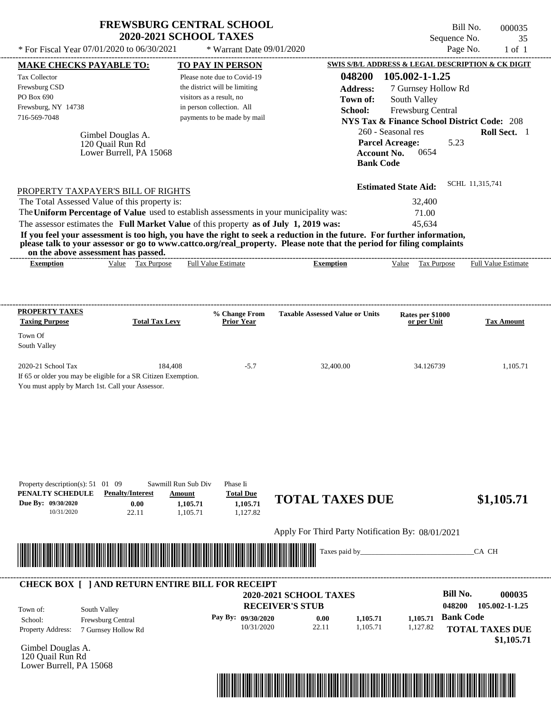| <b>FREWSBURG CENTRAL SCHOOL</b> |
|---------------------------------|
| <b>2020-2021 SCHOOL TAXES</b>   |

Bill No. 000035 Sequence No. 35

| * For Fiscal Year 07/01/2020 to 06/30/2021                                                                                                                                                                                                       |                                                          | * Warrant Date 09/01/2020                                |                                                   |                                                | Page No.<br>$1$ of $1$                                 |
|--------------------------------------------------------------------------------------------------------------------------------------------------------------------------------------------------------------------------------------------------|----------------------------------------------------------|----------------------------------------------------------|---------------------------------------------------|------------------------------------------------|--------------------------------------------------------|
| <b>MAKE CHECKS PAYABLE TO:</b>                                                                                                                                                                                                                   |                                                          | <b>TO PAY IN PERSON</b>                                  |                                                   |                                                | SWIS S/B/L ADDRESS & LEGAL DESCRIPTION & CK DIGIT      |
| Tax Collector                                                                                                                                                                                                                                    |                                                          | Please note due to Covid-19                              | 048200                                            | 105.002-1-1.25                                 |                                                        |
| Frewsburg CSD                                                                                                                                                                                                                                    |                                                          | the district will be limiting                            | <b>Address:</b>                                   | 7 Gurnsey Hollow Rd                            |                                                        |
| PO Box 690                                                                                                                                                                                                                                       |                                                          | visitors as a result, no                                 | Town of:                                          | South Valley                                   |                                                        |
| Frewsburg, NY 14738<br>716-569-7048                                                                                                                                                                                                              |                                                          | in person collection. All<br>payments to be made by mail | School:                                           | Frewsburg Central                              |                                                        |
|                                                                                                                                                                                                                                                  |                                                          |                                                          |                                                   |                                                | <b>NYS Tax &amp; Finance School District Code: 208</b> |
| Gimbel Douglas A.                                                                                                                                                                                                                                |                                                          |                                                          |                                                   | 260 - Seasonal res                             | Roll Sect. 1                                           |
| 120 Quail Run Rd                                                                                                                                                                                                                                 |                                                          |                                                          |                                                   | <b>Parcel Acreage:</b>                         | 5.23                                                   |
| Lower Burrell, PA 15068                                                                                                                                                                                                                          |                                                          |                                                          |                                                   | <b>Account No.</b><br>0654<br><b>Bank Code</b> |                                                        |
|                                                                                                                                                                                                                                                  |                                                          |                                                          |                                                   |                                                |                                                        |
|                                                                                                                                                                                                                                                  |                                                          |                                                          |                                                   | <b>Estimated State Aid:</b>                    | SCHL 11,315,741                                        |
| PROPERTY TAXPAYER'S BILL OF RIGHTS                                                                                                                                                                                                               |                                                          |                                                          |                                                   |                                                |                                                        |
| The Total Assessed Value of this property is:                                                                                                                                                                                                    |                                                          |                                                          |                                                   | 32,400                                         |                                                        |
| The Uniform Percentage of Value used to establish assessments in your municipality was:                                                                                                                                                          |                                                          |                                                          |                                                   | 71.00                                          |                                                        |
| The assessor estimates the Full Market Value of this property as of July 1, 2019 was:                                                                                                                                                            |                                                          |                                                          |                                                   | 45.634                                         |                                                        |
| If you feel your assessment is too high, you have the right to seek a reduction in the future. For further information,<br>please talk to your assessor or go to www.cattco.org/real_property. Please note that the period for filing complaints |                                                          |                                                          |                                                   |                                                |                                                        |
| on the above assessment has passed.                                                                                                                                                                                                              |                                                          |                                                          |                                                   |                                                |                                                        |
| <b>Exemption</b>                                                                                                                                                                                                                                 | Value Tax Purpose                                        | <b>Full Value Estimate</b>                               | <b>Exemption</b>                                  | <b>Tax Purpose</b><br>Value                    | Full Value Estimate                                    |
|                                                                                                                                                                                                                                                  |                                                          |                                                          |                                                   |                                                |                                                        |
|                                                                                                                                                                                                                                                  |                                                          |                                                          |                                                   |                                                |                                                        |
| <b>PROPERTY TAXES</b>                                                                                                                                                                                                                            |                                                          | % Change From                                            | <b>Taxable Assessed Value or Units</b>            | Rates per \$1000                               |                                                        |
| <b>Taxing Purpose</b>                                                                                                                                                                                                                            | <b>Total Tax Levy</b>                                    | <b>Prior Year</b>                                        |                                                   | or per Unit                                    | <b>Tax Amount</b>                                      |
| Town Of                                                                                                                                                                                                                                          |                                                          |                                                          |                                                   |                                                |                                                        |
| South Valley                                                                                                                                                                                                                                     |                                                          |                                                          |                                                   |                                                |                                                        |
|                                                                                                                                                                                                                                                  |                                                          |                                                          |                                                   |                                                |                                                        |
| 2020-21 School Tax                                                                                                                                                                                                                               | 184.408                                                  | $-5.7$                                                   | 32,400.00                                         | 34.126739                                      | 1,105.71                                               |
| If 65 or older you may be eligible for a SR Citizen Exemption.                                                                                                                                                                                   |                                                          |                                                          |                                                   |                                                |                                                        |
| You must apply by March 1st. Call your Assessor.                                                                                                                                                                                                 |                                                          |                                                          |                                                   |                                                |                                                        |
|                                                                                                                                                                                                                                                  |                                                          |                                                          |                                                   |                                                |                                                        |
|                                                                                                                                                                                                                                                  |                                                          |                                                          |                                                   |                                                |                                                        |
|                                                                                                                                                                                                                                                  |                                                          |                                                          |                                                   |                                                |                                                        |
|                                                                                                                                                                                                                                                  |                                                          |                                                          |                                                   |                                                |                                                        |
|                                                                                                                                                                                                                                                  |                                                          |                                                          |                                                   |                                                |                                                        |
|                                                                                                                                                                                                                                                  |                                                          |                                                          |                                                   |                                                |                                                        |
| Property description(s): $51 \quad 01 \quad 09$<br>PENALTY SCHEDULE                                                                                                                                                                              | Sawmill Run Sub Div<br><b>Penalty/Interest</b><br>Amount | Phase Ii<br><b>Total Due</b>                             |                                                   |                                                |                                                        |
| Due By: 09/30/2020                                                                                                                                                                                                                               | 0.00<br>1,105.71                                         | 1,105.71                                                 | <b>TOTAL TAXES DUE</b>                            |                                                | \$1,105.71                                             |
| 10/31/2020                                                                                                                                                                                                                                       | 22.11<br>1,105.71                                        | 1,127.82                                                 |                                                   |                                                |                                                        |
|                                                                                                                                                                                                                                                  |                                                          |                                                          | Apply For Third Party Notification By: 08/01/2021 |                                                |                                                        |
|                                                                                                                                                                                                                                                  |                                                          |                                                          | Taxes paid by_                                    |                                                |                                                        |
|                                                                                                                                                                                                                                                  |                                                          |                                                          |                                                   |                                                | CA CH                                                  |
|                                                                                                                                                                                                                                                  |                                                          |                                                          |                                                   |                                                |                                                        |
| <b>CHECK BOX [ ] AND RETURN ENTIRE BILL FOR RECEIPT</b>                                                                                                                                                                                          |                                                          |                                                          |                                                   |                                                |                                                        |
|                                                                                                                                                                                                                                                  |                                                          |                                                          | <b>2020-2021 SCHOOL TAXES</b>                     |                                                | <b>Bill No.</b><br>000035                              |
| South Valley<br>Town of:                                                                                                                                                                                                                         |                                                          |                                                          | <b>RECEIVER'S STUB</b>                            |                                                | 048200<br>105.002-1-1.25                               |
| Frewsburg Central<br>School:                                                                                                                                                                                                                     |                                                          | Pay By: 09/30/2020                                       | 0.00<br>1,105.71                                  | 1,105.71                                       | <b>Bank Code</b>                                       |
| <b>Property Address:</b><br>7 Gurnsey Hollow Rd                                                                                                                                                                                                  |                                                          | 10/31/2020                                               | 22.11<br>1,105.71                                 | 1,127.82                                       | <b>TOTAL TAXES DUE</b>                                 |
|                                                                                                                                                                                                                                                  |                                                          |                                                          |                                                   |                                                | \$1,105.71                                             |
| Gimbel Douglas A.                                                                                                                                                                                                                                |                                                          |                                                          |                                                   |                                                |                                                        |
| 120 Quail Run Rd<br>Lower Burrell, PA 15068                                                                                                                                                                                                      |                                                          |                                                          |                                                   |                                                |                                                        |
|                                                                                                                                                                                                                                                  |                                                          |                                                          |                                                   |                                                |                                                        |

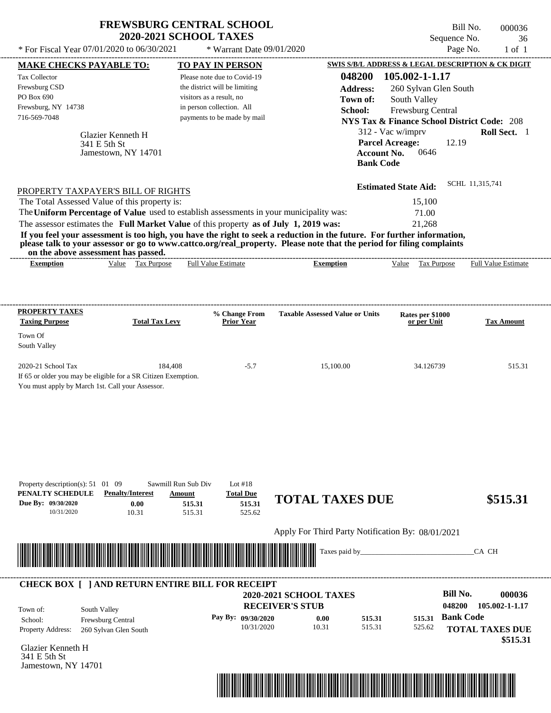|                                                                                                                                                                                                                                                                          |                                                          | <b>FREWSBURG CENTRAL SCHOOL</b><br><b>2020-2021 SCHOOL TAXES</b>                                                                                     |                                                                                                                                                                                                                                                  |                                                                                                                                        | Bill No.<br>Sequence No. | 000036<br>36                                    |
|--------------------------------------------------------------------------------------------------------------------------------------------------------------------------------------------------------------------------------------------------------------------------|----------------------------------------------------------|------------------------------------------------------------------------------------------------------------------------------------------------------|--------------------------------------------------------------------------------------------------------------------------------------------------------------------------------------------------------------------------------------------------|----------------------------------------------------------------------------------------------------------------------------------------|--------------------------|-------------------------------------------------|
| * For Fiscal Year 07/01/2020 to 06/30/2021                                                                                                                                                                                                                               |                                                          | * Warrant Date 09/01/2020                                                                                                                            |                                                                                                                                                                                                                                                  |                                                                                                                                        | Page No.                 | $1$ of $1$                                      |
| <b>MAKE CHECKS PAYABLE TO:</b>                                                                                                                                                                                                                                           |                                                          | TO PAY IN PERSON                                                                                                                                     |                                                                                                                                                                                                                                                  | SWIS S/B/L ADDRESS & LEGAL DESCRIPTION & CK DIGIT                                                                                      |                          |                                                 |
| Tax Collector<br>Frewsburg CSD<br>PO Box 690<br>Frewsburg, NY 14738<br>716-569-7048                                                                                                                                                                                      |                                                          | Please note due to Covid-19<br>the district will be limiting<br>visitors as a result, no<br>in person collection. All<br>payments to be made by mail | 048200<br><b>Address:</b><br>Town of:<br>School:                                                                                                                                                                                                 | 105.002-1-1.17<br>260 Sylvan Glen South<br>South Valley<br>Frewsburg Central<br><b>NYS Tax &amp; Finance School District Code: 208</b> |                          |                                                 |
|                                                                                                                                                                                                                                                                          | Glazier Kenneth H<br>341 E 5th St<br>Jamestown, NY 14701 |                                                                                                                                                      |                                                                                                                                                                                                                                                  | 312 - Vac w/imprv<br><b>Parcel Acreage:</b><br><b>Account No.</b><br>0646<br><b>Bank Code</b>                                          | 12.19                    | Roll Sect. 1                                    |
| PROPERTY TAXPAYER'S BILL OF RIGHTS                                                                                                                                                                                                                                       |                                                          |                                                                                                                                                      |                                                                                                                                                                                                                                                  | <b>Estimated State Aid:</b>                                                                                                            | SCHL 11,315,741          |                                                 |
| The Total Assessed Value of this property is:<br>The Uniform Percentage of Value used to establish assessments in your municipality was:<br>The assessor estimates the Full Market Value of this property as of July 1, 2019 was:<br>on the above assessment has passed. |                                                          |                                                                                                                                                      | If you feel your assessment is too high, you have the right to seek a reduction in the future. For further information,<br>please talk to your assessor or go to www.cattco.org/real_property. Please note that the period for filing complaints | 15,100<br>71.00<br>21,268                                                                                                              |                          |                                                 |
| <b>Exemption</b><br>PROPERTY TAXES<br><b>Taxing Purpose</b>                                                                                                                                                                                                              | Value Tax Purpose<br><b>Total Tax Levy</b>               | <b>Full Value Estimate</b><br>% Change From<br><b>Prior Year</b>                                                                                     | <b>Exemption</b><br><b>Taxable Assessed Value or Units</b>                                                                                                                                                                                       | Value Tax Purpose<br>Rates per \$1000<br>or per Unit                                                                                   |                          | <b>Full Value Estimate</b><br><b>Tax Amount</b> |

| Property description(s): $51 \quad 01 \quad 09$ |                                                         | Sawmill Run Sub Div                                                                                                  | Lot $#18$                        |                                                   |                  |                  |                          |
|-------------------------------------------------|---------------------------------------------------------|----------------------------------------------------------------------------------------------------------------------|----------------------------------|---------------------------------------------------|------------------|------------------|--------------------------|
| PENALTY SCHEDULE                                | <b>Penalty/Interest</b>                                 | Amount                                                                                                               | <b>Total Due</b>                 | <b>TOTAL TAXES DUE</b>                            |                  |                  |                          |
| Due By: 09/30/2020                              | 0.00                                                    | 515.31                                                                                                               | 515.31                           |                                                   |                  |                  | \$515.31                 |
| 10/31/2020                                      | 10.31                                                   | 515.31                                                                                                               | 525.62                           |                                                   |                  |                  |                          |
|                                                 |                                                         |                                                                                                                      |                                  | Apply For Third Party Notification By: 08/01/2021 |                  |                  |                          |
|                                                 |                                                         | <u> Tanzania di Baratta di Baratta di Baratta di Baratta di Baratta di Baratta di Baratta di Baratta di Baratta </u> |                                  | Taxes paid by                                     |                  |                  | CA CH                    |
|                                                 |                                                         |                                                                                                                      |                                  |                                                   |                  |                  |                          |
|                                                 |                                                         |                                                                                                                      |                                  |                                                   |                  |                  |                          |
|                                                 |                                                         |                                                                                                                      |                                  |                                                   |                  |                  |                          |
|                                                 | <b>CHECK BOX     AND RETURN ENTIRE BILL FOR RECEIPT</b> |                                                                                                                      |                                  |                                                   |                  |                  |                          |
|                                                 |                                                         |                                                                                                                      |                                  | <b>2020-2021 SCHOOL TAXES</b>                     |                  |                  | Bill No.<br>000036       |
|                                                 |                                                         |                                                                                                                      | <b>RECEIVER'S STUB</b>           |                                                   |                  |                  | 105.002-1-1.17<br>048200 |
| Town of:                                        | South Valley                                            |                                                                                                                      |                                  |                                                   |                  |                  | <b>Bank Code</b>         |
| School:<br>Property Address:                    | <b>Frewsburg Central</b><br>260 Sylvan Glen South       |                                                                                                                      | Pay By: 09/30/2020<br>10/31/2020 | 0.00<br>10.31                                     | 515.31<br>515.31 | 515.31<br>525.62 | <b>TOTAL TAXES DUE</b>   |

Glazier Kenneth H 341 E 5th St Jamestown, NY 14701

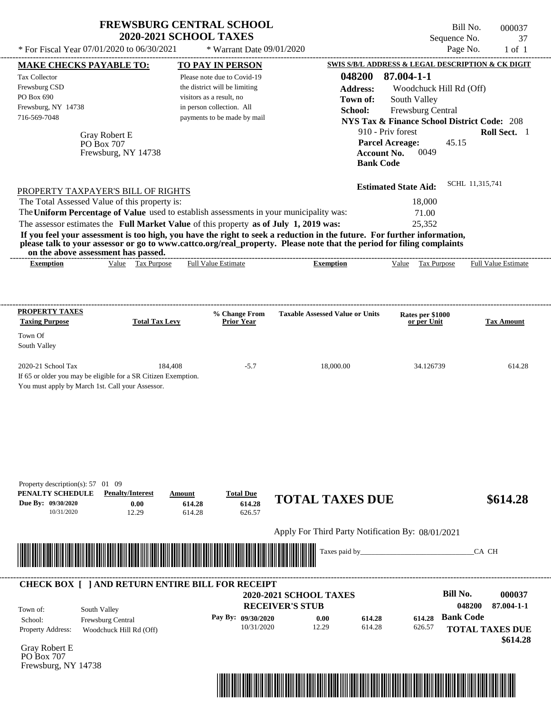| <b>2020-2021 SCHOOL TAXES</b><br>* For Fiscal Year 07/01/2020 to 06/30/2021<br>* Warrant Date 09/01/2020<br>SWIS S/B/L ADDRESS & LEGAL DESCRIPTION & CK DIGIT<br>MAKE CHECKS PAYABLE TO:<br><b>TO PAY IN PERSON</b><br>87.004-1-1<br>048200<br>Tax Collector<br>Please note due to Covid-19<br>Frewsburg CSD<br>the district will be limiting<br><b>Address:</b><br>Woodchuck Hill Rd (Off)<br>PO Box 690<br>visitors as a result, no<br>Town of:<br>South Valley<br>Frewsburg, NY 14738<br>in person collection. All<br>Frewsburg Central<br>School:<br>716-569-7048<br>payments to be made by mail<br><b>NYS Tax &amp; Finance School District Code: 208</b><br>910 - Priv forest<br>Gray Robert E<br><b>Parcel Acreage:</b><br>PO Box 707<br>0049<br>Frewsburg, NY 14738<br><b>Account No.</b><br><b>Bank Code</b><br><b>Estimated State Aid:</b><br>PROPERTY TAXPAYER'S BILL OF RIGHTS<br>The Total Assessed Value of this property is:<br>18,000<br>The Uniform Percentage of Value used to establish assessments in your municipality was:<br>71.00<br>The assessor estimates the Full Market Value of this property as of July 1, 2019 was:<br>25,352<br>If you feel your assessment is too high, you have the right to seek a reduction in the future. For further information,<br>please talk to your assessor or go to www.cattco.org/real_property. Please note that the period for filing complaints<br>on the above assessment has passed.<br>Value Tax Purpose<br>Full Value Estimate<br>Tax Purpose<br><b>Exemption</b><br><b>Exemption</b><br>Value<br><b>PROPERTY TAXES</b><br>% Change From<br><b>Taxable Assessed Value or Units</b><br>Rates per \$1000<br><b>Taxing Purpose</b><br><b>Total Tax Levy</b><br><b>Prior Year</b><br>or per Unit<br>Town Of<br>South Valley<br>2020-21 School Tax<br>184,408<br>$-5.7$<br>18,000.00<br>34.126739<br>If 65 or older you may be eligible for a SR Citizen Exemption.<br>You must apply by March 1st. Call your Assessor.<br>Property description(s): $57$ 01 09<br>PENALTY SCHEDULE<br><b>Penalty/Interest</b><br><b>Total Due</b><br>Amount<br><b>TOTAL TAXES DUE</b><br>Due By: 09/30/2020<br>614.28<br>0.00<br>614.28<br>10/31/2020<br>12.29<br>614.28<br>626.57<br>Apply For Third Party Notification By: 08/01/2021<br>Taxes paid by<br><b>CHECK BOX [ ] AND RETURN ENTIRE BILL FOR RECEIPT</b> | Bill No.<br>000037<br>Sequence No.<br>37 |
|---------------------------------------------------------------------------------------------------------------------------------------------------------------------------------------------------------------------------------------------------------------------------------------------------------------------------------------------------------------------------------------------------------------------------------------------------------------------------------------------------------------------------------------------------------------------------------------------------------------------------------------------------------------------------------------------------------------------------------------------------------------------------------------------------------------------------------------------------------------------------------------------------------------------------------------------------------------------------------------------------------------------------------------------------------------------------------------------------------------------------------------------------------------------------------------------------------------------------------------------------------------------------------------------------------------------------------------------------------------------------------------------------------------------------------------------------------------------------------------------------------------------------------------------------------------------------------------------------------------------------------------------------------------------------------------------------------------------------------------------------------------------------------------------------------------------------------------------------------------------------------------------------------------------------------------------------------------------------------------------------------------------------------------------------------------------------------------------------------------------------------------------------------------------------------------------------------------------------------------------------------------------------------------------------------------------------------------------------------------------|------------------------------------------|
|                                                                                                                                                                                                                                                                                                                                                                                                                                                                                                                                                                                                                                                                                                                                                                                                                                                                                                                                                                                                                                                                                                                                                                                                                                                                                                                                                                                                                                                                                                                                                                                                                                                                                                                                                                                                                                                                                                                                                                                                                                                                                                                                                                                                                                                                                                                                                                     | Page No.<br>$1$ of $1$                   |
|                                                                                                                                                                                                                                                                                                                                                                                                                                                                                                                                                                                                                                                                                                                                                                                                                                                                                                                                                                                                                                                                                                                                                                                                                                                                                                                                                                                                                                                                                                                                                                                                                                                                                                                                                                                                                                                                                                                                                                                                                                                                                                                                                                                                                                                                                                                                                                     |                                          |
|                                                                                                                                                                                                                                                                                                                                                                                                                                                                                                                                                                                                                                                                                                                                                                                                                                                                                                                                                                                                                                                                                                                                                                                                                                                                                                                                                                                                                                                                                                                                                                                                                                                                                                                                                                                                                                                                                                                                                                                                                                                                                                                                                                                                                                                                                                                                                                     |                                          |
|                                                                                                                                                                                                                                                                                                                                                                                                                                                                                                                                                                                                                                                                                                                                                                                                                                                                                                                                                                                                                                                                                                                                                                                                                                                                                                                                                                                                                                                                                                                                                                                                                                                                                                                                                                                                                                                                                                                                                                                                                                                                                                                                                                                                                                                                                                                                                                     |                                          |
|                                                                                                                                                                                                                                                                                                                                                                                                                                                                                                                                                                                                                                                                                                                                                                                                                                                                                                                                                                                                                                                                                                                                                                                                                                                                                                                                                                                                                                                                                                                                                                                                                                                                                                                                                                                                                                                                                                                                                                                                                                                                                                                                                                                                                                                                                                                                                                     |                                          |
|                                                                                                                                                                                                                                                                                                                                                                                                                                                                                                                                                                                                                                                                                                                                                                                                                                                                                                                                                                                                                                                                                                                                                                                                                                                                                                                                                                                                                                                                                                                                                                                                                                                                                                                                                                                                                                                                                                                                                                                                                                                                                                                                                                                                                                                                                                                                                                     |                                          |
|                                                                                                                                                                                                                                                                                                                                                                                                                                                                                                                                                                                                                                                                                                                                                                                                                                                                                                                                                                                                                                                                                                                                                                                                                                                                                                                                                                                                                                                                                                                                                                                                                                                                                                                                                                                                                                                                                                                                                                                                                                                                                                                                                                                                                                                                                                                                                                     |                                          |
|                                                                                                                                                                                                                                                                                                                                                                                                                                                                                                                                                                                                                                                                                                                                                                                                                                                                                                                                                                                                                                                                                                                                                                                                                                                                                                                                                                                                                                                                                                                                                                                                                                                                                                                                                                                                                                                                                                                                                                                                                                                                                                                                                                                                                                                                                                                                                                     |                                          |
|                                                                                                                                                                                                                                                                                                                                                                                                                                                                                                                                                                                                                                                                                                                                                                                                                                                                                                                                                                                                                                                                                                                                                                                                                                                                                                                                                                                                                                                                                                                                                                                                                                                                                                                                                                                                                                                                                                                                                                                                                                                                                                                                                                                                                                                                                                                                                                     | Roll Sect. 1                             |
|                                                                                                                                                                                                                                                                                                                                                                                                                                                                                                                                                                                                                                                                                                                                                                                                                                                                                                                                                                                                                                                                                                                                                                                                                                                                                                                                                                                                                                                                                                                                                                                                                                                                                                                                                                                                                                                                                                                                                                                                                                                                                                                                                                                                                                                                                                                                                                     | 45.15                                    |
|                                                                                                                                                                                                                                                                                                                                                                                                                                                                                                                                                                                                                                                                                                                                                                                                                                                                                                                                                                                                                                                                                                                                                                                                                                                                                                                                                                                                                                                                                                                                                                                                                                                                                                                                                                                                                                                                                                                                                                                                                                                                                                                                                                                                                                                                                                                                                                     |                                          |
|                                                                                                                                                                                                                                                                                                                                                                                                                                                                                                                                                                                                                                                                                                                                                                                                                                                                                                                                                                                                                                                                                                                                                                                                                                                                                                                                                                                                                                                                                                                                                                                                                                                                                                                                                                                                                                                                                                                                                                                                                                                                                                                                                                                                                                                                                                                                                                     |                                          |
|                                                                                                                                                                                                                                                                                                                                                                                                                                                                                                                                                                                                                                                                                                                                                                                                                                                                                                                                                                                                                                                                                                                                                                                                                                                                                                                                                                                                                                                                                                                                                                                                                                                                                                                                                                                                                                                                                                                                                                                                                                                                                                                                                                                                                                                                                                                                                                     | SCHL 11,315,741                          |
|                                                                                                                                                                                                                                                                                                                                                                                                                                                                                                                                                                                                                                                                                                                                                                                                                                                                                                                                                                                                                                                                                                                                                                                                                                                                                                                                                                                                                                                                                                                                                                                                                                                                                                                                                                                                                                                                                                                                                                                                                                                                                                                                                                                                                                                                                                                                                                     |                                          |
|                                                                                                                                                                                                                                                                                                                                                                                                                                                                                                                                                                                                                                                                                                                                                                                                                                                                                                                                                                                                                                                                                                                                                                                                                                                                                                                                                                                                                                                                                                                                                                                                                                                                                                                                                                                                                                                                                                                                                                                                                                                                                                                                                                                                                                                                                                                                                                     |                                          |
|                                                                                                                                                                                                                                                                                                                                                                                                                                                                                                                                                                                                                                                                                                                                                                                                                                                                                                                                                                                                                                                                                                                                                                                                                                                                                                                                                                                                                                                                                                                                                                                                                                                                                                                                                                                                                                                                                                                                                                                                                                                                                                                                                                                                                                                                                                                                                                     |                                          |
|                                                                                                                                                                                                                                                                                                                                                                                                                                                                                                                                                                                                                                                                                                                                                                                                                                                                                                                                                                                                                                                                                                                                                                                                                                                                                                                                                                                                                                                                                                                                                                                                                                                                                                                                                                                                                                                                                                                                                                                                                                                                                                                                                                                                                                                                                                                                                                     |                                          |
|                                                                                                                                                                                                                                                                                                                                                                                                                                                                                                                                                                                                                                                                                                                                                                                                                                                                                                                                                                                                                                                                                                                                                                                                                                                                                                                                                                                                                                                                                                                                                                                                                                                                                                                                                                                                                                                                                                                                                                                                                                                                                                                                                                                                                                                                                                                                                                     |                                          |
|                                                                                                                                                                                                                                                                                                                                                                                                                                                                                                                                                                                                                                                                                                                                                                                                                                                                                                                                                                                                                                                                                                                                                                                                                                                                                                                                                                                                                                                                                                                                                                                                                                                                                                                                                                                                                                                                                                                                                                                                                                                                                                                                                                                                                                                                                                                                                                     | Full Value Estimate                      |
|                                                                                                                                                                                                                                                                                                                                                                                                                                                                                                                                                                                                                                                                                                                                                                                                                                                                                                                                                                                                                                                                                                                                                                                                                                                                                                                                                                                                                                                                                                                                                                                                                                                                                                                                                                                                                                                                                                                                                                                                                                                                                                                                                                                                                                                                                                                                                                     | <b>Tax Amount</b>                        |
|                                                                                                                                                                                                                                                                                                                                                                                                                                                                                                                                                                                                                                                                                                                                                                                                                                                                                                                                                                                                                                                                                                                                                                                                                                                                                                                                                                                                                                                                                                                                                                                                                                                                                                                                                                                                                                                                                                                                                                                                                                                                                                                                                                                                                                                                                                                                                                     | 614.28                                   |
|                                                                                                                                                                                                                                                                                                                                                                                                                                                                                                                                                                                                                                                                                                                                                                                                                                                                                                                                                                                                                                                                                                                                                                                                                                                                                                                                                                                                                                                                                                                                                                                                                                                                                                                                                                                                                                                                                                                                                                                                                                                                                                                                                                                                                                                                                                                                                                     | \$614.28                                 |
|                                                                                                                                                                                                                                                                                                                                                                                                                                                                                                                                                                                                                                                                                                                                                                                                                                                                                                                                                                                                                                                                                                                                                                                                                                                                                                                                                                                                                                                                                                                                                                                                                                                                                                                                                                                                                                                                                                                                                                                                                                                                                                                                                                                                                                                                                                                                                                     |                                          |
|                                                                                                                                                                                                                                                                                                                                                                                                                                                                                                                                                                                                                                                                                                                                                                                                                                                                                                                                                                                                                                                                                                                                                                                                                                                                                                                                                                                                                                                                                                                                                                                                                                                                                                                                                                                                                                                                                                                                                                                                                                                                                                                                                                                                                                                                                                                                                                     | CA CH                                    |
|                                                                                                                                                                                                                                                                                                                                                                                                                                                                                                                                                                                                                                                                                                                                                                                                                                                                                                                                                                                                                                                                                                                                                                                                                                                                                                                                                                                                                                                                                                                                                                                                                                                                                                                                                                                                                                                                                                                                                                                                                                                                                                                                                                                                                                                                                                                                                                     |                                          |
| 2020-2021 SCHOOL TAXES                                                                                                                                                                                                                                                                                                                                                                                                                                                                                                                                                                                                                                                                                                                                                                                                                                                                                                                                                                                                                                                                                                                                                                                                                                                                                                                                                                                                                                                                                                                                                                                                                                                                                                                                                                                                                                                                                                                                                                                                                                                                                                                                                                                                                                                                                                                                              | Bill No.<br>000037                       |
| <b>RECEIVER'S STUB</b><br>Town of:<br>South Valley                                                                                                                                                                                                                                                                                                                                                                                                                                                                                                                                                                                                                                                                                                                                                                                                                                                                                                                                                                                                                                                                                                                                                                                                                                                                                                                                                                                                                                                                                                                                                                                                                                                                                                                                                                                                                                                                                                                                                                                                                                                                                                                                                                                                                                                                                                                  | 048200<br>87.004-1-1                     |
| Pay By: 09/30/2020<br>614.28<br>614.28<br>0.00<br>School:<br>Frewsburg Central                                                                                                                                                                                                                                                                                                                                                                                                                                                                                                                                                                                                                                                                                                                                                                                                                                                                                                                                                                                                                                                                                                                                                                                                                                                                                                                                                                                                                                                                                                                                                                                                                                                                                                                                                                                                                                                                                                                                                                                                                                                                                                                                                                                                                                                                                      | <b>Bank Code</b>                         |
| 10/31/2020<br>12.29<br>614.28<br>626.57<br>Woodchuck Hill Rd (Off)<br><b>Property Address:</b>                                                                                                                                                                                                                                                                                                                                                                                                                                                                                                                                                                                                                                                                                                                                                                                                                                                                                                                                                                                                                                                                                                                                                                                                                                                                                                                                                                                                                                                                                                                                                                                                                                                                                                                                                                                                                                                                                                                                                                                                                                                                                                                                                                                                                                                                      | <b>TOTAL TAXES DUE</b>                   |

Gray Robert E PO Box 707 Frewsburg, NY 14738



 **\$614.28**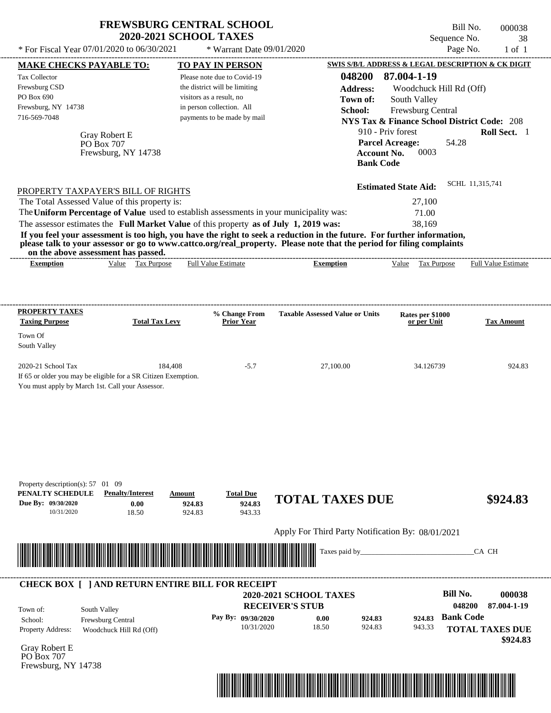| * For Fiscal Year 07/01/2020 to 06/30/2021                                                                                   | <b>FREWSBURG CENTRAL SCHOOL</b><br><b>2020-2021 SCHOOL TAXES</b>                                                                                                                                                       | * Warrant Date 09/01/2020                                                                                                                                                       |                                                                                                                                                                                                                                                  | Sequence No.<br>Page No.                                                                                                                                                                                                                                   | Bill No.<br>000038<br>38<br>$1$ of $1$ |
|------------------------------------------------------------------------------------------------------------------------------|------------------------------------------------------------------------------------------------------------------------------------------------------------------------------------------------------------------------|---------------------------------------------------------------------------------------------------------------------------------------------------------------------------------|--------------------------------------------------------------------------------------------------------------------------------------------------------------------------------------------------------------------------------------------------|------------------------------------------------------------------------------------------------------------------------------------------------------------------------------------------------------------------------------------------------------------|----------------------------------------|
| <b>MAKE CHECKS PAYABLE TO:</b><br><b>Tax Collector</b><br>Frewsburg CSD<br>PO Box 690<br>Frewsburg, NY 14738<br>716-569-7048 | Gray Robert E<br>PO Box 707<br>Frewsburg, NY 14738                                                                                                                                                                     | <b>TO PAY IN PERSON</b><br>Please note due to Covid-19<br>the district will be limiting<br>visitors as a result, no<br>in person collection. All<br>payments to be made by mail | 048200<br><b>Address:</b><br>Town of:<br>School:<br><b>Account No.</b><br><b>Bank Code</b>                                                                                                                                                       | SWIS S/B/L ADDRESS & LEGAL DESCRIPTION & CK DIGIT<br>87.004-1-19<br>Woodchuck Hill Rd (Off)<br>South Valley<br>Frewsburg Central<br><b>NYS Tax &amp; Finance School District Code: 208</b><br>910 - Priv forest<br>54.28<br><b>Parcel Acreage:</b><br>0003 | Roll Sect. 1                           |
| The Total Assessed Value of this property is:<br>on the above assessment has passed.                                         | PROPERTY TAXPAYER'S BILL OF RIGHTS<br>The Uniform Percentage of Value used to establish assessments in your municipality was:<br>The assessor estimates the Full Market Value of this property as of July 1, 2019 was: |                                                                                                                                                                                 | If you feel your assessment is too high, you have the right to seek a reduction in the future. For further information,<br>please talk to your assessor or go to www.cattco.org/real_property. Please note that the period for filing complaints | <b>Estimated State Aid:</b><br>27,100<br>71.00<br>38,169                                                                                                                                                                                                   | SCHL 11,315,741                        |
| <b>Exemption</b>                                                                                                             | Value Tax Purpose                                                                                                                                                                                                      | <b>Full Value Estimate</b>                                                                                                                                                      | <b>Exemption</b>                                                                                                                                                                                                                                 | Value Tax Purpose                                                                                                                                                                                                                                          | <b>Full Value Estimate</b>             |
| <b>PROPERTY TAXES</b><br><b>Taxing Purpose</b><br>Town Of<br>South Valley                                                    | <b>Total Tax Levy</b>                                                                                                                                                                                                  | % Change From<br><b>Prior Year</b>                                                                                                                                              | <b>Taxable Assessed Value or Units</b>                                                                                                                                                                                                           | Rates per \$1000<br>or per Unit                                                                                                                                                                                                                            | <b>Tax Amount</b>                      |
| 2020-21 School Tax<br>You must apply by March 1st. Call your Assessor.                                                       | 184,408<br>If 65 or older you may be eligible for a SR Citizen Exemption.                                                                                                                                              | $-5.7$                                                                                                                                                                          | 27,100.00                                                                                                                                                                                                                                        | 34.126739                                                                                                                                                                                                                                                  | 924.83                                 |
| Property description(s): 57 01 09<br>PENALTY SCHEDULE<br>Due By: 09/30/2020<br>10/31/2020                                    | <b>Penalty/Interest</b><br>Amount<br>0.00<br>18.50                                                                                                                                                                     | <b>Total Due</b><br>924.83<br>924.83<br>924.83<br>943.33                                                                                                                        | <b>TOTAL TAXES DUE</b>                                                                                                                                                                                                                           |                                                                                                                                                                                                                                                            | \$924.83                               |
|                                                                                                                              |                                                                                                                                                                                                                        |                                                                                                                                                                                 | Apply For Third Party Notification By: 08/01/2021                                                                                                                                                                                                |                                                                                                                                                                                                                                                            |                                        |
|                                                                                                                              |                                                                                                                                                                                                                        |                                                                                                                                                                                 | Taxes paid by_                                                                                                                                                                                                                                   |                                                                                                                                                                                                                                                            | CA CH                                  |
| Town of:<br>South Valley                                                                                                     | <b>CHECK BOX [ ] AND RETURN ENTIRE BILL FOR RECEIPT</b>                                                                                                                                                                |                                                                                                                                                                                 | 2020-2021 SCHOOL TAXES<br><b>RECEIVER'S STUB</b>                                                                                                                                                                                                 | <b>Bill No.</b>                                                                                                                                                                                                                                            | 000038<br>048200<br>87.004-1-19        |
| School:<br>Property Address:                                                                                                 | Frewsburg Central<br>Woodchuck Hill Rd (Off)                                                                                                                                                                           | Pay By: 09/30/2020<br>10/31/2020                                                                                                                                                | 0.00<br>924.83<br>18.50<br>924.83                                                                                                                                                                                                                | <b>Bank Code</b><br>924.83<br>943.33                                                                                                                                                                                                                       | <b>TOTAL TAXES DUE</b><br>\$924.83     |

Gray Robert E PO Box 707 Frewsburg, NY 14738

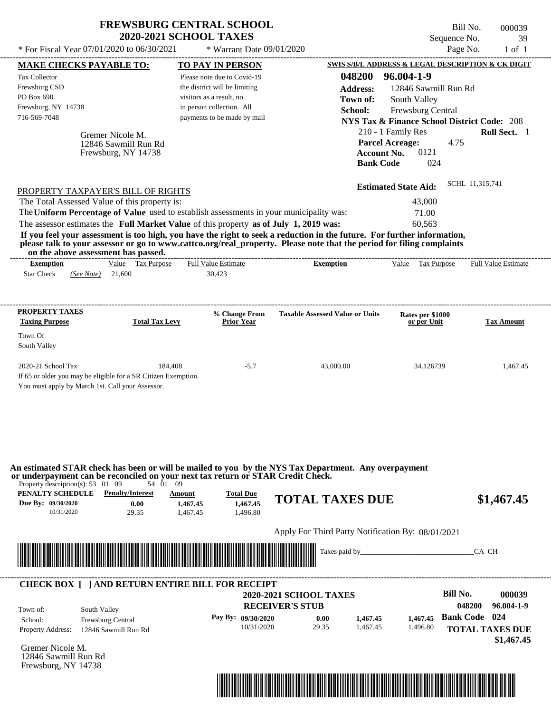| * For Fiscal Year 07/01/2020 to 06/30/2021<br>Page No.<br>* Warrant Date 09/01/2020<br>$1$ of $1$<br>SWIS S/B/L ADDRESS & LEGAL DESCRIPTION & CK DIGIT<br><b>TO PAY IN PERSON</b><br><b>MAKE CHECKS PAYABLE TO:</b><br>96.004-1-9<br>048200<br><b>Tax Collector</b><br>Please note due to Covid-19<br>Frewsburg CSD<br>the district will be limiting<br>12846 Sawmill Run Rd<br><b>Address:</b><br>PO Box 690<br>visitors as a result, no<br>Town of:<br>South Valley<br>Frewsburg, NY 14738<br>in person collection. All<br>Frewsburg Central<br>School:<br>716-569-7048<br>payments to be made by mail<br><b>NYS Tax &amp; Finance School District Code: 208</b><br>210 - 1 Family Res<br><b>Roll Sect.</b> 1<br>Gremer Nicole M.<br><b>Parcel Acreage:</b><br>4.75<br>12846 Sawmill Run Rd<br>0121<br><b>Account No.</b><br>Frewsburg, NY 14738<br><b>Bank Code</b><br>024<br>SCHL 11,315,741<br><b>Estimated State Aid:</b><br>PROPERTY TAXPAYER'S BILL OF RIGHTS<br>The Total Assessed Value of this property is:<br>43,000<br>The Uniform Percentage of Value used to establish assessments in your municipality was:<br>71.00<br>The assessor estimates the Full Market Value of this property as of July 1, 2019 was:<br>60.563<br>If you feel your assessment is too high, you have the right to seek a reduction in the future. For further information,<br>please talk to your assessor or go to www.cattco.org/real_property. Please note that the period for filing complaints<br>on the above assessment has passed.<br>Value Tax Purpose<br><b>Full Value Estimate</b><br><b>Exemption</b><br><b>Exemption</b><br>Value Tax Purpose<br><b>Full Value Estimate</b><br><b>Star Check</b><br>21,600<br>30,423<br>(See Note) |
|-----------------------------------------------------------------------------------------------------------------------------------------------------------------------------------------------------------------------------------------------------------------------------------------------------------------------------------------------------------------------------------------------------------------------------------------------------------------------------------------------------------------------------------------------------------------------------------------------------------------------------------------------------------------------------------------------------------------------------------------------------------------------------------------------------------------------------------------------------------------------------------------------------------------------------------------------------------------------------------------------------------------------------------------------------------------------------------------------------------------------------------------------------------------------------------------------------------------------------------------------------------------------------------------------------------------------------------------------------------------------------------------------------------------------------------------------------------------------------------------------------------------------------------------------------------------------------------------------------------------------------------------------------------------------------------------------------------------------------------------|
|                                                                                                                                                                                                                                                                                                                                                                                                                                                                                                                                                                                                                                                                                                                                                                                                                                                                                                                                                                                                                                                                                                                                                                                                                                                                                                                                                                                                                                                                                                                                                                                                                                                                                                                                         |
|                                                                                                                                                                                                                                                                                                                                                                                                                                                                                                                                                                                                                                                                                                                                                                                                                                                                                                                                                                                                                                                                                                                                                                                                                                                                                                                                                                                                                                                                                                                                                                                                                                                                                                                                         |
|                                                                                                                                                                                                                                                                                                                                                                                                                                                                                                                                                                                                                                                                                                                                                                                                                                                                                                                                                                                                                                                                                                                                                                                                                                                                                                                                                                                                                                                                                                                                                                                                                                                                                                                                         |
|                                                                                                                                                                                                                                                                                                                                                                                                                                                                                                                                                                                                                                                                                                                                                                                                                                                                                                                                                                                                                                                                                                                                                                                                                                                                                                                                                                                                                                                                                                                                                                                                                                                                                                                                         |
|                                                                                                                                                                                                                                                                                                                                                                                                                                                                                                                                                                                                                                                                                                                                                                                                                                                                                                                                                                                                                                                                                                                                                                                                                                                                                                                                                                                                                                                                                                                                                                                                                                                                                                                                         |
| <b>PROPERTY TAXES</b><br><b>Taxable Assessed Value or Units</b><br>% Change From<br>Rates per \$1000<br><b>Taxing Purpose</b><br>Prior Year<br><b>Total Tax Levy</b><br><b>Tax Amount</b><br>or per Unit<br>Town Of<br>South Valley<br>2020-21 School Tax<br>184,408<br>$-5.7$<br>43,000.00<br>34.126739<br>1,467.45<br>If 65 or older you may be eligible for a SR Citizen Exemption.<br>You must apply by March 1st. Call your Assessor.                                                                                                                                                                                                                                                                                                                                                                                                                                                                                                                                                                                                                                                                                                                                                                                                                                                                                                                                                                                                                                                                                                                                                                                                                                                                                              |

| Town of:                 | South Valley             | <b>2020-2021 SCHOOL TAXES</b><br><b>RECEIVER'S STUB</b> |       |          |          | Bill No.<br>048200     | 000039<br>96.004-1-9 |
|--------------------------|--------------------------|---------------------------------------------------------|-------|----------|----------|------------------------|----------------------|
| School:                  | <b>Frewsburg Central</b> | Pay By: $09/30/2020$                                    | 0.00  | 1,467.45 | 1.467.45 | <b>Bank Code</b> 024   |                      |
| <b>Property Address:</b> | 12846 Sawmill Run Rd     | 10/31/2020                                              | 29.35 | 1.467.45 | 1,496.80 | <b>TOTAL TAXES DUE</b> |                      |

Gremer Nicole M. 12846 Sawmill Run Rd Frewsburg, NY 14738

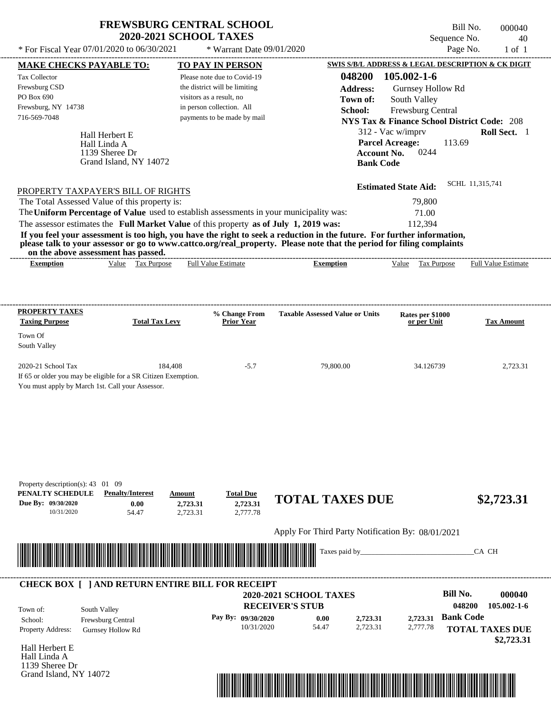| <b>FREWSBURG CENTRAL SCHOOL</b> |
|---------------------------------|
| <b>2020-2021 SCHOOL TAXES</b>   |

Bill No. 000040 Sequence No. 40<br>Page No. 1 of 1

| <b>MAKE CHECKS PAYABLE TO:</b>                                                                                                                                                                                                                                                          | <b>TO PAY IN PERSON</b>                                      |                                                             | SWIS S/B/L ADDRESS & LEGAL DESCRIPTION & CK DIGIT      |                        |
|-----------------------------------------------------------------------------------------------------------------------------------------------------------------------------------------------------------------------------------------------------------------------------------------|--------------------------------------------------------------|-------------------------------------------------------------|--------------------------------------------------------|------------------------|
| <b>Tax Collector</b><br>Frewsburg CSD                                                                                                                                                                                                                                                   | Please note due to Covid-19<br>the district will be limiting | 048200<br><b>Address:</b>                                   | 105.002-1-6<br>Gurnsey Hollow Rd                       |                        |
| PO Box 690                                                                                                                                                                                                                                                                              | visitors as a result, no                                     | Town of:                                                    | South Valley                                           |                        |
| Frewsburg, NY 14738<br>716-569-7048                                                                                                                                                                                                                                                     | in person collection. All<br>payments to be made by mail     | School:                                                     | Frewsburg Central                                      |                        |
|                                                                                                                                                                                                                                                                                         |                                                              |                                                             | <b>NYS Tax &amp; Finance School District Code: 208</b> |                        |
| Hall Herbert E                                                                                                                                                                                                                                                                          |                                                              |                                                             | 312 - Vac w/imprv<br><b>Parcel Acreage:</b><br>113.69  | Roll Sect. 1           |
| Hall Linda A<br>1139 Sheree Dr                                                                                                                                                                                                                                                          |                                                              | <b>Account No.</b>                                          | 0244                                                   |                        |
| Grand Island, NY 14072                                                                                                                                                                                                                                                                  |                                                              | <b>Bank Code</b>                                            |                                                        |                        |
|                                                                                                                                                                                                                                                                                         |                                                              |                                                             |                                                        |                        |
| PROPERTY TAXPAYER'S BILL OF RIGHTS                                                                                                                                                                                                                                                      |                                                              |                                                             | <b>Estimated State Aid:</b>                            | SCHL 11,315,741        |
| The Total Assessed Value of this property is:                                                                                                                                                                                                                                           |                                                              |                                                             | 79,800                                                 |                        |
| The Uniform Percentage of Value used to establish assessments in your municipality was:                                                                                                                                                                                                 |                                                              |                                                             | 71.00                                                  |                        |
| The assessor estimates the Full Market Value of this property as of July 1, 2019 was:                                                                                                                                                                                                   |                                                              |                                                             | 112,394                                                |                        |
| If you feel your assessment is too high, you have the right to seek a reduction in the future. For further information,<br>please talk to your assessor or go to www.cattco.org/real_property. Please note that the period for filing complaints<br>on the above assessment has passed. |                                                              |                                                             |                                                        |                        |
| Value Tax Purpose<br><b>Exemption</b>                                                                                                                                                                                                                                                   | <b>Full Value Estimate</b>                                   | <b>Exemption</b>                                            | Value Tax Purpose Full Value Estimate                  |                        |
|                                                                                                                                                                                                                                                                                         |                                                              |                                                             |                                                        |                        |
|                                                                                                                                                                                                                                                                                         |                                                              |                                                             |                                                        |                        |
| <b>PROPERTY TAXES</b>                                                                                                                                                                                                                                                                   | % Change From                                                | <b>Taxable Assessed Value or Units</b>                      | Rates per \$1000                                       |                        |
| <b>Total Tax Levy</b><br><b>Taxing Purpose</b>                                                                                                                                                                                                                                          | <b>Prior Year</b>                                            |                                                             | or per Unit                                            | <b>Tax Amount</b>      |
| Town Of<br>South Valley                                                                                                                                                                                                                                                                 |                                                              |                                                             |                                                        |                        |
| 2020-21 School Tax<br>184,408                                                                                                                                                                                                                                                           | $-5.7$                                                       | 79,800.00                                                   | 34.126739                                              | 2,723.31               |
| If 65 or older you may be eligible for a SR Citizen Exemption.                                                                                                                                                                                                                          |                                                              |                                                             |                                                        |                        |
| You must apply by March 1st. Call your Assessor.                                                                                                                                                                                                                                        |                                                              |                                                             |                                                        |                        |
|                                                                                                                                                                                                                                                                                         |                                                              |                                                             |                                                        |                        |
|                                                                                                                                                                                                                                                                                         |                                                              |                                                             |                                                        |                        |
|                                                                                                                                                                                                                                                                                         |                                                              |                                                             |                                                        |                        |
|                                                                                                                                                                                                                                                                                         |                                                              |                                                             |                                                        |                        |
|                                                                                                                                                                                                                                                                                         |                                                              |                                                             |                                                        |                        |
| Property description(s): 43 01 09                                                                                                                                                                                                                                                       |                                                              |                                                             |                                                        |                        |
| PENALTY SCHEDULE<br><b>Penalty/Interest</b>                                                                                                                                                                                                                                             | <b>Total Due</b><br>Amount                                   | <b>TOTAL TAXES DUE</b>                                      |                                                        | \$2,723.31             |
| Due By: 09/30/2020<br>0.00<br>10/31/2020<br>54.47                                                                                                                                                                                                                                       | 2,723.31<br>2,723.31<br>2,777.78<br>2,723.31                 |                                                             |                                                        |                        |
|                                                                                                                                                                                                                                                                                         |                                                              |                                                             |                                                        |                        |
|                                                                                                                                                                                                                                                                                         |                                                              | Apply For Third Party Notification By: 08/01/2021           |                                                        |                        |
| <u> Harry Harry Harry Harry Harry Harry Harry Harry Harry Harry Harry Harry Harry Harry Harry Harry Harry Harry Harry Harry Harry Harry Harry Harry Harry Harry Harry Harry Harry Harry Harry Harry Harry Harry Harry Harry Harr</u>                                                    |                                                              | Taxes paid by_                                              |                                                        | CA CH                  |
|                                                                                                                                                                                                                                                                                         |                                                              |                                                             |                                                        |                        |
| <b>CHECK BOX [ ] AND RETURN ENTIRE BILL FOR RECEIPT</b>                                                                                                                                                                                                                                 |                                                              |                                                             |                                                        |                        |
|                                                                                                                                                                                                                                                                                         |                                                              | 2020-2021 SCHOOL TAXES                                      | <b>Bill No.</b>                                        | 000040                 |
| South Valley<br>Town of:                                                                                                                                                                                                                                                                |                                                              | <b>RECEIVER'S STUB</b>                                      | <b>Bank Code</b>                                       | 048200<br>105.002-1-6  |
| School:<br>Frewsburg Central<br>Property Address:                                                                                                                                                                                                                                       | Pay By: 09/30/2020<br>10/31/2020                             | 0.00<br>2,723.31<br>54.47<br>2,723.31                       | 2,723.31<br>2,777.78                                   | <b>TOTAL TAXES DUE</b> |
| <b>Gurnsey Hollow Rd</b>                                                                                                                                                                                                                                                                |                                                              |                                                             |                                                        | \$2,723.31             |
| Hall Herbert E                                                                                                                                                                                                                                                                          |                                                              |                                                             |                                                        |                        |
| Hall Linda A<br>1139 Sheree Dr                                                                                                                                                                                                                                                          |                                                              |                                                             |                                                        |                        |
| Grand Island, NY 14072                                                                                                                                                                                                                                                                  |                                                              |                                                             |                                                        |                        |
|                                                                                                                                                                                                                                                                                         |                                                              | <u> 1989 - Johann Stoff, Amerikaansk politiker († 1958)</u> |                                                        |                        |
|                                                                                                                                                                                                                                                                                         |                                                              |                                                             |                                                        |                        |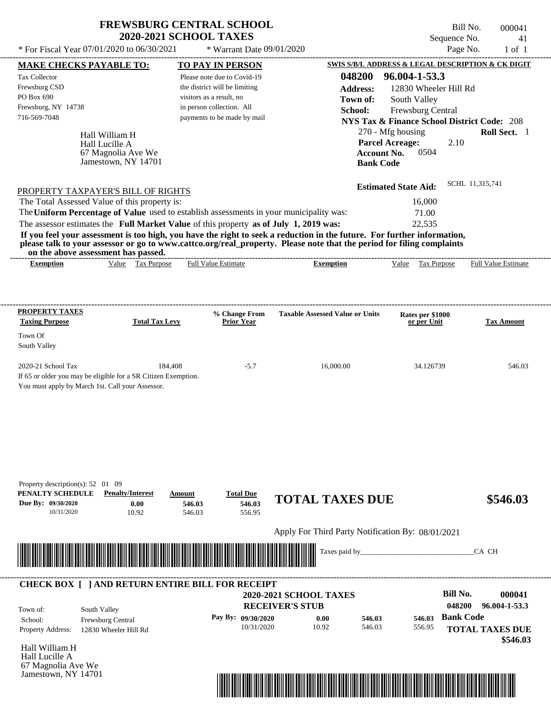|                                                                                                                                                                                                                                                                                         | <b>FREWSBURG CENTRAL SCHOOL</b><br><b>2020-2021 SCHOOL TAXES</b> |                                                                                                                       |                                                   |                                        |                                                                                                                                   | Bill No.<br>Sequence No. | 000041<br>41                                      |
|-----------------------------------------------------------------------------------------------------------------------------------------------------------------------------------------------------------------------------------------------------------------------------------------|------------------------------------------------------------------|-----------------------------------------------------------------------------------------------------------------------|---------------------------------------------------|----------------------------------------|-----------------------------------------------------------------------------------------------------------------------------------|--------------------------|---------------------------------------------------|
| * For Fiscal Year 07/01/2020 to 06/30/2021                                                                                                                                                                                                                                              |                                                                  | * Warrant Date 09/01/2020                                                                                             |                                                   |                                        |                                                                                                                                   | Page No.                 | $1$ of $1$                                        |
| <b>MAKE CHECKS PAYABLE TO:</b>                                                                                                                                                                                                                                                          |                                                                  | TO PAY IN PERSON                                                                                                      |                                                   |                                        |                                                                                                                                   |                          | SWIS S/B/L ADDRESS & LEGAL DESCRIPTION & CK DIGIT |
| Tax Collector<br>Frewsburg CSD<br>PO Box 690<br>Frewsburg, NY 14738                                                                                                                                                                                                                     |                                                                  | Please note due to Covid-19<br>the district will be limiting<br>visitors as a result, no<br>in person collection. All |                                                   | 048200<br><b>Address:</b><br>Town of:  | 96.004-1-53.3<br>12830 Wheeler Hill Rd<br>South Valley                                                                            |                          |                                                   |
| 716-569-7048<br>Hall William H<br>Hall Lucille A                                                                                                                                                                                                                                        |                                                                  | payments to be made by mail                                                                                           |                                                   | School:                                | <b>Frewsburg Central</b><br><b>NYS Tax &amp; Finance School District Code: 208</b><br>270 - Mfg housing<br><b>Parcel Acreage:</b> | 2.10                     | Roll Sect. 1                                      |
| 67 Magnolia Ave We<br>Jamestown, NY 14701                                                                                                                                                                                                                                               |                                                                  |                                                                                                                       |                                                   | <b>Account No.</b><br><b>Bank Code</b> | 0504                                                                                                                              |                          |                                                   |
| PROPERTY TAXPAYER'S BILL OF RIGHTS<br>The Total Assessed Value of this property is:<br>The Uniform Percentage of Value used to establish assessments in your municipality was:                                                                                                          |                                                                  |                                                                                                                       |                                                   |                                        | <b>Estimated State Aid:</b><br>16,000<br>71.00                                                                                    |                          | SCHL 11,315,741                                   |
| The assessor estimates the Full Market Value of this property as of July 1, 2019 was:                                                                                                                                                                                                   |                                                                  |                                                                                                                       |                                                   |                                        | 22,535                                                                                                                            |                          |                                                   |
| If you feel your assessment is too high, you have the right to seek a reduction in the future. For further information,<br>please talk to your assessor or go to www.cattco.org/real_property. Please note that the period for filing complaints<br>on the above assessment has passed. |                                                                  |                                                                                                                       |                                                   |                                        |                                                                                                                                   |                          |                                                   |
| <b>Exemption</b>                                                                                                                                                                                                                                                                        | Value Tax Purpose                                                | <b>Full Value Estimate</b>                                                                                            | <b>Exemption</b>                                  |                                        | Value Tax Purpose                                                                                                                 |                          | <b>Full Value Estimate</b>                        |
|                                                                                                                                                                                                                                                                                         |                                                                  |                                                                                                                       |                                                   |                                        |                                                                                                                                   |                          |                                                   |
| <b>PROPERTY TAXES</b><br><b>Taxing Purpose</b>                                                                                                                                                                                                                                          | <b>Total Tax Levy</b>                                            | % Change From<br><b>Prior Year</b>                                                                                    | <b>Taxable Assessed Value or Units</b>            |                                        | Rates per \$1000<br>or per Unit                                                                                                   |                          | <b>Tax Amount</b>                                 |
| Town Of<br>South Valley                                                                                                                                                                                                                                                                 |                                                                  |                                                                                                                       |                                                   |                                        |                                                                                                                                   |                          |                                                   |
| 2020-21 School Tax<br>If 65 or older you may be eligible for a SR Citizen Exemption.<br>You must apply by March 1st. Call your Assessor.                                                                                                                                                | 184,408                                                          | $-5.7$                                                                                                                | 16,000.00                                         |                                        | 34.126739                                                                                                                         |                          | 546.03                                            |
|                                                                                                                                                                                                                                                                                         |                                                                  |                                                                                                                       |                                                   |                                        |                                                                                                                                   |                          |                                                   |
|                                                                                                                                                                                                                                                                                         |                                                                  |                                                                                                                       |                                                   |                                        |                                                                                                                                   |                          |                                                   |
| Property description(s): 52 01 09<br>PENALTY SCHEDULE<br><b>Penalty/Interest</b><br>Due By: 09/30/2020<br>10/31/2020                                                                                                                                                                    | Amount<br>0.00<br>546.03<br>10.92<br>546.03                      | <b>Total Due</b><br>546.03<br>556.95                                                                                  | <b>TOTAL TAXES DUE</b>                            |                                        |                                                                                                                                   |                          | \$546.03                                          |
|                                                                                                                                                                                                                                                                                         |                                                                  |                                                                                                                       | Apply For Third Party Notification By: 08/01/2021 |                                        |                                                                                                                                   |                          |                                                   |
|                                                                                                                                                                                                                                                                                         |                                                                  |                                                                                                                       | Taxes paid by_                                    |                                        |                                                                                                                                   |                          | CA CH                                             |
| <b>CHECK BOX [ ] AND RETURN ENTIRE BILL FOR RECEIPT</b>                                                                                                                                                                                                                                 |                                                                  |                                                                                                                       | <b>2020-2021 SCHOOL TAXES</b>                     |                                        |                                                                                                                                   | <b>Bill No.</b>          | 000041                                            |
| South Valley<br>Town of:                                                                                                                                                                                                                                                                |                                                                  |                                                                                                                       | <b>RECEIVER'S STUB</b>                            |                                        |                                                                                                                                   | 048200                   | 96.004-1-53.3                                     |
| Frewsburg Central<br>School:                                                                                                                                                                                                                                                            |                                                                  | Pay By: 09/30/2020                                                                                                    | 0.00                                              | 546.03                                 | 546.03                                                                                                                            | <b>Bank Code</b>         |                                                   |
| <b>Property Address:</b><br>12830 Wheeler Hill Rd                                                                                                                                                                                                                                       |                                                                  | 10/31/2020                                                                                                            | 10.92                                             | 546.03                                 | 556.95                                                                                                                            |                          | <b>TOTAL TAXES DUE</b>                            |

Hall William H Hall Lucille A 67 Magnolia Ave We Jamestown, NY 14701



 **\$546.03**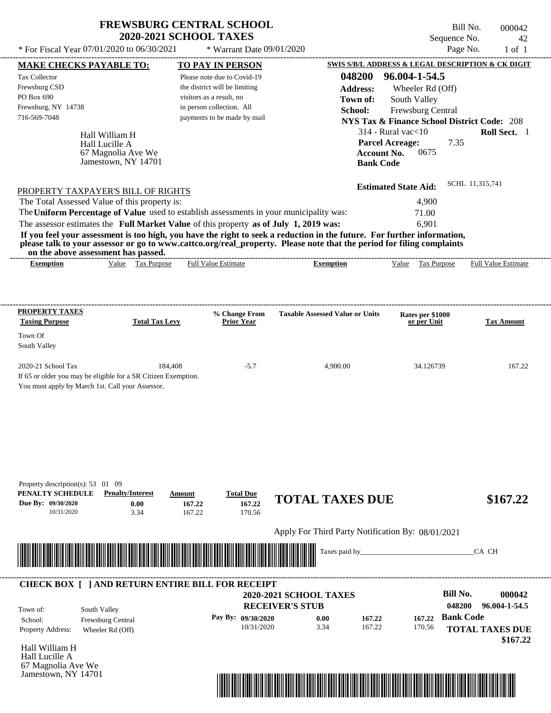| <b>FREWSBURG CENTRAL SCHOOL</b><br><b>2020-2021 SCHOOL TAXES</b> |                             | Bill No.<br>Sequence No. | 000042<br>- 42 |
|------------------------------------------------------------------|-----------------------------|--------------------------|----------------|
| * For Fiscal Year 07/01/2020 to 06/30/2021                       | $*$ Warrant Date 09/01/2020 | Page No.                 | $-1$ of $1$    |
|                                                                  |                             |                          |                |

| <b>MAKE CHECKS PAYABLE TO:</b>                                                                                                                                                                                                                   |                                                                | <b>TO PAY IN PERSON</b>       |                             |                                                   |                    | <b>SWIS S/B/L ADDRESS &amp; LEGAL DESCRIPTION &amp; CK DIGIT</b> |                  |                            |
|--------------------------------------------------------------------------------------------------------------------------------------------------------------------------------------------------------------------------------------------------|----------------------------------------------------------------|-------------------------------|-----------------------------|---------------------------------------------------|--------------------|------------------------------------------------------------------|------------------|----------------------------|
| <b>Tax Collector</b>                                                                                                                                                                                                                             |                                                                |                               | Please note due to Covid-19 |                                                   | 048200             | 96.004-1-54.5                                                    |                  |                            |
| Frewsburg CSD                                                                                                                                                                                                                                    |                                                                | the district will be limiting |                             |                                                   | <b>Address:</b>    | Wheeler Rd (Off)                                                 |                  |                            |
| PO Box 690                                                                                                                                                                                                                                       |                                                                | visitors as a result, no      |                             |                                                   | Town of:           | South Valley                                                     |                  |                            |
| Frewsburg, NY 14738                                                                                                                                                                                                                              |                                                                | in person collection. All     |                             |                                                   | School:            | Frewsburg Central                                                |                  |                            |
| 716-569-7048                                                                                                                                                                                                                                     |                                                                |                               | payments to be made by mail |                                                   |                    | <b>NYS Tax &amp; Finance School District Code: 208</b>           |                  |                            |
|                                                                                                                                                                                                                                                  |                                                                |                               |                             |                                                   |                    | $314$ - Rural vac $<$ 10                                         |                  | Roll Sect. 1               |
|                                                                                                                                                                                                                                                  | Hall William H<br>Hall Lucille A                               |                               |                             |                                                   |                    | <b>Parcel Acreage:</b>                                           | 7.35             |                            |
|                                                                                                                                                                                                                                                  | 67 Magnolia Ave We                                             |                               |                             |                                                   | <b>Account No.</b> | 0675                                                             |                  |                            |
|                                                                                                                                                                                                                                                  | Jamestown, NY 14701                                            |                               |                             |                                                   | <b>Bank Code</b>   |                                                                  |                  |                            |
|                                                                                                                                                                                                                                                  |                                                                |                               |                             |                                                   |                    |                                                                  |                  |                            |
| PROPERTY TAXPAYER'S BILL OF RIGHTS                                                                                                                                                                                                               |                                                                |                               |                             |                                                   |                    | <b>Estimated State Aid:</b>                                      | SCHL 11,315,741  |                            |
| The Total Assessed Value of this property is:                                                                                                                                                                                                    |                                                                |                               |                             |                                                   |                    | 4,900                                                            |                  |                            |
| The Uniform Percentage of Value used to establish assessments in your municipality was:                                                                                                                                                          |                                                                |                               |                             |                                                   |                    | 71.00                                                            |                  |                            |
| The assessor estimates the Full Market Value of this property as of July 1, 2019 was:                                                                                                                                                            |                                                                |                               |                             |                                                   |                    | 6,901                                                            |                  |                            |
| If you feel your assessment is too high, you have the right to seek a reduction in the future. For further information,<br>please talk to your assessor or go to www.cattco.org/real_property. Please note that the period for filing complaints |                                                                |                               |                             |                                                   |                    |                                                                  |                  |                            |
| <b>Exemption</b>                                                                                                                                                                                                                                 | on the above assessment has passed.<br>Value Tax Purpose       | <b>Full Value Estimate</b>    |                             | <b>Exemption</b>                                  |                    | Value Tax Purpose                                                |                  | <b>Full Value Estimate</b> |
|                                                                                                                                                                                                                                                  |                                                                |                               |                             |                                                   |                    |                                                                  |                  |                            |
|                                                                                                                                                                                                                                                  |                                                                |                               |                             |                                                   |                    |                                                                  |                  |                            |
| PROPERTY TAXES                                                                                                                                                                                                                                   |                                                                |                               | % Change From               | <b>Taxable Assessed Value or Units</b>            |                    | Rates per \$1000                                                 |                  |                            |
| <b>Taxing Purpose</b>                                                                                                                                                                                                                            | <b>Total Tax Levy</b>                                          |                               | <b>Prior Year</b>           |                                                   |                    | or per Unit                                                      |                  | <b>Tax Amount</b>          |
| Town Of                                                                                                                                                                                                                                          |                                                                |                               |                             |                                                   |                    |                                                                  |                  |                            |
| South Valley                                                                                                                                                                                                                                     |                                                                |                               |                             |                                                   |                    |                                                                  |                  |                            |
|                                                                                                                                                                                                                                                  |                                                                |                               |                             |                                                   |                    |                                                                  |                  |                            |
| 2020-21 School Tax                                                                                                                                                                                                                               |                                                                | 184,408                       | $-5.7$                      | 4,900.00                                          |                    | 34.126739                                                        |                  | 167.22                     |
|                                                                                                                                                                                                                                                  | If 65 or older you may be eligible for a SR Citizen Exemption. |                               |                             |                                                   |                    |                                                                  |                  |                            |
| You must apply by March 1st. Call your Assessor.                                                                                                                                                                                                 |                                                                |                               |                             |                                                   |                    |                                                                  |                  |                            |
|                                                                                                                                                                                                                                                  |                                                                |                               |                             |                                                   |                    |                                                                  |                  |                            |
|                                                                                                                                                                                                                                                  |                                                                |                               |                             |                                                   |                    |                                                                  |                  |                            |
|                                                                                                                                                                                                                                                  |                                                                |                               |                             |                                                   |                    |                                                                  |                  |                            |
|                                                                                                                                                                                                                                                  |                                                                |                               |                             |                                                   |                    |                                                                  |                  |                            |
|                                                                                                                                                                                                                                                  |                                                                |                               |                             |                                                   |                    |                                                                  |                  |                            |
|                                                                                                                                                                                                                                                  |                                                                |                               |                             |                                                   |                    |                                                                  |                  |                            |
|                                                                                                                                                                                                                                                  |                                                                |                               |                             |                                                   |                    |                                                                  |                  |                            |
| Property description(s): $53 \quad 01 \quad 09$<br>PENALTY SCHEDULE                                                                                                                                                                              | <b>Penalty/Interest</b>                                        | Amount                        | <b>Total Due</b>            | <b>TOTAL TAXES DUE</b>                            |                    |                                                                  |                  | \$167.22                   |
| Due By: 09/30/2020                                                                                                                                                                                                                               | 0.00                                                           | 167.22                        | 167.22                      |                                                   |                    |                                                                  |                  |                            |
| 10/31/2020                                                                                                                                                                                                                                       | 3.34                                                           | 167.22                        | 170.56                      |                                                   |                    |                                                                  |                  |                            |
|                                                                                                                                                                                                                                                  |                                                                |                               |                             | Apply For Third Party Notification By: 08/01/2021 |                    |                                                                  |                  |                            |
|                                                                                                                                                                                                                                                  |                                                                |                               |                             |                                                   |                    |                                                                  |                  |                            |
|                                                                                                                                                                                                                                                  |                                                                |                               |                             |                                                   | Taxes paid by_     |                                                                  |                  | CA CH                      |
|                                                                                                                                                                                                                                                  |                                                                |                               |                             |                                                   |                    |                                                                  |                  |                            |
|                                                                                                                                                                                                                                                  | <b>CHECK BOX [ ] AND RETURN ENTIRE BILL FOR RECEIPT</b>        |                               |                             |                                                   |                    |                                                                  |                  |                            |
|                                                                                                                                                                                                                                                  |                                                                |                               |                             | <b>2020-2021 SCHOOL TAXES</b>                     |                    |                                                                  | <b>Bill No.</b>  | 000042                     |
| Town of:                                                                                                                                                                                                                                         | South Valley                                                   |                               |                             | <b>RECEIVER'S STUB</b>                            |                    |                                                                  | 048200           | 96.004-1-54.5              |
| School:                                                                                                                                                                                                                                          | Frewsburg Central                                              |                               | Pay By: 09/30/2020          | 0.00                                              | 167.22             | 167.22                                                           | <b>Bank Code</b> |                            |
| Property Address:                                                                                                                                                                                                                                | Wheeler Rd (Off)                                               |                               | 10/31/2020                  | 3.34                                              | 167.22             | 170.56                                                           |                  | <b>TOTAL TAXES DUE</b>     |
|                                                                                                                                                                                                                                                  |                                                                |                               |                             |                                                   |                    |                                                                  |                  | \$167.22                   |
| Hall William H                                                                                                                                                                                                                                   |                                                                |                               |                             |                                                   |                    |                                                                  |                  |                            |
| Hall Lucille A                                                                                                                                                                                                                                   |                                                                |                               |                             |                                                   |                    |                                                                  |                  |                            |
| 67 Magnolia Ave We                                                                                                                                                                                                                               |                                                                |                               |                             |                                                   |                    |                                                                  |                  |                            |
| Jamestown, NY 14701                                                                                                                                                                                                                              |                                                                |                               |                             |                                                   |                    |                                                                  |                  |                            |

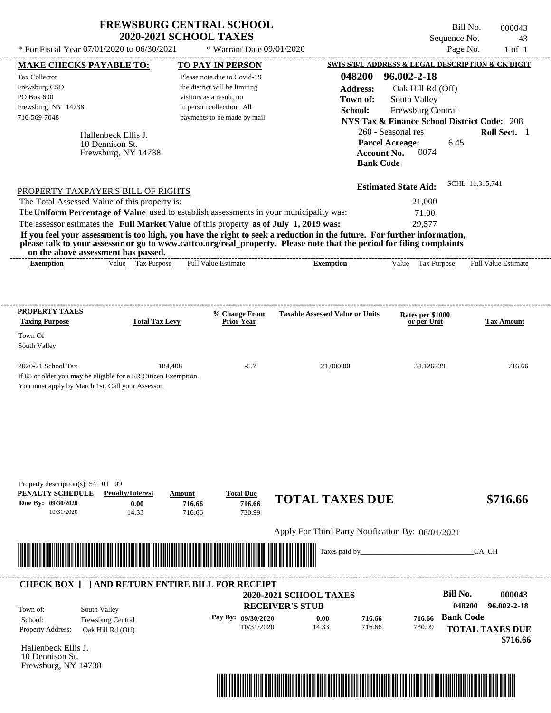|                                                                                                                                                                                                                                      | <b>FREWSBURG CENTRAL SCHOOL</b><br><b>2020-2021 SCHOOL TAXES</b> |                                    |                                                   |                                        |                                                        | Bill No.<br>Sequence No. | 000043<br>43               |
|--------------------------------------------------------------------------------------------------------------------------------------------------------------------------------------------------------------------------------------|------------------------------------------------------------------|------------------------------------|---------------------------------------------------|----------------------------------------|--------------------------------------------------------|--------------------------|----------------------------|
| * For Fiscal Year 07/01/2020 to 06/30/2021                                                                                                                                                                                           |                                                                  | * Warrant Date 09/01/2020          |                                                   |                                        |                                                        | Page No.                 | $1$ of $1$                 |
| <b>MAKE CHECKS PAYABLE TO:</b>                                                                                                                                                                                                       |                                                                  | <b>TO PAY IN PERSON</b>            |                                                   |                                        | SWIS S/B/L ADDRESS & LEGAL DESCRIPTION & CK DIGIT      |                          |                            |
| Tax Collector                                                                                                                                                                                                                        |                                                                  | Please note due to Covid-19        |                                                   | 048200                                 | 96.002-2-18                                            |                          |                            |
| Frewsburg CSD                                                                                                                                                                                                                        |                                                                  | the district will be limiting      |                                                   | <b>Address:</b>                        | Oak Hill Rd (Off)                                      |                          |                            |
| PO Box 690                                                                                                                                                                                                                           |                                                                  | visitors as a result, no           |                                                   | Town of:                               | South Valley                                           |                          |                            |
| Frewsburg, NY 14738                                                                                                                                                                                                                  |                                                                  | in person collection. All          |                                                   | School:                                | Frewsburg Central                                      |                          |                            |
| 716-569-7048                                                                                                                                                                                                                         |                                                                  | payments to be made by mail        |                                                   |                                        | <b>NYS Tax &amp; Finance School District Code: 208</b> |                          |                            |
|                                                                                                                                                                                                                                      |                                                                  |                                    |                                                   |                                        | 260 - Seasonal res                                     |                          | Roll Sect. 1               |
| 10 Dennison St.                                                                                                                                                                                                                      | Hallenbeck Ellis J.                                              |                                    |                                                   | <b>Parcel Acreage:</b>                 |                                                        | 6.45                     |                            |
|                                                                                                                                                                                                                                      | Frewsburg, NY 14738                                              |                                    |                                                   | <b>Account No.</b><br><b>Bank Code</b> | 0074                                                   |                          |                            |
| PROPERTY TAXPAYER'S BILL OF RIGHTS                                                                                                                                                                                                   |                                                                  |                                    |                                                   |                                        | <b>Estimated State Aid:</b>                            | SCHL 11,315,741          |                            |
| The Total Assessed Value of this property is:                                                                                                                                                                                        |                                                                  |                                    |                                                   |                                        | 21,000                                                 |                          |                            |
| The Uniform Percentage of Value used to establish assessments in your municipality was:                                                                                                                                              |                                                                  |                                    |                                                   |                                        | 71.00                                                  |                          |                            |
| The assessor estimates the Full Market Value of this property as of July 1, 2019 was:                                                                                                                                                |                                                                  |                                    |                                                   |                                        | 29,577                                                 |                          |                            |
| If you feel your assessment is too high, you have the right to seek a reduction in the future. For further information,                                                                                                              |                                                                  |                                    |                                                   |                                        |                                                        |                          |                            |
| please talk to your assessor or go to www.cattco.org/real_property. Please note that the period for filing complaints<br>on the above assessment has passed.                                                                         |                                                                  |                                    |                                                   |                                        |                                                        |                          |                            |
| <b>Exemption</b>                                                                                                                                                                                                                     | Value Tax Purpose                                                | <b>Full Value Estimate</b>         | <b>Exemption</b>                                  |                                        | Value Tax Purpose                                      |                          | <b>Full Value Estimate</b> |
|                                                                                                                                                                                                                                      |                                                                  |                                    |                                                   |                                        |                                                        |                          |                            |
| <b>PROPERTY TAXES</b><br><b>Taxing Purpose</b>                                                                                                                                                                                       | <b>Total Tax Levy</b>                                            | % Change From<br><b>Prior Year</b> | <b>Taxable Assessed Value or Units</b>            |                                        | Rates per \$1000<br>or per Unit                        |                          | <b>Tax Amount</b>          |
| Town Of<br>South Valley                                                                                                                                                                                                              |                                                                  |                                    |                                                   |                                        |                                                        |                          |                            |
| 2020-21 School Tax<br>If 65 or older you may be eligible for a SR Citizen Exemption.<br>You must apply by March 1st. Call your Assessor.                                                                                             | 184,408                                                          | $-5.7$                             | 21,000.00                                         |                                        | 34.126739                                              |                          | 716.66                     |
| Property description(s): 54 01 09<br>PENALTY SCHEDULE                                                                                                                                                                                | <b>Penalty/Interest</b><br>Amount                                | <b>Total Due</b>                   |                                                   |                                        |                                                        |                          |                            |
| Due By: 09/30/2020<br>10/31/2020                                                                                                                                                                                                     | 0.00<br>716.66<br>14.33<br>716.66                                | 716.66<br>730.99                   | <b>TOTAL TAXES DUE</b>                            |                                        |                                                        |                          | \$716.66                   |
|                                                                                                                                                                                                                                      |                                                                  |                                    | Apply For Third Party Notification By: 08/01/2021 |                                        |                                                        |                          |                            |
| <u> Harry Harry Harry Harry Harry Harry Harry Harry Harry Harry Harry Harry Harry Harry Harry Harry Harry Harry Harry Harry Harry Harry Harry Harry Harry Harry Harry Harry Harry Harry Harry Harry Harry Harry Harry Harry Harr</u> |                                                                  |                                    | Taxes paid by_                                    |                                        |                                                        |                          | CA CH                      |
| <b>CHECK BOX [ ] AND RETURN ENTIRE BILL FOR RECEIPT</b>                                                                                                                                                                              |                                                                  |                                    | <b>2020-2021 SCHOOL TAXES</b>                     |                                        |                                                        | <b>Bill No.</b>          | 000043                     |
|                                                                                                                                                                                                                                      |                                                                  |                                    |                                                   |                                        |                                                        | 048200                   | 96.002-2-18                |
| South Valley<br>Town of:                                                                                                                                                                                                             |                                                                  |                                    | <b>RECEIVER'S STUB</b>                            |                                        |                                                        | <b>Bank Code</b>         |                            |
|                                                                                                                                                                                                                                      |                                                                  |                                    |                                                   |                                        |                                                        |                          |                            |
| School:                                                                                                                                                                                                                              | Frewsburg Central                                                | Pay By: 09/30/2020<br>10/31/2020   | 0.00<br>14.33                                     | 716.66<br>716.66                       | 716.66<br>730.99                                       |                          | <b>TOTAL TAXES DUE</b>     |

Hallenbeck Ellis J. 10 Dennison St. Frewsburg, NY 14738



 **\$716.66**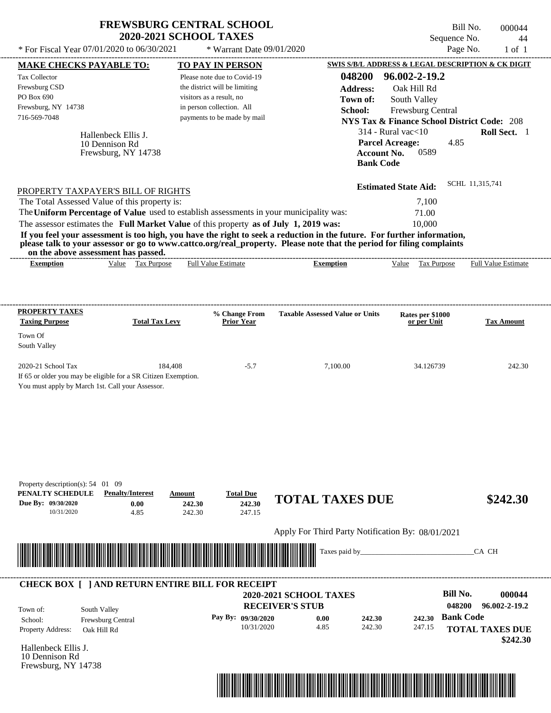|                                                                                                                                                                                                                                                                                         | <b>2020-2021 SCHOOL TAXES</b>              | <b>FREWSBURG CENTRAL SCHOOL</b>      |                                                   |                                                                                                      | Bill No.<br>000044<br>Sequence No.<br>44               |
|-----------------------------------------------------------------------------------------------------------------------------------------------------------------------------------------------------------------------------------------------------------------------------------------|--------------------------------------------|--------------------------------------|---------------------------------------------------|------------------------------------------------------------------------------------------------------|--------------------------------------------------------|
| * For Fiscal Year 07/01/2020 to 06/30/2021                                                                                                                                                                                                                                              |                                            | * Warrant Date 09/01/2020            |                                                   |                                                                                                      | Page No.<br>$1$ of $1$                                 |
| <b>MAKE CHECKS PAYABLE TO:</b>                                                                                                                                                                                                                                                          |                                            | TO PAY IN PERSON                     |                                                   |                                                                                                      | SWIS S/B/L ADDRESS & LEGAL DESCRIPTION & CK DIGIT      |
| <b>Tax Collector</b>                                                                                                                                                                                                                                                                    |                                            | Please note due to Covid-19          | 048200                                            | 96.002-2-19.2                                                                                        |                                                        |
| Frewsburg CSD                                                                                                                                                                                                                                                                           |                                            | the district will be limiting        | <b>Address:</b>                                   | Oak Hill Rd                                                                                          |                                                        |
| PO Box 690                                                                                                                                                                                                                                                                              |                                            | visitors as a result, no             | Town of:                                          | South Valley                                                                                         |                                                        |
| Frewsburg, NY 14738                                                                                                                                                                                                                                                                     |                                            | in person collection. All            | School:                                           | Frewsburg Central                                                                                    |                                                        |
| 716-569-7048                                                                                                                                                                                                                                                                            |                                            | payments to be made by mail          |                                                   |                                                                                                      | <b>NYS Tax &amp; Finance School District Code: 208</b> |
| Hallenbeck Ellis J.<br>10 Dennison Rd<br>Frewsburg, NY 14738                                                                                                                                                                                                                            |                                            |                                      |                                                   | $314$ - Rural vac $<$ 10<br><b>Parcel Acreage:</b><br><b>Account No.</b><br>0589<br><b>Bank Code</b> | Roll Sect. 1<br>4.85                                   |
| PROPERTY TAXPAYER'S BILL OF RIGHTS                                                                                                                                                                                                                                                      |                                            |                                      |                                                   | <b>Estimated State Aid:</b>                                                                          | SCHL 11,315,741                                        |
| The Total Assessed Value of this property is:                                                                                                                                                                                                                                           |                                            |                                      |                                                   | 7,100                                                                                                |                                                        |
| The Uniform Percentage of Value used to establish assessments in your municipality was:                                                                                                                                                                                                 |                                            |                                      |                                                   | 71.00                                                                                                |                                                        |
| The assessor estimates the Full Market Value of this property as of July 1, 2019 was:                                                                                                                                                                                                   |                                            |                                      |                                                   | 10,000                                                                                               |                                                        |
| If you feel your assessment is too high, you have the right to seek a reduction in the future. For further information,<br>please talk to your assessor or go to www.cattco.org/real_property. Please note that the period for filing complaints<br>on the above assessment has passed. |                                            |                                      |                                                   |                                                                                                      |                                                        |
| <b>Exemption</b>                                                                                                                                                                                                                                                                        | Value Tax Purpose                          | <b>Full Value Estimate</b>           | <b>Exemption</b>                                  | Value Tax Purpose                                                                                    | <b>Full Value Estimate</b>                             |
| PROPERTY TAXES                                                                                                                                                                                                                                                                          |                                            | % Change From                        | <b>Taxable Assessed Value or Units</b>            | Rates per \$1000                                                                                     |                                                        |
| <b>Taxing Purpose</b><br>Town Of                                                                                                                                                                                                                                                        | <b>Total Tax Levy</b>                      | <b>Prior Year</b>                    |                                                   | or per Unit                                                                                          | <b>Tax Amount</b>                                      |
| South Valley                                                                                                                                                                                                                                                                            |                                            |                                      |                                                   |                                                                                                      |                                                        |
| 2020-21 School Tax<br>If 65 or older you may be eligible for a SR Citizen Exemption.<br>You must apply by March 1st. Call your Assessor.                                                                                                                                                | 184,408                                    | $-5.7$                               | 7,100.00                                          | 34.126739                                                                                            | 242.30                                                 |
| Property description(s): 54 01 09<br>PENALTY SCHEDULE<br><b>Penalty/Interest</b><br>Due By: 09/30/2020<br>10/31/2020                                                                                                                                                                    | Amount<br>0.00<br>242.30<br>4.85<br>242.30 | <b>Total Due</b><br>242.30<br>247.15 | <b>TOTAL TAXES DUE</b>                            |                                                                                                      | \$242.30                                               |
|                                                                                                                                                                                                                                                                                         |                                            |                                      | Apply For Third Party Notification By: 08/01/2021 |                                                                                                      |                                                        |
|                                                                                                                                                                                                                                                                                         |                                            |                                      | Taxes paid by_                                    |                                                                                                      | CA CH                                                  |
| <b>CHECK BOX [ ] AND RETURN ENTIRE BILL FOR RECEIPT</b>                                                                                                                                                                                                                                 |                                            |                                      |                                                   |                                                                                                      |                                                        |
|                                                                                                                                                                                                                                                                                         |                                            |                                      | 2020-2021 SCHOOL TAXES                            |                                                                                                      | <b>Bill No.</b><br>000044                              |
| South Valley<br>Town of:                                                                                                                                                                                                                                                                |                                            |                                      | <b>RECEIVER'S STUB</b>                            |                                                                                                      | 048200<br>96.002-2-19.2                                |
| Frewsburg Central<br>School:                                                                                                                                                                                                                                                            |                                            | Pay By: 09/30/2020                   | 0.00<br>242.30                                    | 242.30                                                                                               | <b>Bank Code</b>                                       |
| <b>Property Address:</b><br>Oak Hill Rd                                                                                                                                                                                                                                                 |                                            | 10/31/2020                           | 4.85<br>242.30                                    | 247.15                                                                                               | <b>TOTAL TAXES DUE</b>                                 |
|                                                                                                                                                                                                                                                                                         |                                            |                                      |                                                   |                                                                                                      | \$242.30                                               |
| Hallenbeck Ellis J.<br>10 Dennison Rd                                                                                                                                                                                                                                                   |                                            |                                      |                                                   |                                                                                                      |                                                        |

Frewsburg, NY 14738

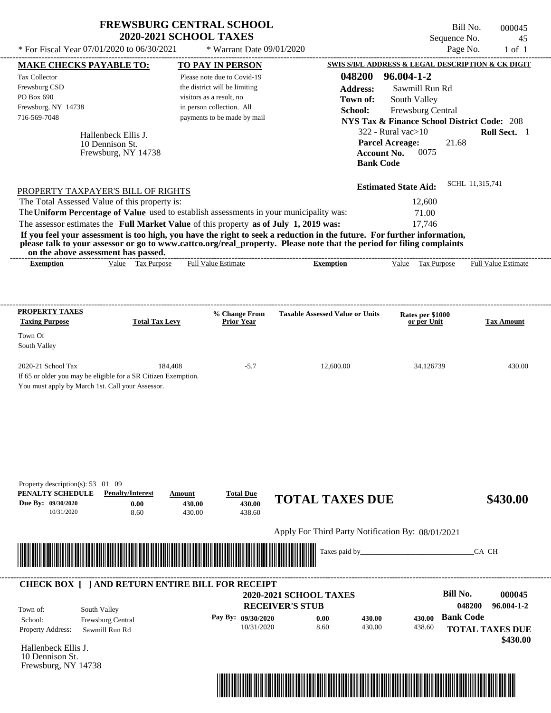| * For Fiscal Year 07/01/2020 to 06/30/2021                                                                                                                                                                                                                                                                                                                                                                                                                                                                                                                         | <b>FREWSBURG CENTRAL SCHOOL</b><br><b>2020-2021 SCHOOL TAXES</b><br>* Warrant Date 09/01/2020                                                        |                                                                                            | Bill No.<br>Sequence No.<br>Page No.                                                                                                                                                              | 000045<br>45<br>$1$ of $1$                                 |
|--------------------------------------------------------------------------------------------------------------------------------------------------------------------------------------------------------------------------------------------------------------------------------------------------------------------------------------------------------------------------------------------------------------------------------------------------------------------------------------------------------------------------------------------------------------------|------------------------------------------------------------------------------------------------------------------------------------------------------|--------------------------------------------------------------------------------------------|---------------------------------------------------------------------------------------------------------------------------------------------------------------------------------------------------|------------------------------------------------------------|
| <b>MAKE CHECKS PAYABLE TO:</b>                                                                                                                                                                                                                                                                                                                                                                                                                                                                                                                                     | <b>TO PAY IN PERSON</b>                                                                                                                              |                                                                                            | SWIS S/B/L ADDRESS & LEGAL DESCRIPTION & CK DIGIT                                                                                                                                                 |                                                            |
| Tax Collector<br>Frewsburg CSD<br>PO Box 690<br>Frewsburg, NY 14738<br>716-569-7048<br>Hallenbeck Ellis J.<br>10 Dennison St.<br>Frewsburg, NY 14738                                                                                                                                                                                                                                                                                                                                                                                                               | Please note due to Covid-19<br>the district will be limiting<br>visitors as a result, no<br>in person collection. All<br>payments to be made by mail | 048200<br><b>Address:</b><br>Town of:<br>School:<br><b>Account No.</b><br><b>Bank Code</b> | 96.004-1-2<br>Sawmill Run Rd<br>South Valley<br>Frewsburg Central<br><b>NYS Tax &amp; Finance School District Code: 208</b><br>$322$ - Rural vac $>10$<br>21.68<br><b>Parcel Acreage:</b><br>0075 | Roll Sect. 1                                               |
| PROPERTY TAXPAYER'S BILL OF RIGHTS<br>The Total Assessed Value of this property is:<br>The Uniform Percentage of Value used to establish assessments in your municipality was:<br>The assessor estimates the Full Market Value of this property as of July 1, 2019 was:<br>If you feel your assessment is too high, you have the right to seek a reduction in the future. For further information,<br>please talk to your assessor or go to www.cattco.org/real_property. Please note that the period for filing complaints<br>on the above assessment has passed. |                                                                                                                                                      |                                                                                            | <b>Estimated State Aid:</b><br>12,600<br>71.00<br>17,746                                                                                                                                          | SCHL 11,315,741                                            |
| Value Tax Purpose<br><b>Exemption</b>                                                                                                                                                                                                                                                                                                                                                                                                                                                                                                                              | <b>Full Value Estimate</b>                                                                                                                           | <b>Exemption</b>                                                                           | Value Tax Purpose                                                                                                                                                                                 | Full Value Estimate                                        |
| <b>PROPERTY TAXES</b>                                                                                                                                                                                                                                                                                                                                                                                                                                                                                                                                              | % Change From                                                                                                                                        | <b>Taxable Assessed Value or Units</b>                                                     | Rates per \$1000                                                                                                                                                                                  |                                                            |
| <b>Taxing Purpose</b><br><b>Total Tax Levy</b><br>Town Of<br>South Valley                                                                                                                                                                                                                                                                                                                                                                                                                                                                                          | <b>Prior Year</b>                                                                                                                                    |                                                                                            | or per Unit                                                                                                                                                                                       | <b>Tax Amount</b>                                          |
| 2020-21 School Tax<br>If 65 or older you may be eligible for a SR Citizen Exemption.<br>You must apply by March 1st. Call your Assessor.                                                                                                                                                                                                                                                                                                                                                                                                                           | 184,408<br>$-5.7$                                                                                                                                    | 12,600.00                                                                                  | 34.126739                                                                                                                                                                                         | 430.00                                                     |
| Property description(s): $53 \quad 01 \quad 09$<br>PENALTY SCHEDULE<br><b>Penalty/Interest</b><br>Due By: 09/30/2020<br>0.00<br>10/31/2020<br>8.60                                                                                                                                                                                                                                                                                                                                                                                                                 | <b>Total Due</b><br>Amount<br>430.00<br>430.00<br>430.00<br>438.60                                                                                   | <b>TOTAL TAXES DUE</b>                                                                     |                                                                                                                                                                                                   | \$430.00                                                   |
|                                                                                                                                                                                                                                                                                                                                                                                                                                                                                                                                                                    |                                                                                                                                                      | Apply For Third Party Notification By: 08/01/2021                                          |                                                                                                                                                                                                   |                                                            |
|                                                                                                                                                                                                                                                                                                                                                                                                                                                                                                                                                                    |                                                                                                                                                      | Taxes paid by_                                                                             |                                                                                                                                                                                                   | CA CH                                                      |
| <b>CHECK BOX [ ] AND RETURN ENTIRE BILL FOR RECEIPT</b><br>South Valley<br>Town of:<br>School:<br>Frewsburg Central<br>Property Address:<br>Sawmill Run Rd                                                                                                                                                                                                                                                                                                                                                                                                         | Pay By: 09/30/2020<br>10/31/2020                                                                                                                     | 2020-2021 SCHOOL TAXES<br><b>RECEIVER'S STUB</b><br>0.00<br>430.00<br>8.60<br>430.00       | <b>Bill No.</b><br>048200<br><b>Bank Code</b><br>430.00<br>438.60                                                                                                                                 | 000045<br>96.004-1-2<br><b>TOTAL TAXES DUE</b><br>\$430.00 |

Hallenbeck Ellis J. 10 Dennison St. Frewsburg, NY 14738

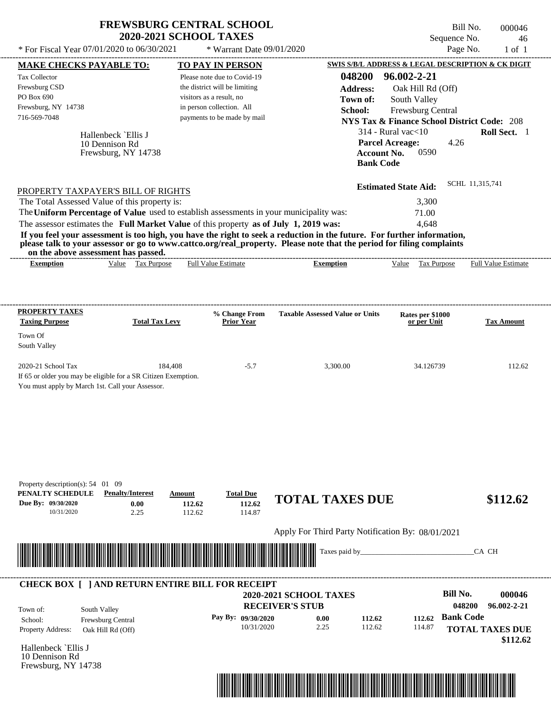|                                                                                                                                                                                                                                                                                                                                                                                                                                                                                                                                                                    | <b>FREWSBURG CENTRAL SCHOOL</b><br><b>2020-2021 SCHOOL TAXES</b> |                                                                                                                 |                                                         |                                                                                                       |                                                                                                             |                                                                | Bill No.<br>Sequence No. | 000046<br>46                                                           |
|--------------------------------------------------------------------------------------------------------------------------------------------------------------------------------------------------------------------------------------------------------------------------------------------------------------------------------------------------------------------------------------------------------------------------------------------------------------------------------------------------------------------------------------------------------------------|------------------------------------------------------------------|-----------------------------------------------------------------------------------------------------------------|---------------------------------------------------------|-------------------------------------------------------------------------------------------------------|-------------------------------------------------------------------------------------------------------------|----------------------------------------------------------------|--------------------------|------------------------------------------------------------------------|
| * For Fiscal Year 07/01/2020 to 06/30/2021                                                                                                                                                                                                                                                                                                                                                                                                                                                                                                                         |                                                                  | * Warrant Date 09/01/2020                                                                                       |                                                         |                                                                                                       |                                                                                                             |                                                                | Page No.                 | $1$ of $1$                                                             |
| <b>MAKE CHECKS PAYABLE TO:</b><br><b>Tax Collector</b><br>Frewsburg CSD<br>PO Box 690<br>Frewsburg, NY 14738<br>716-569-7048<br>Hallenbeck `Ellis J<br>10 Dennison Rd<br>Frewsburg, NY 14738                                                                                                                                                                                                                                                                                                                                                                       | visitors as a result, no<br>in person collection. All            | TO PAY IN PERSON<br>Please note due to Covid-19<br>the district will be limiting<br>payments to be made by mail |                                                         | SWIS S/B/L ADDRESS & LEGAL DESCRIPTION & CK DIGIT<br>048200<br><b>Address:</b><br>Town of:<br>School: | 96.002-2-21<br>$314$ - Rural vac $<$ 10<br><b>Parcel Acreage:</b><br><b>Account No.</b><br><b>Bank Code</b> | Oak Hill Rd (Off)<br>South Valley<br>Frewsburg Central<br>0590 | 4.26                     | <b>NYS Tax &amp; Finance School District Code: 208</b><br>Roll Sect. 1 |
| PROPERTY TAXPAYER'S BILL OF RIGHTS<br>The Total Assessed Value of this property is:<br>The Uniform Percentage of Value used to establish assessments in your municipality was:<br>The assessor estimates the Full Market Value of this property as of July 1, 2019 was:<br>If you feel your assessment is too high, you have the right to seek a reduction in the future. For further information,<br>please talk to your assessor or go to www.cattco.org/real_property. Please note that the period for filing complaints<br>on the above assessment has passed. |                                                                  |                                                                                                                 |                                                         |                                                                                                       | <b>Estimated State Aid:</b>                                                                                 | 3,300<br>71.00<br>4,648                                        | SCHL 11,315,741          |                                                                        |
| Value Tax Purpose<br><b>Exemption</b>                                                                                                                                                                                                                                                                                                                                                                                                                                                                                                                              |                                                                  | <b>Full Value Estimate</b>                                                                                      |                                                         | <b>Exemption</b>                                                                                      | Value                                                                                                       | Tax Purpose                                                    |                          | Full Value Estimate                                                    |
| <b>PROPERTY TAXES</b><br><b>Taxing Purpose</b><br>Town Of<br>South Valley<br>2020-21 School Tax                                                                                                                                                                                                                                                                                                                                                                                                                                                                    | <b>Total Tax Levy</b><br>184,408                                 | % Change From<br>Prior Year<br>$-5.7$                                                                           |                                                         | <b>Taxable Assessed Value or Units</b><br>3,300.00                                                    |                                                                                                             | Rates per \$1000<br>or per Unit<br>34.126739                   |                          | <b>Tax Amount</b><br>112.62                                            |
| If 65 or older you may be eligible for a SR Citizen Exemption.<br>You must apply by March 1st. Call your Assessor.                                                                                                                                                                                                                                                                                                                                                                                                                                                 |                                                                  |                                                                                                                 |                                                         |                                                                                                       |                                                                                                             |                                                                |                          |                                                                        |
| Property description(s): 54 01 09<br>PENALTY SCHEDULE<br><b>Penalty/Interest</b><br>Due By: 09/30/2020<br>0.00<br>10/31/2020<br>2.25                                                                                                                                                                                                                                                                                                                                                                                                                               | Amount<br>112.62<br>112.62                                       | <b>Total Due</b><br>112.62<br>114.87                                                                            |                                                         | <b>TOTAL TAXES DUE</b>                                                                                |                                                                                                             |                                                                |                          | \$112.62                                                               |
|                                                                                                                                                                                                                                                                                                                                                                                                                                                                                                                                                                    |                                                                  |                                                                                                                 |                                                         | Apply For Third Party Notification By: 08/01/2021                                                     |                                                                                                             |                                                                |                          |                                                                        |
|                                                                                                                                                                                                                                                                                                                                                                                                                                                                                                                                                                    |                                                                  |                                                                                                                 |                                                         | Taxes paid by_                                                                                        |                                                                                                             |                                                                |                          | CA CH                                                                  |
| <b>CHECK BOX [ ] AND RETURN ENTIRE BILL FOR RECEIPT</b>                                                                                                                                                                                                                                                                                                                                                                                                                                                                                                            |                                                                  |                                                                                                                 |                                                         |                                                                                                       |                                                                                                             |                                                                | <b>Bill No.</b>          |                                                                        |
| South Valley<br>Town of:                                                                                                                                                                                                                                                                                                                                                                                                                                                                                                                                           |                                                                  |                                                                                                                 | <b>2020-2021 SCHOOL TAXES</b><br><b>RECEIVER'S STUB</b> |                                                                                                       |                                                                                                             |                                                                | 048200                   | 000046<br>96.002-2-21                                                  |
| Frewsburg Central<br>School:<br>Property Address:<br>Oak Hill Rd (Off)                                                                                                                                                                                                                                                                                                                                                                                                                                                                                             |                                                                  | Pay By: 09/30/2020<br>10/31/2020                                                                                |                                                         | 0.00<br>112.62<br>2.25<br>112.62                                                                      |                                                                                                             | 112.62<br>114.87                                               | <b>Bank Code</b>         | <b>TOTAL TAXES DUE</b>                                                 |

Hallenbeck `Ellis J 10 Dennison Rd Frewsburg, NY 14738



 **\$112.62**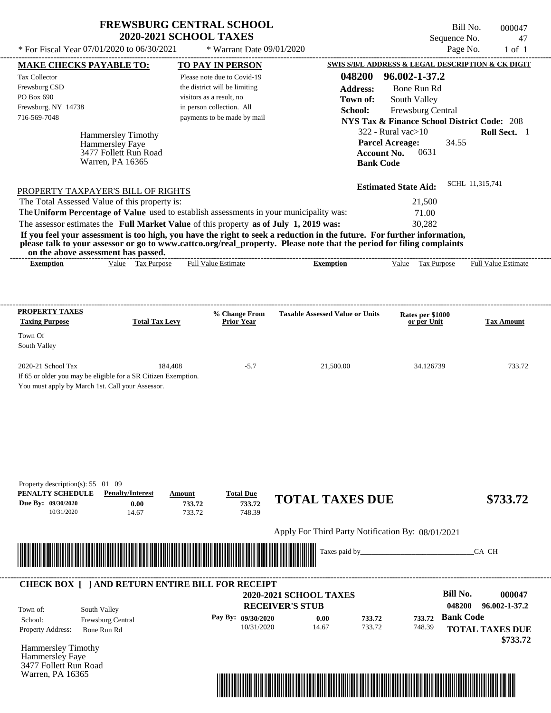| <b>FREWSBURG CENTRAL SCHOOL</b> |
|---------------------------------|
| <b>2020-2021 SCHOOL TAXES</b>   |

 $*$  For Fiscal Year 07/01/2020 to 06/30/2021

\* Warrant Date 09/01/2020

Bill No. 000047 Sequence No. 47<br>Page No. 1 of 1

| <b>MAKE CHECKS PAYABLE TO:</b>                                                                                                                                                                                                                                                          |                       | <b>TO PAY IN PERSON</b>       |                                                   | SWIS S/B/L ADDRESS & LEGAL DESCRIPTION & CK DIGIT      |                            |
|-----------------------------------------------------------------------------------------------------------------------------------------------------------------------------------------------------------------------------------------------------------------------------------------|-----------------------|-------------------------------|---------------------------------------------------|--------------------------------------------------------|----------------------------|
| Tax Collector                                                                                                                                                                                                                                                                           |                       | Please note due to Covid-19   | 048200                                            | 96.002-1-37.2                                          |                            |
| Frewsburg CSD                                                                                                                                                                                                                                                                           |                       | the district will be limiting | <b>Address:</b>                                   | Bone Run Rd                                            |                            |
| PO Box 690                                                                                                                                                                                                                                                                              |                       | visitors as a result, no      | Town of:                                          | South Valley                                           |                            |
| Frewsburg, NY 14738                                                                                                                                                                                                                                                                     |                       | in person collection. All     | School:                                           | Frewsburg Central                                      |                            |
| 716-569-7048                                                                                                                                                                                                                                                                            |                       | payments to be made by mail   |                                                   | <b>NYS Tax &amp; Finance School District Code: 208</b> |                            |
|                                                                                                                                                                                                                                                                                         |                       |                               |                                                   | $322$ - Rural vac $>10$                                | Roll Sect. 1               |
| <b>Hammersley Timothy</b>                                                                                                                                                                                                                                                               |                       |                               |                                                   |                                                        |                            |
| Hammersley Faye                                                                                                                                                                                                                                                                         |                       |                               |                                                   | <b>Parcel Acreage:</b><br>34.55<br>0631                |                            |
| 3477 Follett Run Road<br>Warren, PA 16365                                                                                                                                                                                                                                               |                       |                               | <b>Account No.</b><br><b>Bank Code</b>            |                                                        |                            |
|                                                                                                                                                                                                                                                                                         |                       |                               |                                                   |                                                        |                            |
| PROPERTY TAXPAYER'S BILL OF RIGHTS                                                                                                                                                                                                                                                      |                       |                               |                                                   | <b>Estimated State Aid:</b>                            | SCHL 11,315,741            |
| The Total Assessed Value of this property is:                                                                                                                                                                                                                                           |                       |                               |                                                   | 21,500                                                 |                            |
| The Uniform Percentage of Value used to establish assessments in your municipality was:                                                                                                                                                                                                 |                       |                               |                                                   | 71.00                                                  |                            |
|                                                                                                                                                                                                                                                                                         |                       |                               |                                                   |                                                        |                            |
| The assessor estimates the Full Market Value of this property as of July 1, 2019 was:                                                                                                                                                                                                   |                       |                               |                                                   | 30,282                                                 |                            |
| If you feel your assessment is too high, you have the right to seek a reduction in the future. For further information,<br>please talk to your assessor or go to www.cattco.org/real_property. Please note that the period for filing complaints<br>on the above assessment has passed. |                       |                               |                                                   |                                                        |                            |
| <b>Exemption</b>                                                                                                                                                                                                                                                                        | Value Tax Purpose     | <b>Full Value Estimate</b>    | <b>Exemption</b>                                  | Value Tax Purpose                                      | <b>Full Value Estimate</b> |
|                                                                                                                                                                                                                                                                                         |                       |                               |                                                   |                                                        |                            |
|                                                                                                                                                                                                                                                                                         |                       |                               |                                                   |                                                        |                            |
| <b>PROPERTY TAXES</b>                                                                                                                                                                                                                                                                   |                       | % Change From                 | <b>Taxable Assessed Value or Units</b>            | Rates per \$1000                                       |                            |
| <b>Taxing Purpose</b>                                                                                                                                                                                                                                                                   | <b>Total Tax Levy</b> | <b>Prior Year</b>             |                                                   | or per Unit                                            | <b>Tax Amount</b>          |
| Town Of                                                                                                                                                                                                                                                                                 |                       |                               |                                                   |                                                        |                            |
| South Valley                                                                                                                                                                                                                                                                            |                       |                               |                                                   |                                                        |                            |
| 2020-21 School Tax                                                                                                                                                                                                                                                                      | 184,408               | $-5.7$                        | 21,500.00                                         | 34.126739                                              | 733.72                     |
| If 65 or older you may be eligible for a SR Citizen Exemption.                                                                                                                                                                                                                          |                       |                               |                                                   |                                                        |                            |
| You must apply by March 1st. Call your Assessor.                                                                                                                                                                                                                                        |                       |                               |                                                   |                                                        |                            |
|                                                                                                                                                                                                                                                                                         |                       |                               |                                                   |                                                        |                            |
|                                                                                                                                                                                                                                                                                         |                       |                               |                                                   |                                                        |                            |
|                                                                                                                                                                                                                                                                                         |                       |                               |                                                   |                                                        |                            |
|                                                                                                                                                                                                                                                                                         |                       |                               |                                                   |                                                        |                            |
|                                                                                                                                                                                                                                                                                         |                       |                               |                                                   |                                                        |                            |
|                                                                                                                                                                                                                                                                                         |                       |                               |                                                   |                                                        |                            |
|                                                                                                                                                                                                                                                                                         |                       |                               |                                                   |                                                        |                            |
| Property description(s): 55 01 09<br>PENALTY SCHEDULE<br><b>Penalty/Interest</b>                                                                                                                                                                                                        | Amount                | <b>Total Due</b>              |                                                   |                                                        |                            |
| Due By: 09/30/2020<br>0.00                                                                                                                                                                                                                                                              | 733.72                | 733.72                        | <b>TOTAL TAXES DUE</b>                            |                                                        | \$733.72                   |
| 10/31/2020<br>14.67                                                                                                                                                                                                                                                                     | 733.72                | 748.39                        |                                                   |                                                        |                            |
|                                                                                                                                                                                                                                                                                         |                       |                               |                                                   |                                                        |                            |
|                                                                                                                                                                                                                                                                                         |                       |                               | Apply For Third Party Notification By: 08/01/2021 |                                                        |                            |
|                                                                                                                                                                                                                                                                                         |                       |                               | Taxes paid by                                     |                                                        | CA CH                      |
|                                                                                                                                                                                                                                                                                         |                       |                               |                                                   |                                                        |                            |
|                                                                                                                                                                                                                                                                                         |                       |                               |                                                   |                                                        |                            |
| <b>CHECK BOX [ ] AND RETURN ENTIRE BILL FOR RECEIPT</b>                                                                                                                                                                                                                                 |                       |                               |                                                   | <b>Bill No.</b>                                        | 000047                     |
|                                                                                                                                                                                                                                                                                         |                       |                               | 2020-2021 SCHOOL TAXES                            |                                                        |                            |
| South Valley<br>Town of:                                                                                                                                                                                                                                                                |                       |                               | <b>RECEIVER'S STUB</b>                            | 048200                                                 | 96.002-1-37.2              |
| Frewsburg Central<br>School:                                                                                                                                                                                                                                                            |                       | Pay By: 09/30/2020            | 0.00<br>733.72                                    | <b>Bank Code</b><br>733.72                             |                            |
| <b>Property Address:</b><br>Bone Run Rd                                                                                                                                                                                                                                                 |                       | 10/31/2020                    | 14.67<br>733.72                                   | 748.39                                                 | <b>TOTAL TAXES DUE</b>     |
|                                                                                                                                                                                                                                                                                         |                       |                               |                                                   |                                                        | \$733.72                   |
| <b>Hammersley Timothy</b>                                                                                                                                                                                                                                                               |                       |                               |                                                   |                                                        |                            |
| Hammersley Faye                                                                                                                                                                                                                                                                         |                       |                               |                                                   |                                                        |                            |
| 3477 Follett Run Road                                                                                                                                                                                                                                                                   |                       |                               |                                                   |                                                        |                            |
| Warren, PA 16365                                                                                                                                                                                                                                                                        |                       |                               |                                                   |                                                        |                            |

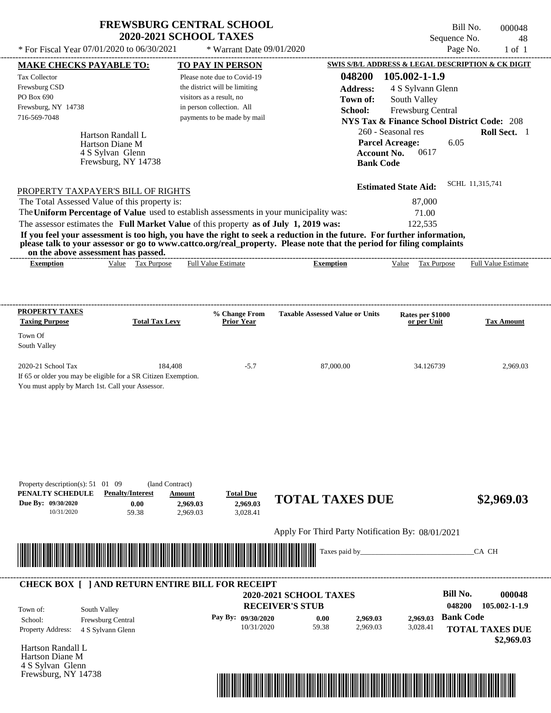| <b>FREWSBURG CENTRAL SCHOOL</b> |
|---------------------------------|
| <b>2020-2021 SCHOOL TAXES</b>   |

| <b>MAKE CHECKS PAYABLE TO:</b>                                                                                                           |                                                                                                                                                                                                                  |                           | <b>TO PAY IN PERSON</b>            |                                                   |                    |                                                        |                  | <b>SWIS S/B/L ADDRESS &amp; LEGAL DESCRIPTION &amp; CK DIGIT</b> |
|------------------------------------------------------------------------------------------------------------------------------------------|------------------------------------------------------------------------------------------------------------------------------------------------------------------------------------------------------------------|---------------------------|------------------------------------|---------------------------------------------------|--------------------|--------------------------------------------------------|------------------|------------------------------------------------------------------|
| <b>Tax Collector</b>                                                                                                                     |                                                                                                                                                                                                                  |                           | Please note due to Covid-19        |                                                   | 048200             | 105.002-1-1.9                                          |                  |                                                                  |
| Frewsburg CSD                                                                                                                            |                                                                                                                                                                                                                  |                           | the district will be limiting      |                                                   | <b>Address:</b>    | 4 S Sylvann Glenn                                      |                  |                                                                  |
| PO Box 690                                                                                                                               |                                                                                                                                                                                                                  | visitors as a result, no  |                                    |                                                   | Town of:           | South Valley                                           |                  |                                                                  |
| Frewsburg, NY 14738                                                                                                                      |                                                                                                                                                                                                                  | in person collection. All |                                    |                                                   | School:            | Frewsburg Central                                      |                  |                                                                  |
| 716-569-7048                                                                                                                             |                                                                                                                                                                                                                  |                           | payments to be made by mail        |                                                   |                    | <b>NYS Tax &amp; Finance School District Code: 208</b> |                  |                                                                  |
|                                                                                                                                          | Hartson Randall L                                                                                                                                                                                                |                           |                                    |                                                   |                    | 260 - Seasonal res                                     |                  | Roll Sect. 1                                                     |
|                                                                                                                                          | Hartson Diane M                                                                                                                                                                                                  |                           |                                    |                                                   |                    | <b>Parcel Acreage:</b>                                 | 6.05             |                                                                  |
|                                                                                                                                          | 4 S Sylvan Glenn                                                                                                                                                                                                 |                           |                                    |                                                   | <b>Account No.</b> | 0617                                                   |                  |                                                                  |
|                                                                                                                                          | Frewsburg, NY 14738                                                                                                                                                                                              |                           |                                    |                                                   | <b>Bank Code</b>   |                                                        |                  |                                                                  |
|                                                                                                                                          |                                                                                                                                                                                                                  |                           |                                    |                                                   |                    | <b>Estimated State Aid:</b>                            | SCHL 11,315,741  |                                                                  |
| PROPERTY TAXPAYER'S BILL OF RIGHTS                                                                                                       |                                                                                                                                                                                                                  |                           |                                    |                                                   |                    |                                                        |                  |                                                                  |
| The Total Assessed Value of this property is:<br>The Uniform Percentage of Value used to establish assessments in your municipality was: |                                                                                                                                                                                                                  |                           |                                    |                                                   |                    | 87,000                                                 |                  |                                                                  |
|                                                                                                                                          |                                                                                                                                                                                                                  |                           |                                    |                                                   |                    | 71.00<br>122,535                                       |                  |                                                                  |
|                                                                                                                                          | The assessor estimates the Full Market Value of this property as of July 1, 2019 was:<br>If you feel your assessment is too high, you have the right to seek a reduction in the future. For further information, |                           |                                    |                                                   |                    |                                                        |                  |                                                                  |
|                                                                                                                                          | please talk to your assessor or go to www.cattco.org/real_property. Please note that the period for filing complaints                                                                                            |                           |                                    |                                                   |                    |                                                        |                  |                                                                  |
| <b>Exemption</b>                                                                                                                         | on the above assessment has passed.<br>Value Tax Purpose                                                                                                                                                         |                           | <b>Full Value Estimate</b>         | <b>Exemption</b>                                  |                    | Value Tax Purpose                                      |                  | <b>Full Value Estimate</b>                                       |
|                                                                                                                                          |                                                                                                                                                                                                                  |                           |                                    |                                                   |                    |                                                        |                  |                                                                  |
|                                                                                                                                          |                                                                                                                                                                                                                  |                           |                                    |                                                   |                    |                                                        |                  |                                                                  |
| <b>PROPERTY TAXES</b>                                                                                                                    |                                                                                                                                                                                                                  |                           |                                    |                                                   |                    |                                                        |                  |                                                                  |
| <b>Taxing Purpose</b>                                                                                                                    | <b>Total Tax Levy</b>                                                                                                                                                                                            |                           | % Change From<br><b>Prior Year</b> | <b>Taxable Assessed Value or Units</b>            |                    | Rates per \$1000<br>or per Unit                        |                  | Tax Amount                                                       |
| Town Of                                                                                                                                  |                                                                                                                                                                                                                  |                           |                                    |                                                   |                    |                                                        |                  |                                                                  |
| South Valley                                                                                                                             |                                                                                                                                                                                                                  |                           |                                    |                                                   |                    |                                                        |                  |                                                                  |
| 2020-21 School Tax                                                                                                                       |                                                                                                                                                                                                                  | 184,408                   | $-5.7$                             | 87,000.00                                         |                    | 34.126739                                              |                  | 2,969.03                                                         |
|                                                                                                                                          | If 65 or older you may be eligible for a SR Citizen Exemption.                                                                                                                                                   |                           |                                    |                                                   |                    |                                                        |                  |                                                                  |
| You must apply by March 1st. Call your Assessor.                                                                                         |                                                                                                                                                                                                                  |                           |                                    |                                                   |                    |                                                        |                  |                                                                  |
|                                                                                                                                          |                                                                                                                                                                                                                  |                           |                                    |                                                   |                    |                                                        |                  |                                                                  |
|                                                                                                                                          |                                                                                                                                                                                                                  |                           |                                    |                                                   |                    |                                                        |                  |                                                                  |
|                                                                                                                                          |                                                                                                                                                                                                                  |                           |                                    |                                                   |                    |                                                        |                  |                                                                  |
|                                                                                                                                          |                                                                                                                                                                                                                  |                           |                                    |                                                   |                    |                                                        |                  |                                                                  |
|                                                                                                                                          |                                                                                                                                                                                                                  |                           |                                    |                                                   |                    |                                                        |                  |                                                                  |
|                                                                                                                                          |                                                                                                                                                                                                                  |                           |                                    |                                                   |                    |                                                        |                  |                                                                  |
|                                                                                                                                          |                                                                                                                                                                                                                  |                           |                                    |                                                   |                    |                                                        |                  |                                                                  |
| Property description(s): $51 \quad 01 \quad 09$                                                                                          |                                                                                                                                                                                                                  | (land Contract)           |                                    |                                                   |                    |                                                        |                  |                                                                  |
| PENALTY SCHEDULE                                                                                                                         | <b>Penalty/Interest</b>                                                                                                                                                                                          | Amount                    | <b>Total Due</b>                   | <b>TOTAL TAXES DUE</b>                            |                    |                                                        |                  | \$2,969.03                                                       |
| Due By: 09/30/2020                                                                                                                       | 0.00                                                                                                                                                                                                             | 2,969.03                  | 2,969.03                           |                                                   |                    |                                                        |                  |                                                                  |
| 10/31/2020                                                                                                                               | 59.38                                                                                                                                                                                                            | 2,969.03                  | 3,028.41                           |                                                   |                    |                                                        |                  |                                                                  |
|                                                                                                                                          |                                                                                                                                                                                                                  |                           |                                    | Apply For Third Party Notification By: 08/01/2021 |                    |                                                        |                  |                                                                  |
|                                                                                                                                          |                                                                                                                                                                                                                  |                           |                                    | Taxes paid by_                                    |                    |                                                        |                  | CA CH                                                            |
|                                                                                                                                          |                                                                                                                                                                                                                  |                           |                                    |                                                   |                    |                                                        |                  |                                                                  |
|                                                                                                                                          |                                                                                                                                                                                                                  |                           |                                    |                                                   |                    |                                                        |                  |                                                                  |
|                                                                                                                                          | <b>CHECK BOX [ ] AND RETURN ENTIRE BILL FOR RECEIPT</b>                                                                                                                                                          |                           |                                    |                                                   |                    |                                                        |                  |                                                                  |
|                                                                                                                                          |                                                                                                                                                                                                                  |                           |                                    | <b>2020-2021 SCHOOL TAXES</b>                     |                    |                                                        | <b>Bill No.</b>  | 000048                                                           |
| Town of:                                                                                                                                 | South Valley                                                                                                                                                                                                     |                           |                                    | <b>RECEIVER'S STUB</b>                            |                    |                                                        | 048200           | 105.002-1-1.9                                                    |
| School:                                                                                                                                  | Frewsburg Central                                                                                                                                                                                                |                           | Pay By: 09/30/2020                 | 0.00                                              | 2,969.03           | 2.969.03                                               | <b>Bank Code</b> |                                                                  |
| Property Address:                                                                                                                        | 4 S Sylvann Glenn                                                                                                                                                                                                |                           | 10/31/2020                         | 59.38                                             | 2,969.03           | 3,028.41                                               |                  | <b>TOTAL TAXES DUE</b>                                           |
|                                                                                                                                          |                                                                                                                                                                                                                  |                           |                                    |                                                   |                    |                                                        |                  | \$2,969.03                                                       |
| Hartson Randall L                                                                                                                        |                                                                                                                                                                                                                  |                           |                                    |                                                   |                    |                                                        |                  |                                                                  |
| Hartson Diane M                                                                                                                          |                                                                                                                                                                                                                  |                           |                                    |                                                   |                    |                                                        |                  |                                                                  |
| 4 S Sylvan Glenn<br>Frewsburg, NY 14738                                                                                                  |                                                                                                                                                                                                                  |                           |                                    |                                                   |                    |                                                        |                  |                                                                  |
|                                                                                                                                          |                                                                                                                                                                                                                  |                           |                                    |                                                   |                    |                                                        |                  |                                                                  |

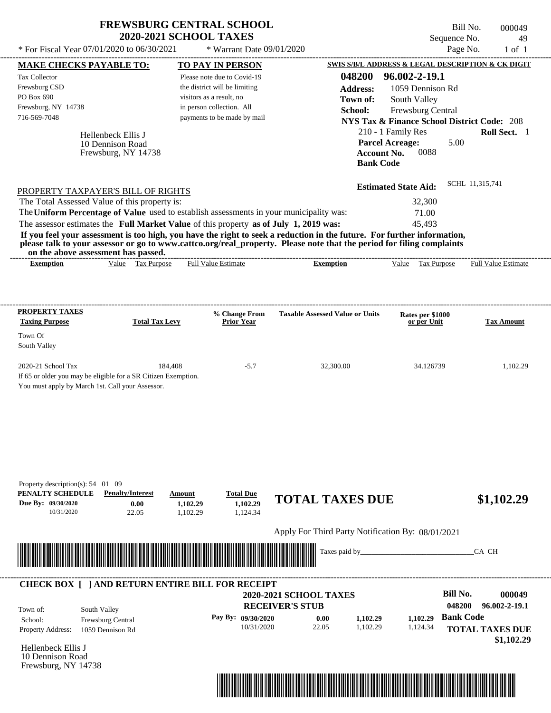|                                                                                                                                                              | <b>2020-2021 SCHOOL TAXES</b> | <b>FREWSBURG CENTRAL SCHOOL</b>                           |                                                   |                    |                                              | Bill No.<br>Sequence No. | 000049<br>49                                           |
|--------------------------------------------------------------------------------------------------------------------------------------------------------------|-------------------------------|-----------------------------------------------------------|---------------------------------------------------|--------------------|----------------------------------------------|--------------------------|--------------------------------------------------------|
| * For Fiscal Year 07/01/2020 to 06/30/2021                                                                                                                   |                               | * Warrant Date 09/01/2020                                 |                                                   |                    |                                              | Page No.                 | $1$ of $1$                                             |
| <b>MAKE CHECKS PAYABLE TO:</b>                                                                                                                               |                               | TO PAY IN PERSON                                          |                                                   |                    |                                              |                          | SWIS S/B/L ADDRESS & LEGAL DESCRIPTION & CK DIGIT      |
| <b>Tax Collector</b>                                                                                                                                         |                               | Please note due to Covid-19                               |                                                   | 048200             | 96.002-2-19.1                                |                          |                                                        |
| Frewsburg CSD<br>PO Box 690                                                                                                                                  |                               | the district will be limiting<br>visitors as a result, no |                                                   | <b>Address:</b>    | 1059 Dennison Rd                             |                          |                                                        |
| Frewsburg, NY 14738                                                                                                                                          |                               | in person collection. All                                 |                                                   | Town of:           | South Valley                                 |                          |                                                        |
| 716-569-7048                                                                                                                                                 |                               | payments to be made by mail                               |                                                   | School:            | Frewsburg Central                            |                          |                                                        |
|                                                                                                                                                              |                               |                                                           |                                                   |                    |                                              |                          | <b>NYS Tax &amp; Finance School District Code: 208</b> |
| Hellenbeck Ellis J                                                                                                                                           |                               |                                                           |                                                   |                    | 210 - 1 Family Res<br><b>Parcel Acreage:</b> | 5.00                     | Roll Sect. 1                                           |
| 10 Dennison Road<br>Frewsburg, NY 14738                                                                                                                      |                               |                                                           |                                                   | <b>Account No.</b> | 0088                                         |                          |                                                        |
|                                                                                                                                                              |                               |                                                           |                                                   | <b>Bank Code</b>   |                                              |                          |                                                        |
|                                                                                                                                                              |                               |                                                           |                                                   |                    |                                              |                          |                                                        |
|                                                                                                                                                              |                               |                                                           |                                                   |                    | <b>Estimated State Aid:</b>                  |                          | SCHL 11,315,741                                        |
| PROPERTY TAXPAYER'S BILL OF RIGHTS                                                                                                                           |                               |                                                           |                                                   |                    |                                              |                          |                                                        |
| The Total Assessed Value of this property is:<br>The Uniform Percentage of Value used to establish assessments in your municipality was:                     |                               |                                                           |                                                   |                    | 32,300                                       |                          |                                                        |
| The assessor estimates the Full Market Value of this property as of July 1, 2019 was:                                                                        |                               |                                                           |                                                   |                    | 71.00<br>45,493                              |                          |                                                        |
| If you feel your assessment is too high, you have the right to seek a reduction in the future. For further information,                                      |                               |                                                           |                                                   |                    |                                              |                          |                                                        |
| please talk to your assessor or go to www.cattco.org/real_property. Please note that the period for filing complaints<br>on the above assessment has passed. |                               |                                                           |                                                   |                    |                                              |                          |                                                        |
| <b>Exemption</b>                                                                                                                                             | Value Tax Purpose             | <b>Full Value Estimate</b>                                | <b>Exemption</b>                                  |                    | Value Tax Purpose                            |                          | <b>Full Value Estimate</b>                             |
|                                                                                                                                                              |                               |                                                           |                                                   |                    |                                              |                          |                                                        |
|                                                                                                                                                              |                               |                                                           |                                                   |                    |                                              |                          |                                                        |
| PROPERTY TAXES                                                                                                                                               |                               |                                                           |                                                   |                    |                                              |                          |                                                        |
| <b>Taxing Purpose</b>                                                                                                                                        | <b>Total Tax Levy</b>         | % Change From<br><b>Prior Year</b>                        | <b>Taxable Assessed Value or Units</b>            |                    | Rates per \$1000<br>or per Unit              |                          | <b>Tax Amount</b>                                      |
| Town Of                                                                                                                                                      |                               |                                                           |                                                   |                    |                                              |                          |                                                        |
| South Valley                                                                                                                                                 |                               |                                                           |                                                   |                    |                                              |                          |                                                        |
|                                                                                                                                                              |                               |                                                           |                                                   |                    |                                              |                          |                                                        |
| 2020-21 School Tax                                                                                                                                           | 184,408                       | $-5.7$                                                    |                                                   | 32,300.00          |                                              | 34.126739                | 1,102.29                                               |
| If 65 or older you may be eligible for a SR Citizen Exemption.                                                                                               |                               |                                                           |                                                   |                    |                                              |                          |                                                        |
| You must apply by March 1st. Call your Assessor.                                                                                                             |                               |                                                           |                                                   |                    |                                              |                          |                                                        |
|                                                                                                                                                              |                               |                                                           |                                                   |                    |                                              |                          |                                                        |
|                                                                                                                                                              |                               |                                                           |                                                   |                    |                                              |                          |                                                        |
|                                                                                                                                                              |                               |                                                           |                                                   |                    |                                              |                          |                                                        |
|                                                                                                                                                              |                               |                                                           |                                                   |                    |                                              |                          |                                                        |
|                                                                                                                                                              |                               |                                                           |                                                   |                    |                                              |                          |                                                        |
|                                                                                                                                                              |                               |                                                           |                                                   |                    |                                              |                          |                                                        |
|                                                                                                                                                              |                               |                                                           |                                                   |                    |                                              |                          |                                                        |
| Property description(s): 54 01 09                                                                                                                            |                               |                                                           |                                                   |                    |                                              |                          |                                                        |
| PENALTY SCHEDULE<br><b>Penalty/Interest</b>                                                                                                                  | Amount                        | <b>Total Due</b>                                          |                                                   |                    |                                              |                          |                                                        |
| Due By: 09/30/2020                                                                                                                                           | 0.00<br>1,102.29              | 1,102.29                                                  | <b>TOTAL TAXES DUE</b>                            |                    |                                              |                          | \$1,102.29                                             |
| 10/31/2020                                                                                                                                                   | 22.05<br>1,102.29             | 1,124.34                                                  |                                                   |                    |                                              |                          |                                                        |
|                                                                                                                                                              |                               |                                                           |                                                   |                    |                                              |                          |                                                        |
|                                                                                                                                                              |                               |                                                           | Apply For Third Party Notification By: 08/01/2021 |                    |                                              |                          |                                                        |
|                                                                                                                                                              |                               |                                                           |                                                   | Taxes paid by_     |                                              |                          | CA CH                                                  |
|                                                                                                                                                              |                               |                                                           |                                                   |                    |                                              |                          |                                                        |
|                                                                                                                                                              |                               |                                                           |                                                   |                    |                                              |                          |                                                        |
| <b>CHECK BOX [ ] AND RETURN ENTIRE BILL FOR RECEIPT</b>                                                                                                      |                               |                                                           |                                                   |                    |                                              | <b>Bill No.</b>          |                                                        |
|                                                                                                                                                              |                               |                                                           | 2020-2021 SCHOOL TAXES                            |                    |                                              |                          | 000049                                                 |
| South Valley<br>Town of:                                                                                                                                     |                               |                                                           | <b>RECEIVER'S STUB</b>                            |                    |                                              | 048200                   | 96.002-2-19.1                                          |
| Frewsburg Central<br>School:                                                                                                                                 |                               | Pay By: 09/30/2020                                        | 0.00                                              | 1,102.29           | 1,102.29                                     | <b>Bank Code</b>         |                                                        |
| Property Address:<br>1059 Dennison Rd                                                                                                                        |                               | 10/31/2020                                                | 22.05                                             | 1,102.29           | 1,124.34                                     |                          | <b>TOTAL TAXES DUE</b>                                 |

Hellenbeck Ellis J 10 Dennison Road Frewsburg, NY 14738



 **\$1,102.29**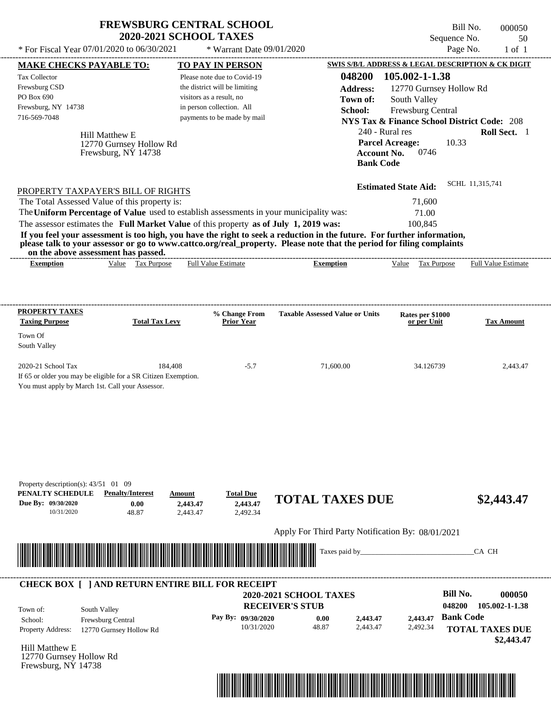|                                                                                                                                                                                                                                               | <b>FREWSBURG CENTRAL SCHOOL</b><br><b>2020-2021 SCHOOL TAXES</b>           |                                                                                                                                                      |                                                                                                                         | Sequence No.                                                                                                                             | Bill No.<br>000050<br>50   |
|-----------------------------------------------------------------------------------------------------------------------------------------------------------------------------------------------------------------------------------------------|----------------------------------------------------------------------------|------------------------------------------------------------------------------------------------------------------------------------------------------|-------------------------------------------------------------------------------------------------------------------------|------------------------------------------------------------------------------------------------------------------------------------------|----------------------------|
| * For Fiscal Year 07/01/2020 to 06/30/2021                                                                                                                                                                                                    |                                                                            | * Warrant Date 09/01/2020                                                                                                                            |                                                                                                                         |                                                                                                                                          | Page No.<br>$1$ of $1$     |
| <b>MAKE CHECKS PAYABLE TO:</b>                                                                                                                                                                                                                |                                                                            | TO PAY IN PERSON                                                                                                                                     |                                                                                                                         | SWIS S/B/L ADDRESS & LEGAL DESCRIPTION & CK DIGIT                                                                                        |                            |
| <b>Tax Collector</b><br>Frewsburg CSD<br>PO Box 690<br>Frewsburg, NY 14738<br>716-569-7048<br>Hill Matthew E                                                                                                                                  |                                                                            | Please note due to Covid-19<br>the district will be limiting<br>visitors as a result, no<br>in person collection. All<br>payments to be made by mail | 048200<br><b>Address:</b><br>Town of:<br>School:<br>240 - Rural res                                                     | 105.002-1-1.38<br>12770 Gurnsey Hollow Rd<br>South Valley<br>Frewsburg Central<br><b>NYS Tax &amp; Finance School District Code: 208</b> | Roll Sect. 1               |
|                                                                                                                                                                                                                                               | 12770 Gurnsey Hollow Rd<br>Frewsburg, NY 14738                             |                                                                                                                                                      | <b>Account No.</b><br><b>Bank Code</b>                                                                                  | <b>Parcel Acreage:</b><br>10.33<br>0746                                                                                                  |                            |
| PROPERTY TAXPAYER'S BILL OF RIGHTS                                                                                                                                                                                                            |                                                                            |                                                                                                                                                      |                                                                                                                         | <b>Estimated State Aid:</b>                                                                                                              | SCHL 11,315,741            |
| The Total Assessed Value of this property is:<br>The Uniform Percentage of Value used to establish assessments in your municipality was:<br>The assessor estimates the Full Market Value of this property as of July 1, 2019 was:             |                                                                            |                                                                                                                                                      | If you feel your assessment is too high, you have the right to seek a reduction in the future. For further information, | 71,600<br>71.00<br>100,845                                                                                                               |                            |
| on the above assessment has passed.                                                                                                                                                                                                           |                                                                            |                                                                                                                                                      | please talk to your assessor or go to www.cattco.org/real_property. Please note that the period for filing complaints   |                                                                                                                                          |                            |
| <b>Exemption</b>                                                                                                                                                                                                                              | Value Tax Purpose                                                          | Full Value Estimate                                                                                                                                  | <b>Exemption</b>                                                                                                        | Value Tax Purpose                                                                                                                        | <b>Full Value Estimate</b> |
|                                                                                                                                                                                                                                               |                                                                            | % Change From                                                                                                                                        | <b>Taxable Assessed Value or Units</b>                                                                                  |                                                                                                                                          |                            |
| <b>Taxing Purpose</b><br>Town Of<br>South Valley                                                                                                                                                                                              | <b>Total Tax Levy</b>                                                      | <b>Prior Year</b>                                                                                                                                    |                                                                                                                         | Rates per \$1000<br>or per Unit                                                                                                          | <b>Tax Amount</b>          |
| 2020-21 School Tax                                                                                                                                                                                                                            | 184,408                                                                    | $-5.7$                                                                                                                                               | 71,600.00                                                                                                               | 34.126739                                                                                                                                | 2,443.47                   |
| <b>PROPERTY TAXES</b><br>If 65 or older you may be eligible for a SR Citizen Exemption.<br>You must apply by March 1st. Call your Assessor.<br>Property description(s): $43/51$ 01 09<br>PENALTY SCHEDULE<br>Due By: 09/30/2020<br>10/31/2020 | <b>Penalty/Interest</b><br>Amount<br>0.00<br>2,443.47<br>48.87<br>2,443.47 | <b>Total Due</b><br>2,443.47<br>2,492.34                                                                                                             | <b>TOTAL TAXES DUE</b>                                                                                                  |                                                                                                                                          | \$2,443.47                 |
|                                                                                                                                                                                                                                               |                                                                            |                                                                                                                                                      | Apply For Third Party Notification By: 08/01/2021                                                                       |                                                                                                                                          |                            |
| <u> Harry Harry Harry Harry Harry Harry Harry Harry Harry Harry Harry Harry Harry Harry Harry Harry Harry Harry Harry Harry Harry Harry Harry Harry Harry Harry Harry Harry Harry Harry Harry Harry Harry Harry Harry Harry Harr</u>          |                                                                            |                                                                                                                                                      | Taxes paid by_                                                                                                          |                                                                                                                                          | CA CH                      |

| Town of:                 | CHECK BOX     AND RETURN ENTIRE BILL FOR RECEIPT<br>South Valley | <b>2020-2021 SCHOOL TAXES</b><br><b>RECEIVER'S STUB</b> | <b>Bill No.</b><br>000050<br>105.002-1-1.38<br>048200 |          |          |                                      |
|--------------------------|------------------------------------------------------------------|---------------------------------------------------------|-------------------------------------------------------|----------|----------|--------------------------------------|
| School:                  | <b>Frewsburg Central</b>                                         | Pay By: $09/30/2020$                                    | 0.00                                                  | 2,443.47 | 2.443.47 | <b>Bank Code</b>                     |
| <b>Property Address:</b> | 12770 Gurnsey Hollow Rd                                          | 10/31/2020                                              | 48.87                                                 | 2.443.47 | 2,492.34 | <b>TOTAL TAXES DUE</b><br>\$2,443.47 |

Hill Matthew E 12770 Gurnsey Hollow Rd Frewsburg, NY 14738

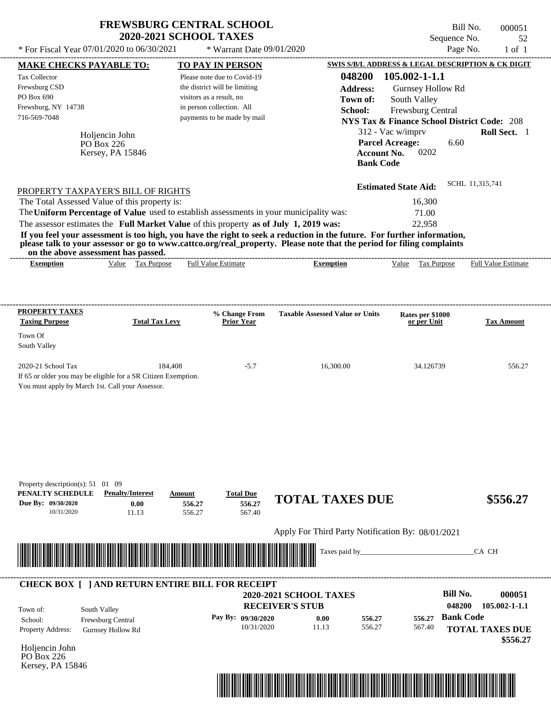| * For Fiscal Year 07/01/2020 to 06/30/2021                                                                                               | <b>FREWSBURG CENTRAL SCHOOL</b>          | <b>2020-2021 SCHOOL TAXES</b> | * Warrant Date 09/01/2020            |                                                                                                                                                                                                                                                  |                                                                          | Bill No.<br>Sequence No.<br>Page No. | 000051<br>52<br>$1$ of $1$                             |
|------------------------------------------------------------------------------------------------------------------------------------------|------------------------------------------|-------------------------------|--------------------------------------|--------------------------------------------------------------------------------------------------------------------------------------------------------------------------------------------------------------------------------------------------|--------------------------------------------------------------------------|--------------------------------------|--------------------------------------------------------|
| MAKE CHECKS PAYABLE TO:                                                                                                                  |                                          | <b>TO PAY IN PERSON</b>       |                                      |                                                                                                                                                                                                                                                  |                                                                          |                                      | SWIS S/B/L ADDRESS & LEGAL DESCRIPTION & CK DIGIT      |
| Tax Collector                                                                                                                            |                                          | Please note due to Covid-19   |                                      | 048200                                                                                                                                                                                                                                           | 105.002-1-1.1                                                            |                                      |                                                        |
| Frewsburg CSD                                                                                                                            |                                          | the district will be limiting |                                      |                                                                                                                                                                                                                                                  |                                                                          |                                      |                                                        |
| PO Box 690                                                                                                                               |                                          | visitors as a result, no      |                                      | <b>Address:</b>                                                                                                                                                                                                                                  |                                                                          | Gurnsey Hollow Rd                    |                                                        |
| Frewsburg, NY 14738                                                                                                                      |                                          | in person collection. All     |                                      | Town of:                                                                                                                                                                                                                                         | South Valley                                                             |                                      |                                                        |
| 716-569-7048                                                                                                                             |                                          | payments to be made by mail   |                                      | School:                                                                                                                                                                                                                                          | Frewsburg Central                                                        |                                      |                                                        |
|                                                                                                                                          |                                          |                               |                                      |                                                                                                                                                                                                                                                  |                                                                          |                                      | <b>NYS Tax &amp; Finance School District Code: 208</b> |
|                                                                                                                                          | Holiencin John                           |                               |                                      |                                                                                                                                                                                                                                                  | 312 - Vac w/imprv                                                        |                                      | Roll Sect. 1                                           |
|                                                                                                                                          | PO Box 226<br>Kersey, PA 15846           |                               |                                      |                                                                                                                                                                                                                                                  | <b>Parcel Acreage:</b><br>0202<br><b>Account No.</b><br><b>Bank Code</b> | 6.60                                 |                                                        |
| PROPERTY TAXPAYER'S BILL OF RIGHTS                                                                                                       |                                          |                               |                                      |                                                                                                                                                                                                                                                  | <b>Estimated State Aid:</b>                                              |                                      | SCHL 11,315,741                                        |
| The Total Assessed Value of this property is:                                                                                            |                                          |                               |                                      |                                                                                                                                                                                                                                                  | 16,300                                                                   |                                      |                                                        |
| The Uniform Percentage of Value used to establish assessments in your municipality was:                                                  |                                          |                               |                                      |                                                                                                                                                                                                                                                  | 71.00                                                                    |                                      |                                                        |
| The assessor estimates the Full Market Value of this property as of July 1, 2019 was:                                                    |                                          |                               |                                      |                                                                                                                                                                                                                                                  | 22,958                                                                   |                                      |                                                        |
| on the above assessment has passed.                                                                                                      |                                          |                               |                                      | If you feel your assessment is too high, you have the right to seek a reduction in the future. For further information,<br>please talk to your assessor or go to www.cattco.org/real_property. Please note that the period for filing complaints |                                                                          |                                      |                                                        |
| <b>Exemption</b>                                                                                                                         | Value Tax Purpose                        | <b>Full Value Estimate</b>    |                                      | <b>Exemption</b>                                                                                                                                                                                                                                 | Value                                                                    | Tax Purpose                          | Full Value Estimate                                    |
| <b>PROPERTY TAXES</b>                                                                                                                    |                                          | % Change From                 |                                      | <b>Taxable Assessed Value or Units</b>                                                                                                                                                                                                           | Rates per \$1000                                                         |                                      |                                                        |
| <b>Taxing Purpose</b>                                                                                                                    | <b>Total Tax Levy</b>                    | <b>Prior Year</b>             |                                      |                                                                                                                                                                                                                                                  | or per Unit                                                              |                                      | <b>Tax Amount</b>                                      |
| Town Of<br>South Valley                                                                                                                  |                                          |                               |                                      |                                                                                                                                                                                                                                                  |                                                                          |                                      |                                                        |
| 2020-21 School Tax<br>If 65 or older you may be eligible for a SR Citizen Exemption.<br>You must apply by March 1st. Call your Assessor. | 184,408                                  |                               | $-5.7$                               | 16,300.00                                                                                                                                                                                                                                        |                                                                          | 34.126739                            | 556.27                                                 |
| Property description(s): $51 \quad 01 \quad 09$<br>PENALTY SCHEDULE<br>Due By: 09/30/2020<br>10/31/2020                                  | <b>Penalty/Interest</b><br>0.00<br>11.13 | Amount<br>556.27<br>556.27    | <b>Total Due</b><br>556.27<br>567.40 | <b>TOTAL TAXES DUE</b>                                                                                                                                                                                                                           |                                                                          |                                      | \$556.27                                               |
|                                                                                                                                          |                                          |                               |                                      | Apply For Third Party Notification By: 08/01/2021                                                                                                                                                                                                |                                                                          |                                      |                                                        |
|                                                                                                                                          |                                          |                               |                                      |                                                                                                                                                                                                                                                  |                                                                          |                                      |                                                        |
|                                                                                                                                          |                                          |                               |                                      | Taxes paid by                                                                                                                                                                                                                                    |                                                                          |                                      | CA CH                                                  |
| <b>CHECK BOX [ ] AND RETURN ENTIRE BILL FOR RECEIPT</b>                                                                                  |                                          |                               |                                      |                                                                                                                                                                                                                                                  |                                                                          |                                      |                                                        |
|                                                                                                                                          |                                          |                               |                                      | 2020-2021 SCHOOL TAXES                                                                                                                                                                                                                           |                                                                          | <b>Bill No.</b>                      | 000051                                                 |
|                                                                                                                                          |                                          |                               | <b>RECEIVER'S STUB</b>               |                                                                                                                                                                                                                                                  |                                                                          | 048200                               | $105.002 - 1 - 1.1$                                    |
| South Valley<br>Town of:<br>School:                                                                                                      |                                          |                               | Pay By: 09/30/2020                   | 0.00<br>556.27                                                                                                                                                                                                                                   | 556.27                                                                   | <b>Bank Code</b>                     |                                                        |
| Property Address:                                                                                                                        | Frewsburg Central                        |                               | 10/31/2020                           | 11.13<br>556.27                                                                                                                                                                                                                                  | 567.40                                                                   |                                      | <b>TOTAL TAXES DUE</b>                                 |
|                                                                                                                                          | <b>Gurnsey Hollow Rd</b>                 |                               |                                      |                                                                                                                                                                                                                                                  |                                                                          |                                      |                                                        |
| Holjencin John                                                                                                                           |                                          |                               |                                      |                                                                                                                                                                                                                                                  |                                                                          |                                      | \$556.27                                               |
|                                                                                                                                          |                                          |                               |                                      |                                                                                                                                                                                                                                                  |                                                                          |                                      |                                                        |

Kersey, PA 15846

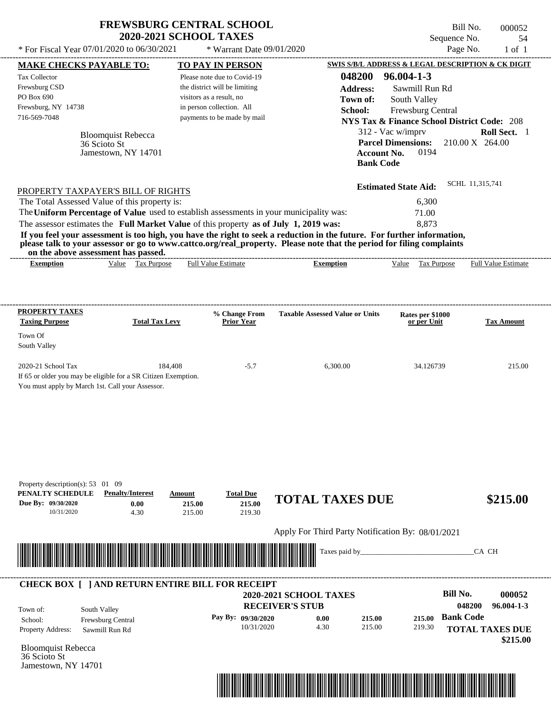| * For Fiscal Year 07/01/2020 to 06/30/2021                                                                                                                                                                                                                                                                                                                                                                                                                                                                                                                         | <b>2020-2021 SCHOOL TAXES</b> | <b>FREWSBURG CENTRAL SCHOOL</b><br>* Warrant Date 09/01/2020                                                                                                                    |                                                                                            | Sequence No.<br>Page No.                                                                                                                                                                    | Bill No.<br>000052<br>54<br>$1$ of $1$    |
|--------------------------------------------------------------------------------------------------------------------------------------------------------------------------------------------------------------------------------------------------------------------------------------------------------------------------------------------------------------------------------------------------------------------------------------------------------------------------------------------------------------------------------------------------------------------|-------------------------------|---------------------------------------------------------------------------------------------------------------------------------------------------------------------------------|--------------------------------------------------------------------------------------------|---------------------------------------------------------------------------------------------------------------------------------------------------------------------------------------------|-------------------------------------------|
|                                                                                                                                                                                                                                                                                                                                                                                                                                                                                                                                                                    |                               |                                                                                                                                                                                 |                                                                                            | SWIS S/B/L ADDRESS & LEGAL DESCRIPTION & CK DIGIT                                                                                                                                           |                                           |
| <b>MAKE CHECKS PAYABLE TO:</b><br>Tax Collector<br>Frewsburg CSD<br>PO Box 690<br>Frewsburg, NY 14738<br>716-569-7048<br><b>Bloomquist Rebecca</b><br>36 Scioto St<br>Jamestown, NY 14701                                                                                                                                                                                                                                                                                                                                                                          |                               | <b>TO PAY IN PERSON</b><br>Please note due to Covid-19<br>the district will be limiting<br>visitors as a result, no<br>in person collection. All<br>payments to be made by mail | 048200<br><b>Address:</b><br>Town of:<br>School:<br><b>Account No.</b><br><b>Bank Code</b> | $96.004 - 1 - 3$<br>Sawmill Run Rd<br>South Valley<br>Frewsburg Central<br><b>NYS Tax &amp; Finance School District Code: 208</b><br>312 - Vac w/imprv<br><b>Parcel Dimensions:</b><br>0194 | Roll Sect. 1<br>$210.00 \text{ X}$ 264.00 |
| PROPERTY TAXPAYER'S BILL OF RIGHTS<br>The Total Assessed Value of this property is:<br>The Uniform Percentage of Value used to establish assessments in your municipality was:<br>The assessor estimates the Full Market Value of this property as of July 1, 2019 was:<br>If you feel your assessment is too high, you have the right to seek a reduction in the future. For further information,<br>please talk to your assessor or go to www.cattco.org/real_property. Please note that the period for filing complaints<br>on the above assessment has passed. |                               |                                                                                                                                                                                 |                                                                                            | <b>Estimated State Aid:</b><br>6,300<br>71.00<br>8,873                                                                                                                                      | SCHL 11,315,741                           |
| Value Tax Purpose<br><b>Exemption</b>                                                                                                                                                                                                                                                                                                                                                                                                                                                                                                                              |                               | <b>Full Value Estimate</b>                                                                                                                                                      | <b>Exemption</b>                                                                           | Value Tax Purpose                                                                                                                                                                           | <b>Full Value Estimate</b>                |
| <b>PROPERTY TAXES</b><br><b>Taxing Purpose</b>                                                                                                                                                                                                                                                                                                                                                                                                                                                                                                                     | <b>Total Tax Levy</b>         | % Change From<br><b>Prior Year</b>                                                                                                                                              | <b>Taxable Assessed Value or Units</b>                                                     | Rates per \$1000<br>or per Unit                                                                                                                                                             | <b>Tax Amount</b>                         |
| Town Of<br>South Valley                                                                                                                                                                                                                                                                                                                                                                                                                                                                                                                                            |                               |                                                                                                                                                                                 |                                                                                            |                                                                                                                                                                                             |                                           |
| 2020-21 School Tax<br>If 65 or older you may be eligible for a SR Citizen Exemption.<br>You must apply by March 1st. Call your Assessor.                                                                                                                                                                                                                                                                                                                                                                                                                           | 184,408                       | $-5.7$                                                                                                                                                                          | 6,300.00                                                                                   | 34.126739                                                                                                                                                                                   | 215.00                                    |
| Property description(s): 53 01 09<br>PENALTY SCHEDULE<br><b>Penalty/Interest</b><br>Due By: 09/30/2020<br>0.00<br>10/31/2020<br>4.30                                                                                                                                                                                                                                                                                                                                                                                                                               | Amount<br>215.00<br>215.00    | <b>Total Due</b><br>215.00<br>219.30                                                                                                                                            | <b>TOTAL TAXES DUE</b>                                                                     |                                                                                                                                                                                             | \$215.00                                  |
|                                                                                                                                                                                                                                                                                                                                                                                                                                                                                                                                                                    |                               |                                                                                                                                                                                 | Apply For Third Party Notification By: 08/01/2021                                          |                                                                                                                                                                                             |                                           |
|                                                                                                                                                                                                                                                                                                                                                                                                                                                                                                                                                                    |                               |                                                                                                                                                                                 | Taxes paid by_                                                                             |                                                                                                                                                                                             | CA CH                                     |
| <b>CHECK BOX [ ] AND RETURN ENTIRE BILL FOR RECEIPT</b><br>South Valley<br>Town of:                                                                                                                                                                                                                                                                                                                                                                                                                                                                                |                               |                                                                                                                                                                                 | 2020-2021 SCHOOL TAXES<br><b>RECEIVER'S STUB</b>                                           | <b>Bill No.</b>                                                                                                                                                                             | 000052<br>048200<br>$96.004 - 1 - 3$      |
| Frewsburg Central<br>School:                                                                                                                                                                                                                                                                                                                                                                                                                                                                                                                                       |                               | Pay By: 09/30/2020                                                                                                                                                              | 0.00<br>215.00                                                                             | <b>Bank Code</b><br>215.00                                                                                                                                                                  |                                           |

10/31/2020 4.30

Bloomquist Rebecca Property Address: Sawmill Run Rd

36 Scioto St Jamestown, NY 14701



215.00

219.30

**TOTAL TAXES DUE**

 **\$215.00**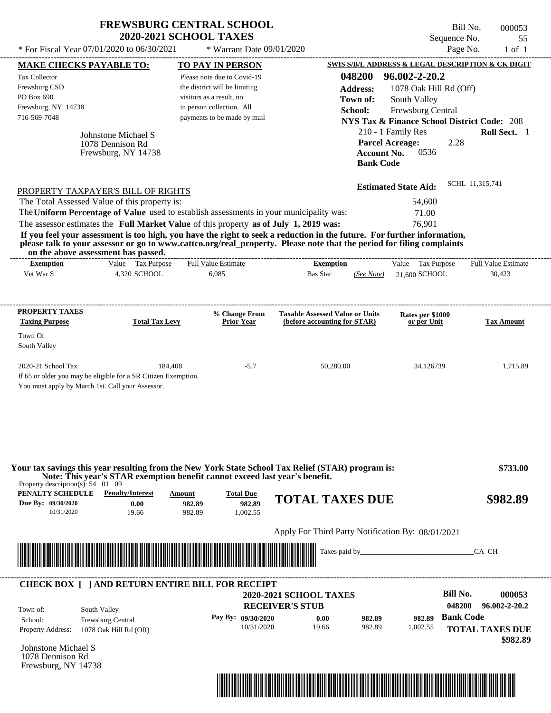| <b>FREWSBURG CENTRAL SCHOOL</b> |
|---------------------------------|
| <b>2020-2021 SCHOOL TAXES</b>   |

Bill No. 000053 Sequence No. 55<br>Page No. 1 of 1

|                                                                                     | * For Fiscal Year 07/01/2020 to 06/30/2021                                          | * Warrant Date 09/01/2020                                                                                                                                                        |                                                                                                                                                                                                                                                  |                                                                                                                                                                         | Page No.<br>$1$ of $1$                                                         |
|-------------------------------------------------------------------------------------|-------------------------------------------------------------------------------------|----------------------------------------------------------------------------------------------------------------------------------------------------------------------------------|--------------------------------------------------------------------------------------------------------------------------------------------------------------------------------------------------------------------------------------------------|-------------------------------------------------------------------------------------------------------------------------------------------------------------------------|--------------------------------------------------------------------------------|
| <b>MAKE CHECKS PAYABLE TO:</b>                                                      |                                                                                     | <b>TO PAY IN PERSON</b>                                                                                                                                                          |                                                                                                                                                                                                                                                  |                                                                                                                                                                         | SWIS S/B/L ADDRESS & LEGAL DESCRIPTION & CK DIGIT                              |
| Tax Collector<br>Frewsburg CSD<br>PO Box 690<br>Frewsburg, NY 14738<br>716-569-7048 | Johnstone Michael S<br>1078 Dennison Rd<br>Frewsburg, NY 14738                      | Please note due to Covid-19<br>the district will be limiting<br>visitors as a result, no<br>in person collection. All<br>payments to be made by mail                             | 048200<br><b>Address:</b><br>Town of:<br>School:                                                                                                                                                                                                 | 96.002-2-20.2<br>1078 Oak Hill Rd (Off)<br>South Valley<br>Frewsburg Central<br>210 - 1 Family Res<br><b>Parcel Acreage:</b><br>Account No.<br>0536<br><b>Bank Code</b> | <b>NYS Tax &amp; Finance School District Code: 208</b><br>Roll Sect. 1<br>2.28 |
|                                                                                     | PROPERTY TAXPAYER'S BILL OF RIGHTS<br>The Total Assessed Value of this property is: | The Uniform Percentage of Value used to establish assessments in your municipality was:<br>The assessor estimates the Full Market Value of this property as of July 1, 2019 was: | If you feel your assessment is too high, you have the right to seek a reduction in the future. For further information,<br>please talk to your assessor or go to www.cattco.org/real_property. Please note that the period for filing complaints | <b>Estimated State Aid:</b><br>54,600<br>71.00<br>76,901                                                                                                                | SCHL 11,315,741                                                                |
| <b>Exemption</b>                                                                    | on the above assessment has passed.<br>Value Tax Purpose                            | ---------------------------<br><b>Full Value Estimate</b>                                                                                                                        | <b>Exemption</b>                                                                                                                                                                                                                                 | Value Tax Purpose                                                                                                                                                       | Full Value Estimate                                                            |
| Vet War S                                                                           | 4,320 SCHOOL                                                                        | 6,085                                                                                                                                                                            | <b>Bas Star</b><br>(See Note)                                                                                                                                                                                                                    | 21,600 SCHOOL                                                                                                                                                           | 30,423                                                                         |
| <b>PROPERTY TAXES</b><br><b>Taxing Purpose</b>                                      | <b>Total Tax Levy</b>                                                               | % Change From<br><b>Prior Year</b>                                                                                                                                               | <b>Taxable Assessed Value or Units</b><br>(before accounting for STAR)                                                                                                                                                                           | Rates per \$1000<br>or per Unit                                                                                                                                         | <b>Tax Amount</b>                                                              |
| Town Of<br>South Valley                                                             |                                                                                     |                                                                                                                                                                                  |                                                                                                                                                                                                                                                  |                                                                                                                                                                         |                                                                                |
| 2020-21 School Tax<br>You must apply by March 1st. Call your Assessor.              | 184,408<br>If 65 or older you may be eligible for a SR Citizen Exemption.           | $-5.7$                                                                                                                                                                           | 50,280.00                                                                                                                                                                                                                                        | 34.126739                                                                                                                                                               | 1,715.89                                                                       |
| Property description(s): $54 \quad 01 \quad 09$                                     |                                                                                     | Note: This year's STAR exemption benefit cannot exceed last year's benefit.                                                                                                      | Your tax savings this year resulting from the New York State School Tax Relief (STAR) program is:                                                                                                                                                |                                                                                                                                                                         | \$733.00                                                                       |
| <b>PENALTY SCHEDULE</b> Penalty/Interest<br>Due By: 09/30/2020<br>10/31/2020        | 0.00<br>19.66                                                                       | <b>Amount</b><br><b>Total Due</b><br>982.89<br>982.89<br>982.89<br>1,002.55                                                                                                      | <b>TOTAL TAXES DUE</b>                                                                                                                                                                                                                           |                                                                                                                                                                         | \$982.89                                                                       |
|                                                                                     |                                                                                     |                                                                                                                                                                                  | Apply For Third Party Notification By: 08/01/2021                                                                                                                                                                                                |                                                                                                                                                                         |                                                                                |
|                                                                                     |                                                                                     | <u> Maria Alemania de Santiago de Arabela de Arabela de Arabela de Arabela de Arabela de Arabela de Arabela de Ar</u>                                                            |                                                                                                                                                                                                                                                  |                                                                                                                                                                         | CA CH                                                                          |
|                                                                                     |                                                                                     | <b>CHECK BOX [ ] AND RETURN ENTIRE BILL FOR RECEIPT</b>                                                                                                                          |                                                                                                                                                                                                                                                  |                                                                                                                                                                         |                                                                                |
|                                                                                     |                                                                                     |                                                                                                                                                                                  | 2020-2021 SCHOOL TAXES<br><b>RECEIVER'S STUB</b>                                                                                                                                                                                                 |                                                                                                                                                                         | <b>Bill No.</b><br>000053<br>048200<br>96.002-2-20.2                           |
| Town of:<br>School:<br><b>Property Address:</b>                                     | South Valley<br>Frewsburg Central<br>1078 Oak Hill Rd (Off)                         | Pay By: 09/30/2020<br>10/31/2020                                                                                                                                                 | 0.00<br>982.89<br>982.89<br>19.66                                                                                                                                                                                                                | 982.89<br>1,002.55                                                                                                                                                      | <b>Bank Code</b><br><b>TOTAL TAXES DUE</b>                                     |
| Johnstone Michael S<br>1078 Dennison Rd<br>Frewsburg, NY 14738                      |                                                                                     |                                                                                                                                                                                  |                                                                                                                                                                                                                                                  |                                                                                                                                                                         | \$982.89                                                                       |

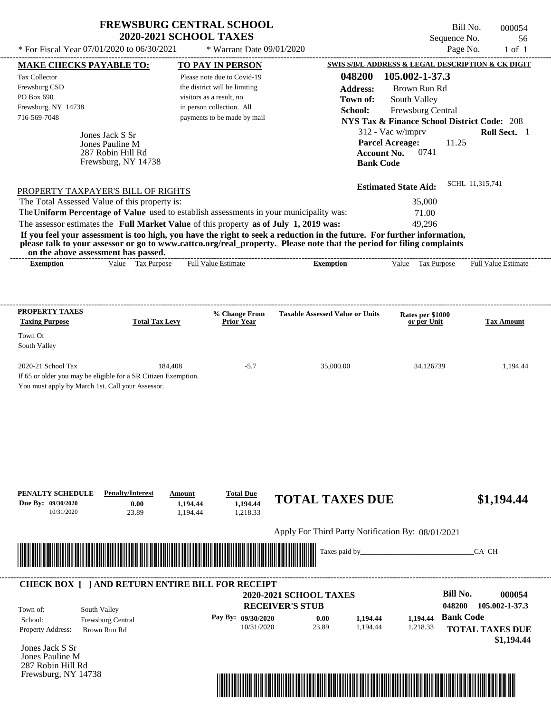| <b>FREWSBURG CENTRAL SCHOOL</b> |
|---------------------------------|
| <b>2020-2021 SCHOOL TAXES</b>   |

\* For Fiscal Year 07/01/2020 to 06/30/2021  $\bullet$  Warrant Date 09/01/2020

Bill No. 000054 Sequence No. 56

| * For Fiscal Year 07/01/2020 to 06/30/2021                                                                                                                                                                                           |                                       | * Warrant Date 09/01/2020                                |                                                                                                                                                                                                                                                  |                                 | Page No.<br>$1$ of $1$                                 |
|--------------------------------------------------------------------------------------------------------------------------------------------------------------------------------------------------------------------------------------|---------------------------------------|----------------------------------------------------------|--------------------------------------------------------------------------------------------------------------------------------------------------------------------------------------------------------------------------------------------------|---------------------------------|--------------------------------------------------------|
| <b>MAKE CHECKS PAYABLE TO:</b>                                                                                                                                                                                                       |                                       | <b>TO PAY IN PERSON</b>                                  |                                                                                                                                                                                                                                                  |                                 | SWIS S/B/L ADDRESS & LEGAL DESCRIPTION & CK DIGIT      |
| Tax Collector                                                                                                                                                                                                                        |                                       | Please note due to Covid-19                              | 048200                                                                                                                                                                                                                                           | 105.002-1-37.3                  |                                                        |
| Frewsburg CSD                                                                                                                                                                                                                        |                                       | the district will be limiting                            | <b>Address:</b>                                                                                                                                                                                                                                  | Brown Run Rd                    |                                                        |
| PO Box 690                                                                                                                                                                                                                           |                                       | visitors as a result, no                                 | Town of:                                                                                                                                                                                                                                         | South Valley                    |                                                        |
| Frewsburg, NY 14738<br>716-569-7048                                                                                                                                                                                                  |                                       | in person collection. All<br>payments to be made by mail | School:                                                                                                                                                                                                                                          | Frewsburg Central               |                                                        |
|                                                                                                                                                                                                                                      |                                       |                                                          |                                                                                                                                                                                                                                                  |                                 | <b>NYS Tax &amp; Finance School District Code: 208</b> |
| Jones Jack S Sr                                                                                                                                                                                                                      |                                       |                                                          |                                                                                                                                                                                                                                                  | 312 - Vac w/imprv               | Roll Sect. 1                                           |
| Jones Pauline M                                                                                                                                                                                                                      |                                       |                                                          | <b>Account No.</b>                                                                                                                                                                                                                               | <b>Parcel Acreage:</b><br>0741  | 11.25                                                  |
| 287 Robin Hill Rd<br>Frewsburg, NY 14738                                                                                                                                                                                             |                                       |                                                          | <b>Bank Code</b>                                                                                                                                                                                                                                 |                                 |                                                        |
|                                                                                                                                                                                                                                      |                                       |                                                          |                                                                                                                                                                                                                                                  |                                 |                                                        |
| PROPERTY TAXPAYER'S BILL OF RIGHTS                                                                                                                                                                                                   |                                       |                                                          |                                                                                                                                                                                                                                                  | <b>Estimated State Aid:</b>     | SCHL 11,315,741                                        |
| The Total Assessed Value of this property is:                                                                                                                                                                                        |                                       |                                                          |                                                                                                                                                                                                                                                  | 35,000                          |                                                        |
| The Uniform Percentage of Value used to establish assessments in your municipality was:                                                                                                                                              |                                       |                                                          |                                                                                                                                                                                                                                                  | 71.00                           |                                                        |
| The assessor estimates the Full Market Value of this property as of July 1, 2019 was:                                                                                                                                                |                                       |                                                          |                                                                                                                                                                                                                                                  | 49,296                          |                                                        |
|                                                                                                                                                                                                                                      |                                       |                                                          | If you feel your assessment is too high, you have the right to seek a reduction in the future. For further information,<br>please talk to your assessor or go to www.cattco.org/real_property. Please note that the period for filing complaints |                                 |                                                        |
| on the above assessment has passed.<br><b>Exemption</b>                                                                                                                                                                              | Value Tax Purpose                     | <b>Full Value Estimate</b>                               | <b>Exemption</b>                                                                                                                                                                                                                                 | Value Tax Purpose               | <b>Full Value Estimate</b>                             |
|                                                                                                                                                                                                                                      |                                       |                                                          |                                                                                                                                                                                                                                                  |                                 |                                                        |
|                                                                                                                                                                                                                                      |                                       |                                                          |                                                                                                                                                                                                                                                  |                                 |                                                        |
| <b>PROPERTY TAXES</b>                                                                                                                                                                                                                |                                       |                                                          | <b>Taxable Assessed Value or Units</b>                                                                                                                                                                                                           |                                 |                                                        |
| <b>Taxing Purpose</b>                                                                                                                                                                                                                | <b>Total Tax Levy</b>                 | % Change From<br><b>Prior Year</b>                       |                                                                                                                                                                                                                                                  | Rates per \$1000<br>or per Unit | <b>Tax Amount</b>                                      |
| Town Of                                                                                                                                                                                                                              |                                       |                                                          |                                                                                                                                                                                                                                                  |                                 |                                                        |
| South Valley                                                                                                                                                                                                                         |                                       |                                                          |                                                                                                                                                                                                                                                  |                                 |                                                        |
| 2020-21 School Tax                                                                                                                                                                                                                   | 184,408                               | $-5.7$                                                   | 35,000.00                                                                                                                                                                                                                                        | 34.126739                       | 1,194.44                                               |
| If 65 or older you may be eligible for a SR Citizen Exemption.                                                                                                                                                                       |                                       |                                                          |                                                                                                                                                                                                                                                  |                                 |                                                        |
| You must apply by March 1st. Call your Assessor.                                                                                                                                                                                     |                                       |                                                          |                                                                                                                                                                                                                                                  |                                 |                                                        |
|                                                                                                                                                                                                                                      |                                       |                                                          |                                                                                                                                                                                                                                                  |                                 |                                                        |
|                                                                                                                                                                                                                                      |                                       |                                                          |                                                                                                                                                                                                                                                  |                                 |                                                        |
|                                                                                                                                                                                                                                      |                                       |                                                          |                                                                                                                                                                                                                                                  |                                 |                                                        |
|                                                                                                                                                                                                                                      |                                       |                                                          |                                                                                                                                                                                                                                                  |                                 |                                                        |
|                                                                                                                                                                                                                                      |                                       |                                                          |                                                                                                                                                                                                                                                  |                                 |                                                        |
|                                                                                                                                                                                                                                      |                                       |                                                          |                                                                                                                                                                                                                                                  |                                 |                                                        |
|                                                                                                                                                                                                                                      |                                       |                                                          |                                                                                                                                                                                                                                                  |                                 |                                                        |
| PENALTY SCHEDULE                                                                                                                                                                                                                     | <b>Penalty/Interest</b><br>Amount     | <b>Total Due</b>                                         | <b>TOTAL TAXES DUE</b>                                                                                                                                                                                                                           |                                 | \$1,194.44                                             |
| Due By: 09/30/2020<br>10/31/2020                                                                                                                                                                                                     | 0.00<br>1,194.44<br>23.89<br>1,194.44 | 1,194.44<br>1,218.33                                     |                                                                                                                                                                                                                                                  |                                 |                                                        |
|                                                                                                                                                                                                                                      |                                       |                                                          |                                                                                                                                                                                                                                                  |                                 |                                                        |
|                                                                                                                                                                                                                                      |                                       |                                                          | Apply For Third Party Notification By: 08/01/2021                                                                                                                                                                                                |                                 |                                                        |
| <u> Indian American State of Barbara and The Barbara and The Barbara and The Barbara and The Barbara and The Barbara and The Barbara and The Barbara and The Barbara and The Barbara and The Barbara and The Barbara and The Bar</u> |                                       |                                                          | Taxes paid by_                                                                                                                                                                                                                                   |                                 | CA CH                                                  |
|                                                                                                                                                                                                                                      |                                       |                                                          |                                                                                                                                                                                                                                                  |                                 |                                                        |
| <b>CHECK BOX [ ] AND RETURN ENTIRE BILL FOR RECEIPT</b>                                                                                                                                                                              |                                       |                                                          |                                                                                                                                                                                                                                                  |                                 |                                                        |
|                                                                                                                                                                                                                                      |                                       |                                                          | 2020-2021 SCHOOL TAXES                                                                                                                                                                                                                           |                                 | <b>Bill No.</b><br>000054                              |
| South Valley<br>Town of:                                                                                                                                                                                                             |                                       |                                                          | <b>RECEIVER'S STUB</b>                                                                                                                                                                                                                           |                                 | 048200<br>105.002-1-37.3                               |
| Frewsburg Central<br>School:                                                                                                                                                                                                         |                                       | Pay By: 09/30/2020                                       | 0.00<br>1,194.44                                                                                                                                                                                                                                 | 1,194.44 Bank Code              |                                                        |
| Property Address:<br>Brown Run Rd                                                                                                                                                                                                    |                                       | 10/31/2020                                               | 23.89<br>1,194.44                                                                                                                                                                                                                                | 1,218.33                        | <b>TOTAL TAXES DUE</b>                                 |
| Jones Jack S Sr                                                                                                                                                                                                                      |                                       |                                                          |                                                                                                                                                                                                                                                  |                                 | \$1,194.44                                             |
| Jones Pauline M                                                                                                                                                                                                                      |                                       |                                                          |                                                                                                                                                                                                                                                  |                                 |                                                        |
| 287 Robin Hill Rd                                                                                                                                                                                                                    |                                       |                                                          |                                                                                                                                                                                                                                                  |                                 |                                                        |
| Frewsburg, NY 14738                                                                                                                                                                                                                  |                                       |                                                          |                                                                                                                                                                                                                                                  |                                 |                                                        |
|                                                                                                                                                                                                                                      |                                       |                                                          |                                                                                                                                                                                                                                                  |                                 |                                                        |
|                                                                                                                                                                                                                                      |                                       |                                                          |                                                                                                                                                                                                                                                  |                                 |                                                        |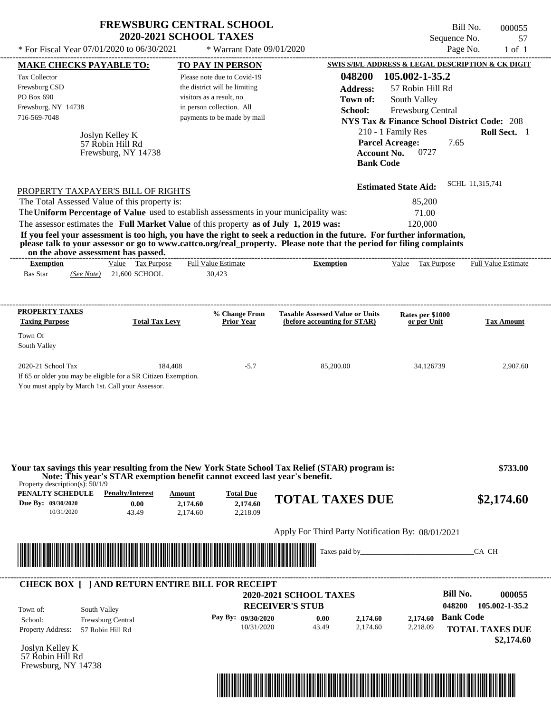| * For Fiscal Year 07/01/2020 to 06/30/2021                                                                                                                                                                                                                                                                                         | <b>FREWSBURG CENTRAL SCHOOL</b><br><b>2020-2021 SCHOOL TAXES</b>            | * Warrant Date 09/01/2020                                                                                                                                                       |                                                                                                                                                                                                                                                                                                     | Bill No.<br>Sequence No.<br>Page No.                                                                                                                                                                                                                   | 000055<br>57<br>$1$ of $1$                    |
|------------------------------------------------------------------------------------------------------------------------------------------------------------------------------------------------------------------------------------------------------------------------------------------------------------------------------------|-----------------------------------------------------------------------------|---------------------------------------------------------------------------------------------------------------------------------------------------------------------------------|-----------------------------------------------------------------------------------------------------------------------------------------------------------------------------------------------------------------------------------------------------------------------------------------------------|--------------------------------------------------------------------------------------------------------------------------------------------------------------------------------------------------------------------------------------------------------|-----------------------------------------------|
| <b>MAKE CHECKS PAYABLE TO:</b><br>Tax Collector<br>Frewsburg CSD<br>PO Box 690<br>Frewsburg, NY 14738<br>716-569-7048<br>Joslyn Kelley K<br>57 Robin Hill Rd                                                                                                                                                                       | Frewsburg, NY 14738                                                         | <b>TO PAY IN PERSON</b><br>Please note due to Covid-19<br>the district will be limiting<br>visitors as a result, no<br>in person collection. All<br>payments to be made by mail | 048200<br><b>Address:</b><br>Town of:<br>School:<br><b>Account No.</b><br><b>Bank Code</b>                                                                                                                                                                                                          | SWIS S/B/L ADDRESS & LEGAL DESCRIPTION & CK DIGIT<br>105.002-1-35.2<br>57 Robin Hill Rd<br>South Valley<br>Frewsburg Central<br><b>NYS Tax &amp; Finance School District Code: 208</b><br>210 - 1 Family Res<br><b>Parcel Acreage:</b><br>7.65<br>0727 | Roll Sect. 1                                  |
| PROPERTY TAXPAYER'S BILL OF RIGHTS<br>The Total Assessed Value of this property is:<br>The Uniform Percentage of Value used to establish assessments in your municipality was:<br>The assessor estimates the Full Market Value of this property as of July 1, 2019 was:<br>on the above assessment has passed.<br><b>Exemption</b> | Value Tax Purpose                                                           | <b>Full Value Estimate</b>                                                                                                                                                      | If you feel your assessment is too high, you have the right to seek a reduction in the future. For further information,<br>please talk to your assessor or go to www.cattco.org/real_property. Please note that the period for filing complaints<br>---------------------------<br><b>Exemption</b> | <b>Estimated State Aid:</b><br>85,200<br>71.00<br>120,000<br>Value Tax Purpose                                                                                                                                                                         | SCHL 11,315,741<br><b>Full Value Estimate</b> |
| <b>Bas Star</b><br>(See Note)                                                                                                                                                                                                                                                                                                      | 21,600 SCHOOL                                                               | 30,423                                                                                                                                                                          |                                                                                                                                                                                                                                                                                                     |                                                                                                                                                                                                                                                        |                                               |
| <b>PROPERTY TAXES</b><br><b>Taxing Purpose</b><br>Town Of<br>South Valley                                                                                                                                                                                                                                                          | <b>Total Tax Levy</b>                                                       | % Change From<br><b>Prior Year</b>                                                                                                                                              | <b>Taxable Assessed Value or Units</b><br>(before accounting for STAR)                                                                                                                                                                                                                              | Rates per \$1000<br>or per Unit                                                                                                                                                                                                                        | <b>Tax Amount</b>                             |
| 2020-21 School Tax<br>If 65 or older you may be eligible for a SR Citizen Exemption.<br>You must apply by March 1st. Call your Assessor.                                                                                                                                                                                           | 184,408                                                                     | $-5.7$                                                                                                                                                                          | 85,200.00                                                                                                                                                                                                                                                                                           | 34.126739                                                                                                                                                                                                                                              | 2,907.60                                      |
| Property description(s): $50/1/9$                                                                                                                                                                                                                                                                                                  | Note: This year's STAR exemption benefit cannot exceed last year's benefit. |                                                                                                                                                                                 | Your tax savings this year resulting from the New York State School Tax Relief (STAR) program is:                                                                                                                                                                                                   |                                                                                                                                                                                                                                                        | \$733.00                                      |
| PENALTY SCHEDULE<br>Due By: 09/30/2020<br>10/31/2020                                                                                                                                                                                                                                                                               | <b>Penalty/Interest</b><br>Amount<br>0.00<br>2,174.60<br>43.49<br>2,174.60  | <b>Total Due</b><br>2,174.60<br>2,218.09                                                                                                                                        | <b>TOTAL TAXES DUE</b>                                                                                                                                                                                                                                                                              |                                                                                                                                                                                                                                                        | \$2,174.60                                    |
|                                                                                                                                                                                                                                                                                                                                    |                                                                             |                                                                                                                                                                                 | Apply For Third Party Notification By: 08/01/2021                                                                                                                                                                                                                                                   |                                                                                                                                                                                                                                                        |                                               |
| <u> 1989 - Andrew Maria Maria Maria Maria Maria Maria Maria Maria Maria Maria Maria Maria Maria Maria Maria Mari</u>                                                                                                                                                                                                               |                                                                             |                                                                                                                                                                                 |                                                                                                                                                                                                                                                                                                     |                                                                                                                                                                                                                                                        | CA CH                                         |
| <b>CHECK BOX [ ] AND RETURN ENTIRE BILL FOR RECEIPT</b><br>South Valley<br>Town of:                                                                                                                                                                                                                                                |                                                                             |                                                                                                                                                                                 | <b>2020-2021 SCHOOL TAXES</b><br><b>RECEIVER'S STUB</b>                                                                                                                                                                                                                                             | <b>Bill No.</b><br>048200                                                                                                                                                                                                                              | 000055<br>105.002-1-35.2                      |
| Frewsburg Central<br>School:<br><b>Property Address:</b><br>57 Robin Hill Rd                                                                                                                                                                                                                                                       |                                                                             | Pay By: 09/30/2020<br>10/31/2020                                                                                                                                                | 0.00<br>2,174.60<br>43.49<br>2,174.60                                                                                                                                                                                                                                                               | <b>Bank Code</b><br>2,174.60<br>2,218.09                                                                                                                                                                                                               | <b>TOTAL TAXES DUE</b><br>\$2,174.60          |

Joslyn Kelley K 57 Robin Hill Rd Frewsburg, NY 14738

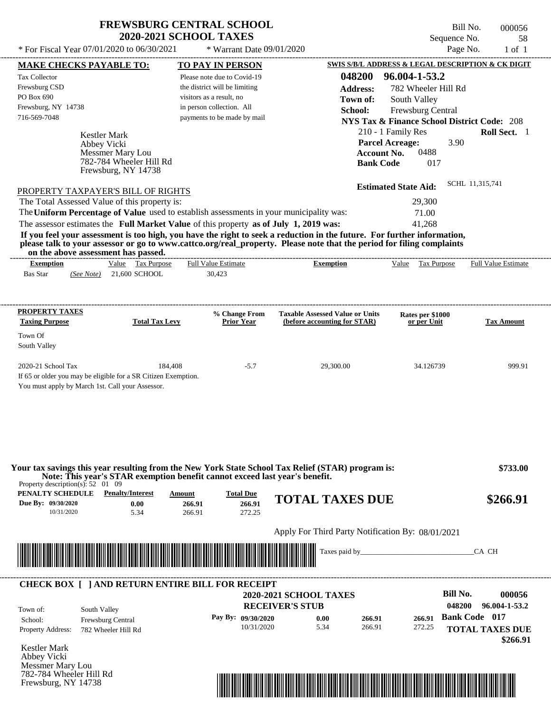## **FREWSBURG CENTRAL SCHOOL 2020-2021 SCHOOL TAXES**

\* For Fiscal Year  $07/01/2020$  to  $06/30/2021$  \* Warrant Date  $09/01/2020$  Page No. 1 of 1

Frewsburg, NY 14738

\* Warrant Date 09/01/2020

Bill No. 000056 Sequence No. 58<br>Page No. 1 of 1

|                                                                                                                   | <b>MAKE CHECKS PAYABLE TO:</b>                                              |                       | <b>TO PAY IN PERSON</b>       |                                                                                                                                                                                                                                                  |                    |                             | SWIS S/B/L ADDRESS & LEGAL DESCRIPTION & CK DIGIT      |
|-------------------------------------------------------------------------------------------------------------------|-----------------------------------------------------------------------------|-----------------------|-------------------------------|--------------------------------------------------------------------------------------------------------------------------------------------------------------------------------------------------------------------------------------------------|--------------------|-----------------------------|--------------------------------------------------------|
| <b>Tax Collector</b>                                                                                              |                                                                             |                       | Please note due to Covid-19   |                                                                                                                                                                                                                                                  | 048200             | 96.004-1-53.2               |                                                        |
| Frewsburg CSD                                                                                                     |                                                                             |                       | the district will be limiting |                                                                                                                                                                                                                                                  | <b>Address:</b>    | 782 Wheeler Hill Rd         |                                                        |
| PO Box 690                                                                                                        |                                                                             |                       | visitors as a result, no      |                                                                                                                                                                                                                                                  | Town of:           | South Valley                |                                                        |
| Frewsburg, NY 14738                                                                                               |                                                                             |                       | in person collection. All     |                                                                                                                                                                                                                                                  | School:            | Frewsburg Central           |                                                        |
| 716-569-7048                                                                                                      |                                                                             |                       | payments to be made by mail   |                                                                                                                                                                                                                                                  |                    |                             | <b>NYS Tax &amp; Finance School District Code: 208</b> |
|                                                                                                                   |                                                                             |                       |                               |                                                                                                                                                                                                                                                  |                    | 210 - 1 Family Res          | Roll Sect. 1                                           |
|                                                                                                                   | Kestler Mark                                                                |                       |                               |                                                                                                                                                                                                                                                  |                    | <b>Parcel Acreage:</b>      | 3.90                                                   |
|                                                                                                                   | Abbey Vicki<br>Messmer Mary Lou                                             |                       |                               |                                                                                                                                                                                                                                                  | <b>Account No.</b> | 0488                        |                                                        |
|                                                                                                                   | 782-784 Wheeler Hill Rd                                                     |                       |                               |                                                                                                                                                                                                                                                  | <b>Bank Code</b>   | 017                         |                                                        |
|                                                                                                                   | Frewsburg, NY 14738                                                         |                       |                               |                                                                                                                                                                                                                                                  |                    |                             |                                                        |
|                                                                                                                   |                                                                             |                       |                               |                                                                                                                                                                                                                                                  |                    | <b>Estimated State Aid:</b> | SCHL 11,315,741                                        |
|                                                                                                                   | PROPERTY TAXPAYER'S BILL OF RIGHTS                                          |                       |                               |                                                                                                                                                                                                                                                  |                    |                             |                                                        |
|                                                                                                                   | The Total Assessed Value of this property is:                               |                       |                               |                                                                                                                                                                                                                                                  |                    | 29,300                      |                                                        |
|                                                                                                                   |                                                                             |                       |                               | The Uniform Percentage of Value used to establish assessments in your municipality was:                                                                                                                                                          |                    | 71.00                       |                                                        |
|                                                                                                                   |                                                                             |                       |                               | The assessor estimates the Full Market Value of this property as of July 1, 2019 was:                                                                                                                                                            |                    | 41,268                      |                                                        |
|                                                                                                                   | on the above assessment has passed.                                         |                       |                               | If you feel your assessment is too high, you have the right to seek a reduction in the future. For further information,<br>please talk to your assessor or go to www.cattco.org/real_property. Please note that the period for filing complaints |                    |                             |                                                        |
| <b>Exemption</b>                                                                                                  | Value Tax Purpose                                                           |                       | <b>Full Value Estimate</b>    | <b>Exemption</b>                                                                                                                                                                                                                                 |                    |                             | Value Tax Purpose Full Value Estimate                  |
| <b>Bas Star</b>                                                                                                   | (See Note) 21,600 SCHOOL                                                    |                       | 30,423                        |                                                                                                                                                                                                                                                  |                    |                             |                                                        |
|                                                                                                                   |                                                                             |                       |                               |                                                                                                                                                                                                                                                  |                    |                             |                                                        |
| <b>PROPERTY TAXES</b>                                                                                             |                                                                             |                       | % Change From                 | <b>Taxable Assessed Value or Units</b>                                                                                                                                                                                                           |                    | Rates per \$1000            |                                                        |
| <b>Taxing Purpose</b>                                                                                             |                                                                             | <b>Total Tax Levy</b> | <b>Prior Year</b>             | (before accounting for STAR)                                                                                                                                                                                                                     |                    | or per Unit                 | <b>Tax Amount</b>                                      |
| Town Of                                                                                                           |                                                                             |                       |                               |                                                                                                                                                                                                                                                  |                    |                             |                                                        |
| South Valley                                                                                                      |                                                                             |                       |                               |                                                                                                                                                                                                                                                  |                    |                             |                                                        |
|                                                                                                                   |                                                                             |                       |                               |                                                                                                                                                                                                                                                  |                    |                             |                                                        |
| 2020-21 School Tax                                                                                                |                                                                             | 184,408               | $-5.7$                        | 29,300.00                                                                                                                                                                                                                                        |                    | 34.126739                   | 999.91                                                 |
|                                                                                                                   | If 65 or older you may be eligible for a SR Citizen Exemption.              |                       |                               |                                                                                                                                                                                                                                                  |                    |                             |                                                        |
|                                                                                                                   | You must apply by March 1st. Call your Assessor.                            |                       |                               |                                                                                                                                                                                                                                                  |                    |                             |                                                        |
|                                                                                                                   |                                                                             |                       |                               |                                                                                                                                                                                                                                                  |                    |                             |                                                        |
|                                                                                                                   |                                                                             |                       |                               |                                                                                                                                                                                                                                                  |                    |                             |                                                        |
|                                                                                                                   |                                                                             |                       |                               |                                                                                                                                                                                                                                                  |                    |                             |                                                        |
|                                                                                                                   |                                                                             |                       |                               |                                                                                                                                                                                                                                                  |                    |                             |                                                        |
| Property description(s): $52 \quad 01 \quad 09$                                                                   | Note: This year's STAR exemption benefit cannot exceed last year's benefit. |                       |                               | Your tax savings this year resulting from the New York State School Tax Relief (STAR) program is:                                                                                                                                                |                    |                             | \$733.00                                               |
| PENALTY SCHEDULE                                                                                                  | <b>Penalty/Interest</b>                                                     | Amount                | <b>Total Due</b>              | <b>TOTAL TAXES DUE</b>                                                                                                                                                                                                                           |                    |                             | \$266.91                                               |
| Due By: 09/30/2020<br>10/31/2020                                                                                  | 0.00<br>5.34                                                                | 266.91<br>266.91      | 266.91<br>272.25              |                                                                                                                                                                                                                                                  |                    |                             |                                                        |
|                                                                                                                   |                                                                             |                       |                               |                                                                                                                                                                                                                                                  |                    |                             |                                                        |
|                                                                                                                   |                                                                             |                       |                               | Apply For Third Party Notification By: 08/01/2021                                                                                                                                                                                                |                    |                             |                                                        |
|                                                                                                                   |                                                                             |                       |                               |                                                                                                                                                                                                                                                  |                    |                             | CA CH                                                  |
|                                                                                                                   | <u> 1989 - Johann Stoff, fransk politik format (f. 1989)</u>                |                       |                               |                                                                                                                                                                                                                                                  |                    |                             |                                                        |
|                                                                                                                   |                                                                             |                       |                               |                                                                                                                                                                                                                                                  |                    |                             |                                                        |
|                                                                                                                   |                                                                             |                       |                               |                                                                                                                                                                                                                                                  |                    |                             |                                                        |
|                                                                                                                   |                                                                             |                       |                               | <b>2020-2021 SCHOOL TAXES</b>                                                                                                                                                                                                                    |                    |                             | <b>Bill No.</b><br>000056                              |
| <b>CHECK BOX [ ] AND RETURN ENTIRE BILL FOR RECEIPT</b>                                                           |                                                                             |                       |                               |                                                                                                                                                                                                                                                  |                    |                             | 048200<br>96.004-1-53.2                                |
|                                                                                                                   |                                                                             |                       |                               | <b>RECEIVER'S STUB</b>                                                                                                                                                                                                                           |                    |                             |                                                        |
| Town of:                                                                                                          | South Valley                                                                |                       | Pay By: 09/30/2020            | 0.00                                                                                                                                                                                                                                             | 266.91             | 266.91                      | <b>Bank Code 017</b>                                   |
|                                                                                                                   | Frewsburg Central                                                           |                       | 10/31/2020                    | 5.34                                                                                                                                                                                                                                             | 266.91             | 272.25                      |                                                        |
|                                                                                                                   | 782 Wheeler Hill Rd                                                         |                       |                               |                                                                                                                                                                                                                                                  |                    |                             | <b>TOTAL TAXES DUE</b>                                 |
|                                                                                                                   |                                                                             |                       |                               |                                                                                                                                                                                                                                                  |                    |                             | \$266.91                                               |
|                                                                                                                   |                                                                             |                       |                               |                                                                                                                                                                                                                                                  |                    |                             |                                                        |
| School:<br>Property Address:<br><b>Kestler Mark</b><br>Abbey Vicki<br>Messmer Mary Lou<br>782-784 Wheeler Hill Rd |                                                                             |                       |                               |                                                                                                                                                                                                                                                  |                    |                             |                                                        |

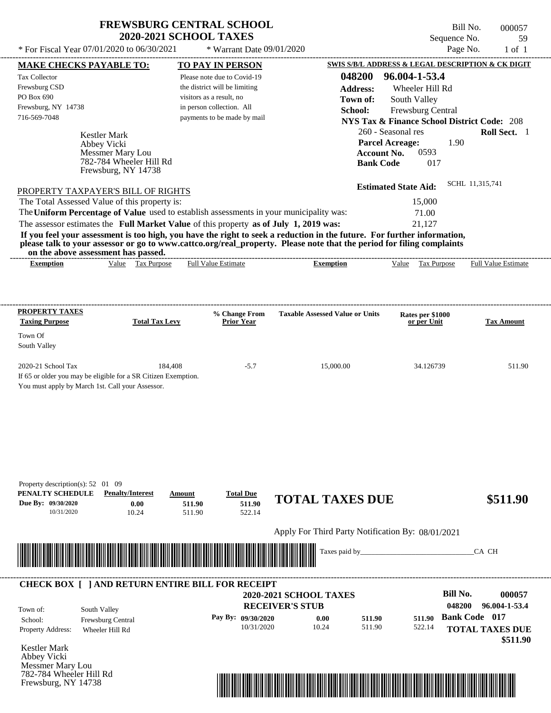## **FREWSBURG CENTRAL SCHOOL 2020-2021 SCHOOL TAXES**

 $*$  For Fiscal Year 07/01/2020 to 06/30/2021  $*$  Warrant Date 09/01/2020 Page No. 1 of 1

Frewsburg, NY 14738

Bill No. 000057 Sequence No. 59<br>Page No. 1 of 1

| <b>MAKE CHECKS PAYABLE TO:</b>                                 |                                     |                       | <b>TO PAY IN PERSON</b>       |                                                                                                                         | SWIS S/B/L ADDRESS & LEGAL DESCRIPTION & CK DIGIT      |                            |
|----------------------------------------------------------------|-------------------------------------|-----------------------|-------------------------------|-------------------------------------------------------------------------------------------------------------------------|--------------------------------------------------------|----------------------------|
| Tax Collector                                                  |                                     |                       | Please note due to Covid-19   |                                                                                                                         | 048200 96.004-1-53.4                                   |                            |
| Frewsburg CSD                                                  |                                     |                       | the district will be limiting | <b>Address:</b>                                                                                                         | Wheeler Hill Rd                                        |                            |
| PO Box 690                                                     |                                     |                       | visitors as a result, no      | Town of:                                                                                                                | South Valley                                           |                            |
| Frewsburg, NY 14738                                            |                                     |                       | in person collection. All     | School:                                                                                                                 | Frewsburg Central                                      |                            |
| 716-569-7048                                                   |                                     |                       | payments to be made by mail   |                                                                                                                         | <b>NYS Tax &amp; Finance School District Code: 208</b> |                            |
|                                                                |                                     |                       |                               |                                                                                                                         | 260 - Seasonal res                                     | Roll Sect. 1               |
|                                                                | <b>Kestler Mark</b>                 |                       |                               |                                                                                                                         | <b>Parcel Acreage:</b><br>1.90                         |                            |
|                                                                | Abbey Vicki<br>Messmer Mary Lou     |                       |                               | <b>Account No.</b>                                                                                                      | 0593                                                   |                            |
|                                                                | 782-784 Wheeler Hill Rd             |                       |                               | <b>Bank Code</b>                                                                                                        | 017                                                    |                            |
|                                                                | Frewsburg, NY 14738                 |                       |                               |                                                                                                                         |                                                        |                            |
|                                                                |                                     |                       |                               |                                                                                                                         | <b>Estimated State Aid:</b>                            | SCHL 11,315,741            |
| PROPERTY TAXPAYER'S BILL OF RIGHTS                             |                                     |                       |                               |                                                                                                                         |                                                        |                            |
| The Total Assessed Value of this property is:                  |                                     |                       |                               |                                                                                                                         | 15,000                                                 |                            |
|                                                                |                                     |                       |                               | The Uniform Percentage of Value used to establish assessments in your municipality was:                                 | 71.00                                                  |                            |
|                                                                |                                     |                       |                               | The assessor estimates the Full Market Value of this property as of July 1, 2019 was:                                   | 21,127                                                 |                            |
|                                                                |                                     |                       |                               | If you feel your assessment is too high, you have the right to seek a reduction in the future. For further information, |                                                        |                            |
|                                                                |                                     |                       |                               | please talk to your assessor or go to www.cattco.org/real_property. Please note that the period for filing complaints   |                                                        |                            |
|                                                                | on the above assessment has passed. |                       |                               |                                                                                                                         |                                                        |                            |
| <b>Exemption</b>                                               | Value Tax Purpose                   |                       | <b>Full Value Estimate</b>    | <b>Exemption</b>                                                                                                        | Value Tax Purpose                                      | <b>Full Value Estimate</b> |
|                                                                |                                     |                       |                               |                                                                                                                         |                                                        |                            |
|                                                                |                                     |                       |                               |                                                                                                                         |                                                        |                            |
| PROPERTY TAXES                                                 |                                     |                       | % Change From                 | <b>Taxable Assessed Value or Units</b>                                                                                  | Rates per \$1000                                       |                            |
| <b>Taxing Purpose</b>                                          |                                     | <b>Total Tax Levy</b> | <b>Prior Year</b>             |                                                                                                                         | or per Unit                                            | <b>Tax Amount</b>          |
| Town Of                                                        |                                     |                       |                               |                                                                                                                         |                                                        |                            |
| South Valley                                                   |                                     |                       |                               |                                                                                                                         |                                                        |                            |
|                                                                |                                     |                       |                               |                                                                                                                         |                                                        |                            |
| 2020-21 School Tax                                             |                                     | 184,408               | $-5.7$                        | 15,000.00                                                                                                               | 34.126739                                              | 511.90                     |
| If 65 or older you may be eligible for a SR Citizen Exemption. |                                     |                       |                               |                                                                                                                         |                                                        |                            |
| You must apply by March 1st. Call your Assessor.               |                                     |                       |                               |                                                                                                                         |                                                        |                            |
|                                                                |                                     |                       |                               |                                                                                                                         |                                                        |                            |
|                                                                |                                     |                       |                               |                                                                                                                         |                                                        |                            |
|                                                                |                                     |                       |                               |                                                                                                                         |                                                        |                            |
|                                                                |                                     |                       |                               |                                                                                                                         |                                                        |                            |
|                                                                |                                     |                       |                               |                                                                                                                         |                                                        |                            |
|                                                                |                                     |                       |                               |                                                                                                                         |                                                        |                            |
|                                                                |                                     |                       |                               |                                                                                                                         |                                                        |                            |
| Property description(s): 52 01 09                              |                                     |                       |                               |                                                                                                                         |                                                        |                            |
| PENALTY SCHEDULE                                               | <b>Penalty/Interest</b>             | <b>Amount</b>         | <b>Total Due</b>              |                                                                                                                         |                                                        |                            |
| Due By: 09/30/2020                                             | 0.00                                | 511.90                | 511.90                        | <b>TOTAL TAXES DUE</b>                                                                                                  |                                                        | \$511.90                   |
| 10/31/2020                                                     | 10.24                               | 511.90                | 522.14                        |                                                                                                                         |                                                        |                            |
|                                                                |                                     |                       |                               | Apply For Third Party Notification By: 08/01/2021                                                                       |                                                        |                            |
|                                                                |                                     |                       |                               |                                                                                                                         |                                                        |                            |
|                                                                |                                     |                       |                               | Taxes paid by_                                                                                                          |                                                        | CA CH                      |
|                                                                |                                     |                       |                               |                                                                                                                         |                                                        |                            |
|                                                                |                                     |                       |                               |                                                                                                                         |                                                        |                            |
| <b>CHECK BOX [ ] AND RETURN ENTIRE BILL FOR RECEIPT</b>        |                                     |                       |                               |                                                                                                                         | <b>Bill No.</b>                                        | 000057                     |
|                                                                |                                     |                       |                               | <b>2020-2021 SCHOOL TAXES</b>                                                                                           |                                                        |                            |
| Town of:                                                       | South Valley                        |                       |                               | <b>RECEIVER'S STUB</b>                                                                                                  | 048200                                                 | 96.004-1-53.4              |
| School:                                                        | Frewsburg Central                   |                       | Pay By: 09/30/2020            | 0.00<br>511.90                                                                                                          | 511.90                                                 | <b>Bank Code 017</b>       |
| Property Address:                                              | Wheeler Hill Rd                     |                       | 10/31/2020                    | 10.24<br>511.90                                                                                                         | 522.14                                                 | <b>TOTAL TAXES DUE</b>     |
|                                                                |                                     |                       |                               |                                                                                                                         |                                                        | \$511.90                   |
| Kestler Mark                                                   |                                     |                       |                               |                                                                                                                         |                                                        |                            |
| Abbey Vicki                                                    |                                     |                       |                               |                                                                                                                         |                                                        |                            |
| Messmer Mary Lou                                               |                                     |                       |                               |                                                                                                                         |                                                        |                            |
| 782-784 Wheeler Hill Rd                                        |                                     |                       |                               |                                                                                                                         |                                                        |                            |

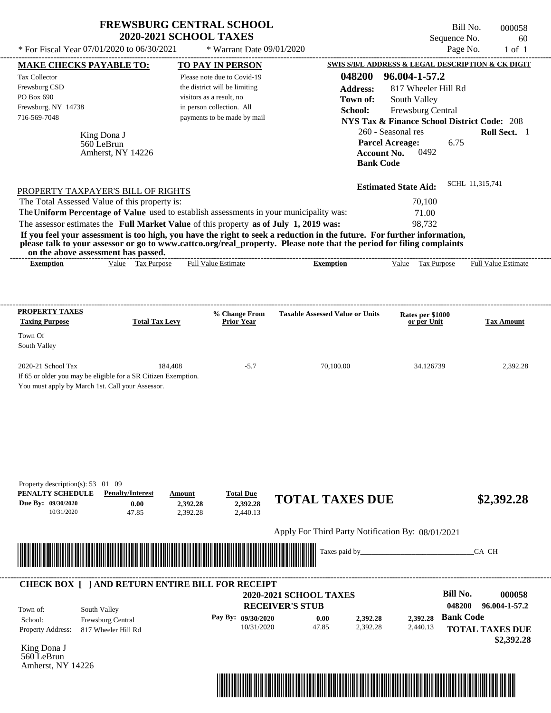|                                                                                                                                                                                                                                                                                           |                                                    | <b>FREWSBURG CENTRAL SCHOOL</b><br><b>2020-2021 SCHOOL TAXES</b> |                                                                                                                                           | Sequence No.                                           | Bill No.<br>000058<br>60   |
|-------------------------------------------------------------------------------------------------------------------------------------------------------------------------------------------------------------------------------------------------------------------------------------------|----------------------------------------------------|------------------------------------------------------------------|-------------------------------------------------------------------------------------------------------------------------------------------|--------------------------------------------------------|----------------------------|
| * For Fiscal Year 07/01/2020 to 06/30/2021                                                                                                                                                                                                                                                |                                                    | * Warrant Date 09/01/2020                                        |                                                                                                                                           | Page No.                                               | $1$ of $1$                 |
| <b>MAKE CHECKS PAYABLE TO:</b>                                                                                                                                                                                                                                                            |                                                    | <b>TO PAY IN PERSON</b>                                          |                                                                                                                                           | SWIS S/B/L ADDRESS & LEGAL DESCRIPTION & CK DIGIT      |                            |
| Tax Collector                                                                                                                                                                                                                                                                             |                                                    | Please note due to Covid-19                                      | 048200                                                                                                                                    | 96.004-1-57.2                                          |                            |
| Frewsburg CSD                                                                                                                                                                                                                                                                             |                                                    | the district will be limiting                                    | <b>Address:</b>                                                                                                                           | 817 Wheeler Hill Rd                                    |                            |
| PO Box 690                                                                                                                                                                                                                                                                                |                                                    | visitors as a result, no                                         | Town of:                                                                                                                                  | South Valley                                           |                            |
| Frewsburg, NY 14738                                                                                                                                                                                                                                                                       |                                                    | in person collection. All                                        | School:                                                                                                                                   | Frewsburg Central                                      |                            |
| 716-569-7048                                                                                                                                                                                                                                                                              |                                                    | payments to be made by mail                                      |                                                                                                                                           | <b>NYS Tax &amp; Finance School District Code: 208</b> |                            |
| King Dona J                                                                                                                                                                                                                                                                               |                                                    |                                                                  |                                                                                                                                           | 260 - Seasonal res                                     | Roll Sect. 1               |
| 560 LeBrun                                                                                                                                                                                                                                                                                |                                                    |                                                                  |                                                                                                                                           | <b>Parcel Acreage:</b><br>6.75                         |                            |
|                                                                                                                                                                                                                                                                                           | Amherst, NY 14226                                  |                                                                  | <b>Account No.</b><br><b>Bank Code</b>                                                                                                    | 0492                                                   |                            |
| PROPERTY TAXPAYER'S BILL OF RIGHTS                                                                                                                                                                                                                                                        |                                                    |                                                                  |                                                                                                                                           | <b>Estimated State Aid:</b>                            | SCHL 11,315,741            |
| The Total Assessed Value of this property is:                                                                                                                                                                                                                                             |                                                    |                                                                  |                                                                                                                                           | 70,100                                                 |                            |
| The Uniform Percentage of Value used to establish assessments in your municipality was:                                                                                                                                                                                                   |                                                    |                                                                  |                                                                                                                                           | 71.00                                                  |                            |
| The assessor estimates the Full Market Value of this property as of July 1, 2019 was:                                                                                                                                                                                                     |                                                    |                                                                  |                                                                                                                                           | 98,732                                                 |                            |
| on the above assessment has passed.<br><b>Exemption</b>                                                                                                                                                                                                                                   | Value Tax Purpose                                  | <b>Full Value Estimate</b>                                       | please talk to your assessor or go to www.cattco.org/real_property. Please note that the period for filing complaints<br><b>Exemption</b> | Value Tax Purpose                                      | <b>Full Value Estimate</b> |
| <b>PROPERTY TAXES</b><br><b>Taxing Purpose</b><br>Town Of<br>South Valley                                                                                                                                                                                                                 | <b>Total Tax Levy</b>                              | % Change From<br><b>Prior Year</b>                               | <b>Taxable Assessed Value or Units</b>                                                                                                    | Rates per \$1000<br>or per Unit                        | <b>Tax Amount</b>          |
| 2020-21 School Tax<br>If 65 or older you may be eligible for a SR Citizen Exemption.<br>You must apply by March 1st. Call your Assessor.                                                                                                                                                  | 184,408                                            | $-5.7$                                                           | 70,100.00                                                                                                                                 | 34.126739                                              | 2,392.28                   |
| Property description(s): 53 01 09<br>PENALTY SCHEDULE<br>Due By: 09/30/2020<br>10/31/2020                                                                                                                                                                                                 | <b>Penalty/Interest</b><br>Amount<br>0.00<br>47.85 | <b>Total Due</b><br>2,392.28<br>2,392.28<br>2,440.13<br>2,392.28 | <b>TOTAL TAXES DUE</b>                                                                                                                    |                                                        | \$2,392.28                 |
|                                                                                                                                                                                                                                                                                           |                                                    |                                                                  |                                                                                                                                           |                                                        |                            |
|                                                                                                                                                                                                                                                                                           |                                                    |                                                                  | Apply For Third Party Notification By: 08/01/2021                                                                                         |                                                        |                            |
|                                                                                                                                                                                                                                                                                           |                                                    |                                                                  | Taxes paid by_                                                                                                                            |                                                        | CA CH                      |
|                                                                                                                                                                                                                                                                                           |                                                    |                                                                  |                                                                                                                                           | <b>Bill No.</b>                                        |                            |
| <b>CHECK BOX [ ] AND RETURN ENTIRE BILL FOR RECEIPT</b>                                                                                                                                                                                                                                   |                                                    |                                                                  | <b>2020-2021 SCHOOL TAXES</b>                                                                                                             |                                                        | 000058                     |
| South Valley<br>Town of:                                                                                                                                                                                                                                                                  |                                                    |                                                                  | <b>RECEIVER'S STUB</b>                                                                                                                    | 048200                                                 | 96.004-1-57.2              |
| <u> Harry Harry Harry Harry Harry Harry Harry Harry Harry Harry Harry Harry Harry Harry Harry Harry Harry Harry Harry Harry Harry Harry Harry Harry Harry Harry Harry Harry Harry Harry Harry Harry Harry Harry Harry Harry Harr</u><br>Frewsburg Central<br>School:<br>Property Address: | 817 Wheeler Hill Rd                                | Pay By: 09/30/2020<br>10/31/2020                                 | 0.00<br>2,392.28<br>47.85<br>2,392.28                                                                                                     | <b>Bank Code</b><br>2,392.28<br>2,440.13               | <b>TOTAL TAXES DUE</b>     |

King Dona J 560 LeBrun Amherst, NY 14226



 **\$2,392.28**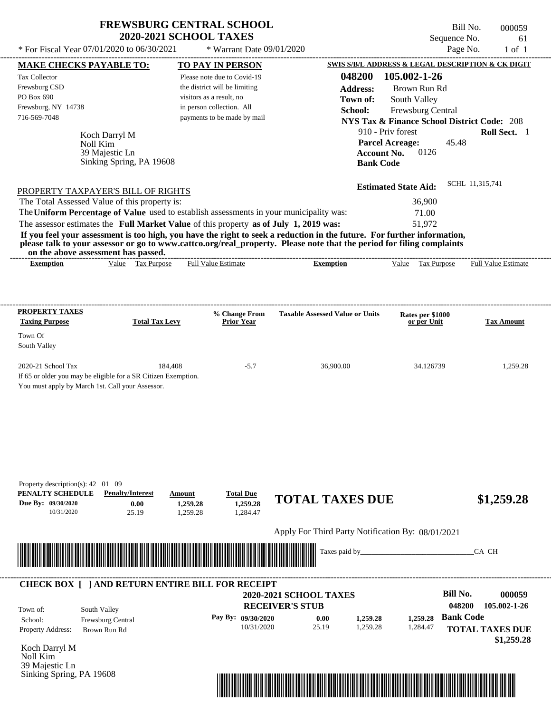## **FREWSBURG CENTRAL SCHOOL 2020-2021 SCHOOL TAXES**

 $*$  For Fiscal Year 07/01/2020 to 06/30/2021

\* Warrant Date 09/01/2020

Bill No. 000059 Sequence No. 61<br>Page No. 61<br>of 1

| <b>MAKE CHECKS PAYABLE TO:</b>                                                                                                                                                                                                                                                          | <b>TO PAY IN PERSON</b>                              |                        |                                        | SWIS S/B/L ADDRESS & LEGAL DESCRIPTION & CK DIGIT      |                            |
|-----------------------------------------------------------------------------------------------------------------------------------------------------------------------------------------------------------------------------------------------------------------------------------------|------------------------------------------------------|------------------------|----------------------------------------|--------------------------------------------------------|----------------------------|
| Tax Collector                                                                                                                                                                                                                                                                           | Please note due to Covid-19                          |                        |                                        | 048200 105.002-1-26                                    |                            |
| Frewsburg CSD                                                                                                                                                                                                                                                                           | the district will be limiting                        |                        | <b>Address:</b>                        | Brown Run Rd                                           |                            |
| PO Box 690                                                                                                                                                                                                                                                                              | visitors as a result, no                             |                        | Town of:                               | South Valley                                           |                            |
| Frewsburg, NY 14738                                                                                                                                                                                                                                                                     | in person collection. All                            |                        | School:                                | Frewsburg Central                                      |                            |
| 716-569-7048                                                                                                                                                                                                                                                                            | payments to be made by mail                          |                        |                                        | <b>NYS Tax &amp; Finance School District Code: 208</b> |                            |
| Koch Darryl M                                                                                                                                                                                                                                                                           |                                                      |                        |                                        | 910 - Priv forest                                      | Roll Sect. 1               |
| Noll Kim                                                                                                                                                                                                                                                                                |                                                      |                        |                                        | <b>Parcel Acreage:</b><br>45.48                        |                            |
| 39 Majestic Ln                                                                                                                                                                                                                                                                          |                                                      |                        | <b>Account No.</b>                     | 0126                                                   |                            |
| Sinking Spring, PA 19608                                                                                                                                                                                                                                                                |                                                      |                        | <b>Bank Code</b>                       |                                                        |                            |
|                                                                                                                                                                                                                                                                                         |                                                      |                        |                                        |                                                        | SCHL 11,315,741            |
| PROPERTY TAXPAYER'S BILL OF RIGHTS                                                                                                                                                                                                                                                      |                                                      |                        |                                        | <b>Estimated State Aid:</b>                            |                            |
| The Total Assessed Value of this property is:                                                                                                                                                                                                                                           |                                                      |                        |                                        | 36,900                                                 |                            |
| The Uniform Percentage of Value used to establish assessments in your municipality was:                                                                                                                                                                                                 |                                                      |                        |                                        | 71.00                                                  |                            |
| The assessor estimates the Full Market Value of this property as of July 1, 2019 was:                                                                                                                                                                                                   |                                                      |                        |                                        | 51,972                                                 |                            |
| If you feel your assessment is too high, you have the right to seek a reduction in the future. For further information,<br>please talk to your assessor or go to www.cattco.org/real_property. Please note that the period for filing complaints<br>on the above assessment has passed. |                                                      |                        |                                        |                                                        |                            |
| Value Tax Purpose<br><b>Exemption</b>                                                                                                                                                                                                                                                   | <b>Full Value Estimate</b>                           |                        | <b>Exemption</b>                       | Value Tax Purpose                                      | <b>Full Value Estimate</b> |
|                                                                                                                                                                                                                                                                                         |                                                      |                        |                                        |                                                        |                            |
|                                                                                                                                                                                                                                                                                         |                                                      |                        |                                        |                                                        |                            |
| <b>PROPERTY TAXES</b>                                                                                                                                                                                                                                                                   |                                                      |                        |                                        |                                                        |                            |
| <b>Taxing Purpose</b>                                                                                                                                                                                                                                                                   | % Change From<br><b>Total Tax Levy</b><br>Prior Year |                        | <b>Taxable Assessed Value or Units</b> | Rates per \$1000<br>or per Unit                        | <b>Tax Amount</b>          |
| Town Of                                                                                                                                                                                                                                                                                 |                                                      |                        |                                        |                                                        |                            |
| South Valley                                                                                                                                                                                                                                                                            |                                                      |                        |                                        |                                                        |                            |
| 2020-21 School Tax                                                                                                                                                                                                                                                                      | 184,408                                              | $-5.7$                 | 36,900.00                              | 34.126739                                              | 1,259.28                   |
| If 65 or older you may be eligible for a SR Citizen Exemption.                                                                                                                                                                                                                          |                                                      |                        |                                        |                                                        |                            |
| You must apply by March 1st. Call your Assessor.                                                                                                                                                                                                                                        |                                                      |                        |                                        |                                                        |                            |
|                                                                                                                                                                                                                                                                                         |                                                      |                        |                                        |                                                        |                            |
|                                                                                                                                                                                                                                                                                         |                                                      |                        |                                        |                                                        |                            |
|                                                                                                                                                                                                                                                                                         |                                                      |                        |                                        |                                                        |                            |
|                                                                                                                                                                                                                                                                                         |                                                      |                        |                                        |                                                        |                            |
|                                                                                                                                                                                                                                                                                         |                                                      |                        |                                        |                                                        |                            |
|                                                                                                                                                                                                                                                                                         |                                                      |                        |                                        |                                                        |                            |
|                                                                                                                                                                                                                                                                                         |                                                      |                        |                                        |                                                        |                            |
| Property description(s): 42 01 09                                                                                                                                                                                                                                                       |                                                      |                        |                                        |                                                        |                            |
| PENALTY SCHEDULE<br><b>Penalty/Interest</b><br>Due By: 09/30/2020<br>0.00                                                                                                                                                                                                               | <b>Total Due</b><br>Amount<br>1,259.28<br>1,259.28   |                        | <b>TOTAL TAXES DUE</b>                 |                                                        | \$1,259.28                 |
| 10/31/2020<br>25.19                                                                                                                                                                                                                                                                     | 1,259.28<br>1,284.47                                 |                        |                                        |                                                        |                            |
|                                                                                                                                                                                                                                                                                         |                                                      |                        |                                        |                                                        |                            |
|                                                                                                                                                                                                                                                                                         |                                                      |                        |                                        | Apply For Third Party Notification By: 08/01/2021      |                            |
| <u> III de la construcción de la construcción de la construcción de la construcción de la construcción de la const</u>                                                                                                                                                                  |                                                      |                        | Taxes paid by_                         |                                                        | CA CH                      |
|                                                                                                                                                                                                                                                                                         |                                                      |                        |                                        |                                                        |                            |
|                                                                                                                                                                                                                                                                                         |                                                      |                        |                                        |                                                        |                            |
| <b>CHECK BOX [ ] AND RETURN ENTIRE BILL FOR RECEIPT</b>                                                                                                                                                                                                                                 |                                                      | 2020-2021 SCHOOL TAXES |                                        | <b>Bill No.</b>                                        | 000059                     |
|                                                                                                                                                                                                                                                                                         |                                                      | <b>RECEIVER'S STUB</b> |                                        |                                                        | 048200<br>105.002-1-26     |
| South Valley<br>Town of:                                                                                                                                                                                                                                                                | Pay By: 09/30/2020                                   |                        |                                        | 1,259.28                                               | <b>Bank Code</b>           |
| Frewsburg Central<br>School:                                                                                                                                                                                                                                                            |                                                      | 10/31/2020             | 0.00<br>1,259.28<br>25.19<br>1,259.28  | 1,284.47                                               |                            |
| Property Address:<br>Brown Run Rd                                                                                                                                                                                                                                                       |                                                      |                        |                                        |                                                        | <b>TOTAL TAXES DUE</b>     |
| Koch Darryl M                                                                                                                                                                                                                                                                           |                                                      |                        |                                        |                                                        | \$1,259.28                 |
| Noll Kim                                                                                                                                                                                                                                                                                |                                                      |                        |                                        |                                                        |                            |
| 39 Majestic Ln                                                                                                                                                                                                                                                                          |                                                      |                        |                                        |                                                        |                            |
| Sinking Spring, PA 19608                                                                                                                                                                                                                                                                |                                                      |                        |                                        |                                                        |                            |
|                                                                                                                                                                                                                                                                                         |                                                      |                        |                                        |                                                        |                            |
|                                                                                                                                                                                                                                                                                         |                                                      |                        |                                        |                                                        |                            |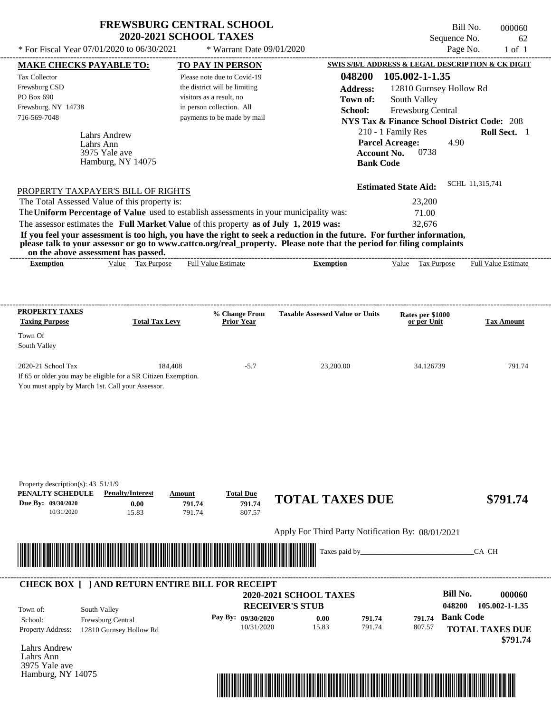| <b>FREWSBURG CENTRAL SCHOOL</b> |
|---------------------------------|
| <b>2020-2021 SCHOOL TAXES</b>   |

Bill No. 000060 Sequence No. 62<br>Page No. 1 of 1

| <b>MAKE CHECKS PAYABLE TO:</b>                                                          |                                                                                                                                                                                                                                      |                          | <b>TO PAY IN PERSON</b>            |                                                                                                                                                                                                                                                  |                    | <b>SWIS S/B/L ADDRESS &amp; LEGAL DESCRIPTION &amp; CK DIGIT</b> |                  |                        |
|-----------------------------------------------------------------------------------------|--------------------------------------------------------------------------------------------------------------------------------------------------------------------------------------------------------------------------------------|--------------------------|------------------------------------|--------------------------------------------------------------------------------------------------------------------------------------------------------------------------------------------------------------------------------------------------|--------------------|------------------------------------------------------------------|------------------|------------------------|
| <b>Tax Collector</b>                                                                    |                                                                                                                                                                                                                                      |                          | Please note due to Covid-19        |                                                                                                                                                                                                                                                  | 048200             | 105.002-1-1.35                                                   |                  |                        |
| Frewsburg CSD                                                                           |                                                                                                                                                                                                                                      |                          | the district will be limiting      |                                                                                                                                                                                                                                                  | <b>Address:</b>    | 12810 Gurnsey Hollow Rd                                          |                  |                        |
| PO Box 690                                                                              |                                                                                                                                                                                                                                      | visitors as a result, no |                                    |                                                                                                                                                                                                                                                  | Town of:           | South Valley                                                     |                  |                        |
| Frewsburg, NY 14738                                                                     |                                                                                                                                                                                                                                      |                          | in person collection. All          |                                                                                                                                                                                                                                                  | School:            | Frewsburg Central                                                |                  |                        |
| 716-569-7048                                                                            |                                                                                                                                                                                                                                      |                          | payments to be made by mail        |                                                                                                                                                                                                                                                  |                    | <b>NYS Tax &amp; Finance School District Code: 208</b>           |                  |                        |
|                                                                                         | <b>Lahrs Andrew</b>                                                                                                                                                                                                                  |                          |                                    |                                                                                                                                                                                                                                                  |                    | 210 - 1 Family Res                                               |                  | Roll Sect. 1           |
|                                                                                         | Lahrs Ann                                                                                                                                                                                                                            |                          |                                    |                                                                                                                                                                                                                                                  |                    | <b>Parcel Acreage:</b>                                           | 4.90             |                        |
|                                                                                         | 3975 Yale ave                                                                                                                                                                                                                        |                          |                                    |                                                                                                                                                                                                                                                  | <b>Account No.</b> | 0738                                                             |                  |                        |
|                                                                                         | Hamburg, NY 14075                                                                                                                                                                                                                    |                          |                                    |                                                                                                                                                                                                                                                  | <b>Bank Code</b>   |                                                                  |                  |                        |
|                                                                                         |                                                                                                                                                                                                                                      |                          |                                    |                                                                                                                                                                                                                                                  |                    |                                                                  |                  |                        |
| PROPERTY TAXPAYER'S BILL OF RIGHTS                                                      |                                                                                                                                                                                                                                      |                          |                                    |                                                                                                                                                                                                                                                  |                    | <b>Estimated State Aid:</b>                                      | SCHL 11,315,741  |                        |
| The Total Assessed Value of this property is:                                           |                                                                                                                                                                                                                                      |                          |                                    |                                                                                                                                                                                                                                                  |                    | 23,200                                                           |                  |                        |
| The Uniform Percentage of Value used to establish assessments in your municipality was: |                                                                                                                                                                                                                                      |                          |                                    |                                                                                                                                                                                                                                                  |                    | 71.00                                                            |                  |                        |
| The assessor estimates the Full Market Value of this property as of July 1, 2019 was:   |                                                                                                                                                                                                                                      |                          |                                    |                                                                                                                                                                                                                                                  |                    | 32,676                                                           |                  |                        |
|                                                                                         |                                                                                                                                                                                                                                      |                          |                                    | If you feel your assessment is too high, you have the right to seek a reduction in the future. For further information,<br>please talk to your assessor or go to www.cattco.org/real_property. Please note that the period for filing complaints |                    |                                                                  |                  |                        |
|                                                                                         | on the above assessment has passed.<br>Value Tax Purpose                                                                                                                                                                             |                          |                                    |                                                                                                                                                                                                                                                  |                    | Value Tax Purpose Full Value Estimate                            |                  |                        |
| <b>Exemption</b>                                                                        |                                                                                                                                                                                                                                      |                          | <b>Full Value Estimate</b>         | <b>Exemption</b>                                                                                                                                                                                                                                 |                    |                                                                  |                  |                        |
|                                                                                         |                                                                                                                                                                                                                                      |                          |                                    |                                                                                                                                                                                                                                                  |                    |                                                                  |                  |                        |
|                                                                                         |                                                                                                                                                                                                                                      |                          |                                    |                                                                                                                                                                                                                                                  |                    |                                                                  |                  |                        |
| <b>PROPERTY TAXES</b><br><b>Taxing Purpose</b>                                          | <b>Total Tax Levy</b>                                                                                                                                                                                                                |                          | % Change From<br><b>Prior Year</b> | <b>Taxable Assessed Value or Units</b>                                                                                                                                                                                                           |                    | Rates per \$1000<br>or per Unit                                  |                  | <b>Tax Amount</b>      |
|                                                                                         |                                                                                                                                                                                                                                      |                          |                                    |                                                                                                                                                                                                                                                  |                    |                                                                  |                  |                        |
| Town Of                                                                                 |                                                                                                                                                                                                                                      |                          |                                    |                                                                                                                                                                                                                                                  |                    |                                                                  |                  |                        |
| South Valley                                                                            |                                                                                                                                                                                                                                      |                          |                                    |                                                                                                                                                                                                                                                  |                    |                                                                  |                  |                        |
| 2020-21 School Tax                                                                      | 184,408                                                                                                                                                                                                                              |                          | $-5.7$                             |                                                                                                                                                                                                                                                  |                    | 34.126739                                                        |                  | 791.74                 |
|                                                                                         | If 65 or older you may be eligible for a SR Citizen Exemption.                                                                                                                                                                       |                          |                                    | 23,200.00                                                                                                                                                                                                                                        |                    |                                                                  |                  |                        |
| You must apply by March 1st. Call your Assessor.                                        |                                                                                                                                                                                                                                      |                          |                                    |                                                                                                                                                                                                                                                  |                    |                                                                  |                  |                        |
|                                                                                         |                                                                                                                                                                                                                                      |                          |                                    |                                                                                                                                                                                                                                                  |                    |                                                                  |                  |                        |
|                                                                                         |                                                                                                                                                                                                                                      |                          |                                    |                                                                                                                                                                                                                                                  |                    |                                                                  |                  |                        |
|                                                                                         |                                                                                                                                                                                                                                      |                          |                                    |                                                                                                                                                                                                                                                  |                    |                                                                  |                  |                        |
|                                                                                         |                                                                                                                                                                                                                                      |                          |                                    |                                                                                                                                                                                                                                                  |                    |                                                                  |                  |                        |
|                                                                                         |                                                                                                                                                                                                                                      |                          |                                    |                                                                                                                                                                                                                                                  |                    |                                                                  |                  |                        |
|                                                                                         |                                                                                                                                                                                                                                      |                          |                                    |                                                                                                                                                                                                                                                  |                    |                                                                  |                  |                        |
|                                                                                         |                                                                                                                                                                                                                                      |                          |                                    |                                                                                                                                                                                                                                                  |                    |                                                                  |                  |                        |
| Property description(s): $43\frac{51}{19}$                                              |                                                                                                                                                                                                                                      |                          |                                    |                                                                                                                                                                                                                                                  |                    |                                                                  |                  |                        |
| PENALTY SCHEDULE                                                                        | <b>Penalty/Interest</b>                                                                                                                                                                                                              | Amount                   | <b>Total Due</b>                   | <b>TOTAL TAXES DUE</b>                                                                                                                                                                                                                           |                    |                                                                  |                  | \$791.74               |
| Due By: 09/30/2020<br>10/31/2020                                                        | 0.00<br>15.83                                                                                                                                                                                                                        | 791.74<br>791.74         | 791.74<br>807.57                   |                                                                                                                                                                                                                                                  |                    |                                                                  |                  |                        |
|                                                                                         |                                                                                                                                                                                                                                      |                          |                                    |                                                                                                                                                                                                                                                  |                    |                                                                  |                  |                        |
|                                                                                         |                                                                                                                                                                                                                                      |                          |                                    | Apply For Third Party Notification By: 08/01/2021                                                                                                                                                                                                |                    |                                                                  |                  |                        |
|                                                                                         |                                                                                                                                                                                                                                      |                          |                                    | Taxes paid by_                                                                                                                                                                                                                                   |                    |                                                                  |                  | CA CH                  |
|                                                                                         | <u> Indian American State of Barbara and The Barbara and The Barbara and The Barbara and The Barbara and The Barbara and The Barbara and The Barbara and The Barbara and The Barbara and The Barbara and The Barbara and The Bar</u> |                          |                                    |                                                                                                                                                                                                                                                  |                    |                                                                  |                  |                        |
|                                                                                         |                                                                                                                                                                                                                                      |                          |                                    |                                                                                                                                                                                                                                                  |                    |                                                                  |                  |                        |
|                                                                                         | <b>CHECK BOX [ ] AND RETURN ENTIRE BILL FOR RECEIPT</b>                                                                                                                                                                              |                          |                                    |                                                                                                                                                                                                                                                  |                    |                                                                  |                  |                        |
|                                                                                         |                                                                                                                                                                                                                                      |                          |                                    | <b>2020-2021 SCHOOL TAXES</b>                                                                                                                                                                                                                    |                    |                                                                  | <b>Bill No.</b>  | 000060                 |
| Town of:                                                                                | South Valley                                                                                                                                                                                                                         |                          |                                    | <b>RECEIVER'S STUB</b>                                                                                                                                                                                                                           |                    |                                                                  | 048200           | 105.002-1-1.35         |
| School:                                                                                 | Frewsburg Central                                                                                                                                                                                                                    |                          | Pay By: 09/30/2020                 | 0.00                                                                                                                                                                                                                                             | 791.74             | 791.74                                                           | <b>Bank Code</b> |                        |
| Property Address:                                                                       | 12810 Gurnsey Hollow Rd                                                                                                                                                                                                              |                          | 10/31/2020                         | 15.83                                                                                                                                                                                                                                            | 791.74             | 807.57                                                           |                  | <b>TOTAL TAXES DUE</b> |
|                                                                                         |                                                                                                                                                                                                                                      |                          |                                    |                                                                                                                                                                                                                                                  |                    |                                                                  |                  | \$791.74               |
| <b>Lahrs Andrew</b>                                                                     |                                                                                                                                                                                                                                      |                          |                                    |                                                                                                                                                                                                                                                  |                    |                                                                  |                  |                        |
| Lahrs Ann                                                                               |                                                                                                                                                                                                                                      |                          |                                    |                                                                                                                                                                                                                                                  |                    |                                                                  |                  |                        |
| 3975 Yale ave                                                                           |                                                                                                                                                                                                                                      |                          |                                    |                                                                                                                                                                                                                                                  |                    |                                                                  |                  |                        |
| Hamburg, NY 14075                                                                       |                                                                                                                                                                                                                                      |                          |                                    |                                                                                                                                                                                                                                                  |                    |                                                                  |                  |                        |

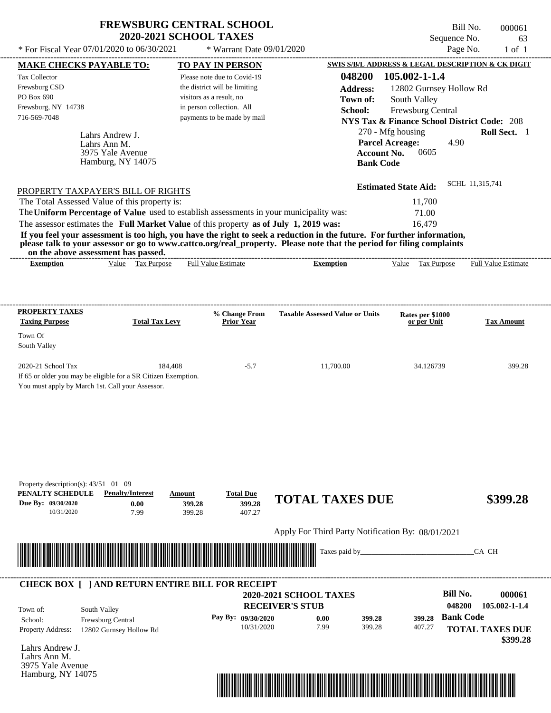| <b>FREWSBURG CENTRAL SCHOOL</b> |
|---------------------------------|
| <b>2020-2021 SCHOOL TAXES</b>   |

\* Warrant Date 09/01/2020

| <b>MAKE CHECKS PAYABLE TO:</b>                                                        |                                                                | <b>TO PAY IN PERSON</b>       |                                    |                                                                                                                                                                                                                                                  |                        |                                                        |                  | <b>SWIS S/B/L ADDRESS &amp; LEGAL DESCRIPTION &amp; CK DIGIT</b> |
|---------------------------------------------------------------------------------------|----------------------------------------------------------------|-------------------------------|------------------------------------|--------------------------------------------------------------------------------------------------------------------------------------------------------------------------------------------------------------------------------------------------|------------------------|--------------------------------------------------------|------------------|------------------------------------------------------------------|
| <b>Tax Collector</b>                                                                  |                                                                | Please note due to Covid-19   |                                    | 048200                                                                                                                                                                                                                                           |                        | 105.002-1-1.4                                          |                  |                                                                  |
| Frewsburg CSD                                                                         |                                                                | the district will be limiting |                                    | <b>Address:</b>                                                                                                                                                                                                                                  |                        | 12802 Gurnsey Hollow Rd                                |                  |                                                                  |
| PO Box 690                                                                            |                                                                | visitors as a result, no      |                                    | Town of:                                                                                                                                                                                                                                         |                        | South Valley                                           |                  |                                                                  |
| Frewsburg, NY 14738                                                                   |                                                                | in person collection. All     |                                    | School:                                                                                                                                                                                                                                          |                        | Frewsburg Central                                      |                  |                                                                  |
| 716-569-7048                                                                          |                                                                |                               | payments to be made by mail        |                                                                                                                                                                                                                                                  |                        | <b>NYS Tax &amp; Finance School District Code: 208</b> |                  |                                                                  |
|                                                                                       | Lahrs Andrew J.                                                |                               |                                    |                                                                                                                                                                                                                                                  | 270 - Mfg housing      |                                                        |                  | Roll Sect. 1                                                     |
|                                                                                       | Lahrs Ann M.                                                   |                               |                                    |                                                                                                                                                                                                                                                  | <b>Parcel Acreage:</b> |                                                        | 4.90             |                                                                  |
|                                                                                       | 3975 Yale Avenue                                               |                               |                                    |                                                                                                                                                                                                                                                  | <b>Account No.</b>     | 0605                                                   |                  |                                                                  |
|                                                                                       | Hamburg, NY 14075                                              |                               |                                    |                                                                                                                                                                                                                                                  | <b>Bank Code</b>       |                                                        |                  |                                                                  |
|                                                                                       |                                                                |                               |                                    |                                                                                                                                                                                                                                                  |                        |                                                        |                  |                                                                  |
| PROPERTY TAXPAYER'S BILL OF RIGHTS                                                    |                                                                |                               |                                    |                                                                                                                                                                                                                                                  |                        | <b>Estimated State Aid:</b>                            | SCHL 11,315,741  |                                                                  |
| The Total Assessed Value of this property is:                                         |                                                                |                               |                                    |                                                                                                                                                                                                                                                  |                        | 11,700                                                 |                  |                                                                  |
|                                                                                       |                                                                |                               |                                    | The Uniform Percentage of Value used to establish assessments in your municipality was:                                                                                                                                                          |                        | 71.00                                                  |                  |                                                                  |
| The assessor estimates the Full Market Value of this property as of July 1, 2019 was: |                                                                |                               |                                    |                                                                                                                                                                                                                                                  |                        | 16,479                                                 |                  |                                                                  |
|                                                                                       |                                                                |                               |                                    | If you feel your assessment is too high, you have the right to seek a reduction in the future. For further information,<br>please talk to your assessor or go to www.cattco.org/real_property. Please note that the period for filing complaints |                        |                                                        |                  |                                                                  |
| <b>Exemption</b>                                                                      | on the above assessment has passed.<br>Value Tax Purpose       | <b>Full Value Estimate</b>    |                                    | <b>Exemption</b>                                                                                                                                                                                                                                 |                        |                                                        |                  | Value Tax Purpose Full Value Estimate                            |
|                                                                                       |                                                                |                               |                                    |                                                                                                                                                                                                                                                  |                        |                                                        |                  |                                                                  |
|                                                                                       |                                                                |                               |                                    |                                                                                                                                                                                                                                                  |                        |                                                        |                  |                                                                  |
| <b>PROPERTY TAXES</b>                                                                 |                                                                |                               |                                    | <b>Taxable Assessed Value or Units</b>                                                                                                                                                                                                           |                        |                                                        |                  |                                                                  |
| <b>Taxing Purpose</b>                                                                 | <b>Total Tax Levy</b>                                          |                               | % Change From<br><b>Prior Year</b> |                                                                                                                                                                                                                                                  |                        | Rates per \$1000<br>or per Unit                        |                  | <b>Tax Amount</b>                                                |
| Town Of                                                                               |                                                                |                               |                                    |                                                                                                                                                                                                                                                  |                        |                                                        |                  |                                                                  |
| South Valley                                                                          |                                                                |                               |                                    |                                                                                                                                                                                                                                                  |                        |                                                        |                  |                                                                  |
|                                                                                       |                                                                |                               |                                    |                                                                                                                                                                                                                                                  |                        |                                                        |                  |                                                                  |
| 2020-21 School Tax                                                                    |                                                                | 184,408                       | $-5.7$                             | 11,700.00                                                                                                                                                                                                                                        |                        | 34.126739                                              |                  | 399.28                                                           |
|                                                                                       | If 65 or older you may be eligible for a SR Citizen Exemption. |                               |                                    |                                                                                                                                                                                                                                                  |                        |                                                        |                  |                                                                  |
| You must apply by March 1st. Call your Assessor.                                      |                                                                |                               |                                    |                                                                                                                                                                                                                                                  |                        |                                                        |                  |                                                                  |
|                                                                                       |                                                                |                               |                                    |                                                                                                                                                                                                                                                  |                        |                                                        |                  |                                                                  |
|                                                                                       |                                                                |                               |                                    |                                                                                                                                                                                                                                                  |                        |                                                        |                  |                                                                  |
|                                                                                       |                                                                |                               |                                    |                                                                                                                                                                                                                                                  |                        |                                                        |                  |                                                                  |
|                                                                                       |                                                                |                               |                                    |                                                                                                                                                                                                                                                  |                        |                                                        |                  |                                                                  |
|                                                                                       |                                                                |                               |                                    |                                                                                                                                                                                                                                                  |                        |                                                        |                  |                                                                  |
|                                                                                       |                                                                |                               |                                    |                                                                                                                                                                                                                                                  |                        |                                                        |                  |                                                                  |
|                                                                                       |                                                                |                               |                                    |                                                                                                                                                                                                                                                  |                        |                                                        |                  |                                                                  |
| Property description(s): $43/51$ 01 09<br>PENALTY SCHEDULE                            | <b>Penalty/Interest</b>                                        | Amount                        | <b>Total Due</b>                   |                                                                                                                                                                                                                                                  |                        |                                                        |                  |                                                                  |
| Due By: 09/30/2020                                                                    | 0.00                                                           | 399.28                        | 399.28                             | <b>TOTAL TAXES DUE</b>                                                                                                                                                                                                                           |                        |                                                        |                  | \$399.28                                                         |
| 10/31/2020                                                                            | 7.99                                                           | 399.28                        | 407.27                             |                                                                                                                                                                                                                                                  |                        |                                                        |                  |                                                                  |
|                                                                                       |                                                                |                               |                                    | Apply For Third Party Notification By: 08/01/2021                                                                                                                                                                                                |                        |                                                        |                  |                                                                  |
|                                                                                       |                                                                |                               |                                    |                                                                                                                                                                                                                                                  |                        |                                                        |                  |                                                                  |
|                                                                                       |                                                                |                               |                                    | Taxes paid by_                                                                                                                                                                                                                                   |                        |                                                        |                  | CA CH                                                            |
|                                                                                       |                                                                |                               |                                    |                                                                                                                                                                                                                                                  |                        |                                                        |                  |                                                                  |
|                                                                                       | <b>CHECK BOX [ ] AND RETURN ENTIRE BILL FOR RECEIPT</b>        |                               |                                    |                                                                                                                                                                                                                                                  |                        |                                                        |                  |                                                                  |
|                                                                                       |                                                                |                               |                                    | <b>2020-2021 SCHOOL TAXES</b>                                                                                                                                                                                                                    |                        |                                                        | <b>Bill No.</b>  | 000061                                                           |
|                                                                                       |                                                                |                               |                                    | <b>RECEIVER'S STUB</b>                                                                                                                                                                                                                           |                        |                                                        | 048200           | 105.002-1-1.4                                                    |
| Town of:                                                                              | South Valley                                                   |                               |                                    |                                                                                                                                                                                                                                                  |                        |                                                        | <b>Bank Code</b> |                                                                  |
| School:                                                                               | Frewsburg Central                                              |                               | Pay By: 09/30/2020<br>10/31/2020   | 0.00<br>7.99                                                                                                                                                                                                                                     | 399.28<br>399.28       | 399.28<br>407.27                                       |                  |                                                                  |
| Property Address:                                                                     | 12802 Gurnsey Hollow Rd                                        |                               |                                    |                                                                                                                                                                                                                                                  |                        |                                                        |                  | <b>TOTAL TAXES DUE</b>                                           |
| Lahrs Andrew J.                                                                       |                                                                |                               |                                    |                                                                                                                                                                                                                                                  |                        |                                                        |                  | \$399.28                                                         |
| Lahrs Ann M.                                                                          |                                                                |                               |                                    |                                                                                                                                                                                                                                                  |                        |                                                        |                  |                                                                  |
| 3975 Yale Avenue                                                                      |                                                                |                               |                                    |                                                                                                                                                                                                                                                  |                        |                                                        |                  |                                                                  |
| Hamburg, NY 14075                                                                     |                                                                |                               |                                    |                                                                                                                                                                                                                                                  |                        |                                                        |                  |                                                                  |

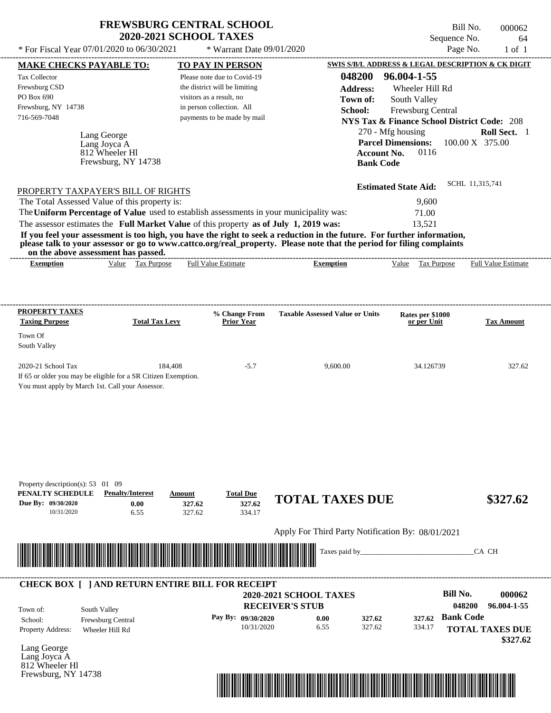| <b>FREWSBURG CENTRAL SCHOOL</b> |  |
|---------------------------------|--|
| <b>2020-2021 SCHOOL TAXES</b>   |  |

Bill No. 000062 Sequence No. 64

| * For Fiscal Year 07/01/2020 to 06/30/2021                                              |                                                     | * Warrant Date 09/01/2020                                |                                                                                                                                                                                                                                                  |                                                        | Page No.<br>$1$ of $1$             |
|-----------------------------------------------------------------------------------------|-----------------------------------------------------|----------------------------------------------------------|--------------------------------------------------------------------------------------------------------------------------------------------------------------------------------------------------------------------------------------------------|--------------------------------------------------------|------------------------------------|
| <b>MAKE CHECKS PAYABLE TO:</b>                                                          |                                                     | <b>TO PAY IN PERSON</b>                                  |                                                                                                                                                                                                                                                  | SWIS S/B/L ADDRESS & LEGAL DESCRIPTION & CK DIGIT      |                                    |
| Tax Collector                                                                           |                                                     | Please note due to Covid-19                              | 048200                                                                                                                                                                                                                                           | 96.004-1-55                                            |                                    |
| Frewsburg CSD                                                                           |                                                     | the district will be limiting                            | <b>Address:</b>                                                                                                                                                                                                                                  | Wheeler Hill Rd                                        |                                    |
| PO Box 690                                                                              |                                                     | visitors as a result, no                                 | Town of:                                                                                                                                                                                                                                         | South Valley                                           |                                    |
| Frewsburg, NY 14738<br>716-569-7048                                                     |                                                     | in person collection. All<br>payments to be made by mail | School:                                                                                                                                                                                                                                          | Frewsburg Central                                      |                                    |
|                                                                                         |                                                     |                                                          |                                                                                                                                                                                                                                                  | <b>NYS Tax &amp; Finance School District Code: 208</b> |                                    |
| Lang George                                                                             |                                                     |                                                          |                                                                                                                                                                                                                                                  | 270 - Mfg housing                                      | Roll Sect. 1                       |
| Lang Joyca A                                                                            |                                                     |                                                          |                                                                                                                                                                                                                                                  | <b>Parcel Dimensions:</b><br>0116                      | 100.00 X 375.00                    |
| 812 Wheeler Hl                                                                          | Frewsburg, NY 14738                                 |                                                          | <b>Bank Code</b>                                                                                                                                                                                                                                 | <b>Account No.</b>                                     |                                    |
|                                                                                         |                                                     |                                                          |                                                                                                                                                                                                                                                  |                                                        |                                    |
|                                                                                         |                                                     |                                                          |                                                                                                                                                                                                                                                  | <b>Estimated State Aid:</b>                            | SCHL 11,315,741                    |
| PROPERTY TAXPAYER'S BILL OF RIGHTS                                                      |                                                     |                                                          |                                                                                                                                                                                                                                                  |                                                        |                                    |
| The Total Assessed Value of this property is:                                           |                                                     |                                                          |                                                                                                                                                                                                                                                  | 9,600                                                  |                                    |
| The Uniform Percentage of Value used to establish assessments in your municipality was: |                                                     |                                                          |                                                                                                                                                                                                                                                  | 71.00                                                  |                                    |
| The assessor estimates the Full Market Value of this property as of July 1, 2019 was:   |                                                     |                                                          |                                                                                                                                                                                                                                                  | 13,521                                                 |                                    |
|                                                                                         |                                                     |                                                          | If you feel your assessment is too high, you have the right to seek a reduction in the future. For further information,<br>please talk to your assessor or go to www.cattco.org/real_property. Please note that the period for filing complaints |                                                        |                                    |
| on the above assessment has passed.                                                     |                                                     |                                                          |                                                                                                                                                                                                                                                  |                                                        |                                    |
| <b>Exemption</b>                                                                        | Value Tax Purpose                                   | Full Value Estimate                                      | <b>Exemption</b>                                                                                                                                                                                                                                 | Value Tax Purpose                                      | <b>Full Value Estimate</b>         |
|                                                                                         |                                                     |                                                          |                                                                                                                                                                                                                                                  |                                                        |                                    |
|                                                                                         |                                                     |                                                          |                                                                                                                                                                                                                                                  |                                                        |                                    |
|                                                                                         |                                                     |                                                          |                                                                                                                                                                                                                                                  |                                                        |                                    |
| <b>PROPERTY TAXES</b>                                                                   |                                                     | % Change From                                            | <b>Taxable Assessed Value or Units</b>                                                                                                                                                                                                           | Rates per \$1000                                       |                                    |
| <b>Taxing Purpose</b>                                                                   | <b>Total Tax Levy</b>                               | <b>Prior Year</b>                                        |                                                                                                                                                                                                                                                  | or per Unit                                            | <b>Tax Amount</b>                  |
| Town Of                                                                                 |                                                     |                                                          |                                                                                                                                                                                                                                                  |                                                        |                                    |
| South Valley                                                                            |                                                     |                                                          |                                                                                                                                                                                                                                                  |                                                        |                                    |
| 2020-21 School Tax                                                                      | 184,408                                             | $-5.7$                                                   | 9,600.00                                                                                                                                                                                                                                         | 34.126739                                              | 327.62                             |
| If 65 or older you may be eligible for a SR Citizen Exemption.                          |                                                     |                                                          |                                                                                                                                                                                                                                                  |                                                        |                                    |
| You must apply by March 1st. Call your Assessor.                                        |                                                     |                                                          |                                                                                                                                                                                                                                                  |                                                        |                                    |
|                                                                                         |                                                     |                                                          |                                                                                                                                                                                                                                                  |                                                        |                                    |
|                                                                                         |                                                     |                                                          |                                                                                                                                                                                                                                                  |                                                        |                                    |
|                                                                                         |                                                     |                                                          |                                                                                                                                                                                                                                                  |                                                        |                                    |
|                                                                                         |                                                     |                                                          |                                                                                                                                                                                                                                                  |                                                        |                                    |
|                                                                                         |                                                     |                                                          |                                                                                                                                                                                                                                                  |                                                        |                                    |
|                                                                                         |                                                     |                                                          |                                                                                                                                                                                                                                                  |                                                        |                                    |
|                                                                                         |                                                     |                                                          |                                                                                                                                                                                                                                                  |                                                        |                                    |
|                                                                                         |                                                     |                                                          |                                                                                                                                                                                                                                                  |                                                        |                                    |
| Property description(s): 53 01 09                                                       |                                                     |                                                          |                                                                                                                                                                                                                                                  |                                                        |                                    |
| PENALTY SCHEDULE<br>Due By: 09/30/2020                                                  | <b>Penalty/Interest</b><br>Amount<br>0.00<br>327.62 | <b>Total Due</b><br>327.62                               | <b>TOTAL TAXES DUE</b>                                                                                                                                                                                                                           |                                                        | \$327.62                           |
| 10/31/2020                                                                              | 6.55<br>327.62                                      | 334.17                                                   |                                                                                                                                                                                                                                                  |                                                        |                                    |
|                                                                                         |                                                     |                                                          |                                                                                                                                                                                                                                                  |                                                        |                                    |
|                                                                                         |                                                     |                                                          | Apply For Third Party Notification By: 08/01/2021                                                                                                                                                                                                |                                                        |                                    |
|                                                                                         |                                                     |                                                          | Taxes paid by_                                                                                                                                                                                                                                   |                                                        | CA CH                              |
|                                                                                         |                                                     |                                                          |                                                                                                                                                                                                                                                  |                                                        |                                    |
|                                                                                         |                                                     |                                                          |                                                                                                                                                                                                                                                  |                                                        |                                    |
| <b>CHECK BOX [ ] AND RETURN ENTIRE BILL FOR RECEIPT</b>                                 |                                                     |                                                          |                                                                                                                                                                                                                                                  |                                                        |                                    |
|                                                                                         |                                                     |                                                          | 2020-2021 SCHOOL TAXES                                                                                                                                                                                                                           | <b>Bill No.</b>                                        | 000062                             |
|                                                                                         |                                                     |                                                          | <b>RECEIVER'S STUB</b>                                                                                                                                                                                                                           |                                                        | 048200<br>96.004-1-55              |
| South Valley<br>Town of:                                                                |                                                     | Pay By: 09/30/2020                                       |                                                                                                                                                                                                                                                  | <b>Bank Code</b><br>327.62                             |                                    |
| Frewsburg Central<br>School:                                                            |                                                     | 10/31/2020                                               | 0.00<br>327.62<br>6.55<br>327.62                                                                                                                                                                                                                 | 334.17                                                 |                                    |
| Property Address:<br>Wheeler Hill Rd                                                    |                                                     |                                                          |                                                                                                                                                                                                                                                  |                                                        | <b>TOTAL TAXES DUE</b><br>\$327.62 |
| Lang George                                                                             |                                                     |                                                          |                                                                                                                                                                                                                                                  |                                                        |                                    |
| Lang Joyca A                                                                            |                                                     |                                                          |                                                                                                                                                                                                                                                  |                                                        |                                    |
| 812 Wheeler Hl                                                                          |                                                     |                                                          |                                                                                                                                                                                                                                                  |                                                        |                                    |
| Frewsburg, NY 14738                                                                     |                                                     |                                                          |                                                                                                                                                                                                                                                  |                                                        |                                    |

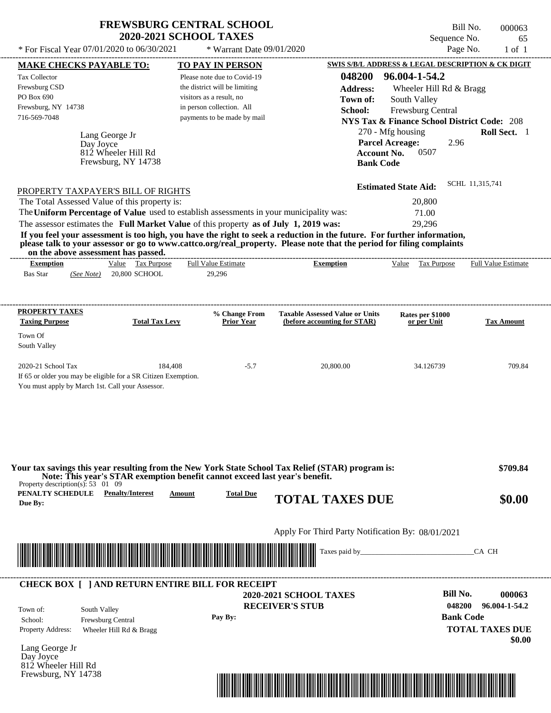| <b>FREWSBURG CENTRAL SCHOOL</b> |
|---------------------------------|
| <b>2020-2021 SCHOOL TAXES</b>   |

Bill No. 000063 Sequence No. 65<br>Page No. 1 of 1

| <b>MAKE CHECKS PAYABLE TO:</b>                                                                                                                                                                                                                                                                                                                                                   | <b>TO PAY IN PERSON</b>                                                                                               |                                                                                                                        | SWIS S/B/L ADDRESS & LEGAL DESCRIPTION & CK DIGIT                                                                                          |                                         |
|----------------------------------------------------------------------------------------------------------------------------------------------------------------------------------------------------------------------------------------------------------------------------------------------------------------------------------------------------------------------------------|-----------------------------------------------------------------------------------------------------------------------|------------------------------------------------------------------------------------------------------------------------|--------------------------------------------------------------------------------------------------------------------------------------------|-----------------------------------------|
| <b>Tax Collector</b><br>Frewsburg CSD<br>PO Box 690<br>Frewsburg, NY 14738                                                                                                                                                                                                                                                                                                       | Please note due to Covid-19<br>the district will be limiting<br>visitors as a result, no<br>in person collection. All | 048200<br><b>Address:</b><br>Town of:                                                                                  | 96.004-1-54.2<br>Wheeler Hill Rd & Bragg<br>South Valley                                                                                   |                                         |
| 716-569-7048<br>Lang George Jr<br>Day Joyce<br>812 Wheeler Hill Rd<br>Frewsburg, NY 14738                                                                                                                                                                                                                                                                                        | payments to be made by mail                                                                                           | School:<br><b>Account No.</b><br><b>Bank Code</b>                                                                      | Frewsburg Central<br><b>NYS Tax &amp; Finance School District Code: 208</b><br>270 - Mfg housing<br><b>Parcel Acreage:</b><br>2.96<br>0507 | Roll Sect. 1                            |
|                                                                                                                                                                                                                                                                                                                                                                                  |                                                                                                                       |                                                                                                                        |                                                                                                                                            | SCHL 11,315,741                         |
| PROPERTY TAXPAYER'S BILL OF RIGHTS<br>The Total Assessed Value of this property is:                                                                                                                                                                                                                                                                                              |                                                                                                                       |                                                                                                                        | <b>Estimated State Aid:</b><br>20,800                                                                                                      |                                         |
| The Uniform Percentage of Value used to establish assessments in your municipality was:                                                                                                                                                                                                                                                                                          |                                                                                                                       |                                                                                                                        | 71.00                                                                                                                                      |                                         |
| The assessor estimates the Full Market Value of this property as of July 1, 2019 was:<br>If you feel your assessment is too high, you have the right to seek a reduction in the future. For further information,<br>please talk to your assessor or go to www.cattco.org/real_property. Please note that the period for filing complaints<br>on the above assessment has passed. |                                                                                                                       |                                                                                                                        | 29,296                                                                                                                                     |                                         |
| Value Tax Purpose<br><b>Exemption</b><br><b>Bas Star</b><br>(See Note) 20,800 SCHOOL                                                                                                                                                                                                                                                                                             | <b>Full Value Estimate</b><br>29,296                                                                                  | <b>Exemption</b>                                                                                                       | Value Tax Purpose Full Value Estimate                                                                                                      |                                         |
| <b>PROPERTY TAXES</b><br><b>Total Tax Levy</b><br><b>Taxing Purpose</b>                                                                                                                                                                                                                                                                                                          | % Change From<br><b>Prior Year</b>                                                                                    | <b>Taxable Assessed Value or Units</b><br>(before accounting for STAR)                                                 | Rates per \$1000<br>or per Unit                                                                                                            | <b>Tax Amount</b>                       |
| Town Of<br>South Valley                                                                                                                                                                                                                                                                                                                                                          |                                                                                                                       |                                                                                                                        |                                                                                                                                            |                                         |
| 2020-21 School Tax<br>If 65 or older you may be eligible for a SR Citizen Exemption.<br>You must apply by March 1st. Call your Assessor.                                                                                                                                                                                                                                         | 184,408<br>$-5.7$                                                                                                     | 20,800.00                                                                                                              | 34.126739                                                                                                                                  | 709.84                                  |
| Your tax savings this year resulting from the New York State School Tax Relief (STAR) program is:<br>Note: This year's STAR exemption benefit cannot exceed last year's benefit.<br>Property description(s): $53 \quad 01 \quad 09$<br>PENALTY SCHEDULE<br><b>Penalty/Interest</b><br>Due By:                                                                                    | <b>Total Due</b><br>Amount                                                                                            | <b>TOTAL TAXES DUE</b>                                                                                                 |                                                                                                                                            | \$709.84<br>\$0.00                      |
|                                                                                                                                                                                                                                                                                                                                                                                  |                                                                                                                       | Apply For Third Party Notification By: 08/01/2021                                                                      |                                                                                                                                            |                                         |
| <u> 1989 - Johann Stoff, Amerikaansk politiker (* 1958)</u>                                                                                                                                                                                                                                                                                                                      |                                                                                                                       |                                                                                                                        |                                                                                                                                            | CA CH                                   |
| <b>CHECK BOX [ ] AND RETURN ENTIRE BILL FOR RECEIPT</b>                                                                                                                                                                                                                                                                                                                          |                                                                                                                       | <b>2020-2021 SCHOOL TAXES</b>                                                                                          | <b>Bill No.</b>                                                                                                                            | 000063                                  |
| South Valley<br>Town of:<br>Frewsburg Central<br>School:<br><b>Property Address:</b><br>Wheeler Hill Rd & Bragg                                                                                                                                                                                                                                                                  | Pay By:                                                                                                               | <b>RECEIVER'S STUB</b>                                                                                                 | 048200<br><b>Bank Code</b>                                                                                                                 | 96.004-1-54.2<br><b>TOTAL TAXES DUE</b> |
| Lang George Jr<br>Day Joyce                                                                                                                                                                                                                                                                                                                                                      |                                                                                                                       |                                                                                                                        |                                                                                                                                            | \$0.00                                  |
| 812 Wheeler Hill Rd<br>Frewsburg, NY 14738                                                                                                                                                                                                                                                                                                                                       |                                                                                                                       |                                                                                                                        |                                                                                                                                            |                                         |
|                                                                                                                                                                                                                                                                                                                                                                                  |                                                                                                                       | <u> 1989 - Andrea Stadt British Stadt British Stadt British Stadt British Stadt British Stadt British Stadt Britis</u> |                                                                                                                                            |                                         |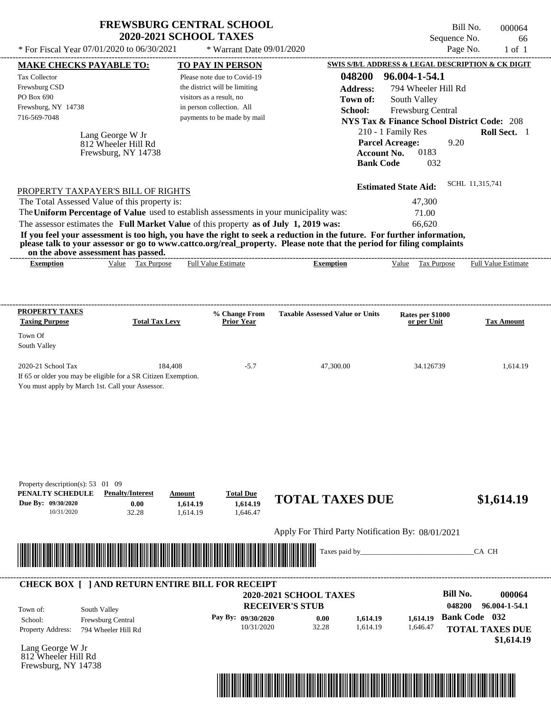| * For Fiscal Year 07/01/2020 to 06/30/2021                                                                                                                                                                                                                                                                                                                                       | <b>FREWSBURG CENTRAL SCHOOL</b><br><b>2020-2021 SCHOOL TAXES</b> | * Warrant Date 09/01/2020                                                                                                                        |                                                                     | Sequence No.<br>Page No.                                                                                                                           | Bill No.<br>000064<br>66<br>$1$ of $1$ |
|----------------------------------------------------------------------------------------------------------------------------------------------------------------------------------------------------------------------------------------------------------------------------------------------------------------------------------------------------------------------------------|------------------------------------------------------------------|--------------------------------------------------------------------------------------------------------------------------------------------------|---------------------------------------------------------------------|----------------------------------------------------------------------------------------------------------------------------------------------------|----------------------------------------|
|                                                                                                                                                                                                                                                                                                                                                                                  |                                                                  |                                                                                                                                                  |                                                                     | SWIS S/B/L ADDRESS & LEGAL DESCRIPTION & CK DIGIT                                                                                                  |                                        |
| <b>MAKE CHECKS PAYABLE TO:</b><br>Tax Collector<br>Frewsburg CSD<br>PO Box 690<br>Frewsburg, NY 14738                                                                                                                                                                                                                                                                            |                                                                  | <b>TO PAY IN PERSON</b><br>Please note due to Covid-19<br>the district will be limiting<br>visitors as a result, no<br>in person collection. All | 048200<br><b>Address:</b><br>Town of:                               | 96.004-1-54.1<br>794 Wheeler Hill Rd<br>South Valley                                                                                               |                                        |
| 716-569-7048<br>Lang George W Jr<br>812 Wheeler Hill Rd<br>Frewsburg, NY 14738                                                                                                                                                                                                                                                                                                   |                                                                  | payments to be made by mail                                                                                                                      | School:<br><b>Account No.</b><br><b>Bank Code</b>                   | Frewsburg Central<br><b>NYS Tax &amp; Finance School District Code: 208</b><br>210 - 1 Family Res<br><b>Parcel Acreage:</b><br>9.20<br>0183<br>032 | Roll Sect. 1                           |
| PROPERTY TAXPAYER'S BILL OF RIGHTS<br>The Total Assessed Value of this property is:<br>The Uniform Percentage of Value used to establish assessments in your municipality was:                                                                                                                                                                                                   |                                                                  |                                                                                                                                                  |                                                                     | <b>Estimated State Aid:</b><br>47,300<br>71.00                                                                                                     | SCHL 11,315,741                        |
| The assessor estimates the Full Market Value of this property as of July 1, 2019 was:<br>If you feel your assessment is too high, you have the right to seek a reduction in the future. For further information,<br>please talk to your assessor or go to www.cattco.org/real_property. Please note that the period for filing complaints<br>on the above assessment has passed. |                                                                  |                                                                                                                                                  |                                                                     | 66,620                                                                                                                                             |                                        |
| Value Tax Purpose<br><b>Exemption</b>                                                                                                                                                                                                                                                                                                                                            |                                                                  | <b>Full Value Estimate</b>                                                                                                                       | <b>Exemption</b>                                                    | Value Tax Purpose                                                                                                                                  | <b>Full Value Estimate</b>             |
| <b>PROPERTY TAXES</b>                                                                                                                                                                                                                                                                                                                                                            |                                                                  | % Change From                                                                                                                                    | <b>Taxable Assessed Value or Units</b>                              | Rates per \$1000                                                                                                                                   |                                        |
| <b>Taxing Purpose</b><br>Town Of<br>South Valley                                                                                                                                                                                                                                                                                                                                 | <b>Total Tax Levy</b>                                            | <b>Prior Year</b>                                                                                                                                |                                                                     | or per Unit                                                                                                                                        | <b>Tax Amount</b>                      |
| 2020-21 School Tax<br>If 65 or older you may be eligible for a SR Citizen Exemption.<br>You must apply by March 1st. Call your Assessor.                                                                                                                                                                                                                                         | 184,408                                                          | $-5.7$                                                                                                                                           | 47,300.00                                                           | 34.126739                                                                                                                                          | 1,614.19                               |
| Property description(s): 53 01 09<br>PENALTY SCHEDULE<br><b>Penalty/Interest</b><br>Due By: 09/30/2020                                                                                                                                                                                                                                                                           | Amount                                                           | <b>Total Due</b>                                                                                                                                 | <b>TOTAL TAXES DUE</b>                                              |                                                                                                                                                    | \$1,614.19                             |
| 0.00<br>10/31/2020<br>32.28                                                                                                                                                                                                                                                                                                                                                      | 1,614.19<br>1,614.19                                             | 1,614.19<br>1,646.47                                                                                                                             |                                                                     |                                                                                                                                                    |                                        |
| <u> 1989 - Andrea Stadt Britain, marwolaeth a bhaile an t-Alban an t-Alban an t-Alban an t-Alban an t-Alban an t-Alban an t-Alban an t-Alban an t-Alban an t-Alban an t-Alban an t-Alban an t-Alban an t-Alban an t-Alban an t-A</u>                                                                                                                                             |                                                                  |                                                                                                                                                  | Apply For Third Party Notification By: 08/01/2021<br>Taxes paid by_ |                                                                                                                                                    | CA CH                                  |
|                                                                                                                                                                                                                                                                                                                                                                                  |                                                                  |                                                                                                                                                  |                                                                     |                                                                                                                                                    |                                        |
| <b>CHECK BOX [ ] AND RETURN ENTIRE BILL FOR RECEIPT</b>                                                                                                                                                                                                                                                                                                                          |                                                                  |                                                                                                                                                  | <b>2020-2021 SCHOOL TAXES</b><br><b>RECEIVER'S STUB</b>             | <b>Bill No.</b><br>048200                                                                                                                          | 000064<br>96.004-1-54.1                |
| South Valley<br>Town of:                                                                                                                                                                                                                                                                                                                                                         |                                                                  |                                                                                                                                                  |                                                                     |                                                                                                                                                    |                                        |

**Pay By: 09/30/2020**

10/31/2020 32.28

Lang George W Jr Property Address: 794 Wheeler Hill Rd

School: Frewsburg Central

812 Wheeler Hill Rd Frewsburg, NY 14738



1,614.19 **1,614.19**

0.00 **1,614.19 1,614.19 Bank Code** 032

1,646.47 **1,614.19**

**TOTAL TAXES DUE**

 **\$1,614.19**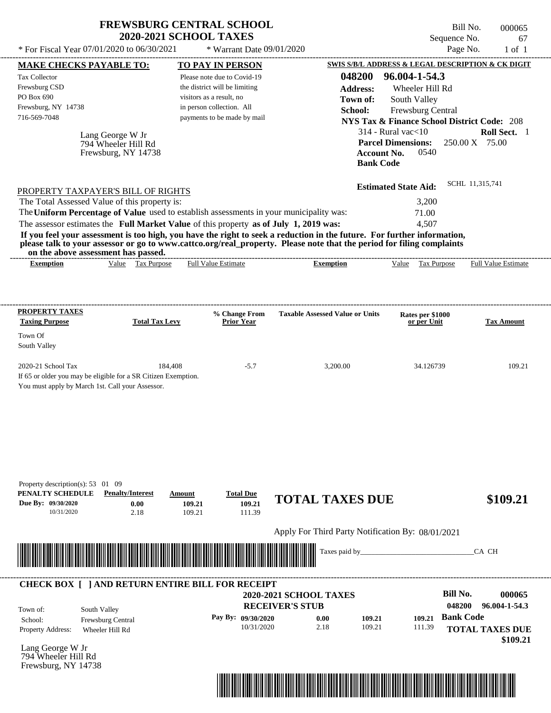|                                                                                                                                          |                                                                                         | <b>2020-2021 SCHOOL TAXES</b>                            | <b>FREWSBURG CENTRAL SCHOOL</b>                                                                                                           | Sequence No.                                           | Bill No.<br>000065<br>67   |
|------------------------------------------------------------------------------------------------------------------------------------------|-----------------------------------------------------------------------------------------|----------------------------------------------------------|-------------------------------------------------------------------------------------------------------------------------------------------|--------------------------------------------------------|----------------------------|
|                                                                                                                                          | * For Fiscal Year 07/01/2020 to 06/30/2021                                              | * Warrant Date 09/01/2020                                |                                                                                                                                           | Page No.                                               | $1$ of $1$                 |
| <b>MAKE CHECKS PAYABLE TO:</b>                                                                                                           |                                                                                         | <b>TO PAY IN PERSON</b>                                  |                                                                                                                                           | SWIS S/B/L ADDRESS & LEGAL DESCRIPTION & CK DIGIT      |                            |
| Tax Collector                                                                                                                            |                                                                                         | Please note due to Covid-19                              | 048200                                                                                                                                    | 96.004-1-54.3                                          |                            |
| Frewsburg CSD                                                                                                                            |                                                                                         | the district will be limiting                            | <b>Address:</b>                                                                                                                           | Wheeler Hill Rd                                        |                            |
| PO Box 690                                                                                                                               |                                                                                         | visitors as a result, no                                 | Town of:                                                                                                                                  | South Valley                                           |                            |
| Frewsburg, NY 14738                                                                                                                      |                                                                                         | in person collection. All                                | School:                                                                                                                                   | Frewsburg Central                                      |                            |
| 716-569-7048                                                                                                                             |                                                                                         | payments to be made by mail                              |                                                                                                                                           | <b>NYS Tax &amp; Finance School District Code: 208</b> |                            |
|                                                                                                                                          |                                                                                         |                                                          |                                                                                                                                           | $314$ - Rural vac $<$ 10                               | Roll Sect. 1               |
|                                                                                                                                          | Lang George W Jr<br>794 Wheeler Hill Rd<br>Frewsburg, NY 14738                          |                                                          | <b>Account No.</b><br><b>Bank Code</b>                                                                                                    | <b>Parcel Dimensions:</b><br>0540                      | 250.00 X 75.00             |
| PROPERTY TAXPAYER'S BILL OF RIGHTS                                                                                                       |                                                                                         |                                                          |                                                                                                                                           | <b>Estimated State Aid:</b>                            | SCHL 11,315,741            |
| The Total Assessed Value of this property is:                                                                                            |                                                                                         |                                                          |                                                                                                                                           | 3,200                                                  |                            |
|                                                                                                                                          | The Uniform Percentage of Value used to establish assessments in your municipality was: |                                                          |                                                                                                                                           | 71.00                                                  |                            |
|                                                                                                                                          | The assessor estimates the Full Market Value of this property as of July 1, 2019 was:   |                                                          |                                                                                                                                           | 4,507                                                  |                            |
| on the above assessment has passed.<br><b>Exemption</b>                                                                                  | Value Tax Purpose                                                                       | <b>Full Value Estimate</b>                               | please talk to your assessor or go to www.cattco.org/real_property. Please note that the period for filing complaints<br><b>Exemption</b> | Value Tax Purpose                                      | <b>Full Value Estimate</b> |
| <b>PROPERTY TAXES</b><br><b>Taxing Purpose</b><br>Town Of                                                                                | <b>Total Tax Levy</b>                                                                   | % Change From<br><b>Prior Year</b>                       | <b>Taxable Assessed Value or Units</b>                                                                                                    | Rates per \$1000<br>or per Unit                        | <b>Tax Amount</b>          |
| South Valley                                                                                                                             |                                                                                         |                                                          |                                                                                                                                           |                                                        |                            |
|                                                                                                                                          |                                                                                         |                                                          |                                                                                                                                           |                                                        |                            |
| 2020-21 School Tax<br>If 65 or older you may be eligible for a SR Citizen Exemption.<br>You must apply by March 1st. Call your Assessor. | 184,408                                                                                 | $-5.7$                                                   | 3,200.00                                                                                                                                  | 34.126739                                              | 109.21                     |
| Property description(s): 53 01 09<br>PENALTY SCHEDULE<br>Due By: 09/30/2020<br>10/31/2020                                                | <b>Penalty/Interest</b><br><b>Amount</b><br>0.00<br>2.18                                | <b>Total Due</b><br>109.21<br>109.21<br>109.21<br>111.39 | <b>TOTAL TAXES DUE</b>                                                                                                                    |                                                        |                            |
|                                                                                                                                          |                                                                                         |                                                          | Apply For Third Party Notification By: 08/01/2021                                                                                         |                                                        |                            |
|                                                                                                                                          |                                                                                         |                                                          | Taxes paid by_                                                                                                                            |                                                        | \$109.21<br>CA CH          |
|                                                                                                                                          | <b>CHECK BOX [ ] AND RETURN ENTIRE BILL FOR RECEIPT</b>                                 |                                                          |                                                                                                                                           | <b>Bill No.</b>                                        |                            |
|                                                                                                                                          |                                                                                         |                                                          | <b>2020-2021 SCHOOL TAXES</b>                                                                                                             |                                                        | 000065                     |
| South Valley<br>Town of:                                                                                                                 |                                                                                         |                                                          | <b>RECEIVER'S STUB</b>                                                                                                                    | 048200                                                 | 96.004-1-54.3              |
| School:                                                                                                                                  | Frewsburg Central                                                                       | Pay By: 09/30/2020<br>10/31/2020                         | 109.21<br>0.00<br>2.18<br>109.21                                                                                                          | <b>Bank Code</b><br>109.21<br>111.39                   |                            |

Lang George W Jr 794 Wheeler Hill Rd Frewsburg, NY 14738



 **\$109.21**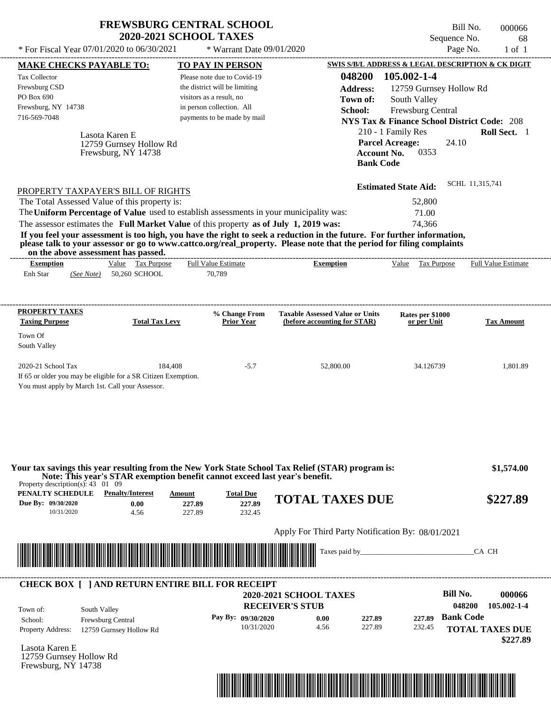| <b>FREWSBURG CENTRAL SCHOOL</b> |  |
|---------------------------------|--|
| <b>2020-2021 SCHOOL TAXES</b>   |  |

Bill No. 000066 Sequence No. 68<br>Page No. 1 of 1 \* For Fiscal Year  $07/01/2020$  to  $06/30/2021$  \* Warrant Date  $09/01/2020$  Page No. 1 of 1

| * For Fiscal Year 07/01/2020 to 06/30/2021                                                                                                                                                                                                       | * Warrant Date 09/01/2020                      |                                                                        |                                                        | Page No.<br>$1$ of $1$    |
|--------------------------------------------------------------------------------------------------------------------------------------------------------------------------------------------------------------------------------------------------|------------------------------------------------|------------------------------------------------------------------------|--------------------------------------------------------|---------------------------|
| <b>MAKE CHECKS PAYABLE TO:</b>                                                                                                                                                                                                                   | <b>TO PAY IN PERSON</b>                        |                                                                        | SWIS S/B/L ADDRESS & LEGAL DESCRIPTION & CK DIGIT      |                           |
| <b>Tax Collector</b>                                                                                                                                                                                                                             | Please note due to Covid-19                    | 048200                                                                 | 105.002-1-4                                            |                           |
| Frewsburg CSD                                                                                                                                                                                                                                    | the district will be limiting                  | <b>Address:</b>                                                        | 12759 Gurnsey Hollow Rd                                |                           |
| PO Box 690                                                                                                                                                                                                                                       | visitors as a result, no                       | Town of:                                                               | South Valley                                           |                           |
| Frewsburg, NY 14738                                                                                                                                                                                                                              | in person collection. All                      | School:                                                                | Frewsburg Central                                      |                           |
| 716-569-7048                                                                                                                                                                                                                                     | payments to be made by mail                    |                                                                        | <b>NYS Tax &amp; Finance School District Code: 208</b> |                           |
| Lasota Karen E                                                                                                                                                                                                                                   |                                                |                                                                        | 210 - 1 Family Res                                     | Roll Sect. 1              |
| 12759 Gurnsey Hollow Rd                                                                                                                                                                                                                          |                                                |                                                                        | <b>Parcel Acreage:</b>                                 | 24.10                     |
| Frewsburg, NY 14738                                                                                                                                                                                                                              |                                                | <b>Bank Code</b>                                                       | <b>Account No.</b><br>0353                             |                           |
|                                                                                                                                                                                                                                                  |                                                |                                                                        |                                                        |                           |
| PROPERTY TAXPAYER'S BILL OF RIGHTS                                                                                                                                                                                                               |                                                |                                                                        | <b>Estimated State Aid:</b>                            | SCHL 11,315,741           |
| The Total Assessed Value of this property is:                                                                                                                                                                                                    |                                                |                                                                        | 52,800                                                 |                           |
| The Uniform Percentage of Value used to establish assessments in your municipality was:                                                                                                                                                          |                                                |                                                                        | 71.00                                                  |                           |
| The assessor estimates the Full Market Value of this property as of July 1, 2019 was:                                                                                                                                                            |                                                |                                                                        | 74,366                                                 |                           |
| If you feel your assessment is too high, you have the right to seek a reduction in the future. For further information,<br>please talk to your assessor or go to www.cattco.org/real_property. Please note that the period for filing complaints |                                                |                                                                        |                                                        |                           |
| on the above assessment has passed.<br>Value Tax Purpose<br><b>Exemption</b>                                                                                                                                                                     | Full Value Estimate                            | <b>Exemption</b>                                                       | Value<br>Tax Purpose                                   | Full Value Estimate       |
| 50,260 SCHOOL<br>Enh Star<br>(See Note)                                                                                                                                                                                                          | 70,789                                         |                                                                        |                                                        |                           |
|                                                                                                                                                                                                                                                  |                                                |                                                                        |                                                        |                           |
| <b>PROPERTY TAXES</b>                                                                                                                                                                                                                            |                                                |                                                                        |                                                        |                           |
| <b>Taxing Purpose</b><br><b>Total Tax Levy</b>                                                                                                                                                                                                   | % Change From<br><b>Prior Year</b>             | <b>Taxable Assessed Value or Units</b><br>(before accounting for STAR) | Rates per \$1000<br>or per Unit                        | <b>Tax Amount</b>         |
| Town Of                                                                                                                                                                                                                                          |                                                |                                                                        |                                                        |                           |
| South Valley                                                                                                                                                                                                                                     |                                                |                                                                        |                                                        |                           |
| 2020-21 School Tax                                                                                                                                                                                                                               | 184,408<br>$-5.7$                              | 52,800.00                                                              | 34.126739                                              | 1,801.89                  |
| If 65 or older you may be eligible for a SR Citizen Exemption.                                                                                                                                                                                   |                                                |                                                                        |                                                        |                           |
| You must apply by March 1st. Call your Assessor.                                                                                                                                                                                                 |                                                |                                                                        |                                                        |                           |
|                                                                                                                                                                                                                                                  |                                                |                                                                        |                                                        |                           |
|                                                                                                                                                                                                                                                  |                                                |                                                                        |                                                        |                           |
|                                                                                                                                                                                                                                                  |                                                |                                                                        |                                                        |                           |
|                                                                                                                                                                                                                                                  |                                                |                                                                        |                                                        |                           |
|                                                                                                                                                                                                                                                  |                                                |                                                                        |                                                        |                           |
| Your tax savings this year resulting from the New York State School Tax Relief (STAR) program is:<br>Note: This year's STAR exemption benefit cannot exceed last year's benefit.                                                                 |                                                |                                                                        |                                                        | \$1,574.00                |
| Property description(s): $43 \quad 01 \quad 09$<br><b>PENALTY SCHEDULE</b> Penalty/Interest                                                                                                                                                      |                                                |                                                                        |                                                        |                           |
| Due By: 09/30/2020<br>0.00                                                                                                                                                                                                                       | <b>Total Due</b><br>Amount<br>227.89<br>227.89 | <b>TOTAL TAXES DUE</b>                                                 |                                                        | \$227.89                  |
| 10/31/2020<br>4.56                                                                                                                                                                                                                               | 227.89<br>232.45                               |                                                                        |                                                        |                           |
|                                                                                                                                                                                                                                                  |                                                |                                                                        |                                                        |                           |
|                                                                                                                                                                                                                                                  |                                                | Apply For Third Party Notification By: 08/01/2021                      |                                                        |                           |
| <u> Handling and Handling and Handling and Handling and Handling and Handling and Handling and Handling and Handli</u>                                                                                                                           |                                                |                                                                        |                                                        | CA CH                     |
|                                                                                                                                                                                                                                                  |                                                |                                                                        |                                                        |                           |
| <b>CHECK BOX [ ] AND RETURN ENTIRE BILL FOR RECEIPT</b>                                                                                                                                                                                          |                                                |                                                                        |                                                        |                           |
|                                                                                                                                                                                                                                                  |                                                | 2020-2021 SCHOOL TAXES                                                 |                                                        | <b>Bill No.</b><br>000066 |
| South Valley<br>Town of:                                                                                                                                                                                                                         |                                                | <b>RECEIVER'S STUB</b>                                                 |                                                        | 105.002-1-4<br>048200     |
| Frewsburg Central<br>School:                                                                                                                                                                                                                     | Pay By: 09/30/2020                             | 227.89<br>0.00                                                         | 227.89                                                 | <b>Bank Code</b>          |
| <b>Property Address:</b><br>12759 Gurnsey Hollow Rd                                                                                                                                                                                              | 10/31/2020                                     | 4.56<br>227.89                                                         | 232.45                                                 | <b>TOTAL TAXES DUE</b>    |
| Lasota Karen E                                                                                                                                                                                                                                   |                                                |                                                                        |                                                        | \$227.89                  |
| 12759 Gurnsey Hollow Rd                                                                                                                                                                                                                          |                                                |                                                                        |                                                        |                           |
| Frewsburg, $N\dot{Y}$ 14738                                                                                                                                                                                                                      |                                                |                                                                        |                                                        |                           |
|                                                                                                                                                                                                                                                  |                                                |                                                                        |                                                        |                           |
|                                                                                                                                                                                                                                                  |                                                |                                                                        |                                                        |                           |
|                                                                                                                                                                                                                                                  |                                                |                                                                        |                                                        |                           |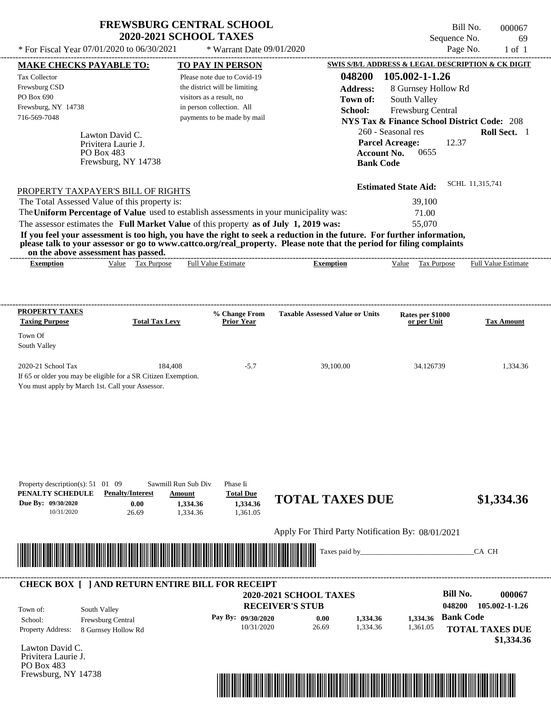| <b>FREWSBURG CENTRAL SCHOOL</b> |
|---------------------------------|
| <b>2020-2021 SCHOOL TAXES</b>   |

Bill No. 000067 Sequence No. 69<br>Page No. 1 of 1

| 048200<br>105.002-1-1.26<br>Please note due to Covid-19<br>the district will be limiting<br><b>Address:</b><br>8 Gurnsey Hollow Rd<br>visitors as a result, no<br>South Valley<br>Town of:<br>in person collection. All<br>School:<br>Frewsburg Central<br>payments to be made by mail<br><b>NYS Tax &amp; Finance School District Code: 208</b><br>260 - Seasonal res<br>Roll Sect. 1<br>Lawton David C.<br><b>Parcel Acreage:</b><br>12.37<br>Privitera Laurie J.<br>0655<br>PO Box 483<br><b>Account No.</b><br>Frewsburg, NY 14738<br><b>Bank Code</b><br>SCHL 11,315,741<br><b>Estimated State Aid:</b><br>PROPERTY TAXPAYER'S BILL OF RIGHTS<br>The Total Assessed Value of this property is:<br>39,100<br>The Uniform Percentage of Value used to establish assessments in your municipality was:<br>71.00<br>The assessor estimates the Full Market Value of this property as of July 1, 2019 was:<br>55,070<br>If you feel your assessment is too high, you have the right to seek a reduction in the future. For further information,<br>please talk to your assessor or go to www.cattco.org/real_property. Please note that the period for filing complaints<br>on the above assessment has passed.<br>Value Tax Purpose<br><b>Full Value Estimate</b><br><b>Exemption</b><br>Value Tax Purpose<br><b>Full Value Estimate</b><br><b>Exemption</b><br><b>Taxable Assessed Value or Units</b><br>% Change From<br>Rates per \$1000<br><b>Total Tax Levy</b><br><b>Prior Year</b><br><b>Tax Amount</b><br>or per Unit<br>Town Of<br>184,408<br>$-5.7$<br>1,334.36<br>39,100.00<br>34.126739<br>If 65 or older you may be eligible for a SR Citizen Exemption.<br>You must apply by March 1st. Call your Assessor.<br>Sawmill Run Sub Div<br>Property description(s): $51 \quad 01 \quad 09$<br>Phase Ii<br><b>Penalty/Interest</b><br><b>Total Due</b><br>Amount<br><b>TOTAL TAXES DUE</b><br>\$1,334.36<br>Due By: 09/30/2020<br>0.00<br>1,334.36<br>1,334.36<br>1,361.05<br>10/31/2020<br>26.69<br>1,334.36<br>Apply For Third Party Notification By: 08/01/2021<br><u> III de la contrada de la contrada de la contrada de la contrada de la contrada de la contrada de la contrada</u><br>Taxes paid by_<br>CA CH<br><b>CHECK BOX [ ] AND RETURN ENTIRE BILL FOR RECEIPT</b><br><b>Bill No.</b><br>000067<br><b>2020-2021 SCHOOL TAXES</b><br>048200<br>105.002-1-1.26<br><b>RECEIVER'S STUB</b><br>South Valley<br><b>Bank Code</b><br>Pay By: 09/30/2020<br>1,334.36<br>0.00<br>1,334.36<br>Frewsburg Central<br>1,334.36<br>10/31/2020<br>26.69<br>1,361.05<br><b>TOTAL TAXES DUE</b><br>8 Gurnsey Hollow Rd<br>\$1,334.36<br>Frewsburg, NY 14738 |                                                                                       | <b>MAKE CHECKS PAYABLE TO:</b> | <b>TO PAY IN PERSON</b> | <b>SWIS S/B/L ADDRESS &amp; LEGAL DESCRIPTION &amp; CK DIGIT</b> |  |  |
|-------------------------------------------------------------------------------------------------------------------------------------------------------------------------------------------------------------------------------------------------------------------------------------------------------------------------------------------------------------------------------------------------------------------------------------------------------------------------------------------------------------------------------------------------------------------------------------------------------------------------------------------------------------------------------------------------------------------------------------------------------------------------------------------------------------------------------------------------------------------------------------------------------------------------------------------------------------------------------------------------------------------------------------------------------------------------------------------------------------------------------------------------------------------------------------------------------------------------------------------------------------------------------------------------------------------------------------------------------------------------------------------------------------------------------------------------------------------------------------------------------------------------------------------------------------------------------------------------------------------------------------------------------------------------------------------------------------------------------------------------------------------------------------------------------------------------------------------------------------------------------------------------------------------------------------------------------------------------------------------------------------------------------------------------------------------------------------------------------------------------------------------------------------------------------------------------------------------------------------------------------------------------------------------------------------------------------------------------------------------------------------------------------------------------------------------------------------------------------------------------------------------------------------------------------------------------------------------------------------------------------------------------------------------|---------------------------------------------------------------------------------------|--------------------------------|-------------------------|------------------------------------------------------------------|--|--|
|                                                                                                                                                                                                                                                                                                                                                                                                                                                                                                                                                                                                                                                                                                                                                                                                                                                                                                                                                                                                                                                                                                                                                                                                                                                                                                                                                                                                                                                                                                                                                                                                                                                                                                                                                                                                                                                                                                                                                                                                                                                                                                                                                                                                                                                                                                                                                                                                                                                                                                                                                                                                                                                                   | <b>Tax Collector</b>                                                                  |                                |                         |                                                                  |  |  |
|                                                                                                                                                                                                                                                                                                                                                                                                                                                                                                                                                                                                                                                                                                                                                                                                                                                                                                                                                                                                                                                                                                                                                                                                                                                                                                                                                                                                                                                                                                                                                                                                                                                                                                                                                                                                                                                                                                                                                                                                                                                                                                                                                                                                                                                                                                                                                                                                                                                                                                                                                                                                                                                                   | Frewsburg CSD                                                                         |                                |                         |                                                                  |  |  |
|                                                                                                                                                                                                                                                                                                                                                                                                                                                                                                                                                                                                                                                                                                                                                                                                                                                                                                                                                                                                                                                                                                                                                                                                                                                                                                                                                                                                                                                                                                                                                                                                                                                                                                                                                                                                                                                                                                                                                                                                                                                                                                                                                                                                                                                                                                                                                                                                                                                                                                                                                                                                                                                                   | PO Box 690                                                                            |                                |                         |                                                                  |  |  |
|                                                                                                                                                                                                                                                                                                                                                                                                                                                                                                                                                                                                                                                                                                                                                                                                                                                                                                                                                                                                                                                                                                                                                                                                                                                                                                                                                                                                                                                                                                                                                                                                                                                                                                                                                                                                                                                                                                                                                                                                                                                                                                                                                                                                                                                                                                                                                                                                                                                                                                                                                                                                                                                                   | Frewsburg, NY 14738                                                                   |                                |                         |                                                                  |  |  |
|                                                                                                                                                                                                                                                                                                                                                                                                                                                                                                                                                                                                                                                                                                                                                                                                                                                                                                                                                                                                                                                                                                                                                                                                                                                                                                                                                                                                                                                                                                                                                                                                                                                                                                                                                                                                                                                                                                                                                                                                                                                                                                                                                                                                                                                                                                                                                                                                                                                                                                                                                                                                                                                                   | 716-569-7048                                                                          |                                |                         |                                                                  |  |  |
|                                                                                                                                                                                                                                                                                                                                                                                                                                                                                                                                                                                                                                                                                                                                                                                                                                                                                                                                                                                                                                                                                                                                                                                                                                                                                                                                                                                                                                                                                                                                                                                                                                                                                                                                                                                                                                                                                                                                                                                                                                                                                                                                                                                                                                                                                                                                                                                                                                                                                                                                                                                                                                                                   |                                                                                       |                                |                         |                                                                  |  |  |
|                                                                                                                                                                                                                                                                                                                                                                                                                                                                                                                                                                                                                                                                                                                                                                                                                                                                                                                                                                                                                                                                                                                                                                                                                                                                                                                                                                                                                                                                                                                                                                                                                                                                                                                                                                                                                                                                                                                                                                                                                                                                                                                                                                                                                                                                                                                                                                                                                                                                                                                                                                                                                                                                   |                                                                                       |                                |                         |                                                                  |  |  |
|                                                                                                                                                                                                                                                                                                                                                                                                                                                                                                                                                                                                                                                                                                                                                                                                                                                                                                                                                                                                                                                                                                                                                                                                                                                                                                                                                                                                                                                                                                                                                                                                                                                                                                                                                                                                                                                                                                                                                                                                                                                                                                                                                                                                                                                                                                                                                                                                                                                                                                                                                                                                                                                                   |                                                                                       |                                |                         |                                                                  |  |  |
|                                                                                                                                                                                                                                                                                                                                                                                                                                                                                                                                                                                                                                                                                                                                                                                                                                                                                                                                                                                                                                                                                                                                                                                                                                                                                                                                                                                                                                                                                                                                                                                                                                                                                                                                                                                                                                                                                                                                                                                                                                                                                                                                                                                                                                                                                                                                                                                                                                                                                                                                                                                                                                                                   |                                                                                       |                                |                         |                                                                  |  |  |
|                                                                                                                                                                                                                                                                                                                                                                                                                                                                                                                                                                                                                                                                                                                                                                                                                                                                                                                                                                                                                                                                                                                                                                                                                                                                                                                                                                                                                                                                                                                                                                                                                                                                                                                                                                                                                                                                                                                                                                                                                                                                                                                                                                                                                                                                                                                                                                                                                                                                                                                                                                                                                                                                   |                                                                                       |                                |                         |                                                                  |  |  |
|                                                                                                                                                                                                                                                                                                                                                                                                                                                                                                                                                                                                                                                                                                                                                                                                                                                                                                                                                                                                                                                                                                                                                                                                                                                                                                                                                                                                                                                                                                                                                                                                                                                                                                                                                                                                                                                                                                                                                                                                                                                                                                                                                                                                                                                                                                                                                                                                                                                                                                                                                                                                                                                                   |                                                                                       |                                |                         |                                                                  |  |  |
|                                                                                                                                                                                                                                                                                                                                                                                                                                                                                                                                                                                                                                                                                                                                                                                                                                                                                                                                                                                                                                                                                                                                                                                                                                                                                                                                                                                                                                                                                                                                                                                                                                                                                                                                                                                                                                                                                                                                                                                                                                                                                                                                                                                                                                                                                                                                                                                                                                                                                                                                                                                                                                                                   |                                                                                       |                                |                         |                                                                  |  |  |
|                                                                                                                                                                                                                                                                                                                                                                                                                                                                                                                                                                                                                                                                                                                                                                                                                                                                                                                                                                                                                                                                                                                                                                                                                                                                                                                                                                                                                                                                                                                                                                                                                                                                                                                                                                                                                                                                                                                                                                                                                                                                                                                                                                                                                                                                                                                                                                                                                                                                                                                                                                                                                                                                   |                                                                                       |                                |                         |                                                                  |  |  |
|                                                                                                                                                                                                                                                                                                                                                                                                                                                                                                                                                                                                                                                                                                                                                                                                                                                                                                                                                                                                                                                                                                                                                                                                                                                                                                                                                                                                                                                                                                                                                                                                                                                                                                                                                                                                                                                                                                                                                                                                                                                                                                                                                                                                                                                                                                                                                                                                                                                                                                                                                                                                                                                                   |                                                                                       |                                |                         |                                                                  |  |  |
|                                                                                                                                                                                                                                                                                                                                                                                                                                                                                                                                                                                                                                                                                                                                                                                                                                                                                                                                                                                                                                                                                                                                                                                                                                                                                                                                                                                                                                                                                                                                                                                                                                                                                                                                                                                                                                                                                                                                                                                                                                                                                                                                                                                                                                                                                                                                                                                                                                                                                                                                                                                                                                                                   |                                                                                       |                                |                         |                                                                  |  |  |
|                                                                                                                                                                                                                                                                                                                                                                                                                                                                                                                                                                                                                                                                                                                                                                                                                                                                                                                                                                                                                                                                                                                                                                                                                                                                                                                                                                                                                                                                                                                                                                                                                                                                                                                                                                                                                                                                                                                                                                                                                                                                                                                                                                                                                                                                                                                                                                                                                                                                                                                                                                                                                                                                   |                                                                                       |                                |                         |                                                                  |  |  |
|                                                                                                                                                                                                                                                                                                                                                                                                                                                                                                                                                                                                                                                                                                                                                                                                                                                                                                                                                                                                                                                                                                                                                                                                                                                                                                                                                                                                                                                                                                                                                                                                                                                                                                                                                                                                                                                                                                                                                                                                                                                                                                                                                                                                                                                                                                                                                                                                                                                                                                                                                                                                                                                                   |                                                                                       |                                |                         |                                                                  |  |  |
|                                                                                                                                                                                                                                                                                                                                                                                                                                                                                                                                                                                                                                                                                                                                                                                                                                                                                                                                                                                                                                                                                                                                                                                                                                                                                                                                                                                                                                                                                                                                                                                                                                                                                                                                                                                                                                                                                                                                                                                                                                                                                                                                                                                                                                                                                                                                                                                                                                                                                                                                                                                                                                                                   |                                                                                       |                                |                         |                                                                  |  |  |
|                                                                                                                                                                                                                                                                                                                                                                                                                                                                                                                                                                                                                                                                                                                                                                                                                                                                                                                                                                                                                                                                                                                                                                                                                                                                                                                                                                                                                                                                                                                                                                                                                                                                                                                                                                                                                                                                                                                                                                                                                                                                                                                                                                                                                                                                                                                                                                                                                                                                                                                                                                                                                                                                   |                                                                                       |                                |                         |                                                                  |  |  |
|                                                                                                                                                                                                                                                                                                                                                                                                                                                                                                                                                                                                                                                                                                                                                                                                                                                                                                                                                                                                                                                                                                                                                                                                                                                                                                                                                                                                                                                                                                                                                                                                                                                                                                                                                                                                                                                                                                                                                                                                                                                                                                                                                                                                                                                                                                                                                                                                                                                                                                                                                                                                                                                                   |                                                                                       |                                |                         |                                                                  |  |  |
|                                                                                                                                                                                                                                                                                                                                                                                                                                                                                                                                                                                                                                                                                                                                                                                                                                                                                                                                                                                                                                                                                                                                                                                                                                                                                                                                                                                                                                                                                                                                                                                                                                                                                                                                                                                                                                                                                                                                                                                                                                                                                                                                                                                                                                                                                                                                                                                                                                                                                                                                                                                                                                                                   | <b>PROPERTY TAXES</b><br><b>Taxing Purpose</b>                                        |                                |                         |                                                                  |  |  |
|                                                                                                                                                                                                                                                                                                                                                                                                                                                                                                                                                                                                                                                                                                                                                                                                                                                                                                                                                                                                                                                                                                                                                                                                                                                                                                                                                                                                                                                                                                                                                                                                                                                                                                                                                                                                                                                                                                                                                                                                                                                                                                                                                                                                                                                                                                                                                                                                                                                                                                                                                                                                                                                                   |                                                                                       |                                |                         |                                                                  |  |  |
|                                                                                                                                                                                                                                                                                                                                                                                                                                                                                                                                                                                                                                                                                                                                                                                                                                                                                                                                                                                                                                                                                                                                                                                                                                                                                                                                                                                                                                                                                                                                                                                                                                                                                                                                                                                                                                                                                                                                                                                                                                                                                                                                                                                                                                                                                                                                                                                                                                                                                                                                                                                                                                                                   | South Valley                                                                          |                                |                         |                                                                  |  |  |
|                                                                                                                                                                                                                                                                                                                                                                                                                                                                                                                                                                                                                                                                                                                                                                                                                                                                                                                                                                                                                                                                                                                                                                                                                                                                                                                                                                                                                                                                                                                                                                                                                                                                                                                                                                                                                                                                                                                                                                                                                                                                                                                                                                                                                                                                                                                                                                                                                                                                                                                                                                                                                                                                   |                                                                                       |                                |                         |                                                                  |  |  |
|                                                                                                                                                                                                                                                                                                                                                                                                                                                                                                                                                                                                                                                                                                                                                                                                                                                                                                                                                                                                                                                                                                                                                                                                                                                                                                                                                                                                                                                                                                                                                                                                                                                                                                                                                                                                                                                                                                                                                                                                                                                                                                                                                                                                                                                                                                                                                                                                                                                                                                                                                                                                                                                                   | 2020-21 School Tax                                                                    |                                |                         |                                                                  |  |  |
|                                                                                                                                                                                                                                                                                                                                                                                                                                                                                                                                                                                                                                                                                                                                                                                                                                                                                                                                                                                                                                                                                                                                                                                                                                                                                                                                                                                                                                                                                                                                                                                                                                                                                                                                                                                                                                                                                                                                                                                                                                                                                                                                                                                                                                                                                                                                                                                                                                                                                                                                                                                                                                                                   |                                                                                       |                                |                         |                                                                  |  |  |
|                                                                                                                                                                                                                                                                                                                                                                                                                                                                                                                                                                                                                                                                                                                                                                                                                                                                                                                                                                                                                                                                                                                                                                                                                                                                                                                                                                                                                                                                                                                                                                                                                                                                                                                                                                                                                                                                                                                                                                                                                                                                                                                                                                                                                                                                                                                                                                                                                                                                                                                                                                                                                                                                   |                                                                                       |                                |                         |                                                                  |  |  |
|                                                                                                                                                                                                                                                                                                                                                                                                                                                                                                                                                                                                                                                                                                                                                                                                                                                                                                                                                                                                                                                                                                                                                                                                                                                                                                                                                                                                                                                                                                                                                                                                                                                                                                                                                                                                                                                                                                                                                                                                                                                                                                                                                                                                                                                                                                                                                                                                                                                                                                                                                                                                                                                                   |                                                                                       |                                |                         |                                                                  |  |  |
|                                                                                                                                                                                                                                                                                                                                                                                                                                                                                                                                                                                                                                                                                                                                                                                                                                                                                                                                                                                                                                                                                                                                                                                                                                                                                                                                                                                                                                                                                                                                                                                                                                                                                                                                                                                                                                                                                                                                                                                                                                                                                                                                                                                                                                                                                                                                                                                                                                                                                                                                                                                                                                                                   |                                                                                       |                                |                         |                                                                  |  |  |
|                                                                                                                                                                                                                                                                                                                                                                                                                                                                                                                                                                                                                                                                                                                                                                                                                                                                                                                                                                                                                                                                                                                                                                                                                                                                                                                                                                                                                                                                                                                                                                                                                                                                                                                                                                                                                                                                                                                                                                                                                                                                                                                                                                                                                                                                                                                                                                                                                                                                                                                                                                                                                                                                   |                                                                                       |                                |                         |                                                                  |  |  |
|                                                                                                                                                                                                                                                                                                                                                                                                                                                                                                                                                                                                                                                                                                                                                                                                                                                                                                                                                                                                                                                                                                                                                                                                                                                                                                                                                                                                                                                                                                                                                                                                                                                                                                                                                                                                                                                                                                                                                                                                                                                                                                                                                                                                                                                                                                                                                                                                                                                                                                                                                                                                                                                                   |                                                                                       |                                |                         |                                                                  |  |  |
|                                                                                                                                                                                                                                                                                                                                                                                                                                                                                                                                                                                                                                                                                                                                                                                                                                                                                                                                                                                                                                                                                                                                                                                                                                                                                                                                                                                                                                                                                                                                                                                                                                                                                                                                                                                                                                                                                                                                                                                                                                                                                                                                                                                                                                                                                                                                                                                                                                                                                                                                                                                                                                                                   |                                                                                       |                                |                         |                                                                  |  |  |
|                                                                                                                                                                                                                                                                                                                                                                                                                                                                                                                                                                                                                                                                                                                                                                                                                                                                                                                                                                                                                                                                                                                                                                                                                                                                                                                                                                                                                                                                                                                                                                                                                                                                                                                                                                                                                                                                                                                                                                                                                                                                                                                                                                                                                                                                                                                                                                                                                                                                                                                                                                                                                                                                   |                                                                                       |                                |                         |                                                                  |  |  |
|                                                                                                                                                                                                                                                                                                                                                                                                                                                                                                                                                                                                                                                                                                                                                                                                                                                                                                                                                                                                                                                                                                                                                                                                                                                                                                                                                                                                                                                                                                                                                                                                                                                                                                                                                                                                                                                                                                                                                                                                                                                                                                                                                                                                                                                                                                                                                                                                                                                                                                                                                                                                                                                                   |                                                                                       |                                |                         |                                                                  |  |  |
|                                                                                                                                                                                                                                                                                                                                                                                                                                                                                                                                                                                                                                                                                                                                                                                                                                                                                                                                                                                                                                                                                                                                                                                                                                                                                                                                                                                                                                                                                                                                                                                                                                                                                                                                                                                                                                                                                                                                                                                                                                                                                                                                                                                                                                                                                                                                                                                                                                                                                                                                                                                                                                                                   |                                                                                       |                                |                         |                                                                  |  |  |
|                                                                                                                                                                                                                                                                                                                                                                                                                                                                                                                                                                                                                                                                                                                                                                                                                                                                                                                                                                                                                                                                                                                                                                                                                                                                                                                                                                                                                                                                                                                                                                                                                                                                                                                                                                                                                                                                                                                                                                                                                                                                                                                                                                                                                                                                                                                                                                                                                                                                                                                                                                                                                                                                   | PENALTY SCHEDULE                                                                      |                                |                         |                                                                  |  |  |
|                                                                                                                                                                                                                                                                                                                                                                                                                                                                                                                                                                                                                                                                                                                                                                                                                                                                                                                                                                                                                                                                                                                                                                                                                                                                                                                                                                                                                                                                                                                                                                                                                                                                                                                                                                                                                                                                                                                                                                                                                                                                                                                                                                                                                                                                                                                                                                                                                                                                                                                                                                                                                                                                   |                                                                                       |                                |                         |                                                                  |  |  |
|                                                                                                                                                                                                                                                                                                                                                                                                                                                                                                                                                                                                                                                                                                                                                                                                                                                                                                                                                                                                                                                                                                                                                                                                                                                                                                                                                                                                                                                                                                                                                                                                                                                                                                                                                                                                                                                                                                                                                                                                                                                                                                                                                                                                                                                                                                                                                                                                                                                                                                                                                                                                                                                                   |                                                                                       |                                |                         |                                                                  |  |  |
|                                                                                                                                                                                                                                                                                                                                                                                                                                                                                                                                                                                                                                                                                                                                                                                                                                                                                                                                                                                                                                                                                                                                                                                                                                                                                                                                                                                                                                                                                                                                                                                                                                                                                                                                                                                                                                                                                                                                                                                                                                                                                                                                                                                                                                                                                                                                                                                                                                                                                                                                                                                                                                                                   |                                                                                       |                                |                         |                                                                  |  |  |
|                                                                                                                                                                                                                                                                                                                                                                                                                                                                                                                                                                                                                                                                                                                                                                                                                                                                                                                                                                                                                                                                                                                                                                                                                                                                                                                                                                                                                                                                                                                                                                                                                                                                                                                                                                                                                                                                                                                                                                                                                                                                                                                                                                                                                                                                                                                                                                                                                                                                                                                                                                                                                                                                   |                                                                                       |                                |                         |                                                                  |  |  |
|                                                                                                                                                                                                                                                                                                                                                                                                                                                                                                                                                                                                                                                                                                                                                                                                                                                                                                                                                                                                                                                                                                                                                                                                                                                                                                                                                                                                                                                                                                                                                                                                                                                                                                                                                                                                                                                                                                                                                                                                                                                                                                                                                                                                                                                                                                                                                                                                                                                                                                                                                                                                                                                                   |                                                                                       |                                |                         |                                                                  |  |  |
|                                                                                                                                                                                                                                                                                                                                                                                                                                                                                                                                                                                                                                                                                                                                                                                                                                                                                                                                                                                                                                                                                                                                                                                                                                                                                                                                                                                                                                                                                                                                                                                                                                                                                                                                                                                                                                                                                                                                                                                                                                                                                                                                                                                                                                                                                                                                                                                                                                                                                                                                                                                                                                                                   |                                                                                       |                                |                         |                                                                  |  |  |
|                                                                                                                                                                                                                                                                                                                                                                                                                                                                                                                                                                                                                                                                                                                                                                                                                                                                                                                                                                                                                                                                                                                                                                                                                                                                                                                                                                                                                                                                                                                                                                                                                                                                                                                                                                                                                                                                                                                                                                                                                                                                                                                                                                                                                                                                                                                                                                                                                                                                                                                                                                                                                                                                   |                                                                                       |                                |                         |                                                                  |  |  |
|                                                                                                                                                                                                                                                                                                                                                                                                                                                                                                                                                                                                                                                                                                                                                                                                                                                                                                                                                                                                                                                                                                                                                                                                                                                                                                                                                                                                                                                                                                                                                                                                                                                                                                                                                                                                                                                                                                                                                                                                                                                                                                                                                                                                                                                                                                                                                                                                                                                                                                                                                                                                                                                                   |                                                                                       |                                |                         |                                                                  |  |  |
|                                                                                                                                                                                                                                                                                                                                                                                                                                                                                                                                                                                                                                                                                                                                                                                                                                                                                                                                                                                                                                                                                                                                                                                                                                                                                                                                                                                                                                                                                                                                                                                                                                                                                                                                                                                                                                                                                                                                                                                                                                                                                                                                                                                                                                                                                                                                                                                                                                                                                                                                                                                                                                                                   |                                                                                       |                                |                         |                                                                  |  |  |
|                                                                                                                                                                                                                                                                                                                                                                                                                                                                                                                                                                                                                                                                                                                                                                                                                                                                                                                                                                                                                                                                                                                                                                                                                                                                                                                                                                                                                                                                                                                                                                                                                                                                                                                                                                                                                                                                                                                                                                                                                                                                                                                                                                                                                                                                                                                                                                                                                                                                                                                                                                                                                                                                   |                                                                                       |                                |                         |                                                                  |  |  |
|                                                                                                                                                                                                                                                                                                                                                                                                                                                                                                                                                                                                                                                                                                                                                                                                                                                                                                                                                                                                                                                                                                                                                                                                                                                                                                                                                                                                                                                                                                                                                                                                                                                                                                                                                                                                                                                                                                                                                                                                                                                                                                                                                                                                                                                                                                                                                                                                                                                                                                                                                                                                                                                                   |                                                                                       |                                |                         |                                                                  |  |  |
|                                                                                                                                                                                                                                                                                                                                                                                                                                                                                                                                                                                                                                                                                                                                                                                                                                                                                                                                                                                                                                                                                                                                                                                                                                                                                                                                                                                                                                                                                                                                                                                                                                                                                                                                                                                                                                                                                                                                                                                                                                                                                                                                                                                                                                                                                                                                                                                                                                                                                                                                                                                                                                                                   | School:                                                                               |                                |                         |                                                                  |  |  |
|                                                                                                                                                                                                                                                                                                                                                                                                                                                                                                                                                                                                                                                                                                                                                                                                                                                                                                                                                                                                                                                                                                                                                                                                                                                                                                                                                                                                                                                                                                                                                                                                                                                                                                                                                                                                                                                                                                                                                                                                                                                                                                                                                                                                                                                                                                                                                                                                                                                                                                                                                                                                                                                                   |                                                                                       |                                |                         |                                                                  |  |  |
|                                                                                                                                                                                                                                                                                                                                                                                                                                                                                                                                                                                                                                                                                                                                                                                                                                                                                                                                                                                                                                                                                                                                                                                                                                                                                                                                                                                                                                                                                                                                                                                                                                                                                                                                                                                                                                                                                                                                                                                                                                                                                                                                                                                                                                                                                                                                                                                                                                                                                                                                                                                                                                                                   |                                                                                       |                                |                         |                                                                  |  |  |
|                                                                                                                                                                                                                                                                                                                                                                                                                                                                                                                                                                                                                                                                                                                                                                                                                                                                                                                                                                                                                                                                                                                                                                                                                                                                                                                                                                                                                                                                                                                                                                                                                                                                                                                                                                                                                                                                                                                                                                                                                                                                                                                                                                                                                                                                                                                                                                                                                                                                                                                                                                                                                                                                   |                                                                                       |                                |                         |                                                                  |  |  |
|                                                                                                                                                                                                                                                                                                                                                                                                                                                                                                                                                                                                                                                                                                                                                                                                                                                                                                                                                                                                                                                                                                                                                                                                                                                                                                                                                                                                                                                                                                                                                                                                                                                                                                                                                                                                                                                                                                                                                                                                                                                                                                                                                                                                                                                                                                                                                                                                                                                                                                                                                                                                                                                                   | Town of:<br>Property Address:<br>Lawton David C.<br>Privitera Laurie J.<br>PO Box 483 |                                |                         |                                                                  |  |  |

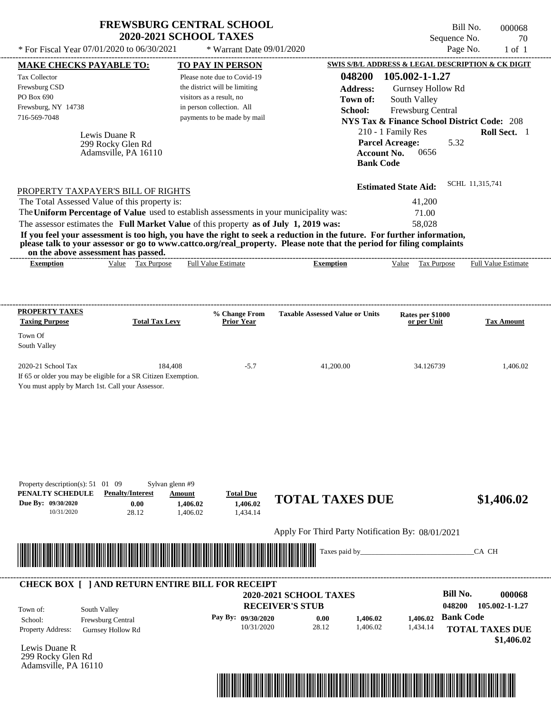|                                                                                           | <b>FREWSBURG CENTRAL SCHOOL</b><br><b>2020-2021 SCHOOL TAXES</b>                                                                                                                                                                                                        |                                                                                                                                                      |                                                                                                                                                                                                                                                  | Sequence No.                                                                                                                                                                                       | Bill No.<br>000068<br>70   |
|-------------------------------------------------------------------------------------------|-------------------------------------------------------------------------------------------------------------------------------------------------------------------------------------------------------------------------------------------------------------------------|------------------------------------------------------------------------------------------------------------------------------------------------------|--------------------------------------------------------------------------------------------------------------------------------------------------------------------------------------------------------------------------------------------------|----------------------------------------------------------------------------------------------------------------------------------------------------------------------------------------------------|----------------------------|
| * For Fiscal Year 07/01/2020 to 06/30/2021                                                |                                                                                                                                                                                                                                                                         | * Warrant Date 09/01/2020                                                                                                                            |                                                                                                                                                                                                                                                  | Page No.                                                                                                                                                                                           | $1$ of $1$                 |
| <b>MAKE CHECKS PAYABLE TO:</b>                                                            |                                                                                                                                                                                                                                                                         | <b>TO PAY IN PERSON</b>                                                                                                                              |                                                                                                                                                                                                                                                  | SWIS S/B/L ADDRESS & LEGAL DESCRIPTION & CK DIGIT                                                                                                                                                  |                            |
| Tax Collector<br>Frewsburg CSD<br>PO Box 690<br>Frewsburg, NY 14738<br>716-569-7048       | Lewis Duane R<br>299 Rocky Glen Rd<br>Adamsville, PA 16110                                                                                                                                                                                                              | Please note due to Covid-19<br>the district will be limiting<br>visitors as a result, no<br>in person collection. All<br>payments to be made by mail | 048200<br><b>Address:</b><br>Town of:<br>School:<br><b>Account No.</b><br><b>Bank Code</b>                                                                                                                                                       | 105.002-1-1.27<br>Gurnsey Hollow Rd<br>South Valley<br>Frewsburg Central<br><b>NYS Tax &amp; Finance School District Code: 208</b><br>210 - 1 Family Res<br><b>Parcel Acreage:</b><br>5.32<br>0656 | Roll Sect. 1               |
| on the above assessment has passed.                                                       | PROPERTY TAXPAYER'S BILL OF RIGHTS<br>The Total Assessed Value of this property is:<br>The Uniform Percentage of Value used to establish assessments in your municipality was:<br>The assessor estimates the Full Market Value of this property as of July 1, 2019 was: |                                                                                                                                                      | If you feel your assessment is too high, you have the right to seek a reduction in the future. For further information,<br>please talk to your assessor or go to www.cattco.org/real_property. Please note that the period for filing complaints | <b>Estimated State Aid:</b><br>41,200<br>71.00<br>58,028                                                                                                                                           | SCHL 11,315,741            |
| <b>Exemption</b>                                                                          | Value Tax Purpose                                                                                                                                                                                                                                                       | <b>Full Value Estimate</b>                                                                                                                           | <b>Exemption</b>                                                                                                                                                                                                                                 | Value Tax Purpose                                                                                                                                                                                  | <b>Full Value Estimate</b> |
| <b>PROPERTY TAXES</b><br><b>Taxing Purpose</b>                                            | <b>Total Tax Levy</b>                                                                                                                                                                                                                                                   | % Change From<br><b>Prior Year</b>                                                                                                                   | <b>Taxable Assessed Value or Units</b>                                                                                                                                                                                                           | Rates per \$1000<br>or per Unit                                                                                                                                                                    | <b>Tax Amount</b>          |
| Town Of<br>South Valley                                                                   |                                                                                                                                                                                                                                                                         |                                                                                                                                                      |                                                                                                                                                                                                                                                  |                                                                                                                                                                                                    |                            |
| 2020-21 School Tax<br>You must apply by March 1st. Call your Assessor.                    | 184,408<br>If 65 or older you may be eligible for a SR Citizen Exemption.                                                                                                                                                                                               | $-5.7$                                                                                                                                               | 41,200.00                                                                                                                                                                                                                                        | 34.126739                                                                                                                                                                                          | 1,406.02                   |
| Property description(s): 51 01 09<br>PENALTY SCHEDULE<br>Due By: 09/30/2020<br>10/31/2020 | Sylvan glenn #9<br><b>Penalty/Interest</b><br>Amount<br>0.00<br>28.12                                                                                                                                                                                                   | <b>Total Due</b><br>1,406.02<br>1.406.02<br>1,406.02<br>1,434.14                                                                                     | <b>TOTAL TAXES DUE</b>                                                                                                                                                                                                                           |                                                                                                                                                                                                    | \$1,406.02                 |
|                                                                                           |                                                                                                                                                                                                                                                                         |                                                                                                                                                      | Apply For Third Party Notification By: 08/01/2021                                                                                                                                                                                                |                                                                                                                                                                                                    |                            |
|                                                                                           |                                                                                                                                                                                                                                                                         |                                                                                                                                                      | Taxes paid by_                                                                                                                                                                                                                                   |                                                                                                                                                                                                    | CA CH                      |
|                                                                                           | <b>CHECK BOX [ ] AND RETURN ENTIRE BILL FOR RECEIPT</b>                                                                                                                                                                                                                 |                                                                                                                                                      |                                                                                                                                                                                                                                                  |                                                                                                                                                                                                    |                            |
|                                                                                           |                                                                                                                                                                                                                                                                         |                                                                                                                                                      | <b>2020-2021 SCHOOL TAXES</b><br><b>RECEIVER'S STUB</b>                                                                                                                                                                                          | <b>Bill No.</b><br>048200                                                                                                                                                                          | 000068<br>105.002-1-1.27   |
| South Valley<br>Town of:<br>School:                                                       | Frewsburg Central                                                                                                                                                                                                                                                       | Pay By: 09/30/2020                                                                                                                                   | 0.00<br>1,406.02                                                                                                                                                                                                                                 | <b>Bank Code</b><br>1.406.02                                                                                                                                                                       |                            |

Property Address: Gurnsey Hollow Rd School: Frewsburg Central

Lewis Duane R 299 Rocky Glen Rd Adamsville, PA 16110



10/31/2020 28.12 1,406.02 **1,406.02**

**Bank Code 1,406.02 TOTAL TAXES DUE** 1,434.14

 **\$1,406.02**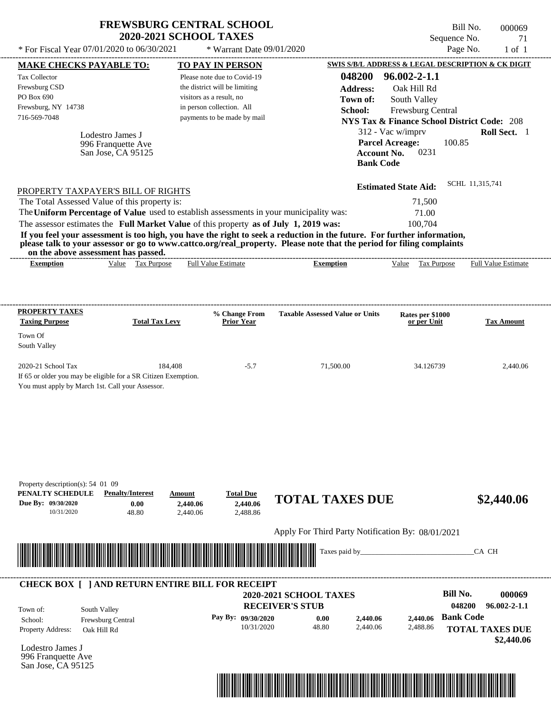|                                                                                                                                                                                                                                                                                                                                                                                  | <b>FREWSBURG CENTRAL SCHOOL</b><br><b>2020-2021 SCHOOL TAXES</b>           |                                              |                                                     |                                                                          | Bill No.<br>Sequence No. | 000069<br>71                  |
|----------------------------------------------------------------------------------------------------------------------------------------------------------------------------------------------------------------------------------------------------------------------------------------------------------------------------------------------------------------------------------|----------------------------------------------------------------------------|----------------------------------------------|-----------------------------------------------------|--------------------------------------------------------------------------|--------------------------|-------------------------------|
| * For Fiscal Year 07/01/2020 to 06/30/2021                                                                                                                                                                                                                                                                                                                                       |                                                                            | * Warrant Date 09/01/2020                    |                                                     |                                                                          | Page No.                 | $1$ of $1$                    |
| <b>MAKE CHECKS PAYABLE TO:</b>                                                                                                                                                                                                                                                                                                                                                   |                                                                            | TO PAY IN PERSON                             |                                                     | SWIS S/B/L ADDRESS & LEGAL DESCRIPTION & CK DIGIT                        |                          |                               |
| <b>Tax Collector</b>                                                                                                                                                                                                                                                                                                                                                             |                                                                            | Please note due to Covid-19                  | 048200                                              | $96.002 - 2 - 1.1$                                                       |                          |                               |
| Frewsburg CSD                                                                                                                                                                                                                                                                                                                                                                    |                                                                            | the district will be limiting                | <b>Address:</b>                                     | Oak Hill Rd                                                              |                          |                               |
| PO Box 690                                                                                                                                                                                                                                                                                                                                                                       |                                                                            | visitors as a result, no                     | Town of:                                            | South Valley                                                             |                          |                               |
| Frewsburg, NY 14738<br>716-569-7048                                                                                                                                                                                                                                                                                                                                              |                                                                            | in person collection. All                    | School:                                             | Frewsburg Central                                                        |                          |                               |
|                                                                                                                                                                                                                                                                                                                                                                                  |                                                                            | payments to be made by mail                  |                                                     | <b>NYS Tax &amp; Finance School District Code: 208</b>                   |                          |                               |
| Lodestro James J                                                                                                                                                                                                                                                                                                                                                                 |                                                                            |                                              |                                                     | 312 - Vac w/imprv                                                        |                          | Roll Sect. 1                  |
| 996 Franquette Ave<br>San Jose, CA 95125                                                                                                                                                                                                                                                                                                                                         |                                                                            |                                              |                                                     | <b>Parcel Acreage:</b><br>0231<br><b>Account No.</b><br><b>Bank Code</b> | 100.85                   |                               |
| PROPERTY TAXPAYER'S BILL OF RIGHTS                                                                                                                                                                                                                                                                                                                                               |                                                                            |                                              |                                                     | <b>Estimated State Aid:</b>                                              | SCHL 11,315,741          |                               |
| The Total Assessed Value of this property is:                                                                                                                                                                                                                                                                                                                                    |                                                                            |                                              |                                                     | 71,500                                                                   |                          |                               |
| The Uniform Percentage of Value used to establish assessments in your municipality was:                                                                                                                                                                                                                                                                                          |                                                                            |                                              |                                                     | 71.00                                                                    |                          |                               |
| The assessor estimates the Full Market Value of this property as of July 1, 2019 was:<br>If you feel your assessment is too high, you have the right to seek a reduction in the future. For further information,<br>please talk to your assessor or go to www.cattco.org/real_property. Please note that the period for filing complaints<br>on the above assessment has passed. |                                                                            |                                              |                                                     | 100,704                                                                  |                          |                               |
| <b>Exemption</b>                                                                                                                                                                                                                                                                                                                                                                 | Value Tax Purpose                                                          | <b>Full Value Estimate</b>                   | <b>Exemption</b>                                    | Value Tax Purpose                                                        |                          | <b>Full Value Estimate</b>    |
| PROPERTY TAXES<br><b>Taxing Purpose</b><br>Town Of<br>South Valley<br>2020-21 School Tax<br>If 65 or older you may be eligible for a SR Citizen Exemption.<br>You must apply by March 1st. Call your Assessor.                                                                                                                                                                   | <b>Total Tax Levy</b><br>184,408                                           | % Change From<br><b>Prior Year</b><br>$-5.7$ | <b>Taxable Assessed Value or Units</b><br>71,500.00 | Rates per \$1000<br>or per Unit<br>34.126739                             |                          | <b>Tax Amount</b><br>2,440.06 |
| Property description(s): 54 01 09<br>PENALTY SCHEDULE<br>Due By: 09/30/2020<br>10/31/2020                                                                                                                                                                                                                                                                                        | <b>Penalty/Interest</b><br>Amount<br>0.00<br>2,440.06<br>48.80<br>2,440.06 | <b>Total Due</b><br>2,440.06<br>2.488.86     | <b>TOTAL TAXES DUE</b>                              |                                                                          |                          | \$2,440.06                    |
|                                                                                                                                                                                                                                                                                                                                                                                  |                                                                            |                                              | Apply For Third Party Notification By: 08/01/2021   |                                                                          |                          |                               |
|                                                                                                                                                                                                                                                                                                                                                                                  |                                                                            |                                              | Taxes paid by_                                      |                                                                          |                          | CA CH                         |
| <b>CHECK BOX [ ] AND RETURN ENTIRE BILL FOR RECEIPT</b>                                                                                                                                                                                                                                                                                                                          |                                                                            |                                              | 2020-2021 SCHOOL TAXES                              |                                                                          | <b>Bill No.</b>          | 000069                        |
|                                                                                                                                                                                                                                                                                                                                                                                  |                                                                            |                                              | <b>RECEIVER'S STUB</b>                              |                                                                          | 048200                   | $96.002 - 2 - 1.1$            |
| South Valley<br>Town of:                                                                                                                                                                                                                                                                                                                                                         |                                                                            | Pay By: 09/30/2020                           |                                                     | 2,440.06                                                                 | <b>Bank Code</b>         |                               |
| Frewsburg Central<br>School:<br>Property Address:<br>Oak Hill Rd                                                                                                                                                                                                                                                                                                                 |                                                                            | 10/31/2020                                   | 0.00<br>48.80                                       | 2,440.06<br>2,440.06<br>2,488.86                                         |                          | <b>TOTAL TAXES DUE</b>        |
|                                                                                                                                                                                                                                                                                                                                                                                  |                                                                            |                                              |                                                     |                                                                          |                          | \$2,440.06                    |
| Lodestro James J                                                                                                                                                                                                                                                                                                                                                                 |                                                                            |                                              |                                                     |                                                                          |                          |                               |



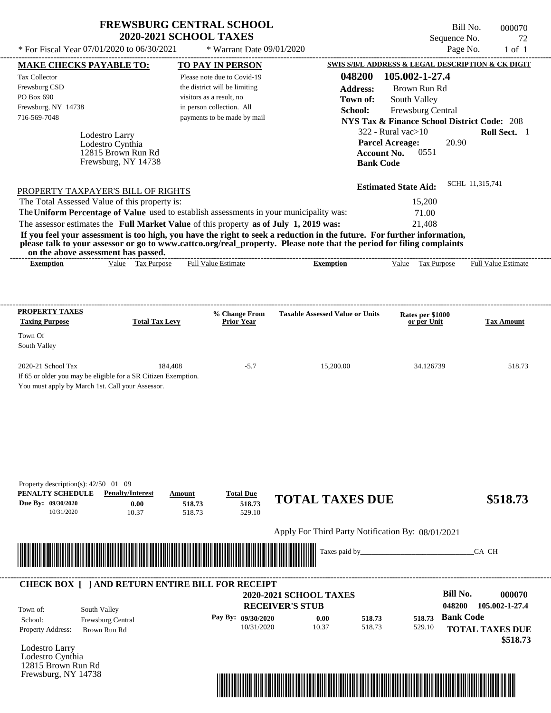| <b>FREWSBURG CENTRAL SCHOOL</b> |
|---------------------------------|
| <b>2020-2021 SCHOOL TAXES</b>   |

Bill No. 000070 Sequence No. 72<br>Page No. 1 of 1

| <b>Tax Collector</b>                                                                                                                                                                                                                                                                                                                         | <b>MAKE CHECKS PAYABLE TO:</b>     |                       |        | <b>TO PAY IN PERSON</b>            |                                                                                                                         |                    |                                                        |                  | SWIS S/B/L ADDRESS & LEGAL DESCRIPTION & CK DIGIT |
|----------------------------------------------------------------------------------------------------------------------------------------------------------------------------------------------------------------------------------------------------------------------------------------------------------------------------------------------|------------------------------------|-----------------------|--------|------------------------------------|-------------------------------------------------------------------------------------------------------------------------|--------------------|--------------------------------------------------------|------------------|---------------------------------------------------|
|                                                                                                                                                                                                                                                                                                                                              |                                    |                       |        | Please note due to Covid-19        |                                                                                                                         | 048200             | 105.002-1-27.4                                         |                  |                                                   |
| Frewsburg CSD                                                                                                                                                                                                                                                                                                                                |                                    |                       |        | the district will be limiting      |                                                                                                                         | <b>Address:</b>    | Brown Run Rd                                           |                  |                                                   |
| PO Box 690                                                                                                                                                                                                                                                                                                                                   |                                    |                       |        | visitors as a result, no           |                                                                                                                         | Town of:           | South Valley                                           |                  |                                                   |
| Frewsburg, NY 14738                                                                                                                                                                                                                                                                                                                          |                                    |                       |        | in person collection. All          |                                                                                                                         | School:            | Frewsburg Central                                      |                  |                                                   |
| 716-569-7048                                                                                                                                                                                                                                                                                                                                 |                                    |                       |        | payments to be made by mail        |                                                                                                                         |                    | <b>NYS Tax &amp; Finance School District Code: 208</b> |                  |                                                   |
|                                                                                                                                                                                                                                                                                                                                              |                                    |                       |        |                                    |                                                                                                                         |                    | $322$ - Rural vac $>10$                                |                  | Roll Sect. 1                                      |
|                                                                                                                                                                                                                                                                                                                                              | Lodestro Larry<br>Lodestro Cynthia |                       |        |                                    |                                                                                                                         |                    | <b>Parcel Acreage:</b>                                 | 20.90            |                                                   |
|                                                                                                                                                                                                                                                                                                                                              | 12815 Brown Run Rd                 |                       |        |                                    |                                                                                                                         | <b>Account No.</b> | 0551                                                   |                  |                                                   |
|                                                                                                                                                                                                                                                                                                                                              | Frewsburg, NY 14738                |                       |        |                                    |                                                                                                                         | <b>Bank Code</b>   |                                                        |                  |                                                   |
|                                                                                                                                                                                                                                                                                                                                              |                                    |                       |        |                                    |                                                                                                                         |                    |                                                        |                  |                                                   |
| PROPERTY TAXPAYER'S BILL OF RIGHTS                                                                                                                                                                                                                                                                                                           |                                    |                       |        |                                    |                                                                                                                         |                    | <b>Estimated State Aid:</b>                            |                  | SCHL 11,315,741                                   |
| The Total Assessed Value of this property is:                                                                                                                                                                                                                                                                                                |                                    |                       |        |                                    |                                                                                                                         |                    | 15,200                                                 |                  |                                                   |
|                                                                                                                                                                                                                                                                                                                                              |                                    |                       |        |                                    | The Uniform Percentage of Value used to establish assessments in your municipality was:                                 |                    | 71.00                                                  |                  |                                                   |
|                                                                                                                                                                                                                                                                                                                                              |                                    |                       |        |                                    | The assessor estimates the Full Market Value of this property as of July 1, 2019 was:                                   |                    | 21,408                                                 |                  |                                                   |
|                                                                                                                                                                                                                                                                                                                                              |                                    |                       |        |                                    | If you feel your assessment is too high, you have the right to seek a reduction in the future. For further information, |                    |                                                        |                  |                                                   |
|                                                                                                                                                                                                                                                                                                                                              |                                    |                       |        |                                    | please talk to your assessor or go to www.cattco.org/real_property. Please note that the period for filing complaints   |                    |                                                        |                  |                                                   |
| on the above assessment has passed.<br><b>Exemption</b>                                                                                                                                                                                                                                                                                      |                                    | Value Tax Purpose     |        | <b>Full Value Estimate</b>         | <b>Exemption</b>                                                                                                        |                    | Value Tax Purpose Full Value Estimate                  |                  |                                                   |
|                                                                                                                                                                                                                                                                                                                                              |                                    |                       |        |                                    |                                                                                                                         |                    |                                                        |                  |                                                   |
|                                                                                                                                                                                                                                                                                                                                              |                                    |                       |        |                                    |                                                                                                                         |                    |                                                        |                  |                                                   |
|                                                                                                                                                                                                                                                                                                                                              |                                    |                       |        |                                    |                                                                                                                         |                    |                                                        |                  |                                                   |
| PROPERTY TAXES<br><b>Taxing Purpose</b>                                                                                                                                                                                                                                                                                                      |                                    | <b>Total Tax Levy</b> |        | % Change From<br><b>Prior Year</b> | <b>Taxable Assessed Value or Units</b>                                                                                  |                    | Rates per \$1000<br>or per Unit                        |                  | <b>Tax Amount</b>                                 |
| Town Of                                                                                                                                                                                                                                                                                                                                      |                                    |                       |        |                                    |                                                                                                                         |                    |                                                        |                  |                                                   |
| South Valley                                                                                                                                                                                                                                                                                                                                 |                                    |                       |        |                                    |                                                                                                                         |                    |                                                        |                  |                                                   |
|                                                                                                                                                                                                                                                                                                                                              |                                    |                       |        |                                    |                                                                                                                         |                    |                                                        |                  |                                                   |
| 2020-21 School Tax                                                                                                                                                                                                                                                                                                                           |                                    | 184,408               |        | $-5.7$                             | 15,200.00                                                                                                               |                    | 34.126739                                              |                  | 518.73                                            |
| If 65 or older you may be eligible for a SR Citizen Exemption.                                                                                                                                                                                                                                                                               |                                    |                       |        |                                    |                                                                                                                         |                    |                                                        |                  |                                                   |
| You must apply by March 1st. Call your Assessor.                                                                                                                                                                                                                                                                                             |                                    |                       |        |                                    |                                                                                                                         |                    |                                                        |                  |                                                   |
|                                                                                                                                                                                                                                                                                                                                              |                                    |                       |        |                                    |                                                                                                                         |                    |                                                        |                  |                                                   |
|                                                                                                                                                                                                                                                                                                                                              |                                    |                       |        |                                    |                                                                                                                         |                    |                                                        |                  |                                                   |
|                                                                                                                                                                                                                                                                                                                                              |                                    |                       |        |                                    |                                                                                                                         |                    |                                                        |                  |                                                   |
|                                                                                                                                                                                                                                                                                                                                              |                                    |                       |        |                                    |                                                                                                                         |                    |                                                        |                  |                                                   |
|                                                                                                                                                                                                                                                                                                                                              |                                    |                       |        |                                    |                                                                                                                         |                    |                                                        |                  |                                                   |
|                                                                                                                                                                                                                                                                                                                                              |                                    |                       |        |                                    |                                                                                                                         |                    |                                                        |                  |                                                   |
|                                                                                                                                                                                                                                                                                                                                              |                                    |                       |        |                                    |                                                                                                                         |                    |                                                        |                  |                                                   |
|                                                                                                                                                                                                                                                                                                                                              |                                    |                       |        |                                    |                                                                                                                         |                    |                                                        |                  |                                                   |
|                                                                                                                                                                                                                                                                                                                                              |                                    |                       |        |                                    |                                                                                                                         |                    |                                                        |                  |                                                   |
| Property description(s): $42/50$ 01 09<br>PENALTY SCHEDULE                                                                                                                                                                                                                                                                                   | <b>Penalty/Interest</b>            |                       | Amount | <b>Total Due</b>                   |                                                                                                                         |                    |                                                        |                  |                                                   |
|                                                                                                                                                                                                                                                                                                                                              |                                    | 0.00                  | 518.73 | 518.73                             | <b>TOTAL TAXES DUE</b>                                                                                                  |                    |                                                        |                  | \$518.73                                          |
| 10/31/2020                                                                                                                                                                                                                                                                                                                                   |                                    | 10.37                 | 518.73 | 529.10                             |                                                                                                                         |                    |                                                        |                  |                                                   |
|                                                                                                                                                                                                                                                                                                                                              |                                    |                       |        |                                    |                                                                                                                         |                    |                                                        |                  |                                                   |
|                                                                                                                                                                                                                                                                                                                                              |                                    |                       |        |                                    | Apply For Third Party Notification By: 08/01/2021                                                                       |                    |                                                        |                  |                                                   |
|                                                                                                                                                                                                                                                                                                                                              |                                    |                       |        |                                    | Taxes paid by_                                                                                                          |                    |                                                        |                  | CA CH                                             |
|                                                                                                                                                                                                                                                                                                                                              |                                    |                       |        |                                    |                                                                                                                         |                    |                                                        |                  |                                                   |
|                                                                                                                                                                                                                                                                                                                                              |                                    |                       |        |                                    |                                                                                                                         |                    |                                                        |                  |                                                   |
|                                                                                                                                                                                                                                                                                                                                              |                                    |                       |        |                                    |                                                                                                                         |                    |                                                        |                  |                                                   |
|                                                                                                                                                                                                                                                                                                                                              |                                    |                       |        |                                    | <b>2020-2021 SCHOOL TAXES</b>                                                                                           |                    |                                                        | <b>Bill No.</b>  | 000070                                            |
|                                                                                                                                                                                                                                                                                                                                              | South Valley                       |                       |        |                                    | <b>RECEIVER'S STUB</b>                                                                                                  |                    |                                                        | 048200           |                                                   |
| Due By: 09/30/2020<br><u> Harry Harry Harry Harry Harry Harry Harry Harry Harry Harry Harry Harry Harry Harry Harry Harry Harry Harry Harry Harry Harry Harry Harry Harry Harry Harry Harry Harry Harry Harry Harry Harry Harry Harry Harry Harry Harr</u><br><b>CHECK BOX [ ] AND RETURN ENTIRE BILL FOR RECEIPT</b><br>Town of:<br>School: | Frewsburg Central                  |                       |        | Pay By: 09/30/2020                 | 0.00                                                                                                                    | 518.73             | 518.73                                                 | <b>Bank Code</b> |                                                   |
|                                                                                                                                                                                                                                                                                                                                              | Brown Run Rd                       |                       |        | 10/31/2020                         | 10.37                                                                                                                   | 518.73             | 529.10                                                 |                  |                                                   |
|                                                                                                                                                                                                                                                                                                                                              |                                    |                       |        |                                    |                                                                                                                         |                    |                                                        |                  | 105.002-1-27.4                                    |
|                                                                                                                                                                                                                                                                                                                                              |                                    |                       |        |                                    |                                                                                                                         |                    |                                                        |                  |                                                   |
| Property Address:<br>Lodestro Larry<br>Lodestro Cynthia<br>12815 Brown Run Rd                                                                                                                                                                                                                                                                |                                    |                       |        |                                    |                                                                                                                         |                    |                                                        |                  | <b>TOTAL TAXES DUE</b><br>\$518.73                |
|                                                                                                                                                                                                                                                                                                                                              |                                    |                       |        |                                    |                                                                                                                         |                    |                                                        |                  |                                                   |

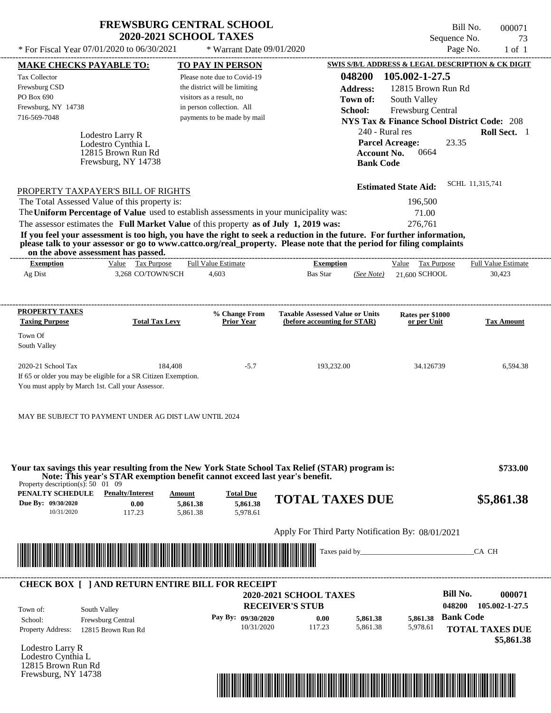| <b>FREWSBURG CENTRAL SCHOOL</b> |
|---------------------------------|
| <b>2020-2021 SCHOOL TAXES</b>   |

 $*$  Warrant Date 09/01/2020

Bill No. 000071 Sequence No. 73<br>Page No. 1 of 1

| <b>MAKE CHECKS PAYABLE TO:</b>                                  |                                                                                                                                                                                                                                                                                         | <b>TO PAY IN PERSON</b>        |                                          |                                                                        |                            | <b>SWIS S/B/L ADDRESS &amp; LEGAL DESCRIPTION &amp; CK DIGIT</b> |                  |                            |
|-----------------------------------------------------------------|-----------------------------------------------------------------------------------------------------------------------------------------------------------------------------------------------------------------------------------------------------------------------------------------|--------------------------------|------------------------------------------|------------------------------------------------------------------------|----------------------------|------------------------------------------------------------------|------------------|----------------------------|
| <b>Tax Collector</b>                                            |                                                                                                                                                                                                                                                                                         | Please note due to Covid-19    |                                          |                                                                        | 048200                     | 105.002-1-27.5                                                   |                  |                            |
| Frewsburg CSD                                                   |                                                                                                                                                                                                                                                                                         | the district will be limiting  |                                          |                                                                        | <b>Address:</b>            | 12815 Brown Run Rd                                               |                  |                            |
| PO Box 690                                                      |                                                                                                                                                                                                                                                                                         | visitors as a result, no       |                                          |                                                                        | Town of:                   | South Valley                                                     |                  |                            |
| Frewsburg, NY 14738                                             |                                                                                                                                                                                                                                                                                         | in person collection. All      |                                          |                                                                        | School:                    | Frewsburg Central                                                |                  |                            |
| 716-569-7048                                                    |                                                                                                                                                                                                                                                                                         | payments to be made by mail    |                                          |                                                                        |                            | <b>NYS Tax &amp; Finance School District Code: 208</b>           |                  |                            |
|                                                                 |                                                                                                                                                                                                                                                                                         |                                |                                          |                                                                        |                            | 240 - Rural res                                                  |                  | Roll Sect. 1               |
|                                                                 | Lodestro Larry R                                                                                                                                                                                                                                                                        |                                |                                          |                                                                        |                            | <b>Parcel Acreage:</b>                                           | 23.35            |                            |
| Lodestro Cynthia L<br>12815 Brown Run Rd<br>Frewsburg, NY 14738 |                                                                                                                                                                                                                                                                                         |                                |                                          |                                                                        | 0664<br><b>Account No.</b> |                                                                  |                  |                            |
|                                                                 |                                                                                                                                                                                                                                                                                         |                                |                                          | <b>Bank Code</b>                                                       |                            |                                                                  |                  |                            |
|                                                                 |                                                                                                                                                                                                                                                                                         |                                |                                          |                                                                        |                            |                                                                  |                  |                            |
|                                                                 | PROPERTY TAXPAYER'S BILL OF RIGHTS                                                                                                                                                                                                                                                      |                                |                                          |                                                                        |                            | <b>Estimated State Aid:</b>                                      |                  | SCHL 11,315,741            |
|                                                                 | The Total Assessed Value of this property is:                                                                                                                                                                                                                                           |                                |                                          |                                                                        |                            | 196,500                                                          |                  |                            |
|                                                                 | The Uniform Percentage of Value used to establish assessments in your municipality was:                                                                                                                                                                                                 |                                |                                          |                                                                        |                            | 71.00                                                            |                  |                            |
|                                                                 | The assessor estimates the Full Market Value of this property as of July 1, 2019 was:                                                                                                                                                                                                   |                                |                                          |                                                                        |                            | 276,761                                                          |                  |                            |
|                                                                 | If you feel your assessment is too high, you have the right to seek a reduction in the future. For further information,<br>please talk to your assessor or go to www.cattco.org/real_property. Please note that the period for filing complaints<br>on the above assessment has passed. |                                |                                          |                                                                        |                            |                                                                  |                  |                            |
| <b>Exemption</b>                                                | Value Tax Purpose                                                                                                                                                                                                                                                                       | <b>Full Value Estimate</b>     |                                          | <b>Exemption</b>                                                       |                            | Value Tax Purpose                                                |                  | <b>Full Value Estimate</b> |
| Ag Dist                                                         | 3,268 CO/TOWN/SCH                                                                                                                                                                                                                                                                       | 4,603                          |                                          | Bas Star                                                               |                            | $(See Note) 21.600$ SCHOOL                                       |                  | 30,423                     |
| <b>PROPERTY TAXES</b><br><b>Taxing Purpose</b><br>Town Of       | <b>Total Tax Levy</b>                                                                                                                                                                                                                                                                   |                                | % Change From<br><b>Prior Year</b>       | <b>Taxable Assessed Value or Units</b><br>(before accounting for STAR) |                            | Rates per \$1000<br>or per Unit                                  |                  | <b>Tax Amount</b>          |
| South Valley<br>2020-21 School Tax                              |                                                                                                                                                                                                                                                                                         | 184,408                        | $-5.7$                                   | 193,232.00                                                             |                            | 34.126739                                                        |                  | 6,594.38                   |
|                                                                 | If 65 or older you may be eligible for a SR Citizen Exemption.<br>You must apply by March 1st. Call your Assessor.                                                                                                                                                                      |                                |                                          |                                                                        |                            |                                                                  |                  |                            |
|                                                                 | MAY BE SUBJECT TO PAYMENT UNDER AG DIST LAW UNTIL 2024                                                                                                                                                                                                                                  |                                |                                          |                                                                        |                            |                                                                  |                  |                            |
| Property description(s): $50 \quad 01 \quad 09$                 | Your tax savings this year resulting from the New York State School Tax Relief (STAR) program is:<br>Note: This year's STAR exemption benefit cannot exceed last year's benefit.                                                                                                        |                                |                                          |                                                                        |                            |                                                                  |                  | \$733.00                   |
| PENALTY SCHEDULE<br>Due By: 09/30/2020<br>10/31/2020            | <b>Penalty/Interest</b><br>0.00<br>117.23                                                                                                                                                                                                                                               | Amount<br>5,861.38<br>5,861.38 | <b>Total Due</b><br>5,861.38<br>5,978.61 | <b>TOTAL TAXES DUE</b>                                                 |                            |                                                                  |                  | \$5,861.38                 |
|                                                                 |                                                                                                                                                                                                                                                                                         |                                |                                          | Apply For Third Party Notification By: 08/01/2021                      |                            |                                                                  |                  |                            |
|                                                                 |                                                                                                                                                                                                                                                                                         |                                |                                          |                                                                        |                            |                                                                  |                  |                            |
|                                                                 | <u> Indian American State of Barbara and The Barbara and The Barbara and The Barbara and The Barbara and The Barbara and The Barbara and The Barbara and The Barbara and The Barbara and The Barbara and The Barbara and The Bar</u>                                                    |                                |                                          |                                                                        | Taxes paid by_             |                                                                  |                  | CA CH                      |
|                                                                 | <b>CHECK BOX [ ] AND RETURN ENTIRE BILL FOR RECEIPT</b>                                                                                                                                                                                                                                 |                                |                                          |                                                                        |                            |                                                                  |                  |                            |
|                                                                 |                                                                                                                                                                                                                                                                                         |                                |                                          | <b>2020-2021 SCHOOL TAXES</b>                                          |                            |                                                                  | <b>Bill No.</b>  | 000071                     |
| Town of:                                                        | South Valley                                                                                                                                                                                                                                                                            |                                |                                          | <b>RECEIVER'S STUB</b>                                                 |                            |                                                                  | 048200           | 105.002-1-27.5             |
| School:                                                         | Frewsburg Central                                                                                                                                                                                                                                                                       |                                | Pay By: 09/30/2020                       | 0.00                                                                   | 5,861.38                   | 5,861.38                                                         | <b>Bank Code</b> |                            |
| <b>Property Address:</b>                                        | 12815 Brown Run Rd                                                                                                                                                                                                                                                                      |                                | 10/31/2020                               | 117.23                                                                 | 5,861.38                   | 5,978.61                                                         |                  | <b>TOTAL TAXES DUE</b>     |
|                                                                 |                                                                                                                                                                                                                                                                                         |                                |                                          |                                                                        |                            |                                                                  |                  | \$5,861.38                 |
| Lodestro Larry R                                                |                                                                                                                                                                                                                                                                                         |                                |                                          |                                                                        |                            |                                                                  |                  |                            |
| Lodestro Cynthia L                                              |                                                                                                                                                                                                                                                                                         |                                |                                          |                                                                        |                            |                                                                  |                  |                            |
| 12815 Brown Run Rd<br>Frewsburg, NY 14738                       |                                                                                                                                                                                                                                                                                         |                                |                                          |                                                                        |                            |                                                                  |                  |                            |
|                                                                 |                                                                                                                                                                                                                                                                                         |                                |                                          |                                                                        |                            |                                                                  |                  |                            |

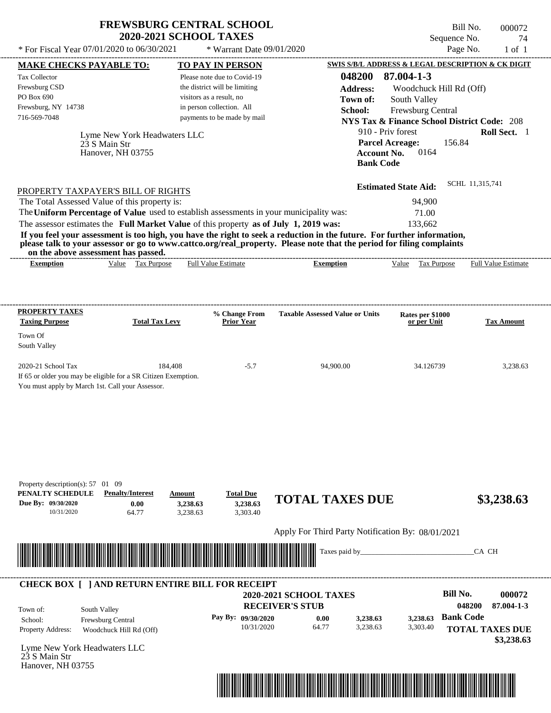| <b>FREWSBURG CENTRAL SCHOOL</b> |  |
|---------------------------------|--|
| <b>2020-2021 SCHOOL TAXES</b>   |  |

Bill No. 000072 Sequence No. 74

| * For Fiscal Year 07/01/2020 to 06/30/2021                                                                                                                                                                                                       | * Warrant Date 09/01/2020                                 |                                                   |                                                                             | Page No.<br>$1$ of $1$     |
|--------------------------------------------------------------------------------------------------------------------------------------------------------------------------------------------------------------------------------------------------|-----------------------------------------------------------|---------------------------------------------------|-----------------------------------------------------------------------------|----------------------------|
| <b>MAKE CHECKS PAYABLE TO:</b>                                                                                                                                                                                                                   | <b>TO PAY IN PERSON</b>                                   |                                                   | SWIS S/B/L ADDRESS & LEGAL DESCRIPTION & CK DIGIT                           |                            |
| Tax Collector                                                                                                                                                                                                                                    | Please note due to Covid-19                               | 048200                                            | 87.004-1-3                                                                  |                            |
| Frewsburg CSD<br>PO Box 690                                                                                                                                                                                                                      | the district will be limiting<br>visitors as a result, no | <b>Address:</b>                                   | Woodchuck Hill Rd (Off)                                                     |                            |
| Frewsburg, NY 14738                                                                                                                                                                                                                              | in person collection. All                                 | Town of:<br>School:                               | South Valley                                                                |                            |
| 716-569-7048                                                                                                                                                                                                                                     | payments to be made by mail                               |                                                   | Frewsburg Central<br><b>NYS Tax &amp; Finance School District Code: 208</b> |                            |
| Lyme New York Headwaters LLC                                                                                                                                                                                                                     |                                                           |                                                   | 910 - Priv forest                                                           | Roll Sect. 1               |
| 23 S Main Str                                                                                                                                                                                                                                    |                                                           |                                                   | <b>Parcel Acreage:</b><br>156.84                                            |                            |
| Hanover, NH 03755                                                                                                                                                                                                                                |                                                           | <b>Bank Code</b>                                  | 0164<br><b>Account No.</b>                                                  |                            |
|                                                                                                                                                                                                                                                  |                                                           |                                                   |                                                                             |                            |
| PROPERTY TAXPAYER'S BILL OF RIGHTS                                                                                                                                                                                                               |                                                           |                                                   | <b>Estimated State Aid:</b>                                                 | SCHL 11,315,741            |
| The Total Assessed Value of this property is:                                                                                                                                                                                                    |                                                           |                                                   | 94,900                                                                      |                            |
| The Uniform Percentage of Value used to establish assessments in your municipality was:                                                                                                                                                          |                                                           |                                                   | 71.00                                                                       |                            |
| The assessor estimates the Full Market Value of this property as of July 1, 2019 was:                                                                                                                                                            |                                                           |                                                   | 133,662                                                                     |                            |
| If you feel your assessment is too high, you have the right to seek a reduction in the future. For further information,<br>please talk to your assessor or go to www.cattco.org/real_property. Please note that the period for filing complaints |                                                           |                                                   |                                                                             |                            |
| on the above assessment has passed.<br>Value Tax Purpose<br><b>Exemption</b>                                                                                                                                                                     | <b>Full Value Estimate</b>                                | <b>Exemption</b>                                  | Value Tax Purpose                                                           | <b>Full Value Estimate</b> |
|                                                                                                                                                                                                                                                  |                                                           |                                                   |                                                                             |                            |
|                                                                                                                                                                                                                                                  |                                                           |                                                   |                                                                             |                            |
| <b>PROPERTY TAXES</b>                                                                                                                                                                                                                            | % Change From                                             | <b>Taxable Assessed Value or Units</b>            | Rates per \$1000                                                            |                            |
| <b>Taxing Purpose</b><br><b>Total Tax Levy</b>                                                                                                                                                                                                   | <b>Prior Year</b>                                         |                                                   | or per Unit                                                                 | <b>Tax Amount</b>          |
| Town Of<br>South Valley                                                                                                                                                                                                                          |                                                           |                                                   |                                                                             |                            |
| 2020-21 School Tax                                                                                                                                                                                                                               | 184,408<br>$-5.7$                                         | 94,900.00                                         | 34.126739                                                                   | 3,238.63                   |
| If 65 or older you may be eligible for a SR Citizen Exemption.                                                                                                                                                                                   |                                                           |                                                   |                                                                             |                            |
| You must apply by March 1st. Call your Assessor.                                                                                                                                                                                                 |                                                           |                                                   |                                                                             |                            |
|                                                                                                                                                                                                                                                  |                                                           |                                                   |                                                                             |                            |
|                                                                                                                                                                                                                                                  |                                                           |                                                   |                                                                             |                            |
|                                                                                                                                                                                                                                                  |                                                           |                                                   |                                                                             |                            |
|                                                                                                                                                                                                                                                  |                                                           |                                                   |                                                                             |                            |
|                                                                                                                                                                                                                                                  |                                                           |                                                   |                                                                             |                            |
| Property description(s): 57 01 09                                                                                                                                                                                                                |                                                           |                                                   |                                                                             |                            |
| PENALTY SCHEDULE<br><b>Penalty/Interest</b>                                                                                                                                                                                                      | <b>Total Due</b><br>Amount                                | <b>TOTAL TAXES DUE</b>                            |                                                                             | \$3,238.63                 |
| Due By: 09/30/2020<br>0.00<br>10/31/2020<br>64.77                                                                                                                                                                                                | 3,238.63<br>3,238.63<br>3,303.40<br>3,238.63              |                                                   |                                                                             |                            |
|                                                                                                                                                                                                                                                  |                                                           | Apply For Third Party Notification By: 08/01/2021 |                                                                             |                            |
|                                                                                                                                                                                                                                                  |                                                           | Taxes paid by_                                    |                                                                             | CA CH                      |
|                                                                                                                                                                                                                                                  |                                                           |                                                   |                                                                             |                            |
|                                                                                                                                                                                                                                                  |                                                           |                                                   |                                                                             |                            |
| <b>CHECK BOX [ ] AND RETURN ENTIRE BILL FOR RECEIPT</b>                                                                                                                                                                                          |                                                           | 2020-2021 SCHOOL TAXES                            |                                                                             | <b>Bill No.</b><br>000072  |
| South Valley<br>Town of:                                                                                                                                                                                                                         |                                                           | <b>RECEIVER'S STUB</b>                            |                                                                             | 048200<br>87.004-1-3       |
| Frewsburg Central<br>School:                                                                                                                                                                                                                     | Pay By: 09/30/2020                                        | 0.00<br>3,238.63                                  | 3,238.63                                                                    | <b>Bank Code</b>           |
| Property Address:<br>Woodchuck Hill Rd (Off)                                                                                                                                                                                                     | 10/31/2020                                                | 64.77<br>3,238.63                                 | 3,303.40                                                                    | <b>TOTAL TAXES DUE</b>     |
| Lyme New York Headwaters LLC                                                                                                                                                                                                                     |                                                           |                                                   |                                                                             | \$3,238.63                 |
| 23 S Main Str                                                                                                                                                                                                                                    |                                                           |                                                   |                                                                             |                            |
| Hanover, NH 03755                                                                                                                                                                                                                                |                                                           |                                                   |                                                                             |                            |
|                                                                                                                                                                                                                                                  |                                                           |                                                   |                                                                             |                            |
|                                                                                                                                                                                                                                                  |                                                           |                                                   |                                                                             |                            |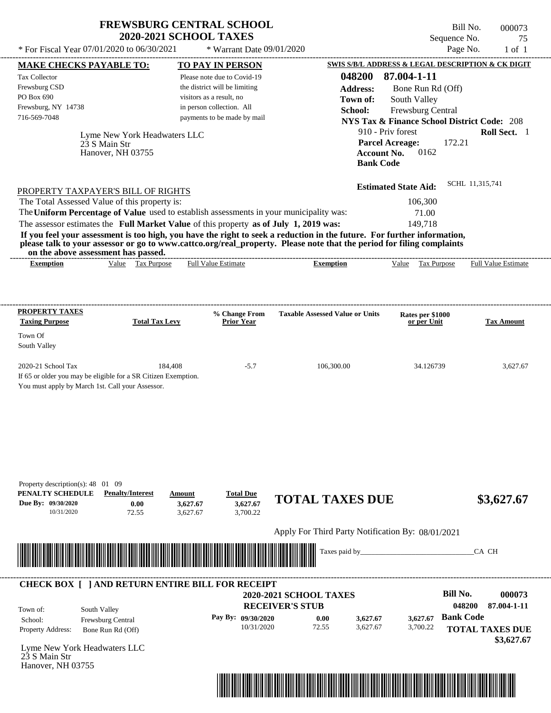| <b>FREWSBURG CENTRAL SCHOOL</b> |  |
|---------------------------------|--|
| <b>2020-2021 SCHOOL TAXES</b>   |  |

Bill No. 000073 Sequence No. 75<br>Page No. 1 of 1

| * For Fiscal Year 07/01/2020 to 06/30/2021                                                                                                                                                                                                                                                                                                                                       | * Warrant Date 09/01/2020                                                  |                                                               |                                                                                    | Page No.<br>$1$ of $1$     |
|----------------------------------------------------------------------------------------------------------------------------------------------------------------------------------------------------------------------------------------------------------------------------------------------------------------------------------------------------------------------------------|----------------------------------------------------------------------------|---------------------------------------------------------------|------------------------------------------------------------------------------------|----------------------------|
| <b>MAKE CHECKS PAYABLE TO:</b>                                                                                                                                                                                                                                                                                                                                                   | <b>TO PAY IN PERSON</b>                                                    |                                                               | <b>SWIS S/B/L ADDRESS &amp; LEGAL DESCRIPTION &amp; CK DIGIT</b>                   |                            |
| Tax Collector                                                                                                                                                                                                                                                                                                                                                                    | Please note due to Covid-19                                                | 048200                                                        | 87.004-1-11                                                                        |                            |
| Frewsburg CSD<br>PO Box 690                                                                                                                                                                                                                                                                                                                                                      | the district will be limiting                                              | <b>Address:</b>                                               | Bone Run Rd (Off)                                                                  |                            |
| Frewsburg, NY 14738                                                                                                                                                                                                                                                                                                                                                              | visitors as a result, no<br>in person collection. All                      | Town of:                                                      | South Valley                                                                       |                            |
| 716-569-7048                                                                                                                                                                                                                                                                                                                                                                     | payments to be made by mail                                                | School:                                                       | Frewsburg Central                                                                  |                            |
|                                                                                                                                                                                                                                                                                                                                                                                  |                                                                            |                                                               | <b>NYS Tax &amp; Finance School District Code: 208</b><br>910 - Priv forest        | Roll Sect. 1               |
| Lyme New York Headwaters LLC<br>23 S Main Str<br>Hanover, NH 03755                                                                                                                                                                                                                                                                                                               |                                                                            |                                                               | <b>Parcel Acreage:</b><br>172.21<br>0162<br><b>Account No.</b><br><b>Bank Code</b> |                            |
| PROPERTY TAXPAYER'S BILL OF RIGHTS                                                                                                                                                                                                                                                                                                                                               |                                                                            |                                                               | <b>Estimated State Aid:</b>                                                        | SCHL 11,315,741            |
| The Total Assessed Value of this property is:                                                                                                                                                                                                                                                                                                                                    |                                                                            |                                                               | 106,300                                                                            |                            |
| The Uniform Percentage of Value used to establish assessments in your municipality was:                                                                                                                                                                                                                                                                                          |                                                                            |                                                               | 71.00                                                                              |                            |
| The assessor estimates the Full Market Value of this property as of July 1, 2019 was:<br>If you feel your assessment is too high, you have the right to seek a reduction in the future. For further information,<br>please talk to your assessor or go to www.cattco.org/real_property. Please note that the period for filing complaints<br>on the above assessment has passed. |                                                                            |                                                               | 149.718                                                                            |                            |
| Value Tax Purpose<br><b>Exemption</b>                                                                                                                                                                                                                                                                                                                                            | <b>Full Value Estimate</b>                                                 | <b>Exemption</b>                                              | Value Tax Purpose                                                                  | <b>Full Value Estimate</b> |
| PROPERTY TAXES                                                                                                                                                                                                                                                                                                                                                                   | % Change From                                                              | <b>Taxable Assessed Value or Units</b>                        | Rates per \$1000                                                                   |                            |
| <b>Taxing Purpose</b><br><b>Total Tax Levy</b>                                                                                                                                                                                                                                                                                                                                   | <b>Prior Year</b>                                                          |                                                               | or per Unit                                                                        | <b>Tax Amount</b>          |
| Town Of<br>South Valley                                                                                                                                                                                                                                                                                                                                                          |                                                                            |                                                               |                                                                                    |                            |
| 2020-21 School Tax<br>If 65 or older you may be eligible for a SR Citizen Exemption.<br>You must apply by March 1st. Call your Assessor.                                                                                                                                                                                                                                         | 184,408<br>$-5.7$                                                          | 106,300.00                                                    | 34.126739                                                                          | 3,627.67                   |
| Property description(s): 48 01 09<br>PENALTY SCHEDULE<br><b>Penalty/Interest</b><br>Due By: 09/30/2020<br>0.00<br>10/31/2020<br>72.55                                                                                                                                                                                                                                            | <b>Total Due</b><br>Amount<br>3,627.67<br>3,627.67<br>3,700.22<br>3,627.67 | <b>TOTAL TAXES DUE</b>                                        |                                                                                    | \$3,627.67                 |
|                                                                                                                                                                                                                                                                                                                                                                                  |                                                                            | Apply For Third Party Notification By: 08/01/2021             |                                                                                    |                            |
| <u> Harry Harry Harry Harry Harry Harry Harry Harry Harry Harry Harry Harry Harry Harry Harry Harry Harry Harry H</u>                                                                                                                                                                                                                                                            |                                                                            | Taxes paid by_                                                |                                                                                    | CA CH                      |
| <b>CHECK BOX [ ] AND RETURN ENTIRE BILL FOR RECEIPT</b>                                                                                                                                                                                                                                                                                                                          |                                                                            | 2020-2021 SCHOOL TAXES                                        | <b>Bill No.</b>                                                                    | 000073                     |
|                                                                                                                                                                                                                                                                                                                                                                                  |                                                                            | <b>RECEIVER'S STUB</b>                                        |                                                                                    | 048200<br>87.004-1-11      |
| South Valley<br>Town of:<br>Frewsburg Central<br>School:                                                                                                                                                                                                                                                                                                                         | Pay By: 09/30/2020                                                         | 0.00<br>3,627.67                                              | 3,627.67                                                                           | <b>Bank Code</b>           |
| Property Address:<br>Bone Run Rd (Off)                                                                                                                                                                                                                                                                                                                                           | 10/31/2020                                                                 | 72.55<br>3,627.67                                             | 3,700.22                                                                           | <b>TOTAL TAXES DUE</b>     |
| Lyme New York Headwaters LLC<br>23 S Main Str<br>Hanover, NH 03755                                                                                                                                                                                                                                                                                                               |                                                                            |                                                               |                                                                                    | \$3,627.67                 |
|                                                                                                                                                                                                                                                                                                                                                                                  |                                                                            |                                                               |                                                                                    |                            |
|                                                                                                                                                                                                                                                                                                                                                                                  |                                                                            | <u> 1989 - Andrea Stadt British, fransk politik (d. 1989)</u> |                                                                                    |                            |
|                                                                                                                                                                                                                                                                                                                                                                                  |                                                                            |                                                               |                                                                                    |                            |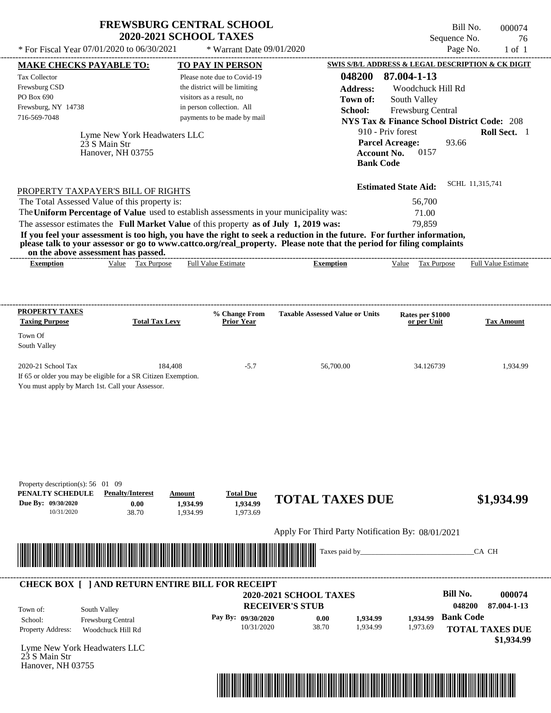| <b>FREWSBURG CENTRAL SCHOOL</b> |
|---------------------------------|
| <b>2020-2021 SCHOOL TAXES</b>   |

Bill No. 000074 Sequence No. 76<br>Page No. 1 of 1

| * For Fiscal Year 07/01/2020 to 06/30/2021                                                                                                                                                                                           |                       | * Warrant Date 09/01/2020                                    |                                                                                                                      |                                                        | Page No.               | $1$ of $1$          |
|--------------------------------------------------------------------------------------------------------------------------------------------------------------------------------------------------------------------------------------|-----------------------|--------------------------------------------------------------|----------------------------------------------------------------------------------------------------------------------|--------------------------------------------------------|------------------------|---------------------|
| <b>MAKE CHECKS PAYABLE TO:</b>                                                                                                                                                                                                       |                       | <b>TO PAY IN PERSON</b>                                      |                                                                                                                      | SWIS S/B/L ADDRESS & LEGAL DESCRIPTION & CK DIGIT      |                        |                     |
| Tax Collector<br>Frewsburg CSD                                                                                                                                                                                                       |                       | Please note due to Covid-19<br>the district will be limiting | 048200<br><b>Address:</b>                                                                                            | 87.004-1-13<br>Woodchuck Hill Rd                       |                        |                     |
| PO Box 690                                                                                                                                                                                                                           |                       | visitors as a result, no                                     | Town of:                                                                                                             | South Valley                                           |                        |                     |
| Frewsburg, NY 14738                                                                                                                                                                                                                  |                       | in person collection. All                                    | School:                                                                                                              | Frewsburg Central                                      |                        |                     |
| 716-569-7048                                                                                                                                                                                                                         |                       | payments to be made by mail                                  |                                                                                                                      | <b>NYS Tax &amp; Finance School District Code: 208</b> |                        |                     |
| Lyme New York Headwaters LLC                                                                                                                                                                                                         |                       |                                                              |                                                                                                                      | 910 - Priv forest                                      |                        | Roll Sect. 1        |
| 23 S Main Str                                                                                                                                                                                                                        |                       |                                                              |                                                                                                                      | <b>Parcel Acreage:</b>                                 | 93.66                  |                     |
| Hanover, NH 03755                                                                                                                                                                                                                    |                       |                                                              |                                                                                                                      | 0157<br><b>Account No.</b><br><b>Bank Code</b>         |                        |                     |
|                                                                                                                                                                                                                                      |                       |                                                              |                                                                                                                      |                                                        |                        |                     |
| PROPERTY TAXPAYER'S BILL OF RIGHTS                                                                                                                                                                                                   |                       |                                                              |                                                                                                                      | <b>Estimated State Aid:</b>                            | SCHL 11,315,741        |                     |
| The Total Assessed Value of this property is:                                                                                                                                                                                        |                       |                                                              |                                                                                                                      | 56,700                                                 |                        |                     |
| The Uniform Percentage of Value used to establish assessments in your municipality was:                                                                                                                                              |                       |                                                              |                                                                                                                      | 71.00                                                  |                        |                     |
| The assessor estimates the Full Market Value of this property as of July 1, 2019 was:                                                                                                                                                |                       |                                                              |                                                                                                                      | 79.859                                                 |                        |                     |
| If you feel your assessment is too high, you have the right to seek a reduction in the future. For further information,                                                                                                              |                       |                                                              |                                                                                                                      |                                                        |                        |                     |
| please talk to your assessor or go to www.cattco.org/real_property. Please note that the period for filing complaints<br>on the above assessment has passed.                                                                         |                       |                                                              |                                                                                                                      |                                                        |                        |                     |
| Value Tax Purpose<br><b>Exemption</b>                                                                                                                                                                                                |                       | <b>Full Value Estimate</b>                                   | <b>Exemption</b>                                                                                                     | Tax Purpose<br>Value                                   |                        | Full Value Estimate |
|                                                                                                                                                                                                                                      |                       |                                                              |                                                                                                                      |                                                        |                        |                     |
|                                                                                                                                                                                                                                      |                       |                                                              |                                                                                                                      |                                                        |                        |                     |
| <b>PROPERTY TAXES</b>                                                                                                                                                                                                                |                       | % Change From                                                | <b>Taxable Assessed Value or Units</b>                                                                               |                                                        |                        |                     |
| <b>Taxing Purpose</b>                                                                                                                                                                                                                | <b>Total Tax Levy</b> | <b>Prior Year</b>                                            |                                                                                                                      | Rates per \$1000<br>or per Unit                        |                        | <b>Tax Amount</b>   |
| Town Of                                                                                                                                                                                                                              |                       |                                                              |                                                                                                                      |                                                        |                        |                     |
| South Valley                                                                                                                                                                                                                         |                       |                                                              |                                                                                                                      |                                                        |                        |                     |
| 2020-21 School Tax                                                                                                                                                                                                                   | 184.408               | $-5.7$                                                       | 56,700.00                                                                                                            | 34.126739                                              |                        | 1,934.99            |
| If 65 or older you may be eligible for a SR Citizen Exemption.                                                                                                                                                                       |                       |                                                              |                                                                                                                      |                                                        |                        |                     |
| You must apply by March 1st. Call your Assessor.                                                                                                                                                                                     |                       |                                                              |                                                                                                                      |                                                        |                        |                     |
|                                                                                                                                                                                                                                      |                       |                                                              |                                                                                                                      |                                                        |                        |                     |
|                                                                                                                                                                                                                                      |                       |                                                              |                                                                                                                      |                                                        |                        |                     |
|                                                                                                                                                                                                                                      |                       |                                                              |                                                                                                                      |                                                        |                        |                     |
|                                                                                                                                                                                                                                      |                       |                                                              |                                                                                                                      |                                                        |                        |                     |
|                                                                                                                                                                                                                                      |                       |                                                              |                                                                                                                      |                                                        |                        |                     |
|                                                                                                                                                                                                                                      |                       |                                                              |                                                                                                                      |                                                        |                        |                     |
| Property description(s): 56 01 09                                                                                                                                                                                                    |                       |                                                              |                                                                                                                      |                                                        |                        |                     |
| PENALTY SCHEDULE<br><b>Penalty/Interest</b>                                                                                                                                                                                          | Amount                | <b>Total Due</b>                                             | <b>TOTAL TAXES DUE</b>                                                                                               |                                                        |                        | \$1,934.99          |
| Due By: 09/30/2020<br>0.00<br>10/31/2020<br>38.70                                                                                                                                                                                    | 1,934.99<br>1,934.99  | 1,934.99<br>1,973.69                                         |                                                                                                                      |                                                        |                        |                     |
|                                                                                                                                                                                                                                      |                       |                                                              |                                                                                                                      |                                                        |                        |                     |
|                                                                                                                                                                                                                                      |                       |                                                              | Apply For Third Party Notification By: 08/01/2021                                                                    |                                                        |                        |                     |
|                                                                                                                                                                                                                                      |                       |                                                              | Taxes paid by_                                                                                                       |                                                        | CA CH                  |                     |
| <u> Indian American State of Barbara and The Barbara and The Barbara and The Barbara and The Barbara and The Barbara and The Barbara and The Barbara and The Barbara and The Barbara and The Barbara and The Barbara and The Bar</u> |                       |                                                              |                                                                                                                      |                                                        |                        |                     |
|                                                                                                                                                                                                                                      |                       |                                                              |                                                                                                                      |                                                        |                        |                     |
| <b>CHECK BOX [ ] AND RETURN ENTIRE BILL FOR RECEIPT</b>                                                                                                                                                                              |                       |                                                              | 2020-2021 SCHOOL TAXES                                                                                               |                                                        | <b>Bill No.</b>        | 000074              |
|                                                                                                                                                                                                                                      |                       |                                                              | <b>RECEIVER'S STUB</b>                                                                                               |                                                        | 048200                 | 87.004-1-13         |
| South Valley<br>Town of:<br>School:                                                                                                                                                                                                  |                       | Pay By: 09/30/2020                                           | 0.00<br>1,934.99                                                                                                     | 1,934.99                                               | <b>Bank Code</b>       |                     |
| Frewsburg Central<br>Property Address:<br>Woodchuck Hill Rd                                                                                                                                                                          |                       | 10/31/2020                                                   | 38.70<br>1,934.99                                                                                                    | 1,973.69                                               | <b>TOTAL TAXES DUE</b> |                     |
|                                                                                                                                                                                                                                      |                       |                                                              |                                                                                                                      |                                                        |                        | \$1,934.99          |
| Lyme New York Headwaters LLC                                                                                                                                                                                                         |                       |                                                              |                                                                                                                      |                                                        |                        |                     |
| 23 S Main Str<br>Hanover, NH 03755                                                                                                                                                                                                   |                       |                                                              |                                                                                                                      |                                                        |                        |                     |
|                                                                                                                                                                                                                                      |                       |                                                              |                                                                                                                      |                                                        |                        |                     |
|                                                                                                                                                                                                                                      |                       |                                                              | <u> Tanzania di Baratta di Baratta di Baratta di Baratta di Baratta di Baratta di Baratta di Baratta di Baratta </u> |                                                        |                        |                     |
|                                                                                                                                                                                                                                      |                       |                                                              |                                                                                                                      |                                                        |                        |                     |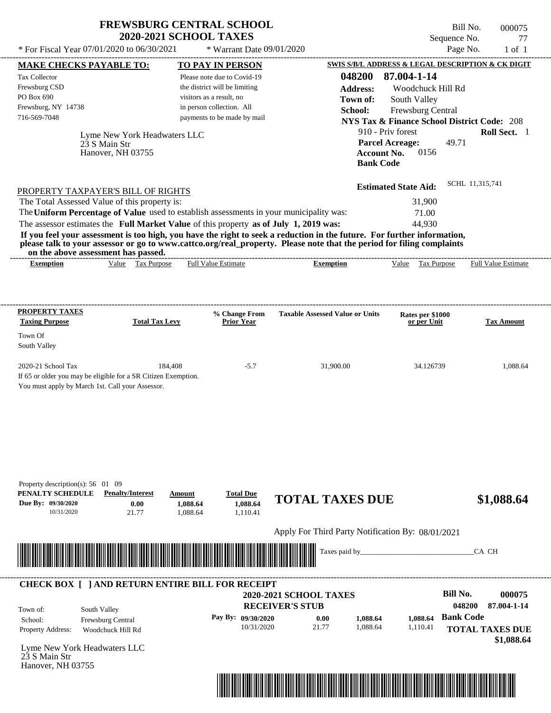| <b>FREWSBURG CENTRAL SCHOOL</b> |
|---------------------------------|
| <b>2020-2021 SCHOOL TAXES</b>   |

Bill No. 000075 Sequence No. 77  $*$  For Fiscal Year 07/01/2020 to 06/30/2021  $*$  Warrant Date 09/01/2020 Page No. 1 of 1

| <b>MAKE CHECKS PAYABLE TO:</b>                                 |                              | <b>TO PAY IN PERSON</b>                                                                 |                                                                                                                                                                                                                                                  | SWIS S/B/L ADDRESS & LEGAL DESCRIPTION & CK DIGIT      |                        |
|----------------------------------------------------------------|------------------------------|-----------------------------------------------------------------------------------------|--------------------------------------------------------------------------------------------------------------------------------------------------------------------------------------------------------------------------------------------------|--------------------------------------------------------|------------------------|
| <b>Tax Collector</b>                                           |                              | Please note due to Covid-19                                                             | 048200                                                                                                                                                                                                                                           | 87.004-1-14                                            |                        |
| Frewsburg CSD                                                  |                              | the district will be limiting                                                           | <b>Address:</b>                                                                                                                                                                                                                                  | Woodchuck Hill Rd                                      |                        |
| PO Box 690                                                     |                              | visitors as a result, no                                                                | Town of:                                                                                                                                                                                                                                         | South Valley                                           |                        |
| Frewsburg, NY 14738                                            |                              | in person collection. All                                                               | School:                                                                                                                                                                                                                                          | Frewsburg Central                                      |                        |
| 716-569-7048                                                   |                              | payments to be made by mail                                                             |                                                                                                                                                                                                                                                  | <b>NYS Tax &amp; Finance School District Code: 208</b> |                        |
|                                                                | Lyme New York Headwaters LLC |                                                                                         |                                                                                                                                                                                                                                                  | 910 - Priv forest                                      | Roll Sect. 1           |
|                                                                | 23 S Main Str                |                                                                                         |                                                                                                                                                                                                                                                  | 49.71<br><b>Parcel Acreage:</b>                        |                        |
|                                                                | Hanover, NH 03755            |                                                                                         | <b>Account No.</b>                                                                                                                                                                                                                               | 0156                                                   |                        |
|                                                                |                              |                                                                                         | <b>Bank Code</b>                                                                                                                                                                                                                                 |                                                        |                        |
|                                                                |                              |                                                                                         |                                                                                                                                                                                                                                                  |                                                        | SCHL 11,315,741        |
| PROPERTY TAXPAYER'S BILL OF RIGHTS                             |                              |                                                                                         |                                                                                                                                                                                                                                                  | <b>Estimated State Aid:</b>                            |                        |
| The Total Assessed Value of this property is:                  |                              |                                                                                         |                                                                                                                                                                                                                                                  | 31,900                                                 |                        |
|                                                                |                              | The Uniform Percentage of Value used to establish assessments in your municipality was: |                                                                                                                                                                                                                                                  | 71.00                                                  |                        |
|                                                                |                              | The assessor estimates the Full Market Value of this property as of July 1, 2019 was:   |                                                                                                                                                                                                                                                  | 44,930                                                 |                        |
|                                                                |                              |                                                                                         | If you feel your assessment is too high, you have the right to seek a reduction in the future. For further information,<br>please talk to your assessor or go to www.cattco.org/real_property. Please note that the period for filing complaints |                                                        |                        |
| on the above assessment has passed.<br><b>Exemption</b>        | Value Tax Purpose            | <b>Full Value Estimate</b>                                                              | <b>Exemption</b>                                                                                                                                                                                                                                 | Value Tax Purpose Full Value Estimate                  |                        |
|                                                                |                              |                                                                                         |                                                                                                                                                                                                                                                  |                                                        |                        |
|                                                                |                              |                                                                                         |                                                                                                                                                                                                                                                  |                                                        |                        |
| <b>PROPERTY TAXES</b>                                          |                              |                                                                                         |                                                                                                                                                                                                                                                  |                                                        |                        |
| <b>Taxing Purpose</b>                                          | <b>Total Tax Levy</b>        | % Change From<br><b>Prior Year</b>                                                      | <b>Taxable Assessed Value or Units</b>                                                                                                                                                                                                           | Rates per \$1000<br>or per Unit                        | <b>Tax Amount</b>      |
| Town Of                                                        |                              |                                                                                         |                                                                                                                                                                                                                                                  |                                                        |                        |
| South Valley                                                   |                              |                                                                                         |                                                                                                                                                                                                                                                  |                                                        |                        |
| 2020-21 School Tax                                             | 184,408                      | $-5.7$                                                                                  | 31,900.00                                                                                                                                                                                                                                        | 34.126739                                              | 1,088.64               |
| If 65 or older you may be eligible for a SR Citizen Exemption. |                              |                                                                                         |                                                                                                                                                                                                                                                  |                                                        |                        |
| You must apply by March 1st. Call your Assessor.               |                              |                                                                                         |                                                                                                                                                                                                                                                  |                                                        |                        |
|                                                                |                              |                                                                                         |                                                                                                                                                                                                                                                  |                                                        |                        |
|                                                                |                              |                                                                                         |                                                                                                                                                                                                                                                  |                                                        |                        |
|                                                                |                              |                                                                                         |                                                                                                                                                                                                                                                  |                                                        |                        |
|                                                                |                              |                                                                                         |                                                                                                                                                                                                                                                  |                                                        |                        |
|                                                                |                              |                                                                                         |                                                                                                                                                                                                                                                  |                                                        |                        |
|                                                                |                              |                                                                                         |                                                                                                                                                                                                                                                  |                                                        |                        |
| Property description(s): 56 01 09                              |                              |                                                                                         |                                                                                                                                                                                                                                                  |                                                        |                        |
| PENALTY SCHEDULE                                               | <b>Penalty/Interest</b>      | <b>Total Due</b><br>Amount                                                              |                                                                                                                                                                                                                                                  |                                                        |                        |
| Due By: 09/30/2020                                             | 0.00                         | 1,088.64<br>1,088.64                                                                    | <b>TOTAL TAXES DUE</b>                                                                                                                                                                                                                           |                                                        | \$1,088.64             |
| 10/31/2020                                                     | 21.77                        | 1,088.64<br>1,110.41                                                                    |                                                                                                                                                                                                                                                  |                                                        |                        |
|                                                                |                              |                                                                                         | Apply For Third Party Notification By: 08/01/2021                                                                                                                                                                                                |                                                        |                        |
|                                                                |                              |                                                                                         |                                                                                                                                                                                                                                                  |                                                        |                        |
|                                                                |                              |                                                                                         | Taxes paid by_                                                                                                                                                                                                                                   |                                                        | CA CH                  |
|                                                                |                              |                                                                                         |                                                                                                                                                                                                                                                  |                                                        |                        |
|                                                                |                              | <b>CHECK BOX [ ] AND RETURN ENTIRE BILL FOR RECEIPT</b>                                 |                                                                                                                                                                                                                                                  | <b>Bill No.</b>                                        |                        |
|                                                                |                              |                                                                                         | 2020-2021 SCHOOL TAXES                                                                                                                                                                                                                           |                                                        | 000075                 |
| South Valley<br>Town of:                                       |                              |                                                                                         | <b>RECEIVER'S STUB</b>                                                                                                                                                                                                                           | 048200                                                 | 87.004-1-14            |
| School:                                                        | Frewsburg Central            | Pay By: 09/30/2020                                                                      | 0.00<br>1,088.64                                                                                                                                                                                                                                 | <b>Bank Code</b><br>1,088.64                           |                        |
| Property Address:                                              | Woodchuck Hill Rd            | 10/31/2020                                                                              | 21.77<br>1,088.64                                                                                                                                                                                                                                | 1,110.41                                               | <b>TOTAL TAXES DUE</b> |
| Lyme New York Headwaters LLC                                   |                              |                                                                                         |                                                                                                                                                                                                                                                  |                                                        | \$1,088.64             |
| 23 S Main Str                                                  |                              |                                                                                         |                                                                                                                                                                                                                                                  |                                                        |                        |
| Hanover, NH 03755                                              |                              |                                                                                         |                                                                                                                                                                                                                                                  |                                                        |                        |
|                                                                |                              |                                                                                         |                                                                                                                                                                                                                                                  |                                                        |                        |
|                                                                |                              |                                                                                         | <u> 1989 - Johann Stoff, Amerikaansk politiker (</u>                                                                                                                                                                                             |                                                        |                        |
|                                                                |                              |                                                                                         |                                                                                                                                                                                                                                                  |                                                        |                        |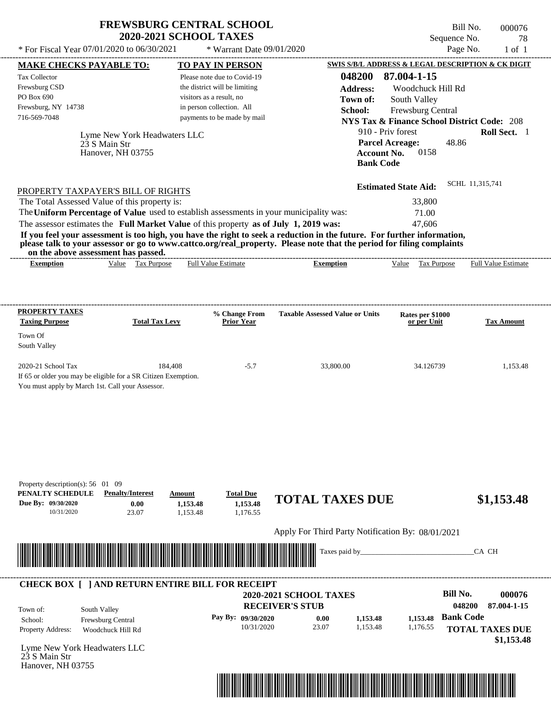| <b>FREWSBURG CENTRAL SCHOOL</b> |
|---------------------------------|
| <b>2020-2021 SCHOOL TAXES</b>   |

Bill No. 000076 Sequence No. 78<br>Page No. 1 of 1

| * For Fiscal Year 07/01/2020 to 06/30/2021                                                                                                                                                                                                       |                       | * Warrant Date 09/01/2020                                 |                                                                                                                         |                                                                             | Page No.               | $1$ of $1$                 |
|--------------------------------------------------------------------------------------------------------------------------------------------------------------------------------------------------------------------------------------------------|-----------------------|-----------------------------------------------------------|-------------------------------------------------------------------------------------------------------------------------|-----------------------------------------------------------------------------|------------------------|----------------------------|
| <b>MAKE CHECKS PAYABLE TO:</b>                                                                                                                                                                                                                   |                       | <b>TO PAY IN PERSON</b>                                   |                                                                                                                         | SWIS S/B/L ADDRESS & LEGAL DESCRIPTION & CK DIGIT                           |                        |                            |
| Tax Collector                                                                                                                                                                                                                                    |                       | Please note due to Covid-19                               | 048200                                                                                                                  | 87.004-1-15                                                                 |                        |                            |
| Frewsburg CSD<br>PO Box 690                                                                                                                                                                                                                      |                       | the district will be limiting<br>visitors as a result, no | <b>Address:</b>                                                                                                         | Woodchuck Hill Rd                                                           |                        |                            |
| Frewsburg, NY 14738                                                                                                                                                                                                                              |                       | in person collection. All                                 | Town of:<br>School:                                                                                                     | South Valley                                                                |                        |                            |
| 716-569-7048                                                                                                                                                                                                                                     |                       | payments to be made by mail                               |                                                                                                                         | Frewsburg Central<br><b>NYS Tax &amp; Finance School District Code: 208</b> |                        |                            |
| Lyme New York Headwaters LLC                                                                                                                                                                                                                     |                       |                                                           |                                                                                                                         | 910 - Priv forest                                                           |                        | Roll Sect. 1               |
| 23 S Main Str                                                                                                                                                                                                                                    |                       |                                                           |                                                                                                                         | <b>Parcel Acreage:</b>                                                      | 48.86                  |                            |
| Hanover, NH 03755                                                                                                                                                                                                                                |                       |                                                           | <b>Bank Code</b>                                                                                                        | <b>Account No.</b><br>0158                                                  |                        |                            |
|                                                                                                                                                                                                                                                  |                       |                                                           |                                                                                                                         |                                                                             |                        |                            |
| PROPERTY TAXPAYER'S BILL OF RIGHTS                                                                                                                                                                                                               |                       |                                                           |                                                                                                                         | <b>Estimated State Aid:</b>                                                 | SCHL 11,315,741        |                            |
| The Total Assessed Value of this property is:                                                                                                                                                                                                    |                       |                                                           |                                                                                                                         | 33,800                                                                      |                        |                            |
| The Uniform Percentage of Value used to establish assessments in your municipality was:                                                                                                                                                          |                       |                                                           |                                                                                                                         | 71.00                                                                       |                        |                            |
| The assessor estimates the Full Market Value of this property as of July 1, 2019 was:                                                                                                                                                            |                       |                                                           |                                                                                                                         | 47,606                                                                      |                        |                            |
| If you feel your assessment is too high, you have the right to seek a reduction in the future. For further information,<br>please talk to your assessor or go to www.cattco.org/real_property. Please note that the period for filing complaints |                       |                                                           |                                                                                                                         |                                                                             |                        |                            |
| on the above assessment has passed.<br>Value Tax Purpose<br><b>Exemption</b>                                                                                                                                                                     |                       | <b>Full Value Estimate</b>                                | <b>Exemption</b>                                                                                                        | Value Tax Purpose                                                           |                        | <b>Full Value Estimate</b> |
|                                                                                                                                                                                                                                                  |                       |                                                           |                                                                                                                         |                                                                             |                        |                            |
|                                                                                                                                                                                                                                                  |                       |                                                           |                                                                                                                         |                                                                             |                        |                            |
|                                                                                                                                                                                                                                                  |                       |                                                           |                                                                                                                         |                                                                             |                        |                            |
| <b>PROPERTY TAXES</b><br><b>Taxing Purpose</b>                                                                                                                                                                                                   | <b>Total Tax Levy</b> | % Change From<br><b>Prior Year</b>                        | <b>Taxable Assessed Value or Units</b>                                                                                  | Rates per \$1000<br>or per Unit                                             |                        | <b>Tax Amount</b>          |
| Town Of                                                                                                                                                                                                                                          |                       |                                                           |                                                                                                                         |                                                                             |                        |                            |
| South Valley                                                                                                                                                                                                                                     |                       |                                                           |                                                                                                                         |                                                                             |                        |                            |
| 2020-21 School Tax                                                                                                                                                                                                                               | 184,408               | $-5.7$                                                    | 33,800.00                                                                                                               | 34.126739                                                                   |                        | 1,153.48                   |
| If 65 or older you may be eligible for a SR Citizen Exemption.                                                                                                                                                                                   |                       |                                                           |                                                                                                                         |                                                                             |                        |                            |
| You must apply by March 1st. Call your Assessor.                                                                                                                                                                                                 |                       |                                                           |                                                                                                                         |                                                                             |                        |                            |
|                                                                                                                                                                                                                                                  |                       |                                                           |                                                                                                                         |                                                                             |                        |                            |
|                                                                                                                                                                                                                                                  |                       |                                                           |                                                                                                                         |                                                                             |                        |                            |
|                                                                                                                                                                                                                                                  |                       |                                                           |                                                                                                                         |                                                                             |                        |                            |
|                                                                                                                                                                                                                                                  |                       |                                                           |                                                                                                                         |                                                                             |                        |                            |
|                                                                                                                                                                                                                                                  |                       |                                                           |                                                                                                                         |                                                                             |                        |                            |
|                                                                                                                                                                                                                                                  |                       |                                                           |                                                                                                                         |                                                                             |                        |                            |
| Property description(s): 56 01 09<br>PENALTY SCHEDULE<br><b>Penalty/Interest</b>                                                                                                                                                                 | Amount                | <b>Total Due</b>                                          |                                                                                                                         |                                                                             |                        |                            |
| Due By: 09/30/2020<br>0.00                                                                                                                                                                                                                       | 1,153.48              | 1,153.48                                                  | <b>TOTAL TAXES DUE</b>                                                                                                  |                                                                             |                        | \$1,153.48                 |
| 23.07<br>10/31/2020                                                                                                                                                                                                                              | 1,153.48              | 1,176.55                                                  |                                                                                                                         |                                                                             |                        |                            |
|                                                                                                                                                                                                                                                  |                       |                                                           | Apply For Third Party Notification By: 08/01/2021                                                                       |                                                                             |                        |                            |
|                                                                                                                                                                                                                                                  |                       |                                                           | Taxes paid by_                                                                                                          |                                                                             | CA CH                  |                            |
| <u> Handels and Handels and Handels and Handels and Handels and Handels and Handels and Handels and Handels and H</u>                                                                                                                            |                       |                                                           |                                                                                                                         |                                                                             |                        |                            |
|                                                                                                                                                                                                                                                  |                       |                                                           |                                                                                                                         |                                                                             |                        |                            |
| <b>CHECK BOX [ ] AND RETURN ENTIRE BILL FOR RECEIPT</b>                                                                                                                                                                                          |                       |                                                           | 2020-2021 SCHOOL TAXES                                                                                                  |                                                                             | <b>Bill No.</b>        | 000076                     |
| South Valley<br>Town of:                                                                                                                                                                                                                         |                       |                                                           | <b>RECEIVER'S STUB</b>                                                                                                  |                                                                             | 048200                 | 87.004-1-15                |
| Frewsburg Central<br>School:                                                                                                                                                                                                                     |                       | Pay By: 09/30/2020                                        | 0.00<br>1,153.48                                                                                                        | 1,153.48                                                                    | <b>Bank Code</b>       |                            |
| Property Address:<br>Woodchuck Hill Rd                                                                                                                                                                                                           |                       | 10/31/2020                                                | 23.07<br>1,153.48                                                                                                       | 1,176.55                                                                    | <b>TOTAL TAXES DUE</b> |                            |
| Lyme New York Headwaters LLC                                                                                                                                                                                                                     |                       |                                                           |                                                                                                                         |                                                                             |                        | \$1,153.48                 |
| 23 S Main Str                                                                                                                                                                                                                                    |                       |                                                           |                                                                                                                         |                                                                             |                        |                            |
| Hanover, NH 03755                                                                                                                                                                                                                                |                       |                                                           |                                                                                                                         |                                                                             |                        |                            |
|                                                                                                                                                                                                                                                  |                       |                                                           | <u> 1989 - Andrea Stadt British, martin bir shekarar 1989 - Andrea Stadt British, martin bir shekarar 1981 - Andrea</u> |                                                                             |                        |                            |
|                                                                                                                                                                                                                                                  |                       |                                                           |                                                                                                                         |                                                                             |                        |                            |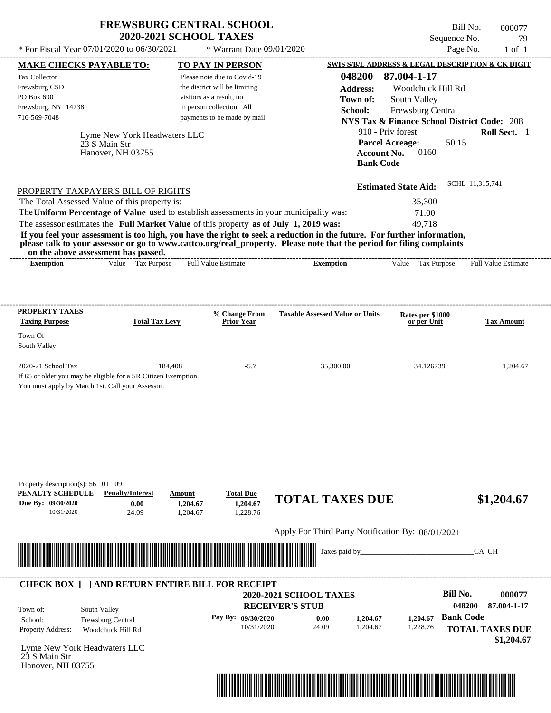| <b>FREWSBURG CENTRAL SCHOOL</b> |
|---------------------------------|
| <b>2020-2021 SCHOOL TAXES</b>   |

Bill No. 000077 Sequence No. 79<br>Page No. 1 of 1  $*$  For Fiscal Year 07/01/2020 to 06/30/2021  $*$  Warrant Date 09/01/2020 Page No. 1 of 1

| <b>MAKE CHECKS PAYABLE TO:</b>                        |                                                                                                                                                                                                                                                                                         |                           | <b>TO PAY IN PERSON</b>       |                                                                                                                      |                    | <b>SWIS S/B/L ADDRESS &amp; LEGAL DESCRIPTION &amp; CK DIGIT</b> |                  |                            |
|-------------------------------------------------------|-----------------------------------------------------------------------------------------------------------------------------------------------------------------------------------------------------------------------------------------------------------------------------------------|---------------------------|-------------------------------|----------------------------------------------------------------------------------------------------------------------|--------------------|------------------------------------------------------------------|------------------|----------------------------|
| <b>Tax Collector</b>                                  |                                                                                                                                                                                                                                                                                         |                           | Please note due to Covid-19   |                                                                                                                      | 048200             | 87.004-1-17                                                      |                  |                            |
| Frewsburg CSD                                         |                                                                                                                                                                                                                                                                                         |                           | the district will be limiting |                                                                                                                      | <b>Address:</b>    | Woodchuck Hill Rd                                                |                  |                            |
| PO Box 690                                            |                                                                                                                                                                                                                                                                                         | visitors as a result, no  |                               |                                                                                                                      | Town of:           | South Valley                                                     |                  |                            |
| Frewsburg, NY 14738                                   |                                                                                                                                                                                                                                                                                         | in person collection. All |                               |                                                                                                                      | School:            | Frewsburg Central                                                |                  |                            |
| 716-569-7048                                          |                                                                                                                                                                                                                                                                                         |                           | payments to be made by mail   |                                                                                                                      |                    | <b>NYS Tax &amp; Finance School District Code: 208</b>           |                  |                            |
|                                                       |                                                                                                                                                                                                                                                                                         |                           |                               |                                                                                                                      |                    | 910 - Priv forest                                                |                  | Roll Sect. 1               |
|                                                       | Lyme New York Headwaters LLC<br>23 S Main Str                                                                                                                                                                                                                                           |                           |                               |                                                                                                                      |                    | <b>Parcel Acreage:</b>                                           | 50.15            |                            |
|                                                       | Hanover, NH 03755                                                                                                                                                                                                                                                                       |                           |                               |                                                                                                                      | <b>Account No.</b> | 0160                                                             |                  |                            |
|                                                       |                                                                                                                                                                                                                                                                                         |                           |                               |                                                                                                                      | <b>Bank Code</b>   |                                                                  |                  |                            |
|                                                       |                                                                                                                                                                                                                                                                                         |                           |                               |                                                                                                                      |                    |                                                                  |                  |                            |
|                                                       | PROPERTY TAXPAYER'S BILL OF RIGHTS                                                                                                                                                                                                                                                      |                           |                               |                                                                                                                      |                    | <b>Estimated State Aid:</b>                                      | SCHL 11,315,741  |                            |
|                                                       | The Total Assessed Value of this property is:                                                                                                                                                                                                                                           |                           |                               |                                                                                                                      |                    | 35,300                                                           |                  |                            |
|                                                       | The Uniform Percentage of Value used to establish assessments in your municipality was:                                                                                                                                                                                                 |                           |                               |                                                                                                                      |                    | 71.00                                                            |                  |                            |
|                                                       | The assessor estimates the Full Market Value of this property as of July 1, 2019 was:                                                                                                                                                                                                   |                           |                               |                                                                                                                      |                    | 49,718                                                           |                  |                            |
|                                                       | If you feel your assessment is too high, you have the right to seek a reduction in the future. For further information,<br>please talk to your assessor or go to www.cattco.org/real_property. Please note that the period for filing complaints<br>on the above assessment has passed. |                           |                               |                                                                                                                      |                    |                                                                  |                  |                            |
| <b>Exemption</b>                                      | Value Tax Purpose                                                                                                                                                                                                                                                                       |                           | <b>Full Value Estimate</b>    | <b>Exemption</b>                                                                                                     |                    | Value Tax Purpose                                                |                  | <b>Full Value Estimate</b> |
|                                                       |                                                                                                                                                                                                                                                                                         |                           |                               |                                                                                                                      |                    |                                                                  |                  |                            |
|                                                       |                                                                                                                                                                                                                                                                                         |                           |                               |                                                                                                                      |                    |                                                                  |                  |                            |
| PROPERTY TAXES                                        |                                                                                                                                                                                                                                                                                         |                           | % Change From                 | <b>Taxable Assessed Value or Units</b>                                                                               |                    |                                                                  |                  |                            |
| <b>Taxing Purpose</b>                                 | <b>Total Tax Levy</b>                                                                                                                                                                                                                                                                   |                           | <b>Prior Year</b>             |                                                                                                                      |                    | Rates per \$1000<br>or per Unit                                  |                  | <b>Tax Amount</b>          |
| Town Of                                               |                                                                                                                                                                                                                                                                                         |                           |                               |                                                                                                                      |                    |                                                                  |                  |                            |
| South Valley                                          |                                                                                                                                                                                                                                                                                         |                           |                               |                                                                                                                      |                    |                                                                  |                  |                            |
| 2020-21 School Tax                                    | 184,408                                                                                                                                                                                                                                                                                 |                           | $-5.7$                        |                                                                                                                      | 35,300.00          | 34.126739                                                        |                  | 1,204.67                   |
|                                                       | If 65 or older you may be eligible for a SR Citizen Exemption.                                                                                                                                                                                                                          |                           |                               |                                                                                                                      |                    |                                                                  |                  |                            |
|                                                       | You must apply by March 1st. Call your Assessor.                                                                                                                                                                                                                                        |                           |                               |                                                                                                                      |                    |                                                                  |                  |                            |
|                                                       |                                                                                                                                                                                                                                                                                         |                           |                               |                                                                                                                      |                    |                                                                  |                  |                            |
|                                                       |                                                                                                                                                                                                                                                                                         |                           |                               |                                                                                                                      |                    |                                                                  |                  |                            |
|                                                       |                                                                                                                                                                                                                                                                                         |                           |                               |                                                                                                                      |                    |                                                                  |                  |                            |
|                                                       |                                                                                                                                                                                                                                                                                         |                           |                               |                                                                                                                      |                    |                                                                  |                  |                            |
|                                                       |                                                                                                                                                                                                                                                                                         |                           |                               |                                                                                                                      |                    |                                                                  |                  |                            |
|                                                       |                                                                                                                                                                                                                                                                                         |                           |                               |                                                                                                                      |                    |                                                                  |                  |                            |
|                                                       |                                                                                                                                                                                                                                                                                         |                           |                               |                                                                                                                      |                    |                                                                  |                  |                            |
|                                                       |                                                                                                                                                                                                                                                                                         |                           |                               |                                                                                                                      |                    |                                                                  |                  |                            |
| Property description(s): 56 01 09<br>PENALTY SCHEDULE | <b>Penalty/Interest</b>                                                                                                                                                                                                                                                                 | Amount                    | <b>Total Due</b>              |                                                                                                                      |                    |                                                                  |                  |                            |
| Due By: 09/30/2020                                    | 0.00                                                                                                                                                                                                                                                                                    | 1,204.67                  | 1,204.67                      | <b>TOTAL TAXES DUE</b>                                                                                               |                    |                                                                  |                  | \$1,204.67                 |
| 10/31/2020                                            | 24.09                                                                                                                                                                                                                                                                                   | 1,204.67                  | 1,228.76                      |                                                                                                                      |                    |                                                                  |                  |                            |
|                                                       |                                                                                                                                                                                                                                                                                         |                           |                               |                                                                                                                      |                    |                                                                  |                  |                            |
|                                                       |                                                                                                                                                                                                                                                                                         |                           |                               | Apply For Third Party Notification By: 08/01/2021                                                                    |                    |                                                                  |                  |                            |
|                                                       |                                                                                                                                                                                                                                                                                         |                           |                               |                                                                                                                      | Taxes paid by_     |                                                                  |                  | CA CH                      |
|                                                       |                                                                                                                                                                                                                                                                                         |                           |                               |                                                                                                                      |                    |                                                                  |                  |                            |
|                                                       | <b>CHECK BOX [ ] AND RETURN ENTIRE BILL FOR RECEIPT</b>                                                                                                                                                                                                                                 |                           |                               |                                                                                                                      |                    |                                                                  |                  |                            |
|                                                       |                                                                                                                                                                                                                                                                                         |                           |                               | 2020-2021 SCHOOL TAXES                                                                                               |                    |                                                                  | <b>Bill No.</b>  | 000077                     |
| Town of:                                              |                                                                                                                                                                                                                                                                                         |                           |                               | <b>RECEIVER'S STUB</b>                                                                                               |                    |                                                                  | 048200           | 87.004-1-17                |
| School:                                               | South Valley                                                                                                                                                                                                                                                                            |                           | Pay By: 09/30/2020            | 0.00                                                                                                                 | 1,204.67           | 1,204.67                                                         | <b>Bank Code</b> |                            |
| Property Address:                                     | Frewsburg Central<br>Woodchuck Hill Rd                                                                                                                                                                                                                                                  |                           | 10/31/2020                    | 24.09                                                                                                                | 1,204.67           | 1,228.76                                                         |                  | <b>TOTAL TAXES DUE</b>     |
|                                                       |                                                                                                                                                                                                                                                                                         |                           |                               |                                                                                                                      |                    |                                                                  |                  | \$1,204.67                 |
| Lyme New York Headwaters LLC                          |                                                                                                                                                                                                                                                                                         |                           |                               |                                                                                                                      |                    |                                                                  |                  |                            |
| 23 S Main Str                                         |                                                                                                                                                                                                                                                                                         |                           |                               |                                                                                                                      |                    |                                                                  |                  |                            |
| Hanover, NH 03755                                     |                                                                                                                                                                                                                                                                                         |                           |                               |                                                                                                                      |                    |                                                                  |                  |                            |
|                                                       |                                                                                                                                                                                                                                                                                         |                           |                               |                                                                                                                      |                    |                                                                  |                  |                            |
|                                                       |                                                                                                                                                                                                                                                                                         |                           |                               | <u> 1989 - Andrea Stadt British, mark ar yn y brenin y brenin y brenin y brenin y brenin y brenin y brenin y bre</u> |                    |                                                                  |                  |                            |
|                                                       |                                                                                                                                                                                                                                                                                         |                           |                               |                                                                                                                      |                    |                                                                  |                  |                            |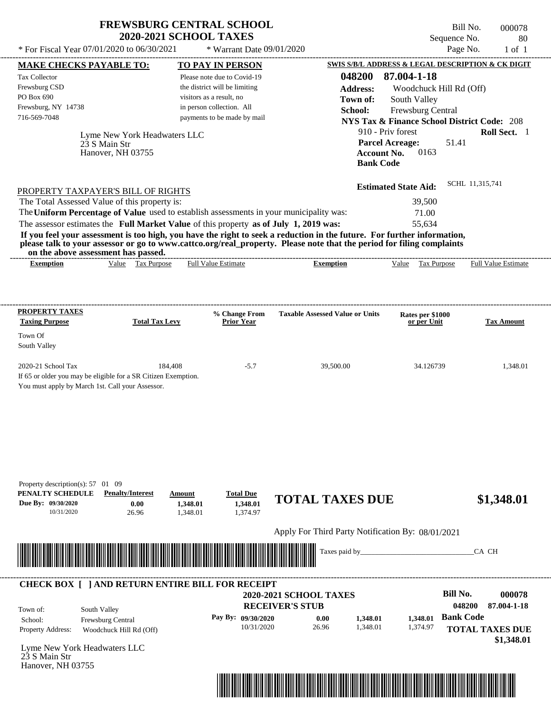| <b>FREWSBURG CENTRAL SCHOOL</b> |  |
|---------------------------------|--|
| <b>2020-2021 SCHOOL TAXES</b>   |  |

Bill No. 000078 Sequence No. 80  $*$  For Fiscal Year 07/01/2020 to 06/30/2021  $*$  Warrant Date 09/01/2020 Page No. 1 of 1

| <b>MAKE CHECKS PAYABLE TO:</b>                                                                                                                                                                                                       |                              | <b>TO PAY IN PERSON</b>                                                                 |                                                                                                                         | SWIS S/B/L ADDRESS & LEGAL DESCRIPTION & CK DIGIT      |                                      |
|--------------------------------------------------------------------------------------------------------------------------------------------------------------------------------------------------------------------------------------|------------------------------|-----------------------------------------------------------------------------------------|-------------------------------------------------------------------------------------------------------------------------|--------------------------------------------------------|--------------------------------------|
| <b>Tax Collector</b>                                                                                                                                                                                                                 |                              | Please note due to Covid-19                                                             | 048200                                                                                                                  | 87.004-1-18                                            |                                      |
| Frewsburg CSD                                                                                                                                                                                                                        |                              | the district will be limiting                                                           | <b>Address:</b>                                                                                                         | Woodchuck Hill Rd (Off)                                |                                      |
| PO Box 690                                                                                                                                                                                                                           |                              | visitors as a result, no                                                                | Town of:                                                                                                                | South Valley                                           |                                      |
| Frewsburg, NY 14738                                                                                                                                                                                                                  |                              | in person collection. All                                                               | School:                                                                                                                 | Frewsburg Central                                      |                                      |
| 716-569-7048                                                                                                                                                                                                                         |                              | payments to be made by mail                                                             |                                                                                                                         | <b>NYS Tax &amp; Finance School District Code: 208</b> |                                      |
|                                                                                                                                                                                                                                      | Lyme New York Headwaters LLC |                                                                                         |                                                                                                                         | 910 - Priv forest                                      | Roll Sect. 1                         |
|                                                                                                                                                                                                                                      | 23 S Main Str                |                                                                                         |                                                                                                                         | 51.41<br><b>Parcel Acreage:</b>                        |                                      |
|                                                                                                                                                                                                                                      | Hanover, NH 03755            |                                                                                         | <b>Account No.</b>                                                                                                      | 0163                                                   |                                      |
|                                                                                                                                                                                                                                      |                              |                                                                                         | <b>Bank Code</b>                                                                                                        |                                                        |                                      |
|                                                                                                                                                                                                                                      |                              |                                                                                         |                                                                                                                         | <b>Estimated State Aid:</b>                            | SCHL 11,315,741                      |
| PROPERTY TAXPAYER'S BILL OF RIGHTS                                                                                                                                                                                                   |                              |                                                                                         |                                                                                                                         |                                                        |                                      |
| The Total Assessed Value of this property is:                                                                                                                                                                                        |                              | The Uniform Percentage of Value used to establish assessments in your municipality was: |                                                                                                                         | 39,500                                                 |                                      |
|                                                                                                                                                                                                                                      |                              | The assessor estimates the Full Market Value of this property as of July 1, 2019 was:   |                                                                                                                         | 71.00<br>55,634                                        |                                      |
|                                                                                                                                                                                                                                      |                              |                                                                                         | If you feel your assessment is too high, you have the right to seek a reduction in the future. For further information, |                                                        |                                      |
|                                                                                                                                                                                                                                      |                              |                                                                                         | please talk to your assessor or go to www.cattco.org/real_property. Please note that the period for filing complaints   |                                                        |                                      |
| on the above assessment has passed.<br><b>Exemption</b>                                                                                                                                                                              | Value Tax Purpose            | <b>Full Value Estimate</b>                                                              | <b>Exemption</b>                                                                                                        | Value Tax Purpose Full Value Estimate                  |                                      |
|                                                                                                                                                                                                                                      |                              |                                                                                         |                                                                                                                         |                                                        |                                      |
|                                                                                                                                                                                                                                      |                              |                                                                                         |                                                                                                                         |                                                        |                                      |
|                                                                                                                                                                                                                                      |                              |                                                                                         |                                                                                                                         |                                                        |                                      |
| <b>PROPERTY TAXES</b><br><b>Taxing Purpose</b>                                                                                                                                                                                       | <b>Total Tax Levy</b>        | % Change From<br><b>Prior Year</b>                                                      | <b>Taxable Assessed Value or Units</b>                                                                                  | Rates per \$1000<br>or per Unit                        | <b>Tax Amount</b>                    |
| Town Of                                                                                                                                                                                                                              |                              |                                                                                         |                                                                                                                         |                                                        |                                      |
| South Valley                                                                                                                                                                                                                         |                              |                                                                                         |                                                                                                                         |                                                        |                                      |
| 2020-21 School Tax                                                                                                                                                                                                                   | 184,408                      | $-5.7$                                                                                  | 39,500.00                                                                                                               | 34.126739                                              | 1,348.01                             |
| If 65 or older you may be eligible for a SR Citizen Exemption.                                                                                                                                                                       |                              |                                                                                         |                                                                                                                         |                                                        |                                      |
| You must apply by March 1st. Call your Assessor.                                                                                                                                                                                     |                              |                                                                                         |                                                                                                                         |                                                        |                                      |
|                                                                                                                                                                                                                                      |                              |                                                                                         |                                                                                                                         |                                                        |                                      |
|                                                                                                                                                                                                                                      |                              |                                                                                         |                                                                                                                         |                                                        |                                      |
|                                                                                                                                                                                                                                      |                              |                                                                                         |                                                                                                                         |                                                        |                                      |
|                                                                                                                                                                                                                                      |                              |                                                                                         |                                                                                                                         |                                                        |                                      |
|                                                                                                                                                                                                                                      |                              |                                                                                         |                                                                                                                         |                                                        |                                      |
|                                                                                                                                                                                                                                      |                              |                                                                                         |                                                                                                                         |                                                        |                                      |
| Property description(s): 57 01 09                                                                                                                                                                                                    |                              |                                                                                         |                                                                                                                         |                                                        |                                      |
| PENALTY SCHEDULE                                                                                                                                                                                                                     | <b>Penalty/Interest</b>      | <b>Total Due</b><br>Amount                                                              | <b>TOTAL TAXES DUE</b>                                                                                                  |                                                        |                                      |
| Due By: 09/30/2020                                                                                                                                                                                                                   | 0.00                         | 1,348.01<br>1,348.01                                                                    |                                                                                                                         |                                                        | \$1,348.01                           |
| 10/31/2020                                                                                                                                                                                                                           | 26.96                        | 1,374.97<br>1,348.01                                                                    |                                                                                                                         |                                                        |                                      |
|                                                                                                                                                                                                                                      |                              |                                                                                         | Apply For Third Party Notification By: 08/01/2021                                                                       |                                                        |                                      |
|                                                                                                                                                                                                                                      |                              |                                                                                         | Taxes paid by_                                                                                                          |                                                        | CA CH                                |
| <u> Harry Harry Harry Harry Harry Harry Harry Harry Harry Harry Harry Harry Harry Harry Harry Harry Harry Harry Harry Harry Harry Harry Harry Harry Harry Harry Harry Harry Harry Harry Harry Harry Harry Harry Harry Harry Harr</u> |                              |                                                                                         |                                                                                                                         |                                                        |                                      |
|                                                                                                                                                                                                                                      |                              |                                                                                         |                                                                                                                         |                                                        |                                      |
|                                                                                                                                                                                                                                      |                              | <b>CHECK BOX [ ] AND RETURN ENTIRE BILL FOR RECEIPT</b>                                 | 2020-2021 SCHOOL TAXES                                                                                                  | <b>Bill No.</b>                                        | 000078                               |
|                                                                                                                                                                                                                                      |                              |                                                                                         | <b>RECEIVER'S STUB</b>                                                                                                  |                                                        | 048200<br>87.004-1-18                |
| Town of:                                                                                                                                                                                                                             | South Valley                 |                                                                                         |                                                                                                                         | <b>Bank Code</b>                                       |                                      |
| School:                                                                                                                                                                                                                              | Frewsburg Central            | Pay By: 09/30/2020<br>10/31/2020                                                        | 0.00<br>1,348.01<br>1,348.01<br>26.96                                                                                   | 1,348.01<br>1,374.97                                   |                                      |
| Property Address:                                                                                                                                                                                                                    | Woodchuck Hill Rd (Off)      |                                                                                         |                                                                                                                         |                                                        | <b>TOTAL TAXES DUE</b><br>\$1,348.01 |
| Lyme New York Headwaters LLC                                                                                                                                                                                                         |                              |                                                                                         |                                                                                                                         |                                                        |                                      |
| 23 S Main Str                                                                                                                                                                                                                        |                              |                                                                                         |                                                                                                                         |                                                        |                                      |
| Hanover, NH 03755                                                                                                                                                                                                                    |                              |                                                                                         |                                                                                                                         |                                                        |                                      |
|                                                                                                                                                                                                                                      |                              |                                                                                         |                                                                                                                         |                                                        |                                      |
|                                                                                                                                                                                                                                      |                              |                                                                                         | <u> 1989 - Johann Maria Barat, martin shkriti mashrida ma'lumot</u>                                                     |                                                        |                                      |
|                                                                                                                                                                                                                                      |                              |                                                                                         |                                                                                                                         |                                                        |                                      |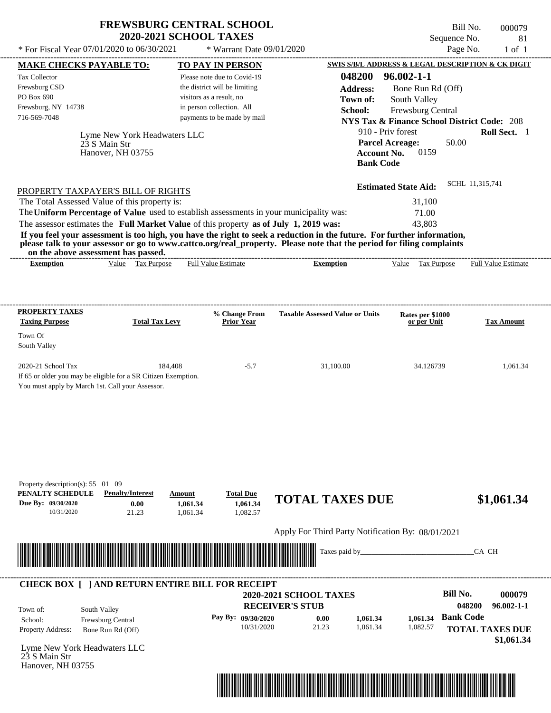| <b>FREWSBURG CENTRAL SCHOOL</b> |
|---------------------------------|
| <b>2020-2021 SCHOOL TAXES</b>   |

Bill No. 000079 Sequence No. 81

| * For Fiscal Year 07/01/2020 to 06/30/2021                                                                                                                                                                                                       | * Warrant Date 09/01/2020                                 |                                                   |                                                                             | Page No.                   | $1$ of $1$ |
|--------------------------------------------------------------------------------------------------------------------------------------------------------------------------------------------------------------------------------------------------|-----------------------------------------------------------|---------------------------------------------------|-----------------------------------------------------------------------------|----------------------------|------------|
| <b>MAKE CHECKS PAYABLE TO:</b>                                                                                                                                                                                                                   | <b>TO PAY IN PERSON</b>                                   |                                                   | SWIS S/B/L ADDRESS & LEGAL DESCRIPTION & CK DIGIT                           |                            |            |
| Tax Collector                                                                                                                                                                                                                                    | Please note due to Covid-19                               | 048200                                            | $96.002 - 1 - 1$                                                            |                            |            |
| Frewsburg CSD<br>PO Box 690                                                                                                                                                                                                                      | the district will be limiting<br>visitors as a result, no | <b>Address:</b>                                   | Bone Run Rd (Off)                                                           |                            |            |
| Frewsburg, NY 14738                                                                                                                                                                                                                              | in person collection. All                                 | Town of:                                          | South Valley                                                                |                            |            |
| 716-569-7048                                                                                                                                                                                                                                     | payments to be made by mail                               | School:                                           | Frewsburg Central<br><b>NYS Tax &amp; Finance School District Code: 208</b> |                            |            |
|                                                                                                                                                                                                                                                  |                                                           |                                                   | 910 - Priv forest                                                           | Roll Sect. 1               |            |
| Lyme New York Headwaters LLC<br>23 S Main Str                                                                                                                                                                                                    |                                                           |                                                   | <b>Parcel Acreage:</b>                                                      | 50.00                      |            |
| Hanover, NH 03755                                                                                                                                                                                                                                |                                                           | <b>Account No.</b>                                | 0159                                                                        |                            |            |
|                                                                                                                                                                                                                                                  |                                                           | <b>Bank Code</b>                                  |                                                                             |                            |            |
| PROPERTY TAXPAYER'S BILL OF RIGHTS                                                                                                                                                                                                               |                                                           |                                                   | <b>Estimated State Aid:</b>                                                 | SCHL 11,315,741            |            |
| The Total Assessed Value of this property is:                                                                                                                                                                                                    |                                                           |                                                   | 31,100                                                                      |                            |            |
| The Uniform Percentage of Value used to establish assessments in your municipality was:                                                                                                                                                          |                                                           |                                                   | 71.00                                                                       |                            |            |
| The assessor estimates the Full Market Value of this property as of July 1, 2019 was:                                                                                                                                                            |                                                           |                                                   | 43,803                                                                      |                            |            |
| If you feel your assessment is too high, you have the right to seek a reduction in the future. For further information,<br>please talk to your assessor or go to www.cattco.org/real_property. Please note that the period for filing complaints |                                                           |                                                   |                                                                             |                            |            |
| on the above assessment has passed.                                                                                                                                                                                                              |                                                           |                                                   |                                                                             |                            |            |
| Value Tax Purpose<br><b>Exemption</b>                                                                                                                                                                                                            | <b>Full Value Estimate</b>                                | <b>Exemption</b>                                  | Value Tax Purpose                                                           | <b>Full Value Estimate</b> |            |
|                                                                                                                                                                                                                                                  |                                                           |                                                   |                                                                             |                            |            |
|                                                                                                                                                                                                                                                  |                                                           |                                                   |                                                                             |                            |            |
| <b>PROPERTY TAXES</b><br><b>Taxing Purpose</b><br><b>Total Tax Levy</b>                                                                                                                                                                          | % Change From<br><b>Prior Year</b>                        | <b>Taxable Assessed Value or Units</b>            | Rates per \$1000<br>or per Unit                                             | <b>Tax Amount</b>          |            |
| Town Of                                                                                                                                                                                                                                          |                                                           |                                                   |                                                                             |                            |            |
| South Valley                                                                                                                                                                                                                                     |                                                           |                                                   |                                                                             |                            |            |
| 2020-21 School Tax                                                                                                                                                                                                                               | 184,408<br>$-5.7$                                         | 31,100.00                                         | 34.126739                                                                   |                            | 1,061.34   |
| If 65 or older you may be eligible for a SR Citizen Exemption.                                                                                                                                                                                   |                                                           |                                                   |                                                                             |                            |            |
| You must apply by March 1st. Call your Assessor.                                                                                                                                                                                                 |                                                           |                                                   |                                                                             |                            |            |
|                                                                                                                                                                                                                                                  |                                                           |                                                   |                                                                             |                            |            |
|                                                                                                                                                                                                                                                  |                                                           |                                                   |                                                                             |                            |            |
|                                                                                                                                                                                                                                                  |                                                           |                                                   |                                                                             |                            |            |
|                                                                                                                                                                                                                                                  |                                                           |                                                   |                                                                             |                            |            |
|                                                                                                                                                                                                                                                  |                                                           |                                                   |                                                                             |                            |            |
|                                                                                                                                                                                                                                                  |                                                           |                                                   |                                                                             |                            |            |
| Property description(s): 55 01 09<br>PENALTY SCHEDULE                                                                                                                                                                                            |                                                           |                                                   |                                                                             |                            |            |
| <b>Penalty/Interest</b><br>Due By: 09/30/2020<br>0.00                                                                                                                                                                                            | <b>Total Due</b><br>Amount<br>1,061.34<br>1,061.34        | <b>TOTAL TAXES DUE</b>                            |                                                                             | \$1,061.34                 |            |
| 10/31/2020<br>21.23                                                                                                                                                                                                                              | 1,082.57<br>1,061.34                                      |                                                   |                                                                             |                            |            |
|                                                                                                                                                                                                                                                  |                                                           | Apply For Third Party Notification By: 08/01/2021 |                                                                             |                            |            |
| <u> 1999 - Andrew Maria Maria Maria Maria Maria Maria Maria Maria Maria Maria Maria Maria Maria Maria Maria Mar</u>                                                                                                                              |                                                           | Taxes paid by_                                    |                                                                             | CA CH                      |            |
|                                                                                                                                                                                                                                                  |                                                           |                                                   |                                                                             |                            |            |
| <b>CHECK BOX [ ] AND RETURN ENTIRE BILL FOR RECEIPT</b>                                                                                                                                                                                          |                                                           |                                                   |                                                                             |                            |            |
|                                                                                                                                                                                                                                                  |                                                           | 2020-2021 SCHOOL TAXES                            |                                                                             | <b>Bill No.</b>            | 000079     |
| South Valley<br>Town of:                                                                                                                                                                                                                         |                                                           | <b>RECEIVER'S STUB</b>                            |                                                                             | 048200<br>$96.002 - 1 - 1$ |            |
| Frewsburg Central<br>School:                                                                                                                                                                                                                     | Pay By: 09/30/2020                                        | 0.00<br>1,061.34                                  | 1,061.34                                                                    | <b>Bank Code</b>           |            |
| Property Address:<br>Bone Run Rd (Off)                                                                                                                                                                                                           | 10/31/2020                                                | 21.23<br>1,061.34                                 | 1,082.57                                                                    | <b>TOTAL TAXES DUE</b>     |            |
| Lyme New York Headwaters LLC                                                                                                                                                                                                                     |                                                           |                                                   |                                                                             |                            | \$1,061.34 |
| 23 S Main Str                                                                                                                                                                                                                                    |                                                           |                                                   |                                                                             |                            |            |
| Hanover, NH 03755                                                                                                                                                                                                                                |                                                           |                                                   |                                                                             |                            |            |
|                                                                                                                                                                                                                                                  |                                                           | <u> 1989 - Andrea Stadt British, martin A</u>     |                                                                             |                            |            |
|                                                                                                                                                                                                                                                  |                                                           |                                                   |                                                                             |                            |            |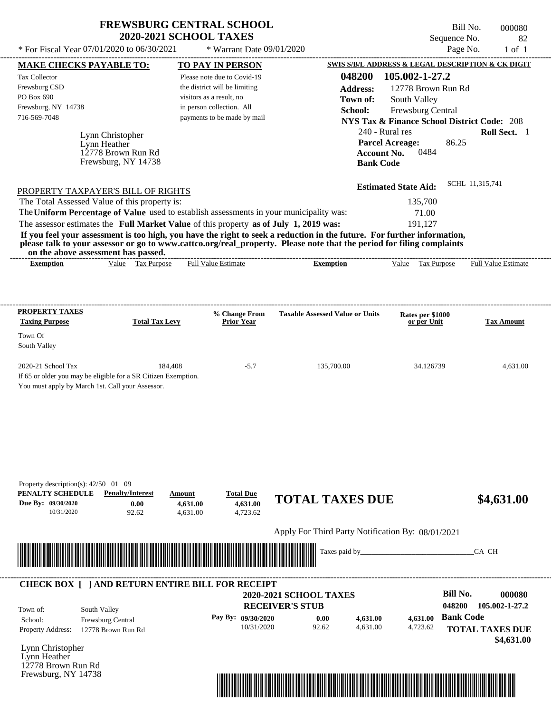| * For Fiscal Year $07/01/2020$ to $06/30/2021$ | <b>FREWSBURG CENTRAL SCHOOL</b><br><b>2020-2021 SCHOOL TAXES</b><br>* Warrant Date 09/01/2020 | Bill No.<br>000080<br>Sequence No.<br>82<br>Page No.<br>$1$ of $1$ |
|------------------------------------------------|-----------------------------------------------------------------------------------------------|--------------------------------------------------------------------|
| <b>MAKE CHECKS PAYABLE TO:</b>                 | <b>TO PAY IN PERSON</b>                                                                       | SWIS S/B/L ADDRESS & LEGAL DESCRIPTION & CK DIGIT                  |
| <b>Tax Collector</b>                           | Please note due to Covid-19                                                                   | 105.002-1-27.2<br>048200                                           |
| Frewsburg CSD                                  | the district will be limiting                                                                 | <b>Address:</b><br>12778 Brown Run Rd                              |
| PO Box 690                                     | visitors as a result, no                                                                      | South Valley<br>Town of:                                           |
| Frewsburg, NY 14738                            | in person collection. All                                                                     | School:<br>Frewsburg Central                                       |
| 716-569-7048                                   | payments to be made by mail                                                                   | <b>NYS Tax &amp; Finance School District Code: 208</b>             |
| Lynn Christopher<br>Lynn Heather               |                                                                                               | 240 - Rural res<br>Roll Sect. 1<br><b>Parcel Acreage:</b><br>86.25 |

12778 Brown Run Rd Frewsburg, NY 14738

| PROPERTY TAXPAYER'S BILL OF RIGHTS                                                                                    | <b>Estimated State Aid:</b> | SCHL 11,315,741 |
|-----------------------------------------------------------------------------------------------------------------------|-----------------------------|-----------------|
| The Total Assessed Value of this property is:                                                                         | 135,700                     |                 |
| The Uniform Percentage of Value used to establish assessments in your municipality was:                               | 71.00                       |                 |
| The assessor estimates the Full Market Value of this property as of July 1, 2019 was:                                 | 191.127                     |                 |
| If you feel your accessment is too high you have the wight to seek a veduction in the future. For further information |                             |                 |

**If you feel your assessment is too high, you have the right to seek a reduction in the future. For further information, please talk to your assessor or go to www.cattco.org/real\_property. Please note that the period for filing complaints on the above assessment has passed.** ----------------------------------------------------------------------------------------------------------------------------------------------------------------------------------------------------

| Exemption | √alue | Гaх<br>Purpose | Estimate<br>∺ш. | xemption | Value | $\overline{\phantom{a}}$<br>Purpose<br>l aa | --------<br>rull "<br>value<br>Estimate |
|-----------|-------|----------------|-----------------|----------|-------|---------------------------------------------|-----------------------------------------|
|           |       |                |                 |          |       |                                             |                                         |

| <b>PROPERTY TAXES</b><br><b>Taxing Purpose</b>                 | <b>Total Tax Levy</b> | % Change From<br><b>Prior Year</b> | <b>Taxable Assessed Value or Units</b> | Rates per \$1000<br>or per Unit | <b>Tax Amount</b> |
|----------------------------------------------------------------|-----------------------|------------------------------------|----------------------------------------|---------------------------------|-------------------|
| Town Of                                                        |                       |                                    |                                        |                                 |                   |
| South Valley                                                   |                       |                                    |                                        |                                 |                   |
| $2020-21$ School Tax                                           | 184.408               | $-5.7$                             | 135,700.00                             | 34.126739                       | 4.631.00          |
| If 65 or older you may be eligible for a SR Citizen Exemption. |                       |                                    |                                        |                                 |                   |
| You must apply by March 1st. Call your Assessor.               |                       |                                    |                                        |                                 |                   |

| Property description(s): $42/50$ 01 09<br>PENALTY SCHEDULE<br>Due By: 09/30/2020<br>10/31/2020 | <b>Penalty/Interest</b><br>0.00<br>92.62                | Amount<br>4,631.00<br>4,631.00  | <b>Total Due</b><br>4,631.00<br>4,723.62 | <b>TOTAL TAXES DUE</b>                            |          |          | \$4,631.00                                            |
|------------------------------------------------------------------------------------------------|---------------------------------------------------------|---------------------------------|------------------------------------------|---------------------------------------------------|----------|----------|-------------------------------------------------------|
|                                                                                                |                                                         |                                 |                                          | Apply For Third Party Notification By: 08/01/2021 |          |          |                                                       |
| <u> Hill</u>                                                                                   |                                                         | <u> Harry Harry Harry Harry</u> |                                          | Taxes paid by_                                    |          |          | CA CH                                                 |
|                                                                                                |                                                         |                                 |                                          |                                                   |          |          |                                                       |
|                                                                                                | <b>CHECK BOX [ ] AND RETURN ENTIRE BILL FOR RECEIPT</b> |                                 |                                          |                                                   |          |          |                                                       |
| Town of:                                                                                       | South Valley                                            |                                 | <b>RECEIVER'S STUB</b>                   | <b>2020-2021 SCHOOL TAXES</b>                     |          |          | <b>Bill No.</b><br>000080<br>048200<br>105.002-1-27.2 |
| School:                                                                                        | Frewsburg Central                                       |                                 | Pay By: 09/30/2020                       | 0.00                                              | 4,631.00 | 4,631.00 | <b>Bank Code</b>                                      |
| Property Address:                                                                              | 12778 Brown Run Rd                                      |                                 | 10/31/2020                               | 92.62                                             | 4,631.00 | 4,723.62 | <b>TOTAL TAXES DUE</b><br>\$4,631.00                  |
| Lynn Christopher<br>Lynn Heather<br>12778 Brown Run Rd<br>Frewsburg, NY 14738                  |                                                         |                                 |                                          |                                                   |          |          |                                                       |

**Account No.** 0484

**Bank Code**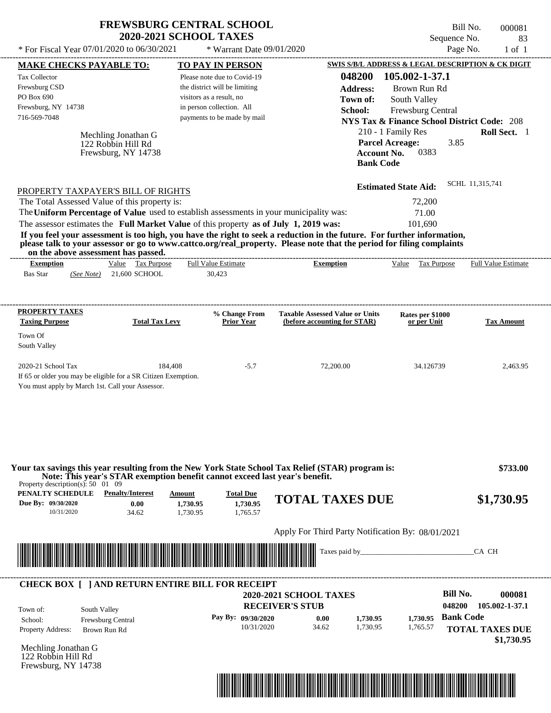|                                                                                                                                          |                                                                  | <b>FREWSBURG CENTRAL SCHOOL</b><br><b>2020-2021 SCHOOL TAXES</b>                                                                                                                 |                                                                                                                                                                                                                                                  | Bill No.<br>Sequence No.                                                                                                                                                                      | 000081<br>83               |
|------------------------------------------------------------------------------------------------------------------------------------------|------------------------------------------------------------------|----------------------------------------------------------------------------------------------------------------------------------------------------------------------------------|--------------------------------------------------------------------------------------------------------------------------------------------------------------------------------------------------------------------------------------------------|-----------------------------------------------------------------------------------------------------------------------------------------------------------------------------------------------|----------------------------|
| * For Fiscal Year 07/01/2020 to 06/30/2021                                                                                               |                                                                  | * Warrant Date 09/01/2020                                                                                                                                                        |                                                                                                                                                                                                                                                  | Page No.                                                                                                                                                                                      | $1$ of $1$                 |
| <u>MAKE CHECKS PAYABLE TO:</u>                                                                                                           |                                                                  | <b>TO PAY IN PERSON</b>                                                                                                                                                          |                                                                                                                                                                                                                                                  | SWIS S/B/L ADDRESS & LEGAL DESCRIPTION & CK DIGIT                                                                                                                                             |                            |
| <b>Tax Collector</b><br>Frewsburg CSD<br>PO Box 690<br>Frewsburg, NY 14738<br>716-569-7048                                               | Mechling Jonathan G<br>122 Robbin Hill Rd<br>Frewsburg, NY 14738 | Please note due to Covid-19<br>the district will be limiting<br>visitors as a result, no<br>in person collection. All<br>payments to be made by mail                             | 048200<br><b>Address:</b><br>Town of:<br>School:<br><b>Account No.</b><br><b>Bank Code</b>                                                                                                                                                       | 105.002-1-37.1<br>Brown Run Rd<br>South Valley<br>Frewsburg Central<br><b>NYS Tax &amp; Finance School District Code: 208</b><br>210 - 1 Family Res<br>3.85<br><b>Parcel Acreage:</b><br>0383 | <b>Roll Sect.</b> 1        |
| PROPERTY TAXPAYER'S BILL OF RIGHTS<br>The Total Assessed Value of this property is:                                                      |                                                                  | The Uniform Percentage of Value used to establish assessments in your municipality was:<br>The assessor estimates the Full Market Value of this property as of July 1, 2019 was: | If you feel your assessment is too high, you have the right to seek a reduction in the future. For further information,<br>please talk to your assessor or go to www.cattco.org/real_property. Please note that the period for filing complaints | <b>Estimated State Aid:</b><br>72,200<br>71.00<br>101.690                                                                                                                                     | SCHL 11,315,741            |
| on the above assessment has passed.                                                                                                      |                                                                  |                                                                                                                                                                                  |                                                                                                                                                                                                                                                  |                                                                                                                                                                                               |                            |
| <b>Exemption</b><br><b>Bas Star</b><br>(See Note)                                                                                        | Value Tax Purpose<br>21,600 SCHOOL                               | <b>Full Value Estimate</b><br>30,423                                                                                                                                             | <b>Exemption</b>                                                                                                                                                                                                                                 | Value<br>Tax Purpose                                                                                                                                                                          | <b>Full Value Estimate</b> |
| <b>PROPERTY TAXES</b><br><b>Taxing Purpose</b><br>Town Of<br>South Valley                                                                | <b>Total Tax Levy</b>                                            | % Change From<br>Prior Year                                                                                                                                                      | <b>Taxable Assessed Value or Units</b><br>(before accounting for STAR)                                                                                                                                                                           | Rates per \$1000<br>or per Unit                                                                                                                                                               | <b>Tax Amount</b>          |
| 2020-21 School Tax<br>If 65 or older you may be eligible for a SR Citizen Exemption.<br>You must apply by March 1st. Call your Assessor. | 184,408                                                          | $-5.7$                                                                                                                                                                           | 72,200.00                                                                                                                                                                                                                                        | 34.126739                                                                                                                                                                                     | 2,463.95                   |
| Property description(s): $50 \quad 01 \quad 09$<br><b>PENALTY SCHEDULE</b> Penalty/Interest<br>Due By: 09/30/2020<br>10/31/2020          | 0.00<br>34.62                                                    | Note: This year's STAR exemption benefit cannot exceed last year's benefit.<br>Amount<br><b>Total Due</b><br>1,730.95<br>1,730.95<br>1,730.95<br>1,765.57                        | Your tax savings this year resulting from the New York State School Tax Relief (STAR) program is:<br><b>TOTAL TAXES DUE</b>                                                                                                                      |                                                                                                                                                                                               | \$733.00<br>\$1,730.95     |
|                                                                                                                                          |                                                                  |                                                                                                                                                                                  |                                                                                                                                                                                                                                                  |                                                                                                                                                                                               |                            |
|                                                                                                                                          |                                                                  |                                                                                                                                                                                  | Apply For Third Party Notification By: 08/01/2021                                                                                                                                                                                                |                                                                                                                                                                                               |                            |
|                                                                                                                                          |                                                                  | <u> 1989 - Andrew Maria Maria Maria Maria Maria Maria Maria Maria Maria Maria Maria Maria Maria Maria Maria Mari</u>                                                             | Taxes paid by____                                                                                                                                                                                                                                |                                                                                                                                                                                               | CA CH                      |

| Town of:                 | South Valley             | <b>2020-2021 SCHOOL TAXES</b><br><b>RECEIVER'S STUB</b> |       |          |          | Bill No.<br>048200 | 000081<br>105.002-1-37.1             |
|--------------------------|--------------------------|---------------------------------------------------------|-------|----------|----------|--------------------|--------------------------------------|
| School:                  | <b>Frewsburg Central</b> | Pay By: $09/30/2020$                                    | 0.00  | 1.730.95 | 1.730.95 | <b>Bank Code</b>   |                                      |
| <b>Property Address:</b> | Brown Run Rd             | 10/31/2020                                              | 34.62 | 1,730.95 | 1,765.57 |                    | <b>TOTAL TAXES DUE</b><br>\$1,730.95 |

Mechling Jonathan G 122 Robbin Hill Rd Frewsburg, NY 14738

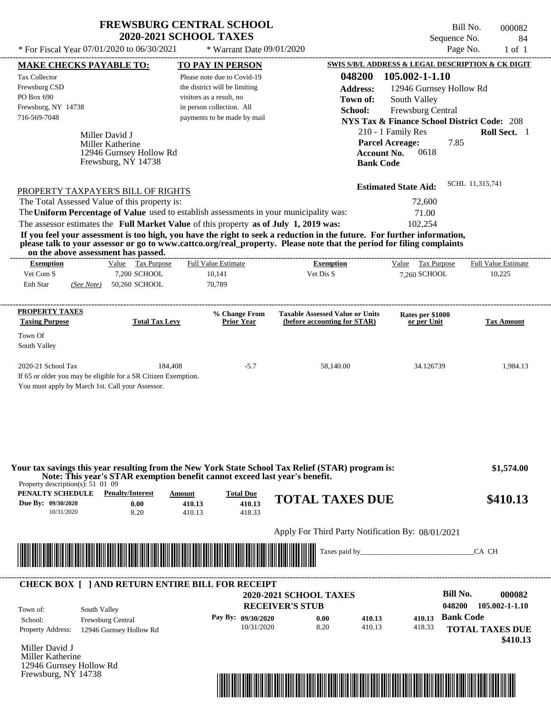## **FREWSBURG CENTRAL SCHOOL 2020-2021 SCHOOL TAXES**

\* For Fiscal Year  $07/01/2020$  to  $06/30/2021$  \* Warrant Date  $09/01/2020$  Page No. 1 of 1

 $*$  Warrant Date 09/01/2020

Bill No. 000082 Sequence No. 84

|                                                                                                                                                                                   | <b>MAKE CHECKS PAYABLE TO:</b>     | <b>TO PAY IN PERSON</b>                                                                                              |                                                                                                                                                                                                                                      | SWIS S/B/L ADDRESS & LEGAL DESCRIPTION & CK DIGIT      |                            |
|-----------------------------------------------------------------------------------------------------------------------------------------------------------------------------------|------------------------------------|----------------------------------------------------------------------------------------------------------------------|--------------------------------------------------------------------------------------------------------------------------------------------------------------------------------------------------------------------------------------|--------------------------------------------------------|----------------------------|
| <b>Tax Collector</b>                                                                                                                                                              |                                    | Please note due to Covid-19                                                                                          | 048200                                                                                                                                                                                                                               | 105.002-1-1.10                                         |                            |
| Frewsburg CSD                                                                                                                                                                     |                                    | the district will be limiting                                                                                        | <b>Address:</b>                                                                                                                                                                                                                      | 12946 Gurnsey Hollow Rd                                |                            |
| PO Box 690                                                                                                                                                                        |                                    | visitors as a result, no                                                                                             | Town of:                                                                                                                                                                                                                             | South Valley                                           |                            |
| Frewsburg, NY 14738                                                                                                                                                               |                                    | in person collection. All                                                                                            | School:                                                                                                                                                                                                                              | Frewsburg Central                                      |                            |
| 716-569-7048                                                                                                                                                                      |                                    | payments to be made by mail                                                                                          |                                                                                                                                                                                                                                      | <b>NYS Tax &amp; Finance School District Code: 208</b> |                            |
|                                                                                                                                                                                   |                                    |                                                                                                                      |                                                                                                                                                                                                                                      | 210 - 1 Family Res                                     | Roll Sect. 1               |
|                                                                                                                                                                                   | Miller David J<br>Miller Katherine |                                                                                                                      |                                                                                                                                                                                                                                      | <b>Parcel Acreage:</b><br>7.85                         |                            |
|                                                                                                                                                                                   | 12946 Gurnsey Hollow Rd            |                                                                                                                      |                                                                                                                                                                                                                                      | 0618<br><b>Account No.</b>                             |                            |
|                                                                                                                                                                                   | Frewsburg, NY 14738                |                                                                                                                      | <b>Bank Code</b>                                                                                                                                                                                                                     |                                                        |                            |
|                                                                                                                                                                                   |                                    |                                                                                                                      |                                                                                                                                                                                                                                      |                                                        |                            |
| PROPERTY TAXPAYER'S BILL OF RIGHTS                                                                                                                                                |                                    |                                                                                                                      |                                                                                                                                                                                                                                      | <b>Estimated State Aid:</b>                            | SCHL 11,315,741            |
| The Total Assessed Value of this property is:                                                                                                                                     |                                    |                                                                                                                      |                                                                                                                                                                                                                                      | 72,600                                                 |                            |
|                                                                                                                                                                                   |                                    | The Uniform Percentage of Value used to establish assessments in your municipality was:                              |                                                                                                                                                                                                                                      | 71.00                                                  |                            |
|                                                                                                                                                                                   |                                    | The assessor estimates the Full Market Value of this property as of July 1, 2019 was:                                |                                                                                                                                                                                                                                      | 102,254                                                |                            |
|                                                                                                                                                                                   |                                    |                                                                                                                      | If you feel your assessment is too high, you have the right to seek a reduction in the future. For further information,                                                                                                              |                                                        |                            |
| on the above assessment has passed.                                                                                                                                               |                                    |                                                                                                                      | please talk to your assessor or go to www.cattco.org/real_property. Please note that the period for filing complaints                                                                                                                |                                                        |                            |
| <b>Exemption</b>                                                                                                                                                                  | Value Tax Purpose                  | <b>Full Value Estimate</b>                                                                                           | <b>Exemption</b>                                                                                                                                                                                                                     | Value Tax Purpose                                      | <b>Full Value Estimate</b> |
| Vet Com S                                                                                                                                                                         | 7,200 SCHOOL                       | 10,141                                                                                                               | Vet Dis S                                                                                                                                                                                                                            | 7.260 SCHOOL                                           | 10,225                     |
| Enh Star                                                                                                                                                                          | (See Note) 50,260 SCHOOL           | 70,789                                                                                                               |                                                                                                                                                                                                                                      |                                                        |                            |
|                                                                                                                                                                                   |                                    |                                                                                                                      |                                                                                                                                                                                                                                      |                                                        |                            |
| <b>PROPERTY TAXES</b><br><b>Taxing Purpose</b>                                                                                                                                    | <b>Total Tax Levy</b>              | % Change From<br><b>Prior Year</b>                                                                                   | <b>Taxable Assessed Value or Units</b><br>(before accounting for STAR)                                                                                                                                                               | Rates per \$1000<br>or per Unit                        | <b>Tax Amount</b>          |
| Town Of                                                                                                                                                                           |                                    |                                                                                                                      |                                                                                                                                                                                                                                      |                                                        |                            |
| South Valley                                                                                                                                                                      |                                    |                                                                                                                      |                                                                                                                                                                                                                                      |                                                        |                            |
|                                                                                                                                                                                   |                                    |                                                                                                                      |                                                                                                                                                                                                                                      |                                                        |                            |
|                                                                                                                                                                                   |                                    |                                                                                                                      |                                                                                                                                                                                                                                      |                                                        |                            |
|                                                                                                                                                                                   | 184,408                            | $-5.7$                                                                                                               | 58,140.00                                                                                                                                                                                                                            | 34.126739                                              | 1,984.13                   |
|                                                                                                                                                                                   |                                    |                                                                                                                      |                                                                                                                                                                                                                                      |                                                        |                            |
|                                                                                                                                                                                   |                                    |                                                                                                                      |                                                                                                                                                                                                                                      |                                                        |                            |
|                                                                                                                                                                                   |                                    |                                                                                                                      |                                                                                                                                                                                                                                      |                                                        |                            |
|                                                                                                                                                                                   |                                    |                                                                                                                      |                                                                                                                                                                                                                                      |                                                        |                            |
|                                                                                                                                                                                   |                                    |                                                                                                                      |                                                                                                                                                                                                                                      |                                                        |                            |
|                                                                                                                                                                                   |                                    |                                                                                                                      |                                                                                                                                                                                                                                      |                                                        |                            |
|                                                                                                                                                                                   |                                    |                                                                                                                      |                                                                                                                                                                                                                                      |                                                        |                            |
|                                                                                                                                                                                   |                                    |                                                                                                                      | Your tax savings this year resulting from the New York State School Tax Relief (STAR) program is:                                                                                                                                    |                                                        | \$1,574.00                 |
| 2020-21 School Tax<br>If 65 or older you may be eligible for a SR Citizen Exemption.<br>You must apply by March 1st. Call your Assessor.<br>Property description(s): $51\,01\,09$ |                                    | Note: This year's STAR exemption benefit cannot exceed last year's benefit.                                          |                                                                                                                                                                                                                                      |                                                        |                            |
| PENALTY SCHEDULE                                                                                                                                                                  | <b>Penalty/Interest</b>            | <b>Total Due</b><br>Amount                                                                                           | <b>TOTAL TAXES DUE</b>                                                                                                                                                                                                               |                                                        | \$410.13                   |
| 10/31/2020                                                                                                                                                                        | 0.00<br>8.20                       | 410.13<br>410.13<br>410.13<br>418.33                                                                                 |                                                                                                                                                                                                                                      |                                                        |                            |
|                                                                                                                                                                                   |                                    |                                                                                                                      |                                                                                                                                                                                                                                      |                                                        |                            |
| Due By: 09/30/2020                                                                                                                                                                |                                    |                                                                                                                      | Apply For Third Party Notification By: 08/01/2021                                                                                                                                                                                    |                                                        |                            |
|                                                                                                                                                                                   |                                    |                                                                                                                      |                                                                                                                                                                                                                                      | Taxes paid by                                          | CA CH                      |
|                                                                                                                                                                                   |                                    | <u> Indian State of Bandaría (Indian State of Bandaría Indian State of Bandaría Indian State of Bandaría Indian </u> |                                                                                                                                                                                                                                      |                                                        |                            |
|                                                                                                                                                                                   |                                    |                                                                                                                      |                                                                                                                                                                                                                                      |                                                        |                            |
|                                                                                                                                                                                   |                                    | <b>CHECK BOX [ ] AND RETURN ENTIRE BILL FOR RECEIPT</b>                                                              | <b>2020-2021 SCHOOL TAXES</b>                                                                                                                                                                                                        |                                                        | <b>Bill No.</b>            |
|                                                                                                                                                                                   |                                    |                                                                                                                      | <b>RECEIVER'S STUB</b>                                                                                                                                                                                                               | 048200                                                 |                            |
| Town of:                                                                                                                                                                          | South Valley                       | Pay By: 09/30/2020                                                                                                   | 0.00<br>410.13                                                                                                                                                                                                                       | 410.13                                                 | <b>Bank Code</b>           |
| School:                                                                                                                                                                           | Frewsburg Central                  | 10/31/2020                                                                                                           | 8.20<br>410.13                                                                                                                                                                                                                       | 418.33                                                 | 000082<br>105.002-1-1.10   |
| <b>Property Address:</b>                                                                                                                                                          | 12946 Gurnsey Hollow Rd            |                                                                                                                      |                                                                                                                                                                                                                                      |                                                        | <b>TOTAL TAXES DUE</b>     |
|                                                                                                                                                                                   |                                    |                                                                                                                      |                                                                                                                                                                                                                                      |                                                        | \$410.13                   |
|                                                                                                                                                                                   |                                    |                                                                                                                      |                                                                                                                                                                                                                                      |                                                        |                            |
| Miller David J<br>Miller Katherine<br>12946 Gurnsey Hollow Rd<br>Frewsburg, NY 14738                                                                                              |                                    |                                                                                                                      | <u> 1999 - 1999 - 1999 - 1999 - 1999 - 1999 - 1999 - 1999 - 1999 - 1999 - 1999 - 1999 - 1999 - 1999 - 1999 - 1999 - 1999 - 1999 - 1999 - 1999 - 1999 - 1999 - 1999 - 1999 - 1999 - 1999 - 1999 - 1999 - 1999 - 1999 - 1999 - 199</u> |                                                        |                            |

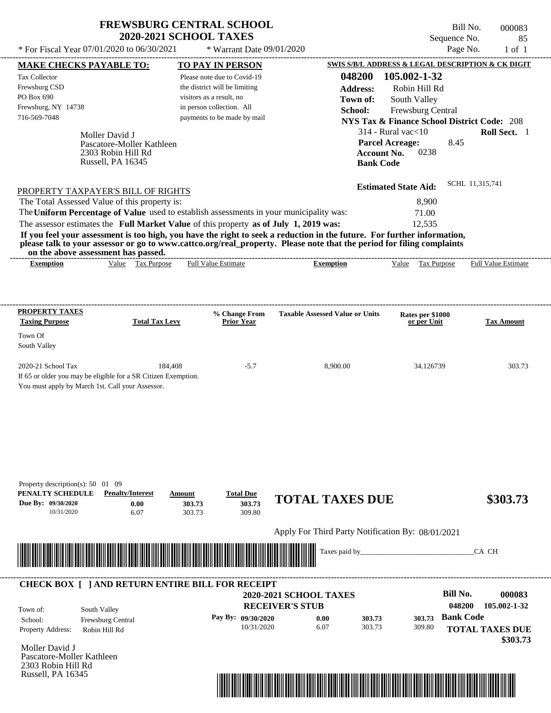| <b>FREWSBURG CENTRAL SCHOOL</b> |
|---------------------------------|
| <b>2020-2021 SCHOOL TAXES</b>   |

 $*$  For Fiscal Year 07/01/2020 to 06/30/2021

\* Warrant Date 09/01/2020

Bill No. 000083 Sequence No. 85<br>Page No. 1 of 1

| <b>MAKE CHECKS PAYABLE TO:</b>                                                                                                                                                                                                       |                                         |                       | <b>TO PAY IN PERSON</b>       |                                                                                                                                                                                                                                                  |                                        | SWIS S/B/L ADDRESS & LEGAL DESCRIPTION & CK DIGIT      |
|--------------------------------------------------------------------------------------------------------------------------------------------------------------------------------------------------------------------------------------|-----------------------------------------|-----------------------|-------------------------------|--------------------------------------------------------------------------------------------------------------------------------------------------------------------------------------------------------------------------------------------------|----------------------------------------|--------------------------------------------------------|
| Tax Collector                                                                                                                                                                                                                        |                                         |                       | Please note due to Covid-19   | 048200                                                                                                                                                                                                                                           | 105.002-1-32                           |                                                        |
| Frewsburg CSD                                                                                                                                                                                                                        |                                         |                       | the district will be limiting | <b>Address:</b>                                                                                                                                                                                                                                  | Robin Hill Rd                          |                                                        |
| PO Box 690                                                                                                                                                                                                                           |                                         |                       | visitors as a result, no      | Town of:                                                                                                                                                                                                                                         | South Valley                           |                                                        |
| Frewsburg, NY 14738                                                                                                                                                                                                                  |                                         |                       | in person collection. All     | School:                                                                                                                                                                                                                                          | Frewsburg Central                      |                                                        |
| 716-569-7048                                                                                                                                                                                                                         |                                         |                       | payments to be made by mail   |                                                                                                                                                                                                                                                  |                                        | <b>NYS Tax &amp; Finance School District Code: 208</b> |
|                                                                                                                                                                                                                                      |                                         |                       |                               |                                                                                                                                                                                                                                                  | 314 - Rural vac $<$ 10                 | Roll Sect. 1                                           |
|                                                                                                                                                                                                                                      | Moller David J                          |                       |                               |                                                                                                                                                                                                                                                  |                                        |                                                        |
|                                                                                                                                                                                                                                      | Pascatore-Moller Kathleen               |                       |                               |                                                                                                                                                                                                                                                  | <b>Parcel Acreage:</b><br>0238         | 8.45                                                   |
|                                                                                                                                                                                                                                      | 2303 Robin Hill Rd<br>Russell, PA 16345 |                       |                               |                                                                                                                                                                                                                                                  | <b>Account No.</b><br><b>Bank Code</b> |                                                        |
|                                                                                                                                                                                                                                      |                                         |                       |                               |                                                                                                                                                                                                                                                  |                                        |                                                        |
| PROPERTY TAXPAYER'S BILL OF RIGHTS                                                                                                                                                                                                   |                                         |                       |                               |                                                                                                                                                                                                                                                  | <b>Estimated State Aid:</b>            | SCHL 11,315,741                                        |
| The Total Assessed Value of this property is:                                                                                                                                                                                        |                                         |                       |                               |                                                                                                                                                                                                                                                  | 8,900                                  |                                                        |
|                                                                                                                                                                                                                                      |                                         |                       |                               | The Uniform Percentage of Value used to establish assessments in your municipality was:                                                                                                                                                          | 71.00                                  |                                                        |
|                                                                                                                                                                                                                                      |                                         |                       |                               |                                                                                                                                                                                                                                                  |                                        |                                                        |
|                                                                                                                                                                                                                                      |                                         |                       |                               | The assessor estimates the Full Market Value of this property as of July 1, 2019 was:                                                                                                                                                            | 12,535                                 |                                                        |
|                                                                                                                                                                                                                                      |                                         |                       |                               | If you feel your assessment is too high, you have the right to seek a reduction in the future. For further information,<br>please talk to your assessor or go to www.cattco.org/real_property. Please note that the period for filing complaints |                                        |                                                        |
| on the above assessment has passed.<br><b>Exemption</b>                                                                                                                                                                              | Value Tax Purpose                       |                       | <b>Full Value Estimate</b>    | <b>Exemption</b>                                                                                                                                                                                                                                 | Value Tax Purpose                      | <b>Full Value Estimate</b>                             |
|                                                                                                                                                                                                                                      |                                         |                       |                               |                                                                                                                                                                                                                                                  |                                        |                                                        |
|                                                                                                                                                                                                                                      |                                         |                       |                               |                                                                                                                                                                                                                                                  |                                        |                                                        |
| <b>PROPERTY TAXES</b>                                                                                                                                                                                                                |                                         |                       | % Change From                 | <b>Taxable Assessed Value or Units</b>                                                                                                                                                                                                           | Rates per \$1000                       |                                                        |
| <b>Taxing Purpose</b>                                                                                                                                                                                                                |                                         | <b>Total Tax Levy</b> | Prior Year                    |                                                                                                                                                                                                                                                  | or per Unit                            | <b>Tax Amount</b>                                      |
| Town Of                                                                                                                                                                                                                              |                                         |                       |                               |                                                                                                                                                                                                                                                  |                                        |                                                        |
| South Valley                                                                                                                                                                                                                         |                                         |                       |                               |                                                                                                                                                                                                                                                  |                                        |                                                        |
|                                                                                                                                                                                                                                      |                                         |                       |                               |                                                                                                                                                                                                                                                  |                                        |                                                        |
| 2020-21 School Tax                                                                                                                                                                                                                   |                                         | 184,408               | $-5.7$                        | 8,900.00                                                                                                                                                                                                                                         | 34.126739                              | 303.73                                                 |
| If 65 or older you may be eligible for a SR Citizen Exemption.                                                                                                                                                                       |                                         |                       |                               |                                                                                                                                                                                                                                                  |                                        |                                                        |
| You must apply by March 1st. Call your Assessor.                                                                                                                                                                                     |                                         |                       |                               |                                                                                                                                                                                                                                                  |                                        |                                                        |
|                                                                                                                                                                                                                                      |                                         |                       |                               |                                                                                                                                                                                                                                                  |                                        |                                                        |
|                                                                                                                                                                                                                                      |                                         |                       |                               |                                                                                                                                                                                                                                                  |                                        |                                                        |
|                                                                                                                                                                                                                                      |                                         |                       |                               |                                                                                                                                                                                                                                                  |                                        |                                                        |
|                                                                                                                                                                                                                                      |                                         |                       |                               |                                                                                                                                                                                                                                                  |                                        |                                                        |
|                                                                                                                                                                                                                                      |                                         |                       |                               |                                                                                                                                                                                                                                                  |                                        |                                                        |
|                                                                                                                                                                                                                                      |                                         |                       |                               |                                                                                                                                                                                                                                                  |                                        |                                                        |
|                                                                                                                                                                                                                                      |                                         |                       |                               |                                                                                                                                                                                                                                                  |                                        |                                                        |
| Property description(s): 50 01 09<br>PENALTY SCHEDULE                                                                                                                                                                                | <b>Penalty/Interest</b>                 | Amount                | <b>Total Due</b>              | <b>TOTAL TAXES DUE</b>                                                                                                                                                                                                                           |                                        | \$303.73                                               |
| Due By: 09/30/2020                                                                                                                                                                                                                   | 0.00                                    | 303.73                | 303.73                        |                                                                                                                                                                                                                                                  |                                        |                                                        |
| 10/31/2020                                                                                                                                                                                                                           | 6.07                                    | 303.73                | 309.80                        |                                                                                                                                                                                                                                                  |                                        |                                                        |
|                                                                                                                                                                                                                                      |                                         |                       |                               | Apply For Third Party Notification By: 08/01/2021                                                                                                                                                                                                |                                        |                                                        |
|                                                                                                                                                                                                                                      |                                         |                       |                               | Taxes paid by_                                                                                                                                                                                                                                   |                                        | CA CH                                                  |
| <u> Harry Harry Harry Harry Harry Harry Harry Harry Harry Harry Harry Harry Harry Harry Harry Harry Harry Harry Harry Harry Harry Harry Harry Harry Harry Harry Harry Harry Harry Harry Harry Harry Harry Harry Harry Harry Harr</u> |                                         |                       |                               |                                                                                                                                                                                                                                                  |                                        |                                                        |
|                                                                                                                                                                                                                                      |                                         |                       |                               |                                                                                                                                                                                                                                                  |                                        |                                                        |
| <b>CHECK BOX [ ] AND RETURN ENTIRE BILL FOR RECEIPT</b>                                                                                                                                                                              |                                         |                       |                               |                                                                                                                                                                                                                                                  |                                        |                                                        |
|                                                                                                                                                                                                                                      |                                         |                       |                               | 2020-2021 SCHOOL TAXES                                                                                                                                                                                                                           |                                        | <b>Bill No.</b><br>000083                              |
| Town of:                                                                                                                                                                                                                             | South Valley                            |                       |                               | <b>RECEIVER'S STUB</b>                                                                                                                                                                                                                           |                                        | 048200<br>105.002-1-32                                 |
|                                                                                                                                                                                                                                      | Frewsburg Central                       |                       | Pay By: 09/30/2020            | 0.00                                                                                                                                                                                                                                             | 303.73<br>303.73                       | <b>Bank Code</b>                                       |
| School:                                                                                                                                                                                                                              |                                         |                       | 10/31/2020                    | 6.07                                                                                                                                                                                                                                             | 303.73<br>309.80                       | <b>TOTAL TAXES DUE</b>                                 |
|                                                                                                                                                                                                                                      |                                         |                       |                               |                                                                                                                                                                                                                                                  |                                        |                                                        |
| Property Address:                                                                                                                                                                                                                    | Robin Hill Rd                           |                       |                               |                                                                                                                                                                                                                                                  |                                        |                                                        |
| Moller David J                                                                                                                                                                                                                       |                                         |                       |                               |                                                                                                                                                                                                                                                  |                                        |                                                        |
|                                                                                                                                                                                                                                      |                                         |                       |                               |                                                                                                                                                                                                                                                  |                                        | \$303.73                                               |
| Pascatore-Moller Kathleen<br>2303 Robin Hill Rd<br>Russell, PA 16345                                                                                                                                                                 |                                         |                       |                               |                                                                                                                                                                                                                                                  |                                        |                                                        |

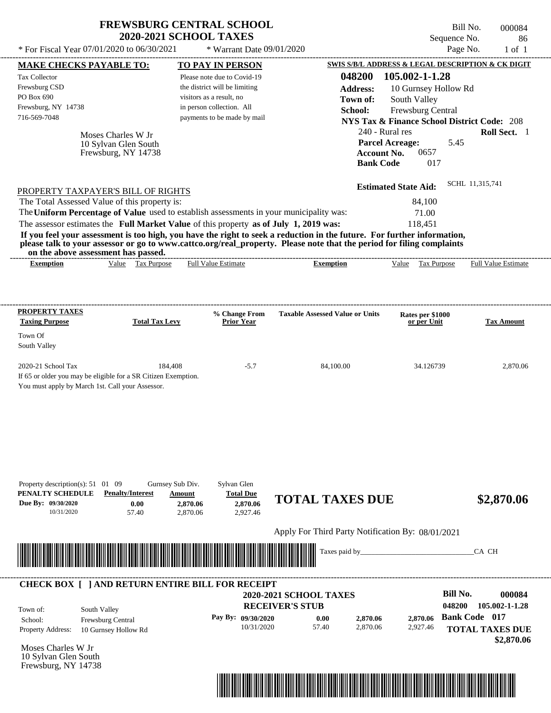| * For Fiscal Year 07/01/2020 to 06/30/2021                                                                            | <b>FREWSBURG CENTRAL SCHOOL</b><br><b>2020-2021 SCHOOL TAXES</b>                                                                                                                                                       | * Warrant Date 09/01/2020                                                                                                                                                       |                                                                                                                                                                                                                                                  | Bill No.<br>Sequence No.<br>Page No.                                                                                                                                                                              | 000084<br>86<br>$1$ of $1$ |
|-----------------------------------------------------------------------------------------------------------------------|------------------------------------------------------------------------------------------------------------------------------------------------------------------------------------------------------------------------|---------------------------------------------------------------------------------------------------------------------------------------------------------------------------------|--------------------------------------------------------------------------------------------------------------------------------------------------------------------------------------------------------------------------------------------------|-------------------------------------------------------------------------------------------------------------------------------------------------------------------------------------------------------------------|----------------------------|
| <b>MAKE CHECKS PAYABLE TO:</b><br>Tax Collector<br>Frewsburg CSD<br>PO Box 690<br>Frewsburg, NY 14738<br>716-569-7048 | Moses Charles W Jr<br>10 Sylvan Glen South<br>Frewsburg, NY 14738                                                                                                                                                      | <b>TO PAY IN PERSON</b><br>Please note due to Covid-19<br>the district will be limiting<br>visitors as a result, no<br>in person collection. All<br>payments to be made by mail | 048200<br><b>Address:</b><br>Town of:<br>School:<br>240 - Rural res<br><b>Parcel Acreage:</b><br><b>Account No.</b><br><b>Bank Code</b>                                                                                                          | SWIS S/B/L ADDRESS & LEGAL DESCRIPTION & CK DIGIT<br>105.002-1-1.28<br>10 Gurnsey Hollow Rd<br>South Valley<br>Frewsburg Central<br><b>NYS Tax &amp; Finance School District Code: 208</b><br>5.45<br>0657<br>017 | Roll Sect. 1               |
| The Total Assessed Value of this property is:                                                                         | PROPERTY TAXPAYER'S BILL OF RIGHTS<br>The Uniform Percentage of Value used to establish assessments in your municipality was:<br>The assessor estimates the Full Market Value of this property as of July 1, 2019 was: |                                                                                                                                                                                 | If you feel your assessment is too high, you have the right to seek a reduction in the future. For further information,<br>please talk to your assessor or go to www.cattco.org/real_property. Please note that the period for filing complaints | SCHL 11,315,741<br><b>Estimated State Aid:</b><br>84,100<br>71.00<br>118,451                                                                                                                                      |                            |
| on the above assessment has passed.<br><b>Exemption</b>                                                               | Value Tax Purpose                                                                                                                                                                                                      | <b>Full Value Estimate</b>                                                                                                                                                      | <b>Exemption</b>                                                                                                                                                                                                                                 | Value Tax Purpose                                                                                                                                                                                                 | Full Value Estimate        |
| <b>PROPERTY TAXES</b><br><b>Taxing Purpose</b><br>Town Of<br>South Valley                                             | <b>Total Tax Levy</b>                                                                                                                                                                                                  | % Change From<br><b>Prior Year</b>                                                                                                                                              | <b>Taxable Assessed Value or Units</b>                                                                                                                                                                                                           | Rates per \$1000<br>or per Unit                                                                                                                                                                                   | <b>Tax Amount</b>          |
| 2020-21 School Tax<br>You must apply by March 1st. Call your Assessor.                                                | 184,408<br>If 65 or older you may be eligible for a SR Citizen Exemption.                                                                                                                                              | $-5.7$                                                                                                                                                                          | 84,100.00                                                                                                                                                                                                                                        | 34.126739                                                                                                                                                                                                         | 2,870.06                   |
|                                                                                                                       |                                                                                                                                                                                                                        |                                                                                                                                                                                 |                                                                                                                                                                                                                                                  |                                                                                                                                                                                                                   |                            |
| Property description(s): 51 01 09<br>PENALTY SCHEDULE<br>Due By: 09/30/2020<br>10/31/2020                             | Gurnsey Sub Div.<br><b>Penalty/Interest</b><br>Amount<br>0.00<br>2,870.06<br>57.40<br>2,870.06                                                                                                                         | Sylvan Glen<br><b>Total Due</b><br>2,870.06<br>2,927.46                                                                                                                         | <b>TOTAL TAXES DUE</b>                                                                                                                                                                                                                           |                                                                                                                                                                                                                   | \$2,870.06                 |
|                                                                                                                       |                                                                                                                                                                                                                        |                                                                                                                                                                                 | Apply For Third Party Notification By: 08/01/2021                                                                                                                                                                                                |                                                                                                                                                                                                                   |                            |
|                                                                                                                       | <u> 1988 - Alexander Stadt Barbor (f. 1988)</u><br>1990 - Antonio Barbor (f. 1988)<br>1991 - Alexander Stadt, francuski fizik francuski fizik (f. 1988)                                                                |                                                                                                                                                                                 |                                                                                                                                                                                                                                                  |                                                                                                                                                                                                                   | CA CH                      |



| Town of:                 | South Valley             | <b>2020-2021 SCHOOL TAXES</b><br><b>RECEIVER'S STUB</b> |       |          |          | Bill No.<br>000084<br>105.002-1-1.28<br>048200 |
|--------------------------|--------------------------|---------------------------------------------------------|-------|----------|----------|------------------------------------------------|
| School:                  | <b>Frewsburg Central</b> | Pay By: $09/30/2020$                                    | 0.00  | 2,870.06 | 2,870.06 | <b>Bank Code</b> 017                           |
| <b>Property Address:</b> | 10 Gurnsey Hollow Rd     | 10/31/2020                                              | 57.40 | 2.870.06 | 2,927.46 | <b>TOTAL TAXES DUE</b><br>\$2,870.06           |



Frewsburg, NY 14738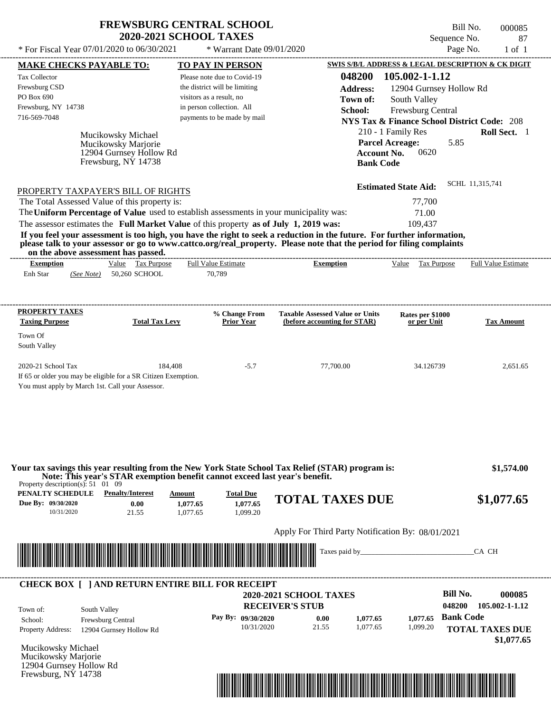## **FREWSBURG CENTRAL SCHOOL 2020-2021 SCHOOL TAXES**

\* For Fiscal Year  $07/01/2020$  to  $06/30/2021$  \* Warrant Date  $09/01/2020$  Page No. 1 of 1

\* Warrant Date 09/01/2020

Bill No. 000085 Sequence No. 87<br>Page No. 1 of 1

| <b>MAKE CHECKS PAYABLE TO:</b>                                                                                                                                                                                                       |                                                                             | <b>TO PAY IN PERSON</b>            |                                                                                                                                                                                                                                      | SWIS S/B/L ADDRESS & LEGAL DESCRIPTION & CK DIGIT      |                            |
|--------------------------------------------------------------------------------------------------------------------------------------------------------------------------------------------------------------------------------------|-----------------------------------------------------------------------------|------------------------------------|--------------------------------------------------------------------------------------------------------------------------------------------------------------------------------------------------------------------------------------|--------------------------------------------------------|----------------------------|
| <b>Tax Collector</b>                                                                                                                                                                                                                 |                                                                             | Please note due to Covid-19        | 048200                                                                                                                                                                                                                               | 105.002-1-1.12                                         |                            |
| Frewsburg CSD                                                                                                                                                                                                                        |                                                                             | the district will be limiting      | <b>Address:</b>                                                                                                                                                                                                                      | 12904 Gurnsey Hollow Rd                                |                            |
| PO Box 690                                                                                                                                                                                                                           |                                                                             | visitors as a result, no           | Town of:                                                                                                                                                                                                                             | South Valley                                           |                            |
| Frewsburg, NY 14738                                                                                                                                                                                                                  |                                                                             | in person collection. All          | School:                                                                                                                                                                                                                              | Frewsburg Central                                      |                            |
| 716-569-7048                                                                                                                                                                                                                         |                                                                             | payments to be made by mail        |                                                                                                                                                                                                                                      | <b>NYS Tax &amp; Finance School District Code: 208</b> |                            |
|                                                                                                                                                                                                                                      |                                                                             |                                    |                                                                                                                                                                                                                                      | 210 - 1 Family Res                                     | Roll Sect. 1               |
| Mucikowsky Michael                                                                                                                                                                                                                   |                                                                             |                                    |                                                                                                                                                                                                                                      | <b>Parcel Acreage:</b><br>5.85                         |                            |
|                                                                                                                                                                                                                                      | Mucikowsky Marjorie<br>12904 Gurnsey Hollow Rd                              |                                    | <b>Account No.</b>                                                                                                                                                                                                                   | 0620                                                   |                            |
|                                                                                                                                                                                                                                      | Frewsburg, NY 14738                                                         |                                    | <b>Bank Code</b>                                                                                                                                                                                                                     |                                                        |                            |
|                                                                                                                                                                                                                                      |                                                                             |                                    |                                                                                                                                                                                                                                      |                                                        |                            |
| PROPERTY TAXPAYER'S BILL OF RIGHTS                                                                                                                                                                                                   |                                                                             |                                    |                                                                                                                                                                                                                                      | <b>Estimated State Aid:</b>                            | SCHL 11,315,741            |
| The Total Assessed Value of this property is:                                                                                                                                                                                        |                                                                             |                                    |                                                                                                                                                                                                                                      | 77,700                                                 |                            |
| The Uniform Percentage of Value used to establish assessments in your municipality was:                                                                                                                                              |                                                                             |                                    |                                                                                                                                                                                                                                      | 71.00                                                  |                            |
| The assessor estimates the Full Market Value of this property as of July 1, 2019 was:                                                                                                                                                |                                                                             |                                    |                                                                                                                                                                                                                                      | 109,437                                                |                            |
|                                                                                                                                                                                                                                      |                                                                             |                                    | If you feel your assessment is too high, you have the right to seek a reduction in the future. For further information,                                                                                                              |                                                        |                            |
| on the above assessment has passed.                                                                                                                                                                                                  |                                                                             |                                    | please talk to your assessor or go to www.cattco.org/real_property. Please note that the period for filing complaints                                                                                                                |                                                        |                            |
| <b>Exemption</b>                                                                                                                                                                                                                     | Value Tax Purpose                                                           | <b>Full Value Estimate</b>         | <b>Exemption</b>                                                                                                                                                                                                                     | Value Tax Purpose                                      | <b>Full Value Estimate</b> |
| Enh Star<br>(See Note) 50,260 SCHOOL                                                                                                                                                                                                 |                                                                             | 70,789                             |                                                                                                                                                                                                                                      |                                                        |                            |
|                                                                                                                                                                                                                                      |                                                                             |                                    |                                                                                                                                                                                                                                      |                                                        |                            |
| <b>PROPERTY TAXES</b>                                                                                                                                                                                                                |                                                                             |                                    |                                                                                                                                                                                                                                      |                                                        |                            |
| <b>Taxing Purpose</b>                                                                                                                                                                                                                | <b>Total Tax Levy</b>                                                       | % Change From<br><b>Prior Year</b> | <b>Taxable Assessed Value or Units</b><br>(before accounting for STAR)                                                                                                                                                               | Rates per \$1000<br>or per Unit                        | <b>Tax Amount</b>          |
| Town Of                                                                                                                                                                                                                              |                                                                             |                                    |                                                                                                                                                                                                                                      |                                                        |                            |
| South Valley                                                                                                                                                                                                                         |                                                                             |                                    |                                                                                                                                                                                                                                      |                                                        |                            |
|                                                                                                                                                                                                                                      |                                                                             |                                    |                                                                                                                                                                                                                                      |                                                        |                            |
| 2020-21 School Tax                                                                                                                                                                                                                   | 184,408                                                                     | $-5.7$                             | 77,700.00                                                                                                                                                                                                                            | 34.126739                                              | 2,651.65                   |
| If 65 or older you may be eligible for a SR Citizen Exemption.                                                                                                                                                                       |                                                                             |                                    |                                                                                                                                                                                                                                      |                                                        |                            |
| You must apply by March 1st. Call your Assessor.                                                                                                                                                                                     |                                                                             |                                    |                                                                                                                                                                                                                                      |                                                        |                            |
|                                                                                                                                                                                                                                      |                                                                             |                                    |                                                                                                                                                                                                                                      |                                                        |                            |
|                                                                                                                                                                                                                                      |                                                                             |                                    |                                                                                                                                                                                                                                      |                                                        |                            |
|                                                                                                                                                                                                                                      |                                                                             |                                    |                                                                                                                                                                                                                                      |                                                        |                            |
|                                                                                                                                                                                                                                      |                                                                             |                                    |                                                                                                                                                                                                                                      |                                                        |                            |
|                                                                                                                                                                                                                                      |                                                                             |                                    |                                                                                                                                                                                                                                      |                                                        |                            |
|                                                                                                                                                                                                                                      | Note: This year's STAR exemption benefit cannot exceed last year's benefit. |                                    | Your tax savings this year resulting from the New York State School Tax Relief (STAR) program is:                                                                                                                                    |                                                        | \$1,574.00                 |
| Property description(s): $51 \quad 01 \quad 09$<br>PENALTY SCHEDULE                                                                                                                                                                  | <b>Penalty/Interest</b><br>Amount                                           | <b>Total Due</b>                   |                                                                                                                                                                                                                                      |                                                        |                            |
| Due By: 09/30/2020                                                                                                                                                                                                                   | 0.00<br>1,077.65                                                            | 1,077.65                           | <b>TOTAL TAXES DUE</b>                                                                                                                                                                                                               |                                                        | \$1,077.65                 |
| 10/31/2020                                                                                                                                                                                                                           | 21.55<br>1,077.65                                                           | 1,099.20                           |                                                                                                                                                                                                                                      |                                                        |                            |
|                                                                                                                                                                                                                                      |                                                                             |                                    | Apply For Third Party Notification By: 08/01/2021                                                                                                                                                                                    |                                                        |                            |
|                                                                                                                                                                                                                                      |                                                                             |                                    |                                                                                                                                                                                                                                      |                                                        |                            |
| <u> Indian State of the State of the State of the State of the State of the State of the State of the State of the State of the State of the State of the State of the State of the State of the State of the State of the State</u> |                                                                             |                                    |                                                                                                                                                                                                                                      |                                                        | CA CH                      |
|                                                                                                                                                                                                                                      |                                                                             |                                    |                                                                                                                                                                                                                                      |                                                        |                            |
| <b>CHECK BOX [ ] AND RETURN ENTIRE BILL FOR RECEIPT</b>                                                                                                                                                                              |                                                                             |                                    |                                                                                                                                                                                                                                      |                                                        |                            |
|                                                                                                                                                                                                                                      |                                                                             |                                    | <b>2020-2021 SCHOOL TAXES</b>                                                                                                                                                                                                        | <b>Bill No.</b>                                        | 000085                     |
| South Valley<br>Town of:                                                                                                                                                                                                             |                                                                             |                                    | <b>RECEIVER'S STUB</b>                                                                                                                                                                                                               | 048200                                                 | 105.002-1-1.12             |
| Frewsburg Central<br>School:                                                                                                                                                                                                         |                                                                             | Pay By: 09/30/2020                 | 0.00<br>1,077.65                                                                                                                                                                                                                     | <b>Bank Code</b><br>1,077.65                           |                            |
| <b>Property Address:</b><br>12904 Gurnsey Hollow Rd                                                                                                                                                                                  |                                                                             | 10/31/2020                         | 21.55<br>1,077.65                                                                                                                                                                                                                    | 1,099.20                                               | <b>TOTAL TAXES DUE</b>     |
|                                                                                                                                                                                                                                      |                                                                             |                                    |                                                                                                                                                                                                                                      |                                                        | \$1,077.65                 |
| Mucikowsky Michael                                                                                                                                                                                                                   |                                                                             |                                    |                                                                                                                                                                                                                                      |                                                        |                            |
| Mucikowsky Marjorie                                                                                                                                                                                                                  |                                                                             |                                    |                                                                                                                                                                                                                                      |                                                        |                            |
| 12904 Gurnsey Hollow Rd<br>Frewsburg, NY 14738                                                                                                                                                                                       |                                                                             |                                    |                                                                                                                                                                                                                                      |                                                        |                            |
|                                                                                                                                                                                                                                      |                                                                             |                                    | <u> 1999 - 1999 - 1999 - 1999 - 1999 - 1999 - 1999 - 1999 - 1999 - 1999 - 1999 - 1999 - 1999 - 1999 - 1999 - 1999 - 1999 - 1999 - 1999 - 1999 - 1999 - 1999 - 1999 - 1999 - 1999 - 1999 - 1999 - 1999 - 1999 - 1999 - 1999 - 199</u> |                                                        |                            |

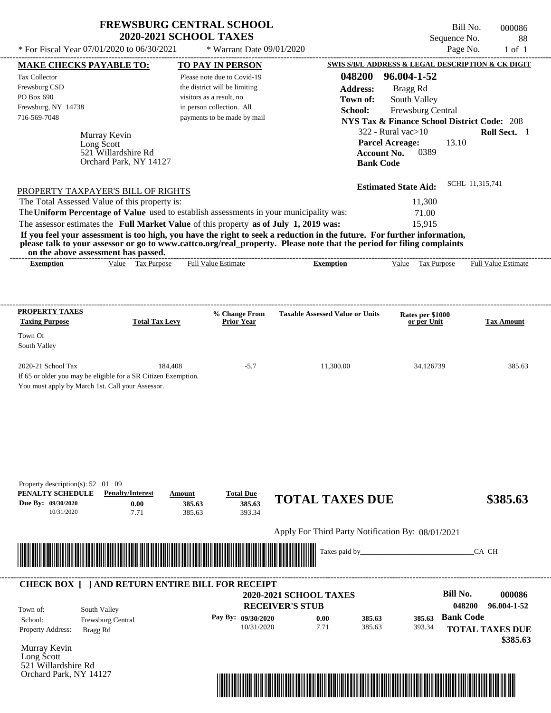| <b>FREWSBURG CENTRAL SCHOOL</b> |
|---------------------------------|
| <b>2020-2021 SCHOOL TAXES</b>   |

\* Warrant Date 09/01/2020

Bill No. 000086 Sequence No. 88<br>Page No. 1 of 1

| <b>Tax Collector</b>                                                | <b>MAKE CHECKS PAYABLE TO:</b>                                                                                                | <b>TO PAY IN PERSON</b>                                                                                               |                                                                                                                                                                                                                                                                                                                                             |                                                                                                        | <b>SWIS S/B/L ADDRESS &amp; LEGAL DESCRIPTION &amp; CK DIGIT</b> |
|---------------------------------------------------------------------|-------------------------------------------------------------------------------------------------------------------------------|-----------------------------------------------------------------------------------------------------------------------|---------------------------------------------------------------------------------------------------------------------------------------------------------------------------------------------------------------------------------------------------------------------------------------------------------------------------------------------|--------------------------------------------------------------------------------------------------------|------------------------------------------------------------------|
| Frewsburg CSD<br>PO Box 690<br>Frewsburg, NY 14738                  |                                                                                                                               | Please note due to Covid-19<br>the district will be limiting<br>visitors as a result, no<br>in person collection. All | 048200<br><b>Address:</b><br>Town of:                                                                                                                                                                                                                                                                                                       | 96.004-1-52<br>Bragg Rd<br>South Valley                                                                |                                                                  |
| 716-569-7048                                                        | Murray Kevin                                                                                                                  | payments to be made by mail                                                                                           | School:                                                                                                                                                                                                                                                                                                                                     | Frewsburg Central<br><b>NYS Tax &amp; Finance School District Code: 208</b><br>$322$ - Rural vac $>10$ | Roll Sect. 1                                                     |
|                                                                     | Long Scott<br>521 Willardshire Rd<br>Orchard Park, NY 14127                                                                   |                                                                                                                       | <b>Account No.</b><br><b>Bank Code</b>                                                                                                                                                                                                                                                                                                      | 13.10<br><b>Parcel Acreage:</b><br>0389                                                                |                                                                  |
|                                                                     | PROPERTY TAXPAYER'S BILL OF RIGHTS                                                                                            |                                                                                                                       |                                                                                                                                                                                                                                                                                                                                             | <b>Estimated State Aid:</b>                                                                            | SCHL 11,315,741                                                  |
|                                                                     | The Total Assessed Value of this property is:                                                                                 |                                                                                                                       |                                                                                                                                                                                                                                                                                                                                             | 11,300                                                                                                 |                                                                  |
|                                                                     | on the above assessment has passed.                                                                                           | The assessor estimates the Full Market Value of this property as of July 1, 2019 was:                                 | The Uniform Percentage of Value used to establish assessments in your municipality was:<br>If you feel your assessment is too high, you have the right to seek a reduction in the future. For further information,<br>please talk to your assessor or go to www.cattco.org/real_property. Please note that the period for filing complaints | 71.00<br>15,915                                                                                        |                                                                  |
| <b>Exemption</b>                                                    | Value Tax Purpose                                                                                                             | <b>Full Value Estimate</b>                                                                                            | <b>Exemption</b>                                                                                                                                                                                                                                                                                                                            | Value Tax Purpose Full Value Estimate                                                                  |                                                                  |
|                                                                     |                                                                                                                               |                                                                                                                       |                                                                                                                                                                                                                                                                                                                                             |                                                                                                        |                                                                  |
| <b>PROPERTY TAXES</b><br><b>Taxing Purpose</b>                      | <b>Total Tax Levy</b>                                                                                                         | % Change From<br><b>Prior Year</b>                                                                                    | <b>Taxable Assessed Value or Units</b>                                                                                                                                                                                                                                                                                                      | Rates per \$1000<br>or per Unit                                                                        | <b>Tax Amount</b>                                                |
| Town Of<br>South Valley                                             |                                                                                                                               |                                                                                                                       |                                                                                                                                                                                                                                                                                                                                             |                                                                                                        |                                                                  |
| 2020-21 School Tax                                                  | 184,408<br>If 65 or older you may be eligible for a SR Citizen Exemption.<br>You must apply by March 1st. Call your Assessor. | $-5.7$                                                                                                                | 11,300.00                                                                                                                                                                                                                                                                                                                                   | 34.126739                                                                                              | 385.63                                                           |
| Property description(s): $52 \quad 01 \quad 09$<br>PENALTY SCHEDULE | <b>Penalty/Interest</b><br>0.00                                                                                               | <b>Total Due</b><br>Amount<br>385.63<br>385.63                                                                        | <b>TOTAL TAXES DUE</b>                                                                                                                                                                                                                                                                                                                      |                                                                                                        | \$385.63                                                         |
|                                                                     | 7.71                                                                                                                          | 385.63<br>393.34                                                                                                      |                                                                                                                                                                                                                                                                                                                                             |                                                                                                        |                                                                  |
| 10/31/2020                                                          |                                                                                                                               |                                                                                                                       |                                                                                                                                                                                                                                                                                                                                             |                                                                                                        |                                                                  |
|                                                                     |                                                                                                                               |                                                                                                                       | Apply For Third Party Notification By: 08/01/2021                                                                                                                                                                                                                                                                                           |                                                                                                        |                                                                  |
|                                                                     |                                                                                                                               | <u> III de la contrada de la contrada de la contrada de la contrada de la contrada de la contrada de la contrada</u>  | Taxes paid by_                                                                                                                                                                                                                                                                                                                              |                                                                                                        | CA CH                                                            |
| Due By: 09/30/2020                                                  |                                                                                                                               | <b>CHECK BOX [ ] AND RETURN ENTIRE BILL FOR RECEIPT</b>                                                               | 2020-2021 SCHOOL TAXES                                                                                                                                                                                                                                                                                                                      | Bill No.                                                                                               |                                                                  |
| Town of:<br>School:<br>Property Address:                            | South Valley<br>Frewsburg Central                                                                                             | Pay By: 09/30/2020                                                                                                    | <b>RECEIVER'S STUB</b><br>0.00<br>385.63<br>7.71<br>385.63<br>10/31/2020                                                                                                                                                                                                                                                                    | <b>Bank Code</b><br>385.63<br>393.34                                                                   | 000086<br>048200<br>96.004-1-52                                  |
| Murray Kevin                                                        | Bragg Rd                                                                                                                      |                                                                                                                       |                                                                                                                                                                                                                                                                                                                                             |                                                                                                        |                                                                  |
| Long Scott<br>521 Willardshire Rd<br>Orchard Park, NY 14127         |                                                                                                                               |                                                                                                                       | <u> 1989 - Johann Stoff, Amerikaansk politiker († 1958)</u>                                                                                                                                                                                                                                                                                 |                                                                                                        | <b>TOTAL TAXES DUE</b><br>\$385.63                               |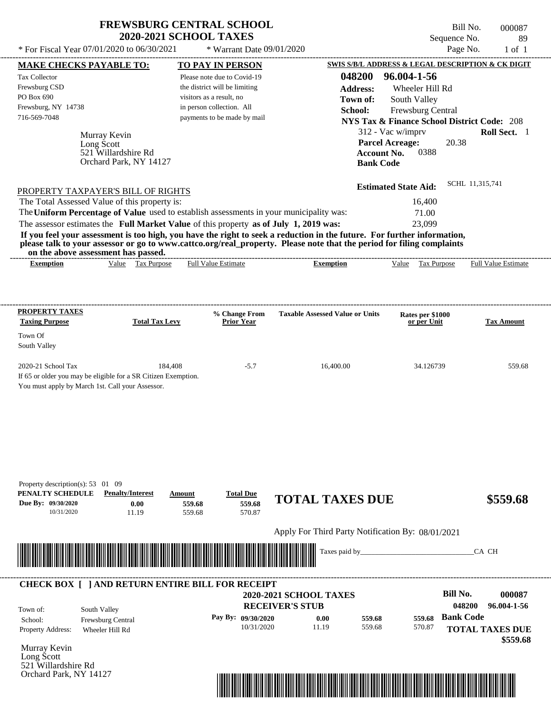| <b>FREWSBURG CENTRAL SCHOOL</b> |
|---------------------------------|
| <b>2020-2021 SCHOOL TAXES</b>   |

Bill No. 000087 Sequence No. 89<br>Page No. 1 of 1

| <b>MAKE CHECKS PAYABLE TO:</b>                                                                                                                                                                                                                   | <b>TO PAY IN PERSON</b>                                      |                                                   | SWIS S/B/L ADDRESS & LEGAL DESCRIPTION & CK DIGIT      |                        |
|--------------------------------------------------------------------------------------------------------------------------------------------------------------------------------------------------------------------------------------------------|--------------------------------------------------------------|---------------------------------------------------|--------------------------------------------------------|------------------------|
| <b>Tax Collector</b><br>Frewsburg CSD                                                                                                                                                                                                            | Please note due to Covid-19<br>the district will be limiting | 048200<br><b>Address:</b>                         | 96.004-1-56<br>Wheeler Hill Rd                         |                        |
| PO Box 690                                                                                                                                                                                                                                       | visitors as a result, no                                     | Town of:                                          | South Valley                                           |                        |
| Frewsburg, NY 14738                                                                                                                                                                                                                              | in person collection. All                                    | School:                                           | Frewsburg Central                                      |                        |
| 716-569-7048                                                                                                                                                                                                                                     | payments to be made by mail                                  |                                                   | <b>NYS Tax &amp; Finance School District Code: 208</b> |                        |
| Murray Kevin                                                                                                                                                                                                                                     |                                                              |                                                   | 312 - Vac w/imprv                                      | Roll Sect. 1           |
| Long Scott<br>521 Willardshire Rd                                                                                                                                                                                                                |                                                              | <b>Account No.</b>                                | <b>Parcel Acreage:</b><br>20.38<br>0388                |                        |
| Orchard Park, NY 14127                                                                                                                                                                                                                           |                                                              | <b>Bank Code</b>                                  |                                                        |                        |
|                                                                                                                                                                                                                                                  |                                                              |                                                   |                                                        |                        |
| PROPERTY TAXPAYER'S BILL OF RIGHTS                                                                                                                                                                                                               |                                                              |                                                   | <b>Estimated State Aid:</b>                            | SCHL 11,315,741        |
| The Total Assessed Value of this property is:                                                                                                                                                                                                    |                                                              |                                                   | 16,400                                                 |                        |
| The Uniform Percentage of Value used to establish assessments in your municipality was:                                                                                                                                                          |                                                              |                                                   | 71.00                                                  |                        |
| The assessor estimates the Full Market Value of this property as of July 1, 2019 was:                                                                                                                                                            |                                                              |                                                   | 23,099                                                 |                        |
| If you feel your assessment is too high, you have the right to seek a reduction in the future. For further information,<br>please talk to your assessor or go to www.cattco.org/real_property. Please note that the period for filing complaints |                                                              |                                                   |                                                        |                        |
| on the above assessment has passed.<br>Value Tax Purpose<br><b>Exemption</b>                                                                                                                                                                     | <b>Full Value Estimate</b>                                   | <b>Exemption</b>                                  | Value Tax Purpose Full Value Estimate                  |                        |
|                                                                                                                                                                                                                                                  |                                                              |                                                   |                                                        |                        |
|                                                                                                                                                                                                                                                  |                                                              |                                                   |                                                        |                        |
| <b>PROPERTY TAXES</b>                                                                                                                                                                                                                            | % Change From                                                | <b>Taxable Assessed Value or Units</b>            | Rates per \$1000                                       |                        |
| <b>Total Tax Levy</b><br><b>Taxing Purpose</b>                                                                                                                                                                                                   | <b>Prior Year</b>                                            |                                                   | or per Unit                                            | <b>Tax Amount</b>      |
| Town Of                                                                                                                                                                                                                                          |                                                              |                                                   |                                                        |                        |
| South Valley                                                                                                                                                                                                                                     |                                                              |                                                   |                                                        |                        |
| 2020-21 School Tax                                                                                                                                                                                                                               | 184,408<br>$-5.7$                                            | 16,400.00                                         | 34.126739                                              | 559.68                 |
| If 65 or older you may be eligible for a SR Citizen Exemption.                                                                                                                                                                                   |                                                              |                                                   |                                                        |                        |
| You must apply by March 1st. Call your Assessor.                                                                                                                                                                                                 |                                                              |                                                   |                                                        |                        |
|                                                                                                                                                                                                                                                  |                                                              |                                                   |                                                        |                        |
|                                                                                                                                                                                                                                                  |                                                              |                                                   |                                                        |                        |
|                                                                                                                                                                                                                                                  |                                                              |                                                   |                                                        |                        |
|                                                                                                                                                                                                                                                  |                                                              |                                                   |                                                        |                        |
|                                                                                                                                                                                                                                                  |                                                              |                                                   |                                                        |                        |
|                                                                                                                                                                                                                                                  |                                                              |                                                   |                                                        |                        |
|                                                                                                                                                                                                                                                  |                                                              |                                                   |                                                        |                        |
| Property description(s): 53 01 09<br>PENALTY SCHEDULE<br><b>Penalty/Interest</b>                                                                                                                                                                 | <b>Total Due</b><br>Amount                                   |                                                   |                                                        |                        |
| Due By: 09/30/2020<br>0.00                                                                                                                                                                                                                       | 559.68<br>559.68                                             | <b>TOTAL TAXES DUE</b>                            |                                                        | \$559.68               |
| 10/31/2020<br>11.19                                                                                                                                                                                                                              | 559.68<br>570.87                                             |                                                   |                                                        |                        |
|                                                                                                                                                                                                                                                  |                                                              | Apply For Third Party Notification By: 08/01/2021 |                                                        |                        |
|                                                                                                                                                                                                                                                  |                                                              |                                                   |                                                        |                        |
| <u> III de la contrada de la contrada de la contrada de la contrada de la contrada de la contrada de la contrada</u>                                                                                                                             |                                                              | Taxes paid by_                                    |                                                        | CA CH                  |
|                                                                                                                                                                                                                                                  |                                                              |                                                   |                                                        |                        |
| <b>CHECK BOX [ ] AND RETURN ENTIRE BILL FOR RECEIPT</b>                                                                                                                                                                                          |                                                              |                                                   |                                                        |                        |
|                                                                                                                                                                                                                                                  |                                                              | 2020-2021 SCHOOL TAXES                            | <b>Bill No.</b>                                        | 000087                 |
| South Valley<br>Town of:                                                                                                                                                                                                                         |                                                              | <b>RECEIVER'S STUB</b>                            | 048200                                                 | 96.004-1-56            |
| School:<br>Frewsburg Central                                                                                                                                                                                                                     | Pay By: 09/30/2020                                           | 559.68<br>0.00                                    | <b>Bank Code</b><br>559.68                             |                        |
| Property Address:<br>Wheeler Hill Rd                                                                                                                                                                                                             | 10/31/2020                                                   | 11.19<br>559.68                                   | 570.87                                                 | <b>TOTAL TAXES DUE</b> |
| Murray Kevin                                                                                                                                                                                                                                     |                                                              |                                                   |                                                        | \$559.68               |
| Long Scott                                                                                                                                                                                                                                       |                                                              |                                                   |                                                        |                        |
| 521 Willardshire Rd                                                                                                                                                                                                                              |                                                              |                                                   |                                                        |                        |
| Orchard Park, NY 14127                                                                                                                                                                                                                           |                                                              |                                                   |                                                        |                        |
|                                                                                                                                                                                                                                                  |                                                              |                                                   |                                                        |                        |
|                                                                                                                                                                                                                                                  |                                                              |                                                   |                                                        |                        |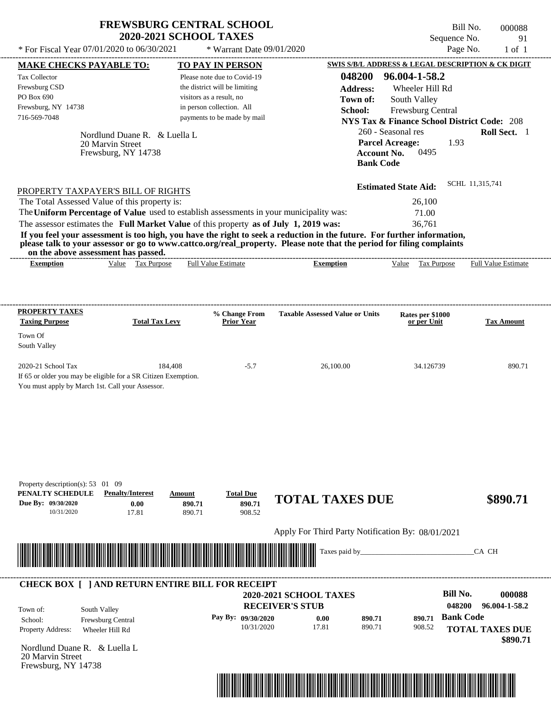| <b>FREWSBURG CENTRAL SCHOOL</b> |
|---------------------------------|
| <b>2020-2021 SCHOOL TAXES</b>   |

Bill No. 000088 Sequence No. 91

| * For Fiscal Year 07/01/2020 to 06/30/2021                                                                                                                                                                                                       |                               | * Warrant Date 09/01/2020                                 |                                                   |                                                                             | Page No.               | $1$ of $1$                 |
|--------------------------------------------------------------------------------------------------------------------------------------------------------------------------------------------------------------------------------------------------|-------------------------------|-----------------------------------------------------------|---------------------------------------------------|-----------------------------------------------------------------------------|------------------------|----------------------------|
| <b>MAKE CHECKS PAYABLE TO:</b>                                                                                                                                                                                                                   |                               | <b>TO PAY IN PERSON</b>                                   |                                                   | SWIS S/B/L ADDRESS & LEGAL DESCRIPTION & CK DIGIT                           |                        |                            |
| Tax Collector                                                                                                                                                                                                                                    |                               | Please note due to Covid-19                               | 048200                                            | 96.004-1-58.2                                                               |                        |                            |
| Frewsburg CSD<br>PO Box 690                                                                                                                                                                                                                      |                               | the district will be limiting<br>visitors as a result, no | <b>Address:</b>                                   | Wheeler Hill Rd                                                             |                        |                            |
| Frewsburg, NY 14738                                                                                                                                                                                                                              |                               | in person collection. All                                 | Town of:                                          | South Valley                                                                |                        |                            |
| 716-569-7048                                                                                                                                                                                                                                     |                               | payments to be made by mail                               | School:                                           | Frewsburg Central<br><b>NYS Tax &amp; Finance School District Code: 208</b> |                        |                            |
|                                                                                                                                                                                                                                                  | Nordlund Duane R. & Luella L. |                                                           |                                                   | 260 - Seasonal res                                                          |                        | Roll Sect. 1               |
| 20 Marvin Street                                                                                                                                                                                                                                 |                               |                                                           |                                                   | <b>Parcel Acreage:</b>                                                      | 1.93                   |                            |
| Frewsburg, NY 14738                                                                                                                                                                                                                              |                               |                                                           |                                                   | 0495<br><b>Account No.</b>                                                  |                        |                            |
|                                                                                                                                                                                                                                                  |                               |                                                           | <b>Bank Code</b>                                  |                                                                             |                        |                            |
| PROPERTY TAXPAYER'S BILL OF RIGHTS                                                                                                                                                                                                               |                               |                                                           |                                                   | <b>Estimated State Aid:</b>                                                 | SCHL 11,315,741        |                            |
| The Total Assessed Value of this property is:                                                                                                                                                                                                    |                               |                                                           |                                                   | 26,100                                                                      |                        |                            |
| The Uniform Percentage of Value used to establish assessments in your municipality was:                                                                                                                                                          |                               |                                                           |                                                   | 71.00                                                                       |                        |                            |
| The assessor estimates the Full Market Value of this property as of July 1, 2019 was:                                                                                                                                                            |                               |                                                           |                                                   | 36,761                                                                      |                        |                            |
| If you feel your assessment is too high, you have the right to seek a reduction in the future. For further information,<br>please talk to your assessor or go to www.cattco.org/real_property. Please note that the period for filing complaints |                               |                                                           |                                                   |                                                                             |                        |                            |
| on the above assessment has passed.<br><b>Exemption</b>                                                                                                                                                                                          | Value Tax Purpose             | <b>Full Value Estimate</b>                                | <b>Exemption</b>                                  | Value Tax Purpose                                                           |                        | <b>Full Value Estimate</b> |
|                                                                                                                                                                                                                                                  |                               |                                                           |                                                   |                                                                             |                        |                            |
|                                                                                                                                                                                                                                                  |                               |                                                           |                                                   |                                                                             |                        |                            |
| <b>PROPERTY TAXES</b>                                                                                                                                                                                                                            |                               | % Change From                                             | <b>Taxable Assessed Value or Units</b>            | Rates per \$1000                                                            |                        |                            |
| <b>Taxing Purpose</b>                                                                                                                                                                                                                            | <b>Total Tax Levy</b>         | <b>Prior Year</b>                                         |                                                   | or per Unit                                                                 |                        | <b>Tax Amount</b>          |
| Town Of<br>South Valley                                                                                                                                                                                                                          |                               |                                                           |                                                   |                                                                             |                        |                            |
| 2020-21 School Tax                                                                                                                                                                                                                               | 184,408                       | $-5.7$                                                    | 26,100.00                                         | 34.126739                                                                   |                        | 890.71                     |
| If 65 or older you may be eligible for a SR Citizen Exemption.                                                                                                                                                                                   |                               |                                                           |                                                   |                                                                             |                        |                            |
| You must apply by March 1st. Call your Assessor.                                                                                                                                                                                                 |                               |                                                           |                                                   |                                                                             |                        |                            |
|                                                                                                                                                                                                                                                  |                               |                                                           |                                                   |                                                                             |                        |                            |
|                                                                                                                                                                                                                                                  |                               |                                                           |                                                   |                                                                             |                        |                            |
|                                                                                                                                                                                                                                                  |                               |                                                           |                                                   |                                                                             |                        |                            |
|                                                                                                                                                                                                                                                  |                               |                                                           |                                                   |                                                                             |                        |                            |
|                                                                                                                                                                                                                                                  |                               |                                                           |                                                   |                                                                             |                        |                            |
| Property description(s): 53 01 09                                                                                                                                                                                                                |                               |                                                           |                                                   |                                                                             |                        |                            |
| PENALTY SCHEDULE<br><b>Penalty/Interest</b>                                                                                                                                                                                                      | Amount                        | <b>Total Due</b>                                          |                                                   |                                                                             |                        |                            |
| Due By: 09/30/2020                                                                                                                                                                                                                               | 0.00<br>890.71                | 890.71                                                    | <b>TOTAL TAXES DUE</b>                            |                                                                             |                        | \$890.71                   |
| 17.81<br>10/31/2020                                                                                                                                                                                                                              | 890.71                        | 908.52                                                    |                                                   |                                                                             |                        |                            |
|                                                                                                                                                                                                                                                  |                               |                                                           | Apply For Third Party Notification By: 08/01/2021 |                                                                             |                        |                            |
|                                                                                                                                                                                                                                                  |                               |                                                           | Taxes paid by_                                    |                                                                             | CA CH                  |                            |
|                                                                                                                                                                                                                                                  |                               |                                                           |                                                   |                                                                             |                        |                            |
| <b>CHECK BOX [ ] AND RETURN ENTIRE BILL FOR RECEIPT</b>                                                                                                                                                                                          |                               |                                                           |                                                   |                                                                             | <b>Bill No.</b>        | 000088                     |
|                                                                                                                                                                                                                                                  |                               |                                                           | 2020-2021 SCHOOL TAXES<br><b>RECEIVER'S STUB</b>  |                                                                             | 048200                 | 96.004-1-58.2              |
| South Valley<br>Town of:                                                                                                                                                                                                                         |                               | Pay By: 09/30/2020                                        | 0.00<br>890.71                                    | 890.71                                                                      | <b>Bank Code</b>       |                            |
| Frewsburg Central<br>School:<br>Property Address:<br>Wheeler Hill Rd                                                                                                                                                                             |                               | 10/31/2020                                                | 17.81<br>890.71                                   | 908.52                                                                      | <b>TOTAL TAXES DUE</b> |                            |
|                                                                                                                                                                                                                                                  |                               |                                                           |                                                   |                                                                             |                        | \$890.71                   |
| Nordlund Duane R. & Luella L                                                                                                                                                                                                                     |                               |                                                           |                                                   |                                                                             |                        |                            |
| 20 Marvin Street<br>Frewsburg, NY 14738                                                                                                                                                                                                          |                               |                                                           |                                                   |                                                                             |                        |                            |
|                                                                                                                                                                                                                                                  |                               |                                                           |                                                   |                                                                             |                        |                            |
|                                                                                                                                                                                                                                                  |                               |                                                           |                                                   |                                                                             |                        |                            |
|                                                                                                                                                                                                                                                  |                               |                                                           |                                                   |                                                                             |                        |                            |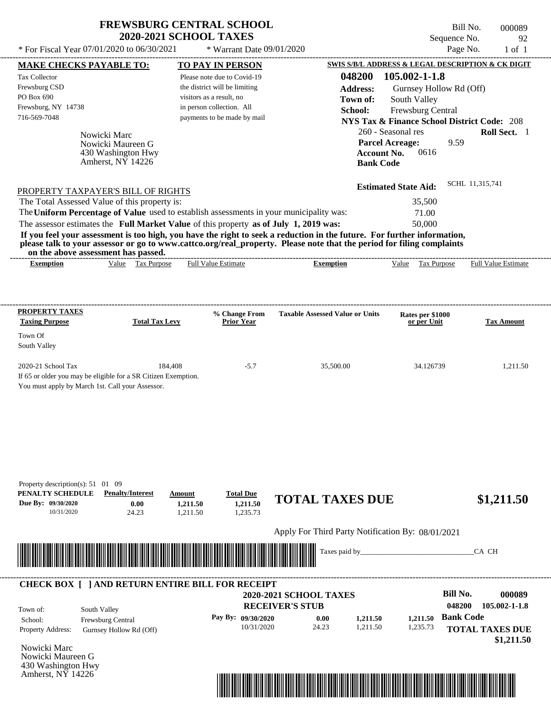| <b>FREWSBURG CENTRAL SCHOOL</b> |
|---------------------------------|
| <b>2020-2021 SCHOOL TAXES</b>   |

Bill No. 000089 Sequence No. 92<br>Page No. 1 of 1

| <b>MAKE CHECKS PAYABLE TO:</b>                  |                                                                                                                           |          | <b>TO PAY IN PERSON</b>       |                                                                                                                                                                                                                                                  | SWIS S/B/L ADDRESS & LEGAL DESCRIPTION & CK DIGIT      |                            |
|-------------------------------------------------|---------------------------------------------------------------------------------------------------------------------------|----------|-------------------------------|--------------------------------------------------------------------------------------------------------------------------------------------------------------------------------------------------------------------------------------------------|--------------------------------------------------------|----------------------------|
| Tax Collector                                   |                                                                                                                           |          | Please note due to Covid-19   | 048200                                                                                                                                                                                                                                           | $105.002 - 1 - 1.8$                                    |                            |
| Frewsburg CSD                                   |                                                                                                                           |          | the district will be limiting | <b>Address:</b>                                                                                                                                                                                                                                  | Gurnsey Hollow Rd (Off)                                |                            |
| PO Box 690                                      |                                                                                                                           |          | visitors as a result, no      | Town of:                                                                                                                                                                                                                                         | South Valley                                           |                            |
| Frewsburg, NY 14738                             |                                                                                                                           |          | in person collection. All     | School:                                                                                                                                                                                                                                          | Frewsburg Central                                      |                            |
| 716-569-7048                                    |                                                                                                                           |          | payments to be made by mail   |                                                                                                                                                                                                                                                  | <b>NYS Tax &amp; Finance School District Code: 208</b> |                            |
|                                                 | Nowicki Marc                                                                                                              |          |                               |                                                                                                                                                                                                                                                  | 260 - Seasonal res                                     | Roll Sect. 1               |
|                                                 | Nowicki Maureen G                                                                                                         |          |                               |                                                                                                                                                                                                                                                  | <b>Parcel Acreage:</b><br>9.59                         |                            |
|                                                 | 430 Washington Hwy                                                                                                        |          |                               | <b>Account No.</b>                                                                                                                                                                                                                               | 0616                                                   |                            |
|                                                 | Amherst, $N\bar{Y}$ 14226                                                                                                 |          |                               | <b>Bank Code</b>                                                                                                                                                                                                                                 |                                                        |                            |
|                                                 |                                                                                                                           |          |                               |                                                                                                                                                                                                                                                  |                                                        | SCHL 11,315,741            |
|                                                 | PROPERTY TAXPAYER'S BILL OF RIGHTS                                                                                        |          |                               |                                                                                                                                                                                                                                                  | <b>Estimated State Aid:</b>                            |                            |
|                                                 | The Total Assessed Value of this property is:                                                                             |          |                               |                                                                                                                                                                                                                                                  | 35,500                                                 |                            |
|                                                 |                                                                                                                           |          |                               | The Uniform Percentage of Value used to establish assessments in your municipality was:                                                                                                                                                          | 71.00                                                  |                            |
|                                                 | The assessor estimates the Full Market Value of this property as of July 1, 2019 was:                                     |          |                               |                                                                                                                                                                                                                                                  | 50,000                                                 |                            |
|                                                 |                                                                                                                           |          |                               | If you feel your assessment is too high, you have the right to seek a reduction in the future. For further information,<br>please talk to your assessor or go to www.cattco.org/real_property. Please note that the period for filing complaints |                                                        |                            |
| <b>Exemption</b>                                | on the above assessment has passed.<br>Value Tax Purpose                                                                  |          | <b>Full Value Estimate</b>    | <b>Exemption</b>                                                                                                                                                                                                                                 | Value Tax Purpose                                      | <b>Full Value Estimate</b> |
|                                                 |                                                                                                                           |          |                               |                                                                                                                                                                                                                                                  |                                                        |                            |
|                                                 |                                                                                                                           |          |                               |                                                                                                                                                                                                                                                  |                                                        |                            |
| <b>PROPERTY TAXES</b>                           |                                                                                                                           |          | % Change From                 | <b>Taxable Assessed Value or Units</b>                                                                                                                                                                                                           |                                                        |                            |
| <b>Taxing Purpose</b>                           | <b>Total Tax Levy</b>                                                                                                     |          | <b>Prior Year</b>             |                                                                                                                                                                                                                                                  | Rates per \$1000<br>or per Unit                        | <b>Tax Amount</b>          |
| Town Of                                         |                                                                                                                           |          |                               |                                                                                                                                                                                                                                                  |                                                        |                            |
| South Valley                                    |                                                                                                                           |          |                               |                                                                                                                                                                                                                                                  |                                                        |                            |
| 2020-21 School Tax                              |                                                                                                                           | 184,408  | $-5.7$                        | 35,500.00                                                                                                                                                                                                                                        | 34.126739                                              | 1,211.50                   |
|                                                 | If 65 or older you may be eligible for a SR Citizen Exemption.                                                            |          |                               |                                                                                                                                                                                                                                                  |                                                        |                            |
|                                                 | You must apply by March 1st. Call your Assessor.                                                                          |          |                               |                                                                                                                                                                                                                                                  |                                                        |                            |
|                                                 |                                                                                                                           |          |                               |                                                                                                                                                                                                                                                  |                                                        |                            |
|                                                 |                                                                                                                           |          |                               |                                                                                                                                                                                                                                                  |                                                        |                            |
|                                                 |                                                                                                                           |          |                               |                                                                                                                                                                                                                                                  |                                                        |                            |
|                                                 |                                                                                                                           |          |                               |                                                                                                                                                                                                                                                  |                                                        |                            |
|                                                 |                                                                                                                           |          |                               |                                                                                                                                                                                                                                                  |                                                        |                            |
|                                                 |                                                                                                                           |          |                               |                                                                                                                                                                                                                                                  |                                                        |                            |
| Property description(s): $51 \quad 01 \quad 09$ |                                                                                                                           |          |                               |                                                                                                                                                                                                                                                  |                                                        |                            |
| PENALTY SCHEDULE                                | <b>Penalty/Interest</b>                                                                                                   | Amount   | <b>Total Due</b>              | <b>TOTAL TAXES DUE</b>                                                                                                                                                                                                                           |                                                        | \$1,211.50                 |
| Due By: 09/30/2020                              | 0.00                                                                                                                      | 1,211.50 | 1,211.50                      |                                                                                                                                                                                                                                                  |                                                        |                            |
| 10/31/2020                                      | 24.23                                                                                                                     | 1,211.50 | 1,235.73                      |                                                                                                                                                                                                                                                  |                                                        |                            |
|                                                 |                                                                                                                           |          |                               | Apply For Third Party Notification By: 08/01/2021                                                                                                                                                                                                |                                                        |                            |
|                                                 |                                                                                                                           |          |                               |                                                                                                                                                                                                                                                  |                                                        |                            |
|                                                 | <u> 1999 - Andrea Stadt British Andrew Maria (1999), september 1999 - Andrew Maria (1999), september 1999 - Andrew Ma</u> |          |                               | Taxes paid by_                                                                                                                                                                                                                                   |                                                        | CA CH                      |
|                                                 |                                                                                                                           |          |                               |                                                                                                                                                                                                                                                  |                                                        |                            |
|                                                 | <b>CHECK BOX [ ] AND RETURN ENTIRE BILL FOR RECEIPT</b>                                                                   |          |                               |                                                                                                                                                                                                                                                  |                                                        |                            |
|                                                 |                                                                                                                           |          |                               | <b>2020-2021 SCHOOL TAXES</b>                                                                                                                                                                                                                    | <b>Bill No.</b>                                        | 000089                     |
| Town of:                                        | South Valley                                                                                                              |          |                               | <b>RECEIVER'S STUB</b>                                                                                                                                                                                                                           | 048200                                                 | 105.002-1-1.8              |
| School:                                         | Frewsburg Central                                                                                                         |          | Pay By: 09/30/2020            | 1,211.50<br>0.00                                                                                                                                                                                                                                 | <b>Bank Code</b><br>1,211.50                           |                            |
| Property Address:                               | Gurnsey Hollow Rd (Off)                                                                                                   |          | 10/31/2020                    | 24.23<br>1,211.50                                                                                                                                                                                                                                | 1,235.73                                               | <b>TOTAL TAXES DUE</b>     |
|                                                 |                                                                                                                           |          |                               |                                                                                                                                                                                                                                                  |                                                        | \$1,211.50                 |
| Nowicki Marc                                    |                                                                                                                           |          |                               |                                                                                                                                                                                                                                                  |                                                        |                            |
| Nowicki Maureen G                               |                                                                                                                           |          |                               |                                                                                                                                                                                                                                                  |                                                        |                            |
| 430 Washington Hwy                              |                                                                                                                           |          |                               |                                                                                                                                                                                                                                                  |                                                        |                            |
| Amherst, $N\bar{Y}$ 14226                       |                                                                                                                           |          |                               |                                                                                                                                                                                                                                                  |                                                        |                            |

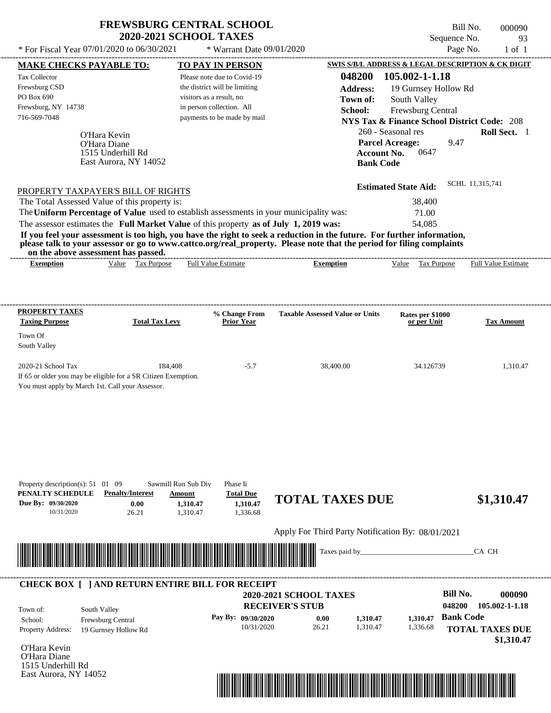| <b>FREWSBURG CENTRAL SCHOOL</b> |  |
|---------------------------------|--|
| <b>2020-2021 SCHOOL TAXES</b>   |  |

Bill No. 000090 Sequence No. 93

| * For Fiscal Year 07/01/2020 to 06/30/2021                                                                                                                                                                                                       |                                           |                                                               | * Warrant Date 09/01/2020                               |                                                   |                                                                             | Page No.         | $1$ of $1$             |
|--------------------------------------------------------------------------------------------------------------------------------------------------------------------------------------------------------------------------------------------------|-------------------------------------------|---------------------------------------------------------------|---------------------------------------------------------|---------------------------------------------------|-----------------------------------------------------------------------------|------------------|------------------------|
| <b>MAKE CHECKS PAYABLE TO:</b>                                                                                                                                                                                                                   |                                           | <b>TO PAY IN PERSON</b>                                       |                                                         |                                                   | <b>SWIS S/B/L ADDRESS &amp; LEGAL DESCRIPTION &amp; CK DIGIT</b>            |                  |                        |
| Tax Collector                                                                                                                                                                                                                                    |                                           | Please note due to Covid-19                                   |                                                         | 048200                                            | 105.002-1-1.18                                                              |                  |                        |
| Frewsburg CSD<br>PO Box 690                                                                                                                                                                                                                      |                                           | the district will be limiting<br>visitors as a result, no     |                                                         | <b>Address:</b>                                   | 19 Gurnsey Hollow Rd                                                        |                  |                        |
| Frewsburg, NY 14738                                                                                                                                                                                                                              |                                           | in person collection. All                                     |                                                         | Town of:                                          | South Valley                                                                |                  |                        |
| 716-569-7048                                                                                                                                                                                                                                     |                                           | payments to be made by mail                                   |                                                         | School:                                           | Frewsburg Central<br><b>NYS Tax &amp; Finance School District Code: 208</b> |                  |                        |
|                                                                                                                                                                                                                                                  |                                           |                                                               |                                                         |                                                   | 260 - Seasonal res                                                          |                  | Roll Sect. 1           |
|                                                                                                                                                                                                                                                  | O'Hara Kevin<br>O'Hara Diane              |                                                               |                                                         |                                                   | <b>Parcel Acreage:</b>                                                      | 9.47             |                        |
|                                                                                                                                                                                                                                                  | 1515 Underhill Rd                         |                                                               |                                                         |                                                   | <b>Account No.</b><br>0647                                                  |                  |                        |
|                                                                                                                                                                                                                                                  | East Aurora, NY 14052                     |                                                               |                                                         |                                                   | <b>Bank Code</b>                                                            |                  |                        |
|                                                                                                                                                                                                                                                  |                                           |                                                               |                                                         |                                                   |                                                                             | SCHL 11,315,741  |                        |
| PROPERTY TAXPAYER'S BILL OF RIGHTS                                                                                                                                                                                                               |                                           |                                                               |                                                         |                                                   | <b>Estimated State Aid:</b>                                                 |                  |                        |
| The Total Assessed Value of this property is:                                                                                                                                                                                                    |                                           |                                                               |                                                         |                                                   | 38,400                                                                      |                  |                        |
| The Uniform Percentage of Value used to establish assessments in your municipality was:                                                                                                                                                          |                                           |                                                               |                                                         |                                                   | 71.00                                                                       |                  |                        |
| The assessor estimates the Full Market Value of this property as of July 1, 2019 was:                                                                                                                                                            |                                           |                                                               |                                                         |                                                   | 54,085                                                                      |                  |                        |
| If you feel your assessment is too high, you have the right to seek a reduction in the future. For further information,<br>please talk to your assessor or go to www.cattco.org/real_property. Please note that the period for filing complaints |                                           |                                                               |                                                         |                                                   |                                                                             |                  |                        |
| on the above assessment has passed.                                                                                                                                                                                                              |                                           |                                                               |                                                         |                                                   |                                                                             |                  |                        |
| <b>Exemption</b>                                                                                                                                                                                                                                 | Value Tax Purpose                         | <b>Full Value Estimate</b>                                    |                                                         | <b>Exemption</b>                                  | Tax Purpose<br>Value                                                        |                  | Full Value Estimate    |
|                                                                                                                                                                                                                                                  |                                           |                                                               |                                                         |                                                   |                                                                             |                  |                        |
|                                                                                                                                                                                                                                                  |                                           |                                                               |                                                         |                                                   |                                                                             |                  |                        |
| <b>PROPERTY TAXES</b>                                                                                                                                                                                                                            |                                           | % Change From                                                 |                                                         | <b>Taxable Assessed Value or Units</b>            | Rates per \$1000                                                            |                  |                        |
| <b>Taxing Purpose</b>                                                                                                                                                                                                                            | <b>Total Tax Levy</b>                     | <b>Prior Year</b>                                             |                                                         |                                                   | or per Unit                                                                 |                  | <b>Tax Amount</b>      |
| Town Of                                                                                                                                                                                                                                          |                                           |                                                               |                                                         |                                                   |                                                                             |                  |                        |
| South Valley                                                                                                                                                                                                                                     |                                           |                                                               |                                                         |                                                   |                                                                             |                  |                        |
| 2020-21 School Tax                                                                                                                                                                                                                               | 184.408                                   | $-5.7$                                                        |                                                         | 38,400.00                                         | 34.126739                                                                   |                  | 1,310.47               |
| If 65 or older you may be eligible for a SR Citizen Exemption.                                                                                                                                                                                   |                                           |                                                               |                                                         |                                                   |                                                                             |                  |                        |
| You must apply by March 1st. Call your Assessor.                                                                                                                                                                                                 |                                           |                                                               |                                                         |                                                   |                                                                             |                  |                        |
|                                                                                                                                                                                                                                                  |                                           |                                                               |                                                         |                                                   |                                                                             |                  |                        |
|                                                                                                                                                                                                                                                  |                                           |                                                               |                                                         |                                                   |                                                                             |                  |                        |
|                                                                                                                                                                                                                                                  |                                           |                                                               |                                                         |                                                   |                                                                             |                  |                        |
|                                                                                                                                                                                                                                                  |                                           |                                                               |                                                         |                                                   |                                                                             |                  |                        |
|                                                                                                                                                                                                                                                  |                                           |                                                               |                                                         |                                                   |                                                                             |                  |                        |
|                                                                                                                                                                                                                                                  |                                           |                                                               |                                                         |                                                   |                                                                             |                  |                        |
|                                                                                                                                                                                                                                                  |                                           |                                                               |                                                         |                                                   |                                                                             |                  |                        |
| Property description(s): $51 \quad 01 \quad 09$<br>PENALTY SCHEDULE                                                                                                                                                                              | <b>Penalty/Interest</b>                   | Sawmill Run Sub Div<br>Phase Ii<br><b>Total Due</b><br>Amount |                                                         |                                                   |                                                                             |                  |                        |
| Due By: 09/30/2020                                                                                                                                                                                                                               | 0.00                                      | 1,310.47<br>1,310.47                                          |                                                         | <b>TOTAL TAXES DUE</b>                            |                                                                             |                  | \$1,310.47             |
| 10/31/2020                                                                                                                                                                                                                                       | 26.21                                     | 1,336.68<br>1,310.47                                          |                                                         |                                                   |                                                                             |                  |                        |
|                                                                                                                                                                                                                                                  |                                           |                                                               |                                                         | Apply For Third Party Notification By: 08/01/2021 |                                                                             |                  |                        |
|                                                                                                                                                                                                                                                  |                                           |                                                               |                                                         |                                                   |                                                                             |                  |                        |
|                                                                                                                                                                                                                                                  |                                           |                                                               |                                                         | Taxes paid by_                                    |                                                                             |                  | CA CH                  |
|                                                                                                                                                                                                                                                  |                                           |                                                               |                                                         |                                                   |                                                                             |                  |                        |
|                                                                                                                                                                                                                                                  |                                           |                                                               |                                                         |                                                   |                                                                             |                  |                        |
| <b>CHECK BOX [ ] AND RETURN ENTIRE BILL FOR RECEIPT</b>                                                                                                                                                                                          |                                           |                                                               |                                                         |                                                   |                                                                             | <b>Bill No.</b>  | 000090                 |
|                                                                                                                                                                                                                                                  |                                           |                                                               | <b>2020-2021 SCHOOL TAXES</b><br><b>RECEIVER'S STUB</b> |                                                   |                                                                             | 048200           | 105.002-1-1.18         |
| South Valley<br>Town of:                                                                                                                                                                                                                         |                                           | Pay By: 09/30/2020                                            |                                                         | 1,310.47<br>0.00                                  | 1,310.47                                                                    | <b>Bank Code</b> |                        |
| School:<br>Property Address:                                                                                                                                                                                                                     | Frewsburg Central<br>19 Gurnsey Hollow Rd |                                                               | 10/31/2020                                              | 1,310.47<br>26.21                                 | 1,336.68                                                                    |                  | <b>TOTAL TAXES DUE</b> |
|                                                                                                                                                                                                                                                  |                                           |                                                               |                                                         |                                                   |                                                                             |                  | \$1,310.47             |
| O'Hara Kevin                                                                                                                                                                                                                                     |                                           |                                                               |                                                         |                                                   |                                                                             |                  |                        |
| O'Hara Diane<br>1515 Underhill Rd                                                                                                                                                                                                                |                                           |                                                               |                                                         |                                                   |                                                                             |                  |                        |
| East Aurora, NY 14052                                                                                                                                                                                                                            |                                           |                                                               |                                                         |                                                   |                                                                             |                  |                        |

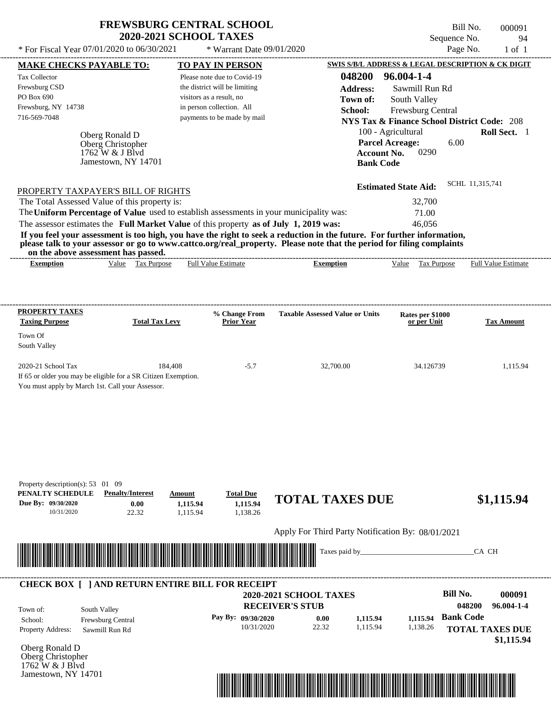| <b>FREWSBURG CENTRAL SCHOOL</b> |  |
|---------------------------------|--|
| <b>2020-2021 SCHOOL TAXES</b>   |  |

 $*$  For Fiscal Year 07/01/2020 to 06/30/2021

 $*$  Warrant Date 09/01/2020

| <b>MAKE CHECKS PAYABLE TO:</b>                                                            |                                                          |                    | <b>TO PAY IN PERSON</b>            |                                                                                                                                                                                                                                                  |                                 | SWIS S/B/L ADDRESS & LEGAL DESCRIPTION & CK DIGIT      |
|-------------------------------------------------------------------------------------------|----------------------------------------------------------|--------------------|------------------------------------|--------------------------------------------------------------------------------------------------------------------------------------------------------------------------------------------------------------------------------------------------|---------------------------------|--------------------------------------------------------|
| Tax Collector                                                                             |                                                          |                    | Please note due to Covid-19        |                                                                                                                                                                                                                                                  | 048200 96.004-1-4               |                                                        |
| Frewsburg CSD                                                                             |                                                          |                    | the district will be limiting      | <b>Address:</b>                                                                                                                                                                                                                                  | Sawmill Run Rd                  |                                                        |
| PO Box 690                                                                                |                                                          |                    | visitors as a result, no           | Town of:                                                                                                                                                                                                                                         | South Valley                    |                                                        |
| Frewsburg, NY 14738                                                                       |                                                          |                    | in person collection. All          | School:                                                                                                                                                                                                                                          | Frewsburg Central               |                                                        |
| 716-569-7048                                                                              |                                                          |                    | payments to be made by mail        |                                                                                                                                                                                                                                                  |                                 | <b>NYS Tax &amp; Finance School District Code: 208</b> |
|                                                                                           |                                                          |                    |                                    |                                                                                                                                                                                                                                                  | 100 - Agricultural              | Roll Sect. 1                                           |
|                                                                                           | Oberg Ronald D                                           |                    |                                    |                                                                                                                                                                                                                                                  | <b>Parcel Acreage:</b>          | 6.00                                                   |
|                                                                                           | Oberg Christopher<br>$1762$ W & J Blvd                   |                    |                                    | <b>Account No.</b>                                                                                                                                                                                                                               | 0290                            |                                                        |
|                                                                                           | Jamestown, NY 14701                                      |                    |                                    | <b>Bank Code</b>                                                                                                                                                                                                                                 |                                 |                                                        |
|                                                                                           |                                                          |                    |                                    |                                                                                                                                                                                                                                                  |                                 |                                                        |
| PROPERTY TAXPAYER'S BILL OF RIGHTS                                                        |                                                          |                    |                                    |                                                                                                                                                                                                                                                  | <b>Estimated State Aid:</b>     | SCHL 11,315,741                                        |
| The Total Assessed Value of this property is:                                             |                                                          |                    |                                    |                                                                                                                                                                                                                                                  | 32,700                          |                                                        |
|                                                                                           |                                                          |                    |                                    | The Uniform Percentage of Value used to establish assessments in your municipality was:                                                                                                                                                          | 71.00                           |                                                        |
| The assessor estimates the Full Market Value of this property as of July 1, 2019 was:     |                                                          |                    |                                    |                                                                                                                                                                                                                                                  | 46,056                          |                                                        |
|                                                                                           |                                                          |                    |                                    | If you feel your assessment is too high, you have the right to seek a reduction in the future. For further information,<br>please talk to your assessor or go to www.cattco.org/real_property. Please note that the period for filing complaints |                                 |                                                        |
| <b>Exemption</b>                                                                          | on the above assessment has passed.<br>Value Tax Purpose |                    | <b>Full Value Estimate</b>         | <b>Exemption</b>                                                                                                                                                                                                                                 | Value Tax Purpose               | <b>Full Value Estimate</b>                             |
|                                                                                           |                                                          |                    |                                    |                                                                                                                                                                                                                                                  |                                 |                                                        |
|                                                                                           |                                                          |                    |                                    |                                                                                                                                                                                                                                                  |                                 |                                                        |
| <b>PROPERTY TAXES</b><br><b>Taxing Purpose</b>                                            | <b>Total Tax Levy</b>                                    |                    | % Change From<br><b>Prior Year</b> | <b>Taxable Assessed Value or Units</b>                                                                                                                                                                                                           | Rates per \$1000<br>or per Unit | <b>Tax Amount</b>                                      |
| Town Of                                                                                   |                                                          |                    |                                    |                                                                                                                                                                                                                                                  |                                 |                                                        |
| South Valley                                                                              |                                                          |                    |                                    |                                                                                                                                                                                                                                                  |                                 |                                                        |
| 2020-21 School Tax                                                                        |                                                          | 184,408            | $-5.7$                             | 32,700.00                                                                                                                                                                                                                                        | 34.126739                       | 1,115.94                                               |
| If 65 or older you may be eligible for a SR Citizen Exemption.                            |                                                          |                    |                                    |                                                                                                                                                                                                                                                  |                                 |                                                        |
| You must apply by March 1st. Call your Assessor.                                          |                                                          |                    |                                    |                                                                                                                                                                                                                                                  |                                 |                                                        |
|                                                                                           |                                                          |                    |                                    |                                                                                                                                                                                                                                                  |                                 |                                                        |
| Property description(s): $53 \quad 01 \quad 09$<br>PENALTY SCHEDULE<br>Due By: 09/30/2020 | <b>Penalty/Interest</b><br>0.00                          | Amount<br>1,115.94 | <b>Total Due</b><br>1,115.94       | <b>TOTAL TAXES DUE</b>                                                                                                                                                                                                                           |                                 | \$1,115.94                                             |
| 10/31/2020                                                                                | 22.32                                                    | 1,115.94           | 1,138.26                           |                                                                                                                                                                                                                                                  |                                 |                                                        |
|                                                                                           |                                                          |                    |                                    | Apply For Third Party Notification By: 08/01/2021                                                                                                                                                                                                |                                 |                                                        |
|                                                                                           |                                                          |                    |                                    |                                                                                                                                                                                                                                                  |                                 |                                                        |
|                                                                                           |                                                          |                    |                                    | Taxes paid by                                                                                                                                                                                                                                    |                                 | CA CH                                                  |
| <b>CHECK BOX [ ] AND RETURN ENTIRE BILL FOR RECEIPT</b>                                   |                                                          |                    |                                    |                                                                                                                                                                                                                                                  |                                 |                                                        |
|                                                                                           |                                                          |                    |                                    | 2020-2021 SCHOOL TAXES                                                                                                                                                                                                                           |                                 | <b>Bill No.</b><br>000091                              |
| Town of:                                                                                  | South Valley                                             |                    |                                    | <b>RECEIVER'S STUB</b>                                                                                                                                                                                                                           |                                 | 048200<br>96.004-1-4                                   |
| School:                                                                                   | Frewsburg Central                                        |                    | Pay By: 09/30/2020                 | 1,115.94<br>0.00                                                                                                                                                                                                                                 | 1,115.94                        | <b>Bank Code</b>                                       |
| Property Address:                                                                         | Sawmill Run Rd                                           |                    | 10/31/2020                         | 22.32<br>1,115.94                                                                                                                                                                                                                                | 1,138.26                        | <b>TOTAL TAXES DUE</b><br>\$1,115.94                   |
| Oberg Ronald D                                                                            |                                                          |                    |                                    |                                                                                                                                                                                                                                                  |                                 |                                                        |
| Oberg Christopher                                                                         |                                                          |                    |                                    |                                                                                                                                                                                                                                                  |                                 |                                                        |
| 1762 W & J Blvd                                                                           |                                                          |                    |                                    |                                                                                                                                                                                                                                                  |                                 |                                                        |
| Jamestown, NY 14701                                                                       |                                                          |                    |                                    |                                                                                                                                                                                                                                                  |                                 |                                                        |

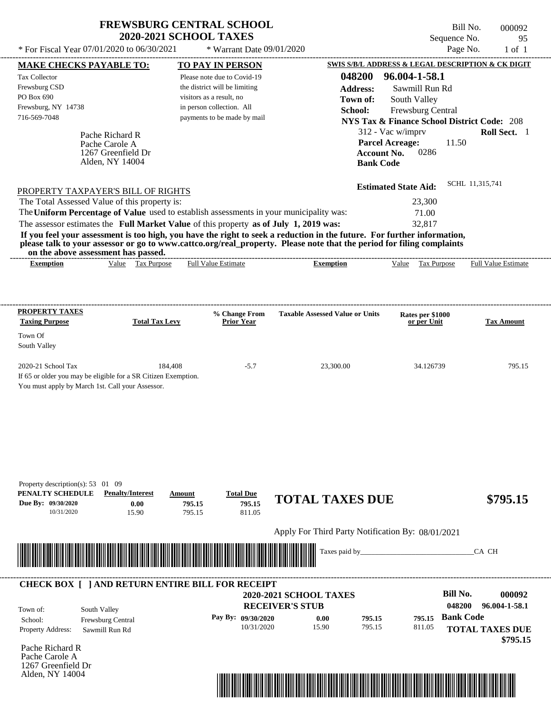| <b>FREWSBURG CENTRAL SCHOOL</b> |
|---------------------------------|
| <b>2020-2021 SCHOOL TAXES</b>   |

| <b>MAKE CHECKS PAYABLE TO:</b><br><b>TO PAY IN PERSON</b><br>96.004-1-58.1<br>048200<br>Tax Collector<br>Please note due to Covid-19<br>Frewsburg CSD<br>the district will be limiting<br>Sawmill Run Rd<br><b>Address:</b><br>PO Box 690<br>visitors as a result, no<br>South Valley<br>Town of:<br>Frewsburg, NY 14738<br>in person collection. All<br>Frewsburg Central<br>School:<br>716-569-7048<br>payments to be made by mail<br><b>NYS Tax &amp; Finance School District Code: 208</b><br>312 - Vac w/imprv<br>Pache Richard R<br><b>Parcel Acreage:</b><br>11.50<br>Pache Carole A<br>0286<br><b>Account No.</b><br>1267 Greenfield Dr |                            |
|-------------------------------------------------------------------------------------------------------------------------------------------------------------------------------------------------------------------------------------------------------------------------------------------------------------------------------------------------------------------------------------------------------------------------------------------------------------------------------------------------------------------------------------------------------------------------------------------------------------------------------------------------|----------------------------|
|                                                                                                                                                                                                                                                                                                                                                                                                                                                                                                                                                                                                                                                 |                            |
|                                                                                                                                                                                                                                                                                                                                                                                                                                                                                                                                                                                                                                                 |                            |
|                                                                                                                                                                                                                                                                                                                                                                                                                                                                                                                                                                                                                                                 |                            |
|                                                                                                                                                                                                                                                                                                                                                                                                                                                                                                                                                                                                                                                 |                            |
|                                                                                                                                                                                                                                                                                                                                                                                                                                                                                                                                                                                                                                                 |                            |
|                                                                                                                                                                                                                                                                                                                                                                                                                                                                                                                                                                                                                                                 | Roll Sect. 1               |
|                                                                                                                                                                                                                                                                                                                                                                                                                                                                                                                                                                                                                                                 |                            |
|                                                                                                                                                                                                                                                                                                                                                                                                                                                                                                                                                                                                                                                 |                            |
| Alden, NY 14004<br><b>Bank Code</b>                                                                                                                                                                                                                                                                                                                                                                                                                                                                                                                                                                                                             |                            |
|                                                                                                                                                                                                                                                                                                                                                                                                                                                                                                                                                                                                                                                 |                            |
| SCHL 11,315,741<br><b>Estimated State Aid:</b><br>PROPERTY TAXPAYER'S BILL OF RIGHTS                                                                                                                                                                                                                                                                                                                                                                                                                                                                                                                                                            |                            |
| The Total Assessed Value of this property is:<br>23,300                                                                                                                                                                                                                                                                                                                                                                                                                                                                                                                                                                                         |                            |
| The Uniform Percentage of Value used to establish assessments in your municipality was:<br>71.00                                                                                                                                                                                                                                                                                                                                                                                                                                                                                                                                                |                            |
| The assessor estimates the Full Market Value of this property as of July 1, 2019 was:<br>32,817                                                                                                                                                                                                                                                                                                                                                                                                                                                                                                                                                 |                            |
| If you feel your assessment is too high, you have the right to seek a reduction in the future. For further information,<br>please talk to your assessor or go to www.cattco.org/real_property. Please note that the period for filing complaints                                                                                                                                                                                                                                                                                                                                                                                                |                            |
| on the above assessment has passed.                                                                                                                                                                                                                                                                                                                                                                                                                                                                                                                                                                                                             |                            |
| Value Tax Purpose<br><b>Full Value Estimate</b><br>Value Tax Purpose<br><b>Exemption</b><br><b>Exemption</b>                                                                                                                                                                                                                                                                                                                                                                                                                                                                                                                                    | <b>Full Value Estimate</b> |
|                                                                                                                                                                                                                                                                                                                                                                                                                                                                                                                                                                                                                                                 |                            |
|                                                                                                                                                                                                                                                                                                                                                                                                                                                                                                                                                                                                                                                 |                            |
| <b>PROPERTY TAXES</b><br>% Change From<br><b>Taxable Assessed Value or Units</b><br>Rates per \$1000                                                                                                                                                                                                                                                                                                                                                                                                                                                                                                                                            |                            |
| <b>Taxing Purpose</b><br><b>Total Tax Levy</b><br><b>Prior Year</b><br>or per Unit                                                                                                                                                                                                                                                                                                                                                                                                                                                                                                                                                              | <b>Tax Amount</b>          |
| Town Of                                                                                                                                                                                                                                                                                                                                                                                                                                                                                                                                                                                                                                         |                            |
| South Valley                                                                                                                                                                                                                                                                                                                                                                                                                                                                                                                                                                                                                                    |                            |
| 2020-21 School Tax<br>184,408<br>$-5.7$<br>23,300.00<br>34.126739                                                                                                                                                                                                                                                                                                                                                                                                                                                                                                                                                                               | 795.15                     |
| If 65 or older you may be eligible for a SR Citizen Exemption.                                                                                                                                                                                                                                                                                                                                                                                                                                                                                                                                                                                  |                            |
| You must apply by March 1st. Call your Assessor.                                                                                                                                                                                                                                                                                                                                                                                                                                                                                                                                                                                                |                            |
|                                                                                                                                                                                                                                                                                                                                                                                                                                                                                                                                                                                                                                                 |                            |
|                                                                                                                                                                                                                                                                                                                                                                                                                                                                                                                                                                                                                                                 |                            |
|                                                                                                                                                                                                                                                                                                                                                                                                                                                                                                                                                                                                                                                 |                            |
|                                                                                                                                                                                                                                                                                                                                                                                                                                                                                                                                                                                                                                                 |                            |
|                                                                                                                                                                                                                                                                                                                                                                                                                                                                                                                                                                                                                                                 |                            |
|                                                                                                                                                                                                                                                                                                                                                                                                                                                                                                                                                                                                                                                 |                            |
|                                                                                                                                                                                                                                                                                                                                                                                                                                                                                                                                                                                                                                                 |                            |
|                                                                                                                                                                                                                                                                                                                                                                                                                                                                                                                                                                                                                                                 |                            |
| Property description(s): 53 01 09                                                                                                                                                                                                                                                                                                                                                                                                                                                                                                                                                                                                               |                            |
| <b>Penalty/Interest</b><br><b>Total Due</b><br>Amount<br><b>TOTAL TAXES DUE</b>                                                                                                                                                                                                                                                                                                                                                                                                                                                                                                                                                                 | \$795.15                   |
| 795.15<br>795.15<br>0.00<br>15.90<br>795.15<br>811.05<br>10/31/2020                                                                                                                                                                                                                                                                                                                                                                                                                                                                                                                                                                             |                            |
|                                                                                                                                                                                                                                                                                                                                                                                                                                                                                                                                                                                                                                                 |                            |
| Apply For Third Party Notification By: 08/01/2021                                                                                                                                                                                                                                                                                                                                                                                                                                                                                                                                                                                               |                            |
| Taxes paid by<br>CA CH                                                                                                                                                                                                                                                                                                                                                                                                                                                                                                                                                                                                                          |                            |
|                                                                                                                                                                                                                                                                                                                                                                                                                                                                                                                                                                                                                                                 |                            |
|                                                                                                                                                                                                                                                                                                                                                                                                                                                                                                                                                                                                                                                 |                            |
| <b>Bill No.</b><br><b>2020-2021 SCHOOL TAXES</b>                                                                                                                                                                                                                                                                                                                                                                                                                                                                                                                                                                                                |                            |
| 048200<br><b>RECEIVER'S STUB</b>                                                                                                                                                                                                                                                                                                                                                                                                                                                                                                                                                                                                                |                            |
| PENALTY SCHEDULE<br>Due By: 09/30/2020<br><u> Indian American State of Barbara and The Barbara and The Barbara and The Barbara and The Barbara and The Barbara and The Barbara and The Barbara and The Barbara and The Barbara and The Barbara and The Barbara and The Bar</u><br><b>CHECK BOX [ ] AND RETURN ENTIRE BILL FOR RECEIPT</b><br>South Valley<br>Town of:<br><b>Bank Code</b><br>Pay By: 09/30/2020<br>795.15<br>795.15<br>0.00<br>School:                                                                                                                                                                                          | 000092<br>96.004-1-58.1    |
| Frewsburg Central<br>10/31/2020<br>15.90<br>795.15<br>811.05<br>Property Address:<br>Sawmill Run Rd                                                                                                                                                                                                                                                                                                                                                                                                                                                                                                                                             |                            |
| <b>TOTAL TAXES DUE</b>                                                                                                                                                                                                                                                                                                                                                                                                                                                                                                                                                                                                                          | \$795.15                   |
| Pache Richard R                                                                                                                                                                                                                                                                                                                                                                                                                                                                                                                                                                                                                                 |                            |
| Pache Carole A                                                                                                                                                                                                                                                                                                                                                                                                                                                                                                                                                                                                                                  |                            |
| 1267 Greenfield Dr                                                                                                                                                                                                                                                                                                                                                                                                                                                                                                                                                                                                                              |                            |
| Alden, NY 14004                                                                                                                                                                                                                                                                                                                                                                                                                                                                                                                                                                                                                                 |                            |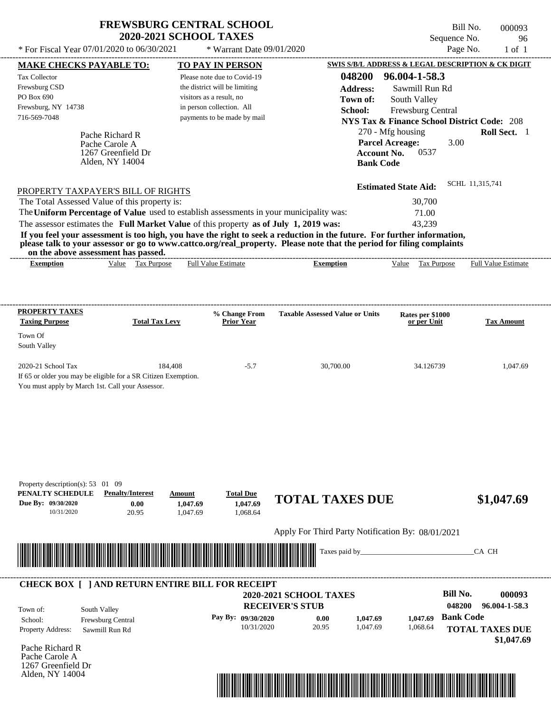| <b>FREWSBURG CENTRAL SCHOOL</b> |
|---------------------------------|
| <b>2020-2021 SCHOOL TAXES</b>   |

Bill No. 000093 Sequence No. 96<br>Page No. 1 of 1  $*$  For Fiscal Year 07/01/2020 to 06/30/2021  $*$  Warrant Date 09/01/2020 Page No. 1 of 1

| <b>MAKE CHECKS PAYABLE TO:</b>                   |                                                                | <b>TO PAY IN PERSON</b>                                                                                                                                                                                                              |                                                                                                                                                                                                                                                  | <b>SWIS S/B/L ADDRESS &amp; LEGAL DESCRIPTION &amp; CK DIGIT</b> |                            |
|--------------------------------------------------|----------------------------------------------------------------|--------------------------------------------------------------------------------------------------------------------------------------------------------------------------------------------------------------------------------------|--------------------------------------------------------------------------------------------------------------------------------------------------------------------------------------------------------------------------------------------------|------------------------------------------------------------------|----------------------------|
| <b>Tax Collector</b>                             |                                                                | Please note due to Covid-19                                                                                                                                                                                                          | 048200                                                                                                                                                                                                                                           | 96.004-1-58.3                                                    |                            |
| Frewsburg CSD                                    |                                                                | the district will be limiting                                                                                                                                                                                                        | <b>Address:</b>                                                                                                                                                                                                                                  | Sawmill Run Rd                                                   |                            |
| PO Box 690                                       |                                                                | visitors as a result, no                                                                                                                                                                                                             | Town of:                                                                                                                                                                                                                                         | South Valley                                                     |                            |
| Frewsburg, NY 14738                              |                                                                | in person collection. All                                                                                                                                                                                                            | School:                                                                                                                                                                                                                                          | Frewsburg Central                                                |                            |
| 716-569-7048                                     |                                                                | payments to be made by mail                                                                                                                                                                                                          |                                                                                                                                                                                                                                                  | <b>NYS Tax &amp; Finance School District Code: 208</b>           |                            |
|                                                  | Pache Richard R                                                |                                                                                                                                                                                                                                      |                                                                                                                                                                                                                                                  | 270 - Mfg housing                                                | Roll Sect. 1               |
|                                                  | Pache Carole A                                                 |                                                                                                                                                                                                                                      |                                                                                                                                                                                                                                                  | <b>Parcel Acreage:</b><br>3.00                                   |                            |
|                                                  | 1267 Greenfield Dr                                             |                                                                                                                                                                                                                                      | <b>Account No.</b>                                                                                                                                                                                                                               | 0537                                                             |                            |
|                                                  | Alden, NY 14004                                                |                                                                                                                                                                                                                                      | <b>Bank Code</b>                                                                                                                                                                                                                                 |                                                                  |                            |
|                                                  |                                                                |                                                                                                                                                                                                                                      |                                                                                                                                                                                                                                                  |                                                                  | SCHL 11,315,741            |
|                                                  | PROPERTY TAXPAYER'S BILL OF RIGHTS                             |                                                                                                                                                                                                                                      |                                                                                                                                                                                                                                                  | <b>Estimated State Aid:</b>                                      |                            |
|                                                  | The Total Assessed Value of this property is:                  |                                                                                                                                                                                                                                      |                                                                                                                                                                                                                                                  | 30,700                                                           |                            |
|                                                  |                                                                | The Uniform Percentage of Value used to establish assessments in your municipality was:                                                                                                                                              |                                                                                                                                                                                                                                                  | 71.00                                                            |                            |
|                                                  |                                                                | The assessor estimates the Full Market Value of this property as of July 1, 2019 was:                                                                                                                                                |                                                                                                                                                                                                                                                  | 43,239                                                           |                            |
|                                                  |                                                                |                                                                                                                                                                                                                                      | If you feel your assessment is too high, you have the right to seek a reduction in the future. For further information,<br>please talk to your assessor or go to www.cattco.org/real_property. Please note that the period for filing complaints |                                                                  |                            |
| <b>Exemption</b>                                 | on the above assessment has passed.<br>Value Tax Purpose       | <b>Full Value Estimate</b>                                                                                                                                                                                                           | <b>Exemption</b>                                                                                                                                                                                                                                 | Value Tax Purpose                                                | <b>Full Value Estimate</b> |
|                                                  |                                                                |                                                                                                                                                                                                                                      |                                                                                                                                                                                                                                                  |                                                                  |                            |
|                                                  |                                                                |                                                                                                                                                                                                                                      |                                                                                                                                                                                                                                                  |                                                                  |                            |
| <b>PROPERTY TAXES</b>                            |                                                                | % Change From                                                                                                                                                                                                                        | <b>Taxable Assessed Value or Units</b>                                                                                                                                                                                                           |                                                                  |                            |
| <b>Taxing Purpose</b>                            | <b>Total Tax Levy</b>                                          | <b>Prior Year</b>                                                                                                                                                                                                                    |                                                                                                                                                                                                                                                  | Rates per \$1000<br>or per Unit                                  | <b>Tax Amount</b>          |
| Town Of                                          |                                                                |                                                                                                                                                                                                                                      |                                                                                                                                                                                                                                                  |                                                                  |                            |
| South Valley                                     |                                                                |                                                                                                                                                                                                                                      |                                                                                                                                                                                                                                                  |                                                                  |                            |
| 2020-21 School Tax                               | 184,408                                                        | $-5.7$                                                                                                                                                                                                                               | 30,700.00                                                                                                                                                                                                                                        | 34.126739                                                        | 1,047.69                   |
|                                                  | If 65 or older you may be eligible for a SR Citizen Exemption. |                                                                                                                                                                                                                                      |                                                                                                                                                                                                                                                  |                                                                  |                            |
| You must apply by March 1st. Call your Assessor. |                                                                |                                                                                                                                                                                                                                      |                                                                                                                                                                                                                                                  |                                                                  |                            |
|                                                  |                                                                |                                                                                                                                                                                                                                      |                                                                                                                                                                                                                                                  |                                                                  |                            |
|                                                  |                                                                |                                                                                                                                                                                                                                      |                                                                                                                                                                                                                                                  |                                                                  |                            |
|                                                  |                                                                |                                                                                                                                                                                                                                      |                                                                                                                                                                                                                                                  |                                                                  |                            |
|                                                  |                                                                |                                                                                                                                                                                                                                      |                                                                                                                                                                                                                                                  |                                                                  |                            |
|                                                  |                                                                |                                                                                                                                                                                                                                      |                                                                                                                                                                                                                                                  |                                                                  |                            |
|                                                  |                                                                |                                                                                                                                                                                                                                      |                                                                                                                                                                                                                                                  |                                                                  |                            |
| Property description(s): 53 01 09                |                                                                |                                                                                                                                                                                                                                      |                                                                                                                                                                                                                                                  |                                                                  |                            |
| PENALTY SCHEDULE                                 | <b>Penalty/Interest</b>                                        | <b>Total Due</b><br>Amount                                                                                                                                                                                                           |                                                                                                                                                                                                                                                  |                                                                  |                            |
| Due By: 09/30/2020                               | 0.00                                                           | 1,047.69<br>1,047.69                                                                                                                                                                                                                 | <b>TOTAL TAXES DUE</b>                                                                                                                                                                                                                           |                                                                  | \$1,047.69                 |
| 10/31/2020                                       | 20.95                                                          | 1,068.64<br>1,047.69                                                                                                                                                                                                                 |                                                                                                                                                                                                                                                  |                                                                  |                            |
|                                                  |                                                                |                                                                                                                                                                                                                                      | Apply For Third Party Notification By: 08/01/2021                                                                                                                                                                                                |                                                                  |                            |
|                                                  |                                                                |                                                                                                                                                                                                                                      | Taxes paid by                                                                                                                                                                                                                                    |                                                                  | CA CH                      |
|                                                  |                                                                | <u> Indian American State of Barbara and The Barbara and The Barbara and The Barbara and The Barbara and The Barbara and The Barbara and The Barbara and The Barbara and The Barbara and The Barbara and The Barbara and The Bar</u> |                                                                                                                                                                                                                                                  |                                                                  |                            |
|                                                  |                                                                | <b>CHECK BOX [ ] AND RETURN ENTIRE BILL FOR RECEIPT</b>                                                                                                                                                                              |                                                                                                                                                                                                                                                  |                                                                  |                            |
|                                                  |                                                                |                                                                                                                                                                                                                                      | 2020-2021 SCHOOL TAXES                                                                                                                                                                                                                           | <b>Bill No.</b>                                                  | 000093                     |
| Town of:                                         | South Valley                                                   |                                                                                                                                                                                                                                      | <b>RECEIVER'S STUB</b>                                                                                                                                                                                                                           | 048200                                                           | 96.004-1-58.3              |
| School:                                          | Frewsburg Central                                              | Pay By: 09/30/2020                                                                                                                                                                                                                   | 0.00<br>1,047.69                                                                                                                                                                                                                                 | <b>Bank Code</b><br>1,047.69                                     |                            |
| Property Address:                                | Sawmill Run Rd                                                 | 10/31/2020                                                                                                                                                                                                                           | 20.95<br>1,047.69                                                                                                                                                                                                                                | 1,068.64                                                         | <b>TOTAL TAXES DUE</b>     |
|                                                  |                                                                |                                                                                                                                                                                                                                      |                                                                                                                                                                                                                                                  |                                                                  | \$1,047.69                 |
| Pache Richard R                                  |                                                                |                                                                                                                                                                                                                                      |                                                                                                                                                                                                                                                  |                                                                  |                            |
| Pache Carole A<br>1267 Greenfield Dr             |                                                                |                                                                                                                                                                                                                                      |                                                                                                                                                                                                                                                  |                                                                  |                            |
| Alden, NY 14004                                  |                                                                |                                                                                                                                                                                                                                      |                                                                                                                                                                                                                                                  |                                                                  |                            |
|                                                  |                                                                |                                                                                                                                                                                                                                      | <u> 1989 - Johann Stoff, Amerikaansk politiker (</u>                                                                                                                                                                                             |                                                                  |                            |
|                                                  |                                                                |                                                                                                                                                                                                                                      |                                                                                                                                                                                                                                                  |                                                                  |                            |
|                                                  |                                                                |                                                                                                                                                                                                                                      |                                                                                                                                                                                                                                                  |                                                                  |                            |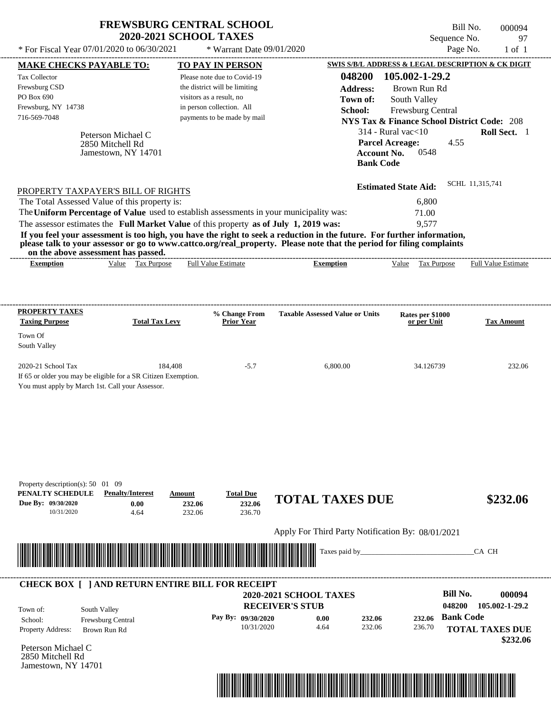|                                                                                                                                                                                                                                                                                                                                                                                                                                                                                                                             | <b>2020-2021 SCHOOL TAXES</b>    | <b>FREWSBURG CENTRAL SCHOOL</b>                                                                                                                      |                                                                      |                                                                                                                                                                                                                   | Bill No.<br>000094<br>Sequence No.<br>97                                  |  |  |
|-----------------------------------------------------------------------------------------------------------------------------------------------------------------------------------------------------------------------------------------------------------------------------------------------------------------------------------------------------------------------------------------------------------------------------------------------------------------------------------------------------------------------------|----------------------------------|------------------------------------------------------------------------------------------------------------------------------------------------------|----------------------------------------------------------------------|-------------------------------------------------------------------------------------------------------------------------------------------------------------------------------------------------------------------|---------------------------------------------------------------------------|--|--|
| * For Fiscal Year 07/01/2020 to 06/30/2021                                                                                                                                                                                                                                                                                                                                                                                                                                                                                  |                                  | * Warrant Date 09/01/2020                                                                                                                            |                                                                      | Page No.<br>$1$ of $1$                                                                                                                                                                                            |                                                                           |  |  |
| MAKE CHECKS PAYABLE TO:                                                                                                                                                                                                                                                                                                                                                                                                                                                                                                     |                                  | <b>TO PAY IN PERSON</b>                                                                                                                              |                                                                      |                                                                                                                                                                                                                   | SWIS S/B/L ADDRESS & LEGAL DESCRIPTION & CK DIGIT                         |  |  |
| Tax Collector<br>Frewsburg CSD<br>PO Box 690<br>Frewsburg, NY 14738<br>716-569-7048<br>Peterson Michael C<br>2850 Mitchell Rd<br>Jamestown, NY 14701                                                                                                                                                                                                                                                                                                                                                                        |                                  | Please note due to Covid-19<br>the district will be limiting<br>visitors as a result, no<br>in person collection. All<br>payments to be made by mail | 048200<br><b>Address:</b><br>Town of:<br>School:<br><b>Bank Code</b> | 105.002-1-29.2<br>Brown Run Rd<br>South Valley<br>Frewsburg Central<br><b>NYS Tax &amp; Finance School District Code: 208</b><br>$314$ - Rural vac $<$ 10<br><b>Parcel Acreage:</b><br>0548<br><b>Account No.</b> | Roll Sect. 1<br>4.55                                                      |  |  |
| PROPERTY TAXPAYER'S BILL OF RIGHTS<br>The Total Assessed Value of this property is:<br>The Uniform Percentage of Value used to establish assessments in your municipality was:<br>The assessor estimates the Full Market Value of this property as of July 1, 2019 was:<br>If you feel your assessment is too high, you have the right to seek a reduction in the future. For further information,<br>please talk to your assessor or go to www.cattco.org/real_property. Please note that the period for filing complaints |                                  |                                                                                                                                                      |                                                                      | <b>Estimated State Aid:</b><br>6,800<br>71.00<br>9,577                                                                                                                                                            | SCHL 11,315,741                                                           |  |  |
| on the above assessment has passed.<br><b>Exemption</b>                                                                                                                                                                                                                                                                                                                                                                                                                                                                     | Value Tax Purpose                | <b>Full Value Estimate</b>                                                                                                                           | <b>Exemption</b>                                                     | Tax Purpose<br>Value                                                                                                                                                                                              | Full Value Estimate                                                       |  |  |
| PROPERTY TAXES<br><b>Taxing Purpose</b><br>Town Of<br>South Valley<br>2020-21 School Tax<br>If 65 or older you may be eligible for a SR Citizen Exemption.<br>You must apply by March 1st. Call your Assessor.                                                                                                                                                                                                                                                                                                              | <b>Total Tax Levy</b><br>184,408 | % Change From<br><b>Prior Year</b><br>$-5.7$                                                                                                         | <b>Taxable Assessed Value or Units</b><br>6,800.00                   | Rates per \$1000<br>or per Unit<br>34.126739                                                                                                                                                                      | <b>Tax Amount</b><br>232.06                                               |  |  |
| Property description(s): $50 \quad 01 \quad 09$<br><b>Penalty/Interest</b><br>PENALTY SCHEDULE                                                                                                                                                                                                                                                                                                                                                                                                                              | Amount                           | <b>Total Due</b>                                                                                                                                     |                                                                      |                                                                                                                                                                                                                   |                                                                           |  |  |
| Due By: 09/30/2020<br>0.00<br>10/31/2020<br>4.64                                                                                                                                                                                                                                                                                                                                                                                                                                                                            | 232.06<br>232.06                 | 232.06<br>236.70                                                                                                                                     | <b>TOTAL TAXES DUE</b>                                               |                                                                                                                                                                                                                   | \$232.06                                                                  |  |  |
|                                                                                                                                                                                                                                                                                                                                                                                                                                                                                                                             |                                  |                                                                                                                                                      | Apply For Third Party Notification By: 08/01/2021                    |                                                                                                                                                                                                                   |                                                                           |  |  |
|                                                                                                                                                                                                                                                                                                                                                                                                                                                                                                                             |                                  |                                                                                                                                                      | Taxes paid by_                                                       |                                                                                                                                                                                                                   | CA CH                                                                     |  |  |
| <b>CHECK BOX [ ] AND RETURN ENTIRE BILL FOR RECEIPT</b>                                                                                                                                                                                                                                                                                                                                                                                                                                                                     |                                  |                                                                                                                                                      |                                                                      |                                                                                                                                                                                                                   |                                                                           |  |  |
| Town of:<br>South Valley                                                                                                                                                                                                                                                                                                                                                                                                                                                                                                    |                                  |                                                                                                                                                      | 2020-2021 SCHOOL TAXES<br><b>RECEIVER'S STUB</b>                     |                                                                                                                                                                                                                   | <b>Bill No.</b><br>000094<br>048200<br>105.002-1-29.2<br><b>Bank Code</b> |  |  |
| Frewsburg Central<br>School:<br>Property Address:<br>Brown Run Rd                                                                                                                                                                                                                                                                                                                                                                                                                                                           |                                  | Pay By: 09/30/2020<br>10/31/2020                                                                                                                     | 232.06<br>0.00<br>232.06<br>4.64                                     | 232.06<br>236.70                                                                                                                                                                                                  | <b>TOTAL TAXES DUE</b>                                                    |  |  |

Peterson Michael C 2850 Mitchell Rd Jamestown, NY 14701

Property Address: Brown Run Rd



**TOTAL TAXES DUE**

 **\$232.06**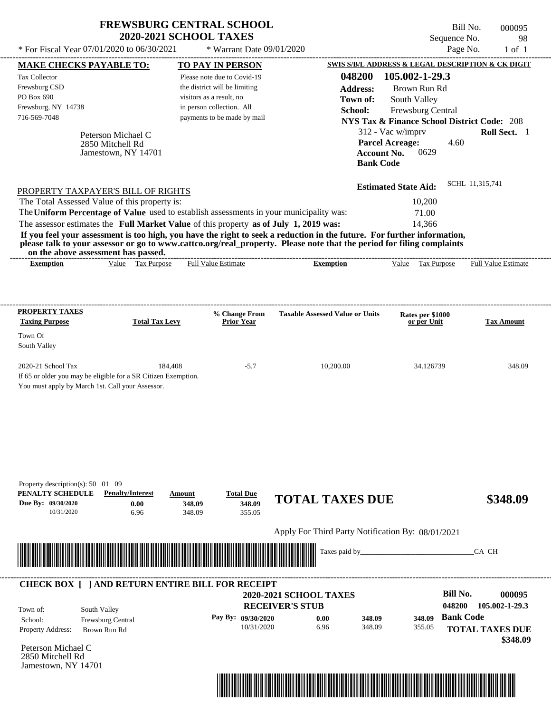|                                                                                                                                                                                                                                                  | <b>FREWSBURG CENTRAL SCHOOL</b><br><b>2020-2021 SCHOOL TAXES</b> |                                                           |                                                   |                                                                             | Bill No.<br>000095<br>98    |
|--------------------------------------------------------------------------------------------------------------------------------------------------------------------------------------------------------------------------------------------------|------------------------------------------------------------------|-----------------------------------------------------------|---------------------------------------------------|-----------------------------------------------------------------------------|-----------------------------|
| * For Fiscal Year 07/01/2020 to 06/30/2021                                                                                                                                                                                                       |                                                                  | * Warrant Date 09/01/2020                                 | Sequence No.<br>Page No.                          |                                                                             |                             |
|                                                                                                                                                                                                                                                  |                                                                  |                                                           |                                                   |                                                                             | $1$ of $1$                  |
| <b>MAKE CHECKS PAYABLE TO:</b>                                                                                                                                                                                                                   |                                                                  | TO PAY IN PERSON                                          |                                                   | SWIS S/B/L ADDRESS & LEGAL DESCRIPTION & CK DIGIT                           |                             |
| Tax Collector                                                                                                                                                                                                                                    |                                                                  | Please note due to Covid-19                               | 048200                                            | 105.002-1-29.3                                                              |                             |
| Frewsburg CSD<br>PO Box 690                                                                                                                                                                                                                      |                                                                  | the district will be limiting<br>visitors as a result, no | <b>Address:</b>                                   | Brown Run Rd                                                                |                             |
| Frewsburg, NY 14738                                                                                                                                                                                                                              |                                                                  | in person collection. All                                 | Town of:                                          | South Valley                                                                |                             |
| 716-569-7048                                                                                                                                                                                                                                     |                                                                  | payments to be made by mail                               | School:                                           | Frewsburg Central                                                           |                             |
|                                                                                                                                                                                                                                                  |                                                                  |                                                           |                                                   | <b>NYS Tax &amp; Finance School District Code: 208</b><br>312 - Vac w/imprv | Roll Sect. 1                |
| Peterson Michael C<br>2850 Mitchell Rd<br>Jamestown, NY 14701                                                                                                                                                                                    |                                                                  |                                                           | <b>Bank Code</b>                                  | <b>Parcel Acreage:</b><br>4.60<br><b>Account No.</b><br>0629                |                             |
| PROPERTY TAXPAYER'S BILL OF RIGHTS                                                                                                                                                                                                               |                                                                  |                                                           |                                                   | <b>Estimated State Aid:</b>                                                 | SCHL 11,315,741             |
| The Total Assessed Value of this property is:                                                                                                                                                                                                    |                                                                  |                                                           |                                                   | 10,200                                                                      |                             |
| The Uniform Percentage of Value used to establish assessments in your municipality was:                                                                                                                                                          |                                                                  |                                                           |                                                   | 71.00                                                                       |                             |
| The assessor estimates the Full Market Value of this property as of July 1, 2019 was:                                                                                                                                                            |                                                                  |                                                           |                                                   | 14,366                                                                      |                             |
| If you feel your assessment is too high, you have the right to seek a reduction in the future. For further information,<br>please talk to your assessor or go to www.cattco.org/real_property. Please note that the period for filing complaints |                                                                  |                                                           |                                                   |                                                                             |                             |
| on the above assessment has passed.                                                                                                                                                                                                              |                                                                  |                                                           |                                                   |                                                                             |                             |
| <b>Exemption</b>                                                                                                                                                                                                                                 | Value Tax Purpose                                                | <b>Full Value Estimate</b>                                | <b>Exemption</b>                                  | Value Tax Purpose                                                           | <b>Full Value Estimate</b>  |
| <b>Taxing Purpose</b><br>Town Of<br>South Valley<br>2020-21 School Tax<br>If 65 or older you may be eligible for a SR Citizen Exemption.                                                                                                         | <b>Total Tax Levy</b><br>184,408                                 | <b>Prior Year</b><br>$-5.7$                               | 10,200.00                                         | or per Unit<br>34.126739                                                    | <b>Tax Amount</b><br>348.09 |
| You must apply by March 1st. Call your Assessor.                                                                                                                                                                                                 |                                                                  |                                                           |                                                   |                                                                             |                             |
| Property description(s): $50 \quad 01 \quad 09$<br>PENALTY SCHEDULE<br><b>Penalty/Interest</b><br>Due By: 09/30/2020<br>10/31/2020                                                                                                               | Amount<br>0.00<br>348.09<br>6.96<br>348.09                       | <b>Total Due</b><br>348.09<br>355.05                      | <b>TOTAL TAXES DUE</b>                            |                                                                             | \$348.09                    |
|                                                                                                                                                                                                                                                  |                                                                  |                                                           | Apply For Third Party Notification By: 08/01/2021 |                                                                             |                             |
|                                                                                                                                                                                                                                                  |                                                                  |                                                           | Taxes paid by_                                    |                                                                             | CA CH                       |
| <b>CHECK BOX [ ] AND RETURN ENTIRE BILL FOR RECEIPT</b>                                                                                                                                                                                          |                                                                  |                                                           |                                                   |                                                                             |                             |
|                                                                                                                                                                                                                                                  |                                                                  |                                                           | 2020-2021 SCHOOL TAXES                            | <b>Bill No.</b>                                                             | 000095                      |
| South Valley<br>Town of:                                                                                                                                                                                                                         |                                                                  |                                                           | <b>RECEIVER'S STUB</b>                            | 048200                                                                      | 105.002-1-29.3              |
| School:<br>Frewsburg Central                                                                                                                                                                                                                     |                                                                  | Pay By: 09/30/2020                                        | 0.00<br>348.09                                    | <b>Bank Code</b><br>348.09                                                  |                             |
| Property Address:<br>Brown Run Rd                                                                                                                                                                                                                |                                                                  | 10/31/2020                                                | 6.96<br>348.09                                    | 355.05                                                                      | <b>TOTAL TAXES DUE</b>      |
| Peterson Michael C                                                                                                                                                                                                                               |                                                                  |                                                           |                                                   |                                                                             | \$348.09                    |
|                                                                                                                                                                                                                                                  |                                                                  |                                                           |                                                   |                                                                             |                             |

Peterson Michael C 2850 Mitchell Rd Jamestown, NY 14701

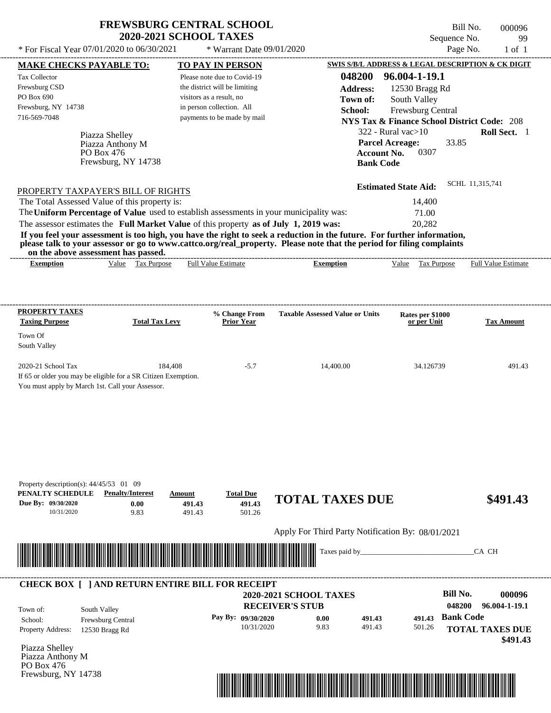| <b>FREWSBURG CENTRAL SCHOOL</b> |
|---------------------------------|
| <b>2020-2021 SCHOOL TAXES</b>   |

Bill No. 000096 Sequence No. 99<br>Page No. 1 of 1

|                                   | <b>MAKE CHECKS PAYABLE TO:</b>                                 |                       | <b>TO PAY IN PERSON</b>                                                               |                                                                                                                                                                                                                                                  | SWIS S/B/L ADDRESS & LEGAL DESCRIPTION & CK DIGIT      |                        |
|-----------------------------------|----------------------------------------------------------------|-----------------------|---------------------------------------------------------------------------------------|--------------------------------------------------------------------------------------------------------------------------------------------------------------------------------------------------------------------------------------------------|--------------------------------------------------------|------------------------|
| <b>Tax Collector</b>              |                                                                |                       | Please note due to Covid-19                                                           | 048200                                                                                                                                                                                                                                           | 96.004-1-19.1                                          |                        |
| Frewsburg CSD                     |                                                                |                       | the district will be limiting                                                         | <b>Address:</b>                                                                                                                                                                                                                                  | 12530 Bragg Rd                                         |                        |
| PO Box 690                        |                                                                |                       | visitors as a result, no                                                              | Town of:                                                                                                                                                                                                                                         | South Valley                                           |                        |
| Frewsburg, NY 14738               |                                                                |                       | in person collection. All                                                             | School:                                                                                                                                                                                                                                          | Frewsburg Central                                      |                        |
| 716-569-7048                      |                                                                |                       | payments to be made by mail                                                           |                                                                                                                                                                                                                                                  | <b>NYS Tax &amp; Finance School District Code: 208</b> |                        |
|                                   | Piazza Shelley                                                 |                       |                                                                                       |                                                                                                                                                                                                                                                  | $322$ - Rural vac $>10$                                | Roll Sect. 1           |
|                                   | Piazza Anthony M                                               |                       |                                                                                       |                                                                                                                                                                                                                                                  | <b>Parcel Acreage:</b><br>33.85                        |                        |
|                                   | PO Box 476                                                     |                       |                                                                                       | <b>Account No.</b>                                                                                                                                                                                                                               | 0307                                                   |                        |
|                                   | Frewsburg, NY 14738                                            |                       |                                                                                       | <b>Bank Code</b>                                                                                                                                                                                                                                 |                                                        |                        |
|                                   |                                                                |                       |                                                                                       |                                                                                                                                                                                                                                                  |                                                        | SCHL 11,315,741        |
|                                   | PROPERTY TAXPAYER'S BILL OF RIGHTS                             |                       |                                                                                       |                                                                                                                                                                                                                                                  | <b>Estimated State Aid:</b>                            |                        |
|                                   | The Total Assessed Value of this property is:                  |                       |                                                                                       |                                                                                                                                                                                                                                                  | 14,400                                                 |                        |
|                                   |                                                                |                       |                                                                                       | The Uniform Percentage of Value used to establish assessments in your municipality was:                                                                                                                                                          | 71.00                                                  |                        |
|                                   |                                                                |                       | The assessor estimates the Full Market Value of this property as of July 1, 2019 was: |                                                                                                                                                                                                                                                  | 20,282                                                 |                        |
|                                   | on the above assessment has passed.                            |                       |                                                                                       | If you feel your assessment is too high, you have the right to seek a reduction in the future. For further information,<br>please talk to your assessor or go to www.cattco.org/real_property. Please note that the period for filing complaints |                                                        |                        |
| <b>Exemption</b>                  |                                                                | Value Tax Purpose     | <b>Full Value Estimate</b>                                                            | <b>Exemption</b>                                                                                                                                                                                                                                 | Value Tax Purpose Full Value Estimate                  |                        |
|                                   |                                                                |                       |                                                                                       |                                                                                                                                                                                                                                                  |                                                        |                        |
|                                   |                                                                |                       |                                                                                       |                                                                                                                                                                                                                                                  |                                                        |                        |
| <b>PROPERTY TAXES</b>             |                                                                |                       | % Change From                                                                         | <b>Taxable Assessed Value or Units</b>                                                                                                                                                                                                           | Rates per \$1000                                       |                        |
| <b>Taxing Purpose</b>             |                                                                | <b>Total Tax Levy</b> | <b>Prior Year</b>                                                                     |                                                                                                                                                                                                                                                  | or per Unit                                            | <b>Tax Amount</b>      |
| Town Of                           |                                                                |                       |                                                                                       |                                                                                                                                                                                                                                                  |                                                        |                        |
| South Valley                      |                                                                |                       |                                                                                       |                                                                                                                                                                                                                                                  |                                                        |                        |
| 2020-21 School Tax                |                                                                | 184,408               | $-5.7$                                                                                | 14,400.00                                                                                                                                                                                                                                        | 34.126739                                              | 491.43                 |
|                                   | If 65 or older you may be eligible for a SR Citizen Exemption. |                       |                                                                                       |                                                                                                                                                                                                                                                  |                                                        |                        |
|                                   | You must apply by March 1st. Call your Assessor.               |                       |                                                                                       |                                                                                                                                                                                                                                                  |                                                        |                        |
|                                   |                                                                |                       |                                                                                       |                                                                                                                                                                                                                                                  |                                                        |                        |
|                                   |                                                                |                       |                                                                                       |                                                                                                                                                                                                                                                  |                                                        |                        |
|                                   |                                                                |                       |                                                                                       |                                                                                                                                                                                                                                                  |                                                        |                        |
|                                   |                                                                |                       |                                                                                       |                                                                                                                                                                                                                                                  |                                                        |                        |
|                                   |                                                                |                       |                                                                                       |                                                                                                                                                                                                                                                  |                                                        |                        |
|                                   |                                                                |                       |                                                                                       |                                                                                                                                                                                                                                                  |                                                        |                        |
|                                   |                                                                |                       |                                                                                       |                                                                                                                                                                                                                                                  |                                                        |                        |
|                                   | Property description(s): $44/45/53$ 01 09                      |                       |                                                                                       |                                                                                                                                                                                                                                                  |                                                        |                        |
| PENALTY SCHEDULE                  | <b>Penalty/Interest</b>                                        | Amount                | <b>Total Due</b>                                                                      |                                                                                                                                                                                                                                                  |                                                        |                        |
| Due By: 09/30/2020                | 0.00                                                           | 491.43                | 491.43                                                                                | <b>TOTAL TAXES DUE</b>                                                                                                                                                                                                                           |                                                        | \$491.43               |
| 10/31/2020                        | 9.83                                                           | 491.43                | 501.26                                                                                |                                                                                                                                                                                                                                                  |                                                        |                        |
|                                   |                                                                |                       |                                                                                       | Apply For Third Party Notification By: 08/01/2021                                                                                                                                                                                                |                                                        |                        |
|                                   |                                                                |                       |                                                                                       |                                                                                                                                                                                                                                                  |                                                        |                        |
|                                   |                                                                |                       |                                                                                       | Taxes paid by_                                                                                                                                                                                                                                   |                                                        | CA CH                  |
|                                   |                                                                |                       |                                                                                       |                                                                                                                                                                                                                                                  |                                                        |                        |
|                                   |                                                                |                       | <b>CHECK BOX [ ] AND RETURN ENTIRE BILL FOR RECEIPT</b>                               |                                                                                                                                                                                                                                                  |                                                        |                        |
|                                   |                                                                |                       |                                                                                       | 2020-2021 SCHOOL TAXES                                                                                                                                                                                                                           | <b>Bill No.</b>                                        | 000096                 |
| Town of:                          | South Valley                                                   |                       |                                                                                       | <b>RECEIVER'S STUB</b>                                                                                                                                                                                                                           | 048200                                                 | 96.004-1-19.1          |
| School:                           | Frewsburg Central                                              |                       | Pay By: 09/30/2020                                                                    | 0.00<br>491.43                                                                                                                                                                                                                                   | <b>Bank Code</b><br>491.43                             |                        |
| Property Address:                 | 12530 Bragg Rd                                                 |                       | 10/31/2020                                                                            | 9.83<br>491.43                                                                                                                                                                                                                                   | 501.26                                                 | <b>TOTAL TAXES DUE</b> |
|                                   |                                                                |                       |                                                                                       |                                                                                                                                                                                                                                                  |                                                        | \$491.43               |
| Piazza Shelley                    |                                                                |                       |                                                                                       |                                                                                                                                                                                                                                                  |                                                        |                        |
| Piazza Anthony M                  |                                                                |                       |                                                                                       |                                                                                                                                                                                                                                                  |                                                        |                        |
| PO Box 476<br>Frewsburg, NY 14738 |                                                                |                       |                                                                                       |                                                                                                                                                                                                                                                  |                                                        |                        |
|                                   |                                                                |                       |                                                                                       |                                                                                                                                                                                                                                                  |                                                        |                        |
|                                   |                                                                |                       |                                                                                       | <u> 1989 - Johann Stoff, Amerikaansk politiker († 1958)</u>                                                                                                                                                                                      |                                                        |                        |
|                                   |                                                                |                       |                                                                                       |                                                                                                                                                                                                                                                  |                                                        |                        |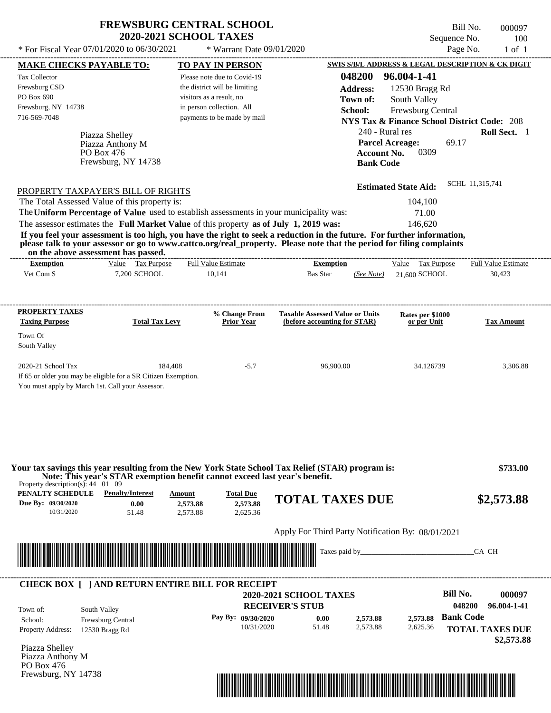| <b>FREWSBURG CENTRAL SCHOOL</b> |
|---------------------------------|
| <b>2020-2021 SCHOOL TAXES</b>   |

\* Warrant Date 09/01/2020

Bill No. 000097 Sequence No. 100<br>Page No. 1 of 1

| <b>MAKE CHECKS PAYABLE TO:</b>                                                                          |                                                                                                                                                                                                                                      | <b>TO PAY IN PERSON</b>                                                                                                                                                                                                                                        |                                                                        |                        |                                 | <b>SWIS S/B/L ADDRESS &amp; LEGAL DESCRIPTION &amp; CK DIGIT</b> |
|---------------------------------------------------------------------------------------------------------|--------------------------------------------------------------------------------------------------------------------------------------------------------------------------------------------------------------------------------------|----------------------------------------------------------------------------------------------------------------------------------------------------------------------------------------------------------------------------------------------------------------|------------------------------------------------------------------------|------------------------|---------------------------------|------------------------------------------------------------------|
| <b>Tax Collector</b>                                                                                    |                                                                                                                                                                                                                                      | Please note due to Covid-19                                                                                                                                                                                                                                    |                                                                        | 048200                 | 96.004-1-41                     |                                                                  |
| Frewsburg CSD                                                                                           |                                                                                                                                                                                                                                      | the district will be limiting                                                                                                                                                                                                                                  |                                                                        | <b>Address:</b>        | 12530 Bragg Rd                  |                                                                  |
| PO Box 690                                                                                              |                                                                                                                                                                                                                                      | visitors as a result, no                                                                                                                                                                                                                                       |                                                                        | Town of:               | South Valley                    |                                                                  |
| Frewsburg, NY 14738                                                                                     |                                                                                                                                                                                                                                      | in person collection. All                                                                                                                                                                                                                                      |                                                                        | School:                | Frewsburg Central               |                                                                  |
| 716-569-7048                                                                                            |                                                                                                                                                                                                                                      | payments to be made by mail                                                                                                                                                                                                                                    |                                                                        |                        |                                 | <b>NYS Tax &amp; Finance School District Code: 208</b>           |
|                                                                                                         | Piazza Shelley                                                                                                                                                                                                                       |                                                                                                                                                                                                                                                                |                                                                        | 240 - Rural res        |                                 | Roll Sect. 1                                                     |
|                                                                                                         | Piazza Anthony M                                                                                                                                                                                                                     |                                                                                                                                                                                                                                                                |                                                                        | <b>Parcel Acreage:</b> |                                 | 69.17                                                            |
|                                                                                                         | PO Box 476                                                                                                                                                                                                                           |                                                                                                                                                                                                                                                                |                                                                        | <b>Account No.</b>     | 0309                            |                                                                  |
|                                                                                                         | Frewsburg, NY 14738                                                                                                                                                                                                                  |                                                                                                                                                                                                                                                                |                                                                        | <b>Bank Code</b>       |                                 |                                                                  |
|                                                                                                         |                                                                                                                                                                                                                                      |                                                                                                                                                                                                                                                                |                                                                        |                        |                                 |                                                                  |
|                                                                                                         | PROPERTY TAXPAYER'S BILL OF RIGHTS                                                                                                                                                                                                   |                                                                                                                                                                                                                                                                |                                                                        |                        | <b>Estimated State Aid:</b>     | SCHL 11,315,741                                                  |
|                                                                                                         | The Total Assessed Value of this property is:                                                                                                                                                                                        |                                                                                                                                                                                                                                                                |                                                                        |                        | 104,100                         |                                                                  |
|                                                                                                         |                                                                                                                                                                                                                                      | The Uniform Percentage of Value used to establish assessments in your municipality was:                                                                                                                                                                        |                                                                        |                        | 71.00                           |                                                                  |
|                                                                                                         |                                                                                                                                                                                                                                      | The assessor estimates the Full Market Value of this property as of July 1, 2019 was:                                                                                                                                                                          |                                                                        |                        | 146,620                         |                                                                  |
|                                                                                                         | on the above assessment has passed.                                                                                                                                                                                                  | If you feel your assessment is too high, you have the right to seek a reduction in the future. For further information,<br>please talk to your assessor or go to www.cattco.org/real_property. Please note that the period for filing complaints               |                                                                        |                        |                                 |                                                                  |
| <b>Exemption</b>                                                                                        | Value Tax Purpose                                                                                                                                                                                                                    | <b>Full Value Estimate</b>                                                                                                                                                                                                                                     | <b>Exemption</b>                                                       |                        | Value Tax Purpose               | <b>Full Value Estimate</b>                                       |
| Vet Com S                                                                                               | 7,200 SCHOOL                                                                                                                                                                                                                         | 10,141                                                                                                                                                                                                                                                         | Bas Star                                                               | (See Note)             | 21,600 SCHOOL                   | 30,423                                                           |
| PROPERTY TAXES<br><b>Taxing Purpose</b><br>Town Of                                                      | <b>Total Tax Levy</b>                                                                                                                                                                                                                | % Change From<br><b>Prior Year</b>                                                                                                                                                                                                                             | <b>Taxable Assessed Value or Units</b><br>(before accounting for STAR) |                        | Rates per \$1000<br>or per Unit | <b>Tax Amount</b>                                                |
| South Valley                                                                                            |                                                                                                                                                                                                                                      |                                                                                                                                                                                                                                                                |                                                                        |                        |                                 |                                                                  |
| 2020-21 School Tax                                                                                      | If 65 or older you may be eligible for a SR Citizen Exemption.<br>You must apply by March 1st. Call your Assessor.                                                                                                                   | 184,408<br>$-5.7$                                                                                                                                                                                                                                              | 96,900.00                                                              |                        | 34.126739                       | 3,306.88                                                         |
| Property description(s): $44 \quad 01 \quad 09$<br>PENALTY SCHEDULE<br>Due By: 09/30/2020<br>10/31/2020 | <b>Penalty/Interest</b><br>0.00<br>51.48                                                                                                                                                                                             | Your tax savings this year resulting from the New York State School Tax Relief (STAR) program is:<br>Note: This year's STAR exemption benefit cannot exceed last year's benefit.<br><b>Total Due</b><br>Amount<br>2,573.88<br>2,573.88<br>2,573.88<br>2,625.36 | <b>TOTAL TAXES DUE</b>                                                 |                        |                                 | \$733.00<br>\$2,573.88                                           |
|                                                                                                         |                                                                                                                                                                                                                                      |                                                                                                                                                                                                                                                                | Apply For Third Party Notification By: 08/01/2021                      |                        |                                 |                                                                  |
|                                                                                                         |                                                                                                                                                                                                                                      |                                                                                                                                                                                                                                                                | Taxes paid by_                                                         |                        |                                 | CA CH                                                            |
|                                                                                                         | <u> Maria Alemania de Santiago de Santiago de Santiago de Santiago de Santiago de Santiago de Santiago de Santiago de Santiago de Santiago de Santiago de Santiago de Santiago de Santiago de Santiago de Santiago de Santiago d</u> |                                                                                                                                                                                                                                                                |                                                                        |                        |                                 |                                                                  |
|                                                                                                         |                                                                                                                                                                                                                                      | <b>CHECK BOX [ ] AND RETURN ENTIRE BILL FOR RECEIPT</b>                                                                                                                                                                                                        |                                                                        |                        |                                 |                                                                  |
|                                                                                                         |                                                                                                                                                                                                                                      |                                                                                                                                                                                                                                                                | <b>2020-2021 SCHOOL TAXES</b>                                          |                        |                                 | <b>Bill No.</b><br>000097                                        |
| Town of:                                                                                                | South Valley                                                                                                                                                                                                                         |                                                                                                                                                                                                                                                                | <b>RECEIVER'S STUB</b>                                                 |                        |                                 | 048200<br>96.004-1-41                                            |
| School:                                                                                                 | Frewsburg Central                                                                                                                                                                                                                    | Pay By: 09/30/2020                                                                                                                                                                                                                                             | 0.00                                                                   | 2,573.88               | 2,573.88                        | <b>Bank Code</b>                                                 |
| <b>Property Address:</b>                                                                                | 12530 Bragg Rd                                                                                                                                                                                                                       | 10/31/2020                                                                                                                                                                                                                                                     | 51.48                                                                  | 2,573.88               | 2,625.36                        | <b>TOTAL TAXES DUE</b>                                           |
|                                                                                                         |                                                                                                                                                                                                                                      |                                                                                                                                                                                                                                                                |                                                                        |                        |                                 | \$2,573.88                                                       |
|                                                                                                         |                                                                                                                                                                                                                                      |                                                                                                                                                                                                                                                                |                                                                        |                        |                                 |                                                                  |
|                                                                                                         |                                                                                                                                                                                                                                      |                                                                                                                                                                                                                                                                |                                                                        |                        |                                 |                                                                  |
| Piazza Shelley<br>Piazza Anthony M                                                                      |                                                                                                                                                                                                                                      |                                                                                                                                                                                                                                                                |                                                                        |                        |                                 |                                                                  |
| PO Box 476<br>Frewsburg, NY 14738                                                                       |                                                                                                                                                                                                                                      |                                                                                                                                                                                                                                                                |                                                                        |                        |                                 |                                                                  |

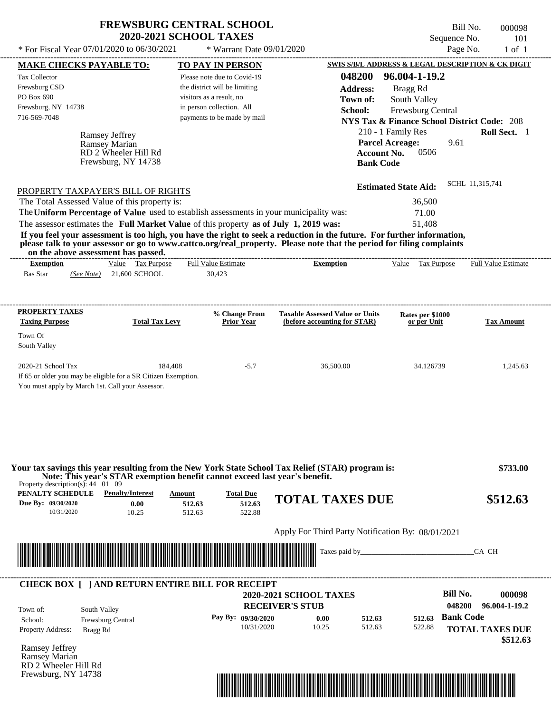| <b>FREWSBURG CENTRAL SCHOOL</b> |
|---------------------------------|
| <b>2020-2021 SCHOOL TAXES</b>   |

\* Warrant Date 09/01/2020

Bill No. 000098 Sequence No. 101<br>Page No. 1 of 1

| <b>MAKE CHECKS PAYABLE TO:</b>                  |                                                                                                                                                                                                                                                  | <b>TO PAY IN PERSON</b>       |                            |                                                   |                        |                                                        |                  | <b>SWIS S/B/L ADDRESS &amp; LEGAL DESCRIPTION &amp; CK DIGIT</b> |
|-------------------------------------------------|--------------------------------------------------------------------------------------------------------------------------------------------------------------------------------------------------------------------------------------------------|-------------------------------|----------------------------|---------------------------------------------------|------------------------|--------------------------------------------------------|------------------|------------------------------------------------------------------|
| <b>Tax Collector</b>                            |                                                                                                                                                                                                                                                  | Please note due to Covid-19   |                            |                                                   | 048200                 | 96.004-1-19.2                                          |                  |                                                                  |
| Frewsburg CSD                                   |                                                                                                                                                                                                                                                  | the district will be limiting |                            |                                                   | <b>Address:</b>        | Bragg Rd                                               |                  |                                                                  |
| PO Box 690                                      |                                                                                                                                                                                                                                                  | visitors as a result, no      |                            |                                                   | Town of:               | South Valley                                           |                  |                                                                  |
| Frewsburg, NY 14738                             |                                                                                                                                                                                                                                                  | in person collection. All     |                            |                                                   | School:                | Frewsburg Central                                      |                  |                                                                  |
| 716-569-7048                                    |                                                                                                                                                                                                                                                  | payments to be made by mail   |                            |                                                   |                        | <b>NYS Tax &amp; Finance School District Code: 208</b> |                  |                                                                  |
|                                                 |                                                                                                                                                                                                                                                  |                               |                            |                                                   |                        | 210 - 1 Family Res                                     |                  | Roll Sect. 1                                                     |
|                                                 | <b>Ramsey Jeffrey</b><br>Ramsey Marian                                                                                                                                                                                                           |                               |                            |                                                   | <b>Parcel Acreage:</b> |                                                        | 9.61             |                                                                  |
|                                                 | RD 2 Wheeler Hill Rd                                                                                                                                                                                                                             |                               |                            |                                                   | <b>Account No.</b>     | 0506                                                   |                  |                                                                  |
|                                                 | Frewsburg, NY 14738                                                                                                                                                                                                                              |                               |                            |                                                   | <b>Bank Code</b>       |                                                        |                  |                                                                  |
|                                                 |                                                                                                                                                                                                                                                  |                               |                            |                                                   |                        |                                                        |                  |                                                                  |
|                                                 | PROPERTY TAXPAYER'S BILL OF RIGHTS                                                                                                                                                                                                               |                               |                            |                                                   |                        | <b>Estimated State Aid:</b>                            |                  | SCHL 11,315,741                                                  |
|                                                 | The Total Assessed Value of this property is:                                                                                                                                                                                                    |                               |                            |                                                   |                        | 36,500                                                 |                  |                                                                  |
|                                                 | The Uniform Percentage of Value used to establish assessments in your municipality was:                                                                                                                                                          |                               |                            |                                                   |                        | 71.00                                                  |                  |                                                                  |
|                                                 | The assessor estimates the Full Market Value of this property as of July 1, 2019 was:                                                                                                                                                            |                               |                            |                                                   |                        | 51,408                                                 |                  |                                                                  |
|                                                 | If you feel your assessment is too high, you have the right to seek a reduction in the future. For further information,<br>please talk to your assessor or go to www.cattco.org/real_property. Please note that the period for filing complaints |                               |                            |                                                   |                        |                                                        |                  |                                                                  |
| <b>Exemption</b>                                | on the above assessment has passed.<br>Value Tax Purpose                                                                                                                                                                                         | <b>Full Value Estimate</b>    |                            | <b>Exemption</b>                                  |                        |                                                        |                  | Value Tax Purpose Full Value Estimate                            |
| <b>Bas Star</b>                                 | (See Note) 21,600 SCHOOL                                                                                                                                                                                                                         | 30,423                        |                            |                                                   |                        |                                                        |                  |                                                                  |
|                                                 |                                                                                                                                                                                                                                                  |                               |                            |                                                   |                        |                                                        |                  |                                                                  |
| <b>PROPERTY TAXES</b>                           |                                                                                                                                                                                                                                                  |                               | % Change From              | <b>Taxable Assessed Value or Units</b>            |                        | Rates per \$1000                                       |                  |                                                                  |
| <b>Taxing Purpose</b>                           | <b>Total Tax Levy</b>                                                                                                                                                                                                                            |                               | <b>Prior Year</b>          | (before accounting for STAR)                      |                        | or per Unit                                            |                  | <b>Tax Amount</b>                                                |
| Town Of                                         |                                                                                                                                                                                                                                                  |                               |                            |                                                   |                        |                                                        |                  |                                                                  |
| South Valley                                    |                                                                                                                                                                                                                                                  |                               |                            |                                                   |                        |                                                        |                  |                                                                  |
|                                                 |                                                                                                                                                                                                                                                  |                               |                            |                                                   |                        |                                                        |                  |                                                                  |
| 2020-21 School Tax                              |                                                                                                                                                                                                                                                  | 184,408                       | $-5.7$                     | 36,500.00                                         |                        | 34.126739                                              |                  | 1,245.63                                                         |
|                                                 | If 65 or older you may be eligible for a SR Citizen Exemption.                                                                                                                                                                                   |                               |                            |                                                   |                        |                                                        |                  |                                                                  |
|                                                 | You must apply by March 1st. Call your Assessor.                                                                                                                                                                                                 |                               |                            |                                                   |                        |                                                        |                  |                                                                  |
|                                                 |                                                                                                                                                                                                                                                  |                               |                            |                                                   |                        |                                                        |                  |                                                                  |
|                                                 |                                                                                                                                                                                                                                                  |                               |                            |                                                   |                        |                                                        |                  |                                                                  |
|                                                 |                                                                                                                                                                                                                                                  |                               |                            |                                                   |                        |                                                        |                  |                                                                  |
|                                                 | Your tax savings this year resulting from the New York State School Tax Relief (STAR) program is:                                                                                                                                                |                               |                            |                                                   |                        |                                                        |                  | \$733.00                                                         |
| Property description(s): $44 \quad 01 \quad 09$ | Note: This year's STAR exemption benefit cannot exceed last year's benefit.                                                                                                                                                                      |                               |                            |                                                   |                        |                                                        |                  |                                                                  |
| PENALTY SCHEDULE<br>Due By: 09/30/2020          | <b>Penalty/Interest</b>                                                                                                                                                                                                                          | Amount                        | <b>Total Due</b><br>512.63 | <b>TOTAL TAXES DUE</b>                            |                        |                                                        |                  | \$512.63                                                         |
| 10/31/2020                                      | 0.00<br>10.25                                                                                                                                                                                                                                    | 512.63<br>512.63              | 522.88                     |                                                   |                        |                                                        |                  |                                                                  |
|                                                 |                                                                                                                                                                                                                                                  |                               |                            |                                                   |                        |                                                        |                  |                                                                  |
|                                                 |                                                                                                                                                                                                                                                  |                               |                            | Apply For Third Party Notification By: 08/01/2021 |                        |                                                        |                  |                                                                  |
|                                                 | <u> Maria Alemania de Santiago de Arabela de Arabela de Arabela de Arabela de Arabela de Arabela de Arabela de Ar</u>                                                                                                                            |                               |                            |                                                   |                        |                                                        |                  | CA CH                                                            |
|                                                 |                                                                                                                                                                                                                                                  |                               |                            |                                                   |                        |                                                        |                  |                                                                  |
|                                                 | <b>CHECK BOX [ ] AND RETURN ENTIRE BILL FOR RECEIPT</b>                                                                                                                                                                                          |                               |                            |                                                   |                        |                                                        |                  |                                                                  |
|                                                 |                                                                                                                                                                                                                                                  |                               |                            | <b>2020-2021 SCHOOL TAXES</b>                     |                        |                                                        | <b>Bill No.</b>  | 000098                                                           |
|                                                 |                                                                                                                                                                                                                                                  |                               | <b>RECEIVER'S STUB</b>     |                                                   |                        |                                                        | 048200           | 96.004-1-19.2                                                    |
| Town of:                                        | South Valley                                                                                                                                                                                                                                     |                               | Pay By: 09/30/2020         | 0.00                                              | 512.63                 | 512.63                                                 | <b>Bank Code</b> |                                                                  |
| School:                                         | Frewsburg Central                                                                                                                                                                                                                                |                               | 10/31/2020                 | 10.25                                             | 512.63                 | 522.88                                                 |                  |                                                                  |
| <b>Property Address:</b>                        | Bragg Rd                                                                                                                                                                                                                                         |                               |                            |                                                   |                        |                                                        |                  | <b>TOTAL TAXES DUE</b>                                           |
| Ramsey Jeffrey                                  |                                                                                                                                                                                                                                                  |                               |                            |                                                   |                        |                                                        |                  | \$512.63                                                         |
| Ramsey Marian                                   |                                                                                                                                                                                                                                                  |                               |                            |                                                   |                        |                                                        |                  |                                                                  |
|                                                 |                                                                                                                                                                                                                                                  |                               |                            |                                                   |                        |                                                        |                  |                                                                  |
| RD 2 Wheeler Hill Rd<br>Frewsburg, NY 14738     |                                                                                                                                                                                                                                                  |                               |                            |                                                   |                        |                                                        |                  |                                                                  |

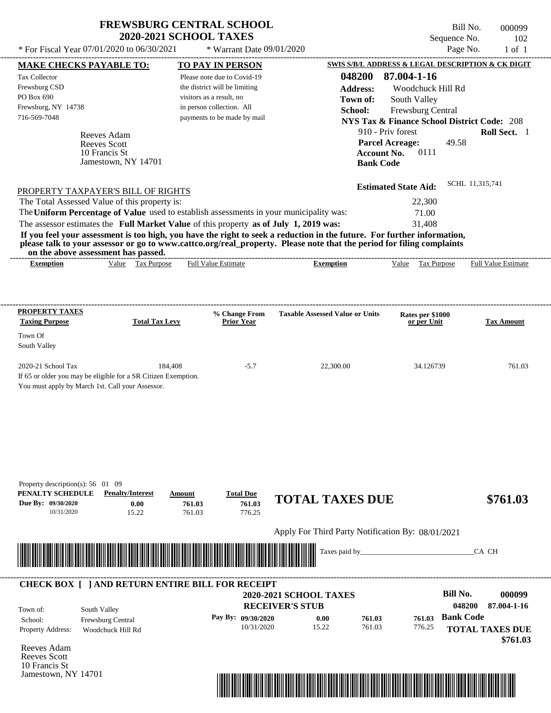| <b>FREWSBURG CENTRAL SCHOOL</b> |
|---------------------------------|
| <b>2020-2021 SCHOOL TAXES</b>   |

\* Warrant Date 09/01/2020

|                                                 | <b>MAKE CHECKS PAYABLE TO:</b>                                                                                                                                                                                                       |                       | <b>TO PAY IN PERSON</b>       |                                                                                                                         | SWIS S/B/L ADDRESS & LEGAL DESCRIPTION & CK DIGIT      |                            |
|-------------------------------------------------|--------------------------------------------------------------------------------------------------------------------------------------------------------------------------------------------------------------------------------------|-----------------------|-------------------------------|-------------------------------------------------------------------------------------------------------------------------|--------------------------------------------------------|----------------------------|
| <b>Tax Collector</b>                            |                                                                                                                                                                                                                                      |                       | Please note due to Covid-19   | 048200                                                                                                                  | 87.004-1-16                                            |                            |
| Frewsburg CSD                                   |                                                                                                                                                                                                                                      |                       | the district will be limiting | <b>Address:</b>                                                                                                         | Woodchuck Hill Rd                                      |                            |
| PO Box 690                                      |                                                                                                                                                                                                                                      |                       | visitors as a result, no      | Town of:                                                                                                                | South Valley                                           |                            |
| Frewsburg, NY 14738                             |                                                                                                                                                                                                                                      |                       | in person collection. All     | School:                                                                                                                 | Frewsburg Central                                      |                            |
| 716-569-7048                                    |                                                                                                                                                                                                                                      |                       | payments to be made by mail   |                                                                                                                         | <b>NYS Tax &amp; Finance School District Code: 208</b> |                            |
|                                                 | Reeves Adam                                                                                                                                                                                                                          |                       |                               |                                                                                                                         | 910 - Priv forest                                      | Roll Sect. 1               |
|                                                 | Reeves Scott                                                                                                                                                                                                                         |                       |                               |                                                                                                                         | <b>Parcel Acreage:</b><br>49.58                        |                            |
|                                                 | 10 Francis St                                                                                                                                                                                                                        |                       |                               | <b>Account No.</b>                                                                                                      | 0111                                                   |                            |
|                                                 | Jamestown, NY 14701                                                                                                                                                                                                                  |                       |                               | <b>Bank Code</b>                                                                                                        |                                                        |                            |
|                                                 |                                                                                                                                                                                                                                      |                       |                               |                                                                                                                         |                                                        |                            |
|                                                 | PROPERTY TAXPAYER'S BILL OF RIGHTS                                                                                                                                                                                                   |                       |                               |                                                                                                                         | <b>Estimated State Aid:</b>                            | SCHL 11,315,741            |
|                                                 | The Total Assessed Value of this property is:                                                                                                                                                                                        |                       |                               |                                                                                                                         | 22,300                                                 |                            |
|                                                 |                                                                                                                                                                                                                                      |                       |                               | The Uniform Percentage of Value used to establish assessments in your municipality was:                                 | 71.00                                                  |                            |
|                                                 |                                                                                                                                                                                                                                      |                       |                               | The assessor estimates the Full Market Value of this property as of July 1, 2019 was:                                   | 31,408                                                 |                            |
|                                                 |                                                                                                                                                                                                                                      |                       |                               | If you feel your assessment is too high, you have the right to seek a reduction in the future. For further information, |                                                        |                            |
|                                                 | on the above assessment has passed.                                                                                                                                                                                                  |                       |                               | please talk to your assessor or go to www.cattco.org/real_property. Please note that the period for filing complaints   |                                                        |                            |
| <b>Exemption</b>                                | Value Tax Purpose                                                                                                                                                                                                                    |                       | <b>Full Value Estimate</b>    | <b>Exemption</b>                                                                                                        | Value Tax Purpose                                      | <b>Full Value Estimate</b> |
|                                                 |                                                                                                                                                                                                                                      |                       |                               |                                                                                                                         |                                                        |                            |
|                                                 |                                                                                                                                                                                                                                      |                       |                               |                                                                                                                         |                                                        |                            |
| <b>PROPERTY TAXES</b>                           |                                                                                                                                                                                                                                      |                       | % Change From                 | <b>Taxable Assessed Value or Units</b>                                                                                  |                                                        |                            |
| <b>Taxing Purpose</b>                           |                                                                                                                                                                                                                                      | <b>Total Tax Levy</b> | <b>Prior Year</b>             |                                                                                                                         | Rates per \$1000<br>or per Unit                        | <b>Tax Amount</b>          |
| Town Of                                         |                                                                                                                                                                                                                                      |                       |                               |                                                                                                                         |                                                        |                            |
| South Valley                                    |                                                                                                                                                                                                                                      |                       |                               |                                                                                                                         |                                                        |                            |
| 2020-21 School Tax                              |                                                                                                                                                                                                                                      | 184,408               | $-5.7$                        | 22,300.00                                                                                                               | 34.126739                                              | 761.03                     |
|                                                 | If 65 or older you may be eligible for a SR Citizen Exemption.                                                                                                                                                                       |                       |                               |                                                                                                                         |                                                        |                            |
|                                                 | You must apply by March 1st. Call your Assessor.                                                                                                                                                                                     |                       |                               |                                                                                                                         |                                                        |                            |
|                                                 |                                                                                                                                                                                                                                      |                       |                               |                                                                                                                         |                                                        |                            |
|                                                 |                                                                                                                                                                                                                                      |                       |                               |                                                                                                                         |                                                        |                            |
|                                                 |                                                                                                                                                                                                                                      |                       |                               |                                                                                                                         |                                                        |                            |
|                                                 |                                                                                                                                                                                                                                      |                       |                               |                                                                                                                         |                                                        |                            |
|                                                 |                                                                                                                                                                                                                                      |                       |                               |                                                                                                                         |                                                        |                            |
|                                                 |                                                                                                                                                                                                                                      |                       |                               |                                                                                                                         |                                                        |                            |
| Property description(s): $56 \quad 01 \quad 09$ |                                                                                                                                                                                                                                      |                       |                               |                                                                                                                         |                                                        |                            |
| PENALTY SCHEDULE                                | <b>Penalty/Interest</b>                                                                                                                                                                                                              | Amount                | <b>Total Due</b>              | <b>TOTAL TAXES DUE</b>                                                                                                  |                                                        | \$761.03                   |
| Due By: 09/30/2020                              | 0.00                                                                                                                                                                                                                                 | 761.03                | 761.03                        |                                                                                                                         |                                                        |                            |
| 10/31/2020                                      | 15.22                                                                                                                                                                                                                                | 761.03                | 776.25                        |                                                                                                                         |                                                        |                            |
|                                                 |                                                                                                                                                                                                                                      |                       |                               | Apply For Third Party Notification By: 08/01/2021                                                                       |                                                        |                            |
|                                                 |                                                                                                                                                                                                                                      |                       |                               | Taxes paid by                                                                                                           |                                                        |                            |
|                                                 | <u> Harry Harry Harry Harry Harry Harry Harry Harry Harry Harry Harry Harry Harry Harry Harry Harry Harry Harry Harry Harry Harry Harry Harry Harry Harry Harry Harry Harry Harry Harry Harry Harry Harry Harry Harry Harry Harr</u> |                       |                               |                                                                                                                         |                                                        | CA CH                      |
|                                                 |                                                                                                                                                                                                                                      |                       |                               |                                                                                                                         |                                                        |                            |
|                                                 | <b>CHECK BOX [ ] AND RETURN ENTIRE BILL FOR RECEIPT</b>                                                                                                                                                                              |                       |                               |                                                                                                                         |                                                        |                            |
|                                                 |                                                                                                                                                                                                                                      |                       |                               | <b>2020-2021 SCHOOL TAXES</b>                                                                                           | <b>Bill No.</b>                                        | 000099                     |
| Town of:                                        | South Valley                                                                                                                                                                                                                         |                       |                               | <b>RECEIVER'S STUB</b>                                                                                                  |                                                        | 048200<br>87.004-1-16      |
| School:                                         | Frewsburg Central                                                                                                                                                                                                                    |                       | Pay By: 09/30/2020            | 0.00<br>761.03                                                                                                          | <b>Bank Code</b><br>761.03                             |                            |
| Property Address:                               | Woodchuck Hill Rd                                                                                                                                                                                                                    |                       | 10/31/2020                    | 15.22<br>761.03                                                                                                         | 776.25                                                 | <b>TOTAL TAXES DUE</b>     |
|                                                 |                                                                                                                                                                                                                                      |                       |                               |                                                                                                                         |                                                        | \$761.03                   |
| Reeves Adam                                     |                                                                                                                                                                                                                                      |                       |                               |                                                                                                                         |                                                        |                            |
| Reeves Scott                                    |                                                                                                                                                                                                                                      |                       |                               |                                                                                                                         |                                                        |                            |
| 10 Francis St                                   |                                                                                                                                                                                                                                      |                       |                               |                                                                                                                         |                                                        |                            |
| Jamestown, NY 14701                             |                                                                                                                                                                                                                                      |                       |                               |                                                                                                                         |                                                        |                            |

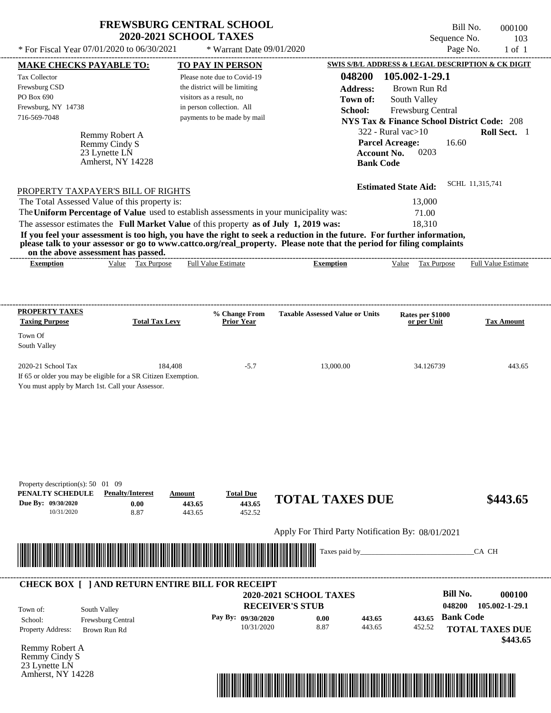| <b>FREWSBURG CENTRAL SCHOOL</b> |
|---------------------------------|
| <b>2020-2021 SCHOOL TAXES</b>   |

\* Warrant Date 09/01/2020

Bill No. 000100 Sequence No. 103<br>Page No. 1 of 1

| <b>MAKE CHECKS PAYABLE TO:</b>                                                                                         |                                    |                          | <b>TO PAY IN PERSON</b>            |                                                                                                                         |                                        | <b>SWIS S/B/L ADDRESS &amp; LEGAL DESCRIPTION &amp; CK DIGIT</b> |
|------------------------------------------------------------------------------------------------------------------------|------------------------------------|--------------------------|------------------------------------|-------------------------------------------------------------------------------------------------------------------------|----------------------------------------|------------------------------------------------------------------|
| <b>Tax Collector</b>                                                                                                   |                                    |                          | Please note due to Covid-19        | 048200                                                                                                                  | 105.002-1-29.1                         |                                                                  |
| Frewsburg CSD                                                                                                          |                                    |                          | the district will be limiting      | <b>Address:</b>                                                                                                         | Brown Run Rd                           |                                                                  |
| PO Box 690                                                                                                             |                                    | visitors as a result, no |                                    | Town of:                                                                                                                | South Valley                           |                                                                  |
| Frewsburg, NY 14738                                                                                                    |                                    |                          | in person collection. All          |                                                                                                                         |                                        |                                                                  |
| 716-569-7048                                                                                                           |                                    |                          | payments to be made by mail        | School:                                                                                                                 | Frewsburg Central                      |                                                                  |
|                                                                                                                        |                                    |                          |                                    |                                                                                                                         |                                        | <b>NYS Tax &amp; Finance School District Code: 208</b>           |
|                                                                                                                        | Remmy Robert A                     |                          |                                    |                                                                                                                         | $322$ - Rural vac $>10$                | Roll Sect. 1                                                     |
|                                                                                                                        | Remmy Cindy S                      |                          |                                    |                                                                                                                         | <b>Parcel Acreage:</b><br>0203         | 16.60                                                            |
|                                                                                                                        | 23 Lynette LN<br>Amherst, NY 14228 |                          |                                    |                                                                                                                         | <b>Account No.</b><br><b>Bank Code</b> |                                                                  |
|                                                                                                                        |                                    |                          |                                    |                                                                                                                         |                                        |                                                                  |
| PROPERTY TAXPAYER'S BILL OF RIGHTS                                                                                     |                                    |                          |                                    |                                                                                                                         | <b>Estimated State Aid:</b>            | SCHL 11,315,741                                                  |
| The Total Assessed Value of this property is:                                                                          |                                    |                          |                                    |                                                                                                                         | 13,000                                 |                                                                  |
| The Uniform Percentage of Value used to establish assessments in your municipality was:                                |                                    |                          |                                    |                                                                                                                         | 71.00                                  |                                                                  |
| The assessor estimates the Full Market Value of this property as of July 1, 2019 was:                                  |                                    |                          |                                    |                                                                                                                         | 18,310                                 |                                                                  |
|                                                                                                                        |                                    |                          |                                    | If you feel your assessment is too high, you have the right to seek a reduction in the future. For further information, |                                        |                                                                  |
|                                                                                                                        |                                    |                          |                                    | please talk to your assessor or go to www.cattco.org/real_property. Please note that the period for filing complaints   |                                        |                                                                  |
| on the above assessment has passed.<br><b>Exemption</b>                                                                | Value Tax Purpose                  |                          | <b>Full Value Estimate</b>         | <b>Exemption</b>                                                                                                        |                                        | Value Tax Purpose Full Value Estimate                            |
|                                                                                                                        |                                    |                          |                                    |                                                                                                                         |                                        |                                                                  |
|                                                                                                                        |                                    |                          |                                    |                                                                                                                         |                                        |                                                                  |
|                                                                                                                        |                                    |                          |                                    |                                                                                                                         |                                        |                                                                  |
| <b>PROPERTY TAXES</b><br><b>Taxing Purpose</b>                                                                         | <b>Total Tax Levy</b>              |                          | % Change From<br><b>Prior Year</b> | <b>Taxable Assessed Value or Units</b>                                                                                  | Rates per \$1000<br>or per Unit        | <b>Tax Amount</b>                                                |
| Town Of                                                                                                                |                                    |                          |                                    |                                                                                                                         |                                        |                                                                  |
| South Valley                                                                                                           |                                    |                          |                                    |                                                                                                                         |                                        |                                                                  |
|                                                                                                                        |                                    |                          |                                    |                                                                                                                         |                                        |                                                                  |
| 2020-21 School Tax                                                                                                     |                                    | 184,408                  | $-5.7$                             | 13,000.00                                                                                                               | 34.126739                              | 443.65                                                           |
| If 65 or older you may be eligible for a SR Citizen Exemption.                                                         |                                    |                          |                                    |                                                                                                                         |                                        |                                                                  |
| You must apply by March 1st. Call your Assessor.                                                                       |                                    |                          |                                    |                                                                                                                         |                                        |                                                                  |
|                                                                                                                        |                                    |                          |                                    |                                                                                                                         |                                        |                                                                  |
|                                                                                                                        |                                    |                          |                                    |                                                                                                                         |                                        |                                                                  |
|                                                                                                                        |                                    |                          |                                    |                                                                                                                         |                                        |                                                                  |
|                                                                                                                        |                                    |                          |                                    |                                                                                                                         |                                        |                                                                  |
|                                                                                                                        |                                    |                          |                                    |                                                                                                                         |                                        |                                                                  |
|                                                                                                                        |                                    |                          |                                    |                                                                                                                         |                                        |                                                                  |
|                                                                                                                        |                                    |                          |                                    |                                                                                                                         |                                        |                                                                  |
|                                                                                                                        |                                    |                          |                                    |                                                                                                                         |                                        |                                                                  |
| Property description(s): $50 \quad 01 \quad 09$<br>PENALTY SCHEDULE                                                    | <b>Penalty/Interest</b>            | Amount                   | <b>Total Due</b>                   |                                                                                                                         |                                        |                                                                  |
| Due By: 09/30/2020                                                                                                     | 0.00                               | 443.65                   | 443.65                             | <b>TOTAL TAXES DUE</b>                                                                                                  |                                        | \$443.65                                                         |
| 10/31/2020                                                                                                             | 8.87                               | 443.65                   | 452.52                             |                                                                                                                         |                                        |                                                                  |
|                                                                                                                        |                                    |                          |                                    | Apply For Third Party Notification By: 08/01/2021                                                                       |                                        |                                                                  |
|                                                                                                                        |                                    |                          |                                    |                                                                                                                         |                                        |                                                                  |
| <u> III de la construcción de la construcción de la construcción de la construcción de la construcción de la const</u> |                                    |                          |                                    | Taxes paid by_                                                                                                          |                                        | CA CH                                                            |
|                                                                                                                        |                                    |                          |                                    |                                                                                                                         |                                        |                                                                  |
| <b>CHECK BOX [ ] AND RETURN ENTIRE BILL FOR RECEIPT</b>                                                                |                                    |                          |                                    |                                                                                                                         |                                        |                                                                  |
|                                                                                                                        |                                    |                          |                                    | <b>2020-2021 SCHOOL TAXES</b>                                                                                           |                                        | <b>Bill No.</b><br>000100                                        |
|                                                                                                                        |                                    |                          |                                    |                                                                                                                         |                                        | 048200<br>105.002-1-29.1                                         |
| South Valley<br>Town of:                                                                                               |                                    |                          |                                    | <b>RECEIVER'S STUB</b>                                                                                                  |                                        |                                                                  |
| School:                                                                                                                | Frewsburg Central                  |                          | Pay By: 09/30/2020                 | 0.00<br>443.65                                                                                                          | 443.65                                 | <b>Bank Code</b>                                                 |
| <b>Property Address:</b>                                                                                               | Brown Run Rd                       |                          | 10/31/2020                         | 8.87<br>443.65                                                                                                          | 452.52                                 | <b>TOTAL TAXES DUE</b>                                           |
|                                                                                                                        |                                    |                          |                                    |                                                                                                                         |                                        | \$443.65                                                         |
| Remmy Robert A                                                                                                         |                                    |                          |                                    |                                                                                                                         |                                        |                                                                  |
| Remmy Cindy S                                                                                                          |                                    |                          |                                    |                                                                                                                         |                                        |                                                                  |
| 23 Lynette LN<br>Amherst, NY 14228                                                                                     |                                    |                          |                                    |                                                                                                                         |                                        |                                                                  |
|                                                                                                                        |                                    |                          |                                    |                                                                                                                         |                                        |                                                                  |

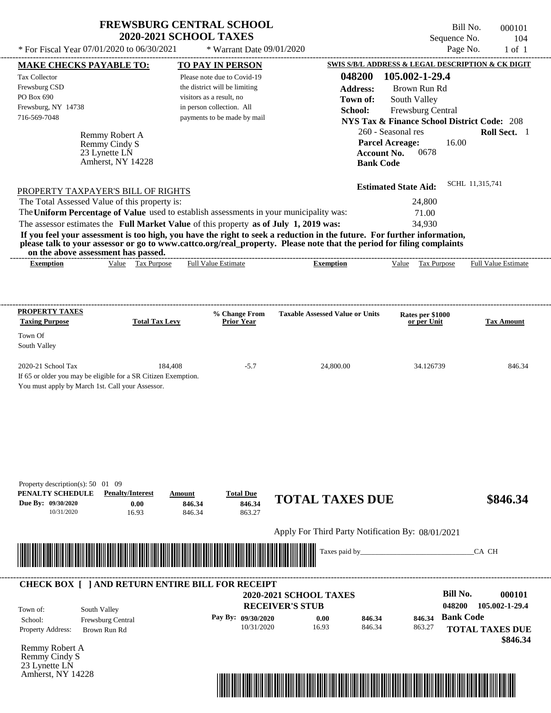| <b>FREWSBURG CENTRAL SCHOOL</b> |
|---------------------------------|
| <b>2020-2021 SCHOOL TAXES</b>   |

\* Warrant Date 09/01/2020

Bill No. 000101 Sequence No. 104<br>Page No. 1 of 1

| <b>MAKE CHECKS PAYABLE TO:</b>                   |                                                                                     | <b>TO PAY IN PERSON</b>                                                                 |                                                                                                                         | <b>SWIS S/B/L ADDRESS &amp; LEGAL DESCRIPTION &amp; CK DIGIT</b> |                        |
|--------------------------------------------------|-------------------------------------------------------------------------------------|-----------------------------------------------------------------------------------------|-------------------------------------------------------------------------------------------------------------------------|------------------------------------------------------------------|------------------------|
| <b>Tax Collector</b>                             |                                                                                     | Please note due to Covid-19                                                             | 048200                                                                                                                  | 105.002-1-29.4                                                   |                        |
| Frewsburg CSD                                    |                                                                                     | the district will be limiting                                                           | <b>Address:</b>                                                                                                         | Brown Run Rd                                                     |                        |
| PO Box 690                                       |                                                                                     | visitors as a result, no                                                                | Town of:                                                                                                                | South Valley                                                     |                        |
| Frewsburg, NY 14738                              |                                                                                     | in person collection. All                                                               | School:                                                                                                                 | Frewsburg Central                                                |                        |
| 716-569-7048                                     |                                                                                     | payments to be made by mail                                                             |                                                                                                                         | <b>NYS Tax &amp; Finance School District Code: 208</b>           |                        |
|                                                  | Remmy Robert A                                                                      |                                                                                         |                                                                                                                         | 260 - Seasonal res                                               | Roll Sect. 1           |
|                                                  | Remmy Cindy S                                                                       |                                                                                         |                                                                                                                         | <b>Parcel Acreage:</b><br>16.00                                  |                        |
|                                                  | 23 Lynette LN<br>Amherst, NY 14228                                                  |                                                                                         | <b>Account No.</b>                                                                                                      | 0678                                                             |                        |
|                                                  |                                                                                     |                                                                                         | <b>Bank Code</b>                                                                                                        |                                                                  |                        |
|                                                  |                                                                                     |                                                                                         |                                                                                                                         | <b>Estimated State Aid:</b>                                      | SCHL 11,315,741        |
|                                                  | PROPERTY TAXPAYER'S BILL OF RIGHTS<br>The Total Assessed Value of this property is: |                                                                                         |                                                                                                                         | 24,800                                                           |                        |
|                                                  |                                                                                     | The Uniform Percentage of Value used to establish assessments in your municipality was: |                                                                                                                         | 71.00                                                            |                        |
|                                                  |                                                                                     | The assessor estimates the Full Market Value of this property as of July 1, 2019 was:   |                                                                                                                         | 34,930                                                           |                        |
|                                                  |                                                                                     |                                                                                         | If you feel your assessment is too high, you have the right to seek a reduction in the future. For further information, |                                                                  |                        |
|                                                  |                                                                                     |                                                                                         | please talk to your assessor or go to www.cattco.org/real_property. Please note that the period for filing complaints   |                                                                  |                        |
| <b>Exemption</b>                                 | on the above assessment has passed.<br>Value Tax Purpose                            | <b>Full Value Estimate</b>                                                              | <b>Exemption</b>                                                                                                        | Value Tax Purpose Full Value Estimate                            |                        |
|                                                  |                                                                                     |                                                                                         |                                                                                                                         |                                                                  |                        |
|                                                  |                                                                                     |                                                                                         |                                                                                                                         |                                                                  |                        |
|                                                  |                                                                                     |                                                                                         |                                                                                                                         |                                                                  |                        |
| <b>PROPERTY TAXES</b><br><b>Taxing Purpose</b>   | <b>Total Tax Levy</b>                                                               | % Change From<br><b>Prior Year</b>                                                      | <b>Taxable Assessed Value or Units</b>                                                                                  | Rates per \$1000<br>or per Unit                                  | <b>Tax Amount</b>      |
| Town Of                                          |                                                                                     |                                                                                         |                                                                                                                         |                                                                  |                        |
| South Valley                                     |                                                                                     |                                                                                         |                                                                                                                         |                                                                  |                        |
| 2020-21 School Tax                               | 184,408                                                                             | $-5.7$                                                                                  | 24,800.00                                                                                                               | 34.126739                                                        | 846.34                 |
|                                                  | If 65 or older you may be eligible for a SR Citizen Exemption.                      |                                                                                         |                                                                                                                         |                                                                  |                        |
| You must apply by March 1st. Call your Assessor. |                                                                                     |                                                                                         |                                                                                                                         |                                                                  |                        |
|                                                  |                                                                                     |                                                                                         |                                                                                                                         |                                                                  |                        |
|                                                  |                                                                                     |                                                                                         |                                                                                                                         |                                                                  |                        |
|                                                  |                                                                                     |                                                                                         |                                                                                                                         |                                                                  |                        |
|                                                  |                                                                                     |                                                                                         |                                                                                                                         |                                                                  |                        |
|                                                  |                                                                                     |                                                                                         |                                                                                                                         |                                                                  |                        |
|                                                  |                                                                                     |                                                                                         |                                                                                                                         |                                                                  |                        |
| Property description(s): 50 01 09                |                                                                                     |                                                                                         |                                                                                                                         |                                                                  |                        |
| PENALTY SCHEDULE                                 | <b>Penalty/Interest</b>                                                             | <b>Total Due</b><br>Amount                                                              |                                                                                                                         |                                                                  |                        |
| Due By: 09/30/2020                               | 0.00                                                                                | 846.34<br>846.34                                                                        | <b>TOTAL TAXES DUE</b>                                                                                                  |                                                                  | \$846.34               |
| 10/31/2020                                       | 16.93                                                                               | 846.34<br>863.27                                                                        |                                                                                                                         |                                                                  |                        |
|                                                  |                                                                                     |                                                                                         | Apply For Third Party Notification By: 08/01/2021                                                                       |                                                                  |                        |
|                                                  |                                                                                     |                                                                                         | Taxes paid by                                                                                                           |                                                                  | CA CH                  |
|                                                  |                                                                                     | <u> 1989 - Andrea Stadt Britain, fransk politik forsk politik (f. 1989)</u>             |                                                                                                                         |                                                                  |                        |
|                                                  |                                                                                     |                                                                                         |                                                                                                                         |                                                                  |                        |
|                                                  |                                                                                     | <b>CHECK BOX [ ] AND RETURN ENTIRE BILL FOR RECEIPT</b>                                 | 2020-2021 SCHOOL TAXES                                                                                                  | <b>Bill No.</b>                                                  | 000101                 |
|                                                  |                                                                                     |                                                                                         | <b>RECEIVER'S STUB</b>                                                                                                  | 048200                                                           | 105.002-1-29.4         |
| Town of:                                         | South Valley                                                                        | Pay By: 09/30/2020                                                                      | 846.34<br>0.00                                                                                                          | <b>Bank Code</b><br>846.34                                       |                        |
| School:<br><b>Property Address:</b>              | Frewsburg Central<br>Brown Run Rd                                                   | 10/31/2020                                                                              | 16.93<br>846.34                                                                                                         | 863.27                                                           | <b>TOTAL TAXES DUE</b> |
|                                                  |                                                                                     |                                                                                         |                                                                                                                         |                                                                  | \$846.34               |
| Remmy Robert A                                   |                                                                                     |                                                                                         |                                                                                                                         |                                                                  |                        |
| Remmy Cindy S                                    |                                                                                     |                                                                                         |                                                                                                                         |                                                                  |                        |
| 23 Lynette LN<br>Amherst, NY 14228               |                                                                                     |                                                                                         |                                                                                                                         |                                                                  |                        |
|                                                  |                                                                                     |                                                                                         |                                                                                                                         |                                                                  |                        |
|                                                  |                                                                                     |                                                                                         |                                                                                                                         |                                                                  |                        |
|                                                  |                                                                                     |                                                                                         |                                                                                                                         |                                                                  |                        |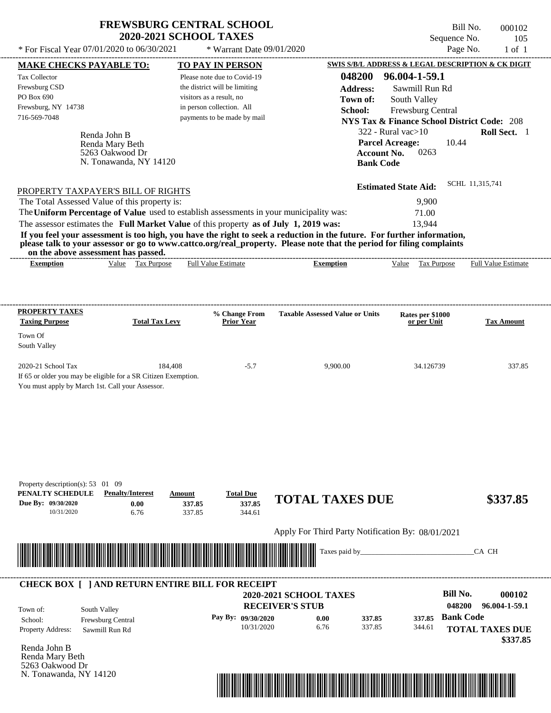| <b>FREWSBURG CENTRAL SCHOOL</b> |
|---------------------------------|
| <b>2020-2021 SCHOOL TAXES</b>   |

\* Warrant Date 09/01/2020

Bill No. 000102 Sequence No. 105

| <b>MAKE CHECKS PAYABLE TO:</b>                                                                                                                                                                                                                   |                         |                               | <b>TO PAY IN PERSON</b>     |                                                   |                    | <b>SWIS S/B/L ADDRESS &amp; LEGAL DESCRIPTION &amp; CK DIGIT</b> |                  |                        |
|--------------------------------------------------------------------------------------------------------------------------------------------------------------------------------------------------------------------------------------------------|-------------------------|-------------------------------|-----------------------------|---------------------------------------------------|--------------------|------------------------------------------------------------------|------------------|------------------------|
| <b>Tax Collector</b>                                                                                                                                                                                                                             |                         |                               | Please note due to Covid-19 |                                                   | 048200             | 96.004-1-59.1                                                    |                  |                        |
| Frewsburg CSD                                                                                                                                                                                                                                    |                         | the district will be limiting |                             |                                                   | <b>Address:</b>    | Sawmill Run Rd                                                   |                  |                        |
| PO Box 690                                                                                                                                                                                                                                       |                         | visitors as a result, no      |                             |                                                   | Town of:           | South Valley                                                     |                  |                        |
| Frewsburg, NY 14738                                                                                                                                                                                                                              |                         | in person collection. All     |                             |                                                   | School:            | Frewsburg Central                                                |                  |                        |
| 716-569-7048                                                                                                                                                                                                                                     |                         |                               | payments to be made by mail |                                                   |                    | <b>NYS Tax &amp; Finance School District Code: 208</b>           |                  |                        |
| Renda John B                                                                                                                                                                                                                                     |                         |                               |                             |                                                   |                    | $322$ - Rural vac $>10$                                          |                  | Roll Sect. 1           |
|                                                                                                                                                                                                                                                  | Renda Mary Beth         |                               |                             |                                                   |                    | <b>Parcel Acreage:</b>                                           | 10.44            |                        |
|                                                                                                                                                                                                                                                  | 5263 Oakwood Dr         |                               |                             |                                                   | <b>Account No.</b> | 0263                                                             |                  |                        |
|                                                                                                                                                                                                                                                  | N. Tonawanda, NY 14120  |                               |                             |                                                   | <b>Bank Code</b>   |                                                                  |                  |                        |
|                                                                                                                                                                                                                                                  |                         |                               |                             |                                                   |                    |                                                                  |                  |                        |
| PROPERTY TAXPAYER'S BILL OF RIGHTS                                                                                                                                                                                                               |                         |                               |                             |                                                   |                    | <b>Estimated State Aid:</b>                                      | SCHL 11,315,741  |                        |
| The Total Assessed Value of this property is:                                                                                                                                                                                                    |                         |                               |                             |                                                   |                    | 9,900                                                            |                  |                        |
| The Uniform Percentage of Value used to establish assessments in your municipality was:                                                                                                                                                          |                         |                               |                             |                                                   |                    | 71.00                                                            |                  |                        |
| The assessor estimates the Full Market Value of this property as of July 1, 2019 was:                                                                                                                                                            |                         |                               |                             |                                                   |                    | 13,944                                                           |                  |                        |
| If you feel your assessment is too high, you have the right to seek a reduction in the future. For further information,<br>please talk to your assessor or go to www.cattco.org/real_property. Please note that the period for filing complaints |                         |                               |                             |                                                   |                    |                                                                  |                  |                        |
| on the above assessment has passed.<br><b>Exemption</b>                                                                                                                                                                                          | Value Tax Purpose       |                               | <b>Full Value Estimate</b>  | <b>Exemption</b>                                  |                    | Value Tax Purpose Full Value Estimate                            |                  |                        |
|                                                                                                                                                                                                                                                  |                         |                               |                             |                                                   |                    |                                                                  |                  |                        |
|                                                                                                                                                                                                                                                  |                         |                               |                             |                                                   |                    |                                                                  |                  |                        |
| PROPERTY TAXES                                                                                                                                                                                                                                   |                         |                               | % Change From               | <b>Taxable Assessed Value or Units</b>            |                    | Rates per \$1000                                                 |                  |                        |
| <b>Taxing Purpose</b>                                                                                                                                                                                                                            | <b>Total Tax Levy</b>   |                               | <b>Prior Year</b>           |                                                   |                    | or per Unit                                                      |                  | <b>Tax Amount</b>      |
| Town Of                                                                                                                                                                                                                                          |                         |                               |                             |                                                   |                    |                                                                  |                  |                        |
| South Valley                                                                                                                                                                                                                                     |                         |                               |                             |                                                   |                    |                                                                  |                  |                        |
|                                                                                                                                                                                                                                                  |                         |                               |                             |                                                   |                    |                                                                  |                  |                        |
| 2020-21 School Tax                                                                                                                                                                                                                               | 184,408                 |                               | $-5.7$                      | 9,900.00                                          |                    | 34.126739                                                        |                  | 337.85                 |
| If 65 or older you may be eligible for a SR Citizen Exemption.                                                                                                                                                                                   |                         |                               |                             |                                                   |                    |                                                                  |                  |                        |
| You must apply by March 1st. Call your Assessor.                                                                                                                                                                                                 |                         |                               |                             |                                                   |                    |                                                                  |                  |                        |
|                                                                                                                                                                                                                                                  |                         |                               |                             |                                                   |                    |                                                                  |                  |                        |
|                                                                                                                                                                                                                                                  |                         |                               |                             |                                                   |                    |                                                                  |                  |                        |
|                                                                                                                                                                                                                                                  |                         |                               |                             |                                                   |                    |                                                                  |                  |                        |
|                                                                                                                                                                                                                                                  |                         |                               |                             |                                                   |                    |                                                                  |                  |                        |
|                                                                                                                                                                                                                                                  |                         |                               |                             |                                                   |                    |                                                                  |                  |                        |
|                                                                                                                                                                                                                                                  |                         |                               |                             |                                                   |                    |                                                                  |                  |                        |
| Property description(s): $53 \quad 01 \quad 09$                                                                                                                                                                                                  |                         |                               |                             |                                                   |                    |                                                                  |                  |                        |
| PENALTY SCHEDULE                                                                                                                                                                                                                                 | <b>Penalty/Interest</b> | Amount                        | <b>Total Due</b>            | <b>TOTAL TAXES DUE</b>                            |                    |                                                                  |                  | \$337.85               |
| Due By: 09/30/2020<br>10/31/2020                                                                                                                                                                                                                 | 0.00<br>6.76            | 337.85<br>337.85              | 337.85<br>344.61            |                                                   |                    |                                                                  |                  |                        |
|                                                                                                                                                                                                                                                  |                         |                               |                             |                                                   |                    |                                                                  |                  |                        |
|                                                                                                                                                                                                                                                  |                         |                               |                             | Apply For Third Party Notification By: 08/01/2021 |                    |                                                                  |                  |                        |
|                                                                                                                                                                                                                                                  |                         |                               |                             | Taxes paid by_                                    |                    |                                                                  |                  | CA CH                  |
| <u> III de la contrada de la contrada de la contrada de la contrada de la contrada de la contrada de la contrada</u>                                                                                                                             |                         |                               |                             |                                                   |                    |                                                                  |                  |                        |
|                                                                                                                                                                                                                                                  |                         |                               |                             |                                                   |                    |                                                                  |                  |                        |
| <b>CHECK BOX [ ] AND RETURN ENTIRE BILL FOR RECEIPT</b>                                                                                                                                                                                          |                         |                               |                             |                                                   |                    |                                                                  |                  |                        |
|                                                                                                                                                                                                                                                  |                         |                               |                             | <b>2020-2021 SCHOOL TAXES</b>                     |                    |                                                                  | <b>Bill No.</b>  | 000102                 |
| South Valley<br>Town of:                                                                                                                                                                                                                         |                         |                               |                             | <b>RECEIVER'S STUB</b>                            |                    |                                                                  | 048200           | 96.004-1-59.1          |
| School:<br>Frewsburg Central                                                                                                                                                                                                                     |                         |                               | Pay By: 09/30/2020          | 0.00                                              | 337.85             | 337.85                                                           | <b>Bank Code</b> |                        |
| <b>Property Address:</b><br>Sawmill Run Rd                                                                                                                                                                                                       |                         |                               | 10/31/2020                  | 6.76                                              | 337.85             | 344.61                                                           |                  | <b>TOTAL TAXES DUE</b> |
|                                                                                                                                                                                                                                                  |                         |                               |                             |                                                   |                    |                                                                  |                  | \$337.85               |
| Renda John B                                                                                                                                                                                                                                     |                         |                               |                             |                                                   |                    |                                                                  |                  |                        |
| Renda Mary Beth<br>5263 Oakwood Dr                                                                                                                                                                                                               |                         |                               |                             |                                                   |                    |                                                                  |                  |                        |
| N. Tonawanda, NY 14120                                                                                                                                                                                                                           |                         |                               |                             |                                                   |                    |                                                                  |                  |                        |
|                                                                                                                                                                                                                                                  |                         |                               |                             |                                                   |                    |                                                                  |                  |                        |

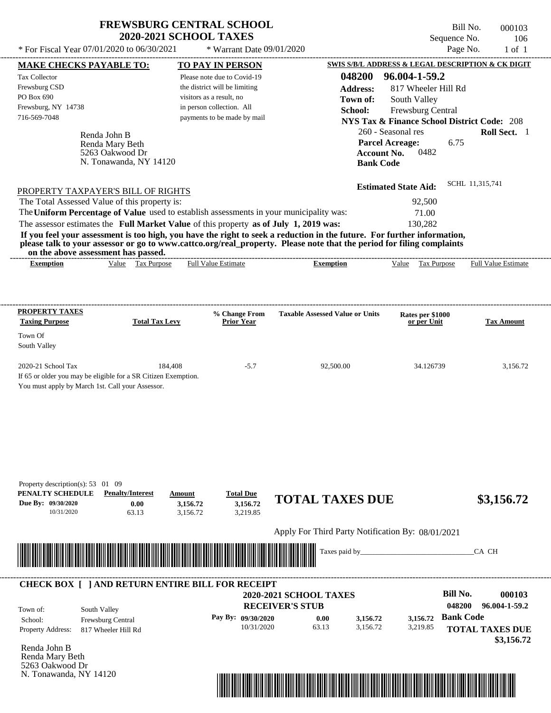| <b>FREWSBURG CENTRAL SCHOOL</b> |
|---------------------------------|
| <b>2020-2021 SCHOOL TAXES</b>   |

| * For Fiscal Year 07/01/2020 to 06/30/2021                                                                                                                                                                       | * Warrant Date 09/01/2020                             |                                                   |                                                                              | Page No.<br>$1$ of $1$                            |
|------------------------------------------------------------------------------------------------------------------------------------------------------------------------------------------------------------------|-------------------------------------------------------|---------------------------------------------------|------------------------------------------------------------------------------|---------------------------------------------------|
| <b>MAKE CHECKS PAYABLE TO:</b>                                                                                                                                                                                   | <b>TO PAY IN PERSON</b>                               |                                                   |                                                                              | SWIS S/B/L ADDRESS & LEGAL DESCRIPTION & CK DIGIT |
| Tax Collector                                                                                                                                                                                                    | Please note due to Covid-19                           | 048200                                            | 96.004-1-59.2                                                                |                                                   |
| Frewsburg CSD<br>PO Box 690                                                                                                                                                                                      | the district will be limiting                         | <b>Address:</b>                                   | 817 Wheeler Hill Rd                                                          |                                                   |
| Frewsburg, NY 14738                                                                                                                                                                                              | visitors as a result, no<br>in person collection. All | Town of:                                          | South Valley                                                                 |                                                   |
| 716-569-7048                                                                                                                                                                                                     | payments to be made by mail                           | School:                                           | Frewsburg Central                                                            |                                                   |
|                                                                                                                                                                                                                  |                                                       |                                                   | <b>NYS Tax &amp; Finance School District Code: 208</b><br>260 - Seasonal res | Roll Sect. 1                                      |
| Renda John B                                                                                                                                                                                                     |                                                       |                                                   | <b>Parcel Acreage:</b>                                                       | 6.75                                              |
| Renda Mary Beth<br>5263 Oakwood Dr                                                                                                                                                                               |                                                       |                                                   | <b>Account No.</b><br>0482                                                   |                                                   |
| N. Tonawanda, NY 14120                                                                                                                                                                                           |                                                       | <b>Bank Code</b>                                  |                                                                              |                                                   |
|                                                                                                                                                                                                                  |                                                       |                                                   |                                                                              |                                                   |
| PROPERTY TAXPAYER'S BILL OF RIGHTS                                                                                                                                                                               |                                                       |                                                   | <b>Estimated State Aid:</b>                                                  | SCHL 11,315,741                                   |
| The Total Assessed Value of this property is:                                                                                                                                                                    |                                                       |                                                   | 92,500                                                                       |                                                   |
| The Uniform Percentage of Value used to establish assessments in your municipality was:                                                                                                                          |                                                       |                                                   | 71.00                                                                        |                                                   |
| The assessor estimates the Full Market Value of this property as of July 1, 2019 was:<br>If you feel your assessment is too high, you have the right to seek a reduction in the future. For further information, |                                                       |                                                   | 130,282                                                                      |                                                   |
| please talk to your assessor or go to www.cattco.org/real_property. Please note that the period for filing complaints                                                                                            |                                                       |                                                   |                                                                              |                                                   |
| on the above assessment has passed.<br>Value Tax Purpose<br><b>Exemption</b>                                                                                                                                     | <b>Full Value Estimate</b>                            | <b>Exemption</b>                                  | Value Tax Purpose                                                            | <b>Full Value Estimate</b>                        |
|                                                                                                                                                                                                                  |                                                       |                                                   |                                                                              |                                                   |
|                                                                                                                                                                                                                  |                                                       |                                                   |                                                                              |                                                   |
| <b>PROPERTY TAXES</b>                                                                                                                                                                                            | % Change From                                         | <b>Taxable Assessed Value or Units</b>            | Rates per \$1000                                                             |                                                   |
| <b>Taxing Purpose</b><br><b>Total Tax Levy</b>                                                                                                                                                                   | <b>Prior Year</b>                                     |                                                   | or per Unit                                                                  | <b>Tax Amount</b>                                 |
| Town Of                                                                                                                                                                                                          |                                                       |                                                   |                                                                              |                                                   |
| South Valley                                                                                                                                                                                                     |                                                       |                                                   |                                                                              |                                                   |
| 2020-21 School Tax                                                                                                                                                                                               | 184,408<br>$-5.7$                                     | 92,500.00                                         | 34.126739                                                                    | 3,156.72                                          |
| If 65 or older you may be eligible for a SR Citizen Exemption.                                                                                                                                                   |                                                       |                                                   |                                                                              |                                                   |
| You must apply by March 1st. Call your Assessor.                                                                                                                                                                 |                                                       |                                                   |                                                                              |                                                   |
|                                                                                                                                                                                                                  |                                                       |                                                   |                                                                              |                                                   |
|                                                                                                                                                                                                                  |                                                       |                                                   |                                                                              |                                                   |
|                                                                                                                                                                                                                  |                                                       |                                                   |                                                                              |                                                   |
|                                                                                                                                                                                                                  |                                                       |                                                   |                                                                              |                                                   |
|                                                                                                                                                                                                                  |                                                       |                                                   |                                                                              |                                                   |
|                                                                                                                                                                                                                  |                                                       |                                                   |                                                                              |                                                   |
| Property description(s): 53 01 09                                                                                                                                                                                |                                                       |                                                   |                                                                              |                                                   |
| PENALTY SCHEDULE<br><b>Penalty/Interest</b><br>Due By: 09/30/2020<br>0.00                                                                                                                                        | <b>Total Due</b><br>Amount<br>3,156.72<br>3,156.72    | <b>TOTAL TAXES DUE</b>                            |                                                                              | \$3,156.72                                        |
| 10/31/2020<br>63.13                                                                                                                                                                                              | 3,156.72<br>3,219.85                                  |                                                   |                                                                              |                                                   |
|                                                                                                                                                                                                                  |                                                       | Apply For Third Party Notification By: 08/01/2021 |                                                                              |                                                   |
|                                                                                                                                                                                                                  |                                                       |                                                   |                                                                              |                                                   |
| <u> Handels and Handels and Handels and Handels and Handels and Handels and Handels and Handels and Handels and H</u>                                                                                            |                                                       | Taxes paid by_                                    |                                                                              | CA CH                                             |
|                                                                                                                                                                                                                  |                                                       |                                                   |                                                                              |                                                   |
| <b>CHECK BOX [ ] AND RETURN ENTIRE BILL FOR RECEIPT</b>                                                                                                                                                          |                                                       | 2020-2021 SCHOOL TAXES                            |                                                                              | <b>Bill No.</b><br>000103                         |
|                                                                                                                                                                                                                  |                                                       | <b>RECEIVER'S STUB</b>                            |                                                                              | 048200<br>96.004-1-59.2                           |
| South Valley<br>Town of:                                                                                                                                                                                         | Pay By: 09/30/2020                                    |                                                   | 3,156.72                                                                     | <b>Bank Code</b>                                  |
| Frewsburg Central<br>School:<br>Property Address:<br>817 Wheeler Hill Rd                                                                                                                                         | 10/31/2020                                            | 0.00<br>3,156.72<br>63.13<br>3,156.72             | 3,219.85                                                                     | <b>TOTAL TAXES DUE</b>                            |
|                                                                                                                                                                                                                  |                                                       |                                                   |                                                                              | \$3,156.72                                        |
| Renda John B                                                                                                                                                                                                     |                                                       |                                                   |                                                                              |                                                   |
| Renda Mary Beth                                                                                                                                                                                                  |                                                       |                                                   |                                                                              |                                                   |
| 5263 Oakwood Dr<br>N. Tonawanda, NY 14120                                                                                                                                                                        |                                                       |                                                   |                                                                              |                                                   |
|                                                                                                                                                                                                                  |                                                       |                                                   |                                                                              |                                                   |
|                                                                                                                                                                                                                  |                                                       |                                                   |                                                                              |                                                   |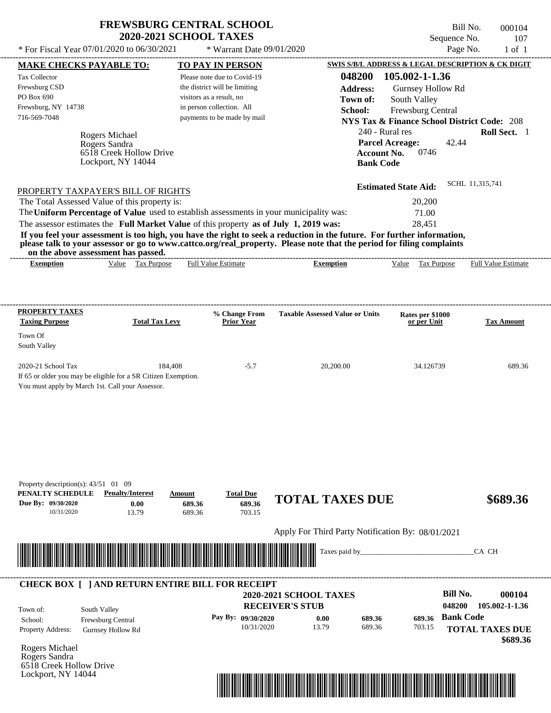| <b>FREWSBURG CENTRAL SCHOOL</b> |
|---------------------------------|
| <b>2020-2021 SCHOOL TAXES</b>   |

 $*$  For Fiscal Year 07/01/2020 to 06/30/2021

\* Warrant Date 09/01/2020

Bill No. 000104 Sequence No. 107<br>Page No. 1 of 1

| <b>MAKE CHECKS PAYABLE TO:</b>                                                                                                                                                                                                       |                                               |         | <b>TO PAY IN PERSON</b>       |                                                                                                                                                                                                                                                  |                             | SWIS S/B/L ADDRESS & LEGAL DESCRIPTION & CK DIGIT      |
|--------------------------------------------------------------------------------------------------------------------------------------------------------------------------------------------------------------------------------------|-----------------------------------------------|---------|-------------------------------|--------------------------------------------------------------------------------------------------------------------------------------------------------------------------------------------------------------------------------------------------|-----------------------------|--------------------------------------------------------|
| Tax Collector                                                                                                                                                                                                                        |                                               |         | Please note due to Covid-19   |                                                                                                                                                                                                                                                  | 048200 105.002-1-1.36       |                                                        |
| Frewsburg CSD                                                                                                                                                                                                                        |                                               |         | the district will be limiting | <b>Address:</b>                                                                                                                                                                                                                                  | Gurnsey Hollow Rd           |                                                        |
| PO Box 690                                                                                                                                                                                                                           |                                               |         | visitors as a result, no      | Town of:                                                                                                                                                                                                                                         | South Valley                |                                                        |
| Frewsburg, NY 14738                                                                                                                                                                                                                  |                                               |         | in person collection. All     | School:                                                                                                                                                                                                                                          | Frewsburg Central           |                                                        |
| 716-569-7048                                                                                                                                                                                                                         |                                               |         | payments to be made by mail   |                                                                                                                                                                                                                                                  |                             | <b>NYS Tax &amp; Finance School District Code: 208</b> |
|                                                                                                                                                                                                                                      |                                               |         |                               |                                                                                                                                                                                                                                                  | 240 - Rural res             | Roll Sect. 1                                           |
|                                                                                                                                                                                                                                      | Rogers Michael                                |         |                               |                                                                                                                                                                                                                                                  |                             |                                                        |
|                                                                                                                                                                                                                                      | Rogers Sandra                                 |         |                               |                                                                                                                                                                                                                                                  | <b>Parcel Acreage:</b>      | 42.44                                                  |
|                                                                                                                                                                                                                                      | 6518 Creek Hollow Drive<br>Lockport, NY 14044 |         |                               | <b>Account No.</b>                                                                                                                                                                                                                               | 0746                        |                                                        |
|                                                                                                                                                                                                                                      |                                               |         |                               | <b>Bank Code</b>                                                                                                                                                                                                                                 |                             |                                                        |
| PROPERTY TAXPAYER'S BILL OF RIGHTS                                                                                                                                                                                                   |                                               |         |                               |                                                                                                                                                                                                                                                  | <b>Estimated State Aid:</b> | SCHL 11,315,741                                        |
| The Total Assessed Value of this property is:                                                                                                                                                                                        |                                               |         |                               |                                                                                                                                                                                                                                                  | 20,200                      |                                                        |
| The Uniform Percentage of Value used to establish assessments in your municipality was:                                                                                                                                              |                                               |         |                               |                                                                                                                                                                                                                                                  |                             |                                                        |
|                                                                                                                                                                                                                                      |                                               |         |                               |                                                                                                                                                                                                                                                  | 71.00                       |                                                        |
| The assessor estimates the Full Market Value of this property as of July 1, 2019 was:                                                                                                                                                |                                               |         |                               |                                                                                                                                                                                                                                                  | 28,451                      |                                                        |
|                                                                                                                                                                                                                                      |                                               |         |                               | If you feel your assessment is too high, you have the right to seek a reduction in the future. For further information,<br>please talk to your assessor or go to www.cattco.org/real_property. Please note that the period for filing complaints |                             |                                                        |
| on the above assessment has passed.<br><b>Exemption</b>                                                                                                                                                                              | Value Tax Purpose                             |         | <b>Full Value Estimate</b>    | <b>Exemption</b>                                                                                                                                                                                                                                 | Value Tax Purpose           | <b>Full Value Estimate</b>                             |
|                                                                                                                                                                                                                                      |                                               |         |                               |                                                                                                                                                                                                                                                  |                             |                                                        |
|                                                                                                                                                                                                                                      |                                               |         |                               |                                                                                                                                                                                                                                                  |                             |                                                        |
| <b>PROPERTY TAXES</b>                                                                                                                                                                                                                |                                               |         | % Change From                 | <b>Taxable Assessed Value or Units</b>                                                                                                                                                                                                           | Rates per \$1000            |                                                        |
| <b>Taxing Purpose</b>                                                                                                                                                                                                                | <b>Total Tax Levy</b>                         |         | Prior Year                    |                                                                                                                                                                                                                                                  | or per Unit                 | <b>Tax Amount</b>                                      |
| Town Of                                                                                                                                                                                                                              |                                               |         |                               |                                                                                                                                                                                                                                                  |                             |                                                        |
| South Valley                                                                                                                                                                                                                         |                                               |         |                               |                                                                                                                                                                                                                                                  |                             |                                                        |
| 2020-21 School Tax                                                                                                                                                                                                                   |                                               | 184,408 | $-5.7$                        | 20,200.00                                                                                                                                                                                                                                        | 34.126739                   | 689.36                                                 |
| If 65 or older you may be eligible for a SR Citizen Exemption.                                                                                                                                                                       |                                               |         |                               |                                                                                                                                                                                                                                                  |                             |                                                        |
| You must apply by March 1st. Call your Assessor.                                                                                                                                                                                     |                                               |         |                               |                                                                                                                                                                                                                                                  |                             |                                                        |
|                                                                                                                                                                                                                                      |                                               |         |                               |                                                                                                                                                                                                                                                  |                             |                                                        |
|                                                                                                                                                                                                                                      |                                               |         |                               |                                                                                                                                                                                                                                                  |                             |                                                        |
|                                                                                                                                                                                                                                      |                                               |         |                               |                                                                                                                                                                                                                                                  |                             |                                                        |
|                                                                                                                                                                                                                                      |                                               |         |                               |                                                                                                                                                                                                                                                  |                             |                                                        |
|                                                                                                                                                                                                                                      |                                               |         |                               |                                                                                                                                                                                                                                                  |                             |                                                        |
|                                                                                                                                                                                                                                      |                                               |         |                               |                                                                                                                                                                                                                                                  |                             |                                                        |
|                                                                                                                                                                                                                                      |                                               |         |                               |                                                                                                                                                                                                                                                  |                             |                                                        |
|                                                                                                                                                                                                                                      |                                               |         |                               |                                                                                                                                                                                                                                                  |                             |                                                        |
| Property description(s): 43/51 01 09<br>PENALTY SCHEDULE                                                                                                                                                                             | <b>Penalty/Interest</b>                       | Amount  | <b>Total Due</b>              |                                                                                                                                                                                                                                                  |                             |                                                        |
| Due By: 09/30/2020                                                                                                                                                                                                                   | 0.00                                          | 689.36  | 689.36                        | <b>TOTAL TAXES DUE</b>                                                                                                                                                                                                                           |                             | \$689.36                                               |
| 10/31/2020                                                                                                                                                                                                                           | 13.79                                         | 689.36  | 703.15                        |                                                                                                                                                                                                                                                  |                             |                                                        |
|                                                                                                                                                                                                                                      |                                               |         |                               | Apply For Third Party Notification By: 08/01/2021                                                                                                                                                                                                |                             |                                                        |
|                                                                                                                                                                                                                                      |                                               |         |                               |                                                                                                                                                                                                                                                  |                             |                                                        |
| <u> Indian American State of Bandaría (1989), a state of the state of the state of the state of the state of the state of the state of the state of the state of the state of the state of the state of the state of the state o</u> |                                               |         |                               | Taxes paid by_                                                                                                                                                                                                                                   |                             | CA CH                                                  |
|                                                                                                                                                                                                                                      |                                               |         |                               |                                                                                                                                                                                                                                                  |                             |                                                        |
| <b>CHECK BOX [ ] AND RETURN ENTIRE BILL FOR RECEIPT</b>                                                                                                                                                                              |                                               |         |                               | 2020-2021 SCHOOL TAXES                                                                                                                                                                                                                           |                             | <b>Bill No.</b><br>000104                              |
|                                                                                                                                                                                                                                      |                                               |         |                               |                                                                                                                                                                                                                                                  |                             | 048200<br>105.002-1-1.36                               |
|                                                                                                                                                                                                                                      |                                               |         |                               | <b>RECEIVER'S STUB</b>                                                                                                                                                                                                                           |                             |                                                        |
| South Valley                                                                                                                                                                                                                         |                                               |         |                               |                                                                                                                                                                                                                                                  |                             |                                                        |
| Town of:<br>School:                                                                                                                                                                                                                  | Frewsburg Central                             |         | Pay By: 09/30/2020            | 0.00<br>689.36                                                                                                                                                                                                                                   | 689.36                      | <b>Bank Code</b>                                       |
|                                                                                                                                                                                                                                      | <b>Gurnsey Hollow Rd</b>                      |         | 10/31/2020                    | 13.79<br>689.36                                                                                                                                                                                                                                  | 703.15                      |                                                        |
|                                                                                                                                                                                                                                      |                                               |         |                               |                                                                                                                                                                                                                                                  |                             | <b>TOTAL TAXES DUE</b><br>\$689.36                     |
|                                                                                                                                                                                                                                      |                                               |         |                               |                                                                                                                                                                                                                                                  |                             |                                                        |
|                                                                                                                                                                                                                                      |                                               |         |                               |                                                                                                                                                                                                                                                  |                             |                                                        |
| <b>Property Address:</b><br>Rogers Michael<br>Rogers Sandra<br>6518 Creek Hollow Drive                                                                                                                                               |                                               |         |                               |                                                                                                                                                                                                                                                  |                             |                                                        |
| Lockport, NY 14044                                                                                                                                                                                                                   |                                               |         |                               |                                                                                                                                                                                                                                                  |                             |                                                        |

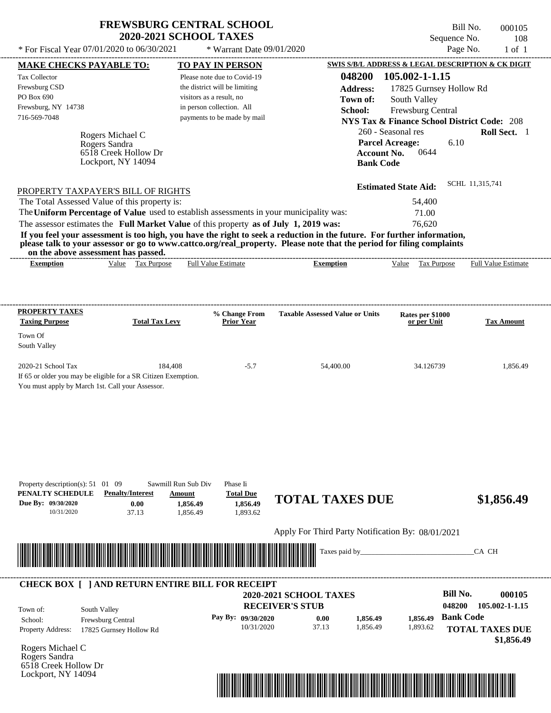| <b>FREWSBURG CENTRAL SCHOOL</b> |
|---------------------------------|
| <b>2020-2021 SCHOOL TAXES</b>   |

Bill No. 000105 Sequence No. 108<br>Page No. 1 of 1

| <b>MAKE CHECKS PAYABLE TO:</b>    |                                                                | <b>TO PAY IN PERSON</b>                                                                 |                                                                                                                                                                                                                                                  | <b>SWIS S/B/L ADDRESS &amp; LEGAL DESCRIPTION &amp; CK DIGIT</b> |                        |
|-----------------------------------|----------------------------------------------------------------|-----------------------------------------------------------------------------------------|--------------------------------------------------------------------------------------------------------------------------------------------------------------------------------------------------------------------------------------------------|------------------------------------------------------------------|------------------------|
| <b>Tax Collector</b>              |                                                                | Please note due to Covid-19                                                             | 048200                                                                                                                                                                                                                                           | 105.002-1-1.15                                                   |                        |
| Frewsburg CSD                     |                                                                | the district will be limiting                                                           | <b>Address:</b>                                                                                                                                                                                                                                  | 17825 Gurnsey Hollow Rd                                          |                        |
| PO Box 690                        |                                                                | visitors as a result, no                                                                | Town of:                                                                                                                                                                                                                                         | South Valley                                                     |                        |
| Frewsburg, NY 14738               |                                                                | in person collection. All                                                               | School:                                                                                                                                                                                                                                          | Frewsburg Central                                                |                        |
| 716-569-7048                      |                                                                | payments to be made by mail                                                             |                                                                                                                                                                                                                                                  | <b>NYS Tax &amp; Finance School District Code: 208</b>           |                        |
|                                   | Rogers Michael C                                               |                                                                                         |                                                                                                                                                                                                                                                  | 260 - Seasonal res                                               | Roll Sect. 1           |
|                                   | Rogers Sandra                                                  |                                                                                         |                                                                                                                                                                                                                                                  | <b>Parcel Acreage:</b><br>6.10                                   |                        |
|                                   | 6518 Creek Hollow Dr                                           |                                                                                         | <b>Account No.</b>                                                                                                                                                                                                                               | 0644                                                             |                        |
|                                   | Lockport, NY 14094                                             |                                                                                         | <b>Bank Code</b>                                                                                                                                                                                                                                 |                                                                  |                        |
|                                   |                                                                |                                                                                         |                                                                                                                                                                                                                                                  |                                                                  | SCHL 11,315,741        |
|                                   | PROPERTY TAXPAYER'S BILL OF RIGHTS                             |                                                                                         |                                                                                                                                                                                                                                                  | <b>Estimated State Aid:</b>                                      |                        |
|                                   | The Total Assessed Value of this property is:                  |                                                                                         |                                                                                                                                                                                                                                                  | 54,400                                                           |                        |
|                                   |                                                                | The Uniform Percentage of Value used to establish assessments in your municipality was: |                                                                                                                                                                                                                                                  | 71.00                                                            |                        |
|                                   |                                                                | The assessor estimates the Full Market Value of this property as of July 1, 2019 was:   |                                                                                                                                                                                                                                                  | 76,620                                                           |                        |
|                                   |                                                                |                                                                                         | If you feel your assessment is too high, you have the right to seek a reduction in the future. For further information,<br>please talk to your assessor or go to www.cattco.org/real_property. Please note that the period for filing complaints |                                                                  |                        |
| <b>Exemption</b>                  | on the above assessment has passed.<br>Value Tax Purpose       | <b>Full Value Estimate</b>                                                              | <b>Exemption</b>                                                                                                                                                                                                                                 | Value Tax Purpose Full Value Estimate                            |                        |
|                                   |                                                                |                                                                                         |                                                                                                                                                                                                                                                  |                                                                  |                        |
|                                   |                                                                |                                                                                         |                                                                                                                                                                                                                                                  |                                                                  |                        |
| <b>PROPERTY TAXES</b>             |                                                                |                                                                                         |                                                                                                                                                                                                                                                  |                                                                  |                        |
| <b>Taxing Purpose</b>             | <b>Total Tax Levy</b>                                          | % Change From<br><b>Prior Year</b>                                                      | <b>Taxable Assessed Value or Units</b>                                                                                                                                                                                                           | Rates per \$1000<br>or per Unit                                  | <b>Tax Amount</b>      |
| Town Of                           |                                                                |                                                                                         |                                                                                                                                                                                                                                                  |                                                                  |                        |
| South Valley                      |                                                                |                                                                                         |                                                                                                                                                                                                                                                  |                                                                  |                        |
| 2020-21 School Tax                | 184,408                                                        | $-5.7$                                                                                  | 54,400.00                                                                                                                                                                                                                                        | 34.126739                                                        | 1,856.49               |
|                                   | If 65 or older you may be eligible for a SR Citizen Exemption. |                                                                                         |                                                                                                                                                                                                                                                  |                                                                  |                        |
|                                   | You must apply by March 1st. Call your Assessor.               |                                                                                         |                                                                                                                                                                                                                                                  |                                                                  |                        |
|                                   |                                                                |                                                                                         |                                                                                                                                                                                                                                                  |                                                                  |                        |
|                                   |                                                                |                                                                                         |                                                                                                                                                                                                                                                  |                                                                  |                        |
|                                   |                                                                |                                                                                         |                                                                                                                                                                                                                                                  |                                                                  |                        |
|                                   |                                                                |                                                                                         |                                                                                                                                                                                                                                                  |                                                                  |                        |
|                                   |                                                                |                                                                                         |                                                                                                                                                                                                                                                  |                                                                  |                        |
|                                   |                                                                |                                                                                         |                                                                                                                                                                                                                                                  |                                                                  |                        |
|                                   |                                                                |                                                                                         |                                                                                                                                                                                                                                                  |                                                                  |                        |
| Property description(s): 51 01 09 |                                                                | Sawmill Run Sub Div<br>Phase Ii                                                         |                                                                                                                                                                                                                                                  |                                                                  |                        |
| PENALTY SCHEDULE                  | <b>Penalty/Interest</b>                                        | <b>Total Due</b><br>Amount                                                              | <b>TOTAL TAXES DUE</b>                                                                                                                                                                                                                           |                                                                  | \$1,856.49             |
| Due By: 09/30/2020<br>10/31/2020  | 0.00                                                           | 1,856.49<br>1,856.49<br>1,893.62                                                        |                                                                                                                                                                                                                                                  |                                                                  |                        |
|                                   | 37.13                                                          | 1,856.49                                                                                |                                                                                                                                                                                                                                                  |                                                                  |                        |
|                                   |                                                                |                                                                                         | Apply For Third Party Notification By: 08/01/2021                                                                                                                                                                                                |                                                                  |                        |
|                                   | <u> 1989 - Johann Stoff, Amerikaansk politiker (</u>           |                                                                                         | Taxes paid by_                                                                                                                                                                                                                                   |                                                                  | CA CH                  |
|                                   |                                                                |                                                                                         |                                                                                                                                                                                                                                                  |                                                                  |                        |
|                                   |                                                                |                                                                                         |                                                                                                                                                                                                                                                  |                                                                  |                        |
|                                   |                                                                | <b>CHECK BOX [ ] AND RETURN ENTIRE BILL FOR RECEIPT</b>                                 | 2020-2021 SCHOOL TAXES                                                                                                                                                                                                                           | <b>Bill No.</b>                                                  | 000105                 |
|                                   |                                                                |                                                                                         | <b>RECEIVER'S STUB</b>                                                                                                                                                                                                                           | 048200                                                           | 105.002-1-1.15         |
| Town of:                          | South Valley                                                   |                                                                                         |                                                                                                                                                                                                                                                  |                                                                  |                        |
| School:                           | Frewsburg Central                                              | Pay By: 09/30/2020<br>10/31/2020                                                        | 0.00<br>1,856.49<br>37.13<br>1,856.49                                                                                                                                                                                                            | <b>Bank Code</b><br>1,856.49                                     |                        |
| <b>Property Address:</b>          | 17825 Gurnsey Hollow Rd                                        |                                                                                         |                                                                                                                                                                                                                                                  | 1,893.62                                                         | <b>TOTAL TAXES DUE</b> |
| Rogers Michael C                  |                                                                |                                                                                         |                                                                                                                                                                                                                                                  |                                                                  | \$1,856.49             |
| Rogers Sandra                     |                                                                |                                                                                         |                                                                                                                                                                                                                                                  |                                                                  |                        |
| 6518 Creek Hollow Dr              |                                                                |                                                                                         |                                                                                                                                                                                                                                                  |                                                                  |                        |
| Lockport, NY 14094                |                                                                |                                                                                         |                                                                                                                                                                                                                                                  |                                                                  |                        |
|                                   |                                                                |                                                                                         | <u> 1989 - Andrea Stadt British, fransk politik (d. 1989)</u>                                                                                                                                                                                    |                                                                  |                        |
|                                   |                                                                |                                                                                         |                                                                                                                                                                                                                                                  |                                                                  |                        |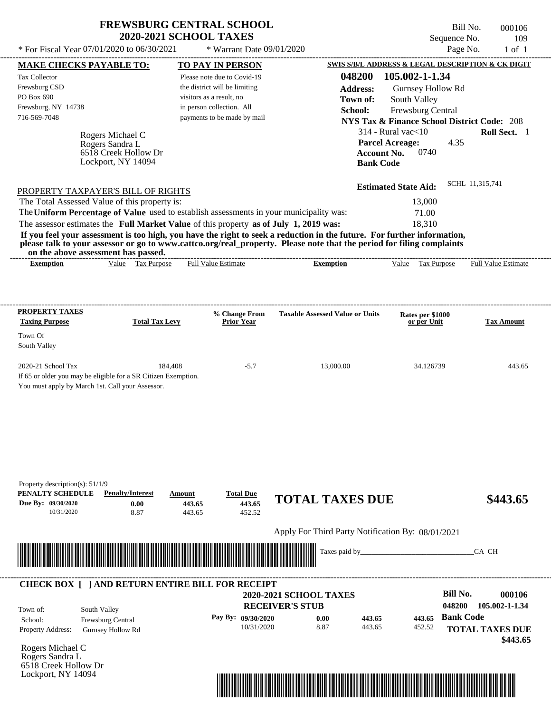| <b>FREWSBURG CENTRAL SCHOOL</b> |
|---------------------------------|
| <b>2020-2021 SCHOOL TAXES</b>   |

\* Warrant Date 09/01/2020

| <b>MAKE CHECKS PAYABLE TO:</b>                                                        |                                                                                                                                                                                                                                      |                          | <b>TO PAY IN PERSON</b>          |                                                                                                                                                                                                                                                  |                    | <b>SWIS S/B/L ADDRESS &amp; LEGAL DESCRIPTION &amp; CK DIGIT</b> |                  |                        |
|---------------------------------------------------------------------------------------|--------------------------------------------------------------------------------------------------------------------------------------------------------------------------------------------------------------------------------------|--------------------------|----------------------------------|--------------------------------------------------------------------------------------------------------------------------------------------------------------------------------------------------------------------------------------------------|--------------------|------------------------------------------------------------------|------------------|------------------------|
| <b>Tax Collector</b>                                                                  |                                                                                                                                                                                                                                      |                          | Please note due to Covid-19      |                                                                                                                                                                                                                                                  | 048200             | 105.002-1-1.34                                                   |                  |                        |
| Frewsburg CSD                                                                         |                                                                                                                                                                                                                                      |                          | the district will be limiting    |                                                                                                                                                                                                                                                  | <b>Address:</b>    | Gurnsey Hollow Rd                                                |                  |                        |
| PO Box 690                                                                            |                                                                                                                                                                                                                                      | visitors as a result, no |                                  |                                                                                                                                                                                                                                                  | Town of:           | South Valley                                                     |                  |                        |
| Frewsburg, NY 14738                                                                   |                                                                                                                                                                                                                                      |                          | in person collection. All        |                                                                                                                                                                                                                                                  | School:            | Frewsburg Central                                                |                  |                        |
| 716-569-7048                                                                          |                                                                                                                                                                                                                                      |                          | payments to be made by mail      |                                                                                                                                                                                                                                                  |                    | <b>NYS Tax &amp; Finance School District Code: 208</b>           |                  |                        |
|                                                                                       |                                                                                                                                                                                                                                      |                          |                                  |                                                                                                                                                                                                                                                  |                    | $314$ - Rural vac $<$ 10                                         |                  | Roll Sect. 1           |
|                                                                                       | Rogers Michael C<br>Rogers Sandra L                                                                                                                                                                                                  |                          |                                  |                                                                                                                                                                                                                                                  |                    | <b>Parcel Acreage:</b>                                           | 4.35             |                        |
|                                                                                       | 6518 Creek Hollow Dr                                                                                                                                                                                                                 |                          |                                  |                                                                                                                                                                                                                                                  | <b>Account No.</b> | 0740                                                             |                  |                        |
|                                                                                       | Lockport, NY 14094                                                                                                                                                                                                                   |                          |                                  |                                                                                                                                                                                                                                                  | <b>Bank Code</b>   |                                                                  |                  |                        |
|                                                                                       |                                                                                                                                                                                                                                      |                          |                                  |                                                                                                                                                                                                                                                  |                    |                                                                  |                  |                        |
| PROPERTY TAXPAYER'S BILL OF RIGHTS                                                    |                                                                                                                                                                                                                                      |                          |                                  |                                                                                                                                                                                                                                                  |                    | <b>Estimated State Aid:</b>                                      |                  | SCHL 11,315,741        |
| The Total Assessed Value of this property is:                                         |                                                                                                                                                                                                                                      |                          |                                  |                                                                                                                                                                                                                                                  |                    | 13,000                                                           |                  |                        |
|                                                                                       |                                                                                                                                                                                                                                      |                          |                                  | The Uniform Percentage of Value used to establish assessments in your municipality was:                                                                                                                                                          |                    | 71.00                                                            |                  |                        |
| The assessor estimates the Full Market Value of this property as of July 1, 2019 was: |                                                                                                                                                                                                                                      |                          |                                  |                                                                                                                                                                                                                                                  |                    | 18,310                                                           |                  |                        |
|                                                                                       |                                                                                                                                                                                                                                      |                          |                                  | If you feel your assessment is too high, you have the right to seek a reduction in the future. For further information,<br>please talk to your assessor or go to www.cattco.org/real_property. Please note that the period for filing complaints |                    |                                                                  |                  |                        |
| <b>Exemption</b>                                                                      | on the above assessment has passed.<br>Value Tax Purpose                                                                                                                                                                             |                          | <b>Full Value Estimate</b>       | <b>Exemption</b>                                                                                                                                                                                                                                 |                    | Value Tax Purpose Full Value Estimate                            |                  |                        |
|                                                                                       |                                                                                                                                                                                                                                      |                          |                                  |                                                                                                                                                                                                                                                  |                    |                                                                  |                  |                        |
|                                                                                       |                                                                                                                                                                                                                                      |                          |                                  |                                                                                                                                                                                                                                                  |                    |                                                                  |                  |                        |
| <b>PROPERTY TAXES</b>                                                                 |                                                                                                                                                                                                                                      |                          | % Change From                    | <b>Taxable Assessed Value or Units</b>                                                                                                                                                                                                           |                    | Rates per \$1000                                                 |                  |                        |
| <b>Taxing Purpose</b>                                                                 | <b>Total Tax Levy</b>                                                                                                                                                                                                                |                          | <b>Prior Year</b>                |                                                                                                                                                                                                                                                  |                    | or per Unit                                                      |                  | <b>Tax Amount</b>      |
| Town Of                                                                               |                                                                                                                                                                                                                                      |                          |                                  |                                                                                                                                                                                                                                                  |                    |                                                                  |                  |                        |
| South Valley                                                                          |                                                                                                                                                                                                                                      |                          |                                  |                                                                                                                                                                                                                                                  |                    |                                                                  |                  |                        |
|                                                                                       |                                                                                                                                                                                                                                      |                          |                                  |                                                                                                                                                                                                                                                  |                    |                                                                  |                  |                        |
| 2020-21 School Tax                                                                    |                                                                                                                                                                                                                                      | 184,408                  | $-5.7$                           | 13,000.00                                                                                                                                                                                                                                        |                    | 34.126739                                                        |                  | 443.65                 |
|                                                                                       | If 65 or older you may be eligible for a SR Citizen Exemption.                                                                                                                                                                       |                          |                                  |                                                                                                                                                                                                                                                  |                    |                                                                  |                  |                        |
| You must apply by March 1st. Call your Assessor.                                      |                                                                                                                                                                                                                                      |                          |                                  |                                                                                                                                                                                                                                                  |                    |                                                                  |                  |                        |
|                                                                                       |                                                                                                                                                                                                                                      |                          |                                  |                                                                                                                                                                                                                                                  |                    |                                                                  |                  |                        |
|                                                                                       |                                                                                                                                                                                                                                      |                          |                                  |                                                                                                                                                                                                                                                  |                    |                                                                  |                  |                        |
|                                                                                       |                                                                                                                                                                                                                                      |                          |                                  |                                                                                                                                                                                                                                                  |                    |                                                                  |                  |                        |
|                                                                                       |                                                                                                                                                                                                                                      |                          |                                  |                                                                                                                                                                                                                                                  |                    |                                                                  |                  |                        |
|                                                                                       |                                                                                                                                                                                                                                      |                          |                                  |                                                                                                                                                                                                                                                  |                    |                                                                  |                  |                        |
|                                                                                       |                                                                                                                                                                                                                                      |                          |                                  |                                                                                                                                                                                                                                                  |                    |                                                                  |                  |                        |
|                                                                                       |                                                                                                                                                                                                                                      |                          |                                  |                                                                                                                                                                                                                                                  |                    |                                                                  |                  |                        |
| Property description(s): $51/1/9$<br>PENALTY SCHEDULE                                 | <b>Penalty/Interest</b>                                                                                                                                                                                                              | Amount                   | <b>Total Due</b>                 | <b>TOTAL TAXES DUE</b>                                                                                                                                                                                                                           |                    |                                                                  |                  |                        |
| Due By: 09/30/2020                                                                    | 0.00                                                                                                                                                                                                                                 | 443.65                   | 443.65                           |                                                                                                                                                                                                                                                  |                    |                                                                  |                  | \$443.65               |
| 10/31/2020                                                                            | 8.87                                                                                                                                                                                                                                 | 443.65                   | 452.52                           |                                                                                                                                                                                                                                                  |                    |                                                                  |                  |                        |
|                                                                                       |                                                                                                                                                                                                                                      |                          |                                  | Apply For Third Party Notification By: 08/01/2021                                                                                                                                                                                                |                    |                                                                  |                  |                        |
|                                                                                       |                                                                                                                                                                                                                                      |                          |                                  |                                                                                                                                                                                                                                                  |                    |                                                                  |                  |                        |
|                                                                                       | <u> Indian American State of Barbara and The Barbara and The Barbara and The Barbara and The Barbara and The Barbara and The Barbara and The Barbara and The Barbara and The Barbara and The Barbara and The Barbara and The Bar</u> |                          |                                  | Taxes paid by_                                                                                                                                                                                                                                   |                    |                                                                  |                  | CA CH                  |
|                                                                                       |                                                                                                                                                                                                                                      |                          |                                  |                                                                                                                                                                                                                                                  |                    |                                                                  |                  |                        |
|                                                                                       | <b>CHECK BOX [ ] AND RETURN ENTIRE BILL FOR RECEIPT</b>                                                                                                                                                                              |                          |                                  |                                                                                                                                                                                                                                                  |                    |                                                                  |                  |                        |
|                                                                                       |                                                                                                                                                                                                                                      |                          |                                  | <b>2020-2021 SCHOOL TAXES</b>                                                                                                                                                                                                                    |                    |                                                                  | <b>Bill No.</b>  | 000106                 |
|                                                                                       |                                                                                                                                                                                                                                      |                          |                                  | <b>RECEIVER'S STUB</b>                                                                                                                                                                                                                           |                    |                                                                  | 048200           | 105.002-1-1.34         |
| Town of:                                                                              | South Valley                                                                                                                                                                                                                         |                          |                                  |                                                                                                                                                                                                                                                  |                    |                                                                  | <b>Bank Code</b> |                        |
| School:                                                                               | Frewsburg Central                                                                                                                                                                                                                    |                          | Pay By: 09/30/2020<br>10/31/2020 | 0.00<br>8.87                                                                                                                                                                                                                                     | 443.65<br>443.65   | 443.65<br>452.52                                                 |                  |                        |
| <b>Property Address:</b>                                                              | <b>Gurnsey Hollow Rd</b>                                                                                                                                                                                                             |                          |                                  |                                                                                                                                                                                                                                                  |                    |                                                                  |                  | <b>TOTAL TAXES DUE</b> |
|                                                                                       |                                                                                                                                                                                                                                      |                          |                                  |                                                                                                                                                                                                                                                  |                    |                                                                  |                  | \$443.65               |
|                                                                                       |                                                                                                                                                                                                                                      |                          |                                  |                                                                                                                                                                                                                                                  |                    |                                                                  |                  |                        |
|                                                                                       |                                                                                                                                                                                                                                      |                          |                                  |                                                                                                                                                                                                                                                  |                    |                                                                  |                  |                        |
| Rogers Michael C<br>Rogers Sandra L<br>6518 Creek Hollow Dr                           |                                                                                                                                                                                                                                      |                          |                                  |                                                                                                                                                                                                                                                  |                    |                                                                  |                  |                        |

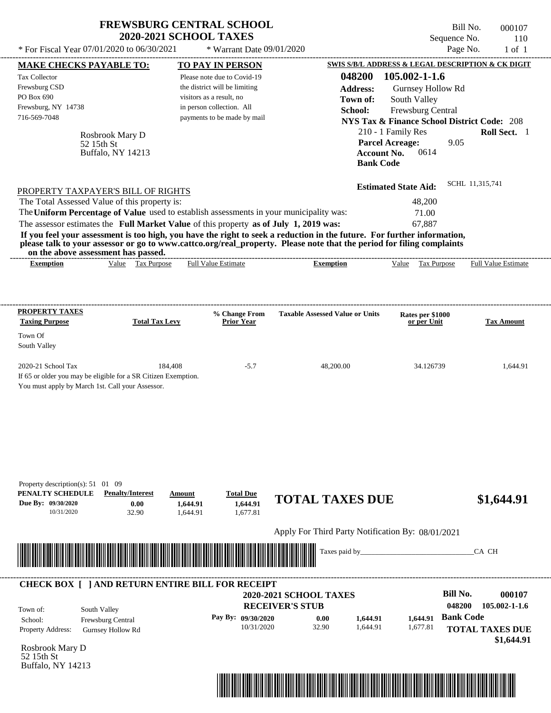| * For Fiscal Year 07/01/2020 to 06/30/2021                                                                                          | <b>FREWSBURG CENTRAL SCHOOL</b><br><b>2020-2021 SCHOOL TAXES</b>                                                                                                                 | * Warrant Date 09/01/2020                                                                                                                                                |                                                                                                                                                                                                                                                  | Sequence No.<br>Page No.                                                                                                                                                                                 | Bill No.<br>000107<br>110  |
|-------------------------------------------------------------------------------------------------------------------------------------|----------------------------------------------------------------------------------------------------------------------------------------------------------------------------------|--------------------------------------------------------------------------------------------------------------------------------------------------------------------------|--------------------------------------------------------------------------------------------------------------------------------------------------------------------------------------------------------------------------------------------------|----------------------------------------------------------------------------------------------------------------------------------------------------------------------------------------------------------|----------------------------|
|                                                                                                                                     |                                                                                                                                                                                  |                                                                                                                                                                          |                                                                                                                                                                                                                                                  | SWIS S/B/L ADDRESS & LEGAL DESCRIPTION & CK DIGIT                                                                                                                                                        | $1$ of $1$                 |
| <b>MAKE CHECKS PAYABLE TO:</b><br>Tax Collector<br>Frewsburg CSD<br>PO Box 690<br>Frewsburg, NY 14738<br>716-569-7048<br>52 15th St | Rosbrook Mary D<br>Buffalo, NY 14213                                                                                                                                             | TO PAY IN PERSON<br>Please note due to Covid-19<br>the district will be limiting<br>visitors as a result, no<br>in person collection. All<br>payments to be made by mail | 048200<br><b>Address:</b><br>Town of:<br>School:<br><b>Account No.</b><br><b>Bank Code</b>                                                                                                                                                       | 105.002-1-1.6<br>Gurnsey Hollow Rd<br>South Valley<br><b>Frewsburg Central</b><br><b>NYS Tax &amp; Finance School District Code: 208</b><br>210 - 1 Family Res<br><b>Parcel Acreage:</b><br>9.05<br>0614 | Roll Sect. 1               |
| PROPERTY TAXPAYER'S BILL OF RIGHTS<br>The Total Assessed Value of this property is:                                                 | The Uniform Percentage of Value used to establish assessments in your municipality was:<br>The assessor estimates the Full Market Value of this property as of July 1, 2019 was: |                                                                                                                                                                          | If you feel your assessment is too high, you have the right to seek a reduction in the future. For further information,<br>please talk to your assessor or go to www.cattco.org/real_property. Please note that the period for filing complaints | <b>Estimated State Aid:</b><br>48,200<br>71.00<br>67,887                                                                                                                                                 | SCHL 11,315,741            |
| on the above assessment has passed.<br><b>Exemption</b>                                                                             | Value Tax Purpose                                                                                                                                                                | <b>Full Value Estimate</b>                                                                                                                                               | <b>Exemption</b>                                                                                                                                                                                                                                 | Value Tax Purpose                                                                                                                                                                                        | <b>Full Value Estimate</b> |
| PROPERTY TAXES<br><b>Taxing Purpose</b><br>Town Of                                                                                  | <b>Total Tax Levy</b>                                                                                                                                                            | % Change From<br><b>Prior Year</b>                                                                                                                                       | <b>Taxable Assessed Value or Units</b>                                                                                                                                                                                                           | Rates per \$1000<br>or per Unit                                                                                                                                                                          | <b>Tax Amount</b>          |
| South Valley<br>2020-21 School Tax<br>You must apply by March 1st. Call your Assessor.                                              | 184,408<br>If 65 or older you may be eligible for a SR Citizen Exemption.                                                                                                        | $-5.7$                                                                                                                                                                   | 48,200.00                                                                                                                                                                                                                                        | 34.126739                                                                                                                                                                                                | 1,644.91                   |
| Property description(s): 51 01 09<br>PENALTY SCHEDULE<br>Due By: 09/30/2020<br>10/31/2020                                           | <b>Penalty/Interest</b><br>Amount<br>0.00<br>1,644.91<br>32.90<br>1,644.91                                                                                                       | <b>Total Due</b><br>1,644.91<br>1,677.81                                                                                                                                 | <b>TOTAL TAXES DUE</b>                                                                                                                                                                                                                           |                                                                                                                                                                                                          | \$1,644.91                 |
|                                                                                                                                     |                                                                                                                                                                                  |                                                                                                                                                                          | Apply For Third Party Notification By: 08/01/2021                                                                                                                                                                                                |                                                                                                                                                                                                          |                            |
|                                                                                                                                     |                                                                                                                                                                                  |                                                                                                                                                                          |                                                                                                                                                                                                                                                  |                                                                                                                                                                                                          | CA CH                      |



## **RECEIVER'S STUB Bill No. 000107 Bank Code 1,644.91 1,644.91** Property Address: Gurnsey Hollow Rd South Valley School: Frewsburg Central **TOTAL TAXES DUE \$1,644.91 2020-2021 SCHOOL TAXES 048200 105.002-1-1.6 Pay By: 09/30/2020** 10/31/2020 32.90 **0.00** 1,644.91 1,677.81 Town of: ---------------------------------------------------------------------------------------------------------------------------------------------------------------------------------------------------- **CHECK BOX [ ] AND RETURN ENTIRE BILL FOR RECEIPT**

Rosbrook Mary D 52 15th St Buffalo, NY 14213

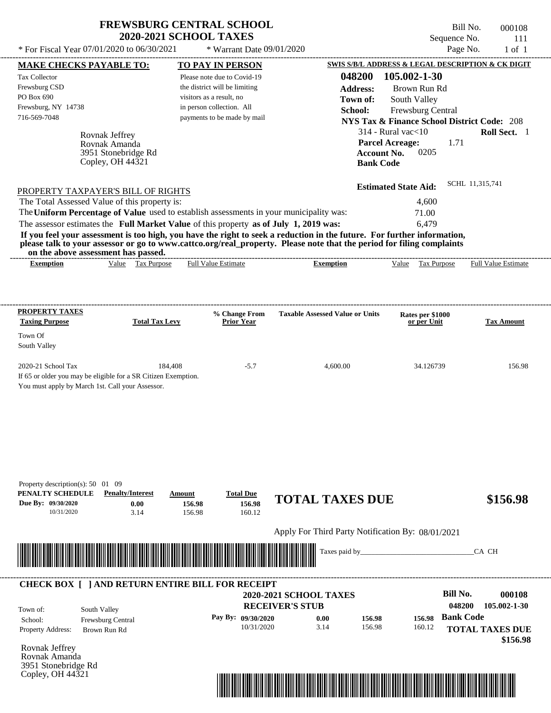| <b>FREWSBURG CENTRAL SCHOOL</b> |
|---------------------------------|
| <b>2020-2021 SCHOOL TAXES</b>   |

Bill No. 000108 Sequence No. 111<br>Page No. 1 of 1

| <b>MAKE CHECKS PAYABLE TO:</b>                                                                                          |                       | <b>TO PAY IN PERSON</b>            |                                                   | SWIS S/B/L ADDRESS & LEGAL DESCRIPTION & CK DIGIT      |                                    |
|-------------------------------------------------------------------------------------------------------------------------|-----------------------|------------------------------------|---------------------------------------------------|--------------------------------------------------------|------------------------------------|
| <b>Tax Collector</b>                                                                                                    |                       | Please note due to Covid-19        | 048200                                            | 105.002-1-30                                           |                                    |
| Frewsburg CSD                                                                                                           |                       | the district will be limiting      | <b>Address:</b>                                   | Brown Run Rd                                           |                                    |
| PO Box 690                                                                                                              |                       | visitors as a result, no           | Town of:                                          | South Valley                                           |                                    |
| Frewsburg, NY 14738                                                                                                     |                       | in person collection. All          | School:                                           | Frewsburg Central                                      |                                    |
| 716-569-7048                                                                                                            |                       | payments to be made by mail        |                                                   | <b>NYS Tax &amp; Finance School District Code: 208</b> |                                    |
| Rovnak Jeffrey                                                                                                          |                       |                                    |                                                   | $314$ - Rural vac $<$ 10                               | Roll Sect. 1                       |
| Rovnak Amanda                                                                                                           |                       |                                    |                                                   | <b>Parcel Acreage:</b><br>1.71                         |                                    |
| 3951 Stonebridge Rd                                                                                                     |                       |                                    | <b>Account No.</b>                                | 0205                                                   |                                    |
| Copley, OH $44\overline{3}21$                                                                                           |                       |                                    | <b>Bank Code</b>                                  |                                                        |                                    |
|                                                                                                                         |                       |                                    |                                                   | <b>Estimated State Aid:</b>                            | SCHL 11,315,741                    |
| PROPERTY TAXPAYER'S BILL OF RIGHTS<br>The Total Assessed Value of this property is:                                     |                       |                                    |                                                   | 4,600                                                  |                                    |
| The Uniform Percentage of Value used to establish assessments in your municipality was:                                 |                       |                                    |                                                   | 71.00                                                  |                                    |
| The assessor estimates the Full Market Value of this property as of July 1, 2019 was:                                   |                       |                                    |                                                   | 6,479                                                  |                                    |
| If you feel your assessment is too high, you have the right to seek a reduction in the future. For further information, |                       |                                    |                                                   |                                                        |                                    |
| please talk to your assessor or go to www.cattco.org/real_property. Please note that the period for filing complaints   |                       |                                    |                                                   |                                                        |                                    |
| on the above assessment has passed.<br><b>Exemption</b>                                                                 | Value Tax Purpose     | <b>Full Value Estimate</b>         | <b>Exemption</b>                                  | Value Tax Purpose Full Value Estimate                  |                                    |
|                                                                                                                         |                       |                                    |                                                   |                                                        |                                    |
|                                                                                                                         |                       |                                    |                                                   |                                                        |                                    |
| <b>PROPERTY TAXES</b>                                                                                                   |                       |                                    |                                                   |                                                        |                                    |
| <b>Taxing Purpose</b>                                                                                                   | <b>Total Tax Levy</b> | % Change From<br><b>Prior Year</b> | <b>Taxable Assessed Value or Units</b>            | Rates per \$1000<br>or per Unit                        | <b>Tax Amount</b>                  |
| Town Of                                                                                                                 |                       |                                    |                                                   |                                                        |                                    |
| South Valley                                                                                                            |                       |                                    |                                                   |                                                        |                                    |
|                                                                                                                         |                       |                                    |                                                   |                                                        |                                    |
| 2020-21 School Tax                                                                                                      | 184,408               | $-5.7$                             | 4,600.00                                          | 34.126739                                              | 156.98                             |
| If 65 or older you may be eligible for a SR Citizen Exemption.<br>You must apply by March 1st. Call your Assessor.      |                       |                                    |                                                   |                                                        |                                    |
|                                                                                                                         |                       |                                    |                                                   |                                                        |                                    |
|                                                                                                                         |                       |                                    |                                                   |                                                        |                                    |
|                                                                                                                         |                       |                                    |                                                   |                                                        |                                    |
|                                                                                                                         |                       |                                    |                                                   |                                                        |                                    |
|                                                                                                                         |                       |                                    |                                                   |                                                        |                                    |
|                                                                                                                         |                       |                                    |                                                   |                                                        |                                    |
|                                                                                                                         |                       |                                    |                                                   |                                                        |                                    |
| Property description(s): $50 \quad 01 \quad 09$<br>PENALTY SCHEDULE<br><b>Penalty/Interest</b>                          | Amount                | <b>Total Due</b>                   |                                                   |                                                        |                                    |
| Due By: 09/30/2020                                                                                                      | 0.00<br>156.98        | 156.98                             | <b>TOTAL TAXES DUE</b>                            |                                                        | \$156.98                           |
| 10/31/2020                                                                                                              | 3.14<br>156.98        | 160.12                             |                                                   |                                                        |                                    |
|                                                                                                                         |                       |                                    | Apply For Third Party Notification By: 08/01/2021 |                                                        |                                    |
|                                                                                                                         |                       |                                    | Taxes paid by                                     |                                                        | CA CH                              |
| <u> III de la contrada de la contrada de la contrada de la contrada de la contrada de la contrada de la contrada</u>    |                       |                                    |                                                   |                                                        |                                    |
|                                                                                                                         |                       |                                    |                                                   |                                                        |                                    |
| <b>CHECK BOX [ ] AND RETURN ENTIRE BILL FOR RECEIPT</b>                                                                 |                       |                                    | 2020-2021 SCHOOL TAXES                            | <b>Bill No.</b>                                        | 000108                             |
|                                                                                                                         |                       |                                    | <b>RECEIVER'S STUB</b>                            | 048200                                                 | 105.002-1-30                       |
|                                                                                                                         |                       |                                    |                                                   |                                                        |                                    |
| South Valley<br>Town of:                                                                                                |                       |                                    |                                                   |                                                        |                                    |
| School:<br>Frewsburg Central                                                                                            |                       | Pay By: 09/30/2020<br>10/31/2020   | 156.98<br>0.00<br>3.14<br>156.98                  | <b>Bank Code</b><br>156.98                             |                                    |
| <b>Property Address:</b><br>Brown Run Rd                                                                                |                       |                                    |                                                   | 160.12                                                 |                                    |
|                                                                                                                         |                       |                                    |                                                   |                                                        |                                    |
|                                                                                                                         |                       |                                    |                                                   |                                                        |                                    |
| Rovnak Jeffrey<br>Rovnak Amanda<br>3951 Stonebridge Rd<br>Copley, OH $44\overline{3}21$                                 |                       |                                    |                                                   |                                                        | <b>TOTAL TAXES DUE</b><br>\$156.98 |

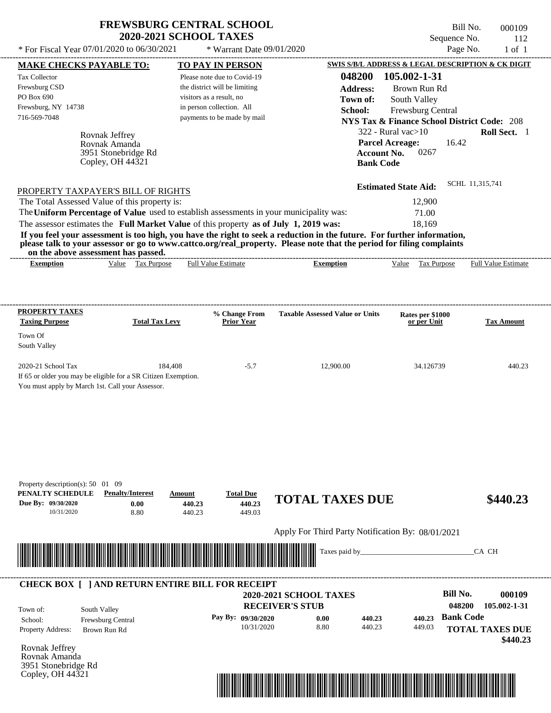| <b>FREWSBURG CENTRAL SCHOOL</b> |
|---------------------------------|
| <b>2020-2021 SCHOOL TAXES</b>   |

 $*$  For Fiscal Year 07/01/2020 to 06/30/2021  $*$  Warrant Date 09/01/2020 Page No. 1 of 1

Bill No. 000109 Sequence No. 112<br>Page No. 1 of 1

| <b>MAKE CHECKS PAYABLE TO:</b>                                                                                                                                                                                                       |                                                                |                          | <b>TO PAY IN PERSON</b>            |                                                                                                                                  | SWIS S/B/L ADDRESS & LEGAL DESCRIPTION & CK DIGIT      |                        |
|--------------------------------------------------------------------------------------------------------------------------------------------------------------------------------------------------------------------------------------|----------------------------------------------------------------|--------------------------|------------------------------------|----------------------------------------------------------------------------------------------------------------------------------|--------------------------------------------------------|------------------------|
| <b>Tax Collector</b>                                                                                                                                                                                                                 |                                                                |                          | Please note due to Covid-19        | 048200                                                                                                                           | 105.002-1-31                                           |                        |
| Frewsburg CSD                                                                                                                                                                                                                        |                                                                |                          | the district will be limiting      | <b>Address:</b>                                                                                                                  | Brown Run Rd                                           |                        |
| PO Box 690                                                                                                                                                                                                                           |                                                                | visitors as a result, no |                                    | Town of:                                                                                                                         | South Valley                                           |                        |
| Frewsburg, NY 14738                                                                                                                                                                                                                  |                                                                |                          | in person collection. All          | School:                                                                                                                          | Frewsburg Central                                      |                        |
| 716-569-7048                                                                                                                                                                                                                         |                                                                |                          | payments to be made by mail        |                                                                                                                                  | <b>NYS Tax &amp; Finance School District Code: 208</b> |                        |
|                                                                                                                                                                                                                                      |                                                                |                          |                                    |                                                                                                                                  | $322$ - Rural vac $>10$                                | Roll Sect. 1           |
|                                                                                                                                                                                                                                      | Rovnak Jeffrey                                                 |                          |                                    |                                                                                                                                  | 16.42<br><b>Parcel Acreage:</b>                        |                        |
|                                                                                                                                                                                                                                      | Rovnak Amanda<br>3951 Stonebridge Rd                           |                          |                                    |                                                                                                                                  | 0267<br><b>Account No.</b>                             |                        |
|                                                                                                                                                                                                                                      | Copley, OH $44\overline{3}21$                                  |                          |                                    | <b>Bank Code</b>                                                                                                                 |                                                        |                        |
|                                                                                                                                                                                                                                      |                                                                |                          |                                    |                                                                                                                                  |                                                        |                        |
| PROPERTY TAXPAYER'S BILL OF RIGHTS                                                                                                                                                                                                   |                                                                |                          |                                    |                                                                                                                                  | <b>Estimated State Aid:</b>                            | SCHL 11,315,741        |
| The Total Assessed Value of this property is:                                                                                                                                                                                        |                                                                |                          |                                    |                                                                                                                                  | 12,900                                                 |                        |
|                                                                                                                                                                                                                                      |                                                                |                          |                                    | The Uniform Percentage of Value used to establish assessments in your municipality was:                                          | 71.00                                                  |                        |
| The assessor estimates the Full Market Value of this property as of July 1, 2019 was:                                                                                                                                                |                                                                |                          |                                    |                                                                                                                                  | 18,169                                                 |                        |
|                                                                                                                                                                                                                                      |                                                                |                          |                                    | If you feel your assessment is too high, you have the right to seek a reduction in the future. For further information,          |                                                        |                        |
|                                                                                                                                                                                                                                      |                                                                |                          |                                    | please talk to your assessor or go to www.cattco.org/real_property. Please note that the period for filing complaints            |                                                        |                        |
| <b>Exemption</b>                                                                                                                                                                                                                     | on the above assessment has passed.<br>Value Tax Purpose       |                          | <b>Full Value Estimate</b>         | <b>Exemption</b>                                                                                                                 | Value Tax Purpose Full Value Estimate                  |                        |
|                                                                                                                                                                                                                                      |                                                                |                          |                                    |                                                                                                                                  |                                                        |                        |
|                                                                                                                                                                                                                                      |                                                                |                          |                                    |                                                                                                                                  |                                                        |                        |
|                                                                                                                                                                                                                                      |                                                                |                          |                                    |                                                                                                                                  |                                                        |                        |
| PROPERTY TAXES<br><b>Taxing Purpose</b>                                                                                                                                                                                              | <b>Total Tax Levy</b>                                          |                          | % Change From<br><b>Prior Year</b> | <b>Taxable Assessed Value or Units</b>                                                                                           | Rates per \$1000<br>or per Unit                        | <b>Tax Amount</b>      |
| Town Of                                                                                                                                                                                                                              |                                                                |                          |                                    |                                                                                                                                  |                                                        |                        |
| South Valley                                                                                                                                                                                                                         |                                                                |                          |                                    |                                                                                                                                  |                                                        |                        |
|                                                                                                                                                                                                                                      |                                                                |                          |                                    |                                                                                                                                  |                                                        |                        |
| 2020-21 School Tax                                                                                                                                                                                                                   |                                                                | 184,408                  | $-5.7$                             | 12,900.00                                                                                                                        | 34.126739                                              | 440.23                 |
|                                                                                                                                                                                                                                      | If 65 or older you may be eligible for a SR Citizen Exemption. |                          |                                    |                                                                                                                                  |                                                        |                        |
| You must apply by March 1st. Call your Assessor.                                                                                                                                                                                     |                                                                |                          |                                    |                                                                                                                                  |                                                        |                        |
|                                                                                                                                                                                                                                      |                                                                |                          |                                    |                                                                                                                                  |                                                        |                        |
|                                                                                                                                                                                                                                      |                                                                |                          |                                    |                                                                                                                                  |                                                        |                        |
|                                                                                                                                                                                                                                      |                                                                |                          |                                    |                                                                                                                                  |                                                        |                        |
|                                                                                                                                                                                                                                      |                                                                |                          |                                    |                                                                                                                                  |                                                        |                        |
|                                                                                                                                                                                                                                      |                                                                |                          |                                    |                                                                                                                                  |                                                        |                        |
|                                                                                                                                                                                                                                      |                                                                |                          |                                    |                                                                                                                                  |                                                        |                        |
|                                                                                                                                                                                                                                      |                                                                |                          |                                    |                                                                                                                                  |                                                        |                        |
| Property description(s): $50 \quad 01 \quad 09$                                                                                                                                                                                      |                                                                |                          |                                    |                                                                                                                                  |                                                        |                        |
| PENALTY SCHEDULE                                                                                                                                                                                                                     | <b>Penalty/Interest</b>                                        | Amount                   | <b>Total Due</b>                   | <b>TOTAL TAXES DUE</b>                                                                                                           |                                                        | \$440.23               |
| Due By: 09/30/2020                                                                                                                                                                                                                   | 0.00                                                           | 440.23                   | 440.23                             |                                                                                                                                  |                                                        |                        |
| 10/31/2020                                                                                                                                                                                                                           | 8.80                                                           | 440.23                   | 449.03                             |                                                                                                                                  |                                                        |                        |
|                                                                                                                                                                                                                                      |                                                                |                          |                                    | Apply For Third Party Notification By: 08/01/2021                                                                                |                                                        |                        |
|                                                                                                                                                                                                                                      |                                                                |                          |                                    |                                                                                                                                  |                                                        |                        |
| <u> Indian American State of Barbara and The Barbara and The Barbara and The Barbara and The Barbara and The Barbara and The Barbara and The Barbara and The Barbara and The Barbara and The Barbara and The Barbara and The Bar</u> |                                                                |                          |                                    | Taxes paid by                                                                                                                    |                                                        | CA CH                  |
|                                                                                                                                                                                                                                      |                                                                |                          |                                    |                                                                                                                                  |                                                        |                        |
|                                                                                                                                                                                                                                      | <b>CHECK BOX [ ] AND RETURN ENTIRE BILL FOR RECEIPT</b>        |                          |                                    |                                                                                                                                  |                                                        |                        |
|                                                                                                                                                                                                                                      |                                                                |                          |                                    | <b>2020-2021 SCHOOL TAXES</b>                                                                                                    | <b>Bill No.</b>                                        | 000109                 |
|                                                                                                                                                                                                                                      |                                                                |                          |                                    | <b>RECEIVER'S STUB</b>                                                                                                           |                                                        | 048200<br>105.002-1-31 |
| Town of:                                                                                                                                                                                                                             | South Valley                                                   |                          |                                    |                                                                                                                                  |                                                        |                        |
| School:                                                                                                                                                                                                                              | Frewsburg Central                                              |                          | Pay By: 09/30/2020                 | 0.00<br>440.23                                                                                                                   | 440.23                                                 | <b>Bank Code</b>       |
| Property Address:                                                                                                                                                                                                                    | Brown Run Rd                                                   |                          | 10/31/2020                         | 8.80<br>440.23                                                                                                                   | 449.03                                                 | <b>TOTAL TAXES DUE</b> |
|                                                                                                                                                                                                                                      |                                                                |                          |                                    |                                                                                                                                  |                                                        | \$440.23               |
| Rovnak Jeffrey<br>Rovnak Amanda                                                                                                                                                                                                      |                                                                |                          |                                    |                                                                                                                                  |                                                        |                        |
| 3951 Stonebridge Rd                                                                                                                                                                                                                  |                                                                |                          |                                    |                                                                                                                                  |                                                        |                        |
| Copley, OH $44\overline{3}21$                                                                                                                                                                                                        |                                                                |                          |                                    | <u>TILIN TILLIELIIN ON TILLIELIIN ON TILLIELIIN ON TILLIELIIN ON TILLIELIIN ON TILLIELIIN ON TILLIELIIN ON TILLIELIIN ON TIL</u> |                                                        |                        |
|                                                                                                                                                                                                                                      |                                                                |                          |                                    |                                                                                                                                  |                                                        |                        |

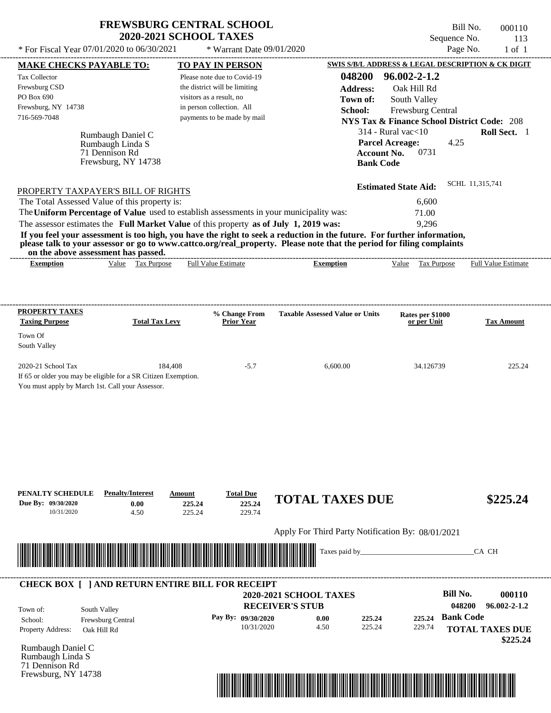| <b>FREWSBURG CENTRAL SCHOOL</b> |
|---------------------------------|
| <b>2020-2021 SCHOOL TAXES</b>   |

Bill No. 000110 Sequence No. 113<br>Page No. 1 of 1

| * For Fiscal Year 07/01/2020 to 06/30/2021                                                                         |                                   | * Warrant Date 09/01/2020                                 |                                                                                                                                                                                                                                                  |                                                                             | Page No.                   | $1$ of $1$        |
|--------------------------------------------------------------------------------------------------------------------|-----------------------------------|-----------------------------------------------------------|--------------------------------------------------------------------------------------------------------------------------------------------------------------------------------------------------------------------------------------------------|-----------------------------------------------------------------------------|----------------------------|-------------------|
| <b>MAKE CHECKS PAYABLE TO:</b>                                                                                     |                                   | <b>TO PAY IN PERSON</b>                                   |                                                                                                                                                                                                                                                  | SWIS S/B/L ADDRESS & LEGAL DESCRIPTION & CK DIGIT                           |                            |                   |
| Tax Collector                                                                                                      |                                   | Please note due to Covid-19                               | 048200                                                                                                                                                                                                                                           | 96.002-2-1.2                                                                |                            |                   |
| Frewsburg CSD<br>PO Box 690                                                                                        |                                   | the district will be limiting<br>visitors as a result, no | <b>Address:</b>                                                                                                                                                                                                                                  | Oak Hill Rd                                                                 |                            |                   |
| Frewsburg, NY 14738                                                                                                |                                   | in person collection. All                                 | Town of:                                                                                                                                                                                                                                         | South Valley                                                                |                            |                   |
| 716-569-7048                                                                                                       |                                   | payments to be made by mail                               | School:                                                                                                                                                                                                                                          | Frewsburg Central<br><b>NYS Tax &amp; Finance School District Code: 208</b> |                            |                   |
| Rumbaugh Daniel C                                                                                                  |                                   |                                                           |                                                                                                                                                                                                                                                  | $314$ - Rural vac $<$ 10                                                    | Roll Sect. 1               |                   |
| Rumbaugh Linda S                                                                                                   |                                   |                                                           |                                                                                                                                                                                                                                                  | <b>Parcel Acreage:</b>                                                      | 4.25                       |                   |
| 71 Dennison Rd                                                                                                     |                                   |                                                           |                                                                                                                                                                                                                                                  | <b>Account No.</b><br>0731                                                  |                            |                   |
|                                                                                                                    | Frewsburg, NY 14738               |                                                           | <b>Bank Code</b>                                                                                                                                                                                                                                 |                                                                             |                            |                   |
| PROPERTY TAXPAYER'S BILL OF RIGHTS                                                                                 |                                   |                                                           |                                                                                                                                                                                                                                                  | <b>Estimated State Aid:</b>                                                 | SCHL 11,315,741            |                   |
| The Total Assessed Value of this property is:                                                                      |                                   |                                                           |                                                                                                                                                                                                                                                  | 6,600                                                                       |                            |                   |
| The Uniform Percentage of Value used to establish assessments in your municipality was:                            |                                   |                                                           |                                                                                                                                                                                                                                                  | 71.00                                                                       |                            |                   |
| The assessor estimates the Full Market Value of this property as of July 1, 2019 was:                              |                                   |                                                           |                                                                                                                                                                                                                                                  | 9,296                                                                       |                            |                   |
|                                                                                                                    |                                   |                                                           | If you feel your assessment is too high, you have the right to seek a reduction in the future. For further information,<br>please talk to your assessor or go to www.cattco.org/real_property. Please note that the period for filing complaints |                                                                             |                            |                   |
| on the above assessment has passed.<br><b>Exemption</b>                                                            | Value Tax Purpose                 | <b>Full Value Estimate</b>                                | <b>Exemption</b>                                                                                                                                                                                                                                 | Value Tax Purpose                                                           | <b>Full Value Estimate</b> |                   |
|                                                                                                                    |                                   |                                                           |                                                                                                                                                                                                                                                  |                                                                             |                            |                   |
|                                                                                                                    |                                   |                                                           |                                                                                                                                                                                                                                                  |                                                                             |                            |                   |
| <b>PROPERTY TAXES</b>                                                                                              |                                   | % Change From                                             | <b>Taxable Assessed Value or Units</b>                                                                                                                                                                                                           | Rates per \$1000                                                            |                            |                   |
| <b>Taxing Purpose</b>                                                                                              | <b>Total Tax Levy</b>             | <b>Prior Year</b>                                         |                                                                                                                                                                                                                                                  | or per Unit                                                                 |                            | <b>Tax Amount</b> |
| Town Of<br>South Valley                                                                                            |                                   |                                                           |                                                                                                                                                                                                                                                  |                                                                             |                            |                   |
| 2020-21 School Tax                                                                                                 | 184,408                           | $-5.7$                                                    | 6,600.00                                                                                                                                                                                                                                         | 34.126739                                                                   |                            | 225.24            |
| If 65 or older you may be eligible for a SR Citizen Exemption.                                                     |                                   |                                                           |                                                                                                                                                                                                                                                  |                                                                             |                            |                   |
| You must apply by March 1st. Call your Assessor.                                                                   |                                   |                                                           |                                                                                                                                                                                                                                                  |                                                                             |                            |                   |
|                                                                                                                    |                                   |                                                           |                                                                                                                                                                                                                                                  |                                                                             |                            |                   |
|                                                                                                                    |                                   |                                                           |                                                                                                                                                                                                                                                  |                                                                             |                            |                   |
|                                                                                                                    |                                   |                                                           |                                                                                                                                                                                                                                                  |                                                                             |                            |                   |
|                                                                                                                    |                                   |                                                           |                                                                                                                                                                                                                                                  |                                                                             |                            |                   |
|                                                                                                                    |                                   |                                                           |                                                                                                                                                                                                                                                  |                                                                             |                            |                   |
|                                                                                                                    |                                   |                                                           |                                                                                                                                                                                                                                                  |                                                                             |                            |                   |
| PENALTY SCHEDULE                                                                                                   | <b>Penalty/Interest</b><br>Amount | <b>Total Due</b>                                          | <b>TOTAL TAXES DUE</b>                                                                                                                                                                                                                           |                                                                             |                            |                   |
| Due By: 09/30/2020<br>10/31/2020                                                                                   | 0.00<br>225.24<br>4.50<br>225.24  | 225.24<br>229.74                                          |                                                                                                                                                                                                                                                  |                                                                             |                            | \$225.24          |
|                                                                                                                    |                                   |                                                           | Apply For Third Party Notification By: 08/01/2021                                                                                                                                                                                                |                                                                             |                            |                   |
|                                                                                                                    |                                   |                                                           |                                                                                                                                                                                                                                                  |                                                                             |                            |                   |
| <u> 1999 - Andrea Stadt Maria Maria Maria Maria Maria Maria Maria Maria Maria Maria Maria Maria Maria Maria Ma</u> |                                   |                                                           | Taxes paid by_                                                                                                                                                                                                                                   |                                                                             | CA CH                      |                   |
|                                                                                                                    |                                   |                                                           |                                                                                                                                                                                                                                                  |                                                                             |                            |                   |
| <b>CHECK BOX [ ] AND RETURN ENTIRE BILL FOR RECEIPT</b>                                                            |                                   |                                                           | 2020-2021 SCHOOL TAXES                                                                                                                                                                                                                           |                                                                             | <b>Bill No.</b>            | 000110            |
|                                                                                                                    |                                   |                                                           | <b>RECEIVER'S STUB</b>                                                                                                                                                                                                                           |                                                                             | 048200                     | 96.002-2-1.2      |
| South Valley<br>Town of:<br>Frewsburg Central<br>School:                                                           |                                   | Pay By: 09/30/2020                                        | 0.00<br>225.24                                                                                                                                                                                                                                   | 225.24                                                                      | <b>Bank Code</b>           |                   |
| Property Address:<br>Oak Hill Rd                                                                                   |                                   | 10/31/2020                                                | 4.50<br>225.24                                                                                                                                                                                                                                   | 229.74                                                                      | <b>TOTAL TAXES DUE</b>     |                   |
|                                                                                                                    |                                   |                                                           |                                                                                                                                                                                                                                                  |                                                                             |                            | \$225.24          |
| Rumbaugh Daniel C<br>Rumbaugh Linda S                                                                              |                                   |                                                           |                                                                                                                                                                                                                                                  |                                                                             |                            |                   |
| 71 Dennison Rd                                                                                                     |                                   |                                                           |                                                                                                                                                                                                                                                  |                                                                             |                            |                   |
| Frewsburg, NY 14738                                                                                                |                                   |                                                           |                                                                                                                                                                                                                                                  |                                                                             |                            |                   |
|                                                                                                                    |                                   |                                                           |                                                                                                                                                                                                                                                  |                                                                             |                            |                   |
|                                                                                                                    |                                   |                                                           |                                                                                                                                                                                                                                                  |                                                                             |                            |                   |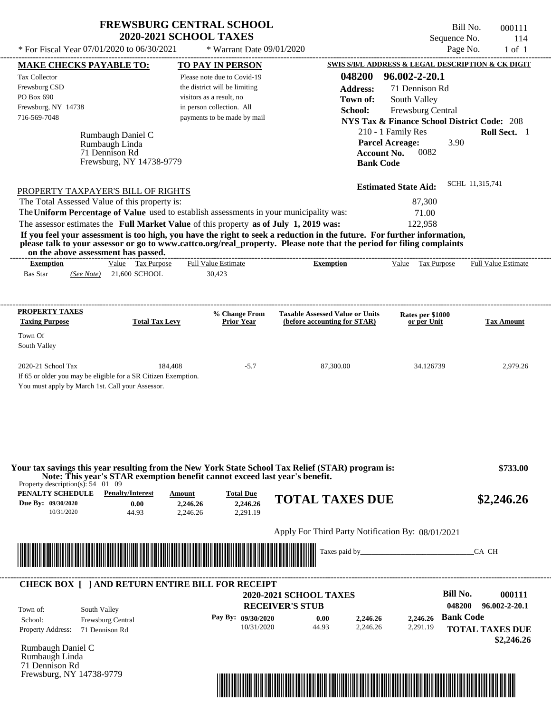\* For Fiscal Year  $07/01/2020$  to  $06/30/2021$  \* Warrant Date  $09/01/2020$  Page No. 1 of 1

 $*$  Warrant Date 09/01/2020

Bill No. 000111 Sequence No. 114

| <b>MAKE CHECKS PAYABLE TO:</b>                                                                                     | <b>TO PAY IN PERSON</b>                                                                                                                                                                                                                          |                                                   | <b>SWIS S/B/L ADDRESS &amp; LEGAL DESCRIPTION &amp; CK DIGIT</b> |                            |
|--------------------------------------------------------------------------------------------------------------------|--------------------------------------------------------------------------------------------------------------------------------------------------------------------------------------------------------------------------------------------------|---------------------------------------------------|------------------------------------------------------------------|----------------------------|
| <b>Tax Collector</b>                                                                                               | Please note due to Covid-19                                                                                                                                                                                                                      | 048200                                            | 96.002-2-20.1                                                    |                            |
| Frewsburg CSD                                                                                                      | the district will be limiting                                                                                                                                                                                                                    | <b>Address:</b>                                   | 71 Dennison Rd                                                   |                            |
| PO Box 690                                                                                                         | visitors as a result, no                                                                                                                                                                                                                         | Town of:                                          | South Valley                                                     |                            |
| Frewsburg, NY 14738                                                                                                | in person collection. All                                                                                                                                                                                                                        | School:                                           | Frewsburg Central                                                |                            |
| 716-569-7048                                                                                                       | payments to be made by mail                                                                                                                                                                                                                      |                                                   | <b>NYS Tax &amp; Finance School District Code: 208</b>           |                            |
|                                                                                                                    |                                                                                                                                                                                                                                                  |                                                   | 210 - 1 Family Res                                               | Roll Sect. 1               |
| Rumbaugh Daniel C<br>Rumbaugh Linda                                                                                |                                                                                                                                                                                                                                                  |                                                   | <b>Parcel Acreage:</b><br>3.90                                   |                            |
| 71 Dennison Rd                                                                                                     |                                                                                                                                                                                                                                                  | <b>Account No.</b>                                | 0082                                                             |                            |
| Frewsburg, NY 14738-9779                                                                                           |                                                                                                                                                                                                                                                  | <b>Bank Code</b>                                  |                                                                  |                            |
|                                                                                                                    |                                                                                                                                                                                                                                                  |                                                   |                                                                  |                            |
| PROPERTY TAXPAYER'S BILL OF RIGHTS                                                                                 |                                                                                                                                                                                                                                                  |                                                   | <b>Estimated State Aid:</b>                                      | SCHL 11,315,741            |
| The Total Assessed Value of this property is:                                                                      |                                                                                                                                                                                                                                                  |                                                   | 87,300                                                           |                            |
|                                                                                                                    | The Uniform Percentage of Value used to establish assessments in your municipality was:                                                                                                                                                          |                                                   | 71.00                                                            |                            |
|                                                                                                                    | The assessor estimates the Full Market Value of this property as of July 1, 2019 was:                                                                                                                                                            |                                                   | 122,958                                                          |                            |
|                                                                                                                    | If you feel your assessment is too high, you have the right to seek a reduction in the future. For further information,<br>please talk to your assessor or go to www.cattco.org/real_property. Please note that the period for filing complaints |                                                   |                                                                  |                            |
| on the above assessment has passed.<br><b>Exemption</b>                                                            | Value Tax Purpose<br><b>Full Value Estimate</b>                                                                                                                                                                                                  | <b>Exemption</b>                                  | Value Tax Purpose                                                | <b>Full Value Estimate</b> |
| <b>Bas Star</b><br>(See Note) 21,600 SCHOOL                                                                        | 30,423                                                                                                                                                                                                                                           |                                                   |                                                                  |                            |
|                                                                                                                    |                                                                                                                                                                                                                                                  |                                                   |                                                                  |                            |
| <b>PROPERTY TAXES</b>                                                                                              | % Change From                                                                                                                                                                                                                                    | <b>Taxable Assessed Value or Units</b>            | Rates per \$1000                                                 |                            |
| <b>Taxing Purpose</b>                                                                                              | <b>Total Tax Levy</b><br><b>Prior Year</b>                                                                                                                                                                                                       | (before accounting for STAR)                      | or per Unit                                                      | <b>Tax Amount</b>          |
| Town Of                                                                                                            |                                                                                                                                                                                                                                                  |                                                   |                                                                  |                            |
| South Valley                                                                                                       |                                                                                                                                                                                                                                                  |                                                   |                                                                  |                            |
|                                                                                                                    |                                                                                                                                                                                                                                                  |                                                   |                                                                  |                            |
| 2020-21 School Tax                                                                                                 | 184,408<br>$-5.7$                                                                                                                                                                                                                                | 87,300.00                                         | 34.126739                                                        | 2,979.26                   |
| If 65 or older you may be eligible for a SR Citizen Exemption.<br>You must apply by March 1st. Call your Assessor. |                                                                                                                                                                                                                                                  |                                                   |                                                                  |                            |
|                                                                                                                    |                                                                                                                                                                                                                                                  |                                                   |                                                                  |                            |
|                                                                                                                    | Your tax savings this year resulting from the New York State School Tax Relief (STAR) program is:                                                                                                                                                |                                                   |                                                                  | \$733.00                   |
| Property description(s): $54 \quad 01 \quad 09$                                                                    | Note: This year's STAR exemption benefit cannot exceed last year's benefit.                                                                                                                                                                      |                                                   |                                                                  |                            |
| PENALTY SCHEDULE<br><b>Penalty/Interest</b>                                                                        | <b>Total Due</b><br>Amount                                                                                                                                                                                                                       | <b>TOTAL TAXES DUE</b>                            |                                                                  | \$2,246.26                 |
| Due By: 09/30/2020<br>0.00<br>10/31/2020<br>44.93                                                                  | 2,246.26<br>2,246.26<br>2,291.19<br>2.246.26                                                                                                                                                                                                     |                                                   |                                                                  |                            |
|                                                                                                                    |                                                                                                                                                                                                                                                  |                                                   |                                                                  |                            |
|                                                                                                                    |                                                                                                                                                                                                                                                  | Apply For Third Party Notification By: 08/01/2021 |                                                                  |                            |
|                                                                                                                    |                                                                                                                                                                                                                                                  | Taxes paid by_                                    |                                                                  | CA CH                      |
|                                                                                                                    |                                                                                                                                                                                                                                                  |                                                   |                                                                  |                            |
|                                                                                                                    | <b>CHECK BOX [ ] AND RETURN ENTIRE BILL FOR RECEIPT</b>                                                                                                                                                                                          |                                                   |                                                                  |                            |
|                                                                                                                    |                                                                                                                                                                                                                                                  | <b>2020-2021 SCHOOL TAXES</b>                     | <b>Bill No.</b>                                                  | 000111                     |
| South Valley<br>Town of:                                                                                           |                                                                                                                                                                                                                                                  | <b>RECEIVER'S STUB</b>                            | 048200                                                           | 96.002-2-20.1              |
| Frewsburg Central<br>School:                                                                                       | Pay By: 09/30/2020                                                                                                                                                                                                                               | 0.00<br>2,246.26                                  | <b>Bank Code</b><br>2,246.26                                     |                            |
| <b>Property Address:</b><br>71 Dennison Rd                                                                         | 10/31/2020                                                                                                                                                                                                                                       | 2,246.26<br>44.93                                 | 2,291.19                                                         | <b>TOTAL TAXES DUE</b>     |
|                                                                                                                    |                                                                                                                                                                                                                                                  |                                                   |                                                                  | \$2,246.26                 |
| Rumbaugh Daniel C                                                                                                  |                                                                                                                                                                                                                                                  |                                                   |                                                                  |                            |
| Rumbaugh Linda                                                                                                     |                                                                                                                                                                                                                                                  |                                                   |                                                                  |                            |
| 71 Dennison Rd                                                                                                     |                                                                                                                                                                                                                                                  |                                                   |                                                                  |                            |
| Frewsburg, NY 14738-9779                                                                                           |                                                                                                                                                                                                                                                  |                                                   |                                                                  |                            |

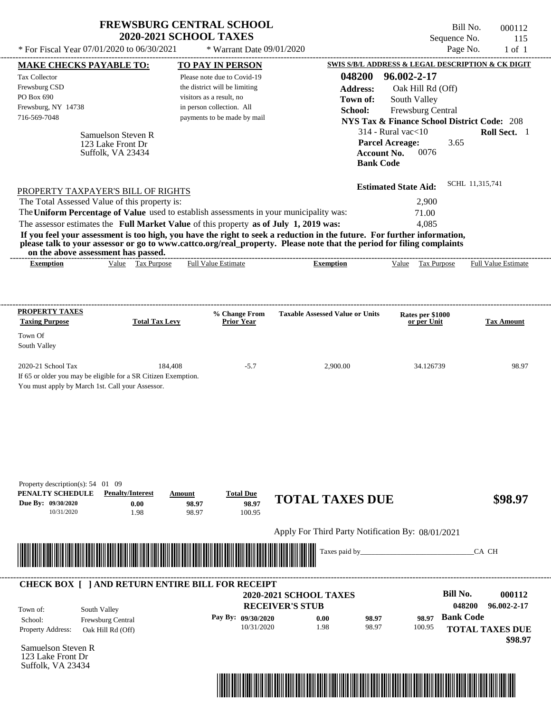|                                                                                             | * For Fiscal Year 07/01/2020 to 06/30/2021                                | <b>FREWSBURG CENTRAL SCHOOL</b><br><b>2020-2021 SCHOOL TAXES</b> | * Warrant Date 09/01/2020                                                                                                                                                                                                                        |                                                   |                                                    | Bill No.<br>Sequence No.<br>Page No. | 000112<br>115<br>$1$ of $1$                            |
|---------------------------------------------------------------------------------------------|---------------------------------------------------------------------------|------------------------------------------------------------------|--------------------------------------------------------------------------------------------------------------------------------------------------------------------------------------------------------------------------------------------------|---------------------------------------------------|----------------------------------------------------|--------------------------------------|--------------------------------------------------------|
|                                                                                             |                                                                           |                                                                  |                                                                                                                                                                                                                                                  | SWIS S/B/L ADDRESS & LEGAL DESCRIPTION & CK DIGIT |                                                    |                                      |                                                        |
| MAKE CHECKS PAYABLE TO:                                                                     |                                                                           | <b>TO PAY IN PERSON</b>                                          |                                                                                                                                                                                                                                                  |                                                   |                                                    |                                      |                                                        |
| Tax Collector                                                                               |                                                                           | Please note due to Covid-19                                      |                                                                                                                                                                                                                                                  | 048200                                            | 96.002-2-17                                        |                                      |                                                        |
| Frewsburg CSD<br>PO Box 690                                                                 |                                                                           | the district will be limiting<br>visitors as a result, no        |                                                                                                                                                                                                                                                  | <b>Address:</b>                                   | Oak Hill Rd (Off)                                  |                                      |                                                        |
| Frewsburg, NY 14738                                                                         |                                                                           | in person collection. All                                        |                                                                                                                                                                                                                                                  | Town of:                                          | South Valley                                       |                                      |                                                        |
| 716-569-7048                                                                                |                                                                           | payments to be made by mail                                      |                                                                                                                                                                                                                                                  | School:                                           | Frewsburg Central                                  |                                      |                                                        |
|                                                                                             |                                                                           |                                                                  |                                                                                                                                                                                                                                                  |                                                   |                                                    |                                      | <b>NYS Tax &amp; Finance School District Code: 208</b> |
|                                                                                             | Samuelson Steven R<br>123 Lake Front Dr<br>Suffolk, VA 23434              |                                                                  |                                                                                                                                                                                                                                                  | <b>Account No.</b><br><b>Bank Code</b>            | $314$ - Rural vac $<$ 10<br><b>Parcel Acreage:</b> | 3.65<br>0076                         | Roll Sect. 1                                           |
|                                                                                             | PROPERTY TAXPAYER'S BILL OF RIGHTS                                        |                                                                  |                                                                                                                                                                                                                                                  |                                                   | <b>Estimated State Aid:</b>                        |                                      | SCHL 11,315,741                                        |
|                                                                                             | The Total Assessed Value of this property is:                             |                                                                  |                                                                                                                                                                                                                                                  |                                                   |                                                    | 2,900                                |                                                        |
|                                                                                             |                                                                           |                                                                  | The Uniform Percentage of Value used to establish assessments in your municipality was:                                                                                                                                                          |                                                   | 71.00                                              |                                      |                                                        |
|                                                                                             |                                                                           |                                                                  | The assessor estimates the Full Market Value of this property as of July 1, 2019 was:                                                                                                                                                            |                                                   |                                                    | 4,085                                |                                                        |
|                                                                                             | on the above assessment has passed.                                       |                                                                  | If you feel your assessment is too high, you have the right to seek a reduction in the future. For further information,<br>please talk to your assessor or go to www.cattco.org/real_property. Please note that the period for filing complaints |                                                   |                                                    |                                      |                                                        |
| <b>Exemption</b>                                                                            | Value Tax Purpose                                                         | Full Value Estimate                                              |                                                                                                                                                                                                                                                  | <b>Exemption</b>                                  | Value                                              | Tax Purpose                          | Full Value Estimate                                    |
| PROPERTY TAXES<br><b>Taxing Purpose</b><br>Town Of<br>South Valley                          | <b>Total Tax Levy</b>                                                     | % Change From<br><b>Prior Year</b>                               | <b>Taxable Assessed Value or Units</b>                                                                                                                                                                                                           |                                                   | Rates per \$1000<br>or per Unit                    |                                      | <b>Tax Amount</b>                                      |
| 2020-21 School Tax<br>You must apply by March 1st. Call your Assessor.                      | 184,408<br>If 65 or older you may be eligible for a SR Citizen Exemption. |                                                                  | $-5.7$                                                                                                                                                                                                                                           | 2,900.00                                          |                                                    | 34.126739                            | 98.97                                                  |
|                                                                                             |                                                                           |                                                                  |                                                                                                                                                                                                                                                  |                                                   |                                                    |                                      |                                                        |
| Property description(s): $54$ 01 09<br>PENALTY SCHEDULE<br>Due By: 09/30/2020<br>10/31/2020 | <b>Penalty/Interest</b><br>0.00<br>1.98                                   | <b>Total Due</b><br>Amount<br>98.97<br>98.97                     | <b>TOTAL TAXES DUE</b><br>98.97<br>100.95                                                                                                                                                                                                        |                                                   |                                                    |                                      | \$98.97                                                |
|                                                                                             |                                                                           |                                                                  | Apply For Third Party Notification By: 08/01/2021                                                                                                                                                                                                |                                                   |                                                    |                                      |                                                        |
|                                                                                             |                                                                           |                                                                  |                                                                                                                                                                                                                                                  | Taxes paid by                                     |                                                    |                                      | CA CH                                                  |
|                                                                                             | <b>CHECK BOX [ ] AND RETURN ENTIRE BILL FOR RECEIPT</b>                   |                                                                  |                                                                                                                                                                                                                                                  |                                                   |                                                    |                                      |                                                        |
|                                                                                             |                                                                           |                                                                  | 2020-2021 SCHOOL TAXES                                                                                                                                                                                                                           |                                                   |                                                    | <b>Bill No.</b>                      | 000112                                                 |
|                                                                                             | South Valley                                                              |                                                                  | <b>RECEIVER'S STUB</b>                                                                                                                                                                                                                           |                                                   |                                                    | 048200                               | 96.002-2-17                                            |
| Town of:<br>School:                                                                         | Frewsburg Central                                                         | Pay By: 09/30/2020                                               | 0.00                                                                                                                                                                                                                                             | 98.97                                             | 98.97                                              | <b>Bank Code</b>                     |                                                        |
| Property Address:                                                                           | Oak Hill Rd (Off)                                                         |                                                                  | 10/31/2020<br>1.98                                                                                                                                                                                                                               | 98.97                                             | 100.95                                             |                                      | <b>TOTAL TAXES DUE</b>                                 |
| Samuelson Steven R                                                                          |                                                                           |                                                                  |                                                                                                                                                                                                                                                  |                                                   |                                                    |                                      | \$98.97                                                |

Suffolk, VA 23434

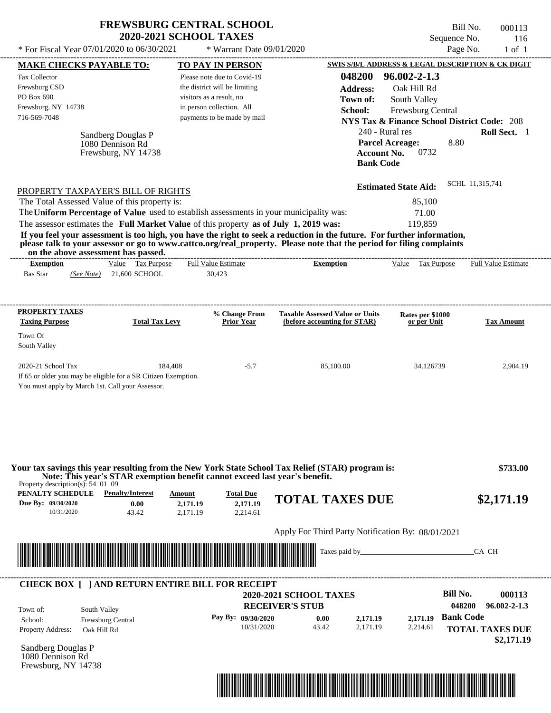| * For Fiscal Year 07/01/2020 to 06/30/2021                                                                                                                                                                                                                                                                                                                                         | <b>FREWSBURG CENTRAL SCHOOL</b><br><b>2020-2021 SCHOOL TAXES</b> | * Warrant Date 09/01/2020            |                                                                        | Sequence No.<br>Page No.                               | Bill No.<br>000113<br>116<br>$1$ of $1$ |
|------------------------------------------------------------------------------------------------------------------------------------------------------------------------------------------------------------------------------------------------------------------------------------------------------------------------------------------------------------------------------------|------------------------------------------------------------------|--------------------------------------|------------------------------------------------------------------------|--------------------------------------------------------|-----------------------------------------|
|                                                                                                                                                                                                                                                                                                                                                                                    |                                                                  |                                      |                                                                        |                                                        |                                         |
| <b>MAKE CHECKS PAYABLE TO:</b>                                                                                                                                                                                                                                                                                                                                                     |                                                                  | TO PAY IN PERSON                     |                                                                        | SWIS S/B/L ADDRESS & LEGAL DESCRIPTION & CK DIGIT      |                                         |
| Tax Collector                                                                                                                                                                                                                                                                                                                                                                      |                                                                  | Please note due to Covid-19          | 048200                                                                 | $96.002 - 2 - 1.3$                                     |                                         |
| Frewsburg CSD<br>PO Box 690                                                                                                                                                                                                                                                                                                                                                        | visitors as a result, no                                         | the district will be limiting        | <b>Address:</b>                                                        | Oak Hill Rd                                            |                                         |
| Frewsburg, NY 14738                                                                                                                                                                                                                                                                                                                                                                |                                                                  | in person collection. All            | Town of:                                                               | South Valley                                           |                                         |
| 716-569-7048                                                                                                                                                                                                                                                                                                                                                                       |                                                                  | payments to be made by mail          | School:                                                                | Frewsburg Central                                      |                                         |
|                                                                                                                                                                                                                                                                                                                                                                                    |                                                                  |                                      |                                                                        | <b>NYS Tax &amp; Finance School District Code: 208</b> |                                         |
| Sandberg Douglas P                                                                                                                                                                                                                                                                                                                                                                 |                                                                  |                                      | 240 - Rural res                                                        |                                                        | Roll Sect. 1                            |
| 1080 Dennison Rd<br>Frewsburg, NY 14738                                                                                                                                                                                                                                                                                                                                            |                                                                  |                                      | <b>Account No.</b><br><b>Bank Code</b>                                 | 8.80<br><b>Parcel Acreage:</b><br>0732                 |                                         |
| PROPERTY TAXPAYER'S BILL OF RIGHTS                                                                                                                                                                                                                                                                                                                                                 |                                                                  |                                      |                                                                        | <b>Estimated State Aid:</b>                            | SCHL 11,315,741                         |
| The Total Assessed Value of this property is:                                                                                                                                                                                                                                                                                                                                      |                                                                  |                                      |                                                                        | 85,100                                                 |                                         |
| The Uniform Percentage of Value used to establish assessments in your municipality was:                                                                                                                                                                                                                                                                                            |                                                                  |                                      |                                                                        | 71.00                                                  |                                         |
| The assessor estimates the Full Market Value of this property as of July 1, 2019 was:                                                                                                                                                                                                                                                                                              |                                                                  |                                      |                                                                        | 119,859                                                |                                         |
| If you feel your assessment is too high, you have the right to seek a reduction in the future. For further information,<br>please talk to your assessor or go to www.cattco.org/real_property. Please note that the period for filing complaints<br>on the above assessment has passed.<br>Value Tax Purpose<br><b>Exemption</b><br><b>Bas Star</b><br>21,600 SCHOOL<br>(See Note) |                                                                  | <b>Full Value Estimate</b><br>30,423 | <b>Exemption</b>                                                       | Value Tax Purpose                                      | <b>Full Value Estimate</b>              |
| PROPERTY TAXES<br><b>Taxing Purpose</b><br>Town Of<br>South Valley                                                                                                                                                                                                                                                                                                                 | <b>Total Tax Levy</b>                                            | % Change From<br><b>Prior Year</b>   | <b>Taxable Assessed Value or Units</b><br>(before accounting for STAR) | Rates per \$1000<br>or per Unit                        | <b>Tax Amount</b>                       |
| 2020-21 School Tax<br>If 65 or older you may be eligible for a SR Citizen Exemption.                                                                                                                                                                                                                                                                                               | 184,408                                                          | $-5.7$                               | 85,100.00                                                              | 34.126739                                              | 2,904.19                                |
| Your tax savings this year resulting from the New York State School Tax Relief (STAR) program is:                                                                                                                                                                                                                                                                                  |                                                                  |                                      |                                                                        |                                                        | \$733.00                                |
| Note: This year's STAR exemption benefit cannot exceed last year's benefit.<br>Property description(s): $54 \, 01 \, 09$<br><b>PENALTY SCHEDULE</b> Penalty/Interest                                                                                                                                                                                                               | <b>Amount</b>                                                    | <b>Total Due</b>                     |                                                                        |                                                        |                                         |
| Due By: 09/30/2020<br>0.00<br>10/31/2020<br>43.42                                                                                                                                                                                                                                                                                                                                  | 2,171.19<br>2,171.19                                             | 2,171.19<br>2,214.61                 | <b>TOTAL TAXES DUE</b>                                                 |                                                        | \$2,171.19                              |
|                                                                                                                                                                                                                                                                                                                                                                                    |                                                                  |                                      | Apply For Third Party Notification By: 08/01/2021                      |                                                        |                                         |
|                                                                                                                                                                                                                                                                                                                                                                                    |                                                                  |                                      | Taxes paid by_                                                         |                                                        | CA CH                                   |
| <b>CHECK BOX [ ] AND RETURN ENTIRE BILL FOR RECEIPT</b>                                                                                                                                                                                                                                                                                                                            |                                                                  |                                      | <b>2020-2021 SCHOOL TAXES</b>                                          | <b>Bill No.</b>                                        | 000113                                  |
| South Valley<br>Town of:                                                                                                                                                                                                                                                                                                                                                           |                                                                  |                                      | <b>RECEIVER'S STUB</b>                                                 | 048200                                                 | $96.002 - 2 - 1.3$                      |
| Frewsburg Central<br>School:                                                                                                                                                                                                                                                                                                                                                       |                                                                  | Pay By: 09/30/2020                   | 2,171.19<br>0.00                                                       | <b>Bank Code</b><br>2,171.19                           |                                         |
| <b>Property Address:</b><br>Oak Hill Rd                                                                                                                                                                                                                                                                                                                                            |                                                                  |                                      |                                                                        |                                                        |                                         |

Sandberg Douglas P 1080 Dennison Rd Frewsburg, NY 14738

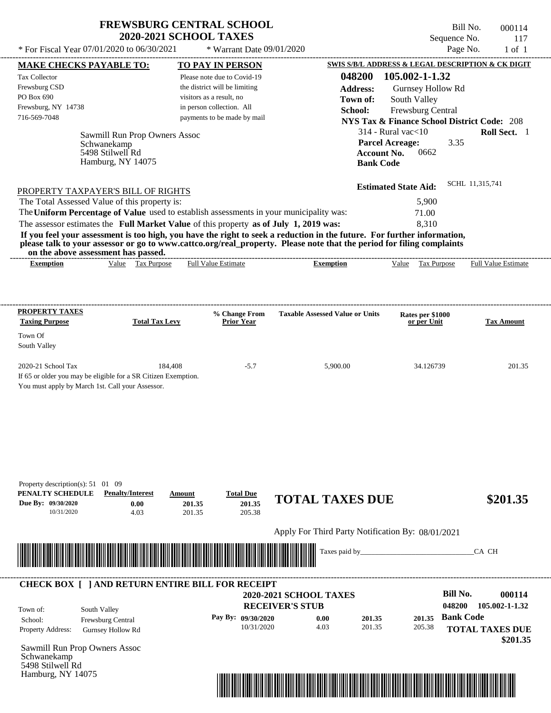\* For Fiscal Year  $07/01/2020$  to  $06/30/2021$  \* Warrant Date  $09/01/2020$  Page No. 1 of 1

\* Warrant Date 09/01/2020

Bill No. 000114 Sequence No. 117

| <b>MAKE CHECKS PAYABLE TO:</b>                                                                                                                                                                                                                   |                                 |         | <b>TO PAY IN PERSON</b>            |                                                   |                    |                                 | SWIS S/B/L ADDRESS & LEGAL DESCRIPTION & CK DIGIT                                                                    |
|--------------------------------------------------------------------------------------------------------------------------------------------------------------------------------------------------------------------------------------------------|---------------------------------|---------|------------------------------------|---------------------------------------------------|--------------------|---------------------------------|----------------------------------------------------------------------------------------------------------------------|
| Tax Collector                                                                                                                                                                                                                                    |                                 |         | Please note due to Covid-19        |                                                   |                    | 048200 105.002-1-1.32           |                                                                                                                      |
| Frewsburg CSD                                                                                                                                                                                                                                    |                                 |         | the district will be limiting      |                                                   | <b>Address:</b>    | Gurnsey Hollow Rd               |                                                                                                                      |
| PO Box 690                                                                                                                                                                                                                                       |                                 |         | visitors as a result, no           |                                                   | Town of:           | South Valley                    |                                                                                                                      |
| Frewsburg, NY 14738                                                                                                                                                                                                                              |                                 |         | in person collection. All          |                                                   | School:            | Frewsburg Central               |                                                                                                                      |
| 716-569-7048                                                                                                                                                                                                                                     |                                 |         | payments to be made by mail        |                                                   |                    |                                 | <b>NYS Tax &amp; Finance School District Code: 208</b>                                                               |
|                                                                                                                                                                                                                                                  |                                 |         |                                    |                                                   |                    | $314$ - Rural vac $<$ 10        | Roll Sect. 1                                                                                                         |
|                                                                                                                                                                                                                                                  | Sawmill Run Prop Owners Assoc   |         |                                    |                                                   |                    | <b>Parcel Acreage:</b>          | 3.35                                                                                                                 |
|                                                                                                                                                                                                                                                  | Schwanekamp<br>5498 Stilwell Rd |         |                                    |                                                   | <b>Account No.</b> | 0662                            |                                                                                                                      |
|                                                                                                                                                                                                                                                  | Hamburg, NY 14075               |         |                                    |                                                   | <b>Bank Code</b>   |                                 |                                                                                                                      |
|                                                                                                                                                                                                                                                  |                                 |         |                                    |                                                   |                    |                                 |                                                                                                                      |
|                                                                                                                                                                                                                                                  |                                 |         |                                    |                                                   |                    | <b>Estimated State Aid:</b>     | SCHL 11,315,741                                                                                                      |
| PROPERTY TAXPAYER'S BILL OF RIGHTS<br>The Total Assessed Value of this property is:                                                                                                                                                              |                                 |         |                                    |                                                   |                    | 5,900                           |                                                                                                                      |
| The Uniform Percentage of Value used to establish assessments in your municipality was:                                                                                                                                                          |                                 |         |                                    |                                                   |                    |                                 |                                                                                                                      |
|                                                                                                                                                                                                                                                  |                                 |         |                                    |                                                   |                    | 71.00                           |                                                                                                                      |
| The assessor estimates the Full Market Value of this property as of July 1, 2019 was:                                                                                                                                                            |                                 |         |                                    |                                                   |                    | 8,310                           |                                                                                                                      |
| If you feel your assessment is too high, you have the right to seek a reduction in the future. For further information,<br>please talk to your assessor or go to www.cattco.org/real_property. Please note that the period for filing complaints |                                 |         |                                    |                                                   |                    |                                 |                                                                                                                      |
| on the above assessment has passed.                                                                                                                                                                                                              |                                 |         |                                    |                                                   |                    |                                 |                                                                                                                      |
| <b>Exemption</b>                                                                                                                                                                                                                                 | Value Tax Purpose               |         | Full Value Estimate                | <b>Exemption</b>                                  |                    | Value Tax Purpose               | <b>Full Value Estimate</b>                                                                                           |
|                                                                                                                                                                                                                                                  |                                 |         |                                    |                                                   |                    |                                 |                                                                                                                      |
|                                                                                                                                                                                                                                                  |                                 |         |                                    |                                                   |                    |                                 |                                                                                                                      |
| <b>PROPERTY TAXES</b>                                                                                                                                                                                                                            |                                 |         |                                    |                                                   |                    |                                 |                                                                                                                      |
| <b>Taxing Purpose</b>                                                                                                                                                                                                                            | <b>Total Tax Levy</b>           |         | % Change From<br><b>Prior Year</b> | <b>Taxable Assessed Value or Units</b>            |                    | Rates per \$1000<br>or per Unit | Tax Amount                                                                                                           |
|                                                                                                                                                                                                                                                  |                                 |         |                                    |                                                   |                    |                                 |                                                                                                                      |
| Town Of                                                                                                                                                                                                                                          |                                 |         |                                    |                                                   |                    |                                 |                                                                                                                      |
| South Valley                                                                                                                                                                                                                                     |                                 |         |                                    |                                                   |                    |                                 |                                                                                                                      |
| 2020-21 School Tax                                                                                                                                                                                                                               |                                 | 184,408 | $-5.7$                             | 5,900.00                                          |                    | 34.126739                       | 201.35                                                                                                               |
| If 65 or older you may be eligible for a SR Citizen Exemption.                                                                                                                                                                                   |                                 |         |                                    |                                                   |                    |                                 |                                                                                                                      |
| You must apply by March 1st. Call your Assessor.                                                                                                                                                                                                 |                                 |         |                                    |                                                   |                    |                                 |                                                                                                                      |
|                                                                                                                                                                                                                                                  |                                 |         |                                    |                                                   |                    |                                 |                                                                                                                      |
|                                                                                                                                                                                                                                                  |                                 |         |                                    |                                                   |                    |                                 |                                                                                                                      |
|                                                                                                                                                                                                                                                  |                                 |         |                                    |                                                   |                    |                                 |                                                                                                                      |
|                                                                                                                                                                                                                                                  |                                 |         |                                    |                                                   |                    |                                 |                                                                                                                      |
|                                                                                                                                                                                                                                                  |                                 |         |                                    |                                                   |                    |                                 |                                                                                                                      |
|                                                                                                                                                                                                                                                  |                                 |         |                                    |                                                   |                    |                                 |                                                                                                                      |
|                                                                                                                                                                                                                                                  |                                 |         |                                    |                                                   |                    |                                 |                                                                                                                      |
| Property description(s): 51 01 09                                                                                                                                                                                                                |                                 |         |                                    |                                                   |                    |                                 |                                                                                                                      |
| PENALTY SCHEDULE                                                                                                                                                                                                                                 | <b>Penalty/Interest</b>         | Amount  | <b>Total Due</b>                   |                                                   |                    |                                 |                                                                                                                      |
| Due By: 09/30/2020                                                                                                                                                                                                                               | 0.00                            | 201.35  | 201.35                             | <b>TOTAL TAXES DUE</b>                            |                    |                                 | \$201.35                                                                                                             |
| 10/31/2020                                                                                                                                                                                                                                       | 4.03                            | 201.35  | 205.38                             |                                                   |                    |                                 |                                                                                                                      |
|                                                                                                                                                                                                                                                  |                                 |         |                                    | Apply For Third Party Notification By: 08/01/2021 |                    |                                 |                                                                                                                      |
|                                                                                                                                                                                                                                                  |                                 |         |                                    |                                                   |                    |                                 |                                                                                                                      |
| <u> Maria Alemania de Santiago de Santiago de Santiago de Santiago de Santiago de Santiago de Santiago de Santiago de Santiago de Santiago de Santiago de Santiago de Santiago de Santiago de Santiago de Santiago de Santiago d</u>             |                                 |         |                                    |                                                   | Taxes paid by_     |                                 | CA CH                                                                                                                |
|                                                                                                                                                                                                                                                  |                                 |         |                                    |                                                   |                    |                                 |                                                                                                                      |
|                                                                                                                                                                                                                                                  |                                 |         |                                    |                                                   |                    |                                 |                                                                                                                      |
| <b>CHECK BOX [ ] AND RETURN ENTIRE BILL FOR RECEIPT</b>                                                                                                                                                                                          |                                 |         |                                    |                                                   |                    |                                 |                                                                                                                      |
|                                                                                                                                                                                                                                                  |                                 |         |                                    | 2020-2021 SCHOOL TAXES                            |                    |                                 | <b>Bill No.</b><br>000114                                                                                            |
|                                                                                                                                                                                                                                                  |                                 |         |                                    | <b>RECEIVER'S STUB</b>                            |                    |                                 | 048200<br>105.002-1-1.32                                                                                             |
|                                                                                                                                                                                                                                                  |                                 |         |                                    |                                                   |                    |                                 |                                                                                                                      |
| South Valley<br>School:                                                                                                                                                                                                                          | Frewsburg Central               |         | Pay By: 09/30/2020                 | 0.00                                              | 201.35             | 201.35                          | <b>Bank Code</b>                                                                                                     |
| Town of:<br>Property Address:                                                                                                                                                                                                                    | Gurnsey Hollow Rd               |         | 10/31/2020                         | 4.03                                              | 201.35             | 205.38                          |                                                                                                                      |
|                                                                                                                                                                                                                                                  |                                 |         |                                    |                                                   |                    |                                 |                                                                                                                      |
|                                                                                                                                                                                                                                                  |                                 |         |                                    |                                                   |                    |                                 | <b>TOTAL TAXES DUE</b><br>\$201.35                                                                                   |
|                                                                                                                                                                                                                                                  |                                 |         |                                    |                                                   |                    |                                 |                                                                                                                      |
| Sawmill Run Prop Owners Assoc<br>Schwanekamp<br>5498 Stilwell Rd<br>Hamburg, NY 14075                                                                                                                                                            |                                 |         |                                    |                                                   |                    |                                 | <u> 1999 - 1999 - 1999 - 1999 - 1999 - 1999 - 1999 - 1999 - 1999 - 1999 - 1999 - 1999 - 1999 - 1999 - 1999 - 199</u> |

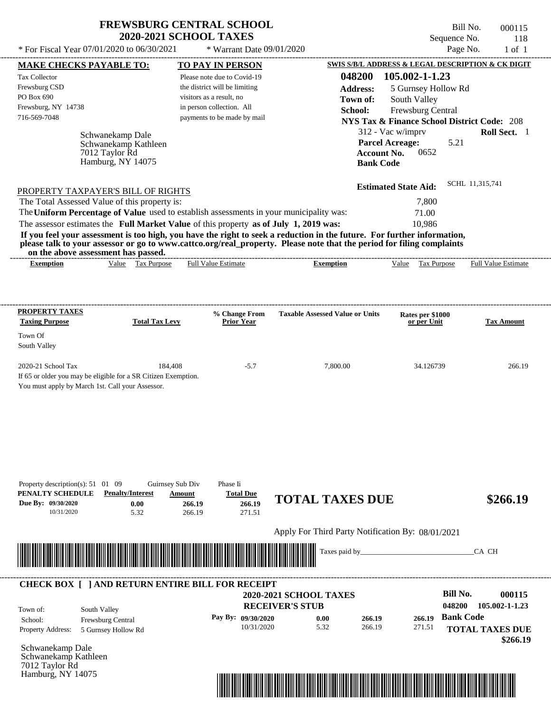| <b>FREWSBURG CENTRAL SCHOOL</b> |
|---------------------------------|
| <b>2020-2021 SCHOOL TAXES</b>   |

 $*$  For Fiscal Year 07/01/2020 to 06/30/2021

 $*$  Warrant Date  $09/01/2020$ 

| <b>MAKE CHECKS PAYABLE TO:</b>                                                             |                                                          |                  | <b>TO PAY IN PERSON</b>          |                                                                                                                         |                    |                                                        |                  | SWIS S/B/L ADDRESS & LEGAL DESCRIPTION & CK DIGIT |
|--------------------------------------------------------------------------------------------|----------------------------------------------------------|------------------|----------------------------------|-------------------------------------------------------------------------------------------------------------------------|--------------------|--------------------------------------------------------|------------------|---------------------------------------------------|
| Tax Collector                                                                              |                                                          |                  | Please note due to Covid-19      |                                                                                                                         |                    | 048200 105.002-1-1.23                                  |                  |                                                   |
| Frewsburg CSD                                                                              |                                                          |                  | the district will be limiting    |                                                                                                                         | <b>Address:</b>    | 5 Gurnsey Hollow Rd                                    |                  |                                                   |
| PO Box 690                                                                                 |                                                          |                  | visitors as a result, no         |                                                                                                                         | Town of:           | South Valley                                           |                  |                                                   |
| Frewsburg, NY 14738                                                                        |                                                          |                  | in person collection. All        |                                                                                                                         | School:            | Frewsburg Central                                      |                  |                                                   |
| 716-569-7048                                                                               |                                                          |                  | payments to be made by mail      |                                                                                                                         |                    | <b>NYS Tax &amp; Finance School District Code: 208</b> |                  |                                                   |
|                                                                                            |                                                          |                  |                                  |                                                                                                                         |                    | 312 - Vac w/imprv                                      |                  | Roll Sect. 1                                      |
|                                                                                            | Schwanekamp Dale                                         |                  |                                  |                                                                                                                         |                    | <b>Parcel Acreage:</b>                                 | 5.21             |                                                   |
|                                                                                            | Schwanekamp Kathleen<br>7012 Taylor Rd                   |                  |                                  |                                                                                                                         | <b>Account No.</b> | 0652                                                   |                  |                                                   |
|                                                                                            | Hamburg, NY 14075                                        |                  |                                  |                                                                                                                         | <b>Bank Code</b>   |                                                        |                  |                                                   |
|                                                                                            |                                                          |                  |                                  |                                                                                                                         |                    |                                                        |                  |                                                   |
| PROPERTY TAXPAYER'S BILL OF RIGHTS                                                         |                                                          |                  |                                  |                                                                                                                         |                    | <b>Estimated State Aid:</b>                            |                  | SCHL 11,315,741                                   |
| The Total Assessed Value of this property is:                                              |                                                          |                  |                                  |                                                                                                                         |                    | 7,800                                                  |                  |                                                   |
|                                                                                            |                                                          |                  |                                  | The Uniform Percentage of Value used to establish assessments in your municipality was:                                 |                    | 71.00                                                  |                  |                                                   |
| The assessor estimates the Full Market Value of this property as of July 1, 2019 was:      |                                                          |                  |                                  |                                                                                                                         |                    | 10,986                                                 |                  |                                                   |
|                                                                                            |                                                          |                  |                                  | If you feel your assessment is too high, you have the right to seek a reduction in the future. For further information, |                    |                                                        |                  |                                                   |
|                                                                                            |                                                          |                  |                                  | please talk to your assessor or go to www.cattco.org/real_property. Please note that the period for filing complaints   |                    |                                                        |                  |                                                   |
| <b>Exemption</b>                                                                           | on the above assessment has passed.<br>Value Tax Purpose |                  | <b>Full Value Estimate</b>       | <b>Exemption</b>                                                                                                        |                    | Value Tax Purpose                                      |                  | <b>Full Value Estimate</b>                        |
|                                                                                            |                                                          |                  |                                  |                                                                                                                         |                    |                                                        |                  |                                                   |
|                                                                                            |                                                          |                  |                                  |                                                                                                                         |                    |                                                        |                  |                                                   |
|                                                                                            |                                                          |                  |                                  |                                                                                                                         |                    |                                                        |                  |                                                   |
| <b>PROPERTY TAXES</b><br><b>Taxing Purpose</b>                                             | <b>Total Tax Levy</b>                                    |                  | % Change From<br>Prior Year      | <b>Taxable Assessed Value or Units</b>                                                                                  |                    | Rates per \$1000<br>or per Unit                        |                  | <b>Tax Amount</b>                                 |
|                                                                                            |                                                          |                  |                                  |                                                                                                                         |                    |                                                        |                  |                                                   |
| Town Of                                                                                    |                                                          |                  |                                  |                                                                                                                         |                    |                                                        |                  |                                                   |
| South Valley                                                                               |                                                          |                  |                                  |                                                                                                                         |                    |                                                        |                  |                                                   |
|                                                                                            |                                                          |                  |                                  |                                                                                                                         |                    |                                                        |                  |                                                   |
| 2020-21 School Tax                                                                         |                                                          | 184,408          | $-5.7$                           | 7,800.00                                                                                                                |                    | 34.126739                                              |                  | 266.19                                            |
| If 65 or older you may be eligible for a SR Citizen Exemption.                             |                                                          |                  |                                  |                                                                                                                         |                    |                                                        |                  |                                                   |
| You must apply by March 1st. Call your Assessor.                                           |                                                          |                  |                                  |                                                                                                                         |                    |                                                        |                  |                                                   |
|                                                                                            |                                                          |                  |                                  |                                                                                                                         |                    |                                                        |                  |                                                   |
|                                                                                            |                                                          |                  |                                  |                                                                                                                         |                    |                                                        |                  |                                                   |
|                                                                                            |                                                          |                  |                                  |                                                                                                                         |                    |                                                        |                  |                                                   |
|                                                                                            |                                                          |                  |                                  |                                                                                                                         |                    |                                                        |                  |                                                   |
|                                                                                            |                                                          |                  |                                  |                                                                                                                         |                    |                                                        |                  |                                                   |
|                                                                                            |                                                          |                  |                                  |                                                                                                                         |                    |                                                        |                  |                                                   |
| Property description(s): $51 \quad 01 \quad 09$                                            |                                                          | Guirnsey Sub Div | Phase Ii                         |                                                                                                                         |                    |                                                        |                  |                                                   |
| PENALTY SCHEDULE                                                                           | <b>Penalty/Interest</b>                                  | Amount           | <b>Total Due</b>                 |                                                                                                                         |                    |                                                        |                  |                                                   |
| Due By: 09/30/2020                                                                         | 0.00                                                     | 266.19           | 266.19                           | <b>TOTAL TAXES DUE</b>                                                                                                  |                    |                                                        |                  | \$266.19                                          |
| 10/31/2020                                                                                 | 5.32                                                     | 266.19           | 271.51                           |                                                                                                                         |                    |                                                        |                  |                                                   |
|                                                                                            |                                                          |                  |                                  | Apply For Third Party Notification By: 08/01/2021                                                                       |                    |                                                        |                  |                                                   |
|                                                                                            |                                                          |                  |                                  |                                                                                                                         |                    |                                                        |                  |                                                   |
| <u> 1989 - Andrea Stadt Britain, fransk politik (f. 1989)</u>                              |                                                          |                  |                                  | Taxes paid by_                                                                                                          |                    |                                                        |                  | CA CH                                             |
|                                                                                            |                                                          |                  |                                  |                                                                                                                         |                    |                                                        |                  |                                                   |
|                                                                                            | <b>CHECK BOX [ ] AND RETURN ENTIRE BILL FOR RECEIPT</b>  |                  |                                  |                                                                                                                         |                    |                                                        |                  |                                                   |
|                                                                                            |                                                          |                  |                                  | 2020-2021 SCHOOL TAXES                                                                                                  |                    |                                                        | <b>Bill No.</b>  | 000115                                            |
|                                                                                            |                                                          |                  |                                  | <b>RECEIVER'S STUB</b>                                                                                                  |                    |                                                        | 048200           | 105.002-1-1.23                                    |
| Town of:                                                                                   | South Valley                                             |                  |                                  |                                                                                                                         |                    |                                                        | <b>Bank Code</b> |                                                   |
|                                                                                            | Frewsburg Central                                        |                  | Pay By: 09/30/2020<br>10/31/2020 | 0.00<br>5.32                                                                                                            | 266.19<br>266.19   | 266.19<br>271.51                                       |                  |                                                   |
|                                                                                            |                                                          |                  |                                  |                                                                                                                         |                    |                                                        |                  | <b>TOTAL TAXES DUE</b>                            |
|                                                                                            | 5 Gurnsey Hollow Rd                                      |                  |                                  |                                                                                                                         |                    |                                                        |                  |                                                   |
|                                                                                            |                                                          |                  |                                  |                                                                                                                         |                    |                                                        |                  | \$266.19                                          |
|                                                                                            |                                                          |                  |                                  |                                                                                                                         |                    |                                                        |                  |                                                   |
| School:<br>Property Address:<br>Schwanekamp Dale<br>Schwanekamp Kathleen<br>7012 Taylor Rd |                                                          |                  |                                  |                                                                                                                         |                    |                                                        |                  |                                                   |

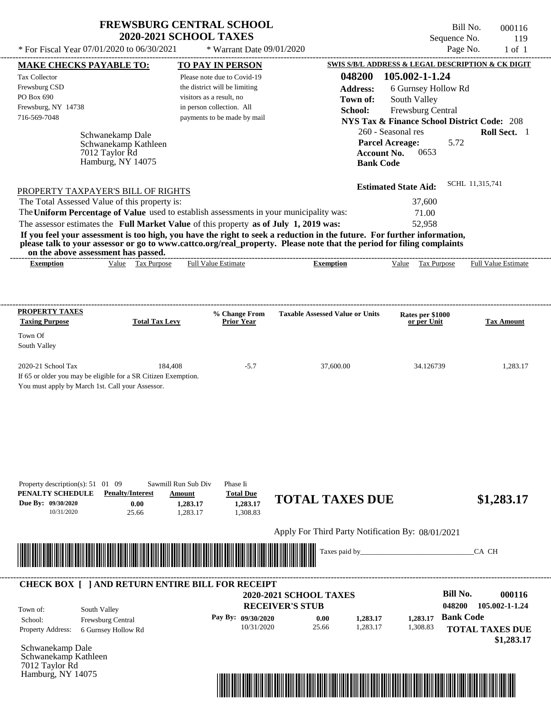| <b>FREWSBURG CENTRAL SCHOOL</b> |
|---------------------------------|
| <b>2020-2021 SCHOOL TAXES</b>   |

| * For Fiscal Year 07/01/2020 to 06/30/2021                                                                                                                                                                                                                                                                                                                                       |                                                       | * Warrant Date 09/01/2020                            |                                                   |                                                        | Page No.                   | $1$ of $1$        |
|----------------------------------------------------------------------------------------------------------------------------------------------------------------------------------------------------------------------------------------------------------------------------------------------------------------------------------------------------------------------------------|-------------------------------------------------------|------------------------------------------------------|---------------------------------------------------|--------------------------------------------------------|----------------------------|-------------------|
| <b>MAKE CHECKS PAYABLE TO:</b>                                                                                                                                                                                                                                                                                                                                                   |                                                       | <b>TO PAY IN PERSON</b>                              |                                                   | SWIS S/B/L ADDRESS & LEGAL DESCRIPTION & CK DIGIT      |                            |                   |
| Tax Collector                                                                                                                                                                                                                                                                                                                                                                    |                                                       | Please note due to Covid-19                          | 048200                                            | 105.002-1-1.24                                         |                            |                   |
| Frewsburg CSD                                                                                                                                                                                                                                                                                                                                                                    |                                                       | the district will be limiting                        | <b>Address:</b>                                   | 6 Gurnsey Hollow Rd                                    |                            |                   |
| PO Box 690                                                                                                                                                                                                                                                                                                                                                                       |                                                       | visitors as a result, no                             | Town of:                                          | South Valley                                           |                            |                   |
| Frewsburg, NY 14738<br>716-569-7048                                                                                                                                                                                                                                                                                                                                              |                                                       | in person collection. All                            | School:                                           | Frewsburg Central                                      |                            |                   |
|                                                                                                                                                                                                                                                                                                                                                                                  |                                                       | payments to be made by mail                          |                                                   | <b>NYS Tax &amp; Finance School District Code: 208</b> |                            |                   |
| Schwanekamp Dale<br>Schwanekamp Kathleen                                                                                                                                                                                                                                                                                                                                         |                                                       |                                                      |                                                   | 260 - Seasonal res<br><b>Parcel Acreage:</b>           | 5.72                       | Roll Sect. 1      |
| 7012 Taylor Rd<br>Hamburg, NY 14075                                                                                                                                                                                                                                                                                                                                              |                                                       |                                                      |                                                   | <b>Account No.</b><br>0653<br><b>Bank Code</b>         |                            |                   |
| PROPERTY TAXPAYER'S BILL OF RIGHTS                                                                                                                                                                                                                                                                                                                                               |                                                       |                                                      |                                                   | <b>Estimated State Aid:</b>                            | SCHL 11,315,741            |                   |
| The Total Assessed Value of this property is:                                                                                                                                                                                                                                                                                                                                    |                                                       |                                                      |                                                   | 37,600                                                 |                            |                   |
| The Uniform Percentage of Value used to establish assessments in your municipality was:                                                                                                                                                                                                                                                                                          |                                                       |                                                      |                                                   | 71.00                                                  |                            |                   |
| The assessor estimates the Full Market Value of this property as of July 1, 2019 was:<br>If you feel your assessment is too high, you have the right to seek a reduction in the future. For further information,<br>please talk to your assessor or go to www.cattco.org/real_property. Please note that the period for filing complaints<br>on the above assessment has passed. |                                                       |                                                      |                                                   | 52,958                                                 |                            |                   |
| Value Tax Purpose<br><b>Exemption</b>                                                                                                                                                                                                                                                                                                                                            |                                                       | <b>Full Value Estimate</b>                           | <b>Exemption</b>                                  | Value Tax Purpose                                      | <b>Full Value Estimate</b> |                   |
| <b>PROPERTY TAXES</b>                                                                                                                                                                                                                                                                                                                                                            |                                                       |                                                      |                                                   |                                                        |                            |                   |
| <b>Taxing Purpose</b>                                                                                                                                                                                                                                                                                                                                                            | <b>Total Tax Levy</b>                                 | % Change From<br><b>Prior Year</b>                   | <b>Taxable Assessed Value or Units</b>            | Rates per \$1000<br>or per Unit                        |                            | <b>Tax Amount</b> |
| Town Of                                                                                                                                                                                                                                                                                                                                                                          |                                                       |                                                      |                                                   |                                                        |                            |                   |
| South Valley                                                                                                                                                                                                                                                                                                                                                                     |                                                       |                                                      |                                                   |                                                        |                            |                   |
|                                                                                                                                                                                                                                                                                                                                                                                  |                                                       |                                                      |                                                   |                                                        |                            |                   |
| 2020-21 School Tax<br>If 65 or older you may be eligible for a SR Citizen Exemption.<br>You must apply by March 1st. Call your Assessor.                                                                                                                                                                                                                                         | 184,408                                               | $-5.7$                                               | 37,600.00                                         | 34.126739                                              |                            | 1,283.17          |
| Property description(s): $51 \quad 01 \quad 09$<br>PENALTY SCHEDULE<br><b>Penalty/Interest</b><br>Due By: 09/30/2020<br>0.00<br>10/31/2020<br>25.66                                                                                                                                                                                                                              | Sawmill Run Sub Div<br>Amount<br>1,283.17<br>1,283.17 | Phase Ii<br><b>Total Due</b><br>1,283.17<br>1,308.83 | <b>TOTAL TAXES DUE</b>                            |                                                        |                            | \$1,283.17        |
|                                                                                                                                                                                                                                                                                                                                                                                  |                                                       |                                                      | Apply For Third Party Notification By: 08/01/2021 |                                                        |                            |                   |
|                                                                                                                                                                                                                                                                                                                                                                                  |                                                       |                                                      | Taxes paid by_                                    |                                                        | CA CH                      |                   |
|                                                                                                                                                                                                                                                                                                                                                                                  |                                                       |                                                      |                                                   |                                                        |                            |                   |
| <b>CHECK BOX [ ] AND RETURN ENTIRE BILL FOR RECEIPT</b>                                                                                                                                                                                                                                                                                                                          |                                                       |                                                      | 2020-2021 SCHOOL TAXES                            |                                                        | <b>Bill No.</b>            | 000116            |
|                                                                                                                                                                                                                                                                                                                                                                                  |                                                       |                                                      | <b>RECEIVER'S STUB</b>                            |                                                        | 048200                     | 105.002-1-1.24    |
| South Valley<br>Town of:                                                                                                                                                                                                                                                                                                                                                         |                                                       |                                                      |                                                   |                                                        | <b>Bank Code</b>           |                   |
| Frewsburg Central<br>School:                                                                                                                                                                                                                                                                                                                                                     |                                                       | Pay By: 09/30/2020<br>10/31/2020                     | 0.00<br>1,283.17<br>1,283.17<br>25.66             | 1,283.17<br>1,308.83                                   |                            |                   |
| <b>Property Address:</b><br>6 Gurnsey Hollow Rd                                                                                                                                                                                                                                                                                                                                  |                                                       |                                                      |                                                   |                                                        | <b>TOTAL TAXES DUE</b>     | \$1,283.17        |
| Schwanekamp Dale<br>Schwanekamp Kathleen<br>7012 Taylor Rd<br>Hamburg, NY 14075                                                                                                                                                                                                                                                                                                  |                                                       |                                                      |                                                   |                                                        |                            |                   |

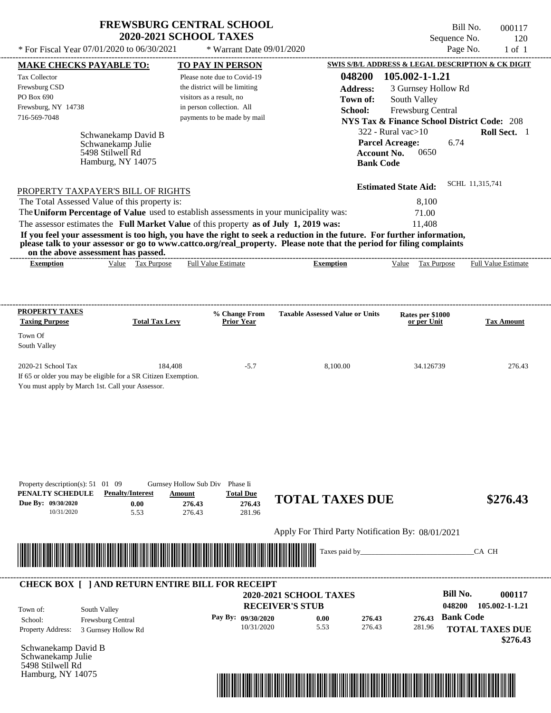| <b>FREWSBURG CENTRAL SCHOOL</b> |
|---------------------------------|
| <b>2020-2021 SCHOOL TAXES</b>   |

Bill No. 000117 Sequence No. 120  $*$  For Fiscal Year 07/01/2020 to 06/30/2021  $*$  Warrant Date 09/01/2020 Page No. 1 of 1

| <b>MAKE CHECKS PAYABLE TO:</b>                                                                                                                               |                                          | <b>TO PAY IN PERSON</b>       |                    |                                                   |                    | SWIS S/B/L ADDRESS & LEGAL DESCRIPTION & CK DIGIT      |                  |                        |
|--------------------------------------------------------------------------------------------------------------------------------------------------------------|------------------------------------------|-------------------------------|--------------------|---------------------------------------------------|--------------------|--------------------------------------------------------|------------------|------------------------|
| <b>Tax Collector</b>                                                                                                                                         |                                          | Please note due to Covid-19   |                    |                                                   | 048200             | 105.002-1-1.21                                         |                  |                        |
| Frewsburg CSD                                                                                                                                                |                                          | the district will be limiting |                    |                                                   | <b>Address:</b>    | 3 Gurnsey Hollow Rd                                    |                  |                        |
| PO Box 690                                                                                                                                                   |                                          | visitors as a result, no      |                    |                                                   | Town of:           | South Valley                                           |                  |                        |
| Frewsburg, NY 14738                                                                                                                                          |                                          | in person collection. All     |                    |                                                   | School:            | Frewsburg Central                                      |                  |                        |
| 716-569-7048                                                                                                                                                 |                                          | payments to be made by mail   |                    |                                                   |                    | <b>NYS Tax &amp; Finance School District Code: 208</b> |                  |                        |
|                                                                                                                                                              |                                          |                               |                    |                                                   |                    | $322$ - Rural vac $>10$                                |                  | Roll Sect. 1           |
|                                                                                                                                                              | Schwanekamp David B<br>Schwanekamp Julie |                               |                    |                                                   |                    | <b>Parcel Acreage:</b>                                 | 6.74             |                        |
|                                                                                                                                                              | 5498 Stilwell Rd                         |                               |                    |                                                   | <b>Account No.</b> | 0650                                                   |                  |                        |
|                                                                                                                                                              | Hamburg, NY 14075                        |                               |                    |                                                   | <b>Bank Code</b>   |                                                        |                  |                        |
|                                                                                                                                                              |                                          |                               |                    |                                                   |                    |                                                        |                  |                        |
| PROPERTY TAXPAYER'S BILL OF RIGHTS                                                                                                                           |                                          |                               |                    |                                                   |                    | <b>Estimated State Aid:</b>                            |                  | SCHL 11,315,741        |
| The Total Assessed Value of this property is:                                                                                                                |                                          |                               |                    |                                                   |                    | 8,100                                                  |                  |                        |
| The Uniform Percentage of Value used to establish assessments in your municipality was:                                                                      |                                          |                               |                    |                                                   |                    | 71.00                                                  |                  |                        |
| The assessor estimates the Full Market Value of this property as of July 1, 2019 was:                                                                        |                                          |                               |                    |                                                   |                    | 11,408                                                 |                  |                        |
| If you feel your assessment is too high, you have the right to seek a reduction in the future. For further information,                                      |                                          |                               |                    |                                                   |                    |                                                        |                  |                        |
| please talk to your assessor or go to www.cattco.org/real_property. Please note that the period for filing complaints<br>on the above assessment has passed. |                                          |                               |                    |                                                   |                    |                                                        |                  |                        |
| <b>Exemption</b>                                                                                                                                             | Value Tax Purpose                        | <b>Full Value Estimate</b>    |                    | <b>Exemption</b>                                  |                    | Value Tax Purpose Full Value Estimate                  |                  |                        |
|                                                                                                                                                              |                                          |                               |                    |                                                   |                    |                                                        |                  |                        |
|                                                                                                                                                              |                                          |                               |                    |                                                   |                    |                                                        |                  |                        |
| <b>PROPERTY TAXES</b>                                                                                                                                        |                                          |                               | % Change From      | <b>Taxable Assessed Value or Units</b>            |                    | Rates per \$1000                                       |                  |                        |
| <b>Taxing Purpose</b>                                                                                                                                        | <b>Total Tax Levy</b>                    |                               | <b>Prior Year</b>  |                                                   |                    | or per Unit                                            |                  | <b>Tax Amount</b>      |
| Town Of                                                                                                                                                      |                                          |                               |                    |                                                   |                    |                                                        |                  |                        |
| South Valley                                                                                                                                                 |                                          |                               |                    |                                                   |                    |                                                        |                  |                        |
|                                                                                                                                                              |                                          |                               |                    |                                                   |                    |                                                        |                  |                        |
| 2020-21 School Tax                                                                                                                                           |                                          | 184,408                       | $-5.7$             |                                                   | 8,100.00           | 34.126739                                              |                  | 276.43                 |
| If 65 or older you may be eligible for a SR Citizen Exemption.                                                                                               |                                          |                               |                    |                                                   |                    |                                                        |                  |                        |
| You must apply by March 1st. Call your Assessor.                                                                                                             |                                          |                               |                    |                                                   |                    |                                                        |                  |                        |
|                                                                                                                                                              |                                          |                               |                    |                                                   |                    |                                                        |                  |                        |
|                                                                                                                                                              |                                          |                               |                    |                                                   |                    |                                                        |                  |                        |
|                                                                                                                                                              |                                          |                               |                    |                                                   |                    |                                                        |                  |                        |
|                                                                                                                                                              |                                          |                               |                    |                                                   |                    |                                                        |                  |                        |
|                                                                                                                                                              |                                          |                               |                    |                                                   |                    |                                                        |                  |                        |
|                                                                                                                                                              |                                          |                               |                    |                                                   |                    |                                                        |                  |                        |
| Property description(s): $51 \quad 01 \quad 09$                                                                                                              |                                          | Gurnsey Hollow Sub Div        | Phase Ii           |                                                   |                    |                                                        |                  |                        |
| PENALTY SCHEDULE                                                                                                                                             | <b>Penalty/Interest</b>                  | Amount                        | <b>Total Due</b>   | <b>TOTAL TAXES DUE</b>                            |                    |                                                        |                  | \$276.43               |
| Due By: 09/30/2020<br>10/31/2020                                                                                                                             | 0.00<br>5.53                             | 276.43<br>276.43              | 276.43<br>281.96   |                                                   |                    |                                                        |                  |                        |
|                                                                                                                                                              |                                          |                               |                    |                                                   |                    |                                                        |                  |                        |
|                                                                                                                                                              |                                          |                               |                    | Apply For Third Party Notification By: 08/01/2021 |                    |                                                        |                  |                        |
|                                                                                                                                                              |                                          |                               |                    |                                                   | Taxes paid by_     |                                                        |                  | CA CH                  |
| <u> Indian American State of Barbara and Barbara and Barbara and Barbara and Barbara and Barbara and Barbara and Ba</u>                                      |                                          |                               |                    |                                                   |                    |                                                        |                  |                        |
|                                                                                                                                                              |                                          |                               |                    |                                                   |                    |                                                        |                  |                        |
| <b>CHECK BOX [ ] AND RETURN ENTIRE BILL FOR RECEIPT</b>                                                                                                      |                                          |                               |                    |                                                   |                    |                                                        |                  |                        |
|                                                                                                                                                              |                                          |                               |                    | <b>2020-2021 SCHOOL TAXES</b>                     |                    |                                                        | <b>Bill No.</b>  | 000117                 |
| Town of:                                                                                                                                                     | South Valley                             |                               |                    | <b>RECEIVER'S STUB</b>                            |                    |                                                        | 048200           | 105.002-1-1.21         |
| School:                                                                                                                                                      | Frewsburg Central                        |                               | Pay By: 09/30/2020 | 0.00                                              | 276.43             | 276.43                                                 | <b>Bank Code</b> |                        |
| <b>Property Address:</b>                                                                                                                                     | 3 Gurnsey Hollow Rd                      |                               | 10/31/2020         | 5.53                                              | 276.43             | 281.96                                                 |                  | <b>TOTAL TAXES DUE</b> |
|                                                                                                                                                              |                                          |                               |                    |                                                   |                    |                                                        |                  | \$276.43               |
| Schwanekamp David B<br>Schwanekamp Julie                                                                                                                     |                                          |                               |                    |                                                   |                    |                                                        |                  |                        |
| 5498 Stilwell Rd                                                                                                                                             |                                          |                               |                    |                                                   |                    |                                                        |                  |                        |
| Hamburg, NY 14075                                                                                                                                            |                                          |                               |                    |                                                   |                    |                                                        |                  |                        |
|                                                                                                                                                              |                                          |                               |                    |                                                   |                    |                                                        |                  |                        |

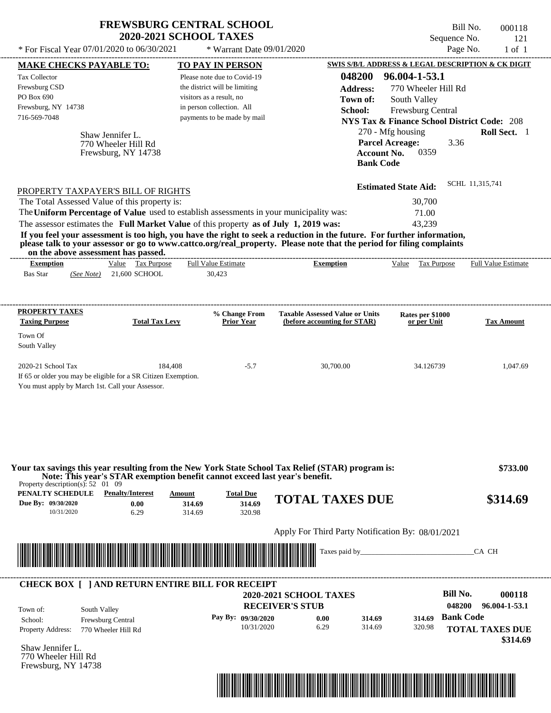| <b>FREWSBURG CENTRAL SCHOOL</b> |  |
|---------------------------------|--|
| <b>2020-2021 SCHOOL TAXES</b>   |  |

Bill No. 000118 Sequence No. 121<br>Page No. 1 of 1  $*$  For Fiscal Year 07/01/2020 to 06/30/2021  $*$  Warrant Date 09/01/2020 Page No. 1 of 1

| <b>SWIS S/B/L ADDRESS &amp; LEGAL DESCRIPTION &amp; CK DIGIT</b><br><b>MAKE CHECKS PAYABLE TO:</b><br><b>TO PAY IN PERSON</b><br>048200<br>96.004-1-53.1<br>Please note due to Covid-19<br>the district will be limiting<br>770 Wheeler Hill Rd<br><b>Address:</b><br>visitors as a result, no<br>South Valley<br>Town of:<br>in person collection. All<br>School:<br>Frewsburg Central<br>payments to be made by mail<br><b>NYS Tax &amp; Finance School District Code: 208</b><br>270 - Mfg housing<br>Roll Sect. 1<br>Shaw Jennifer L.<br><b>Parcel Acreage:</b><br>3.36<br>770 Wheeler Hill Rd<br>0359<br><b>Account No.</b><br>Frewsburg, NY 14738<br><b>Bank Code</b><br>SCHL 11,315,741<br><b>Estimated State Aid:</b><br>PROPERTY TAXPAYER'S BILL OF RIGHTS<br>The Total Assessed Value of this property is:<br>30,700<br>The Uniform Percentage of Value used to establish assessments in your municipality was:<br>71.00<br>The assessor estimates the Full Market Value of this property as of July 1, 2019 was:<br>43,239<br>If you feel your assessment is too high, you have the right to seek a reduction in the future. For further information,<br>please talk to your assessor or go to www.cattco.org/real_property. Please note that the period for filing complaints<br>on the above assessment has passed.<br>Value Tax Purpose<br><b>Full Value Estimate</b><br><b>Exemption</b><br>Value Tax Purpose<br><b>Full Value Estimate</b><br><b>Exemption</b><br>(See Note) 21,600 SCHOOL<br>30,423<br>% Change From<br><b>Taxable Assessed Value or Units</b><br>Rates per \$1000<br><b>Total Tax Levy</b><br><b>Prior Year</b><br>(before accounting for STAR)<br><b>Tax Amount</b><br>or per Unit<br>South Valley<br>184,408<br>$-5.7$<br>30,700.00<br>34.126739<br>If 65 or older you may be eligible for a SR Citizen Exemption.<br>You must apply by March 1st. Call your Assessor.<br>Your tax savings this year resulting from the New York State School Tax Relief (STAR) program is:<br>\$733.00<br>Note: This year's STAR exemption benefit cannot exceed last year's benefit.<br>Property description(s): $52 \quad 01 \quad 09$<br>PENALTY SCHEDULE<br><b>Penalty/Interest</b><br><b>Total Due</b><br>Amount<br><b>TOTAL TAXES DUE</b><br>\$314.69<br>Due By: 09/30/2020<br>314.69<br>0.00<br>314.69<br>10/31/2020<br>6.29<br>314.69<br>320.98<br>Apply For Third Party Notification By: 08/01/2021<br><u> Indian American State of Barbara and The Barbara and The Barbara and The Barbara and The Barbara and The Barbara and The Barbara and The Barbara and The Barbara and The Barbara and The Barbara and The Barbara and The Bar</u><br>Taxes paid by_<br>CA CH<br><b>CHECK BOX [ ] AND RETURN ENTIRE BILL FOR RECEIPT</b><br><b>Bill No.</b><br>000118<br><b>2020-2021 SCHOOL TAXES</b><br>048200<br><b>RECEIVER'S STUB</b><br>96.004-1-53.1<br>South Valley<br><b>Bank Code</b><br>Pay By: 09/30/2020<br>0.00<br>314.69<br>314.69<br>Frewsburg Central<br>6.29<br>314.69<br>10/31/2020<br>320.98<br><b>TOTAL TAXES DUE</b><br>770 Wheeler Hill Rd<br>770 Wheeler Hill Rd |                          |  |  |  |          |
|-----------------------------------------------------------------------------------------------------------------------------------------------------------------------------------------------------------------------------------------------------------------------------------------------------------------------------------------------------------------------------------------------------------------------------------------------------------------------------------------------------------------------------------------------------------------------------------------------------------------------------------------------------------------------------------------------------------------------------------------------------------------------------------------------------------------------------------------------------------------------------------------------------------------------------------------------------------------------------------------------------------------------------------------------------------------------------------------------------------------------------------------------------------------------------------------------------------------------------------------------------------------------------------------------------------------------------------------------------------------------------------------------------------------------------------------------------------------------------------------------------------------------------------------------------------------------------------------------------------------------------------------------------------------------------------------------------------------------------------------------------------------------------------------------------------------------------------------------------------------------------------------------------------------------------------------------------------------------------------------------------------------------------------------------------------------------------------------------------------------------------------------------------------------------------------------------------------------------------------------------------------------------------------------------------------------------------------------------------------------------------------------------------------------------------------------------------------------------------------------------------------------------------------------------------------------------------------------------------------------------------------------------------------------------------------------------------------------------------------------------------------------------------------------------------------------------------------------------------------------------------------------------------------------------------------------------------------------------------------------------------------------------------------------------------------------------------------------------------------------|--------------------------|--|--|--|----------|
|                                                                                                                                                                                                                                                                                                                                                                                                                                                                                                                                                                                                                                                                                                                                                                                                                                                                                                                                                                                                                                                                                                                                                                                                                                                                                                                                                                                                                                                                                                                                                                                                                                                                                                                                                                                                                                                                                                                                                                                                                                                                                                                                                                                                                                                                                                                                                                                                                                                                                                                                                                                                                                                                                                                                                                                                                                                                                                                                                                                                                                                                                                                 |                          |  |  |  |          |
|                                                                                                                                                                                                                                                                                                                                                                                                                                                                                                                                                                                                                                                                                                                                                                                                                                                                                                                                                                                                                                                                                                                                                                                                                                                                                                                                                                                                                                                                                                                                                                                                                                                                                                                                                                                                                                                                                                                                                                                                                                                                                                                                                                                                                                                                                                                                                                                                                                                                                                                                                                                                                                                                                                                                                                                                                                                                                                                                                                                                                                                                                                                 | <b>Tax Collector</b>     |  |  |  |          |
|                                                                                                                                                                                                                                                                                                                                                                                                                                                                                                                                                                                                                                                                                                                                                                                                                                                                                                                                                                                                                                                                                                                                                                                                                                                                                                                                                                                                                                                                                                                                                                                                                                                                                                                                                                                                                                                                                                                                                                                                                                                                                                                                                                                                                                                                                                                                                                                                                                                                                                                                                                                                                                                                                                                                                                                                                                                                                                                                                                                                                                                                                                                 | Frewsburg CSD            |  |  |  |          |
|                                                                                                                                                                                                                                                                                                                                                                                                                                                                                                                                                                                                                                                                                                                                                                                                                                                                                                                                                                                                                                                                                                                                                                                                                                                                                                                                                                                                                                                                                                                                                                                                                                                                                                                                                                                                                                                                                                                                                                                                                                                                                                                                                                                                                                                                                                                                                                                                                                                                                                                                                                                                                                                                                                                                                                                                                                                                                                                                                                                                                                                                                                                 | PO Box 690               |  |  |  |          |
|                                                                                                                                                                                                                                                                                                                                                                                                                                                                                                                                                                                                                                                                                                                                                                                                                                                                                                                                                                                                                                                                                                                                                                                                                                                                                                                                                                                                                                                                                                                                                                                                                                                                                                                                                                                                                                                                                                                                                                                                                                                                                                                                                                                                                                                                                                                                                                                                                                                                                                                                                                                                                                                                                                                                                                                                                                                                                                                                                                                                                                                                                                                 | Frewsburg, NY 14738      |  |  |  |          |
|                                                                                                                                                                                                                                                                                                                                                                                                                                                                                                                                                                                                                                                                                                                                                                                                                                                                                                                                                                                                                                                                                                                                                                                                                                                                                                                                                                                                                                                                                                                                                                                                                                                                                                                                                                                                                                                                                                                                                                                                                                                                                                                                                                                                                                                                                                                                                                                                                                                                                                                                                                                                                                                                                                                                                                                                                                                                                                                                                                                                                                                                                                                 | 716-569-7048             |  |  |  |          |
|                                                                                                                                                                                                                                                                                                                                                                                                                                                                                                                                                                                                                                                                                                                                                                                                                                                                                                                                                                                                                                                                                                                                                                                                                                                                                                                                                                                                                                                                                                                                                                                                                                                                                                                                                                                                                                                                                                                                                                                                                                                                                                                                                                                                                                                                                                                                                                                                                                                                                                                                                                                                                                                                                                                                                                                                                                                                                                                                                                                                                                                                                                                 |                          |  |  |  |          |
|                                                                                                                                                                                                                                                                                                                                                                                                                                                                                                                                                                                                                                                                                                                                                                                                                                                                                                                                                                                                                                                                                                                                                                                                                                                                                                                                                                                                                                                                                                                                                                                                                                                                                                                                                                                                                                                                                                                                                                                                                                                                                                                                                                                                                                                                                                                                                                                                                                                                                                                                                                                                                                                                                                                                                                                                                                                                                                                                                                                                                                                                                                                 |                          |  |  |  |          |
|                                                                                                                                                                                                                                                                                                                                                                                                                                                                                                                                                                                                                                                                                                                                                                                                                                                                                                                                                                                                                                                                                                                                                                                                                                                                                                                                                                                                                                                                                                                                                                                                                                                                                                                                                                                                                                                                                                                                                                                                                                                                                                                                                                                                                                                                                                                                                                                                                                                                                                                                                                                                                                                                                                                                                                                                                                                                                                                                                                                                                                                                                                                 |                          |  |  |  |          |
|                                                                                                                                                                                                                                                                                                                                                                                                                                                                                                                                                                                                                                                                                                                                                                                                                                                                                                                                                                                                                                                                                                                                                                                                                                                                                                                                                                                                                                                                                                                                                                                                                                                                                                                                                                                                                                                                                                                                                                                                                                                                                                                                                                                                                                                                                                                                                                                                                                                                                                                                                                                                                                                                                                                                                                                                                                                                                                                                                                                                                                                                                                                 |                          |  |  |  |          |
|                                                                                                                                                                                                                                                                                                                                                                                                                                                                                                                                                                                                                                                                                                                                                                                                                                                                                                                                                                                                                                                                                                                                                                                                                                                                                                                                                                                                                                                                                                                                                                                                                                                                                                                                                                                                                                                                                                                                                                                                                                                                                                                                                                                                                                                                                                                                                                                                                                                                                                                                                                                                                                                                                                                                                                                                                                                                                                                                                                                                                                                                                                                 |                          |  |  |  |          |
|                                                                                                                                                                                                                                                                                                                                                                                                                                                                                                                                                                                                                                                                                                                                                                                                                                                                                                                                                                                                                                                                                                                                                                                                                                                                                                                                                                                                                                                                                                                                                                                                                                                                                                                                                                                                                                                                                                                                                                                                                                                                                                                                                                                                                                                                                                                                                                                                                                                                                                                                                                                                                                                                                                                                                                                                                                                                                                                                                                                                                                                                                                                 |                          |  |  |  |          |
|                                                                                                                                                                                                                                                                                                                                                                                                                                                                                                                                                                                                                                                                                                                                                                                                                                                                                                                                                                                                                                                                                                                                                                                                                                                                                                                                                                                                                                                                                                                                                                                                                                                                                                                                                                                                                                                                                                                                                                                                                                                                                                                                                                                                                                                                                                                                                                                                                                                                                                                                                                                                                                                                                                                                                                                                                                                                                                                                                                                                                                                                                                                 |                          |  |  |  |          |
|                                                                                                                                                                                                                                                                                                                                                                                                                                                                                                                                                                                                                                                                                                                                                                                                                                                                                                                                                                                                                                                                                                                                                                                                                                                                                                                                                                                                                                                                                                                                                                                                                                                                                                                                                                                                                                                                                                                                                                                                                                                                                                                                                                                                                                                                                                                                                                                                                                                                                                                                                                                                                                                                                                                                                                                                                                                                                                                                                                                                                                                                                                                 |                          |  |  |  |          |
|                                                                                                                                                                                                                                                                                                                                                                                                                                                                                                                                                                                                                                                                                                                                                                                                                                                                                                                                                                                                                                                                                                                                                                                                                                                                                                                                                                                                                                                                                                                                                                                                                                                                                                                                                                                                                                                                                                                                                                                                                                                                                                                                                                                                                                                                                                                                                                                                                                                                                                                                                                                                                                                                                                                                                                                                                                                                                                                                                                                                                                                                                                                 |                          |  |  |  |          |
|                                                                                                                                                                                                                                                                                                                                                                                                                                                                                                                                                                                                                                                                                                                                                                                                                                                                                                                                                                                                                                                                                                                                                                                                                                                                                                                                                                                                                                                                                                                                                                                                                                                                                                                                                                                                                                                                                                                                                                                                                                                                                                                                                                                                                                                                                                                                                                                                                                                                                                                                                                                                                                                                                                                                                                                                                                                                                                                                                                                                                                                                                                                 |                          |  |  |  |          |
|                                                                                                                                                                                                                                                                                                                                                                                                                                                                                                                                                                                                                                                                                                                                                                                                                                                                                                                                                                                                                                                                                                                                                                                                                                                                                                                                                                                                                                                                                                                                                                                                                                                                                                                                                                                                                                                                                                                                                                                                                                                                                                                                                                                                                                                                                                                                                                                                                                                                                                                                                                                                                                                                                                                                                                                                                                                                                                                                                                                                                                                                                                                 |                          |  |  |  |          |
|                                                                                                                                                                                                                                                                                                                                                                                                                                                                                                                                                                                                                                                                                                                                                                                                                                                                                                                                                                                                                                                                                                                                                                                                                                                                                                                                                                                                                                                                                                                                                                                                                                                                                                                                                                                                                                                                                                                                                                                                                                                                                                                                                                                                                                                                                                                                                                                                                                                                                                                                                                                                                                                                                                                                                                                                                                                                                                                                                                                                                                                                                                                 |                          |  |  |  |          |
|                                                                                                                                                                                                                                                                                                                                                                                                                                                                                                                                                                                                                                                                                                                                                                                                                                                                                                                                                                                                                                                                                                                                                                                                                                                                                                                                                                                                                                                                                                                                                                                                                                                                                                                                                                                                                                                                                                                                                                                                                                                                                                                                                                                                                                                                                                                                                                                                                                                                                                                                                                                                                                                                                                                                                                                                                                                                                                                                                                                                                                                                                                                 |                          |  |  |  |          |
|                                                                                                                                                                                                                                                                                                                                                                                                                                                                                                                                                                                                                                                                                                                                                                                                                                                                                                                                                                                                                                                                                                                                                                                                                                                                                                                                                                                                                                                                                                                                                                                                                                                                                                                                                                                                                                                                                                                                                                                                                                                                                                                                                                                                                                                                                                                                                                                                                                                                                                                                                                                                                                                                                                                                                                                                                                                                                                                                                                                                                                                                                                                 | <b>Bas Star</b>          |  |  |  |          |
|                                                                                                                                                                                                                                                                                                                                                                                                                                                                                                                                                                                                                                                                                                                                                                                                                                                                                                                                                                                                                                                                                                                                                                                                                                                                                                                                                                                                                                                                                                                                                                                                                                                                                                                                                                                                                                                                                                                                                                                                                                                                                                                                                                                                                                                                                                                                                                                                                                                                                                                                                                                                                                                                                                                                                                                                                                                                                                                                                                                                                                                                                                                 |                          |  |  |  |          |
|                                                                                                                                                                                                                                                                                                                                                                                                                                                                                                                                                                                                                                                                                                                                                                                                                                                                                                                                                                                                                                                                                                                                                                                                                                                                                                                                                                                                                                                                                                                                                                                                                                                                                                                                                                                                                                                                                                                                                                                                                                                                                                                                                                                                                                                                                                                                                                                                                                                                                                                                                                                                                                                                                                                                                                                                                                                                                                                                                                                                                                                                                                                 | <b>PROPERTY TAXES</b>    |  |  |  |          |
|                                                                                                                                                                                                                                                                                                                                                                                                                                                                                                                                                                                                                                                                                                                                                                                                                                                                                                                                                                                                                                                                                                                                                                                                                                                                                                                                                                                                                                                                                                                                                                                                                                                                                                                                                                                                                                                                                                                                                                                                                                                                                                                                                                                                                                                                                                                                                                                                                                                                                                                                                                                                                                                                                                                                                                                                                                                                                                                                                                                                                                                                                                                 | <b>Taxing Purpose</b>    |  |  |  |          |
|                                                                                                                                                                                                                                                                                                                                                                                                                                                                                                                                                                                                                                                                                                                                                                                                                                                                                                                                                                                                                                                                                                                                                                                                                                                                                                                                                                                                                                                                                                                                                                                                                                                                                                                                                                                                                                                                                                                                                                                                                                                                                                                                                                                                                                                                                                                                                                                                                                                                                                                                                                                                                                                                                                                                                                                                                                                                                                                                                                                                                                                                                                                 | Town Of                  |  |  |  |          |
|                                                                                                                                                                                                                                                                                                                                                                                                                                                                                                                                                                                                                                                                                                                                                                                                                                                                                                                                                                                                                                                                                                                                                                                                                                                                                                                                                                                                                                                                                                                                                                                                                                                                                                                                                                                                                                                                                                                                                                                                                                                                                                                                                                                                                                                                                                                                                                                                                                                                                                                                                                                                                                                                                                                                                                                                                                                                                                                                                                                                                                                                                                                 |                          |  |  |  |          |
|                                                                                                                                                                                                                                                                                                                                                                                                                                                                                                                                                                                                                                                                                                                                                                                                                                                                                                                                                                                                                                                                                                                                                                                                                                                                                                                                                                                                                                                                                                                                                                                                                                                                                                                                                                                                                                                                                                                                                                                                                                                                                                                                                                                                                                                                                                                                                                                                                                                                                                                                                                                                                                                                                                                                                                                                                                                                                                                                                                                                                                                                                                                 |                          |  |  |  |          |
|                                                                                                                                                                                                                                                                                                                                                                                                                                                                                                                                                                                                                                                                                                                                                                                                                                                                                                                                                                                                                                                                                                                                                                                                                                                                                                                                                                                                                                                                                                                                                                                                                                                                                                                                                                                                                                                                                                                                                                                                                                                                                                                                                                                                                                                                                                                                                                                                                                                                                                                                                                                                                                                                                                                                                                                                                                                                                                                                                                                                                                                                                                                 | 2020-21 School Tax       |  |  |  | 1,047.69 |
|                                                                                                                                                                                                                                                                                                                                                                                                                                                                                                                                                                                                                                                                                                                                                                                                                                                                                                                                                                                                                                                                                                                                                                                                                                                                                                                                                                                                                                                                                                                                                                                                                                                                                                                                                                                                                                                                                                                                                                                                                                                                                                                                                                                                                                                                                                                                                                                                                                                                                                                                                                                                                                                                                                                                                                                                                                                                                                                                                                                                                                                                                                                 |                          |  |  |  |          |
|                                                                                                                                                                                                                                                                                                                                                                                                                                                                                                                                                                                                                                                                                                                                                                                                                                                                                                                                                                                                                                                                                                                                                                                                                                                                                                                                                                                                                                                                                                                                                                                                                                                                                                                                                                                                                                                                                                                                                                                                                                                                                                                                                                                                                                                                                                                                                                                                                                                                                                                                                                                                                                                                                                                                                                                                                                                                                                                                                                                                                                                                                                                 |                          |  |  |  |          |
|                                                                                                                                                                                                                                                                                                                                                                                                                                                                                                                                                                                                                                                                                                                                                                                                                                                                                                                                                                                                                                                                                                                                                                                                                                                                                                                                                                                                                                                                                                                                                                                                                                                                                                                                                                                                                                                                                                                                                                                                                                                                                                                                                                                                                                                                                                                                                                                                                                                                                                                                                                                                                                                                                                                                                                                                                                                                                                                                                                                                                                                                                                                 |                          |  |  |  |          |
|                                                                                                                                                                                                                                                                                                                                                                                                                                                                                                                                                                                                                                                                                                                                                                                                                                                                                                                                                                                                                                                                                                                                                                                                                                                                                                                                                                                                                                                                                                                                                                                                                                                                                                                                                                                                                                                                                                                                                                                                                                                                                                                                                                                                                                                                                                                                                                                                                                                                                                                                                                                                                                                                                                                                                                                                                                                                                                                                                                                                                                                                                                                 |                          |  |  |  |          |
|                                                                                                                                                                                                                                                                                                                                                                                                                                                                                                                                                                                                                                                                                                                                                                                                                                                                                                                                                                                                                                                                                                                                                                                                                                                                                                                                                                                                                                                                                                                                                                                                                                                                                                                                                                                                                                                                                                                                                                                                                                                                                                                                                                                                                                                                                                                                                                                                                                                                                                                                                                                                                                                                                                                                                                                                                                                                                                                                                                                                                                                                                                                 |                          |  |  |  |          |
|                                                                                                                                                                                                                                                                                                                                                                                                                                                                                                                                                                                                                                                                                                                                                                                                                                                                                                                                                                                                                                                                                                                                                                                                                                                                                                                                                                                                                                                                                                                                                                                                                                                                                                                                                                                                                                                                                                                                                                                                                                                                                                                                                                                                                                                                                                                                                                                                                                                                                                                                                                                                                                                                                                                                                                                                                                                                                                                                                                                                                                                                                                                 |                          |  |  |  |          |
|                                                                                                                                                                                                                                                                                                                                                                                                                                                                                                                                                                                                                                                                                                                                                                                                                                                                                                                                                                                                                                                                                                                                                                                                                                                                                                                                                                                                                                                                                                                                                                                                                                                                                                                                                                                                                                                                                                                                                                                                                                                                                                                                                                                                                                                                                                                                                                                                                                                                                                                                                                                                                                                                                                                                                                                                                                                                                                                                                                                                                                                                                                                 |                          |  |  |  |          |
|                                                                                                                                                                                                                                                                                                                                                                                                                                                                                                                                                                                                                                                                                                                                                                                                                                                                                                                                                                                                                                                                                                                                                                                                                                                                                                                                                                                                                                                                                                                                                                                                                                                                                                                                                                                                                                                                                                                                                                                                                                                                                                                                                                                                                                                                                                                                                                                                                                                                                                                                                                                                                                                                                                                                                                                                                                                                                                                                                                                                                                                                                                                 |                          |  |  |  |          |
|                                                                                                                                                                                                                                                                                                                                                                                                                                                                                                                                                                                                                                                                                                                                                                                                                                                                                                                                                                                                                                                                                                                                                                                                                                                                                                                                                                                                                                                                                                                                                                                                                                                                                                                                                                                                                                                                                                                                                                                                                                                                                                                                                                                                                                                                                                                                                                                                                                                                                                                                                                                                                                                                                                                                                                                                                                                                                                                                                                                                                                                                                                                 |                          |  |  |  |          |
|                                                                                                                                                                                                                                                                                                                                                                                                                                                                                                                                                                                                                                                                                                                                                                                                                                                                                                                                                                                                                                                                                                                                                                                                                                                                                                                                                                                                                                                                                                                                                                                                                                                                                                                                                                                                                                                                                                                                                                                                                                                                                                                                                                                                                                                                                                                                                                                                                                                                                                                                                                                                                                                                                                                                                                                                                                                                                                                                                                                                                                                                                                                 |                          |  |  |  |          |
|                                                                                                                                                                                                                                                                                                                                                                                                                                                                                                                                                                                                                                                                                                                                                                                                                                                                                                                                                                                                                                                                                                                                                                                                                                                                                                                                                                                                                                                                                                                                                                                                                                                                                                                                                                                                                                                                                                                                                                                                                                                                                                                                                                                                                                                                                                                                                                                                                                                                                                                                                                                                                                                                                                                                                                                                                                                                                                                                                                                                                                                                                                                 |                          |  |  |  |          |
|                                                                                                                                                                                                                                                                                                                                                                                                                                                                                                                                                                                                                                                                                                                                                                                                                                                                                                                                                                                                                                                                                                                                                                                                                                                                                                                                                                                                                                                                                                                                                                                                                                                                                                                                                                                                                                                                                                                                                                                                                                                                                                                                                                                                                                                                                                                                                                                                                                                                                                                                                                                                                                                                                                                                                                                                                                                                                                                                                                                                                                                                                                                 |                          |  |  |  |          |
|                                                                                                                                                                                                                                                                                                                                                                                                                                                                                                                                                                                                                                                                                                                                                                                                                                                                                                                                                                                                                                                                                                                                                                                                                                                                                                                                                                                                                                                                                                                                                                                                                                                                                                                                                                                                                                                                                                                                                                                                                                                                                                                                                                                                                                                                                                                                                                                                                                                                                                                                                                                                                                                                                                                                                                                                                                                                                                                                                                                                                                                                                                                 |                          |  |  |  |          |
|                                                                                                                                                                                                                                                                                                                                                                                                                                                                                                                                                                                                                                                                                                                                                                                                                                                                                                                                                                                                                                                                                                                                                                                                                                                                                                                                                                                                                                                                                                                                                                                                                                                                                                                                                                                                                                                                                                                                                                                                                                                                                                                                                                                                                                                                                                                                                                                                                                                                                                                                                                                                                                                                                                                                                                                                                                                                                                                                                                                                                                                                                                                 |                          |  |  |  |          |
|                                                                                                                                                                                                                                                                                                                                                                                                                                                                                                                                                                                                                                                                                                                                                                                                                                                                                                                                                                                                                                                                                                                                                                                                                                                                                                                                                                                                                                                                                                                                                                                                                                                                                                                                                                                                                                                                                                                                                                                                                                                                                                                                                                                                                                                                                                                                                                                                                                                                                                                                                                                                                                                                                                                                                                                                                                                                                                                                                                                                                                                                                                                 |                          |  |  |  |          |
|                                                                                                                                                                                                                                                                                                                                                                                                                                                                                                                                                                                                                                                                                                                                                                                                                                                                                                                                                                                                                                                                                                                                                                                                                                                                                                                                                                                                                                                                                                                                                                                                                                                                                                                                                                                                                                                                                                                                                                                                                                                                                                                                                                                                                                                                                                                                                                                                                                                                                                                                                                                                                                                                                                                                                                                                                                                                                                                                                                                                                                                                                                                 |                          |  |  |  |          |
|                                                                                                                                                                                                                                                                                                                                                                                                                                                                                                                                                                                                                                                                                                                                                                                                                                                                                                                                                                                                                                                                                                                                                                                                                                                                                                                                                                                                                                                                                                                                                                                                                                                                                                                                                                                                                                                                                                                                                                                                                                                                                                                                                                                                                                                                                                                                                                                                                                                                                                                                                                                                                                                                                                                                                                                                                                                                                                                                                                                                                                                                                                                 |                          |  |  |  |          |
|                                                                                                                                                                                                                                                                                                                                                                                                                                                                                                                                                                                                                                                                                                                                                                                                                                                                                                                                                                                                                                                                                                                                                                                                                                                                                                                                                                                                                                                                                                                                                                                                                                                                                                                                                                                                                                                                                                                                                                                                                                                                                                                                                                                                                                                                                                                                                                                                                                                                                                                                                                                                                                                                                                                                                                                                                                                                                                                                                                                                                                                                                                                 |                          |  |  |  |          |
|                                                                                                                                                                                                                                                                                                                                                                                                                                                                                                                                                                                                                                                                                                                                                                                                                                                                                                                                                                                                                                                                                                                                                                                                                                                                                                                                                                                                                                                                                                                                                                                                                                                                                                                                                                                                                                                                                                                                                                                                                                                                                                                                                                                                                                                                                                                                                                                                                                                                                                                                                                                                                                                                                                                                                                                                                                                                                                                                                                                                                                                                                                                 |                          |  |  |  |          |
|                                                                                                                                                                                                                                                                                                                                                                                                                                                                                                                                                                                                                                                                                                                                                                                                                                                                                                                                                                                                                                                                                                                                                                                                                                                                                                                                                                                                                                                                                                                                                                                                                                                                                                                                                                                                                                                                                                                                                                                                                                                                                                                                                                                                                                                                                                                                                                                                                                                                                                                                                                                                                                                                                                                                                                                                                                                                                                                                                                                                                                                                                                                 | Town of:                 |  |  |  |          |
|                                                                                                                                                                                                                                                                                                                                                                                                                                                                                                                                                                                                                                                                                                                                                                                                                                                                                                                                                                                                                                                                                                                                                                                                                                                                                                                                                                                                                                                                                                                                                                                                                                                                                                                                                                                                                                                                                                                                                                                                                                                                                                                                                                                                                                                                                                                                                                                                                                                                                                                                                                                                                                                                                                                                                                                                                                                                                                                                                                                                                                                                                                                 | School:                  |  |  |  |          |
|                                                                                                                                                                                                                                                                                                                                                                                                                                                                                                                                                                                                                                                                                                                                                                                                                                                                                                                                                                                                                                                                                                                                                                                                                                                                                                                                                                                                                                                                                                                                                                                                                                                                                                                                                                                                                                                                                                                                                                                                                                                                                                                                                                                                                                                                                                                                                                                                                                                                                                                                                                                                                                                                                                                                                                                                                                                                                                                                                                                                                                                                                                                 | <b>Property Address:</b> |  |  |  |          |
|                                                                                                                                                                                                                                                                                                                                                                                                                                                                                                                                                                                                                                                                                                                                                                                                                                                                                                                                                                                                                                                                                                                                                                                                                                                                                                                                                                                                                                                                                                                                                                                                                                                                                                                                                                                                                                                                                                                                                                                                                                                                                                                                                                                                                                                                                                                                                                                                                                                                                                                                                                                                                                                                                                                                                                                                                                                                                                                                                                                                                                                                                                                 |                          |  |  |  | \$314.69 |
|                                                                                                                                                                                                                                                                                                                                                                                                                                                                                                                                                                                                                                                                                                                                                                                                                                                                                                                                                                                                                                                                                                                                                                                                                                                                                                                                                                                                                                                                                                                                                                                                                                                                                                                                                                                                                                                                                                                                                                                                                                                                                                                                                                                                                                                                                                                                                                                                                                                                                                                                                                                                                                                                                                                                                                                                                                                                                                                                                                                                                                                                                                                 | Shaw Jennifer L.         |  |  |  |          |
|                                                                                                                                                                                                                                                                                                                                                                                                                                                                                                                                                                                                                                                                                                                                                                                                                                                                                                                                                                                                                                                                                                                                                                                                                                                                                                                                                                                                                                                                                                                                                                                                                                                                                                                                                                                                                                                                                                                                                                                                                                                                                                                                                                                                                                                                                                                                                                                                                                                                                                                                                                                                                                                                                                                                                                                                                                                                                                                                                                                                                                                                                                                 | Frewsburg, NY 14738      |  |  |  |          |
|                                                                                                                                                                                                                                                                                                                                                                                                                                                                                                                                                                                                                                                                                                                                                                                                                                                                                                                                                                                                                                                                                                                                                                                                                                                                                                                                                                                                                                                                                                                                                                                                                                                                                                                                                                                                                                                                                                                                                                                                                                                                                                                                                                                                                                                                                                                                                                                                                                                                                                                                                                                                                                                                                                                                                                                                                                                                                                                                                                                                                                                                                                                 |                          |  |  |  |          |

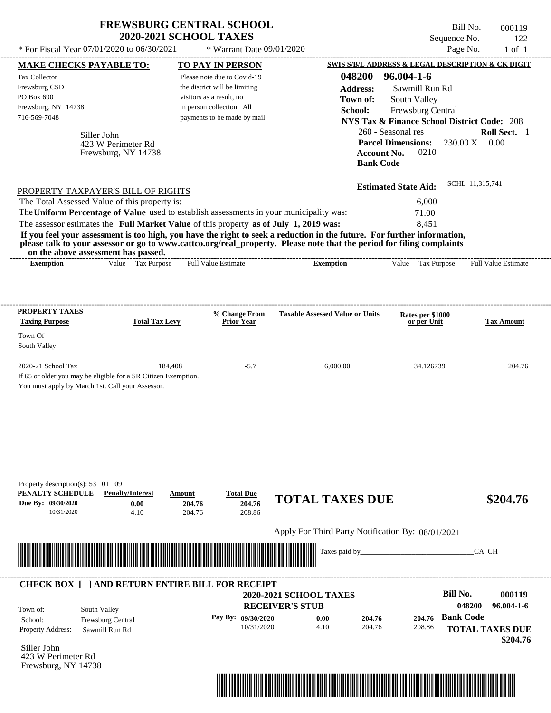|                                                                                                                                          | <b>FREWSBURG CENTRAL SCHOOL</b><br><b>2020-2021 SCHOOL TAXES</b> |                                      |                                                   | Bill No.<br>Sequence No.                                | 000119<br>122                                  |
|------------------------------------------------------------------------------------------------------------------------------------------|------------------------------------------------------------------|--------------------------------------|---------------------------------------------------|---------------------------------------------------------|------------------------------------------------|
| * For Fiscal Year 07/01/2020 to 06/30/2021                                                                                               |                                                                  | * Warrant Date 09/01/2020            |                                                   | Page No.                                                | $1$ of $1$                                     |
| <b>MAKE CHECKS PAYABLE TO:</b>                                                                                                           |                                                                  | TO PAY IN PERSON                     |                                                   | SWIS S/B/L ADDRESS & LEGAL DESCRIPTION & CK DIGIT       |                                                |
| <b>Tax Collector</b>                                                                                                                     |                                                                  | Please note due to Covid-19          | 048200                                            | $96.004 - 1 - 6$                                        |                                                |
| Frewsburg CSD                                                                                                                            |                                                                  | the district will be limiting        | <b>Address:</b>                                   | Sawmill Run Rd                                          |                                                |
| PO Box 690                                                                                                                               |                                                                  | visitors as a result, no             | Town of:                                          | South Valley                                            |                                                |
| Frewsburg, NY 14738<br>716-569-7048                                                                                                      |                                                                  | in person collection. All            | School:                                           | Frewsburg Central                                       |                                                |
|                                                                                                                                          |                                                                  | payments to be made by mail          |                                                   | <b>NYS Tax &amp; Finance School District Code: 208</b>  |                                                |
| Siller John<br>423 W Perimeter Rd<br>Frewsburg, NY 14738                                                                                 |                                                                  |                                      | <b>Account No.</b><br><b>Bank Code</b>            | 260 - Seasonal res<br><b>Parcel Dimensions:</b><br>0210 | Roll Sect. 1<br>$230.00 \text{ X}$ 0.00        |
|                                                                                                                                          |                                                                  |                                      |                                                   | <b>Estimated State Aid:</b>                             | SCHL 11,315,741                                |
| PROPERTY TAXPAYER'S BILL OF RIGHTS<br>The Total Assessed Value of this property is:                                                      |                                                                  |                                      |                                                   | 6,000                                                   |                                                |
| The Uniform Percentage of Value used to establish assessments in your municipality was:                                                  |                                                                  |                                      |                                                   | 71.00                                                   |                                                |
| The assessor estimates the Full Market Value of this property as of July 1, 2019 was:                                                    |                                                                  |                                      |                                                   | 8,451                                                   |                                                |
| on the above assessment has passed.<br><b>Exemption</b>                                                                                  | Value Tax Purpose                                                | <b>Full Value Estimate</b>           | <b>Exemption</b>                                  | Value Tax Purpose                                       | <b>Full Value Estimate</b>                     |
| PROPERTY TAXES                                                                                                                           |                                                                  | % Change From                        | <b>Taxable Assessed Value or Units</b>            | Rates per \$1000                                        |                                                |
| <b>Taxing Purpose</b>                                                                                                                    | <b>Total Tax Levy</b>                                            | <b>Prior Year</b>                    |                                                   | or per Unit                                             | <b>Tax Amount</b>                              |
| Town Of<br>South Valley                                                                                                                  |                                                                  |                                      |                                                   |                                                         |                                                |
| 2020-21 School Tax<br>If 65 or older you may be eligible for a SR Citizen Exemption.<br>You must apply by March 1st. Call your Assessor. | 184,408                                                          | $-5.7$                               | 6,000.00                                          | 34.126739                                               | 204.76                                         |
| Property description(s): 53 01 09<br>PENALTY SCHEDULE<br><b>Penalty/Interest</b><br>Due By: 09/30/2020                                   | Amount<br>204.76<br>0.00<br>4.10<br>204.76                       | <b>Total Due</b><br>204.76<br>208.86 | <b>TOTAL TAXES DUE</b>                            |                                                         | \$204.76                                       |
| 10/31/2020                                                                                                                               |                                                                  |                                      |                                                   |                                                         |                                                |
|                                                                                                                                          |                                                                  |                                      | Apply For Third Party Notification By: 08/01/2021 |                                                         |                                                |
|                                                                                                                                          |                                                                  |                                      | Taxes paid by_                                    |                                                         | CA CH                                          |
| <b>CHECK BOX [ ] AND RETURN ENTIRE BILL FOR RECEIPT</b>                                                                                  |                                                                  |                                      | 2020-2021 SCHOOL TAXES                            | <b>Bill No.</b>                                         |                                                |
| South Valley                                                                                                                             |                                                                  |                                      | <b>RECEIVER'S STUB</b>                            |                                                         | 048200                                         |
| Town of:<br>Frewsburg Central<br>School:                                                                                                 |                                                                  | Pay By: 09/30/2020                   | 0.00<br>204.76                                    | <b>Bank Code</b><br>204.76                              |                                                |
| <b>Property Address:</b><br>Sawmill Run Rd                                                                                               |                                                                  | 10/31/2020                           | 4.10<br>204.76                                    | 208.86                                                  | 000119<br>96.004-1-6<br><b>TOTAL TAXES DUE</b> |

Siller John 423 W Perimeter Rd Frewsburg, NY 14738

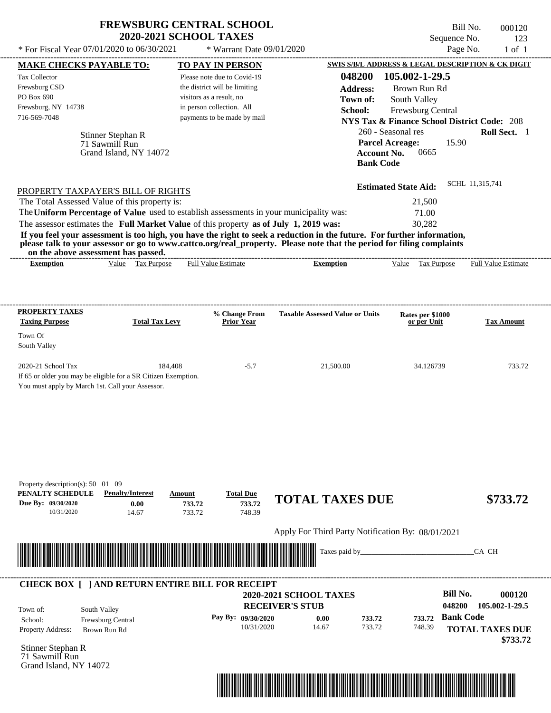| <b>FREWSBURG CENTRAL SCHOOL</b> |
|---------------------------------|
| <b>2020-2021 SCHOOL TAXES</b>   |

Bill No. 000120 Sequence No. 123

| * For Fiscal Year 07/01/2020 to 06/30/2021                                                                                               |                                                               | * Warrant Date 09/01/2020                                                                                                                                                        |                                                                                                                                                                                                                                                                      |                                                                                                                                                   | Page No.<br>$1$ of $1$                                                          |
|------------------------------------------------------------------------------------------------------------------------------------------|---------------------------------------------------------------|----------------------------------------------------------------------------------------------------------------------------------------------------------------------------------|----------------------------------------------------------------------------------------------------------------------------------------------------------------------------------------------------------------------------------------------------------------------|---------------------------------------------------------------------------------------------------------------------------------------------------|---------------------------------------------------------------------------------|
| <b>MAKE CHECKS PAYABLE TO:</b>                                                                                                           |                                                               | <b>TO PAY IN PERSON</b>                                                                                                                                                          |                                                                                                                                                                                                                                                                      |                                                                                                                                                   | SWIS S/B/L ADDRESS & LEGAL DESCRIPTION & CK DIGIT                               |
| Tax Collector<br>Frewsburg CSD<br>PO Box 690<br>Frewsburg, NY 14738<br>716-569-7048                                                      | Stinner Stephan R<br>71 Sawmill Run<br>Grand Island, NY 14072 | Please note due to Covid-19<br>the district will be limiting<br>visitors as a result, no<br>in person collection. All<br>payments to be made by mail                             | 048200<br><b>Address:</b><br>Town of:<br>School:<br><b>Bank Code</b>                                                                                                                                                                                                 | 105.002-1-29.5<br>Brown Run Rd<br>South Valley<br>Frewsburg Central<br>260 - Seasonal res<br><b>Parcel Acreage:</b><br><b>Account No.</b><br>0665 | <b>NYS Tax &amp; Finance School District Code: 208</b><br>Roll Sect. 1<br>15.90 |
| PROPERTY TAXPAYER'S BILL OF RIGHTS                                                                                                       |                                                               |                                                                                                                                                                                  |                                                                                                                                                                                                                                                                      | <b>Estimated State Aid:</b>                                                                                                                       | SCHL 11,315,741                                                                 |
| The Total Assessed Value of this property is:                                                                                            |                                                               |                                                                                                                                                                                  |                                                                                                                                                                                                                                                                      | 21,500                                                                                                                                            |                                                                                 |
|                                                                                                                                          |                                                               | The Uniform Percentage of Value used to establish assessments in your municipality was:<br>The assessor estimates the Full Market Value of this property as of July 1, 2019 was: |                                                                                                                                                                                                                                                                      | 71.00<br>30,282                                                                                                                                   |                                                                                 |
| on the above assessment has passed.<br><b>Exemption</b>                                                                                  | Value Tax Purpose                                             | <b>Full Value Estimate</b>                                                                                                                                                       | If you feel your assessment is too high, you have the right to seek a reduction in the future. For further information,<br>please talk to your assessor or go to www.cattco.org/real_property. Please note that the period for filing complaints<br><b>Exemption</b> | Value Tax Purpose                                                                                                                                 | <b>Full Value Estimate</b>                                                      |
| <b>PROPERTY TAXES</b><br><b>Taxing Purpose</b>                                                                                           | <b>Total Tax Levy</b>                                         | % Change From<br><b>Prior Year</b>                                                                                                                                               | <b>Taxable Assessed Value or Units</b>                                                                                                                                                                                                                               | Rates per \$1000<br>or per Unit                                                                                                                   | <b>Tax Amount</b>                                                               |
| Town Of<br>South Valley                                                                                                                  |                                                               |                                                                                                                                                                                  |                                                                                                                                                                                                                                                                      |                                                                                                                                                   |                                                                                 |
| 2020-21 School Tax<br>If 65 or older you may be eligible for a SR Citizen Exemption.<br>You must apply by March 1st. Call your Assessor. | 184,408                                                       | $-5.7$                                                                                                                                                                           | 21,500.00                                                                                                                                                                                                                                                            | 34.126739                                                                                                                                         | 733.72                                                                          |
| Property description(s): $50 \quad 01 \quad 09$<br>PENALTY SCHEDULE<br>Due By: 09/30/2020<br>10/31/2020                                  | <b>Penalty/Interest</b><br>0.00<br>14.67                      | <b>Total Due</b><br>Amount<br>733.72<br>733.72<br>733.72<br>748.39                                                                                                               | <b>TOTAL TAXES DUE</b><br>Apply For Third Party Notification By: 08/01/2021                                                                                                                                                                                          |                                                                                                                                                   | \$733.72                                                                        |
|                                                                                                                                          |                                                               |                                                                                                                                                                                  | Taxes paid by_                                                                                                                                                                                                                                                       |                                                                                                                                                   | CA CH                                                                           |
|                                                                                                                                          |                                                               | <b>CHECK BOX [ ] AND RETURN ENTIRE BILL FOR RECEIPT</b>                                                                                                                          | 2020-2021 SCHOOL TAXES                                                                                                                                                                                                                                               |                                                                                                                                                   | <b>Bill No.</b><br>000120                                                       |
| South Valley<br>Town of:                                                                                                                 |                                                               | Pay By: 09/30/2020                                                                                                                                                               | <b>RECEIVER'S STUB</b>                                                                                                                                                                                                                                               |                                                                                                                                                   | 048200<br>105.002-1-29.5<br>733.72 Bank Code                                    |
| School:<br>Property Address:                                                                                                             | Frewsburg Central<br>Brown Run Rd                             | 10/31/2020                                                                                                                                                                       | 0.00<br>733.72<br>14.67<br>733.72                                                                                                                                                                                                                                    | 748.39                                                                                                                                            | <b>TOTAL TAXES DUE</b><br>\$733.72                                              |
| Stinner Stephan R<br>71 Sawmill Run<br>Grand Island, NY 14072                                                                            |                                                               |                                                                                                                                                                                  |                                                                                                                                                                                                                                                                      |                                                                                                                                                   |                                                                                 |

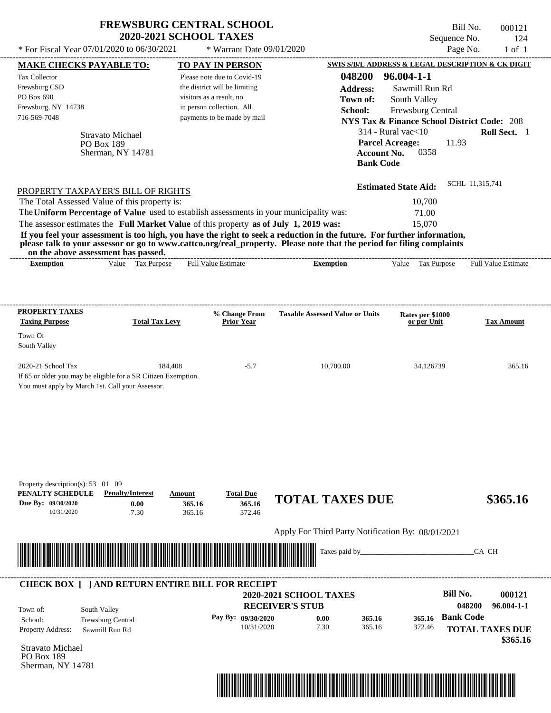| 000121<br>124<br>$1$ of $1$ | Bill No.<br>Page No. | Sequence No.                                           |                                                                  |                  |                                        | <b>FREWSBURG CENTRAL SCHOOL</b><br>* Warrant Date 09/01/2020 |                            | <b>2020-2021 SCHOOL TAXES</b> |                                                            | * For Fiscal Year 07/01/2020 to 06/30/2021                                                                                                                                       |
|-----------------------------|----------------------|--------------------------------------------------------|------------------------------------------------------------------|------------------|----------------------------------------|--------------------------------------------------------------|----------------------------|-------------------------------|------------------------------------------------------------|----------------------------------------------------------------------------------------------------------------------------------------------------------------------------------|
|                             |                      | SWIS S/B/L ADDRESS & LEGAL DESCRIPTION & CK DIGIT      |                                                                  |                  |                                        | <b>TO PAY IN PERSON</b>                                      |                            |                               |                                                            | MAKE CHECKS PAYABLE TO:                                                                                                                                                          |
|                             |                      | $96.004 - 1 - 1$                                       | 048200                                                           |                  |                                        | Please note due to Covid-19                                  |                            |                               |                                                            | Tax Collector                                                                                                                                                                    |
|                             |                      | Sawmill Run Rd                                         |                                                                  | <b>Address:</b>  |                                        | the district will be limiting                                |                            |                               |                                                            | Frewsburg CSD                                                                                                                                                                    |
|                             |                      | South Valley                                           | Town of:                                                         |                  |                                        |                                                              | visitors as a result, no   |                               |                                                            | PO Box 690                                                                                                                                                                       |
|                             |                      | Frewsburg Central                                      |                                                                  | School:          |                                        |                                                              | in person collection. All  |                               |                                                            | Frewsburg, NY 14738                                                                                                                                                              |
|                             |                      | <b>NYS Tax &amp; Finance School District Code: 208</b> |                                                                  |                  |                                        | payments to be made by mail                                  |                            |                               |                                                            | 716-569-7048                                                                                                                                                                     |
| Roll Sect. 1                |                      | $314$ - Rural vac $<$ 10                               |                                                                  |                  |                                        |                                                              |                            |                               |                                                            |                                                                                                                                                                                  |
|                             |                      | 11.93<br>0358                                          | <b>Parcel Acreage:</b><br><b>Account No.</b><br><b>Bank Code</b> |                  |                                        |                                                              |                            |                               | <b>Stravato Michael</b><br>PO Box 189<br>Sherman, NY 14781 |                                                                                                                                                                                  |
|                             | SCHL 11,315,741      | <b>Estimated State Aid:</b>                            |                                                                  |                  |                                        |                                                              |                            |                               |                                                            | PROPERTY TAXPAYER'S BILL OF RIGHTS                                                                                                                                               |
|                             |                      | 10,700                                                 |                                                                  |                  |                                        |                                                              |                            |                               |                                                            | The Total Assessed Value of this property is:                                                                                                                                    |
|                             |                      | 71.00                                                  |                                                                  |                  |                                        |                                                              |                            |                               |                                                            | The Uniform Percentage of Value used to establish assessments in your municipality was:                                                                                          |
|                             |                      | 15,070                                                 |                                                                  |                  |                                        |                                                              |                            |                               |                                                            | The assessor estimates the Full Market Value of this property as of July 1, 2019 was:                                                                                            |
| Full Value Estimate         |                      | Tax Purpose<br>Value                                   |                                                                  | <b>Exemption</b> |                                        |                                                              | <b>Full Value Estimate</b> | Value Tax Purpose             |                                                            | please talk to your assessor or go to www.cattco.org/real_property. Please note that the period for filing complaints<br>on the above assessment has passed.<br><b>Exemption</b> |
| <b>Tax Amount</b>           |                      | Rates per \$1000<br>or per Unit                        |                                                                  |                  | <b>Taxable Assessed Value or Units</b> | % Change From<br><b>Prior Year</b>                           |                            | <b>Total Tax Levy</b>         |                                                            | <b>PROPERTY TAXES</b><br><b>Taxing Purpose</b><br>Town Of<br>South Valley                                                                                                        |
| 365.16                      |                      | 34.126739                                              |                                                                  | 10,700.00        |                                        | $-5.7$                                                       |                            | 184,408                       |                                                            | 2020-21 School Tax                                                                                                                                                               |
|                             |                      |                                                        |                                                                  |                  |                                        |                                                              |                            |                               |                                                            | If 65 or older you may be eligible for a SR Citizen Exemption.<br>You must apply by March 1st. Call your Assessor.                                                               |
| \$365.16                    |                      |                                                        |                                                                  |                  | <b>TOTAL TAXES DUE</b>                 | <b>Total Due</b><br>365.16<br>372.46                         | Amount<br>365.16<br>365.16 | 0.00<br>7.30                  | <b>Penalty/Interest</b>                                    | Property description(s): $53 \quad 01 \quad 09$<br>PENALTY SCHEDULE<br>Due By: 09/30/2020<br>10/31/2020                                                                          |
|                             |                      | Apply For Third Party Notification By: 08/01/2021      |                                                                  |                  |                                        |                                                              |                            |                               |                                                            |                                                                                                                                                                                  |
|                             |                      |                                                        |                                                                  |                  |                                        |                                                              |                            |                               |                                                            |                                                                                                                                                                                  |
|                             | CA CH                |                                                        |                                                                  | Taxes paid by    |                                        |                                                              |                            |                               |                                                            |                                                                                                                                                                                  |
|                             |                      |                                                        |                                                                  |                  |                                        |                                                              |                            |                               |                                                            | <b>CHECK BOX [ ] AND RETURN ENTIRE BILL FOR RECEIPT</b>                                                                                                                          |
| 000121                      |                      | Bill No.                                               |                                                                  |                  | 2020-2021 SCHOOL TAXES                 |                                                              |                            |                               |                                                            |                                                                                                                                                                                  |
| $96.004 - 1 - 1$            | 048200               |                                                        |                                                                  |                  | <b>RECEIVER'S STUB</b>                 |                                                              |                            |                               |                                                            |                                                                                                                                                                                  |
| <b>TOTAL TAXES DUE</b>      | <b>Bank Code</b>     | 365.16<br>372.46                                       | 365.16<br>365.16                                                 | 0.00<br>7.30     |                                        | Pay By: 09/30/2020<br>10/31/2020                             |                            |                               | Frewsburg Central<br>Sawmill Run Rd                        | School:<br><b>Property Address:</b>                                                                                                                                              |
| \$365.16                    |                      |                                                        |                                                                  |                  |                                        |                                                              |                            |                               |                                                            | Stravato Michael                                                                                                                                                                 |
|                             |                      |                                                        |                                                                  |                  |                                        |                                                              |                            |                               | South Valley                                               | Town of:                                                                                                                                                                         |

PO Box 189 Sherman, NY 14781

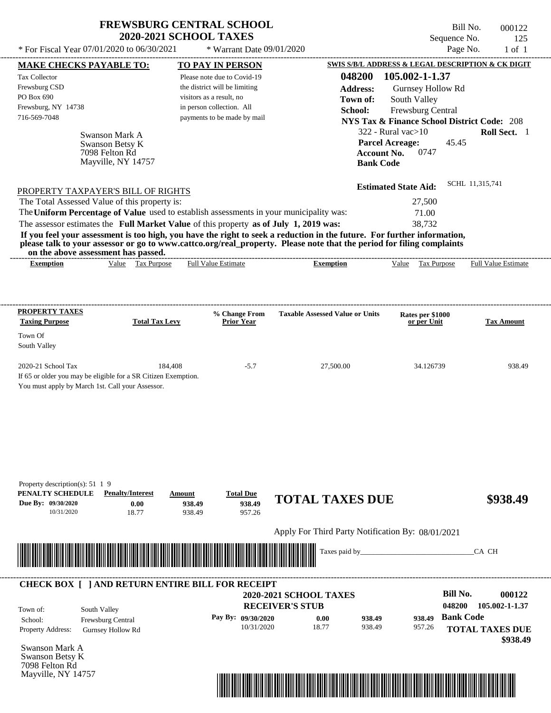| <b>FREWSBURG CENTRAL SCHOOL</b> |
|---------------------------------|
| <b>2020-2021 SCHOOL TAXES</b>   |

 $*$  For Fiscal Year 07/01/2020 to 06/30/2021  $*$  Warrant Date 09/01/2020 Page No. 1 of 1

Bill No. 000122 Sequence No. 125<br>Page No. 1 of 1

| <b>MAKE CHECKS PAYABLE TO:</b>                                                                                        |                          |                       |        | <b>TO PAY IN PERSON</b>            |                                                                                                                         |                    |                                                        |                  | SWIS S/B/L ADDRESS & LEGAL DESCRIPTION & CK DIGIT |
|-----------------------------------------------------------------------------------------------------------------------|--------------------------|-----------------------|--------|------------------------------------|-------------------------------------------------------------------------------------------------------------------------|--------------------|--------------------------------------------------------|------------------|---------------------------------------------------|
| Tax Collector                                                                                                         |                          |                       |        | Please note due to Covid-19        |                                                                                                                         |                    | 048200 105.002-1-1.37                                  |                  |                                                   |
| Frewsburg CSD                                                                                                         |                          |                       |        | the district will be limiting      |                                                                                                                         | <b>Address:</b>    | Gurnsey Hollow Rd                                      |                  |                                                   |
| PO Box 690                                                                                                            |                          |                       |        | visitors as a result, no           |                                                                                                                         | Town of:           | South Valley                                           |                  |                                                   |
| Frewsburg, NY 14738                                                                                                   |                          |                       |        | in person collection. All          |                                                                                                                         | School:            | Frewsburg Central                                      |                  |                                                   |
| 716-569-7048                                                                                                          |                          |                       |        | payments to be made by mail        |                                                                                                                         |                    | <b>NYS Tax &amp; Finance School District Code: 208</b> |                  |                                                   |
|                                                                                                                       | Swanson Mark A           |                       |        |                                    |                                                                                                                         |                    | $322$ - Rural vac $>10$                                |                  | Roll Sect. 1                                      |
|                                                                                                                       | Swanson Betsy K          |                       |        |                                    |                                                                                                                         |                    | <b>Parcel Acreage:</b>                                 | 45.45            |                                                   |
|                                                                                                                       | 7098 Felton Rd           |                       |        |                                    |                                                                                                                         | <b>Account No.</b> | 0747                                                   |                  |                                                   |
|                                                                                                                       | Mayville, NY 14757       |                       |        |                                    |                                                                                                                         | <b>Bank Code</b>   |                                                        |                  |                                                   |
|                                                                                                                       |                          |                       |        |                                    |                                                                                                                         |                    |                                                        |                  |                                                   |
| PROPERTY TAXPAYER'S BILL OF RIGHTS                                                                                    |                          |                       |        |                                    |                                                                                                                         |                    | <b>Estimated State Aid:</b>                            |                  | SCHL 11,315,741                                   |
| The Total Assessed Value of this property is:                                                                         |                          |                       |        |                                    |                                                                                                                         |                    | 27,500                                                 |                  |                                                   |
|                                                                                                                       |                          |                       |        |                                    | The Uniform Percentage of Value used to establish assessments in your municipality was:                                 |                    | 71.00                                                  |                  |                                                   |
|                                                                                                                       |                          |                       |        |                                    | The assessor estimates the Full Market Value of this property as of July 1, 2019 was:                                   |                    | 38,732                                                 |                  |                                                   |
|                                                                                                                       |                          |                       |        |                                    | If you feel your assessment is too high, you have the right to seek a reduction in the future. For further information, |                    |                                                        |                  |                                                   |
| on the above assessment has passed.                                                                                   |                          |                       |        |                                    | please talk to your assessor or go to www.cattco.org/real_property. Please note that the period for filing complaints   |                    |                                                        |                  |                                                   |
| <b>Exemption</b>                                                                                                      |                          | Value Tax Purpose     |        | <b>Full Value Estimate</b>         | <b>Exemption</b>                                                                                                        |                    | Value Tax Purpose                                      |                  | <b>Full Value Estimate</b>                        |
|                                                                                                                       |                          |                       |        |                                    |                                                                                                                         |                    |                                                        |                  |                                                   |
|                                                                                                                       |                          |                       |        |                                    |                                                                                                                         |                    |                                                        |                  |                                                   |
|                                                                                                                       |                          |                       |        |                                    |                                                                                                                         |                    |                                                        |                  |                                                   |
| PROPERTY TAXES<br><b>Taxing Purpose</b>                                                                               |                          | <b>Total Tax Levy</b> |        | % Change From<br><b>Prior Year</b> | <b>Taxable Assessed Value or Units</b>                                                                                  |                    | Rates per \$1000<br>or per Unit                        |                  | <b>Tax Amount</b>                                 |
|                                                                                                                       |                          |                       |        |                                    |                                                                                                                         |                    |                                                        |                  |                                                   |
| Town Of                                                                                                               |                          |                       |        |                                    |                                                                                                                         |                    |                                                        |                  |                                                   |
| South Valley                                                                                                          |                          |                       |        |                                    |                                                                                                                         |                    |                                                        |                  |                                                   |
| 2020-21 School Tax                                                                                                    |                          | 184,408               |        | $-5.7$                             |                                                                                                                         | 27,500.00          | 34.126739                                              |                  | 938.49                                            |
| If 65 or older you may be eligible for a SR Citizen Exemption.                                                        |                          |                       |        |                                    |                                                                                                                         |                    |                                                        |                  |                                                   |
| You must apply by March 1st. Call your Assessor.                                                                      |                          |                       |        |                                    |                                                                                                                         |                    |                                                        |                  |                                                   |
|                                                                                                                       |                          |                       |        |                                    |                                                                                                                         |                    |                                                        |                  |                                                   |
|                                                                                                                       |                          |                       |        |                                    |                                                                                                                         |                    |                                                        |                  |                                                   |
|                                                                                                                       |                          |                       |        |                                    |                                                                                                                         |                    |                                                        |                  |                                                   |
|                                                                                                                       |                          |                       |        |                                    |                                                                                                                         |                    |                                                        |                  |                                                   |
|                                                                                                                       |                          |                       |        |                                    |                                                                                                                         |                    |                                                        |                  |                                                   |
|                                                                                                                       |                          |                       |        |                                    |                                                                                                                         |                    |                                                        |                  |                                                   |
|                                                                                                                       |                          |                       |        |                                    |                                                                                                                         |                    |                                                        |                  |                                                   |
| Property description(s): 51 1 9                                                                                       |                          |                       |        |                                    |                                                                                                                         |                    |                                                        |                  |                                                   |
| PENALTY SCHEDULE                                                                                                      | <b>Penalty/Interest</b>  |                       | Amount | <b>Total Due</b>                   | <b>TOTAL TAXES DUE</b>                                                                                                  |                    |                                                        |                  | \$938.49                                          |
| Due By: 09/30/2020                                                                                                    |                          | 0.00                  | 938.49 | 938.49                             |                                                                                                                         |                    |                                                        |                  |                                                   |
| 10/31/2020                                                                                                            |                          | 18.77                 | 938.49 | 957.26                             |                                                                                                                         |                    |                                                        |                  |                                                   |
|                                                                                                                       |                          |                       |        |                                    | Apply For Third Party Notification By: 08/01/2021                                                                       |                    |                                                        |                  |                                                   |
|                                                                                                                       |                          |                       |        |                                    |                                                                                                                         |                    |                                                        |                  |                                                   |
|                                                                                                                       |                          |                       |        |                                    |                                                                                                                         | Taxes paid by_     |                                                        |                  | CA CH                                             |
|                                                                                                                       |                          |                       |        |                                    |                                                                                                                         |                    |                                                        |                  |                                                   |
| <b>CHECK BOX [ ] AND RETURN ENTIRE BILL FOR RECEIPT</b>                                                               |                          |                       |        |                                    |                                                                                                                         |                    |                                                        |                  |                                                   |
|                                                                                                                       |                          |                       |        |                                    | <b>2020-2021 SCHOOL TAXES</b>                                                                                           |                    |                                                        | <b>Bill No.</b>  | 000122                                            |
|                                                                                                                       |                          |                       |        |                                    | <b>RECEIVER'S STUB</b>                                                                                                  |                    |                                                        | 048200           | 105.002-1-1.37                                    |
|                                                                                                                       |                          |                       |        |                                    |                                                                                                                         |                    |                                                        |                  |                                                   |
|                                                                                                                       | South Valley             |                       |        | Pay By: 09/30/2020                 | 0.00                                                                                                                    | 938.49             | 938.49                                                 | <b>Bank Code</b> |                                                   |
|                                                                                                                       | Frewsburg Central        |                       |        |                                    |                                                                                                                         |                    |                                                        |                  |                                                   |
|                                                                                                                       | <b>Gurnsey Hollow Rd</b> |                       |        | 10/31/2020                         | 18.77                                                                                                                   | 938.49             | 957.26                                                 |                  |                                                   |
|                                                                                                                       |                          |                       |        |                                    |                                                                                                                         |                    |                                                        |                  |                                                   |
|                                                                                                                       |                          |                       |        |                                    |                                                                                                                         |                    |                                                        |                  | <b>TOTAL TAXES DUE</b><br>\$938.49                |
|                                                                                                                       |                          |                       |        |                                    |                                                                                                                         |                    |                                                        |                  |                                                   |
| Town of:<br>School:<br>Property Address:<br>Swanson Mark A<br>Swanson Betsy K<br>7098 Felton Rd<br>Mayville, NY 14757 |                          |                       |        |                                    |                                                                                                                         |                    |                                                        |                  |                                                   |

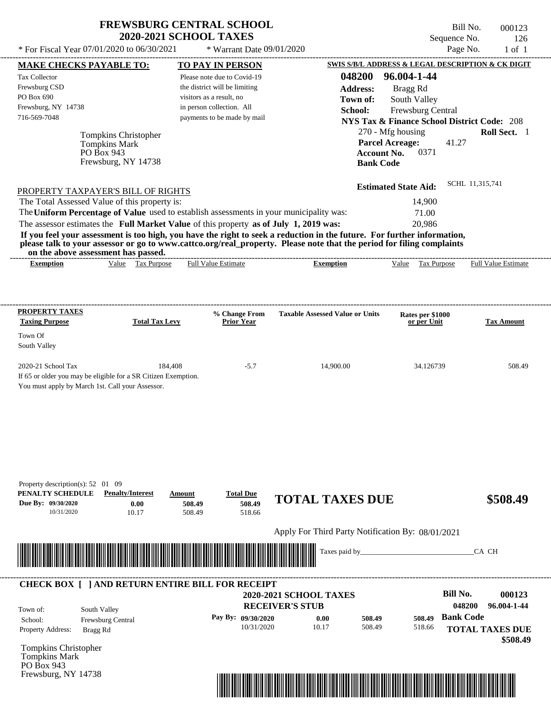| <b>FREWSBURG CENTRAL SCHOOL</b> |
|---------------------------------|
| <b>2020-2021 SCHOOL TAXES</b>   |

 $*$  For Fiscal Year 07/01/2020 to 06/30/2021  $*$  Warrant Date 09/01/2020 Page No. 1 of 1

| <b>MAKE CHECKS PAYABLE TO:</b>                                                                                                                                                                                                       |                                   | <b>TO PAY IN PERSON</b>                                                                 |                                                                                                                         | <b>SWIS S/B/L ADDRESS &amp; LEGAL DESCRIPTION &amp; CK DIGIT</b> |                        |
|--------------------------------------------------------------------------------------------------------------------------------------------------------------------------------------------------------------------------------------|-----------------------------------|-----------------------------------------------------------------------------------------|-------------------------------------------------------------------------------------------------------------------------|------------------------------------------------------------------|------------------------|
| <b>Tax Collector</b>                                                                                                                                                                                                                 |                                   | Please note due to Covid-19                                                             | 048200                                                                                                                  | 96.004-1-44                                                      |                        |
| Frewsburg CSD                                                                                                                                                                                                                        |                                   | the district will be limiting                                                           | <b>Address:</b>                                                                                                         | Bragg Rd                                                         |                        |
| PO Box 690                                                                                                                                                                                                                           |                                   | visitors as a result, no                                                                | Town of:                                                                                                                | South Valley                                                     |                        |
| Frewsburg, NY 14738<br>716-569-7048                                                                                                                                                                                                  |                                   | in person collection. All<br>payments to be made by mail                                | School:                                                                                                                 | Frewsburg Central                                                |                        |
|                                                                                                                                                                                                                                      |                                   |                                                                                         |                                                                                                                         | <b>NYS Tax &amp; Finance School District Code: 208</b>           |                        |
|                                                                                                                                                                                                                                      | Tompkins Christopher              |                                                                                         |                                                                                                                         | 270 - Mfg housing                                                | Roll Sect. 1           |
|                                                                                                                                                                                                                                      | <b>Tompkins Mark</b>              |                                                                                         |                                                                                                                         | <b>Parcel Acreage:</b><br>41.27<br>0371                          |                        |
|                                                                                                                                                                                                                                      | PO Box 943<br>Frewsburg, NY 14738 |                                                                                         | <b>Account No.</b><br><b>Bank Code</b>                                                                                  |                                                                  |                        |
|                                                                                                                                                                                                                                      |                                   |                                                                                         |                                                                                                                         |                                                                  |                        |
|                                                                                                                                                                                                                                      |                                   |                                                                                         |                                                                                                                         | <b>Estimated State Aid:</b>                                      | SCHL 11,315,741        |
| PROPERTY TAXPAYER'S BILL OF RIGHTS<br>The Total Assessed Value of this property is:                                                                                                                                                  |                                   |                                                                                         |                                                                                                                         | 14,900                                                           |                        |
|                                                                                                                                                                                                                                      |                                   | The Uniform Percentage of Value used to establish assessments in your municipality was: |                                                                                                                         | 71.00                                                            |                        |
|                                                                                                                                                                                                                                      |                                   | The assessor estimates the Full Market Value of this property as of July 1, 2019 was:   |                                                                                                                         | 20,986                                                           |                        |
|                                                                                                                                                                                                                                      |                                   |                                                                                         | If you feel your assessment is too high, you have the right to seek a reduction in the future. For further information, |                                                                  |                        |
|                                                                                                                                                                                                                                      |                                   |                                                                                         | please talk to your assessor or go to www.cattco.org/real_property. Please note that the period for filing complaints   |                                                                  |                        |
| on the above assessment has passed.<br><b>Exemption</b>                                                                                                                                                                              | Value Tax Purpose                 | <b>Full Value Estimate</b>                                                              | <b>Exemption</b>                                                                                                        | Value Tax Purpose Full Value Estimate                            |                        |
|                                                                                                                                                                                                                                      |                                   |                                                                                         |                                                                                                                         |                                                                  |                        |
|                                                                                                                                                                                                                                      |                                   |                                                                                         |                                                                                                                         |                                                                  |                        |
|                                                                                                                                                                                                                                      |                                   |                                                                                         |                                                                                                                         |                                                                  |                        |
| <b>PROPERTY TAXES</b>                                                                                                                                                                                                                |                                   | % Change From                                                                           | <b>Taxable Assessed Value or Units</b>                                                                                  | Rates per \$1000                                                 |                        |
| <b>Taxing Purpose</b>                                                                                                                                                                                                                | <b>Total Tax Levy</b>             | <b>Prior Year</b>                                                                       |                                                                                                                         | or per Unit                                                      | <b>Tax Amount</b>      |
| Town Of<br>South Valley                                                                                                                                                                                                              |                                   |                                                                                         |                                                                                                                         |                                                                  |                        |
| 2020-21 School Tax                                                                                                                                                                                                                   | 184,408                           | $-5.7$                                                                                  | 14,900.00                                                                                                               | 34.126739                                                        | 508.49                 |
| If 65 or older you may be eligible for a SR Citizen Exemption.                                                                                                                                                                       |                                   |                                                                                         |                                                                                                                         |                                                                  |                        |
| You must apply by March 1st. Call your Assessor.                                                                                                                                                                                     |                                   |                                                                                         |                                                                                                                         |                                                                  |                        |
|                                                                                                                                                                                                                                      |                                   |                                                                                         |                                                                                                                         |                                                                  |                        |
|                                                                                                                                                                                                                                      |                                   |                                                                                         |                                                                                                                         |                                                                  |                        |
|                                                                                                                                                                                                                                      |                                   |                                                                                         |                                                                                                                         |                                                                  |                        |
|                                                                                                                                                                                                                                      |                                   |                                                                                         |                                                                                                                         |                                                                  |                        |
|                                                                                                                                                                                                                                      |                                   |                                                                                         |                                                                                                                         |                                                                  |                        |
|                                                                                                                                                                                                                                      |                                   |                                                                                         |                                                                                                                         |                                                                  |                        |
|                                                                                                                                                                                                                                      |                                   |                                                                                         |                                                                                                                         |                                                                  |                        |
| Property description(s): 52 01 09<br>PENALTY SCHEDULE                                                                                                                                                                                | <b>Penalty/Interest</b>           | <b>Total Due</b><br>Amount                                                              |                                                                                                                         |                                                                  |                        |
| Due By: 09/30/2020                                                                                                                                                                                                                   | 0.00                              | 508.49<br>508.49                                                                        | <b>TOTAL TAXES DUE</b>                                                                                                  |                                                                  | \$508.49               |
| 10/31/2020                                                                                                                                                                                                                           | 10.17                             | 508.49<br>518.66                                                                        |                                                                                                                         |                                                                  |                        |
|                                                                                                                                                                                                                                      |                                   |                                                                                         | Apply For Third Party Notification By: 08/01/2021                                                                       |                                                                  |                        |
|                                                                                                                                                                                                                                      |                                   |                                                                                         |                                                                                                                         |                                                                  |                        |
| <u> Indian American State of Barbara and The Barbara and The Barbara and The Barbara and The Barbara and The Barbara and The Barbara and The Barbara and The Barbara and The Barbara and The Barbara and The Barbara and The Bar</u> |                                   |                                                                                         | Taxes paid by_                                                                                                          |                                                                  | CA CH                  |
|                                                                                                                                                                                                                                      |                                   |                                                                                         |                                                                                                                         |                                                                  |                        |
|                                                                                                                                                                                                                                      |                                   | <b>CHECK BOX [ ] AND RETURN ENTIRE BILL FOR RECEIPT</b>                                 |                                                                                                                         |                                                                  |                        |
|                                                                                                                                                                                                                                      |                                   |                                                                                         | 2020-2021 SCHOOL TAXES                                                                                                  | <b>Bill No.</b>                                                  | 000123                 |
| Town of:                                                                                                                                                                                                                             | South Valley                      |                                                                                         | <b>RECEIVER'S STUB</b>                                                                                                  | 048200                                                           | 96.004-1-44            |
| School:                                                                                                                                                                                                                              | Frewsburg Central                 | Pay By: 09/30/2020                                                                      | 0.00<br>508.49                                                                                                          | <b>Bank Code</b><br>508.49                                       |                        |
| Property Address:<br>Bragg Rd                                                                                                                                                                                                        |                                   | 10/31/2020                                                                              | 10.17<br>508.49                                                                                                         | 518.66                                                           | <b>TOTAL TAXES DUE</b> |
|                                                                                                                                                                                                                                      |                                   |                                                                                         |                                                                                                                         |                                                                  | \$508.49               |
| Tompkins Christopher<br>Tompkins Mark                                                                                                                                                                                                |                                   |                                                                                         |                                                                                                                         |                                                                  |                        |
| PO Box 943                                                                                                                                                                                                                           |                                   |                                                                                         |                                                                                                                         |                                                                  |                        |
| Frewsburg, NY 14738                                                                                                                                                                                                                  |                                   |                                                                                         |                                                                                                                         |                                                                  |                        |
|                                                                                                                                                                                                                                      |                                   |                                                                                         | <u> 1989 - Johann Maria Maria Maria Maria Maria Maria Maria Maria Maria Maria Maria Maria Maria Maria Maria Mari</u>    |                                                                  |                        |
|                                                                                                                                                                                                                                      |                                   |                                                                                         |                                                                                                                         |                                                                  |                        |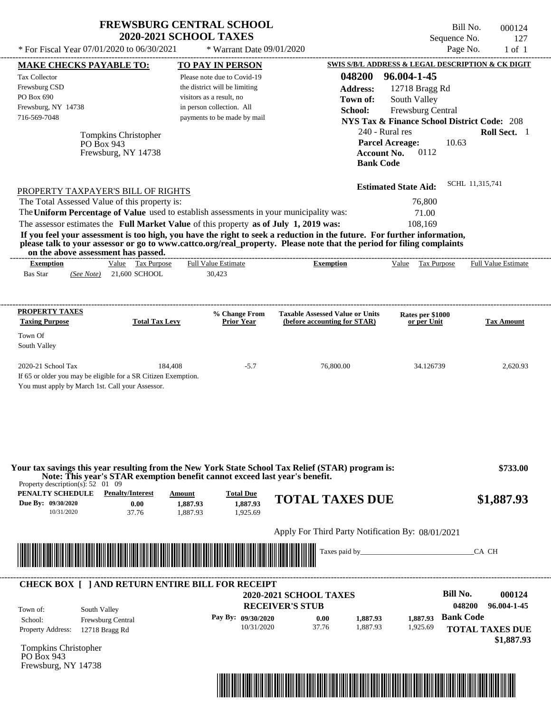| * For Fiscal Year $07/01/2020$ to $06/30/2021$ | <b>FREWSBURG CENTRAL SCHOOL</b><br><b>2020-2021 SCHOOL TAXES</b><br>$*$ Warrant Date $09/01/2020$ |                           | Bill No.<br>Sequence No.<br>Page No.              | 000124<br>127<br>1 of 1 |
|------------------------------------------------|---------------------------------------------------------------------------------------------------|---------------------------|---------------------------------------------------|-------------------------|
| <b>MAKE CHECKS PAYABLE TO:</b>                 | <b>TO PAY IN PERSON</b>                                                                           |                           | SWIS S/B/L ADDRESS & LEGAL DESCRIPTION & CK DIGIT |                         |
| Tax Collector<br>Frewsburg CSD                 | Please note due to Covid-19<br>the district will be limiting                                      | 048200<br><b>Address:</b> | 96.004-1-45<br>$12718$ Bragg Rd                   |                         |

visitors as a result, no in person collection. All

| Frewsburg, NY 14738<br>716-569-7048<br><b>PO Box 943</b>                                                                                                                         | Tompkins Christopher<br>Frewsburg, NY 14738 | in person collection. All<br>payments to be made by mail | School:<br><b>Account No.</b><br><b>Bank Code</b>                                                                                         | Frewsburg Central<br><b>NYS Tax &amp; Finance School District Code: 208</b><br>240 - Rural res<br><b>Parcel Acreage:</b><br>10.63<br>0112 | <b>Roll Sect.</b> 1        |
|----------------------------------------------------------------------------------------------------------------------------------------------------------------------------------|---------------------------------------------|----------------------------------------------------------|-------------------------------------------------------------------------------------------------------------------------------------------|-------------------------------------------------------------------------------------------------------------------------------------------|----------------------------|
| PROPERTY TAXPAYER'S BILL OF RIGHTS                                                                                                                                               |                                             |                                                          |                                                                                                                                           | <b>Estimated State Aid:</b>                                                                                                               | SCHL 11,315,741            |
| The Total Assessed Value of this property is:                                                                                                                                    |                                             |                                                          |                                                                                                                                           | 76,800                                                                                                                                    |                            |
| The Uniform Percentage of Value used to establish assessments in your municipality was:<br>The assessor estimates the Full Market Value of this property as of July 1, 2019 was: |                                             |                                                          |                                                                                                                                           | 71.00<br>108.169                                                                                                                          |                            |
| on the above assessment has passed.<br><b>Exemption</b>                                                                                                                          | Value<br>Tax Purpose                        | <b>Full Value Estimate</b>                               | please talk to your assessor or go to www.cattco.org/real_property. Please note that the period for filing complaints<br><b>Exemption</b> | Tax Purpose<br>Value                                                                                                                      | <b>Full Value Estimate</b> |
| <b>Bas Star</b><br>(See Note)                                                                                                                                                    | 21,600 SCHOOL                               | 30.423                                                   |                                                                                                                                           |                                                                                                                                           |                            |
|                                                                                                                                                                                  |                                             | % Change From                                            | <b>Taxable Assessed Value or Units</b>                                                                                                    | Rates per \$1000                                                                                                                          |                            |
| <b>PROPERTY TAXES</b><br><b>Taxing Purpose</b>                                                                                                                                   | <b>Total Tax Levy</b>                       | <b>Prior Year</b>                                        | (before accounting for STAR)                                                                                                              | or per Unit                                                                                                                               | <b>Tax Amount</b>          |
| Town Of<br>South Valley                                                                                                                                                          |                                             |                                                          |                                                                                                                                           |                                                                                                                                           |                            |

South Valley

**Town of:**

You must apply by March 1st. Call your Assessor.

PO Box 690

Frewsburg, NY 14738

| Property description(s): 52 01 09                    | Note: This year's STAR exemption benefit cannot exceed last year's benefit. |                                |                                          | Your tax savings this year resulting from the New York State School Tax Relief (STAR) program is: |               | \$733.00                                    |
|------------------------------------------------------|-----------------------------------------------------------------------------|--------------------------------|------------------------------------------|---------------------------------------------------------------------------------------------------|---------------|---------------------------------------------|
| PENALTY SCHEDULE<br>Due By: 09/30/2020<br>10/31/2020 | <b>Penalty/Interest</b><br>0.00<br>37.76                                    | Amount<br>1,887.93<br>1.887.93 | <b>Total Due</b><br>1,887.93<br>1,925.69 | <b>TOTAL TAXES DUE</b>                                                                            |               | \$1,887.93                                  |
|                                                      |                                                                             |                                |                                          |                                                                                                   |               |                                             |
|                                                      |                                                                             |                                |                                          | Apply For Third Party Notification By: 08/01/2021                                                 |               |                                             |
|                                                      |                                                                             |                                |                                          |                                                                                                   | Taxes paid by | CA CH                                       |
| Town of:                                             | <b>CHECK BOX [ ] AND RETURN ENTIRE BILL FOR RECEIPT</b><br>South Valley     |                                |                                          | <b>2020-2021 SCHOOL TAXES</b><br><b>RECEIVER'S STUB</b>                                           |               | Bill No.<br>000124<br>048200<br>96.004-1-45 |

\*04820000012400000000188793\*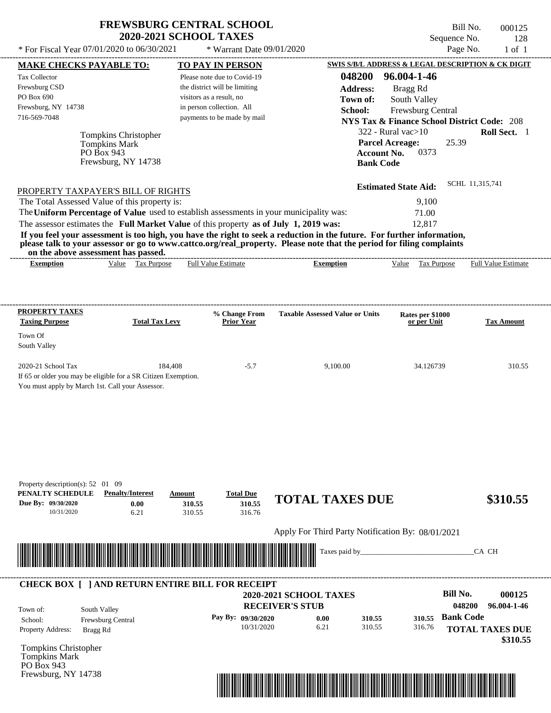| <b>FREWSBURG CENTRAL SCHOOL</b> |
|---------------------------------|
| <b>2020-2021 SCHOOL TAXES</b>   |

\* For Fiscal Year  $07/01/2020$  to  $06/30/2021$  \* Warrant Date  $09/01/2020$  Page No. 1 of 1

\* Warrant Date 09/01/2020

| 048200<br>96.004-1-46<br><b>Tax Collector</b><br>Please note due to Covid-19<br>Frewsburg CSD<br>the district will be limiting<br><b>Address:</b><br>Bragg Rd<br>PO Box 690<br>visitors as a result, no<br>Town of:<br>South Valley<br>Frewsburg, NY 14738<br>in person collection. All<br>School:<br>Frewsburg Central<br>716-569-7048<br>payments to be made by mail<br><b>NYS Tax &amp; Finance School District Code: 208</b><br>$322$ - Rural vac $>10$<br>Tompkins Christopher<br>25.39<br><b>Parcel Acreage:</b><br><b>Tompkins Mark</b><br>0373<br>PO Box 943<br><b>Account No.</b><br>Frewsburg, NY 14738<br><b>Bank Code</b><br>SCHL 11,315,741<br><b>Estimated State Aid:</b><br>PROPERTY TAXPAYER'S BILL OF RIGHTS<br>The Total Assessed Value of this property is:<br>9,100<br>The Uniform Percentage of Value used to establish assessments in your municipality was:<br>71.00<br>The assessor estimates the Full Market Value of this property as of July 1, 2019 was:<br>12,817<br>If you feel your assessment is too high, you have the right to seek a reduction in the future. For further information,<br>please talk to your assessor or go to www.cattco.org/real_property. Please note that the period for filing complaints<br>on the above assessment has passed.<br>Value Tax Purpose<br><b>Full Value Estimate</b><br><b>Exemption</b><br>Value Tax Purpose Full Value Estimate<br><b>Exemption</b><br><b>PROPERTY TAXES</b><br><b>Taxable Assessed Value or Units</b><br>% Change From<br>Rates per \$1000<br><b>Total Tax Levy</b><br><b>Taxing Purpose</b><br><b>Prior Year</b><br>or per Unit | Roll Sect. 1           |
|-----------------------------------------------------------------------------------------------------------------------------------------------------------------------------------------------------------------------------------------------------------------------------------------------------------------------------------------------------------------------------------------------------------------------------------------------------------------------------------------------------------------------------------------------------------------------------------------------------------------------------------------------------------------------------------------------------------------------------------------------------------------------------------------------------------------------------------------------------------------------------------------------------------------------------------------------------------------------------------------------------------------------------------------------------------------------------------------------------------------------------------------------------------------------------------------------------------------------------------------------------------------------------------------------------------------------------------------------------------------------------------------------------------------------------------------------------------------------------------------------------------------------------------------------------------------------------------------------------------------------------|------------------------|
|                                                                                                                                                                                                                                                                                                                                                                                                                                                                                                                                                                                                                                                                                                                                                                                                                                                                                                                                                                                                                                                                                                                                                                                                                                                                                                                                                                                                                                                                                                                                                                                                                             |                        |
|                                                                                                                                                                                                                                                                                                                                                                                                                                                                                                                                                                                                                                                                                                                                                                                                                                                                                                                                                                                                                                                                                                                                                                                                                                                                                                                                                                                                                                                                                                                                                                                                                             |                        |
|                                                                                                                                                                                                                                                                                                                                                                                                                                                                                                                                                                                                                                                                                                                                                                                                                                                                                                                                                                                                                                                                                                                                                                                                                                                                                                                                                                                                                                                                                                                                                                                                                             |                        |
|                                                                                                                                                                                                                                                                                                                                                                                                                                                                                                                                                                                                                                                                                                                                                                                                                                                                                                                                                                                                                                                                                                                                                                                                                                                                                                                                                                                                                                                                                                                                                                                                                             |                        |
|                                                                                                                                                                                                                                                                                                                                                                                                                                                                                                                                                                                                                                                                                                                                                                                                                                                                                                                                                                                                                                                                                                                                                                                                                                                                                                                                                                                                                                                                                                                                                                                                                             |                        |
|                                                                                                                                                                                                                                                                                                                                                                                                                                                                                                                                                                                                                                                                                                                                                                                                                                                                                                                                                                                                                                                                                                                                                                                                                                                                                                                                                                                                                                                                                                                                                                                                                             |                        |
|                                                                                                                                                                                                                                                                                                                                                                                                                                                                                                                                                                                                                                                                                                                                                                                                                                                                                                                                                                                                                                                                                                                                                                                                                                                                                                                                                                                                                                                                                                                                                                                                                             |                        |
|                                                                                                                                                                                                                                                                                                                                                                                                                                                                                                                                                                                                                                                                                                                                                                                                                                                                                                                                                                                                                                                                                                                                                                                                                                                                                                                                                                                                                                                                                                                                                                                                                             |                        |
|                                                                                                                                                                                                                                                                                                                                                                                                                                                                                                                                                                                                                                                                                                                                                                                                                                                                                                                                                                                                                                                                                                                                                                                                                                                                                                                                                                                                                                                                                                                                                                                                                             |                        |
|                                                                                                                                                                                                                                                                                                                                                                                                                                                                                                                                                                                                                                                                                                                                                                                                                                                                                                                                                                                                                                                                                                                                                                                                                                                                                                                                                                                                                                                                                                                                                                                                                             |                        |
|                                                                                                                                                                                                                                                                                                                                                                                                                                                                                                                                                                                                                                                                                                                                                                                                                                                                                                                                                                                                                                                                                                                                                                                                                                                                                                                                                                                                                                                                                                                                                                                                                             |                        |
|                                                                                                                                                                                                                                                                                                                                                                                                                                                                                                                                                                                                                                                                                                                                                                                                                                                                                                                                                                                                                                                                                                                                                                                                                                                                                                                                                                                                                                                                                                                                                                                                                             |                        |
|                                                                                                                                                                                                                                                                                                                                                                                                                                                                                                                                                                                                                                                                                                                                                                                                                                                                                                                                                                                                                                                                                                                                                                                                                                                                                                                                                                                                                                                                                                                                                                                                                             |                        |
|                                                                                                                                                                                                                                                                                                                                                                                                                                                                                                                                                                                                                                                                                                                                                                                                                                                                                                                                                                                                                                                                                                                                                                                                                                                                                                                                                                                                                                                                                                                                                                                                                             |                        |
|                                                                                                                                                                                                                                                                                                                                                                                                                                                                                                                                                                                                                                                                                                                                                                                                                                                                                                                                                                                                                                                                                                                                                                                                                                                                                                                                                                                                                                                                                                                                                                                                                             |                        |
|                                                                                                                                                                                                                                                                                                                                                                                                                                                                                                                                                                                                                                                                                                                                                                                                                                                                                                                                                                                                                                                                                                                                                                                                                                                                                                                                                                                                                                                                                                                                                                                                                             |                        |
|                                                                                                                                                                                                                                                                                                                                                                                                                                                                                                                                                                                                                                                                                                                                                                                                                                                                                                                                                                                                                                                                                                                                                                                                                                                                                                                                                                                                                                                                                                                                                                                                                             |                        |
|                                                                                                                                                                                                                                                                                                                                                                                                                                                                                                                                                                                                                                                                                                                                                                                                                                                                                                                                                                                                                                                                                                                                                                                                                                                                                                                                                                                                                                                                                                                                                                                                                             |                        |
|                                                                                                                                                                                                                                                                                                                                                                                                                                                                                                                                                                                                                                                                                                                                                                                                                                                                                                                                                                                                                                                                                                                                                                                                                                                                                                                                                                                                                                                                                                                                                                                                                             |                        |
|                                                                                                                                                                                                                                                                                                                                                                                                                                                                                                                                                                                                                                                                                                                                                                                                                                                                                                                                                                                                                                                                                                                                                                                                                                                                                                                                                                                                                                                                                                                                                                                                                             |                        |
|                                                                                                                                                                                                                                                                                                                                                                                                                                                                                                                                                                                                                                                                                                                                                                                                                                                                                                                                                                                                                                                                                                                                                                                                                                                                                                                                                                                                                                                                                                                                                                                                                             | <b>Tax Amount</b>      |
| Town Of                                                                                                                                                                                                                                                                                                                                                                                                                                                                                                                                                                                                                                                                                                                                                                                                                                                                                                                                                                                                                                                                                                                                                                                                                                                                                                                                                                                                                                                                                                                                                                                                                     |                        |
| South Valley                                                                                                                                                                                                                                                                                                                                                                                                                                                                                                                                                                                                                                                                                                                                                                                                                                                                                                                                                                                                                                                                                                                                                                                                                                                                                                                                                                                                                                                                                                                                                                                                                |                        |
|                                                                                                                                                                                                                                                                                                                                                                                                                                                                                                                                                                                                                                                                                                                                                                                                                                                                                                                                                                                                                                                                                                                                                                                                                                                                                                                                                                                                                                                                                                                                                                                                                             |                        |
| 2020-21 School Tax<br>184,408<br>$-5.7$<br>9,100.00<br>34.126739                                                                                                                                                                                                                                                                                                                                                                                                                                                                                                                                                                                                                                                                                                                                                                                                                                                                                                                                                                                                                                                                                                                                                                                                                                                                                                                                                                                                                                                                                                                                                            | 310.55                 |
| If 65 or older you may be eligible for a SR Citizen Exemption.                                                                                                                                                                                                                                                                                                                                                                                                                                                                                                                                                                                                                                                                                                                                                                                                                                                                                                                                                                                                                                                                                                                                                                                                                                                                                                                                                                                                                                                                                                                                                              |                        |
| You must apply by March 1st. Call your Assessor.                                                                                                                                                                                                                                                                                                                                                                                                                                                                                                                                                                                                                                                                                                                                                                                                                                                                                                                                                                                                                                                                                                                                                                                                                                                                                                                                                                                                                                                                                                                                                                            |                        |
|                                                                                                                                                                                                                                                                                                                                                                                                                                                                                                                                                                                                                                                                                                                                                                                                                                                                                                                                                                                                                                                                                                                                                                                                                                                                                                                                                                                                                                                                                                                                                                                                                             |                        |
|                                                                                                                                                                                                                                                                                                                                                                                                                                                                                                                                                                                                                                                                                                                                                                                                                                                                                                                                                                                                                                                                                                                                                                                                                                                                                                                                                                                                                                                                                                                                                                                                                             |                        |
|                                                                                                                                                                                                                                                                                                                                                                                                                                                                                                                                                                                                                                                                                                                                                                                                                                                                                                                                                                                                                                                                                                                                                                                                                                                                                                                                                                                                                                                                                                                                                                                                                             |                        |
|                                                                                                                                                                                                                                                                                                                                                                                                                                                                                                                                                                                                                                                                                                                                                                                                                                                                                                                                                                                                                                                                                                                                                                                                                                                                                                                                                                                                                                                                                                                                                                                                                             |                        |
|                                                                                                                                                                                                                                                                                                                                                                                                                                                                                                                                                                                                                                                                                                                                                                                                                                                                                                                                                                                                                                                                                                                                                                                                                                                                                                                                                                                                                                                                                                                                                                                                                             |                        |
|                                                                                                                                                                                                                                                                                                                                                                                                                                                                                                                                                                                                                                                                                                                                                                                                                                                                                                                                                                                                                                                                                                                                                                                                                                                                                                                                                                                                                                                                                                                                                                                                                             |                        |
|                                                                                                                                                                                                                                                                                                                                                                                                                                                                                                                                                                                                                                                                                                                                                                                                                                                                                                                                                                                                                                                                                                                                                                                                                                                                                                                                                                                                                                                                                                                                                                                                                             |                        |
| Property description(s): $52 \quad 01 \quad 09$<br>PENALTY SCHEDULE<br><b>Penalty/Interest</b><br><b>Total Due</b><br>Amount                                                                                                                                                                                                                                                                                                                                                                                                                                                                                                                                                                                                                                                                                                                                                                                                                                                                                                                                                                                                                                                                                                                                                                                                                                                                                                                                                                                                                                                                                                |                        |
|                                                                                                                                                                                                                                                                                                                                                                                                                                                                                                                                                                                                                                                                                                                                                                                                                                                                                                                                                                                                                                                                                                                                                                                                                                                                                                                                                                                                                                                                                                                                                                                                                             |                        |
| <b>TOTAL TAXES DUE</b>                                                                                                                                                                                                                                                                                                                                                                                                                                                                                                                                                                                                                                                                                                                                                                                                                                                                                                                                                                                                                                                                                                                                                                                                                                                                                                                                                                                                                                                                                                                                                                                                      | \$310.55               |
| 310.55<br>0.00<br>310.55<br>10/31/2020<br>6.21<br>310.55<br>316.76                                                                                                                                                                                                                                                                                                                                                                                                                                                                                                                                                                                                                                                                                                                                                                                                                                                                                                                                                                                                                                                                                                                                                                                                                                                                                                                                                                                                                                                                                                                                                          |                        |
|                                                                                                                                                                                                                                                                                                                                                                                                                                                                                                                                                                                                                                                                                                                                                                                                                                                                                                                                                                                                                                                                                                                                                                                                                                                                                                                                                                                                                                                                                                                                                                                                                             |                        |
| Apply For Third Party Notification By: 08/01/2021                                                                                                                                                                                                                                                                                                                                                                                                                                                                                                                                                                                                                                                                                                                                                                                                                                                                                                                                                                                                                                                                                                                                                                                                                                                                                                                                                                                                                                                                                                                                                                           |                        |
| Taxes paid by_                                                                                                                                                                                                                                                                                                                                                                                                                                                                                                                                                                                                                                                                                                                                                                                                                                                                                                                                                                                                                                                                                                                                                                                                                                                                                                                                                                                                                                                                                                                                                                                                              | CA CH                  |
|                                                                                                                                                                                                                                                                                                                                                                                                                                                                                                                                                                                                                                                                                                                                                                                                                                                                                                                                                                                                                                                                                                                                                                                                                                                                                                                                                                                                                                                                                                                                                                                                                             |                        |
|                                                                                                                                                                                                                                                                                                                                                                                                                                                                                                                                                                                                                                                                                                                                                                                                                                                                                                                                                                                                                                                                                                                                                                                                                                                                                                                                                                                                                                                                                                                                                                                                                             |                        |
|                                                                                                                                                                                                                                                                                                                                                                                                                                                                                                                                                                                                                                                                                                                                                                                                                                                                                                                                                                                                                                                                                                                                                                                                                                                                                                                                                                                                                                                                                                                                                                                                                             |                        |
| <b>Bill No.</b><br><b>2020-2021 SCHOOL TAXES</b>                                                                                                                                                                                                                                                                                                                                                                                                                                                                                                                                                                                                                                                                                                                                                                                                                                                                                                                                                                                                                                                                                                                                                                                                                                                                                                                                                                                                                                                                                                                                                                            | 000125                 |
| 048200<br><b>RECEIVER'S STUB</b><br>South Valley                                                                                                                                                                                                                                                                                                                                                                                                                                                                                                                                                                                                                                                                                                                                                                                                                                                                                                                                                                                                                                                                                                                                                                                                                                                                                                                                                                                                                                                                                                                                                                            | 96.004-1-46            |
| Due By: 09/30/2020<br><u> III de la contrada de la contrada de la contrada de la contrada de la contrada de la contrada de la contrada</u><br><b>CHECK BOX [ ] AND RETURN ENTIRE BILL FOR RECEIPT</b><br>Town of:<br><b>Bank Code</b><br>Pay By: 09/30/2020<br>0.00<br>310.55<br>310.55<br>School:<br>Frewsburg Central                                                                                                                                                                                                                                                                                                                                                                                                                                                                                                                                                                                                                                                                                                                                                                                                                                                                                                                                                                                                                                                                                                                                                                                                                                                                                                     |                        |
| 6.21<br>310.55<br>10/31/2020<br>316.76<br>Property Address:<br>Bragg Rd                                                                                                                                                                                                                                                                                                                                                                                                                                                                                                                                                                                                                                                                                                                                                                                                                                                                                                                                                                                                                                                                                                                                                                                                                                                                                                                                                                                                                                                                                                                                                     | <b>TOTAL TAXES DUE</b> |
|                                                                                                                                                                                                                                                                                                                                                                                                                                                                                                                                                                                                                                                                                                                                                                                                                                                                                                                                                                                                                                                                                                                                                                                                                                                                                                                                                                                                                                                                                                                                                                                                                             | \$310.55               |
|                                                                                                                                                                                                                                                                                                                                                                                                                                                                                                                                                                                                                                                                                                                                                                                                                                                                                                                                                                                                                                                                                                                                                                                                                                                                                                                                                                                                                                                                                                                                                                                                                             |                        |
| Tompkins Christopher<br>Tompkins Mark<br>PO Box 943                                                                                                                                                                                                                                                                                                                                                                                                                                                                                                                                                                                                                                                                                                                                                                                                                                                                                                                                                                                                                                                                                                                                                                                                                                                                                                                                                                                                                                                                                                                                                                         |                        |

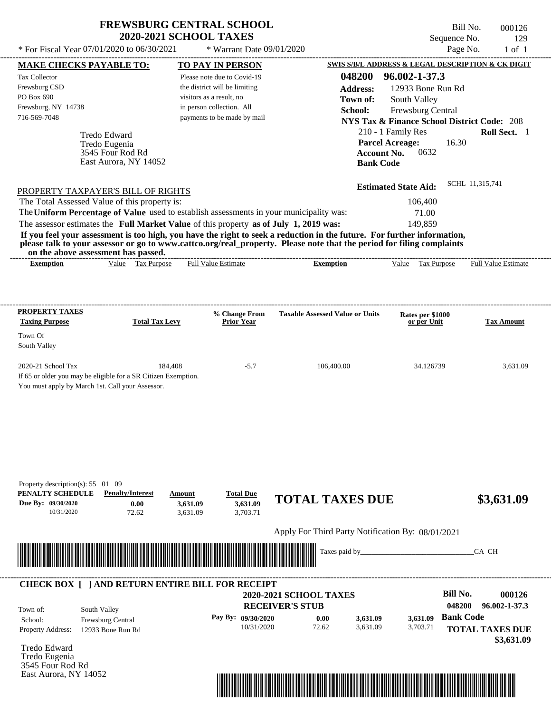| * For Fiscal Year 07/01/2020 to 06/30/2021                                                                                               | <b>FREWSBURG CENTRAL SCHOOL</b><br><b>2020-2021 SCHOOL TAXES</b> | * Warrant Date 09/01/2020                                    |                                                                                                                                                                                                                                                  | Sequence No.                                           | Bill No.<br>000126<br>129<br>Page No.<br>$1$ of $1$ |
|------------------------------------------------------------------------------------------------------------------------------------------|------------------------------------------------------------------|--------------------------------------------------------------|--------------------------------------------------------------------------------------------------------------------------------------------------------------------------------------------------------------------------------------------------|--------------------------------------------------------|-----------------------------------------------------|
| <b>MAKE CHECKS PAYABLE TO:</b>                                                                                                           |                                                                  | <b>TO PAY IN PERSON</b>                                      |                                                                                                                                                                                                                                                  | SWIS S/B/L ADDRESS & LEGAL DESCRIPTION & CK DIGIT      |                                                     |
| Tax Collector<br>Frewsburg CSD                                                                                                           |                                                                  | Please note due to Covid-19<br>the district will be limiting | 048200                                                                                                                                                                                                                                           | 96.002-1-37.3                                          |                                                     |
| PO Box 690                                                                                                                               |                                                                  | visitors as a result, no                                     | <b>Address:</b><br>Town of:                                                                                                                                                                                                                      | 12933 Bone Run Rd<br>South Valley                      |                                                     |
| Frewsburg, NY 14738                                                                                                                      |                                                                  | in person collection. All                                    | School:                                                                                                                                                                                                                                          | Frewsburg Central                                      |                                                     |
| 716-569-7048                                                                                                                             |                                                                  | payments to be made by mail                                  |                                                                                                                                                                                                                                                  | <b>NYS Tax &amp; Finance School District Code: 208</b> |                                                     |
| Tredo Edward                                                                                                                             |                                                                  |                                                              |                                                                                                                                                                                                                                                  | 210 - 1 Family Res                                     | Roll Sect. 1                                        |
| Tredo Eugenia                                                                                                                            |                                                                  |                                                              |                                                                                                                                                                                                                                                  | <b>Parcel Acreage:</b><br>16.30                        |                                                     |
| 3545 Four Rod Rd                                                                                                                         |                                                                  |                                                              | <b>Account No.</b>                                                                                                                                                                                                                               | 0632                                                   |                                                     |
| East Aurora, NY 14052                                                                                                                    |                                                                  |                                                              | <b>Bank Code</b>                                                                                                                                                                                                                                 |                                                        |                                                     |
|                                                                                                                                          |                                                                  |                                                              |                                                                                                                                                                                                                                                  | <b>Estimated State Aid:</b>                            | SCHL 11,315,741                                     |
| PROPERTY TAXPAYER'S BILL OF RIGHTS<br>The Total Assessed Value of this property is:                                                      |                                                                  |                                                              |                                                                                                                                                                                                                                                  | 106,400                                                |                                                     |
| The Uniform Percentage of Value used to establish assessments in your municipality was:                                                  |                                                                  |                                                              |                                                                                                                                                                                                                                                  | 71.00                                                  |                                                     |
| The assessor estimates the Full Market Value of this property as of July 1, 2019 was:                                                    |                                                                  |                                                              |                                                                                                                                                                                                                                                  | 149,859                                                |                                                     |
| on the above assessment has passed.                                                                                                      |                                                                  |                                                              | If you feel your assessment is too high, you have the right to seek a reduction in the future. For further information,<br>please talk to your assessor or go to www.cattco.org/real_property. Please note that the period for filing complaints |                                                        |                                                     |
| <b>Exemption</b>                                                                                                                         | Value Tax Purpose                                                | <b>Full Value Estimate</b>                                   | <b>Exemption</b>                                                                                                                                                                                                                                 | Value Tax Purpose                                      | <b>Full Value Estimate</b>                          |
| <b>PROPERTY TAXES</b><br><b>Taxing Purpose</b>                                                                                           | <b>Total Tax Levy</b>                                            | % Change From<br><b>Prior Year</b>                           | <b>Taxable Assessed Value or Units</b>                                                                                                                                                                                                           | Rates per \$1000<br>or per Unit                        | <b>Tax Amount</b>                                   |
| Town Of<br>South Valley                                                                                                                  |                                                                  |                                                              |                                                                                                                                                                                                                                                  |                                                        |                                                     |
| 2020-21 School Tax<br>If 65 or older you may be eligible for a SR Citizen Exemption.<br>You must apply by March 1st. Call your Assessor. | 184,408                                                          | $-5.7$                                                       | 106,400.00                                                                                                                                                                                                                                       | 34.126739                                              | 3,631.09                                            |
| Property description(s): 55 01 09<br>PENALTY SCHEDULE<br><b>Penalty/Interest</b>                                                         | Amount                                                           | <b>Total Due</b>                                             |                                                                                                                                                                                                                                                  |                                                        |                                                     |
| Due By: 09/30/2020<br>10/31/2020                                                                                                         | 0.00<br>3,631.09<br>3,631.09<br>72.62                            | 3,631.09<br>3,703.71                                         | <b>TOTAL TAXES DUE</b>                                                                                                                                                                                                                           |                                                        | \$3,631.09                                          |
|                                                                                                                                          |                                                                  |                                                              | Apply For Third Party Notification By: 08/01/2021                                                                                                                                                                                                |                                                        |                                                     |
|                                                                                                                                          |                                                                  |                                                              | Taxes paid by_                                                                                                                                                                                                                                   |                                                        | CA CH                                               |
| <b>CHECK BOX [ ] AND RETURN ENTIRE BILL FOR RECEIPT</b>                                                                                  |                                                                  |                                                              |                                                                                                                                                                                                                                                  |                                                        |                                                     |
|                                                                                                                                          |                                                                  |                                                              |                                                                                                                                                                                                                                                  |                                                        |                                                     |
|                                                                                                                                          |                                                                  |                                                              | <b>2020-2021 SCHOOL TAXES</b>                                                                                                                                                                                                                    | <b>Bill No.</b>                                        | 000126                                              |
| South Valley<br>Town of:                                                                                                                 |                                                                  | Pay By: 09/30/2020                                           | <b>RECEIVER'S STUB</b>                                                                                                                                                                                                                           | 048200<br><b>Bank Code</b>                             | 96.002-1-37.3                                       |

10/31/2020 72.62

Tredo Edward Property Address: 12933 Bone Run Rd

Tredo Eugenia 3545 Four Rod Rd East Aurora, NY 14052



3,631.09

3,703.71

**TOTAL TAXES DUE**

 **\$3,631.09**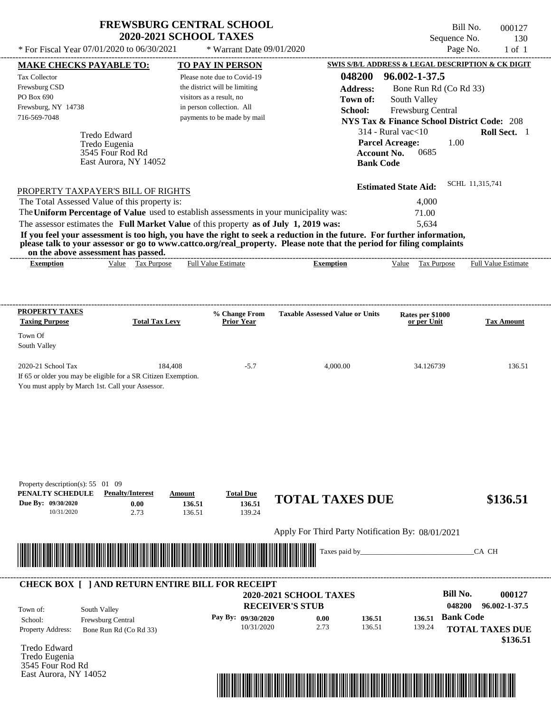| <b>FREWSBURG CENTRAL SCHOOL</b> |
|---------------------------------|
| <b>2020-2021 SCHOOL TAXES</b>   |

 $*$  For Fiscal Year 07/01/2020 to 06/30/2021  $*$  Warrant Date 09/01/2020 Page No. 1 of 1

Bill No. 000127 Sequence No. 130<br>Page No. 1 of 1

| <b>MAKE CHECKS PAYABLE TO:</b>                                                                                                                                                                                                       | <b>TO PAY IN PERSON</b>                                  |                                                   | SWIS S/B/L ADDRESS & LEGAL DESCRIPTION & CK DIGIT      |                        |
|--------------------------------------------------------------------------------------------------------------------------------------------------------------------------------------------------------------------------------------|----------------------------------------------------------|---------------------------------------------------|--------------------------------------------------------|------------------------|
| <b>Tax Collector</b>                                                                                                                                                                                                                 | Please note due to Covid-19                              | 048200                                            | 96.002-1-37.5                                          |                        |
| Frewsburg CSD                                                                                                                                                                                                                        | the district will be limiting                            | <b>Address:</b>                                   | Bone Run Rd (Co Rd 33)                                 |                        |
| PO Box 690                                                                                                                                                                                                                           | visitors as a result, no                                 | Town of:                                          | South Valley                                           |                        |
| Frewsburg, NY 14738<br>716-569-7048                                                                                                                                                                                                  | in person collection. All<br>payments to be made by mail | School:                                           | Frewsburg Central                                      |                        |
|                                                                                                                                                                                                                                      |                                                          |                                                   | <b>NYS Tax &amp; Finance School District Code: 208</b> |                        |
| Tredo Edward                                                                                                                                                                                                                         |                                                          |                                                   | $314$ - Rural vac $<$ 10                               | Roll Sect. 1           |
| Tredo Eugenia<br>3545 Four Rod Rd                                                                                                                                                                                                    |                                                          | <b>Account No.</b>                                | 1.00<br><b>Parcel Acreage:</b><br>0685                 |                        |
| East Aurora, NY 14052                                                                                                                                                                                                                |                                                          | <b>Bank Code</b>                                  |                                                        |                        |
|                                                                                                                                                                                                                                      |                                                          |                                                   |                                                        |                        |
|                                                                                                                                                                                                                                      |                                                          |                                                   | <b>Estimated State Aid:</b>                            | SCHL 11,315,741        |
| PROPERTY TAXPAYER'S BILL OF RIGHTS<br>The Total Assessed Value of this property is:                                                                                                                                                  |                                                          |                                                   | 4,000                                                  |                        |
| The Uniform Percentage of Value used to establish assessments in your municipality was:                                                                                                                                              |                                                          |                                                   | 71.00                                                  |                        |
| The assessor estimates the Full Market Value of this property as of July 1, 2019 was:                                                                                                                                                |                                                          |                                                   | 5,634                                                  |                        |
| If you feel your assessment is too high, you have the right to seek a reduction in the future. For further information,                                                                                                              |                                                          |                                                   |                                                        |                        |
| please talk to your assessor or go to www.cattco.org/real_property. Please note that the period for filing complaints                                                                                                                |                                                          |                                                   |                                                        |                        |
| on the above assessment has passed.<br>Value Tax Purpose<br><b>Exemption</b>                                                                                                                                                         | <b>Full Value Estimate</b>                               | <b>Exemption</b>                                  | Value Tax Purpose Full Value Estimate                  |                        |
|                                                                                                                                                                                                                                      |                                                          |                                                   |                                                        |                        |
|                                                                                                                                                                                                                                      |                                                          |                                                   |                                                        |                        |
|                                                                                                                                                                                                                                      |                                                          |                                                   |                                                        |                        |
| <b>PROPERTY TAXES</b>                                                                                                                                                                                                                | % Change From                                            | <b>Taxable Assessed Value or Units</b>            | Rates per \$1000                                       |                        |
| <b>Total Tax Levy</b><br><b>Taxing Purpose</b>                                                                                                                                                                                       | <b>Prior Year</b>                                        |                                                   | or per Unit                                            | <b>Tax Amount</b>      |
| Town Of                                                                                                                                                                                                                              |                                                          |                                                   |                                                        |                        |
| South Valley                                                                                                                                                                                                                         |                                                          |                                                   |                                                        |                        |
| 2020-21 School Tax                                                                                                                                                                                                                   | 184,408<br>$-5.7$                                        | 4,000.00                                          | 34.126739                                              | 136.51                 |
| If 65 or older you may be eligible for a SR Citizen Exemption.                                                                                                                                                                       |                                                          |                                                   |                                                        |                        |
| You must apply by March 1st. Call your Assessor.                                                                                                                                                                                     |                                                          |                                                   |                                                        |                        |
|                                                                                                                                                                                                                                      |                                                          |                                                   |                                                        |                        |
|                                                                                                                                                                                                                                      |                                                          |                                                   |                                                        |                        |
|                                                                                                                                                                                                                                      |                                                          |                                                   |                                                        |                        |
|                                                                                                                                                                                                                                      |                                                          |                                                   |                                                        |                        |
|                                                                                                                                                                                                                                      |                                                          |                                                   |                                                        |                        |
|                                                                                                                                                                                                                                      |                                                          |                                                   |                                                        |                        |
|                                                                                                                                                                                                                                      |                                                          |                                                   |                                                        |                        |
| Property description(s): 55 01 09                                                                                                                                                                                                    |                                                          |                                                   |                                                        |                        |
| PENALTY SCHEDULE<br><b>Penalty/Interest</b>                                                                                                                                                                                          | <b>Total Due</b><br>Amount                               | <b>TOTAL TAXES DUE</b>                            |                                                        | \$136.51               |
| Due By: 09/30/2020<br>0.00<br>10/31/2020<br>2.73                                                                                                                                                                                     | 136.51<br>136.51<br>136.51<br>139.24                     |                                                   |                                                        |                        |
|                                                                                                                                                                                                                                      |                                                          |                                                   |                                                        |                        |
|                                                                                                                                                                                                                                      |                                                          | Apply For Third Party Notification By: 08/01/2021 |                                                        |                        |
|                                                                                                                                                                                                                                      |                                                          | Taxes paid by_                                    |                                                        | CA CH                  |
| <u> Indian American State of Barbara and The Barbara and The Barbara and The Barbara and The Barbara and The Barbara and The Barbara and The Barbara and The Barbara and The Barbara and The Barbara and The Barbara and The Bar</u> |                                                          |                                                   |                                                        |                        |
|                                                                                                                                                                                                                                      |                                                          |                                                   |                                                        |                        |
| <b>CHECK BOX [ ] AND RETURN ENTIRE BILL FOR RECEIPT</b>                                                                                                                                                                              |                                                          |                                                   |                                                        |                        |
|                                                                                                                                                                                                                                      |                                                          | 2020-2021 SCHOOL TAXES                            | <b>Bill No.</b>                                        | 000127                 |
| South Valley<br>Town of:                                                                                                                                                                                                             |                                                          | <b>RECEIVER'S STUB</b>                            | 048200                                                 | 96.002-1-37.5          |
| School:<br>Frewsburg Central                                                                                                                                                                                                         | Pay By: 09/30/2020                                       | 136.51<br>0.00                                    | <b>Bank Code</b><br>136.51                             |                        |
| Property Address:<br>Bone Run Rd (Co Rd 33)                                                                                                                                                                                          | 10/31/2020                                               | 2.73<br>136.51                                    | 139.24                                                 | <b>TOTAL TAXES DUE</b> |
| Tredo Edward                                                                                                                                                                                                                         |                                                          |                                                   |                                                        | \$136.51               |
| Tredo Eugenia                                                                                                                                                                                                                        |                                                          |                                                   |                                                        |                        |
| 3545 Four Rod Rd                                                                                                                                                                                                                     |                                                          |                                                   |                                                        |                        |
| East Aurora, NY 14052                                                                                                                                                                                                                |                                                          |                                                   |                                                        |                        |
|                                                                                                                                                                                                                                      |                                                          |                                                   |                                                        |                        |
|                                                                                                                                                                                                                                      |                                                          |                                                   |                                                        |                        |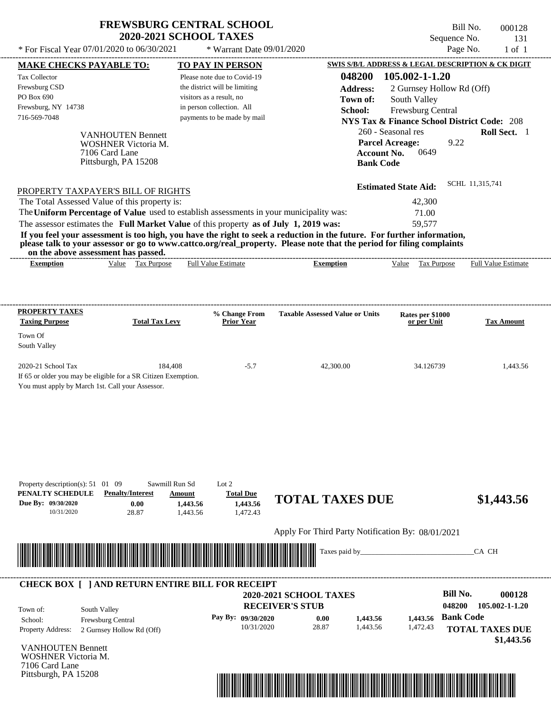| * For Fiscal Year 07/01/2020 to 06/30/2021                                                                                                                                                   | <b>FREWSBURG CENTRAL SCHOOL</b><br><b>2020-2021 SCHOOL TAXES</b>                             | * Warrant Date 09/01/2020                           |                                                                                                                                                                                                                                                  |                                                                            | Bill No.<br>000128<br>Sequence No.<br>131<br>Page No.<br>$1$ of $1$ |
|----------------------------------------------------------------------------------------------------------------------------------------------------------------------------------------------|----------------------------------------------------------------------------------------------|-----------------------------------------------------|--------------------------------------------------------------------------------------------------------------------------------------------------------------------------------------------------------------------------------------------------|----------------------------------------------------------------------------|---------------------------------------------------------------------|
| MAKE CHECKS PAYABLE TO:                                                                                                                                                                      |                                                                                              | <b>TO PAY IN PERSON</b>                             |                                                                                                                                                                                                                                                  |                                                                            | SWIS S/B/L ADDRESS & LEGAL DESCRIPTION & CK DIGIT                   |
| Tax Collector                                                                                                                                                                                |                                                                                              | Please note due to Covid-19                         | 048200                                                                                                                                                                                                                                           | 105.002-1-1.20                                                             |                                                                     |
| Frewsburg CSD                                                                                                                                                                                |                                                                                              | the district will be limiting                       | <b>Address:</b>                                                                                                                                                                                                                                  | 2 Gurnsey Hollow Rd (Off)                                                  |                                                                     |
| PO Box 690                                                                                                                                                                                   |                                                                                              | visitors as a result, no                            | Town of:                                                                                                                                                                                                                                         | South Valley                                                               |                                                                     |
| Frewsburg, NY 14738                                                                                                                                                                          |                                                                                              | in person collection. All                           | School:                                                                                                                                                                                                                                          | Frewsburg Central                                                          |                                                                     |
| 716-569-7048                                                                                                                                                                                 |                                                                                              | payments to be made by mail                         |                                                                                                                                                                                                                                                  |                                                                            | <b>NYS Tax &amp; Finance School District Code: 208</b>              |
| 7106 Card Lane                                                                                                                                                                               | <b>VANHOUTEN Bennett</b><br>WOSHNER Victoria M.<br>Pittsburgh, PA 15208                      |                                                     | <b>Bank Code</b>                                                                                                                                                                                                                                 | 260 - Seasonal res<br><b>Parcel Acreage:</b><br>0649<br><b>Account No.</b> | Roll Sect. 1<br>9.22                                                |
| PROPERTY TAXPAYER'S BILL OF RIGHTS                                                                                                                                                           |                                                                                              |                                                     |                                                                                                                                                                                                                                                  | <b>Estimated State Aid:</b>                                                | SCHL 11,315,741                                                     |
| The Total Assessed Value of this property is:                                                                                                                                                |                                                                                              |                                                     |                                                                                                                                                                                                                                                  | 42,300                                                                     |                                                                     |
| The Uniform Percentage of Value used to establish assessments in your municipality was:                                                                                                      |                                                                                              |                                                     |                                                                                                                                                                                                                                                  | 71.00                                                                      |                                                                     |
| The assessor estimates the Full Market Value of this property as of July 1, 2019 was:                                                                                                        |                                                                                              |                                                     |                                                                                                                                                                                                                                                  | 59,577                                                                     |                                                                     |
| on the above assessment has passed.                                                                                                                                                          |                                                                                              |                                                     | If you feel your assessment is too high, you have the right to seek a reduction in the future. For further information,<br>please talk to your assessor or go to www.cattco.org/real_property. Please note that the period for filing complaints |                                                                            |                                                                     |
| <b>Exemption</b>                                                                                                                                                                             | Value Tax Purpose                                                                            | Full Value Estimate                                 | <b>Exemption</b>                                                                                                                                                                                                                                 | Tax Purpose<br>Value                                                       | Full Value Estimate                                                 |
| <b>Taxing Purpose</b><br>Town Of<br>South Valley<br>2020-21 School Tax<br>If 65 or older you may be eligible for a SR Citizen Exemption.<br>You must apply by March 1st. Call your Assessor. | <b>Total Tax Levy</b><br>184,408                                                             | % Change From<br><b>Prior Year</b><br>$-5.7$        | <b>Taxable Assessed Value or Units</b><br>42,300.00                                                                                                                                                                                              | Rates per \$1000<br>or per Unit<br>34.126739                               | <b>Tax Amount</b><br>1,443.56                                       |
| Property description(s): $51 \quad 01 \quad 09$<br>PENALTY SCHEDULE<br>Due By: 09/30/2020<br>10/31/2020                                                                                      | Sawmill Run Sd<br><b>Penalty/Interest</b><br>Amount<br>0.00<br>1,443.56<br>28.87<br>1,443.56 | Lot $2$<br><b>Total Due</b><br>1,443.56<br>1,472.43 | <b>TOTAL TAXES DUE</b>                                                                                                                                                                                                                           |                                                                            | \$1,443.56                                                          |
|                                                                                                                                                                                              |                                                                                              |                                                     |                                                                                                                                                                                                                                                  |                                                                            |                                                                     |
|                                                                                                                                                                                              |                                                                                              |                                                     | Apply For Third Party Notification By: 08/01/2021                                                                                                                                                                                                |                                                                            |                                                                     |
|                                                                                                                                                                                              |                                                                                              |                                                     | Taxes paid by                                                                                                                                                                                                                                    |                                                                            | CA CH                                                               |
| <b>CHECK BOX [ ] AND RETURN ENTIRE BILL FOR RECEIPT</b>                                                                                                                                      |                                                                                              |                                                     |                                                                                                                                                                                                                                                  |                                                                            |                                                                     |
|                                                                                                                                                                                              |                                                                                              |                                                     | 2020-2021 SCHOOL TAXES                                                                                                                                                                                                                           |                                                                            | <b>Bill No.</b><br>000128                                           |
| South Valley<br>Town of:                                                                                                                                                                     |                                                                                              |                                                     | <b>RECEIVER'S STUB</b>                                                                                                                                                                                                                           |                                                                            | 048200<br>105.002-1-1.20                                            |
| School:<br>Frewsburg Central                                                                                                                                                                 |                                                                                              | Pay By: 09/30/2020                                  | 0.00<br>1,443.56                                                                                                                                                                                                                                 | 1,443.56                                                                   | <b>Bank Code</b>                                                    |
| Property Address:                                                                                                                                                                            | 2 Gurnsey Hollow Rd (Off)                                                                    | 10/31/2020                                          | 28.87<br>1,443.56                                                                                                                                                                                                                                | 1,472.43                                                                   | <b>TOTAL TAXES DUE</b>                                              |
|                                                                                                                                                                                              |                                                                                              |                                                     |                                                                                                                                                                                                                                                  |                                                                            | \$1,443.56                                                          |
| <b>VANHOUTEN Bennett</b>                                                                                                                                                                     |                                                                                              |                                                     |                                                                                                                                                                                                                                                  |                                                                            |                                                                     |
| WOSHNER Victoria M.                                                                                                                                                                          |                                                                                              |                                                     |                                                                                                                                                                                                                                                  |                                                                            |                                                                     |

7106 Card Lane Pittsburgh, PA 15208

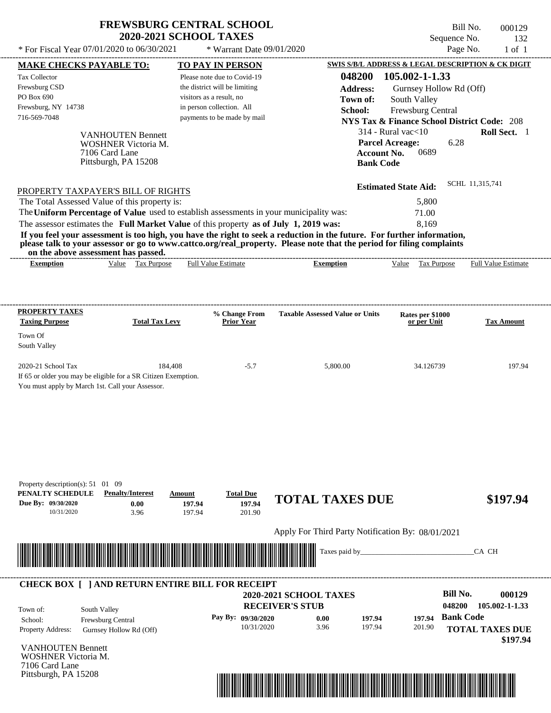|                                                                                                                                                                                                                                                  | <b>2020-2021 SCHOOL TAXES</b> | <b>FREWSBURG CENTRAL SCHOOL</b>  |                                                   | Bill No.<br>Sequence No.                               | 000129<br>132                      |
|--------------------------------------------------------------------------------------------------------------------------------------------------------------------------------------------------------------------------------------------------|-------------------------------|----------------------------------|---------------------------------------------------|--------------------------------------------------------|------------------------------------|
| * For Fiscal Year 07/01/2020 to 06/30/2021                                                                                                                                                                                                       |                               | * Warrant Date 09/01/2020        |                                                   | Page No.                                               | $1$ of $1$                         |
| <b>MAKE CHECKS PAYABLE TO:</b>                                                                                                                                                                                                                   |                               | <b>TO PAY IN PERSON</b>          |                                                   | SWIS S/B/L ADDRESS & LEGAL DESCRIPTION & CK DIGIT      |                                    |
| <b>Tax Collector</b>                                                                                                                                                                                                                             |                               | Please note due to Covid-19      | 048200                                            | 105.002-1-1.33                                         |                                    |
| Frewsburg CSD                                                                                                                                                                                                                                    |                               | the district will be limiting    | <b>Address:</b>                                   | Gurnsey Hollow Rd (Off)                                |                                    |
| PO Box 690                                                                                                                                                                                                                                       |                               | visitors as a result, no         | Town of:                                          | South Valley                                           |                                    |
| Frewsburg, NY 14738                                                                                                                                                                                                                              |                               | in person collection. All        | School:                                           | Frewsburg Central                                      |                                    |
| 716-569-7048                                                                                                                                                                                                                                     |                               | payments to be made by mail      |                                                   | <b>NYS Tax &amp; Finance School District Code: 208</b> |                                    |
| <b>VANHOUTEN Bennett</b>                                                                                                                                                                                                                         |                               |                                  |                                                   | $314$ - Rural vac $<$ 10                               | Roll Sect. 1                       |
| <b>WOSHNER Victoria M.</b>                                                                                                                                                                                                                       |                               |                                  |                                                   | <b>Parcel Acreage:</b><br>6.28                         |                                    |
| 7106 Card Lane                                                                                                                                                                                                                                   |                               |                                  |                                                   | 0689<br><b>Account No.</b>                             |                                    |
| Pittsburgh, PA 15208                                                                                                                                                                                                                             |                               |                                  | <b>Bank Code</b>                                  |                                                        |                                    |
|                                                                                                                                                                                                                                                  |                               |                                  |                                                   | <b>Estimated State Aid:</b>                            | SCHL 11,315,741                    |
| PROPERTY TAXPAYER'S BILL OF RIGHTS                                                                                                                                                                                                               |                               |                                  |                                                   |                                                        |                                    |
| The Total Assessed Value of this property is:                                                                                                                                                                                                    |                               |                                  |                                                   | 5,800                                                  |                                    |
| The Uniform Percentage of Value used to establish assessments in your municipality was:                                                                                                                                                          |                               |                                  |                                                   | 71.00                                                  |                                    |
| The assessor estimates the Full Market Value of this property as of July 1, 2019 was:                                                                                                                                                            |                               |                                  |                                                   | 8.169                                                  |                                    |
| If you feel your assessment is too high, you have the right to seek a reduction in the future. For further information,<br>please talk to your assessor or go to www.cattco.org/real_property. Please note that the period for filing complaints |                               |                                  |                                                   |                                                        |                                    |
| on the above assessment has passed.<br>Value Tax Purpose<br><b>Exemption</b>                                                                                                                                                                     |                               | <b>Full Value Estimate</b>       | <b>Exemption</b>                                  | Value<br>Tax Purpose                                   | <b>Full Value Estimate</b>         |
|                                                                                                                                                                                                                                                  |                               |                                  |                                                   |                                                        |                                    |
|                                                                                                                                                                                                                                                  |                               |                                  |                                                   |                                                        |                                    |
| <b>PROPERTY TAXES</b>                                                                                                                                                                                                                            |                               | % Change From                    | <b>Taxable Assessed Value or Units</b>            | Rates per \$1000                                       |                                    |
| <b>Taxing Purpose</b>                                                                                                                                                                                                                            | <b>Total Tax Levy</b>         | <b>Prior Year</b>                |                                                   | or per Unit                                            | <b>Tax Amount</b>                  |
| Town Of                                                                                                                                                                                                                                          |                               |                                  |                                                   |                                                        |                                    |
| South Valley                                                                                                                                                                                                                                     |                               |                                  |                                                   |                                                        |                                    |
| 2020-21 School Tax                                                                                                                                                                                                                               | 184.408                       | $-5.7$                           | 5,800.00                                          | 34.126739                                              | 197.94                             |
| If 65 or older you may be eligible for a SR Citizen Exemption.                                                                                                                                                                                   |                               |                                  |                                                   |                                                        |                                    |
| You must apply by March 1st. Call your Assessor.                                                                                                                                                                                                 |                               |                                  |                                                   |                                                        |                                    |
|                                                                                                                                                                                                                                                  |                               |                                  |                                                   |                                                        |                                    |
|                                                                                                                                                                                                                                                  |                               |                                  |                                                   |                                                        |                                    |
|                                                                                                                                                                                                                                                  |                               |                                  |                                                   |                                                        |                                    |
| Property description(s): 51 01 09<br>PENALTY SCHEDULE<br><b>Penalty/Interest</b>                                                                                                                                                                 |                               |                                  |                                                   |                                                        |                                    |
| Due By: 09/30/2020<br>0.00                                                                                                                                                                                                                       | Amount<br>197.94              | <b>Total Due</b><br>197.94       | <b>TOTAL TAXES DUE</b>                            |                                                        | \$197.94                           |
| 10/31/2020<br>3.96                                                                                                                                                                                                                               | 197.94                        | 201.90                           |                                                   |                                                        |                                    |
|                                                                                                                                                                                                                                                  |                               |                                  |                                                   |                                                        |                                    |
|                                                                                                                                                                                                                                                  |                               |                                  | Apply For Third Party Notification By: 08/01/2021 |                                                        |                                    |
|                                                                                                                                                                                                                                                  |                               |                                  | Taxes paid by_                                    |                                                        | CA CH                              |
|                                                                                                                                                                                                                                                  |                               |                                  |                                                   |                                                        |                                    |
| <b>CHECK BOX [ ] AND RETURN ENTIRE BILL FOR RECEIPT</b>                                                                                                                                                                                          |                               |                                  | <b>2020-2021 SCHOOL TAXES</b>                     | <b>Bill No.</b>                                        | 000129                             |
|                                                                                                                                                                                                                                                  |                               |                                  | <b>RECEIVER'S STUB</b>                            | 048200                                                 | 105.002-1-1.33                     |
| South Valley<br>Town of:                                                                                                                                                                                                                         |                               |                                  |                                                   | <b>Bank Code</b>                                       |                                    |
| Frewsburg Central<br>School:                                                                                                                                                                                                                     |                               | Pay By: 09/30/2020<br>10/31/2020 | 197.94<br>0.00<br>3.96<br>197.94                  | 197.94<br>201.90                                       |                                    |
| Property Address:<br>Gurnsey Hollow Rd (Off)                                                                                                                                                                                                     |                               |                                  |                                                   |                                                        | <b>TOTAL TAXES DUE</b><br>\$197.94 |
| <b>VANHOUTEN Bennett</b>                                                                                                                                                                                                                         |                               |                                  |                                                   |                                                        |                                    |
| <b>WOSHNER Victoria M.</b><br>7106 Card Lane                                                                                                                                                                                                     |                               |                                  |                                                   |                                                        |                                    |

**FREWSBURG CENTRAL SCHOOL**

Pittsburgh, PA 15208

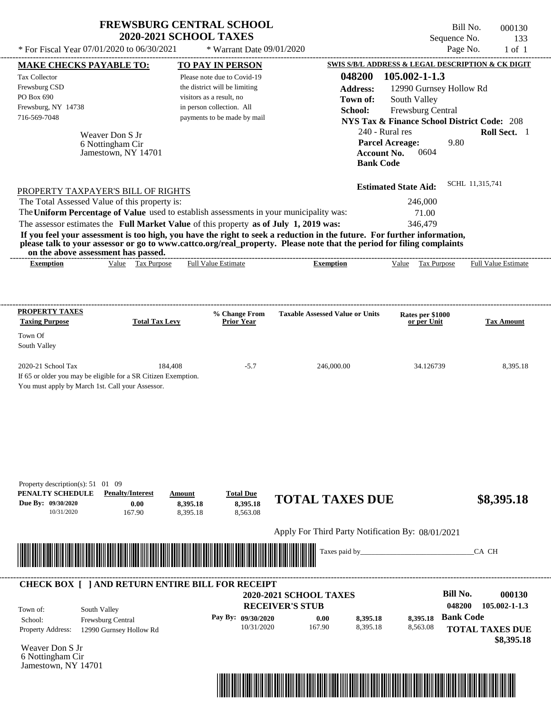| * For Fiscal Year 07/01/2020 to 06/30/2021                                                                                                                                                                                                                                                                                                                                                                                                                                                                                                                         | <b>FREWSBURG CENTRAL SCHOOL</b><br><b>2020-2021 SCHOOL TAXES</b><br>* Warrant Date 09/01/2020                                                        |                                                                                                                                         | Bill No.<br>Sequence No.<br>Page No.                                                                                                                    | 000130<br>133<br>$1$ of $1$                                 |
|--------------------------------------------------------------------------------------------------------------------------------------------------------------------------------------------------------------------------------------------------------------------------------------------------------------------------------------------------------------------------------------------------------------------------------------------------------------------------------------------------------------------------------------------------------------------|------------------------------------------------------------------------------------------------------------------------------------------------------|-----------------------------------------------------------------------------------------------------------------------------------------|---------------------------------------------------------------------------------------------------------------------------------------------------------|-------------------------------------------------------------|
| <b>MAKE CHECKS PAYABLE TO:</b>                                                                                                                                                                                                                                                                                                                                                                                                                                                                                                                                     | TO PAY IN PERSON                                                                                                                                     |                                                                                                                                         | SWIS S/B/L ADDRESS & LEGAL DESCRIPTION & CK DIGIT                                                                                                       |                                                             |
| <b>Tax Collector</b><br>Frewsburg CSD<br>PO Box 690<br>Frewsburg, NY 14738<br>716-569-7048<br>Weaver Don S Jr<br>6 Nottingham Cir<br>Jamestown, NY 14701                                                                                                                                                                                                                                                                                                                                                                                                           | Please note due to Covid-19<br>the district will be limiting<br>visitors as a result, no<br>in person collection. All<br>payments to be made by mail | 048200<br><b>Address:</b><br>Town of:<br>School:<br>240 - Rural res<br><b>Parcel Acreage:</b><br><b>Account No.</b><br><b>Bank Code</b> | 105.002-1-1.3<br>12990 Gurnsey Hollow Rd<br>South Valley<br>Frewsburg Central<br><b>NYS Tax &amp; Finance School District Code: 208</b><br>9.80<br>0604 | Roll Sect. 1                                                |
| PROPERTY TAXPAYER'S BILL OF RIGHTS<br>The Total Assessed Value of this property is:<br>The Uniform Percentage of Value used to establish assessments in your municipality was:<br>The assessor estimates the Full Market Value of this property as of July 1, 2019 was:<br>If you feel your assessment is too high, you have the right to seek a reduction in the future. For further information,<br>please talk to your assessor or go to www.cattco.org/real_property. Please note that the period for filing complaints<br>on the above assessment has passed. |                                                                                                                                                      |                                                                                                                                         | <b>Estimated State Aid:</b><br>246,000<br>71.00<br>346,479                                                                                              | SCHL 11,315,741                                             |
| Value Tax Purpose<br><b>Exemption</b>                                                                                                                                                                                                                                                                                                                                                                                                                                                                                                                              | <b>Full Value Estimate</b>                                                                                                                           | <b>Exemption</b>                                                                                                                        | Value Tax Purpose                                                                                                                                       | <b>Full Value Estimate</b>                                  |
| PROPERTY TAXES                                                                                                                                                                                                                                                                                                                                                                                                                                                                                                                                                     | % Change From                                                                                                                                        | <b>Taxable Assessed Value or Units</b>                                                                                                  | Rates per \$1000                                                                                                                                        |                                                             |
| <b>Taxing Purpose</b><br><b>Total Tax Levy</b><br>Town Of<br>South Valley                                                                                                                                                                                                                                                                                                                                                                                                                                                                                          | <b>Prior Year</b>                                                                                                                                    |                                                                                                                                         | or per Unit                                                                                                                                             | <b>Tax Amount</b>                                           |
| 2020-21 School Tax<br>If 65 or older you may be eligible for a SR Citizen Exemption.<br>You must apply by March 1st. Call your Assessor.                                                                                                                                                                                                                                                                                                                                                                                                                           | 184,408<br>$-5.7$                                                                                                                                    | 246,000.00                                                                                                                              | 34.126739                                                                                                                                               | 8,395.18                                                    |
| Property description(s): 51 01 09<br>PENALTY SCHEDULE<br><b>Penalty/Interest</b><br>Due By: 09/30/2020<br>0.00<br>10/31/2020<br>167.90                                                                                                                                                                                                                                                                                                                                                                                                                             | <b>Total Due</b><br>Amount<br>8,395.18<br>8,395.18<br>8,395.18<br>8,563.08                                                                           | <b>TOTAL TAXES DUE</b>                                                                                                                  |                                                                                                                                                         | \$8,395.18                                                  |
|                                                                                                                                                                                                                                                                                                                                                                                                                                                                                                                                                                    |                                                                                                                                                      | Apply For Third Party Notification By: 08/01/2021<br>Taxes paid by_                                                                     |                                                                                                                                                         | CA CH                                                       |
| <b>CHECK BOX [ ] AND RETURN ENTIRE BILL FOR RECEIPT</b>                                                                                                                                                                                                                                                                                                                                                                                                                                                                                                            |                                                                                                                                                      |                                                                                                                                         | <b>Bill No.</b>                                                                                                                                         | 000130                                                      |
| South Valley<br>Town of:<br>Frewsburg Central<br>School:<br><b>Property Address:</b><br>12990 Gurnsey Hollow Rd                                                                                                                                                                                                                                                                                                                                                                                                                                                    | Pay By: 09/30/2020<br>10/31/2020                                                                                                                     | 2020-2021 SCHOOL TAXES<br><b>RECEIVER'S STUB</b><br>0.00<br>8,395.18<br>167.90<br>8,395.18                                              | 048200<br><b>Bank Code</b><br>8,395.18<br>8,563.08                                                                                                      | $105.002 - 1 - 1.3$<br><b>TOTAL TAXES DUE</b><br>\$8,395.18 |

Weaver Don S Jr 6 Nottingham Cir Jamestown, NY 14701

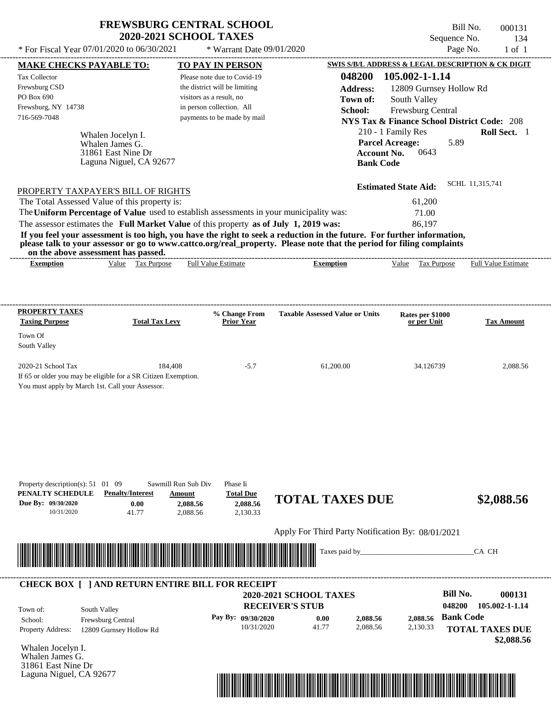$*$  For Fiscal Year 07/01/2020 to 06/30/2021

\* Warrant Date 09/01/2020

Bill No. 000131 Sequence No. 134<br>Page No. 1 of 1

| Whalen Jocelyn I.<br>31861 East Nine Dr<br>Laguna Niguel, CA 92677                                                            |                                                      | 048200<br><b>Address:</b><br>Town of:<br>School:                                                                                                                                                                                                    | 0643                                                                                                                                                                                                 | Roll Sect. 1                                                                                                                                                                                                                                                                                                                                                                                                                                                                                                                                                                                                                      |
|-------------------------------------------------------------------------------------------------------------------------------|------------------------------------------------------|-----------------------------------------------------------------------------------------------------------------------------------------------------------------------------------------------------------------------------------------------------|------------------------------------------------------------------------------------------------------------------------------------------------------------------------------------------------------|-----------------------------------------------------------------------------------------------------------------------------------------------------------------------------------------------------------------------------------------------------------------------------------------------------------------------------------------------------------------------------------------------------------------------------------------------------------------------------------------------------------------------------------------------------------------------------------------------------------------------------------|
| PROPERTY TAXPAYER'S BILL OF RIGHTS<br>The Total Assessed Value of this property is:<br>on the above assessment has passed.    |                                                      |                                                                                                                                                                                                                                                     | 61,200<br>71.00<br>86,197                                                                                                                                                                            | SCHL 11,315,741                                                                                                                                                                                                                                                                                                                                                                                                                                                                                                                                                                                                                   |
|                                                                                                                               |                                                      |                                                                                                                                                                                                                                                     |                                                                                                                                                                                                      | <b>Full Value Estimate</b>                                                                                                                                                                                                                                                                                                                                                                                                                                                                                                                                                                                                        |
| <b>Total Tax Levy</b>                                                                                                         |                                                      | <b>Taxable Assessed Value or Units</b>                                                                                                                                                                                                              | Rates per \$1000<br>or per Unit                                                                                                                                                                      | <b>Tax Amount</b>                                                                                                                                                                                                                                                                                                                                                                                                                                                                                                                                                                                                                 |
| 184,408<br>If 65 or older you may be eligible for a SR Citizen Exemption.<br>You must apply by March 1st. Call your Assessor. | $-5.7$                                               | 61,200.00                                                                                                                                                                                                                                           | 34.126739                                                                                                                                                                                            | 2,088.56                                                                                                                                                                                                                                                                                                                                                                                                                                                                                                                                                                                                                          |
| Sawmill Run Sub Div<br><b>Penalty/Interest</b><br>Amount<br>2,088.56<br>2,088.56                                              | Phase Ii<br><b>Total Due</b><br>2,088.56<br>2,130.33 |                                                                                                                                                                                                                                                     |                                                                                                                                                                                                      | \$2,088.56                                                                                                                                                                                                                                                                                                                                                                                                                                                                                                                                                                                                                        |
|                                                                                                                               |                                                      | Apply For Third Party Notification By: 08/01/2021                                                                                                                                                                                                   |                                                                                                                                                                                                      |                                                                                                                                                                                                                                                                                                                                                                                                                                                                                                                                                                                                                                   |
|                                                                                                                               |                                                      |                                                                                                                                                                                                                                                     |                                                                                                                                                                                                      |                                                                                                                                                                                                                                                                                                                                                                                                                                                                                                                                                                                                                                   |
|                                                                                                                               |                                                      | Taxes paid by_                                                                                                                                                                                                                                      |                                                                                                                                                                                                      | CA CH                                                                                                                                                                                                                                                                                                                                                                                                                                                                                                                                                                                                                             |
|                                                                                                                               | <b>MAKE CHECKS PAYABLE TO:</b><br>Value Tax Purpose  | <b>TO PAY IN PERSON</b><br>Please note due to Covid-19<br>the district will be limiting<br>visitors as a result, no<br>in person collection. All<br>payments to be made by mail<br><b>Full Value Estimate</b><br>% Change From<br><b>Prior Year</b> | The Uniform Percentage of Value used to establish assessments in your municipality was:<br>The assessor estimates the Full Market Value of this property as of July 1, 2019 was:<br><b>Exemption</b> | SWIS S/B/L ADDRESS & LEGAL DESCRIPTION & CK DIGIT<br>105.002-1-1.14<br>12809 Gurnsey Hollow Rd<br>South Valley<br>Frewsburg Central<br><b>NYS Tax &amp; Finance School District Code: 208</b><br>210 - 1 Family Res<br><b>Parcel Acreage:</b><br>5.89<br><b>Account No.</b><br><b>Bank Code</b><br><b>Estimated State Aid:</b><br>If you feel your assessment is too high, you have the right to seek a reduction in the future. For further information,<br>please talk to your assessor or go to www.cattco.org/real_property. Please note that the period for filing complaints<br>Value Tax Purpose<br><b>TOTAL TAXES DUE</b> |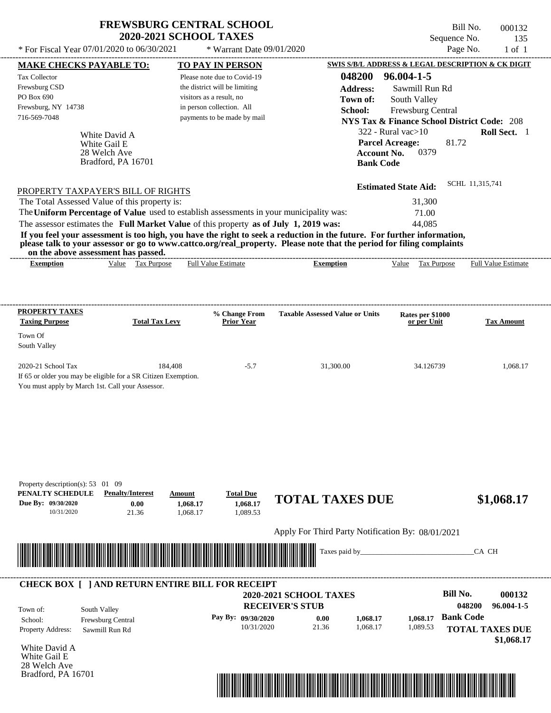| <b>FREWSBURG CENTRAL SCHOOL</b> |
|---------------------------------|
| <b>2020-2021 SCHOOL TAXES</b>   |

 $*$  For Fiscal Year 07/01/2020 to 06/30/2021

 $*$  Warrant Date  $09/01/2020$ 

Bill No. 000132 Sequence No. 135<br>Page No. 1 of 1

| <b>MAKE CHECKS PAYABLE TO:</b>                                                                                                                               |                                    |                       |                    | <b>TO PAY IN PERSON</b>            |                                                   | SWIS S/B/L ADDRESS & LEGAL DESCRIPTION & CK DIGIT |                                                        |                                 |                  |                                      |
|--------------------------------------------------------------------------------------------------------------------------------------------------------------|------------------------------------|-----------------------|--------------------|------------------------------------|---------------------------------------------------|---------------------------------------------------|--------------------------------------------------------|---------------------------------|------------------|--------------------------------------|
| Tax Collector                                                                                                                                                |                                    |                       |                    | Please note due to Covid-19        |                                                   | 048200                                            | 96.004-1-5                                             |                                 |                  |                                      |
| Frewsburg CSD                                                                                                                                                |                                    |                       |                    | the district will be limiting      |                                                   | <b>Address:</b>                                   | Sawmill Run Rd                                         |                                 |                  |                                      |
| PO Box 690                                                                                                                                                   |                                    |                       |                    | visitors as a result, no           |                                                   | Town of:                                          | South Valley                                           |                                 |                  |                                      |
| Frewsburg, NY 14738                                                                                                                                          |                                    |                       |                    | in person collection. All          |                                                   | School:                                           | Frewsburg Central                                      |                                 |                  |                                      |
| 716-569-7048                                                                                                                                                 |                                    |                       |                    | payments to be made by mail        |                                                   |                                                   | <b>NYS Tax &amp; Finance School District Code: 208</b> |                                 |                  |                                      |
|                                                                                                                                                              |                                    |                       |                    |                                    |                                                   |                                                   | $322$ - Rural vac $>10$                                |                                 |                  | Roll Sect. 1                         |
|                                                                                                                                                              | White David A                      |                       |                    |                                    |                                                   |                                                   |                                                        |                                 |                  |                                      |
|                                                                                                                                                              | White Gail E                       |                       |                    |                                    |                                                   |                                                   | <b>Parcel Acreage:</b>                                 |                                 | 81.72            |                                      |
|                                                                                                                                                              | 28 Welch Ave<br>Bradford, PA 16701 |                       |                    |                                    |                                                   |                                                   | <b>Account No.</b><br><b>Bank Code</b>                 | 0379                            |                  |                                      |
|                                                                                                                                                              |                                    |                       |                    |                                    |                                                   |                                                   |                                                        |                                 |                  |                                      |
| PROPERTY TAXPAYER'S BILL OF RIGHTS                                                                                                                           |                                    |                       |                    |                                    |                                                   |                                                   | <b>Estimated State Aid:</b>                            |                                 | SCHL 11,315,741  |                                      |
| The Total Assessed Value of this property is:                                                                                                                |                                    |                       |                    |                                    |                                                   |                                                   |                                                        | 31,300                          |                  |                                      |
| The Uniform Percentage of Value used to establish assessments in your municipality was:                                                                      |                                    |                       |                    |                                    |                                                   |                                                   |                                                        | 71.00                           |                  |                                      |
| The assessor estimates the Full Market Value of this property as of July 1, 2019 was:                                                                        |                                    |                       |                    |                                    |                                                   |                                                   |                                                        | 44,085                          |                  |                                      |
| If you feel your assessment is too high, you have the right to seek a reduction in the future. For further information,                                      |                                    |                       |                    |                                    |                                                   |                                                   |                                                        |                                 |                  |                                      |
| please talk to your assessor or go to www.cattco.org/real_property. Please note that the period for filing complaints<br>on the above assessment has passed. |                                    |                       |                    |                                    |                                                   |                                                   |                                                        |                                 |                  |                                      |
| <b>Exemption</b>                                                                                                                                             |                                    | Value Tax Purpose     |                    | <b>Full Value Estimate</b>         | <b>Exemption</b>                                  |                                                   | Value Tax Purpose                                      |                                 |                  | <b>Full Value Estimate</b>           |
|                                                                                                                                                              |                                    |                       |                    |                                    |                                                   |                                                   |                                                        |                                 |                  |                                      |
| <b>PROPERTY TAXES</b>                                                                                                                                        |                                    |                       |                    |                                    |                                                   |                                                   |                                                        |                                 |                  |                                      |
| <b>Taxing Purpose</b>                                                                                                                                        |                                    | <b>Total Tax Levy</b> |                    | % Change From<br><b>Prior Year</b> | <b>Taxable Assessed Value or Units</b>            |                                                   |                                                        | Rates per \$1000<br>or per Unit |                  | <b>Tax Amount</b>                    |
| Town Of                                                                                                                                                      |                                    |                       |                    |                                    |                                                   |                                                   |                                                        |                                 |                  |                                      |
| South Valley                                                                                                                                                 |                                    |                       |                    |                                    |                                                   |                                                   |                                                        |                                 |                  |                                      |
| 2020-21 School Tax<br>If 65 or older you may be eligible for a SR Citizen Exemption.<br>You must apply by March 1st. Call your Assessor.                     |                                    |                       | 184,408            | $-5.7$                             |                                                   | 31,300.00                                         |                                                        | 34.126739                       |                  | 1,068.17                             |
|                                                                                                                                                              |                                    |                       |                    |                                    |                                                   |                                                   |                                                        |                                 |                  |                                      |
| Property description(s): $53 \quad 01 \quad 09$<br>PENALTY SCHEDULE<br>Due By: 09/30/2020                                                                    | <b>Penalty/Interest</b>            | 0.00                  | Amount<br>1,068.17 | <b>Total Due</b><br>1,068.17       | <b>TOTAL TAXES DUE</b>                            |                                                   |                                                        |                                 |                  | \$1,068.17                           |
| 10/31/2020                                                                                                                                                   |                                    | 21.36                 | 1,068.17           | 1,089.53                           |                                                   |                                                   |                                                        |                                 |                  |                                      |
|                                                                                                                                                              |                                    |                       |                    |                                    | Apply For Third Party Notification By: 08/01/2021 |                                                   |                                                        |                                 |                  |                                      |
|                                                                                                                                                              |                                    |                       |                    |                                    |                                                   |                                                   |                                                        |                                 |                  |                                      |
|                                                                                                                                                              |                                    |                       |                    |                                    |                                                   | Taxes paid by_                                    |                                                        |                                 | CA CH            |                                      |
| <b>CHECK BOX [ ] AND RETURN ENTIRE BILL FOR RECEIPT</b>                                                                                                      |                                    |                       |                    |                                    |                                                   |                                                   |                                                        |                                 |                  |                                      |
|                                                                                                                                                              |                                    |                       |                    |                                    | 2020-2021 SCHOOL TAXES                            |                                                   |                                                        |                                 | <b>Bill No.</b>  | 000132                               |
| Town of:                                                                                                                                                     | South Valley                       |                       |                    |                                    | <b>RECEIVER'S STUB</b>                            |                                                   |                                                        |                                 | 048200           | $96.004 - 1 - 5$                     |
| School:                                                                                                                                                      | Frewsburg Central                  |                       |                    | Pay By: 09/30/2020                 | 0.00                                              | 1,068.17                                          | 1,068.17                                               |                                 | <b>Bank Code</b> |                                      |
| Property Address:                                                                                                                                            | Sawmill Run Rd                     |                       |                    | 10/31/2020                         | 21.36                                             | 1,068.17                                          | 1,089.53                                               |                                 |                  | <b>TOTAL TAXES DUE</b><br>\$1,068.17 |
| White David A<br>White Gail E<br>28 Welch Ave<br>Bradford, PA 16701                                                                                          |                                    |                       |                    |                                    |                                                   |                                                   |                                                        |                                 |                  |                                      |

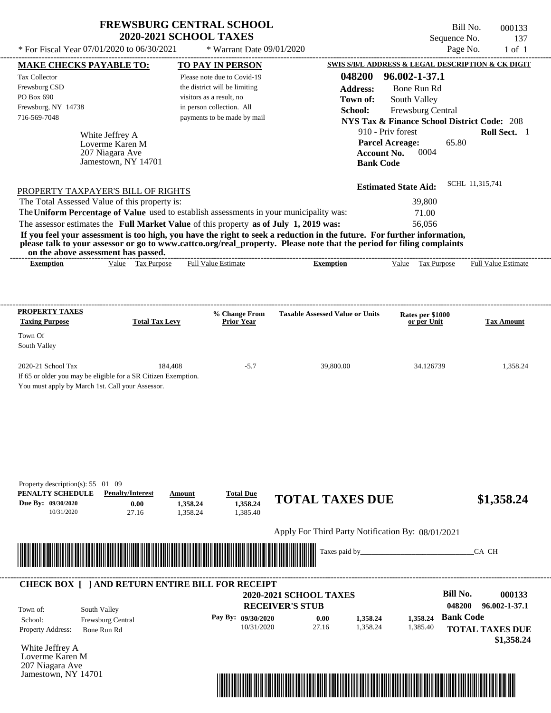| <b>FREWSBURG CENTRAL SCHOOL</b> |  |
|---------------------------------|--|
| <b>2020-2021 SCHOOL TAXES</b>   |  |

 $*$  For Fiscal Year 07/01/2020 to 06/30/2021  $*$  Warrant Date 09/01/2020 Page No. 1 of 1

Bill No. 000133 Sequence No. 137<br>Page No. 1 of 1

| <b>MAKE CHECKS PAYABLE TO:</b>                                                                                       |                                   | <b>TO PAY IN PERSON</b>          |                                                                                                                         | SWIS S/B/L ADDRESS & LEGAL DESCRIPTION & CK DIGIT      |                            |
|----------------------------------------------------------------------------------------------------------------------|-----------------------------------|----------------------------------|-------------------------------------------------------------------------------------------------------------------------|--------------------------------------------------------|----------------------------|
| <b>Tax Collector</b>                                                                                                 |                                   | Please note due to Covid-19      | 048200                                                                                                                  | 96.002-1-37.1                                          |                            |
| Frewsburg CSD                                                                                                        |                                   | the district will be limiting    | <b>Address:</b>                                                                                                         | Bone Run Rd                                            |                            |
| PO Box 690                                                                                                           |                                   | visitors as a result, no         | Town of:                                                                                                                | South Valley                                           |                            |
| Frewsburg, NY 14738                                                                                                  |                                   | in person collection. All        | School:                                                                                                                 | Frewsburg Central                                      |                            |
| 716-569-7048                                                                                                         |                                   | payments to be made by mail      |                                                                                                                         | <b>NYS Tax &amp; Finance School District Code: 208</b> |                            |
|                                                                                                                      |                                   |                                  |                                                                                                                         | 910 - Priv forest                                      | Roll Sect. 1               |
| White Jeffrey A<br>Loverme Karen M                                                                                   |                                   |                                  |                                                                                                                         | <b>Parcel Acreage:</b><br>65.80                        |                            |
| 207 Niagara Ave                                                                                                      |                                   |                                  | <b>Account No.</b>                                                                                                      | 0004                                                   |                            |
| Jamestown, NY 14701                                                                                                  |                                   |                                  | <b>Bank Code</b>                                                                                                        |                                                        |                            |
|                                                                                                                      |                                   |                                  |                                                                                                                         |                                                        |                            |
| PROPERTY TAXPAYER'S BILL OF RIGHTS                                                                                   |                                   |                                  |                                                                                                                         | <b>Estimated State Aid:</b>                            | SCHL 11,315,741            |
| The Total Assessed Value of this property is:                                                                        |                                   |                                  |                                                                                                                         | 39,800                                                 |                            |
| The Uniform Percentage of Value used to establish assessments in your municipality was:                              |                                   |                                  |                                                                                                                         | 71.00                                                  |                            |
| The assessor estimates the Full Market Value of this property as of July 1, 2019 was:                                |                                   |                                  |                                                                                                                         | 56,056                                                 |                            |
|                                                                                                                      |                                   |                                  | If you feel your assessment is too high, you have the right to seek a reduction in the future. For further information, |                                                        |                            |
| on the above assessment has passed.                                                                                  |                                   |                                  | please talk to your assessor or go to www.cattco.org/real_property. Please note that the period for filing complaints   |                                                        |                            |
| <b>Exemption</b>                                                                                                     | Value Tax Purpose                 | <b>Full Value Estimate</b>       | <b>Exemption</b>                                                                                                        | Value Tax Purpose                                      | <b>Full Value Estimate</b> |
|                                                                                                                      |                                   |                                  |                                                                                                                         |                                                        |                            |
|                                                                                                                      |                                   |                                  |                                                                                                                         |                                                        |                            |
| <b>PROPERTY TAXES</b>                                                                                                |                                   | % Change From                    | <b>Taxable Assessed Value or Units</b>                                                                                  | Rates per \$1000                                       |                            |
| <b>Taxing Purpose</b>                                                                                                | <b>Total Tax Levy</b>             | <b>Prior Year</b>                |                                                                                                                         | or per Unit                                            | <b>Tax Amount</b>          |
| Town Of                                                                                                              |                                   |                                  |                                                                                                                         |                                                        |                            |
| South Valley                                                                                                         |                                   |                                  |                                                                                                                         |                                                        |                            |
|                                                                                                                      |                                   |                                  |                                                                                                                         |                                                        |                            |
| 2020-21 School Tax                                                                                                   | 184,408                           | $-5.7$                           | 39,800.00                                                                                                               | 34.126739                                              | 1,358.24                   |
| If 65 or older you may be eligible for a SR Citizen Exemption.                                                       |                                   |                                  |                                                                                                                         |                                                        |                            |
| You must apply by March 1st. Call your Assessor.                                                                     |                                   |                                  |                                                                                                                         |                                                        |                            |
|                                                                                                                      |                                   |                                  |                                                                                                                         |                                                        |                            |
|                                                                                                                      |                                   |                                  |                                                                                                                         |                                                        |                            |
|                                                                                                                      |                                   |                                  |                                                                                                                         |                                                        |                            |
|                                                                                                                      |                                   |                                  |                                                                                                                         |                                                        |                            |
|                                                                                                                      |                                   |                                  |                                                                                                                         |                                                        |                            |
|                                                                                                                      |                                   |                                  |                                                                                                                         |                                                        |                            |
|                                                                                                                      |                                   |                                  |                                                                                                                         |                                                        |                            |
| Property description(s): $55 \quad 01 \quad 09$<br>PENALTY SCHEDULE                                                  | <b>Penalty/Interest</b><br>Amount | <b>Total Due</b>                 |                                                                                                                         |                                                        |                            |
| Due By: 09/30/2020                                                                                                   | 0.00<br>1,358.24                  | 1,358.24                         | <b>TOTAL TAXES DUE</b>                                                                                                  |                                                        | \$1,358.24                 |
| 10/31/2020                                                                                                           | 27.16<br>1,358.24                 | 1,385.40                         |                                                                                                                         |                                                        |                            |
|                                                                                                                      |                                   |                                  | Apply For Third Party Notification By: 08/01/2021                                                                       |                                                        |                            |
|                                                                                                                      |                                   |                                  |                                                                                                                         |                                                        |                            |
| <u> III de la contrada de la contrada de la contrada de la contrada de la contrada de la contrada de la contrada</u> |                                   |                                  | Taxes paid by_                                                                                                          |                                                        | CA CH                      |
|                                                                                                                      |                                   |                                  |                                                                                                                         |                                                        |                            |
| <b>CHECK BOX [ ] AND RETURN ENTIRE BILL FOR RECEIPT</b>                                                              |                                   |                                  |                                                                                                                         |                                                        |                            |
|                                                                                                                      |                                   |                                  | <b>2020-2021 SCHOOL TAXES</b>                                                                                           | <b>Bill No.</b>                                        | 000133                     |
|                                                                                                                      |                                   |                                  | <b>RECEIVER'S STUB</b>                                                                                                  | 048200                                                 | 96.002-1-37.1              |
| South Valley<br>Town of:                                                                                             |                                   |                                  |                                                                                                                         | <b>Bank Code</b>                                       |                            |
| School:<br>Frewsburg Central                                                                                         |                                   | Pay By: 09/30/2020<br>10/31/2020 | 0.00<br>1,358.24<br>27.16<br>1,358.24                                                                                   | 1,358.24                                               |                            |
| Property Address:<br>Bone Run Rd                                                                                     |                                   |                                  |                                                                                                                         | 1,385.40                                               | <b>TOTAL TAXES DUE</b>     |
| White Jeffrey A                                                                                                      |                                   |                                  |                                                                                                                         |                                                        | \$1,358.24                 |
| Loverme Karen M                                                                                                      |                                   |                                  |                                                                                                                         |                                                        |                            |
| 207 Niagara Ave                                                                                                      |                                   |                                  |                                                                                                                         |                                                        |                            |
| Jamestown, NY 14701                                                                                                  |                                   |                                  |                                                                                                                         |                                                        |                            |

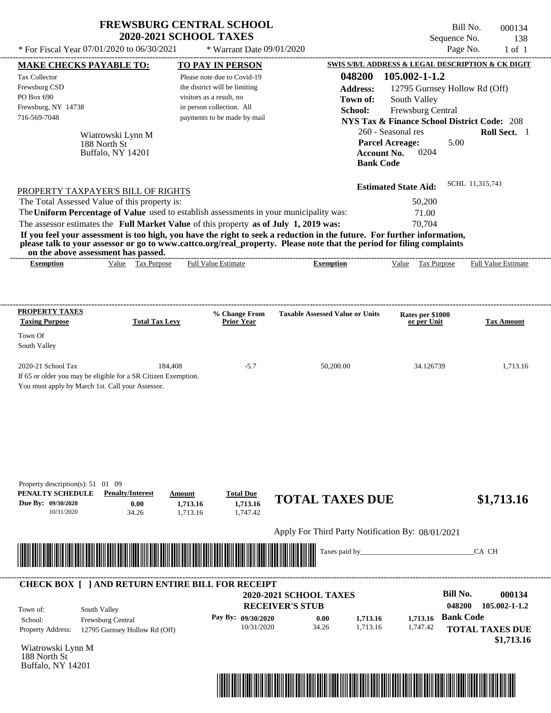| <b>FREWSBURG CENTRAL SCHOOL</b> |
|---------------------------------|
| <b>2020-2021 SCHOOL TAXES</b>   |

Bill No. 000134 Sequence No. 138<br>Page No. 1 of 1  $*$  For Fiscal Year 07/01/2020 to 06/30/2021  $*$  Warrant Date 09/01/2020 Page No. 1 of 1

| <b>MAKE CHECKS PAYABLE TO:</b>                                                                                                                                                                                                       |                                                    |                           | <b>TO PAY IN PERSON</b>            |                                                                                                                                                                                                                                                  |                                 | <b>SWIS S/B/L ADDRESS &amp; LEGAL DESCRIPTION &amp; CK DIGIT</b> |
|--------------------------------------------------------------------------------------------------------------------------------------------------------------------------------------------------------------------------------------|----------------------------------------------------|---------------------------|------------------------------------|--------------------------------------------------------------------------------------------------------------------------------------------------------------------------------------------------------------------------------------------------|---------------------------------|------------------------------------------------------------------|
| <b>Tax Collector</b>                                                                                                                                                                                                                 |                                                    |                           | Please note due to Covid-19        | 048200                                                                                                                                                                                                                                           | 105.002-1-1.2                   |                                                                  |
| Frewsburg CSD                                                                                                                                                                                                                        |                                                    |                           | the district will be limiting      | <b>Address:</b>                                                                                                                                                                                                                                  |                                 | 12795 Gurnsey Hollow Rd (Off)                                    |
| PO Box 690                                                                                                                                                                                                                           |                                                    | visitors as a result, no  |                                    | Town of:                                                                                                                                                                                                                                         | South Valley                    |                                                                  |
| Frewsburg, NY 14738                                                                                                                                                                                                                  |                                                    | in person collection. All |                                    | School:                                                                                                                                                                                                                                          | Frewsburg Central               |                                                                  |
| 716-569-7048                                                                                                                                                                                                                         |                                                    |                           | payments to be made by mail        |                                                                                                                                                                                                                                                  |                                 | <b>NYS Tax &amp; Finance School District Code: 208</b>           |
|                                                                                                                                                                                                                                      | Wiatrowski Lynn M                                  |                           |                                    |                                                                                                                                                                                                                                                  | 260 - Seasonal res              | Roll Sect. 1                                                     |
|                                                                                                                                                                                                                                      | 188 North St                                       |                           |                                    |                                                                                                                                                                                                                                                  | <b>Parcel Acreage:</b>          | 5.00                                                             |
|                                                                                                                                                                                                                                      | Buffalo, NY 14201                                  |                           |                                    |                                                                                                                                                                                                                                                  | 0204<br><b>Account No.</b>      |                                                                  |
|                                                                                                                                                                                                                                      |                                                    |                           |                                    |                                                                                                                                                                                                                                                  | <b>Bank Code</b>                |                                                                  |
|                                                                                                                                                                                                                                      |                                                    |                           |                                    |                                                                                                                                                                                                                                                  | <b>Estimated State Aid:</b>     | SCHL 11,315,741                                                  |
| PROPERTY TAXPAYER'S BILL OF RIGHTS                                                                                                                                                                                                   |                                                    |                           |                                    |                                                                                                                                                                                                                                                  | 50,200                          |                                                                  |
| The Total Assessed Value of this property is:                                                                                                                                                                                        |                                                    |                           |                                    |                                                                                                                                                                                                                                                  |                                 |                                                                  |
| The Uniform Percentage of Value used to establish assessments in your municipality was:                                                                                                                                              |                                                    |                           |                                    |                                                                                                                                                                                                                                                  | 71.00                           |                                                                  |
| The assessor estimates the Full Market Value of this property as of July 1, 2019 was:                                                                                                                                                |                                                    |                           |                                    |                                                                                                                                                                                                                                                  | 70,704                          |                                                                  |
|                                                                                                                                                                                                                                      |                                                    |                           |                                    | If you feel your assessment is too high, you have the right to seek a reduction in the future. For further information,<br>please talk to your assessor or go to www.cattco.org/real_property. Please note that the period for filing complaints |                                 |                                                                  |
| on the above assessment has passed.<br><b>Exemption</b>                                                                                                                                                                              | Value Tax Purpose                                  |                           | <b>Full Value Estimate</b>         | <b>Exemption</b>                                                                                                                                                                                                                                 | Value Tax Purpose               | <b>Full Value Estimate</b>                                       |
|                                                                                                                                                                                                                                      |                                                    |                           |                                    |                                                                                                                                                                                                                                                  |                                 |                                                                  |
|                                                                                                                                                                                                                                      |                                                    |                           |                                    |                                                                                                                                                                                                                                                  |                                 |                                                                  |
|                                                                                                                                                                                                                                      |                                                    |                           |                                    |                                                                                                                                                                                                                                                  |                                 |                                                                  |
| <b>PROPERTY TAXES</b><br><b>Taxing Purpose</b>                                                                                                                                                                                       | <b>Total Tax Levy</b>                              |                           | % Change From<br><b>Prior Year</b> | <b>Taxable Assessed Value or Units</b>                                                                                                                                                                                                           | Rates per \$1000<br>or per Unit | <b>Tax Amount</b>                                                |
| Town Of                                                                                                                                                                                                                              |                                                    |                           |                                    |                                                                                                                                                                                                                                                  |                                 |                                                                  |
| South Valley                                                                                                                                                                                                                         |                                                    |                           |                                    |                                                                                                                                                                                                                                                  |                                 |                                                                  |
| 2020-21 School Tax                                                                                                                                                                                                                   | 184,408                                            |                           | $-5.7$                             | 50,200.00                                                                                                                                                                                                                                        | 34.126739                       | 1,713.16                                                         |
| If 65 or older you may be eligible for a SR Citizen Exemption.                                                                                                                                                                       |                                                    |                           |                                    |                                                                                                                                                                                                                                                  |                                 |                                                                  |
| You must apply by March 1st. Call your Assessor.                                                                                                                                                                                     |                                                    |                           |                                    |                                                                                                                                                                                                                                                  |                                 |                                                                  |
|                                                                                                                                                                                                                                      |                                                    |                           |                                    |                                                                                                                                                                                                                                                  |                                 |                                                                  |
|                                                                                                                                                                                                                                      |                                                    |                           |                                    |                                                                                                                                                                                                                                                  |                                 |                                                                  |
|                                                                                                                                                                                                                                      |                                                    |                           |                                    |                                                                                                                                                                                                                                                  |                                 |                                                                  |
|                                                                                                                                                                                                                                      |                                                    |                           |                                    |                                                                                                                                                                                                                                                  |                                 |                                                                  |
|                                                                                                                                                                                                                                      |                                                    |                           |                                    |                                                                                                                                                                                                                                                  |                                 |                                                                  |
|                                                                                                                                                                                                                                      |                                                    |                           |                                    |                                                                                                                                                                                                                                                  |                                 |                                                                  |
|                                                                                                                                                                                                                                      |                                                    |                           |                                    |                                                                                                                                                                                                                                                  |                                 |                                                                  |
| Property description(s): $51 \quad 01 \quad 09$                                                                                                                                                                                      |                                                    |                           |                                    |                                                                                                                                                                                                                                                  |                                 |                                                                  |
| PENALTY SCHEDULE                                                                                                                                                                                                                     | <b>Penalty/Interest</b>                            | Amount                    | <b>Total Due</b>                   | <b>TOTAL TAXES DUE</b>                                                                                                                                                                                                                           |                                 | \$1,713.16                                                       |
| Due By: 09/30/2020<br>10/31/2020                                                                                                                                                                                                     | 0.00<br>34.26                                      | 1,713.16<br>1,713.16      | 1,713.16<br>1,747.42               |                                                                                                                                                                                                                                                  |                                 |                                                                  |
|                                                                                                                                                                                                                                      |                                                    |                           |                                    |                                                                                                                                                                                                                                                  |                                 |                                                                  |
|                                                                                                                                                                                                                                      |                                                    |                           |                                    | Apply For Third Party Notification By: 08/01/2021                                                                                                                                                                                                |                                 |                                                                  |
|                                                                                                                                                                                                                                      |                                                    |                           |                                    |                                                                                                                                                                                                                                                  |                                 |                                                                  |
| <u> Harry Harry Harry Harry Harry Harry Harry Harry Harry Harry Harry Harry Harry Harry Harry Harry Harry Harry Harry Harry Harry Harry Harry Harry Harry Harry Harry Harry Harry Harry Harry Harry Harry Harry Harry Harry Harr</u> |                                                    |                           |                                    | Taxes paid by_                                                                                                                                                                                                                                   |                                 | CA CH                                                            |
|                                                                                                                                                                                                                                      |                                                    |                           |                                    |                                                                                                                                                                                                                                                  |                                 |                                                                  |
| <b>CHECK BOX [ ] AND RETURN ENTIRE BILL FOR RECEIPT</b>                                                                                                                                                                              |                                                    |                           |                                    |                                                                                                                                                                                                                                                  |                                 |                                                                  |
|                                                                                                                                                                                                                                      |                                                    |                           |                                    | <b>2020-2021 SCHOOL TAXES</b>                                                                                                                                                                                                                    |                                 | <b>Bill No.</b><br>000134                                        |
|                                                                                                                                                                                                                                      |                                                    |                           |                                    | <b>RECEIVER'S STUB</b>                                                                                                                                                                                                                           |                                 | 048200<br>105.002-1-1.2                                          |
| South Valley<br>Town of:<br>School:                                                                                                                                                                                                  |                                                    |                           | Pay By: 09/30/2020                 | 0.00<br>1,713.16                                                                                                                                                                                                                                 | 1,713.16                        | <b>Bank Code</b>                                                 |
| <b>Property Address:</b>                                                                                                                                                                                                             | Frewsburg Central<br>12795 Gurnsey Hollow Rd (Off) |                           | 10/31/2020                         | 34.26<br>1,713.16                                                                                                                                                                                                                                | 1,747.42                        | <b>TOTAL TAXES DUE</b>                                           |
|                                                                                                                                                                                                                                      |                                                    |                           |                                    |                                                                                                                                                                                                                                                  |                                 | \$1,713.16                                                       |
| Wiatrowski Lynn M                                                                                                                                                                                                                    |                                                    |                           |                                    |                                                                                                                                                                                                                                                  |                                 |                                                                  |
| 188 North St                                                                                                                                                                                                                         |                                                    |                           |                                    |                                                                                                                                                                                                                                                  |                                 |                                                                  |
| Buffalo, NY 14201                                                                                                                                                                                                                    |                                                    |                           |                                    |                                                                                                                                                                                                                                                  |                                 |                                                                  |
|                                                                                                                                                                                                                                      |                                                    |                           |                                    | <u> 1999 - 1999 - 1999 - 1999 - 1999 - 1999 - 1999 - 1999 - 1999 - 1999 - 1999 - 1999 - 1999 - 1999 - 1999 - 1999 - 1999 - 1999 - 1999 - 1999 - 1999 - 1999 - 1999 - 1999 - 1999 - 1999 - 1999 - 1999 - 1999 - 1999 - 1999 - 199</u>             |                                 |                                                                  |
|                                                                                                                                                                                                                                      |                                                    |                           |                                    |                                                                                                                                                                                                                                                  |                                 |                                                                  |

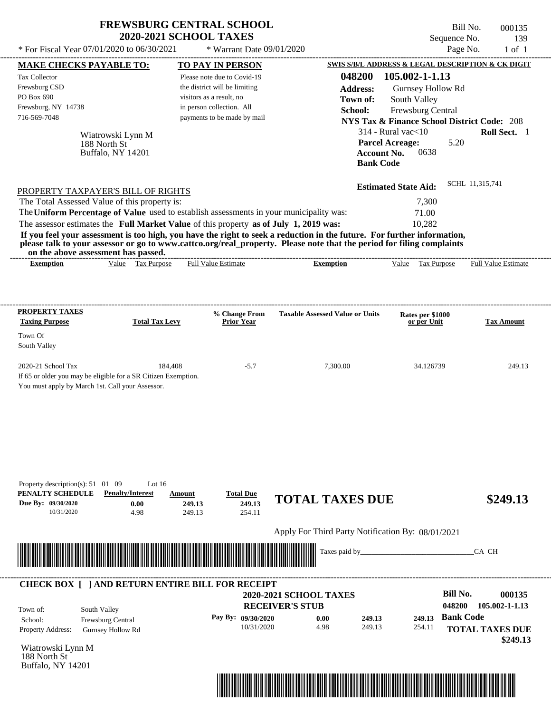| <b>FREWSBURG CENTRAL SCHOOL</b> |
|---------------------------------|
| <b>2020-2021 SCHOOL TAXES</b>   |

Bill No. 000135 Sequence No. 139  $*$  For Fiscal Year 07/01/2020 to 06/30/2021  $*$  Warrant Date 09/01/2020 Page No. 1 of 1

| <b>MAKE CHECKS PAYABLE TO:</b>                                                                                                                                                                                                       |                                                                 | <b>TO PAY IN PERSON</b>                                      |                                                                                                                                                                                                                                                  | SWIS S/B/L ADDRESS & LEGAL DESCRIPTION & CK DIGIT      |                            |
|--------------------------------------------------------------------------------------------------------------------------------------------------------------------------------------------------------------------------------------|-----------------------------------------------------------------|--------------------------------------------------------------|--------------------------------------------------------------------------------------------------------------------------------------------------------------------------------------------------------------------------------------------------|--------------------------------------------------------|----------------------------|
| <b>Tax Collector</b><br>Frewsburg CSD                                                                                                                                                                                                |                                                                 | Please note due to Covid-19<br>the district will be limiting | 048200<br><b>Address:</b>                                                                                                                                                                                                                        | 105.002-1-1.13<br>Gurnsey Hollow Rd                    |                            |
| PO Box 690                                                                                                                                                                                                                           |                                                                 | visitors as a result, no                                     | Town of:                                                                                                                                                                                                                                         | South Valley                                           |                            |
| Frewsburg, NY 14738                                                                                                                                                                                                                  |                                                                 | in person collection. All                                    | School:                                                                                                                                                                                                                                          | Frewsburg Central                                      |                            |
| 716-569-7048                                                                                                                                                                                                                         |                                                                 | payments to be made by mail                                  |                                                                                                                                                                                                                                                  | <b>NYS Tax &amp; Finance School District Code: 208</b> |                            |
| Wiatrowski Lynn M                                                                                                                                                                                                                    |                                                                 |                                                              |                                                                                                                                                                                                                                                  | $314$ - Rural vac $<$ 10                               | Roll Sect. 1               |
| 188 North St                                                                                                                                                                                                                         |                                                                 |                                                              |                                                                                                                                                                                                                                                  | <b>Parcel Acreage:</b><br>5.20                         |                            |
| Buffalo, NY 14201                                                                                                                                                                                                                    |                                                                 |                                                              | <b>Account No.</b>                                                                                                                                                                                                                               | 0638                                                   |                            |
|                                                                                                                                                                                                                                      |                                                                 |                                                              | <b>Bank Code</b>                                                                                                                                                                                                                                 |                                                        |                            |
| PROPERTY TAXPAYER'S BILL OF RIGHTS                                                                                                                                                                                                   |                                                                 |                                                              |                                                                                                                                                                                                                                                  | <b>Estimated State Aid:</b>                            | SCHL 11,315,741            |
| The Total Assessed Value of this property is:                                                                                                                                                                                        |                                                                 |                                                              |                                                                                                                                                                                                                                                  | 7,300                                                  |                            |
| The Uniform Percentage of Value used to establish assessments in your municipality was:                                                                                                                                              |                                                                 |                                                              |                                                                                                                                                                                                                                                  | 71.00                                                  |                            |
| The assessor estimates the Full Market Value of this property as of July 1, 2019 was:                                                                                                                                                |                                                                 |                                                              |                                                                                                                                                                                                                                                  | 10,282                                                 |                            |
|                                                                                                                                                                                                                                      |                                                                 |                                                              | If you feel your assessment is too high, you have the right to seek a reduction in the future. For further information,<br>please talk to your assessor or go to www.cattco.org/real_property. Please note that the period for filing complaints |                                                        |                            |
| on the above assessment has passed.<br><b>Exemption</b>                                                                                                                                                                              | Value Tax Purpose                                               | <b>Full Value Estimate</b>                                   | <b>Exemption</b>                                                                                                                                                                                                                                 | Value Tax Purpose                                      | <b>Full Value Estimate</b> |
|                                                                                                                                                                                                                                      |                                                                 |                                                              |                                                                                                                                                                                                                                                  |                                                        |                            |
|                                                                                                                                                                                                                                      |                                                                 |                                                              |                                                                                                                                                                                                                                                  |                                                        |                            |
| <b>PROPERTY TAXES</b>                                                                                                                                                                                                                |                                                                 | % Change From                                                | <b>Taxable Assessed Value or Units</b>                                                                                                                                                                                                           | Rates per \$1000                                       |                            |
| <b>Taxing Purpose</b>                                                                                                                                                                                                                | <b>Total Tax Levy</b>                                           | <b>Prior Year</b>                                            |                                                                                                                                                                                                                                                  | or per Unit                                            | <b>Tax Amount</b>          |
| Town Of<br>South Valley                                                                                                                                                                                                              |                                                                 |                                                              |                                                                                                                                                                                                                                                  |                                                        |                            |
| 2020-21 School Tax<br>If 65 or older you may be eligible for a SR Citizen Exemption.<br>You must apply by March 1st. Call your Assessor.                                                                                             | 184,408                                                         | $-5.7$                                                       | 7,300.00                                                                                                                                                                                                                                         | 34.126739                                              | 249.13                     |
|                                                                                                                                                                                                                                      |                                                                 |                                                              |                                                                                                                                                                                                                                                  |                                                        |                            |
| Property description(s): 51 01 09<br>PENALTY SCHEDULE<br>Due By: 09/30/2020                                                                                                                                                          | Lot $16$<br><b>Penalty/Interest</b><br>Amount<br>0.00<br>249.13 | <b>Total Due</b><br>249.13                                   | <b>TOTAL TAXES DUE</b>                                                                                                                                                                                                                           |                                                        | \$249.13                   |
| 10/31/2020                                                                                                                                                                                                                           | 4.98<br>249.13                                                  | 254.11                                                       |                                                                                                                                                                                                                                                  |                                                        |                            |
|                                                                                                                                                                                                                                      |                                                                 |                                                              | Apply For Third Party Notification By: 08/01/2021                                                                                                                                                                                                |                                                        |                            |
| <u> Harry Harry Harry Harry Harry Harry Harry Harry Harry Harry Harry Harry Harry Harry Harry Harry Harry Harry Harry Harry Harry Harry Harry Harry Harry Harry Harry Harry Harry Harry Harry Harry Harry Harry Harry Harry Harr</u> |                                                                 |                                                              | Taxes paid by_                                                                                                                                                                                                                                   |                                                        | CA CH                      |
| <b>CHECK BOX [ ] AND RETURN ENTIRE BILL FOR RECEIPT</b>                                                                                                                                                                              |                                                                 |                                                              |                                                                                                                                                                                                                                                  |                                                        |                            |
|                                                                                                                                                                                                                                      |                                                                 |                                                              | 2020-2021 SCHOOL TAXES<br><b>RECEIVER'S STUB</b>                                                                                                                                                                                                 | <b>Bill No.</b><br>048200                              | 000135<br>105.002-1-1.13   |
| South Valley<br>Town of:                                                                                                                                                                                                             |                                                                 |                                                              |                                                                                                                                                                                                                                                  | <b>Bank Code</b>                                       |                            |
| School:<br>Frewsburg Central<br>Property Address:                                                                                                                                                                                    |                                                                 | Pay By: 09/30/2020<br>10/31/2020                             | 0.00<br>249.13<br>4.98<br>249.13                                                                                                                                                                                                                 | 249.13<br>254.11                                       | <b>TOTAL TAXES DUE</b>     |
| <b>Gurnsey Hollow Rd</b>                                                                                                                                                                                                             |                                                                 |                                                              |                                                                                                                                                                                                                                                  |                                                        | \$249.13                   |
| Wiatrowski Lynn M<br>188 North St<br>Buffalo, NY 14201                                                                                                                                                                               |                                                                 |                                                              |                                                                                                                                                                                                                                                  |                                                        |                            |
|                                                                                                                                                                                                                                      |                                                                 |                                                              |                                                                                                                                                                                                                                                  |                                                        |                            |
|                                                                                                                                                                                                                                      |                                                                 |                                                              | <u> 1989 - Paris Amerikaanse konstantinopolis (h. 1989)</u>                                                                                                                                                                                      |                                                        |                            |
|                                                                                                                                                                                                                                      |                                                                 |                                                              |                                                                                                                                                                                                                                                  |                                                        |                            |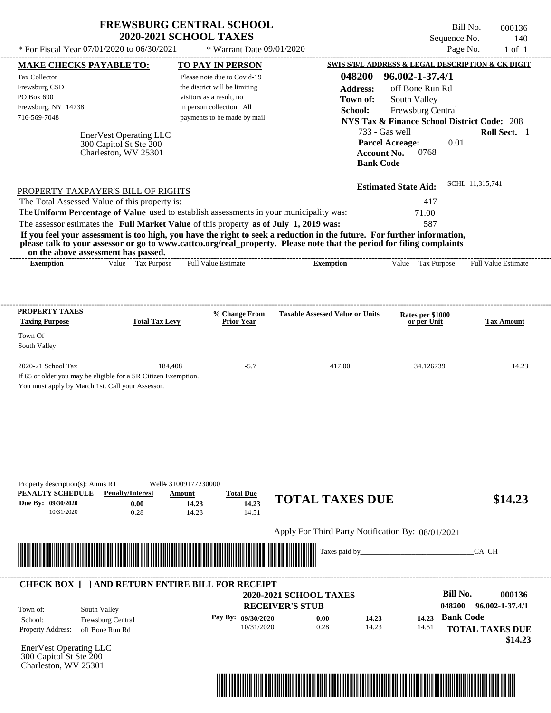| <b>FREWSBURG CENTRAL SCHOOL</b> |  |
|---------------------------------|--|
| <b>2020-2021 SCHOOL TAXES</b>   |  |

Bill No. 000136 Sequence No. 140<br>Page No. 1 of 1

| * For Fiscal Year 07/01/2020 to 06/30/2021                                                                                                                                                                                           |                                                                                             | * Warrant Date 09/01/2020          |                                                                                                                                           |                                                                                            | Page No.<br>$1$ of $1$                                           |
|--------------------------------------------------------------------------------------------------------------------------------------------------------------------------------------------------------------------------------------|---------------------------------------------------------------------------------------------|------------------------------------|-------------------------------------------------------------------------------------------------------------------------------------------|--------------------------------------------------------------------------------------------|------------------------------------------------------------------|
| <b>MAKE CHECKS PAYABLE TO:</b>                                                                                                                                                                                                       |                                                                                             | <b>TO PAY IN PERSON</b>            |                                                                                                                                           |                                                                                            | <b>SWIS S/B/L ADDRESS &amp; LEGAL DESCRIPTION &amp; CK DIGIT</b> |
| Tax Collector                                                                                                                                                                                                                        |                                                                                             | Please note due to Covid-19        | 048200                                                                                                                                    | 96.002-1-37.4/1                                                                            |                                                                  |
| Frewsburg CSD                                                                                                                                                                                                                        |                                                                                             | the district will be limiting      | <b>Address:</b>                                                                                                                           | off Bone Run Rd                                                                            |                                                                  |
| PO Box 690                                                                                                                                                                                                                           |                                                                                             | visitors as a result, no           | Town of:                                                                                                                                  | South Valley                                                                               |                                                                  |
| Frewsburg, NY 14738                                                                                                                                                                                                                  |                                                                                             | in person collection. All          | School:                                                                                                                                   | Frewsburg Central                                                                          |                                                                  |
| 716-569-7048                                                                                                                                                                                                                         |                                                                                             | payments to be made by mail        |                                                                                                                                           |                                                                                            | <b>NYS Tax &amp; Finance School District Code: 208</b>           |
|                                                                                                                                                                                                                                      | EnerVest Operating LLC<br>300 Capitol St Ste 200<br>Charleston, WV 25301                    |                                    |                                                                                                                                           | 733 - Gas well<br><b>Parcel Acreage:</b><br>0768<br><b>Account No.</b><br><b>Bank Code</b> | Roll Sect. 1<br>0.01                                             |
| PROPERTY TAXPAYER'S BILL OF RIGHTS                                                                                                                                                                                                   |                                                                                             |                                    |                                                                                                                                           | <b>Estimated State Aid:</b>                                                                | SCHL 11,315,741                                                  |
| The Total Assessed Value of this property is:                                                                                                                                                                                        |                                                                                             |                                    |                                                                                                                                           | 417                                                                                        |                                                                  |
| The Uniform Percentage of Value used to establish assessments in your municipality was:                                                                                                                                              |                                                                                             |                                    |                                                                                                                                           | 71.00                                                                                      |                                                                  |
| The assessor estimates the Full Market Value of this property as of July 1, 2019 was:                                                                                                                                                |                                                                                             |                                    |                                                                                                                                           | 587                                                                                        |                                                                  |
| on the above assessment has passed.<br><b>Exemption</b>                                                                                                                                                                              | Value Tax Purpose                                                                           | Full Value Estimate                | please talk to your assessor or go to www.cattco.org/real_property. Please note that the period for filing complaints<br><b>Exemption</b> | Tax Purpose<br>Value                                                                       | Full Value Estimate                                              |
| <b>PROPERTY TAXES</b><br><b>Taxing Purpose</b>                                                                                                                                                                                       | <b>Total Tax Levy</b>                                                                       | % Change From<br><b>Prior Year</b> | <b>Taxable Assessed Value or Units</b>                                                                                                    | Rates per \$1000<br>or per Unit                                                            | <b>Tax Amount</b>                                                |
| Town Of                                                                                                                                                                                                                              |                                                                                             |                                    |                                                                                                                                           |                                                                                            |                                                                  |
| South Valley                                                                                                                                                                                                                         |                                                                                             |                                    |                                                                                                                                           |                                                                                            |                                                                  |
| 2020-21 School Tax<br>If 65 or older you may be eligible for a SR Citizen Exemption.<br>You must apply by March 1st. Call your Assessor.                                                                                             | 184.408                                                                                     | $-5.7$                             | 417.00                                                                                                                                    | 34.126739                                                                                  | 14.23                                                            |
| Property description(s): Annis R1<br>PENALTY SCHEDULE<br>Due By: 09/30/2020<br>10/31/2020                                                                                                                                            | Well# 31009177230000<br><b>Penalty/Interest</b><br>Amount<br>0.00<br>14.23<br>0.28<br>14.23 | <b>Total Due</b><br>14.23<br>14.51 | <b>TOTAL TAXES DUE</b><br>Apply For Third Party Notification By: 08/01/2021                                                               |                                                                                            | \$14.23                                                          |
| <u> Harry Harry Harry Harry Harry Harry Harry Harry Harry Harry Harry Harry Harry Harry Harry Harry Harry Harry Harry Harry Harry Harry Harry Harry Harry Harry Harry Harry Harry Harry Harry Harry Harry Harry Harry Harry Harr</u> |                                                                                             |                                    | Taxes paid by_                                                                                                                            |                                                                                            | CA CH                                                            |
| <b>CHECK BOX [ ] AND RETURN ENTIRE BILL FOR RECEIPT</b>                                                                                                                                                                              |                                                                                             |                                    | <b>2020-2021 SCHOOL TAXES</b>                                                                                                             |                                                                                            | <b>Bill No.</b><br>000136                                        |
| Town of:                                                                                                                                                                                                                             |                                                                                             |                                    | <b>RECEIVER'S STUB</b>                                                                                                                    |                                                                                            | 96.002-1-37.4/1<br>048200                                        |
| South Valley<br>Frewsburg Central<br>School:                                                                                                                                                                                         |                                                                                             | Pay By: 09/30/2020                 | 0.00<br>14.23                                                                                                                             | 14.23                                                                                      | <b>Bank Code</b>                                                 |
| <b>Property Address:</b><br>off Bone Run Rd                                                                                                                                                                                          |                                                                                             | 10/31/2020                         | 0.28<br>14.23                                                                                                                             | 14.51                                                                                      | <b>TOTAL TAXES DUE</b><br>\$14.23                                |
| EnerVest Operating LLC<br>300 Capitol St Ste 200<br>Charleston, WV 25301                                                                                                                                                             |                                                                                             |                                    |                                                                                                                                           |                                                                                            |                                                                  |
|                                                                                                                                                                                                                                      |                                                                                             |                                    |                                                                                                                                           |                                                                                            |                                                                  |

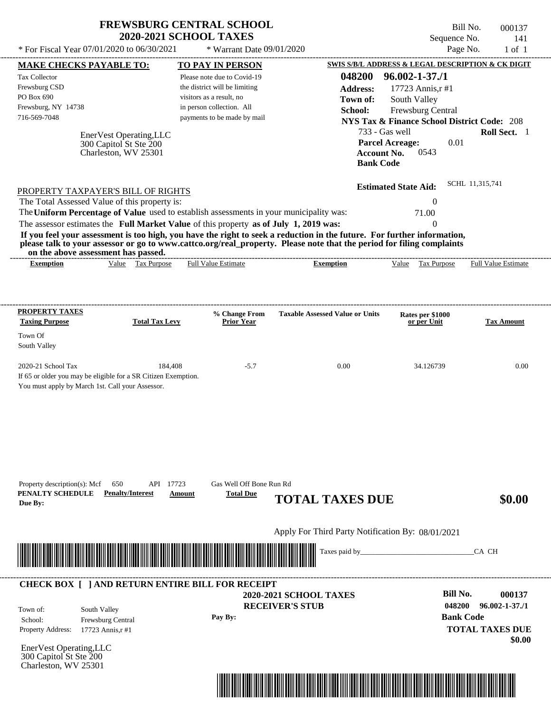| * For Fiscal Year 07/01/2020 to 06/30/2021                                                                                                                                                                                                                                                                                                                                                                                                                                                                                  | <b>FREWSBURG CENTRAL SCHOOL</b><br><b>2020-2021 SCHOOL TAXES</b><br>* Warrant Date 09/01/2020                                                        |                                                          | Bill No.<br>Sequence No.<br>Page No.                                                                                                   | 000137<br>141<br>$1$ of $1$                              |
|-----------------------------------------------------------------------------------------------------------------------------------------------------------------------------------------------------------------------------------------------------------------------------------------------------------------------------------------------------------------------------------------------------------------------------------------------------------------------------------------------------------------------------|------------------------------------------------------------------------------------------------------------------------------------------------------|----------------------------------------------------------|----------------------------------------------------------------------------------------------------------------------------------------|----------------------------------------------------------|
| <b>MAKE CHECKS PAYABLE TO:</b>                                                                                                                                                                                                                                                                                                                                                                                                                                                                                              | <b>TO PAY IN PERSON</b>                                                                                                                              |                                                          | SWIS S/B/L ADDRESS & LEGAL DESCRIPTION & CK DIGIT                                                                                      |                                                          |
| Tax Collector<br>Frewsburg CSD<br>PO Box 690<br>Frewsburg, NY 14738<br>716-569-7048                                                                                                                                                                                                                                                                                                                                                                                                                                         | Please note due to Covid-19<br>the district will be limiting<br>visitors as a result, no<br>in person collection. All<br>payments to be made by mail | 048200<br><b>Address:</b><br>Town of:<br>School:         | $96.002 - 1 - 37.1$<br>17723 Annis, r#1<br>South Valley<br>Frewsburg Central<br><b>NYS Tax &amp; Finance School District Code: 208</b> |                                                          |
| EnerVest Operating, LLC<br>300 Capitol St Ste 200<br>Charleston, WV 25301                                                                                                                                                                                                                                                                                                                                                                                                                                                   |                                                                                                                                                      | 733 - Gas well<br><b>Account No.</b><br><b>Bank Code</b> | 0.01<br><b>Parcel Acreage:</b><br>0543                                                                                                 | Roll Sect. 1                                             |
| PROPERTY TAXPAYER'S BILL OF RIGHTS<br>The Total Assessed Value of this property is:<br>The Uniform Percentage of Value used to establish assessments in your municipality was:<br>The assessor estimates the Full Market Value of this property as of July 1, 2019 was:<br>If you feel your assessment is too high, you have the right to seek a reduction in the future. For further information,<br>please talk to your assessor or go to www.cattco.org/real_property. Please note that the period for filing complaints |                                                                                                                                                      |                                                          | <b>Estimated State Aid:</b><br>$\theta$<br>71.00<br>$\Omega$                                                                           | SCHL 11,315,741                                          |
| on the above assessment has passed.<br>Value Tax Purpose<br><b>Exemption</b>                                                                                                                                                                                                                                                                                                                                                                                                                                                | <b>Full Value Estimate</b>                                                                                                                           | <b>Exemption</b>                                         | Value Tax Purpose                                                                                                                      | Full Value Estimate                                      |
| <b>PROPERTY TAXES</b><br><b>Taxing Purpose</b><br><b>Total Tax Levy</b><br>Town Of<br>South Valley<br>2020-21 School Tax<br>184,408<br>If 65 or older you may be eligible for a SR Citizen Exemption.<br>You must apply by March 1st. Call your Assessor.                                                                                                                                                                                                                                                                   | % Change From<br><b>Prior Year</b><br>$-5.7$                                                                                                         | <b>Taxable Assessed Value or Units</b><br>0.00           | Rates per \$1000<br>or per Unit<br>34.126739                                                                                           | <b>Tax Amount</b><br>0.00                                |
| API 17723<br>Property description(s): Mcf<br>650<br>PENALTY SCHEDULE<br><b>Penalty/Interest</b><br>Due By:                                                                                                                                                                                                                                                                                                                                                                                                                  | Gas Well Off Bone Run Rd<br><b>Total Due</b><br>Amount                                                                                               | <b>TOTAL TAXES DUE</b>                                   |                                                                                                                                        | \$0.00                                                   |
|                                                                                                                                                                                                                                                                                                                                                                                                                                                                                                                             |                                                                                                                                                      | Apply For Third Party Notification By: 08/01/2021        |                                                                                                                                        |                                                          |
|                                                                                                                                                                                                                                                                                                                                                                                                                                                                                                                             |                                                                                                                                                      |                                                          |                                                                                                                                        | CA CH                                                    |
| <b>CHECK BOX [ ] AND RETURN ENTIRE BILL FOR RECEIPT</b><br>South Valley<br>Town of:<br>School:<br>Frewsburg Central<br>Property Address:<br>17723 Annis, r#1                                                                                                                                                                                                                                                                                                                                                                | Pay By:                                                                                                                                              | <b>2020-2021 SCHOOL TAXES</b><br><b>RECEIVER'S STUB</b>  | <b>Bill No.</b><br>048200<br><b>Bank Code</b>                                                                                          | 000137<br>$96.002 - 1 - 37.71$<br><b>TOTAL TAXES DUE</b> |
| EnerVest Operating, LLC<br>300 Capitol St Ste 200<br>Charleston, WV 25301                                                                                                                                                                                                                                                                                                                                                                                                                                                   |                                                                                                                                                      |                                                          |                                                                                                                                        | \$0.00                                                   |

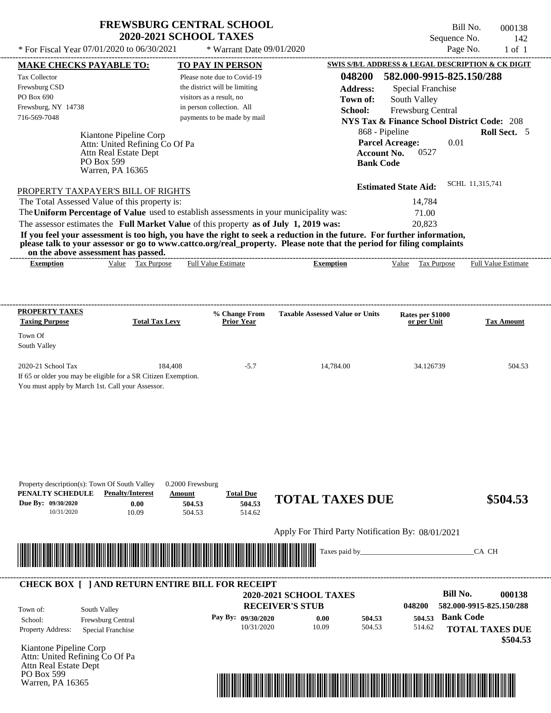PO Box 599 Warren, PA 16365

Bill No. 000138 Sequence No. 142<br>Page No. 1 of 1

| * For Fiscal Year 07/01/2020 to 06/30/2021                                                                                                                                                                                           |                                                                                            | * Warrant Date 09/01/2020                                    |                                                                                                                                                                                                                                                                      |                                                                             | Page No.<br>$1$ of $1$             |
|--------------------------------------------------------------------------------------------------------------------------------------------------------------------------------------------------------------------------------------|--------------------------------------------------------------------------------------------|--------------------------------------------------------------|----------------------------------------------------------------------------------------------------------------------------------------------------------------------------------------------------------------------------------------------------------------------|-----------------------------------------------------------------------------|------------------------------------|
| <b>MAKE CHECKS PAYABLE TO:</b>                                                                                                                                                                                                       |                                                                                            | TO PAY IN PERSON                                             |                                                                                                                                                                                                                                                                      | SWIS S/B/L ADDRESS & LEGAL DESCRIPTION & CK DIGIT                           |                                    |
| Tax Collector                                                                                                                                                                                                                        |                                                                                            | Please note due to Covid-19<br>the district will be limiting | 048200                                                                                                                                                                                                                                                               | 582.000-9915-825.150/288                                                    |                                    |
| Frewsburg CSD<br>PO Box 690                                                                                                                                                                                                          |                                                                                            | visitors as a result, no                                     | <b>Address:</b>                                                                                                                                                                                                                                                      | <b>Special Franchise</b>                                                    |                                    |
| Frewsburg, NY 14738                                                                                                                                                                                                                  |                                                                                            | in person collection. All                                    | Town of:                                                                                                                                                                                                                                                             | South Valley                                                                |                                    |
| 716-569-7048                                                                                                                                                                                                                         |                                                                                            | payments to be made by mail                                  | School:                                                                                                                                                                                                                                                              | Frewsburg Central<br><b>NYS Tax &amp; Finance School District Code: 208</b> |                                    |
|                                                                                                                                                                                                                                      |                                                                                            |                                                              | 868 - Pipeline                                                                                                                                                                                                                                                       |                                                                             | Roll Sect. 5                       |
| Attn Real Estate Dept<br>PO Box 599                                                                                                                                                                                                  | Kiantone Pipeline Corp<br>Attn: United Refining Co Of Pa                                   |                                                              | <b>Account No.</b><br><b>Bank Code</b>                                                                                                                                                                                                                               | <b>Parcel Acreage:</b><br>0.01<br>0527                                      |                                    |
| Warren, PA 16365                                                                                                                                                                                                                     |                                                                                            |                                                              |                                                                                                                                                                                                                                                                      |                                                                             |                                    |
|                                                                                                                                                                                                                                      |                                                                                            |                                                              |                                                                                                                                                                                                                                                                      | <b>Estimated State Aid:</b>                                                 | SCHL 11,315,741                    |
| PROPERTY TAXPAYER'S BILL OF RIGHTS<br>The Total Assessed Value of this property is:                                                                                                                                                  |                                                                                            |                                                              |                                                                                                                                                                                                                                                                      | 14,784                                                                      |                                    |
| The Uniform Percentage of Value used to establish assessments in your municipality was:                                                                                                                                              |                                                                                            |                                                              |                                                                                                                                                                                                                                                                      |                                                                             |                                    |
| The assessor estimates the Full Market Value of this property as of July 1, 2019 was:                                                                                                                                                |                                                                                            |                                                              |                                                                                                                                                                                                                                                                      | 71.00<br>20,823                                                             |                                    |
| on the above assessment has passed.<br><b>Exemption</b>                                                                                                                                                                              | Value Tax Purpose                                                                          | <b>Full Value Estimate</b>                                   | If you feel your assessment is too high, you have the right to seek a reduction in the future. For further information,<br>please talk to your assessor or go to www.cattco.org/real_property. Please note that the period for filing complaints<br><b>Exemption</b> | Value Tax Purpose                                                           | <b>Full Value Estimate</b>         |
| <b>PROPERTY TAXES</b>                                                                                                                                                                                                                |                                                                                            | % Change From                                                | <b>Taxable Assessed Value or Units</b>                                                                                                                                                                                                                               | Rates per \$1000                                                            |                                    |
| <b>Taxing Purpose</b>                                                                                                                                                                                                                | <b>Total Tax Levy</b>                                                                      | <b>Prior Year</b>                                            |                                                                                                                                                                                                                                                                      | or per Unit                                                                 | <b>Tax Amount</b>                  |
| Town Of                                                                                                                                                                                                                              |                                                                                            |                                                              |                                                                                                                                                                                                                                                                      |                                                                             |                                    |
| South Valley                                                                                                                                                                                                                         |                                                                                            |                                                              |                                                                                                                                                                                                                                                                      |                                                                             |                                    |
| 2020-21 School Tax                                                                                                                                                                                                                   | 184,408                                                                                    | $-5.7$                                                       | 14,784.00                                                                                                                                                                                                                                                            | 34.126739                                                                   | 504.53                             |
| If 65 or older you may be eligible for a SR Citizen Exemption.<br>You must apply by March 1st. Call your Assessor.                                                                                                                   |                                                                                            |                                                              |                                                                                                                                                                                                                                                                      |                                                                             |                                    |
| Property description(s): Town Of South Valley<br>PENALTY SCHEDULE<br>Due By: 09/30/2020<br>10/31/2020                                                                                                                                | 0.2000 Frewsburg<br><b>Penalty/Interest</b><br>Amount<br>0.00<br>504.53<br>10.09<br>504.53 | <b>Total Due</b><br>504.53<br>514.62                         | <b>TOTAL TAXES DUE</b><br>Apply For Third Party Notification By: 08/01/2021                                                                                                                                                                                          |                                                                             | \$504.53                           |
|                                                                                                                                                                                                                                      |                                                                                            |                                                              |                                                                                                                                                                                                                                                                      |                                                                             |                                    |
| <u> Indian American State of Barbara and The Barbara and The Barbara and The Barbara and The Barbara and The Barbara and The Barbara and The Barbara and The Barbara and The Barbara and The Barbara and The Barbara and The Bar</u> |                                                                                            |                                                              | Taxes paid by_____                                                                                                                                                                                                                                                   |                                                                             | CA CH                              |
| <b>CHECK BOX [ ] AND RETURN ENTIRE BILL FOR RECEIPT</b>                                                                                                                                                                              |                                                                                            |                                                              | 2020-2021 SCHOOL TAXES                                                                                                                                                                                                                                               | <b>Bill No.</b>                                                             | 000138                             |
|                                                                                                                                                                                                                                      |                                                                                            |                                                              | <b>RECEIVER'S STUB</b>                                                                                                                                                                                                                                               | 048200                                                                      | 582.000-9915-825.150/288           |
| South Valley<br>Town of:                                                                                                                                                                                                             |                                                                                            | Pay By: 09/30/2020                                           | 504.53<br>0.00                                                                                                                                                                                                                                                       | 504.53                                                                      | <b>Bank Code</b>                   |
| Frewsburg Central<br>School:<br>Property Address:<br>Special Franchise                                                                                                                                                               |                                                                                            | 10/31/2020                                                   | 10.09<br>504.53                                                                                                                                                                                                                                                      | 514.62                                                                      | <b>TOTAL TAXES DUE</b><br>\$504.53 |
| Kiantone Pipeline Corp<br>Attn: United Refining Co Of Pa<br>Attn Real Estate Dept                                                                                                                                                    |                                                                                            |                                                              |                                                                                                                                                                                                                                                                      |                                                                             |                                    |

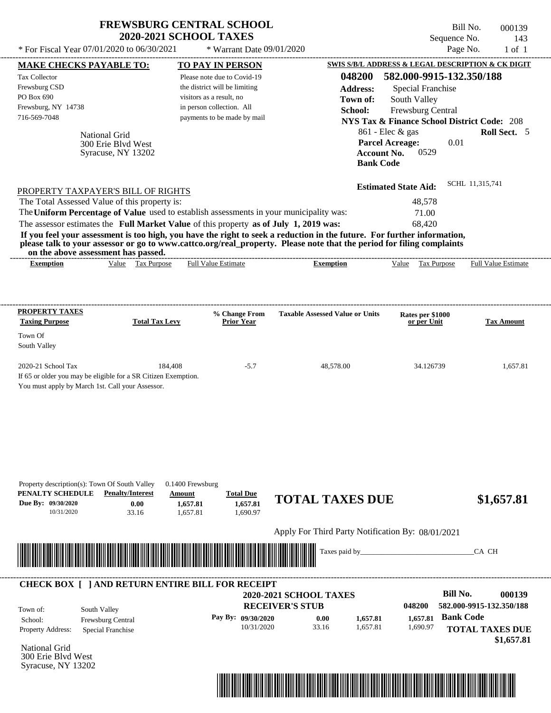|                                                                                                                                                                                                                                                                                                                                                                                                                                                                                                                                                                    | <b>FREWSBURG CENTRAL SCHOOL</b><br><b>2020-2021 SCHOOL TAXES</b>                                                                                     |                                                                                                                | Bill No.<br>Sequence No.                                                                                                                            | 000139<br>143              |
|--------------------------------------------------------------------------------------------------------------------------------------------------------------------------------------------------------------------------------------------------------------------------------------------------------------------------------------------------------------------------------------------------------------------------------------------------------------------------------------------------------------------------------------------------------------------|------------------------------------------------------------------------------------------------------------------------------------------------------|----------------------------------------------------------------------------------------------------------------|-----------------------------------------------------------------------------------------------------------------------------------------------------|----------------------------|
| * For Fiscal Year 07/01/2020 to 06/30/2021                                                                                                                                                                                                                                                                                                                                                                                                                                                                                                                         | * Warrant Date 09/01/2020                                                                                                                            |                                                                                                                | Page No.                                                                                                                                            | $1$ of $1$                 |
| <b>MAKE CHECKS PAYABLE TO:</b>                                                                                                                                                                                                                                                                                                                                                                                                                                                                                                                                     | TO PAY IN PERSON                                                                                                                                     |                                                                                                                | SWIS S/B/L ADDRESS & LEGAL DESCRIPTION & CK DIGIT                                                                                                   |                            |
| <b>Tax Collector</b><br>Frewsburg CSD<br>PO Box 690<br>Frewsburg, NY 14738<br>716-569-7048                                                                                                                                                                                                                                                                                                                                                                                                                                                                         | Please note due to Covid-19<br>the district will be limiting<br>visitors as a result, no<br>in person collection. All<br>payments to be made by mail | 048200<br><b>Address:</b><br>Town of:<br>School:                                                               | 582.000-9915-132.350/188<br>Special Franchise<br>South Valley<br><b>Frewsburg Central</b><br><b>NYS Tax &amp; Finance School District Code: 208</b> |                            |
| National Grid<br>300 Erie Blyd West<br>Syracuse, NY 13202                                                                                                                                                                                                                                                                                                                                                                                                                                                                                                          |                                                                                                                                                      | <b>Account No.</b><br><b>Bank Code</b>                                                                         | $861$ - Elec & gas<br><b>Parcel Acreage:</b><br>0.01<br>0529                                                                                        | <b>Roll Sect.</b> 5        |
| PROPERTY TAXPAYER'S BILL OF RIGHTS<br>The Total Assessed Value of this property is:<br>The Uniform Percentage of Value used to establish assessments in your municipality was:<br>The assessor estimates the Full Market Value of this property as of July 1, 2019 was:<br>If you feel your assessment is too high, you have the right to seek a reduction in the future. For further information,<br>please talk to your assessor or go to www.cattco.org/real_property. Please note that the period for filing complaints<br>on the above assessment has passed. |                                                                                                                                                      |                                                                                                                | <b>Estimated State Aid:</b><br>48,578<br>71.00<br>68,420                                                                                            | SCHL 11,315,741            |
| Value Tax Purpose<br><b>Exemption</b>                                                                                                                                                                                                                                                                                                                                                                                                                                                                                                                              | <b>Full Value Estimate</b>                                                                                                                           | <b>Exemption</b>                                                                                               | Value Tax Purpose                                                                                                                                   | <b>Full Value Estimate</b> |
| Town Of<br>South Valley<br>2020-21 School Tax<br>If 65 or older you may be eligible for a SR Citizen Exemption.<br>You must apply by March 1st. Call your Assessor.                                                                                                                                                                                                                                                                                                                                                                                                | 184,408<br>$-5.7$                                                                                                                                    | 48,578.00                                                                                                      | 34.126739                                                                                                                                           | 1,657.81                   |
| Property description(s): Town Of South Valley<br>PENALTY SCHEDULE<br><b>Penalty/Interest</b><br>Due By: 09/30/2020<br>0.00<br>10/31/2020<br>33.16                                                                                                                                                                                                                                                                                                                                                                                                                  | $0.1400$ Frewsburg<br><b>Total Due</b><br>Amount<br>1,657.81<br>1,657.81<br>1,657.81<br>1,690.97                                                     | <b>TOTAL TAXES DUE</b>                                                                                         |                                                                                                                                                     | \$1,657.81                 |
|                                                                                                                                                                                                                                                                                                                                                                                                                                                                                                                                                                    |                                                                                                                                                      | Apply For Third Party Notification By: 08/01/2021                                                              |                                                                                                                                                     |                            |
|                                                                                                                                                                                                                                                                                                                                                                                                                                                                                                                                                                    |                                                                                                                                                      | Taxes paid by_                                                                                                 |                                                                                                                                                     | CA CH                      |
| <b>CHECK BOX [ ] AND RETURN ENTIRE BILL FOR RECEIPT</b>                                                                                                                                                                                                                                                                                                                                                                                                                                                                                                            |                                                                                                                                                      |                                                                                                                | <b>Bill No.</b>                                                                                                                                     | 000139                     |
| South Valley<br>Town of:<br>Frewsburg Central<br>School:                                                                                                                                                                                                                                                                                                                                                                                                                                                                                                           | Pay By: 09/30/2020                                                                                                                                   | <b>2020-2021 SCHOOL TAXES</b><br><b>RECEIVER'S STUB</b><br>0.00<br>1,657.81<br>10/31/2020<br>33.16<br>1,657.81 | 048200<br><b>Bank Code</b><br>1,657.81<br>1,690.97                                                                                                  | 582.000-9915-132.350/188   |

National Grid 300 Erie Blvd West Syracuse, NY 13202



 **\$1,657.81**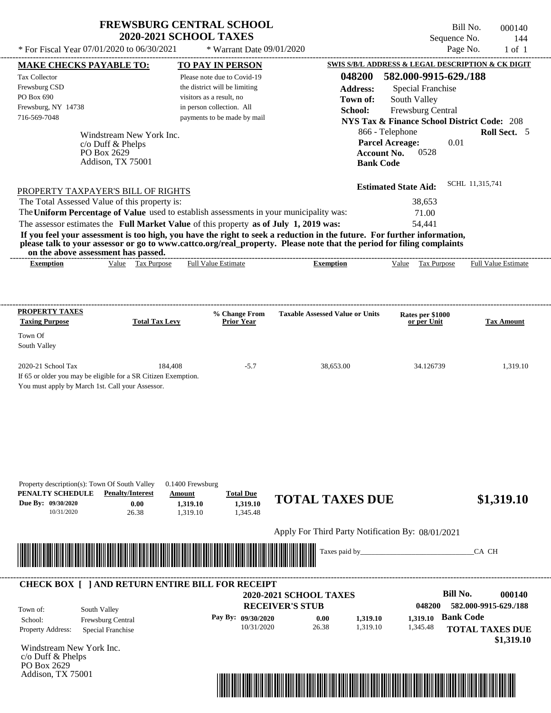\* For Fiscal Year 07/01/2020 to 06/30/2021  $*$  Warrant Date 09/01/2020

Bill No. 000140 Sequence No. 144

| * For Fiscal Year 07/01/2020 to 06/30/2021                                              |                                                         | * Warrant Date 09/01/2020                             |                                                                                                                         |                                 | Page No.<br>$1$ of $1$                                 |
|-----------------------------------------------------------------------------------------|---------------------------------------------------------|-------------------------------------------------------|-------------------------------------------------------------------------------------------------------------------------|---------------------------------|--------------------------------------------------------|
| <b>MAKE CHECKS PAYABLE TO:</b>                                                          |                                                         | <b>TO PAY IN PERSON</b>                               |                                                                                                                         |                                 | SWIS S/B/L ADDRESS & LEGAL DESCRIPTION & CK DIGIT      |
| Tax Collector                                                                           |                                                         | Please note due to Covid-19                           | 048200                                                                                                                  | 582.000-9915-629./188           |                                                        |
| Frewsburg CSD                                                                           |                                                         | the district will be limiting                         | <b>Address:</b>                                                                                                         | Special Franchise               |                                                        |
| PO Box 690<br>Frewsburg, NY 14738                                                       |                                                         | visitors as a result, no<br>in person collection. All | Town of:                                                                                                                | South Valley                    |                                                        |
| 716-569-7048                                                                            |                                                         | payments to be made by mail                           | School:                                                                                                                 | Frewsburg Central               |                                                        |
|                                                                                         |                                                         |                                                       |                                                                                                                         |                                 | <b>NYS Tax &amp; Finance School District Code: 208</b> |
|                                                                                         | Windstream New York Inc.                                |                                                       |                                                                                                                         | 866 - Telephone                 | Roll Sect. 5                                           |
| c/o Duff & Phelps<br>PO Box 2629                                                        |                                                         |                                                       | <b>Account No.</b>                                                                                                      | <b>Parcel Acreage:</b><br>0528  | 0.01                                                   |
| Addison, TX 75001                                                                       |                                                         |                                                       | <b>Bank Code</b>                                                                                                        |                                 |                                                        |
|                                                                                         |                                                         |                                                       |                                                                                                                         |                                 |                                                        |
| PROPERTY TAXPAYER'S BILL OF RIGHTS                                                      |                                                         |                                                       |                                                                                                                         | <b>Estimated State Aid:</b>     | SCHL 11,315,741                                        |
| The Total Assessed Value of this property is:                                           |                                                         |                                                       |                                                                                                                         | 38,653                          |                                                        |
| The Uniform Percentage of Value used to establish assessments in your municipality was: |                                                         |                                                       |                                                                                                                         | 71.00                           |                                                        |
| The assessor estimates the Full Market Value of this property as of July 1, 2019 was:   |                                                         |                                                       |                                                                                                                         | 54,441                          |                                                        |
|                                                                                         |                                                         |                                                       | If you feel your assessment is too high, you have the right to seek a reduction in the future. For further information, |                                 |                                                        |
| on the above assessment has passed.                                                     |                                                         |                                                       | please talk to your assessor or go to www.cattco.org/real_property. Please note that the period for filing complaints   |                                 |                                                        |
| <b>Exemption</b>                                                                        | Value Tax Purpose                                       | <b>Full Value Estimate</b>                            | <b>Exemption</b>                                                                                                        | Value Tax Purpose               | <b>Full Value Estimate</b>                             |
|                                                                                         |                                                         |                                                       |                                                                                                                         |                                 |                                                        |
|                                                                                         |                                                         |                                                       |                                                                                                                         |                                 |                                                        |
| <b>PROPERTY TAXES</b>                                                                   |                                                         |                                                       |                                                                                                                         |                                 |                                                        |
| <b>Taxing Purpose</b>                                                                   | <b>Total Tax Levy</b>                                   | % Change From<br><b>Prior Year</b>                    | <b>Taxable Assessed Value or Units</b>                                                                                  | Rates per \$1000<br>or per Unit | <b>Tax Amount</b>                                      |
| Town Of                                                                                 |                                                         |                                                       |                                                                                                                         |                                 |                                                        |
| South Valley                                                                            |                                                         |                                                       |                                                                                                                         |                                 |                                                        |
|                                                                                         |                                                         |                                                       |                                                                                                                         |                                 |                                                        |
| 2020-21 School Tax<br>If 65 or older you may be eligible for a SR Citizen Exemption.    | 184,408                                                 | $-5.7$                                                | 38,653.00                                                                                                               | 34.126739                       | 1,319.10                                               |
| You must apply by March 1st. Call your Assessor.                                        |                                                         |                                                       |                                                                                                                         |                                 |                                                        |
|                                                                                         |                                                         |                                                       |                                                                                                                         |                                 |                                                        |
|                                                                                         |                                                         |                                                       |                                                                                                                         |                                 |                                                        |
|                                                                                         |                                                         |                                                       |                                                                                                                         |                                 |                                                        |
|                                                                                         |                                                         |                                                       |                                                                                                                         |                                 |                                                        |
|                                                                                         |                                                         |                                                       |                                                                                                                         |                                 |                                                        |
|                                                                                         |                                                         |                                                       |                                                                                                                         |                                 |                                                        |
|                                                                                         |                                                         |                                                       |                                                                                                                         |                                 |                                                        |
| Property description(s): Town Of South Valley<br>PENALTY SCHEDULE                       | $0.1400$ Frewsburg<br><b>Penalty/Interest</b><br>Amount | <b>Total Due</b>                                      |                                                                                                                         |                                 |                                                        |
| Due By: 09/30/2020                                                                      | 0.00<br>1,319.10                                        | 1,319.10                                              | <b>TOTAL TAXES DUE</b>                                                                                                  |                                 | \$1,319.10                                             |
| 10/31/2020                                                                              | 26.38<br>1,319.10                                       | 1,345.48                                              |                                                                                                                         |                                 |                                                        |
|                                                                                         |                                                         |                                                       | Apply For Third Party Notification By: 08/01/2021                                                                       |                                 |                                                        |
|                                                                                         |                                                         |                                                       |                                                                                                                         |                                 |                                                        |
|                                                                                         |                                                         |                                                       | Taxes paid by_                                                                                                          |                                 | CA CH                                                  |
|                                                                                         |                                                         |                                                       |                                                                                                                         |                                 |                                                        |
| <b>CHECK BOX [ ] AND RETURN ENTIRE BILL FOR RECEIPT</b>                                 |                                                         |                                                       |                                                                                                                         |                                 |                                                        |
|                                                                                         |                                                         |                                                       | 2020-2021 SCHOOL TAXES                                                                                                  |                                 | <b>Bill No.</b><br>000140                              |
| South Valley<br>Town of:                                                                |                                                         |                                                       | <b>RECEIVER'S STUB</b>                                                                                                  | 048200                          | 582.000-9915-629./188                                  |
| Frewsburg Central<br>School:                                                            |                                                         | Pay By: 09/30/2020                                    | 0.00<br>1,319.10                                                                                                        | 1.319.10                        | <b>Bank Code</b>                                       |
| Property Address:<br>Special Franchise                                                  |                                                         | 10/31/2020                                            | 1,319.10<br>26.38                                                                                                       | 1,345.48                        | <b>TOTAL TAXES DUE</b>                                 |
| Windstream New York Inc.                                                                |                                                         |                                                       |                                                                                                                         |                                 | \$1,319.10                                             |
| c/o Duff & Phelps                                                                       |                                                         |                                                       |                                                                                                                         |                                 |                                                        |
| PO Box 2629                                                                             |                                                         |                                                       |                                                                                                                         |                                 |                                                        |
| Addison, TX 75001                                                                       |                                                         |                                                       |                                                                                                                         |                                 |                                                        |
|                                                                                         |                                                         |                                                       | <u> 1989 - Andrea Stadt British Stadt British Stadt British Stadt British Stadt British Stadt British Stadt Britis</u>  |                                 |                                                        |
|                                                                                         |                                                         |                                                       |                                                                                                                         |                                 |                                                        |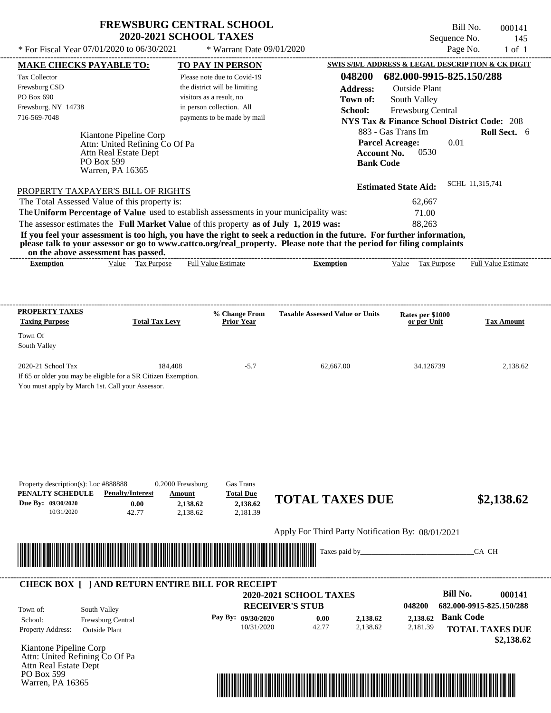$*$  For Fiscal Year 07/01/2020 to 06/30/2021

Warren, PA 16365

 $*$  Warrant Date 09/01/2020

Bill No. 000141 Sequence No. 145<br>Page No. 1 of 1

| <b>MAKE CHECKS PAYABLE TO:</b>                                                        |                                     |                           | <b>TO PAY IN PERSON</b>       |                                                                                                                         |                                                        | SWIS S/B/L ADDRESS & LEGAL DESCRIPTION & CK DIGIT |
|---------------------------------------------------------------------------------------|-------------------------------------|---------------------------|-------------------------------|-------------------------------------------------------------------------------------------------------------------------|--------------------------------------------------------|---------------------------------------------------|
| Tax Collector                                                                         |                                     |                           | Please note due to Covid-19   | 048200                                                                                                                  | 682.000-9915-825.150/288                               |                                                   |
| Frewsburg CSD                                                                         |                                     |                           | the district will be limiting | <b>Address:</b>                                                                                                         | <b>Outside Plant</b>                                   |                                                   |
| PO Box 690                                                                            |                                     | visitors as a result, no  |                               | Town of:                                                                                                                | South Valley                                           |                                                   |
| Frewsburg, NY 14738                                                                   |                                     | in person collection. All |                               | School:                                                                                                                 | Frewsburg Central                                      |                                                   |
| 716-569-7048                                                                          |                                     |                           | payments to be made by mail   |                                                                                                                         | <b>NYS Tax &amp; Finance School District Code: 208</b> |                                                   |
|                                                                                       |                                     |                           |                               |                                                                                                                         |                                                        |                                                   |
|                                                                                       | Kiantone Pipeline Corp              |                           |                               |                                                                                                                         | 883 - Gas Trans Im                                     | Roll Sect. 6                                      |
|                                                                                       | Attn: United Refining Co Of Pa      |                           |                               |                                                                                                                         | <b>Parcel Acreage:</b>                                 | 0.01                                              |
|                                                                                       | Attn Real Estate Dept<br>PO Box 599 |                           |                               | <b>Account No.</b>                                                                                                      | 0530                                                   |                                                   |
|                                                                                       | Warren, PA 16365                    |                           |                               | <b>Bank Code</b>                                                                                                        |                                                        |                                                   |
|                                                                                       |                                     |                           |                               |                                                                                                                         |                                                        |                                                   |
| PROPERTY TAXPAYER'S BILL OF RIGHTS                                                    |                                     |                           |                               |                                                                                                                         | <b>Estimated State Aid:</b>                            | SCHL 11,315,741                                   |
| The Total Assessed Value of this property is:                                         |                                     |                           |                               |                                                                                                                         | 62,667                                                 |                                                   |
|                                                                                       |                                     |                           |                               | The Uniform Percentage of Value used to establish assessments in your municipality was:                                 | 71.00                                                  |                                                   |
| The assessor estimates the Full Market Value of this property as of July 1, 2019 was: |                                     |                           |                               |                                                                                                                         | 88,263                                                 |                                                   |
|                                                                                       |                                     |                           |                               | If you feel your assessment is too high, you have the right to seek a reduction in the future. For further information, |                                                        |                                                   |
|                                                                                       |                                     |                           |                               | please talk to your assessor or go to www.cattco.org/real_property. Please note that the period for filing complaints   |                                                        |                                                   |
|                                                                                       | on the above assessment has passed. |                           |                               |                                                                                                                         |                                                        |                                                   |
| <b>Exemption</b>                                                                      | Value Tax Purpose                   |                           | <b>Full Value Estimate</b>    | <b>Exemption</b>                                                                                                        | Value Tax Purpose                                      | <b>Full Value Estimate</b>                        |
|                                                                                       |                                     |                           |                               |                                                                                                                         |                                                        |                                                   |
|                                                                                       |                                     |                           |                               |                                                                                                                         |                                                        |                                                   |
|                                                                                       |                                     |                           |                               |                                                                                                                         |                                                        |                                                   |
| <b>PROPERTY TAXES</b>                                                                 |                                     |                           | % Change From                 | <b>Taxable Assessed Value or Units</b>                                                                                  | Rates per \$1000                                       |                                                   |
| <b>Taxing Purpose</b>                                                                 | <b>Total Tax Levy</b>               |                           | <b>Prior Year</b>             |                                                                                                                         | or per Unit                                            | Tax Amount                                        |
| Town Of                                                                               |                                     |                           |                               |                                                                                                                         |                                                        |                                                   |
| South Valley                                                                          |                                     |                           |                               |                                                                                                                         |                                                        |                                                   |
|                                                                                       |                                     |                           |                               |                                                                                                                         |                                                        |                                                   |
| 2020-21 School Tax                                                                    |                                     | 184,408                   | $-5.7$                        | 62,667.00                                                                                                               | 34.126739                                              | 2,138.62                                          |
| If 65 or older you may be eligible for a SR Citizen Exemption.                        |                                     |                           |                               |                                                                                                                         |                                                        |                                                   |
| You must apply by March 1st. Call your Assessor.                                      |                                     |                           |                               |                                                                                                                         |                                                        |                                                   |
|                                                                                       |                                     |                           |                               |                                                                                                                         |                                                        |                                                   |
|                                                                                       |                                     |                           |                               |                                                                                                                         |                                                        |                                                   |
|                                                                                       |                                     |                           |                               |                                                                                                                         |                                                        |                                                   |
|                                                                                       |                                     |                           |                               |                                                                                                                         |                                                        |                                                   |
|                                                                                       |                                     |                           |                               |                                                                                                                         |                                                        |                                                   |
|                                                                                       |                                     |                           |                               |                                                                                                                         |                                                        |                                                   |
|                                                                                       |                                     |                           |                               |                                                                                                                         |                                                        |                                                   |
|                                                                                       |                                     |                           |                               |                                                                                                                         |                                                        |                                                   |
| Property description(s): Loc #888888                                                  |                                     | 0.2000 Frewsburg          | Gas Trans                     |                                                                                                                         |                                                        |                                                   |
| PENALTY SCHEDULE                                                                      | <b>Penalty/Interest</b>             | Amount                    | <b>Total Due</b>              | <b>TOTAL TAXES DUE</b>                                                                                                  |                                                        | \$2,138.62                                        |
| Due By: 09/30/2020                                                                    | 0.00                                | 2,138.62                  | 2,138.62                      |                                                                                                                         |                                                        |                                                   |
| 10/31/2020                                                                            | 42.77                               | 2,138.62                  | 2,181.39                      |                                                                                                                         |                                                        |                                                   |
|                                                                                       |                                     |                           |                               | Apply For Third Party Notification By: 08/01/2021                                                                       |                                                        |                                                   |
|                                                                                       |                                     |                           |                               |                                                                                                                         |                                                        |                                                   |
|                                                                                       |                                     |                           |                               | Taxes paid by_                                                                                                          |                                                        | CA CH                                             |
|                                                                                       |                                     |                           |                               |                                                                                                                         |                                                        |                                                   |
|                                                                                       |                                     |                           |                               |                                                                                                                         |                                                        |                                                   |
| <b>CHECK BOX [ ] AND RETURN ENTIRE BILL FOR RECEIPT</b>                               |                                     |                           |                               |                                                                                                                         |                                                        |                                                   |
|                                                                                       |                                     |                           |                               | 2020-2021 SCHOOL TAXES                                                                                                  |                                                        | <b>Bill No.</b><br>000141                         |
|                                                                                       |                                     |                           |                               | <b>RECEIVER'S STUB</b>                                                                                                  | 048200                                                 | 682.000-9915-825.150/288                          |
| Town of:                                                                              | South Valley                        |                           | Pay By: 09/30/2020            | 0.00                                                                                                                    | 2,138.62                                               | <b>Bank Code</b>                                  |
| School:                                                                               | Frewsburg Central                   |                           | 10/31/2020                    | 2,138.62<br>42.77<br>2,138.62                                                                                           | 2,181.39                                               |                                                   |
| Property Address:                                                                     | <b>Outside Plant</b>                |                           |                               |                                                                                                                         |                                                        | <b>TOTAL TAXES DUE</b>                            |
| Kiantone Pipeline Corp                                                                |                                     |                           |                               |                                                                                                                         |                                                        | \$2,138.62                                        |
| Attn: United Refining Co Of Pa                                                        |                                     |                           |                               |                                                                                                                         |                                                        |                                                   |
| Attn Real Estate Dept                                                                 |                                     |                           |                               |                                                                                                                         |                                                        |                                                   |
| PO Box 599                                                                            |                                     |                           |                               |                                                                                                                         |                                                        |                                                   |

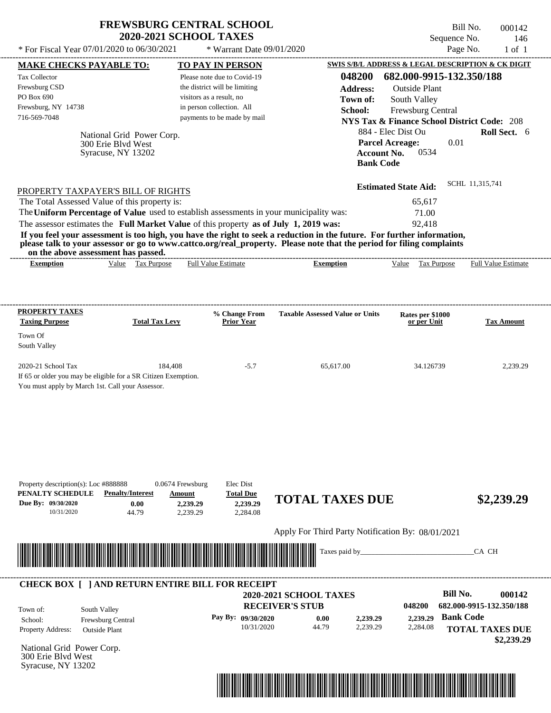| <b>FREWSBURG CENTRAL SCHOOL</b> |
|---------------------------------|
| <b>2020-2021 SCHOOL TAXES</b>   |

Bill No. 000142 Sequence No. 146

| * For Fiscal Year 07/01/2020 to 06/30/2021                                                                                                                                                                                                                                                                     |                                                                                                | * Warrant Date 09/01/2020                                                                                                                            |                                                                                                                                                                                                                                                  |                                                                                                                                               | Page No.<br>$1$ of $1$                                                                                            |
|----------------------------------------------------------------------------------------------------------------------------------------------------------------------------------------------------------------------------------------------------------------------------------------------------------------|------------------------------------------------------------------------------------------------|------------------------------------------------------------------------------------------------------------------------------------------------------|--------------------------------------------------------------------------------------------------------------------------------------------------------------------------------------------------------------------------------------------------|-----------------------------------------------------------------------------------------------------------------------------------------------|-------------------------------------------------------------------------------------------------------------------|
| <b>MAKE CHECKS PAYABLE TO:</b>                                                                                                                                                                                                                                                                                 |                                                                                                | <b>TO PAY IN PERSON</b>                                                                                                                              |                                                                                                                                                                                                                                                  |                                                                                                                                               | SWIS S/B/L ADDRESS & LEGAL DESCRIPTION & CK DIGIT                                                                 |
| Tax Collector<br>Frewsburg CSD<br>PO Box 690<br>Frewsburg, NY 14738<br>716-569-7048                                                                                                                                                                                                                            | National Grid Power Corp.<br>300 Erie Blyd West<br>Syracuse, NY 13202                          | Please note due to Covid-19<br>the district will be limiting<br>visitors as a result, no<br>in person collection. All<br>payments to be made by mail | 048200<br><b>Address:</b><br>Town of:<br>School:<br><b>Account No.</b><br><b>Bank Code</b>                                                                                                                                                       | 682.000-9915-132.350/188<br><b>Outside Plant</b><br>South Valley<br>Frewsburg Central<br>884 - Elec Dist Ou<br><b>Parcel Acreage:</b><br>0534 | <b>NYS Tax &amp; Finance School District Code: 208</b><br>Roll Sect. 6<br>0.01                                    |
| PROPERTY TAXPAYER'S BILL OF RIGHTS<br>The Total Assessed Value of this property is:<br>The Uniform Percentage of Value used to establish assessments in your municipality was:<br>The assessor estimates the Full Market Value of this property as of July 1, 2019 was:<br>on the above assessment has passed. |                                                                                                |                                                                                                                                                      | If you feel your assessment is too high, you have the right to seek a reduction in the future. For further information,<br>please talk to your assessor or go to www.cattco.org/real_property. Please note that the period for filing complaints | <b>Estimated State Aid:</b><br>65,617<br>71.00<br>92,418                                                                                      | SCHL 11,315,741                                                                                                   |
| <b>Exemption</b>                                                                                                                                                                                                                                                                                               | Value Tax Purpose                                                                              | <b>Full Value Estimate</b>                                                                                                                           | <b>Exemption</b>                                                                                                                                                                                                                                 | Value Tax Purpose                                                                                                                             | <b>Full Value Estimate</b>                                                                                        |
| <b>PROPERTY TAXES</b><br><b>Taxing Purpose</b><br>Town Of                                                                                                                                                                                                                                                      | <b>Total Tax Levy</b>                                                                          | % Change From<br><b>Prior Year</b>                                                                                                                   | <b>Taxable Assessed Value or Units</b>                                                                                                                                                                                                           | Rates per \$1000<br>or per Unit                                                                                                               | <b>Tax Amount</b>                                                                                                 |
| South Valley                                                                                                                                                                                                                                                                                                   |                                                                                                |                                                                                                                                                      |                                                                                                                                                                                                                                                  |                                                                                                                                               |                                                                                                                   |
| If 65 or older you may be eligible for a SR Citizen Exemption.<br>You must apply by March 1st. Call your Assessor.                                                                                                                                                                                             |                                                                                                |                                                                                                                                                      |                                                                                                                                                                                                                                                  |                                                                                                                                               |                                                                                                                   |
| Property description(s): Loc #888888<br>PENALTY SCHEDULE<br>Due By: 09/30/2020<br>10/31/2020                                                                                                                                                                                                                   | 0.0674 Frewsburg<br><b>Penalty/Interest</b><br>Amount<br>0.00<br>2,239.29<br>44.79<br>2,239.29 | Elec Dist<br><b>Total Due</b><br>2,239.29<br>2,284.08                                                                                                | <b>TOTAL TAXES DUE</b>                                                                                                                                                                                                                           |                                                                                                                                               | \$2,239.29                                                                                                        |
|                                                                                                                                                                                                                                                                                                                |                                                                                                |                                                                                                                                                      | Apply For Third Party Notification By: 08/01/2021                                                                                                                                                                                                |                                                                                                                                               |                                                                                                                   |
|                                                                                                                                                                                                                                                                                                                |                                                                                                |                                                                                                                                                      | Taxes paid by_                                                                                                                                                                                                                                   |                                                                                                                                               | CA CH                                                                                                             |
| <b>CHECK BOX [ ] AND RETURN ENTIRE BILL FOR RECEIPT</b><br>South Valley<br>Town of:<br>Frewsburg Central<br>School:<br>Property Address:<br><b>Outside Plant</b>                                                                                                                                               |                                                                                                | Pay By: 09/30/2020<br>10/31/2020                                                                                                                     | 2020-2021 SCHOOL TAXES<br><b>RECEIVER'S STUB</b><br>0.00<br>2,239.29<br>44.79<br>2,239.29                                                                                                                                                        | 048200<br>2,239.29<br>2,284.08                                                                                                                | <b>Bill No.</b><br>000142<br>682.000-9915-132.350/188<br><b>Bank Code</b><br><b>TOTAL TAXES DUE</b><br>\$2,239.29 |
| National Grid Power Corp.<br>300 Erie Blvd West<br>Syracuse, NY 13202                                                                                                                                                                                                                                          |                                                                                                |                                                                                                                                                      |                                                                                                                                                                                                                                                  |                                                                                                                                               |                                                                                                                   |

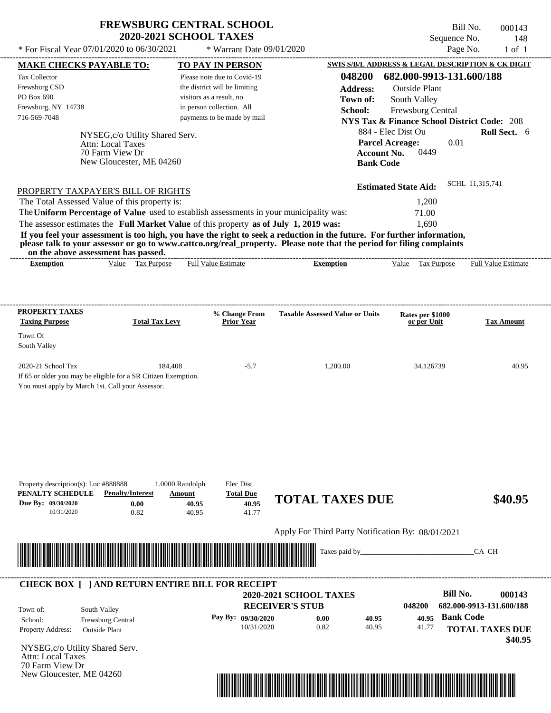$*$  For Fiscal Year  $07/01/2020$  to  $06/30/2021$ 

 $*$  Warrant Date 09/01/2020

Bill No. 000143 Sequence No. 148<br>Page No. 1 of 1

| <b>MAKE CHECKS PAYABLE TO:</b>                                                          |                                 |                           | <b>TO PAY IN PERSON</b>          |                                                                                                                         | SWIS S/B/L ADDRESS & LEGAL DESCRIPTION & CK DIGIT      |                          |                            |
|-----------------------------------------------------------------------------------------|---------------------------------|---------------------------|----------------------------------|-------------------------------------------------------------------------------------------------------------------------|--------------------------------------------------------|--------------------------|----------------------------|
| <b>Tax Collector</b>                                                                    |                                 |                           | Please note due to Covid-19      | 048200                                                                                                                  | 682.000-9913-131.600/188                               |                          |                            |
| Frewsburg CSD                                                                           |                                 |                           | the district will be limiting    | <b>Address:</b>                                                                                                         | <b>Outside Plant</b>                                   |                          |                            |
| PO Box 690                                                                              |                                 | visitors as a result, no  |                                  | Town of:                                                                                                                | South Valley                                           |                          |                            |
| Frewsburg, NY 14738                                                                     |                                 |                           | in person collection. All        | School:                                                                                                                 | Frewsburg Central                                      |                          |                            |
| 716-569-7048                                                                            |                                 |                           | payments to be made by mail      |                                                                                                                         | <b>NYS Tax &amp; Finance School District Code: 208</b> |                          |                            |
|                                                                                         | NYSEG, c/o Utility Shared Serv. |                           |                                  |                                                                                                                         | 884 - Elec Dist Ou                                     |                          | Roll Sect. 6               |
|                                                                                         | <b>Attn: Local Taxes</b>        |                           |                                  |                                                                                                                         | <b>Parcel Acreage:</b>                                 | 0.01                     |                            |
|                                                                                         | 70 Farm View Dr                 |                           |                                  |                                                                                                                         | 0449<br><b>Account No.</b>                             |                          |                            |
|                                                                                         | New Gloucester, ME 04260        |                           |                                  |                                                                                                                         | <b>Bank Code</b>                                       |                          |                            |
|                                                                                         |                                 |                           |                                  |                                                                                                                         |                                                        |                          |                            |
| PROPERTY TAXPAYER'S BILL OF RIGHTS                                                      |                                 |                           |                                  |                                                                                                                         | <b>Estimated State Aid:</b>                            | SCHL 11,315,741          |                            |
| The Total Assessed Value of this property is:                                           |                                 |                           |                                  |                                                                                                                         | 1,200                                                  |                          |                            |
| The Uniform Percentage of Value used to establish assessments in your municipality was: |                                 |                           |                                  |                                                                                                                         | 71.00                                                  |                          |                            |
| The assessor estimates the Full Market Value of this property as of July 1, 2019 was:   |                                 |                           |                                  |                                                                                                                         | 1,690                                                  |                          |                            |
|                                                                                         |                                 |                           |                                  | If you feel your assessment is too high, you have the right to seek a reduction in the future. For further information, |                                                        |                          |                            |
| on the above assessment has passed.                                                     |                                 |                           |                                  | please talk to your assessor or go to www.cattco.org/real_property. Please note that the period for filing complaints   |                                                        |                          |                            |
| <b>Exemption</b>                                                                        | Value Tax Purpose               |                           | <b>Full Value Estimate</b>       | <b>Exemption</b>                                                                                                        | Value Tax Purpose                                      |                          | <b>Full Value Estimate</b> |
|                                                                                         |                                 |                           |                                  |                                                                                                                         |                                                        |                          |                            |
|                                                                                         |                                 |                           |                                  |                                                                                                                         |                                                        |                          |                            |
|                                                                                         |                                 |                           |                                  |                                                                                                                         |                                                        |                          |                            |
| <b>PROPERTY TAXES</b><br><b>Taxing Purpose</b>                                          | <b>Total Tax Levy</b>           |                           | % Change From<br>Prior Year      | <b>Taxable Assessed Value or Units</b>                                                                                  | Rates per \$1000<br>or per Unit                        |                          | <b>Tax Amount</b>          |
|                                                                                         |                                 |                           |                                  |                                                                                                                         |                                                        |                          |                            |
| Town Of                                                                                 |                                 |                           |                                  |                                                                                                                         |                                                        |                          |                            |
| South Valley                                                                            |                                 |                           |                                  |                                                                                                                         |                                                        |                          |                            |
| 2020-21 School Tax                                                                      | 184,408                         |                           | $-5.7$                           | 1,200.00                                                                                                                | 34.126739                                              |                          | 40.95                      |
| If 65 or older you may be eligible for a SR Citizen Exemption.                          |                                 |                           |                                  |                                                                                                                         |                                                        |                          |                            |
| You must apply by March 1st. Call your Assessor.                                        |                                 |                           |                                  |                                                                                                                         |                                                        |                          |                            |
|                                                                                         |                                 |                           |                                  |                                                                                                                         |                                                        |                          |                            |
|                                                                                         |                                 |                           |                                  |                                                                                                                         |                                                        |                          |                            |
|                                                                                         |                                 |                           |                                  |                                                                                                                         |                                                        |                          |                            |
|                                                                                         |                                 |                           |                                  |                                                                                                                         |                                                        |                          |                            |
|                                                                                         |                                 |                           |                                  |                                                                                                                         |                                                        |                          |                            |
|                                                                                         |                                 |                           |                                  |                                                                                                                         |                                                        |                          |                            |
|                                                                                         |                                 |                           |                                  |                                                                                                                         |                                                        |                          |                            |
| Property description(s): Loc #888888<br>PENALTY SCHEDULE                                | <b>Penalty/Interest</b>         | 1.0000 Randolph<br>Amount | Elec Dist<br><b>Total Due</b>    |                                                                                                                         |                                                        |                          |                            |
| Due Bv: 09/30/2020                                                                      | 0.00                            | 40.95                     | 40.95                            | <b>TOTAL TAXES DUE</b>                                                                                                  |                                                        |                          | \$40.95                    |
| 10/31/2020                                                                              | 0.82                            | 40.95                     | 41.77                            |                                                                                                                         |                                                        |                          |                            |
|                                                                                         |                                 |                           |                                  | Apply For Third Party Notification By: 08/01/2021                                                                       |                                                        |                          |                            |
|                                                                                         |                                 |                           |                                  |                                                                                                                         |                                                        |                          |                            |
|                                                                                         |                                 |                           |                                  | Taxes paid by_                                                                                                          |                                                        | CA CH                    |                            |
|                                                                                         |                                 |                           |                                  |                                                                                                                         |                                                        |                          |                            |
|                                                                                         |                                 |                           |                                  |                                                                                                                         |                                                        |                          |                            |
| <b>CHECK BOX [ ] AND RETURN ENTIRE BILL FOR RECEIPT</b>                                 |                                 |                           |                                  | 2020-2021 SCHOOL TAXES                                                                                                  |                                                        | <b>Bill No.</b>          | 000143                     |
|                                                                                         |                                 |                           |                                  | <b>RECEIVER'S STUB</b>                                                                                                  | 048200                                                 | 682.000-9913-131.600/188 |                            |
| South Valley<br>Town of:                                                                |                                 |                           |                                  |                                                                                                                         |                                                        | <b>Bank Code</b>         |                            |
| School:                                                                                 | Frewsburg Central               |                           | Pay By: 09/30/2020<br>10/31/2020 | 0.00<br>40.95<br>0.82<br>40.95                                                                                          | 40.95<br>41.77                                         |                          |                            |
| Property Address:<br><b>Outside Plant</b>                                               |                                 |                           |                                  |                                                                                                                         |                                                        | <b>TOTAL TAXES DUE</b>   | \$40.95                    |
| NYSEG,c/o Utility Shared Serv.                                                          |                                 |                           |                                  |                                                                                                                         |                                                        |                          |                            |
|                                                                                         |                                 |                           |                                  |                                                                                                                         |                                                        |                          |                            |
|                                                                                         |                                 |                           |                                  |                                                                                                                         |                                                        |                          |                            |
| Attn: Local Taxes<br>70 Farm View Dr<br>New Gloucester, ME 04260                        |                                 |                           |                                  |                                                                                                                         |                                                        |                          |                            |